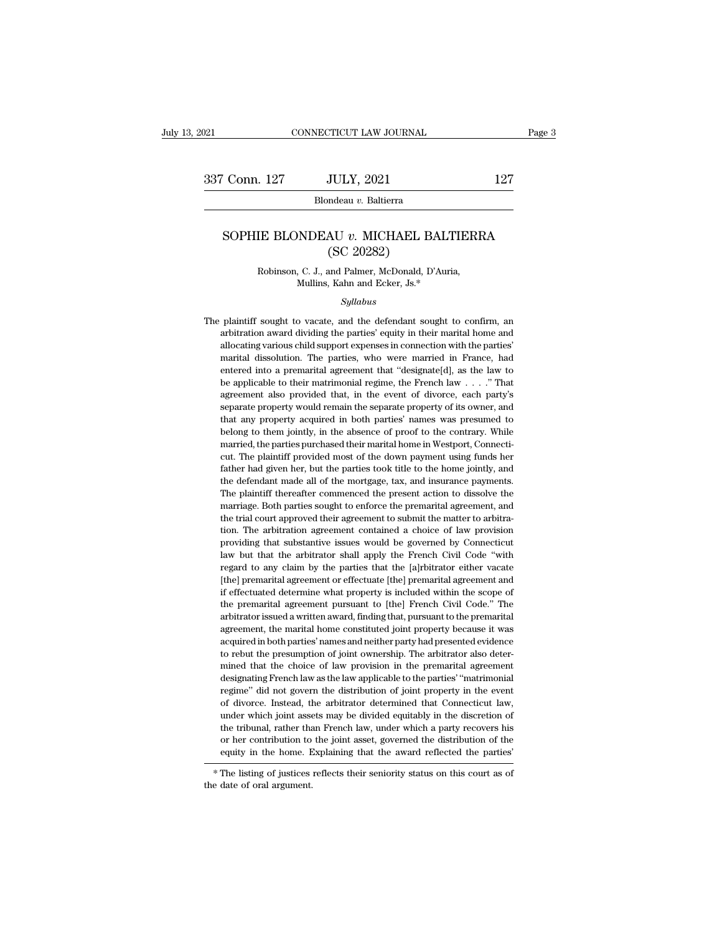# Conn. 127 JULY, 2021 127<br>Blondeau *v.* Baltierra<br>SOPHIE BLONDEAU *v.* MICHAEL BALTIERRA<br>(SC 20282) JULY, 2021<br>
mdeau v. Baltierra<br>
AU v. MICHAEL BA<br>
(SC 20282)<br>
and Palmer, McDonald, D' Biondeau v. Baltierra<br>IE BLONDEAU v. MICHAEL BALTIERI<br>(SC 20282)<br>Robinson, C. J., and Palmer, McDonald, D'Auria,<br>Mullins, Kahn and Ecker, Js.\* **NDEAU v. MICHAEL BALT**<br>
(SC 20282)<br>
, C. J., and Palmer, McDonald, D'Auria<br>
Mullins, Kahn and Ecker, Js.\*<br>
Syllabus

## *Syllabus*

 $(SC 20282)$ <br>Robinson, C. J., and Palmer, McDonald, D'Auria,<br>Mullins, Kahn and Ecker, Js.\*<br>Syllabus<br>The plaintiff sought to vacate, and the defendant sought to confirm, an<br>arbitration award dividing the parties' equity in Robinson, C. J., and Palmer, McDonald, D'Auria,<br>Mullins, Kahn and Ecker, Js.\*<br> $Syllabus$ <br>plaintiff sought to vacate, and the defendant sought to confirm, an<br>arbitration award dividing the parties' equity in their marital home Mullins, Kahn and Ecker, Js.\*<br> *Syllabus*<br>
plaintiff sought to vacate, and the defendant sought to confirm, an<br>
arbitration award dividing the parties' equity in their marital home and<br>
allocating various child support exp Syllabus<br>
Syllabus<br>
plaintiff sought to vacate, and the defendant sought to confirm, an<br>
arbitration award dividing the parties' equity in their marital home and<br>
allocating various child support expenses in connection wit *Syllabus*<br>plaintiff sought to vacate, and the defendant sought to confirm, an<br>arbitration award dividing the parties' equity in their marital home and<br>allocating various child support expenses in connection with the part plaintiff sought to vacate, and the defendant sought to confirm, an arbitration award dividing the parties' equity in their marital home and allocating various child support expenses in connection with the parties' marita arbitration award dividing the parties' equity in their marital home and allocating various child support expenses in connection with the parties' marital dissolution. The parties, who were married in France, had entered i allocating various child support expenses in connection with the parties' marital dissolution. The parties, who were married in France, had entered into a premarital agreement that "designate[d], as the law to be applicabl marital dissolution. The parties, who were married in France, had entered into a premarital agreement that "designate[d], as the law to be applicable to their matrimonial regime, the French law  $\ldots$ ." That agreement also entered into a premarital agreement that "designate[d], as the law to be applicable to their matrimonial regime, the French law  $\ldots$  ." That agreement also provided that, in the event of divorce, each party's separate pr be applicable to their marimonial regime, the French law  $\ldots$ ." That agreement also provided that, in the event of divorce, each party's separate property would remain the separate property of its owner, and that any pro are a separate provided that, in the event of divorce, each party's separate property would remain the separate property of its owner, and that any property acquired in both parties' names was presumed to belong to them jo separate property would remain the separate property of its owner, and that any property acquired in both parties' names was presumed to belong to them jointly, in the absence of proof to the contrary. While married, the p before any property acquired in both parties' names was presumed to belong to them jointly, in the absence of proof to the contrary. While married, the parties purchased their marital home in Westport, Connecticut. The pla belong to them jointly, in the absence of proof to the contrary. While married, the parties purchased their marital home in Westport, Connecticut. The plaintiff provided most of the down payment using funds her father had married, the parties purchased their marital home in Westport, Connecticut. The plaintiff provided most of the down payment using funds her father had given her, but the parties took title to the home jointly, and the defe married, the parties purchased their marital home in Westport, Connecticut. The plaintiff provided most of the down payment using funds her father had given her, but the parties took title to the home jointly, and the def Father had given her, but the parties took tile to the home jointly, and the defendant made all of the mortgage, tax, and insurance payments. The plaintiff thereafter commenced the present action to dissolve the marriage. the defendant made all of the mortgage, tax, and insurance payments.<br>The plaintiff thereafter commenced the present action to dissolve the<br>marriage. Both parties sought to enforce the premarital agreement, and<br>the trial co The plaintiff thereafter commenced the present action to dissolve the marriage. Both parties sought to enforce the premarital agreement, and the trial court approved their agreement to submit the matter to arbitration. The regard to any claim by the premarital agreement, and the trial court approved their agreement to submit the matter to arbitration. The arbitration agreement contained a choice of law provision providing that substantive is the trial court approved their agreement to submit the matter to arbitration. The arbitration agreement contained a choice of law provision providing that substantive issues would be governed by Connecticut law but that th if the anti-approximation agreement contained a choice of law provision providing that substantive issues would be governed by Connecticut law but that the arbitrator shall apply the French Civil Code "with regard to any c providing that substantive issues would be governed by Connecticut<br>law but that the arbitrator shall apply the French Civil Code "with<br>regard to any claim by the parties that the [a]rbitrator either vacate<br>[the] premarital From that the arbitrator shall apply the French Civil Code "with regard to any claim by the parties that the [a]rbitrator either vacate [the] premarital agreement or effectuate [the] premarital agreement and if effectuated regard to any claim by the parties that the [a]rbitrator either vacate [the] premarital agreement or effectuate [the] premarital agreement and if effectuated determine what property is included within the scope of the prem refluel premarital agreement or effectuate [the] premarital agreement and if effectuated determine what property is included within the scope of the premarital agreement pursuant to [the] French Civil Code." The arbitrator for effectuated determine what property is included within the scope of the premarital agreement pursuant to [the] French Civil Code." The arbitrator issued a written award, finding that, pursuant to the premarital agreeme the premarital agreement pursuant to [the] French Civil Code." The arbitrator issued a written award, finding that, pursuant to the premarital agreement, the marital home constituted joint property because it was acquired arbitrator issued a written award, finding that, pursuant to the premarital agreement, the marital home constituted joint property because it was acquired in both parties' names and neither party had presented evidence to agreement, the marital home constituted joint property because it was acquired in both parties' names and neither party had presented evidence to rebut the presumption of joint ownership. The arbitrator also determined tha acquired in both parties' names and neither party had presented evidence to rebut the presumption of joint ownership. The arbitrator also determined that the choice of law provision in the premarital agreement designating under which is entered that the presumption of joint ownership. The arbitrator also determined that the choice of law provision in the premarital agreement designating French law as the law applicable to the parties' "matr mined that the choice of law provision in the premarital agreement designating French law as the law applicable to the parties' "matrimonial regime" did not govern the distribution of joint property in the event of divorce designating French law as the law applicable to the parties' "matrimonial regime" did not govern the distribution of joint property in the event of divorce. Instead, the arbitrator determined that Connecticut law, under wh equing French and a the distribution of joint property in the event of divorce. Instead, the arbitrator determined that Connecticut law, under which joint assets may be divided equitably in the discretion of the tribunal, under which joint asset<br>the tribunal, rather that<br>or her contribution to<br>equity in the home. E<br>\* The listing of justices<br>the date of oral argument.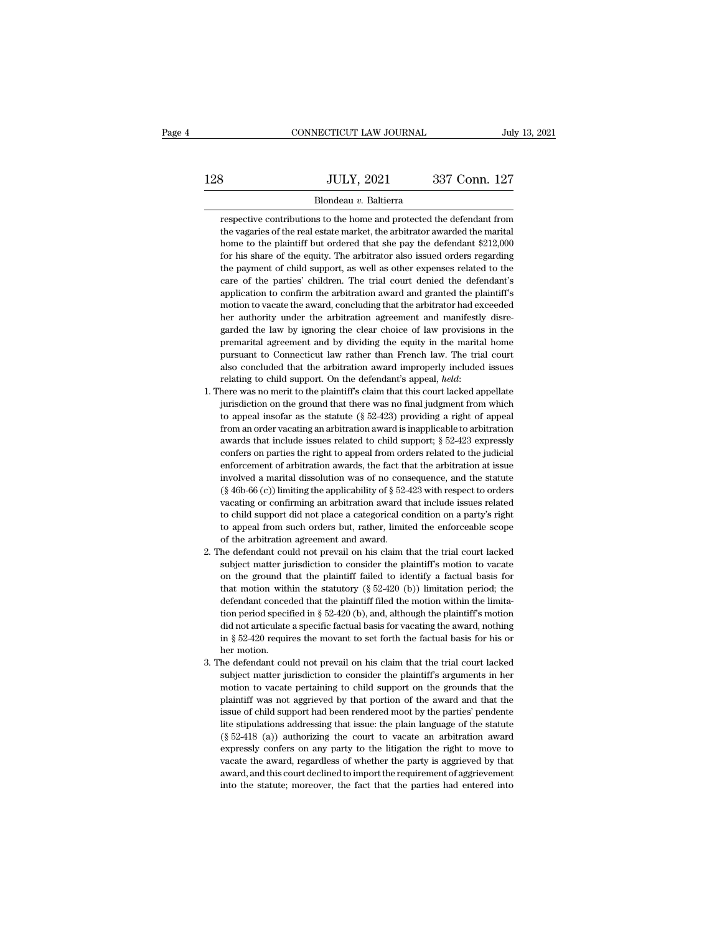# $\begin{tabular}{c} CONNECTICUT LAW JOURNAL \end{tabular} \begin{tabular}{c} \hline \textit{July 13, 2021} \\ \hline \end{tabular}$  128 JULY, 2021 337 Conn. 127 Blondeau v. Baltierra

## Blondeau *v.* Baltierra

 $\noindent\textbf{JULY, 2021} \quad \textbf{337 Conn. 127} \quad \text{Blondeau } v. \text{ Baltimore} \quad \text{Boltierra} \quad \text{respective contributions to the home and protected the defendant from vagaries of the real estate market, the arbitrary awarded the marital.}$  $\frac{JULY, 2021}{Blondeau \ v. \ Baltierra}$ <br>  $\frac{JULY, 2021}{Blondeau \ v. \ Baltierra}$ <br>  $\frac{JULY, 2021}{Blondeau \ v. \ Baltierra}$ <br>  $\frac{JPLY, 2021}{Broldeau \ v. \ Baltierra}$ <br>  $\frac{JPLY, 2021}{Broldeau \ v. \ Baltierra}$ <br>  $\frac{JPLY, 2021}{Broldeau \ v. \ Baltiera}$ <br>  $\frac{JPLY, 2021}{Broldeau \ v. \ Baltiera}$ **HOME TO SET ASSET SET ASSET SET ASSET SHOWS BUT ALLOW BUNDER SEPARATE SPECTAL SHOWS**<br> **Home to the plaintiff but ordered that she pay the defendant from**<br>
the vagaries of the real estate market, the arbitrator awarded th Blondeau v. Baltierra<br>for the defendant from<br>the vagaries of the real estate market, the arbitrator awarded the marital<br>home to the plaintiff but ordered that she pay the defendant \$212,000<br>for his share of the equity. The Blondeau v. Baltierra<br>
respective contributions to the home and protected the defendant from<br>
the vagaries of the real estate market, the arbitrator awarded the marital<br>
home to the plaintiff but ordered that she pay the d respective contributions to the home and protected the defendant from<br>the vagaries of the real estate market, the arbitrator awarded the marital<br>home to the plaintiff but ordered that she pay the defendant \$212,000<br>for his represents of the real estate market, the arbitrator awarded the marital home to the plaintiff but ordered that she pay the defendant \$212,000 for his share of the equity. The arbitrator also issued orders regarding the pa home to the plaintiff but ordered that she pay the defendant \$212,000 for his share of the equity. The arbitrator also issued orders regarding the payment of child support, as well as other expenses related to the care of for his share of the equity. The arbitrator also issued orders regarding the payment of child support, as well as other expenses related to the care of the parties' children. The trial court denied the defendant's applicat For a some of child support, as well as other expenses related to the care of the payment of child support, as well as other expenses related to the care of the parties' children. The trial court denied the defendant's app care of the parties' children. The trial court denied the defendant's application to confirm the arbitration award and granted the plaintiff's motion to vacate the award, concluding that the arbitrator had exceeded her aut application to confirm the arbitration award and granted the plaintiff's motion to vacate the award, concluding that the arbitrator had exceeded her authority under the arbitration agreement and manifestly disregarded the motion to vacate the award, concluding that the arbitrator had exceeded<br>her authority under the arbitration agreement and manifestly disre-<br>garded the law by ignoring the clear choice of law provisions in the<br>premarital ag her authority under the arbitration agreement and manifestly disregarded the law by ignoring the clear choice of law provisions in the premarital agreement and by dividing the equity in the marital home pursuant to Connect gremarital agreement and by dividing the equity in the marital home<br>pursuant to Connecticut law rather than French law. The trial court<br>also concluded that the arbitration award improperly included issues<br>relating to chil

- promultant as of connecticut law rather than French law. The trial court also concluded that the arbitration award improperly included issues relating to child support. On the defendant's appeal, *held*: here was no merit also concluded that the arbitration award improperly included issues relating to child support. On the defendant's appeal, *held*:<br>here was no merit to the plaintiff's claim that this court lacked appellate jurisdiction o relating to child support. On the defendant's appeal, *held*:<br>here was no merit to the plaintiff's claim that this court lacked appellate<br>jurisdiction on the ground that there was no final judgment from which<br>to appeal in below was no merit to the plaintiff's claim that this court lacked appellate jurisdiction on the ground that there was no final judgment from which to appeal insofar as the statute ( $\S$  52-423) providing a right of appeal invisite tion on the ground that there was no final judgment from which<br>to appeal insofar as the statute (§ 52-423) providing a right of appeal<br>from an order vacating an arbitration award is inapplicable to arbitration<br>aw for a married insofar as the statute (§ 52-423) providing a right of appeal<br>from an order vacating an arbitration award is inapplicable to arbitration<br>awards that include issues related to child support; § 52-423 expressl from an order vacating an arbitration award is inapplicable to arbitration awards that include issues related to child support;  $\S 52-423$  expressly confers on parties the right to appeal from orders related to the judici awards that include issues related to child support;  $\S$  52-423 expressly confers on parties the right to appeal from orders related to the judicial enforcement of arbitration awards, the fact that the arbitration at issu awards that include issues related to child support;  $\S$  52-423 expressly confers on parties the right to appeal from orders related to the judicial enforcement of arbitration awards, the fact that the arbitration at issu enforcement of arbitration awards, the fact that the arbitration at issue<br>involved a marital dissolution was of no consequence, and the statute<br>(§ 46b-66 (c)) limiting the applicability of § 52-423 with respect to orders<br> involved a marital dissolution was of no consequence, and the statute ( $\S$  46b-66 (c)) limiting the applicability of  $\S$  52-423 with respect to orders vacating or confirming an arbitration award that include issues relate (§ 46b-66 (c)) limiting the applicability of § 52-423 with respect to orders vacating or confirming an arbitration award that include issues related to child support did not place a categorical condition on a party's righ subsect matter in a matter matter and that include issues related to child support did not place a categorical condition on a party's right to appeal from such orders but, rather, limited the enforceable scope of the arbit
- be child support did not place a categorical condition on a party's right<br>to child support did not place a categorical condition on a party's right<br>to appeal from such orders but, rather, limited the enforceable scope<br>of to appeal from such orders but, rather, limited the enforceable scope of the arbitration agreement and award.<br>he defendant could not prevail on his claim that the trial court lacked subject matter jurisdiction to consider of the arbitration agreement and award.<br>
the defendant could not prevail on his claim that the trial court lacked<br>
subject matter jurisdiction to consider the plaintiff's motion to vacate<br>
on the ground that the plaintiff the defendant could not prevail on his claim that the trial court lacked subject matter jurisdiction to consider the plaintiff's motion to vacate on the ground that the plaintiff failed to identify a factual basis for tha subject matter jurisdiction to consider the plaintiff's motion to vacate<br>on the ground that the plaintiff failed to identify a factual basis for<br>that motion within the statutory (§ 52-420 (b)) limitation period; the<br>defen on the ground that the plaintiff failed to identify a factual basis for that motion within the statutory (§ 52-420 (b)) limitation period; the defendant conceded that the plaintiff filed the motion within the limitation p or are defendant concerned defendant concerned special did not articulate<br>in § 52-420 requirements in § 62-420 requirements of the defendant concerned by the defendant concerned to the defendant concerned to the defendant defendant conceded that the plaintiff filed the motion within the limitation period specified in § 52-420 (b), and, although the plaintiff's motion did not articulate a specific factual basis for vacating the award, nothi tion period specified in § 52-420 (b), and, although the plaintiff's motion did not articulate a specific factual basis for vacating the award, nothing in § 52-420 requires the movant to set forth the factual basis for hi
- did not articulate a specific factual basis for vacating the award, nothing in § 52-420 requires the movant to set forth the factual basis for his or her motion.<br>The defendant could not prevail on his claim that the trial in § 52-420 requires the movant to set forth the factual basis for his or her motion.<br>The defendant could not prevail on his claim that the trial court lacked<br>subject matter jurisdiction to consider the plaintiff's argumen is a matrix of collection to the support and between rendered motion.<br>The defendant could not prevail on his claim that the trial court lacked<br>subject matter jurisdiction to consider the plaintiff's arguments in her<br>motion the defendant could not prevail on his claim that the trial court lacked subject matter jurisdiction to consider the plaintiff's arguments in her motion to vacate pertaining to child support on the grounds that the plaint subject matter jurisdiction to consider the plaintiff's arguments in her motion to vacate pertaining to child support on the grounds that the plaintiff was not aggrieved by that portion of the award and that the issue of expressly confers on any party to the litigation to vacate pertaining to child support on the grounds that the plaintiff was not aggrieved by that portion of the award and that the issue of child support had been rendered plaintiff was not aggrieved by that portion of the award and that the plaintiff was not aggrieved by that portion of the award and that the sissue of child support had been rendered moot by the parties' pendente lite stipu plantant was not aggreed by that pontom of the anticial data data discussion of child support had been rendered moot by the parties' pendente lite stipulations addressing that issue: the plain language of the statute (§ 5 lite stipulations addressing that issue: the plain language of the statute (§ 52-418 (a)) authorizing the court to vacate an arbitration award expressly confers on any party to the litigation the right to move to vacate t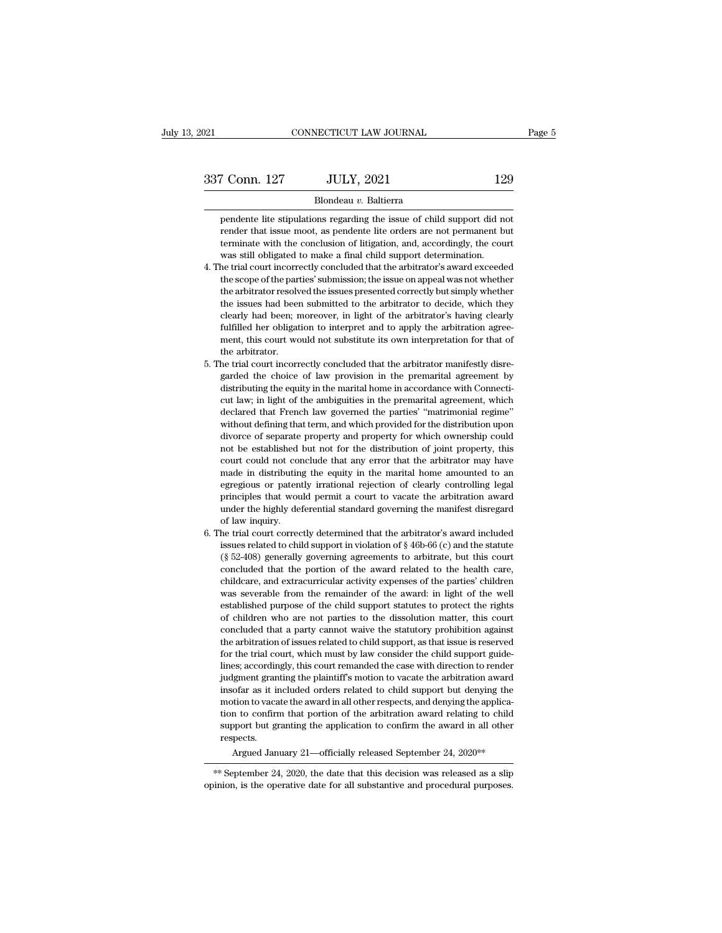France 2013<br>
29 Blondeau v. Baltierra<br>
29 Blondeau v. Baltierra<br>
29 Blondeau v. Baltierra<br>
29 Pendente lite stipulations regarding the issue of child support did not<br>
2014 The interval support did not<br>
2015 The support did France Conn. 127 JULY, 2021 129<br>Blondeau v. Baltierra<br>pendente lite stipulations regarding the issue of child support did not<br>render that issue moot, as pendente lite orders are not permanent but<br>terminate with the conclus The contract of litigation of litigation of the conclusion of the conclusion of the conclusion of litigation, and, accordingly, the court was still obligated to make a final child support determination. Blondeau v. Baltierra<br>
pendente lite stipulations regarding the issue of child support did n<br>
render that issue moot, as pendente lite orders are not permanent b<br>
terminate with the conclusion of litigation, and, according Blondeau  $v$ . Baltierra<br>
pendente lite stipulations regarding the issue of child support did not<br>
render that issue moot, as pendente lite orders are not permanent but<br>
terminate with the conclusion of litigation, and, ac pendente lite stipulations regarding the issue of child support did not render that issue moot, as pendente lite orders are not permanent but terminate with the conclusion of litigation, and, accordingly, the court was sti

- pendent interestigations regarding the issue of child support that not render that issue moot, as pendente lite orders are not permanent but terminate with the conclusion of litigation, and, accordingly, the court was stil tender that issue moot, as pendeme me orders are not permanent but<br>terminate with the conclusion of litigation, and, accordingly, the court<br>was still obligated to make a final child support determination.<br>the trial court i refining with the conclusion of higation, and, accordingly, the control was still obligated to make a final child support determination.<br>The trial court incorrectly concluded that the arbitrator's award exceeded<br>the scope was still obligated to make a final child support determination.<br>4. The trial court incorrectly concluded that the arbitrator's award exceeded<br>the scope of the parties' submission; the issue on appeal was not whether<br>the the scope of the parties' submission; the issue on appeal was not whether the arbitrator resolved the issues presented correctly but simply whether the issues had been submitted to the arbitrator to decide, which they clea the arbitrator resolved the issues presented correctly but simply whether<br>the issues had been submitted to the arbitrator to decide, which they<br>clearly had been; moreover, in light of the arbitrator's having clearly<br>fulfil diameter issues had been, moreover, in light of the arbitrator's having clearly fulfilled her obligation to interpret and to apply the arbitration agreement, this court would not substitute its own interpretation for that
- 5. The trial court incorrectly concluded that the arbitrator manifestly disrediffilled her obligation to interpret and to apply the arbitration agreement, this court would not substitute its own interpretation for that of the arbitrator.<br>The trial court incorrectly concluded that the arbitrator man rained net obigation to interpret and to apply the arbitration agreement, this court would not substitute its own interpretation for that of the arbitrator.<br>he trial court incorrectly concluded that the arbitrator manifest declared that french law governed that the arbitrator manifestly disregarded the choice of law provision in the premarital agreement by distributing the equity in the marital home in accordance with Connecticut law; in lig the trial court incorrectly concluded that the arbitrator manifestly disregarded the choice of law provision in the premarital agreement by distributing the equity in the marital home in accordance with Connecticut law; in divorce of separate property in the distribution of joint property.<br>
distributing the equity in the marital home in accordance with Connecticut law; in light of the ambiguities in the premarital agreement, which declared t garded the choce of law provision in the premarial agreement by distributing the equity in the marital home in accordance with Connecticut law; in light of the ambiguities in the premarital agreement, which declared that F distributing the equity in the marital nonce in accordance with connectate event control declared that French law governed the parties' "matrimonial regime" without defining that term, and which provided for the distributi cal law, in light of alc antologiates in the permanial agreement, which<br>declared that French law governed the parties' "matrimonial regime"<br>without defining that term, and which provided for the distribution upon<br>divorce o declared that French law governed the parties' "matrimonial regime" without defining that term, and which provided for the distribution upon divorce of separate property and property for which ownership could not be establ make that will also which provided for the distribution to poind<br>invorce of separate property and property for which ownership could<br>not be established but not for the distribution of joint property, this<br>court could not c unvoice of separate property and property for which ownership count<br>not be established but not for the distribution of joint property, this<br>court could not conclude that any error that the arbitrator may have<br>made in distr From the established court could not commade in distribution<br>egregious or patent principles that wou<br>under the highly despot in the trial court correction made in distributing the equity in the marital home amounted to an egregious or patently irrational rejection of clearly controlling legal principles that would permit a court to vacate the arbitration award under the hig made in usariousing the equity in the marital nome amounted to an<br>egregious or patently irrational rejection of clearly controlling legal<br>principles that would permit a court to vacate the arbitration award<br>under the high
- egregious of patently firational rejection of clearly controlling regar<br>principles that would permit a court to vacate the arbitration award<br>under the highly deferential standard governing the manifest disregard<br>of law inq principles that would permit a court to vacale the anonration award<br>under the highly deferential standard governing the manifest disregard<br>of law inquiry.<br>he trial court correctly determined that the arbitrator's award inc of law inquiry.<br>
the trial court correctly determined that the arbitrator's award included<br>
issues related to child support in violation of  $\S$  46b-66 (c) and the statute<br>  $(\S$  52-408) generally governing agreements to ar or law inquiry.<br>
the trial court correctly determined that the arbitrator's award included<br>
issues related to child support in violation of  $\S$  46b-66 (c) and the statute<br>
( $\S$  52-408) generally governing agreements to ar issues related to child support in violation of § 46b-66 (c) and the statute (§ 52-408) generally governing agreements to arbitrate, but this court concluded that the portion of the award related to the health care, child (§ 52-408) generally governing agreements to arbitrate, but this court<br>concluded that the portion of the award related to the health care,<br>childcare, and extracurricular activity expenses of the parties' children<br>was seve concluded that the portion of the award related to the health care, childcare, and extracurricular activity expenses of the parties' children was severable from the remainder of the award: in light of the well established concluded that are potion of all award related to the heatin care, childcare, and extracurricular activity expenses of the parties' children was severable from the remainder of the award: in light of the well established p related to the trial court, which must by law consider the child support statutes to protect the rights of children who are not parties to the dissolution matter, this court concluded that a party cannot waive the statutor was severable from the femalider of the award. In fight of the wen<br>established purpose of the child support statutes to protect the rights<br>of children who are not parties to the dissolution matter, this court<br>concluded tha established puppose of the clinit support statutes to protect the rights of children who are not parties to the dissolution matter, this court concluded that a party cannot waive the statutory prohibition against the arbit on clinical who are not parties to the ussolution matter, this court<br>concluded that a party cannot waive the statutory prohibition against<br>the arbitration of issues related to child support, as that issue is reserved<br>for t concluded that a party cannot warve the statutory promintion against<br>the arbitration of issues related to child support, as that issue is reserved<br>for the trial court, which must by law consider the child support guide-<br>li the arbitration of issues related to child support, as that issue is reserved<br>for the trial court, which must by law consider the child support guide-<br>lines; accordingly, this court remanded the case with direction to rend for the trial court, which hust by law consider the child support gude-<br>lines; accordingly, this court remanded the case with direction to render<br>judgment granting the plaintiff's motion to vacate the arbitration award<br>ins **respects**. judgment granting the plaintiff's motion to vacate the arbitration award<br>insofar as it included orders related to child support but denying the<br>motion to vacate the award in all other respects, and denying the applica-<br>ti motion to vacate the award in an other respects, and deriying the application to confirm that portion of the arbitration award relating to child support but granting the application to confirm the award in all other respe support but granting the application to confirm the award relating to child<br>support but granting the application to confirm the award in all other<br>respects.<br>Argued January 21—officially released September 24, 2020<sup>\*\*</sup><br>\*\* S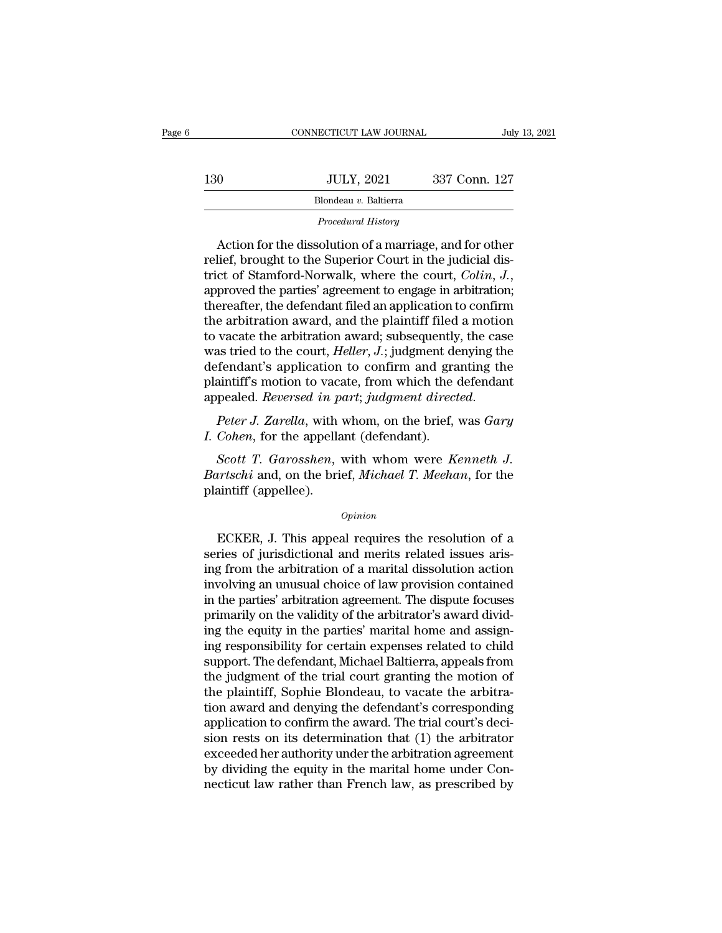| 6 |     | CONNECTICUT LAW JOURNAL | July 13, 2021 |
|---|-----|-------------------------|---------------|
|   | 130 | <b>JULY, 2021</b>       | 337 Conn. 127 |
|   |     | Blondeau v. Baltierra   |               |
|   |     | Procedural History      |               |

*Procedural History*<br>Action for the dissolution of a marriage, and for other<br>relief, brought to the Superior Court in the judicial dis-<br>trict of Stamford-Norwalk, where the court, *Colin*, *J*.,<br>approved the parties' agree 130 JULY, 2021 337 Conn. 127<br>Blondeau v. Baltierra<br>Procedural History<br>Action for the dissolution of a marriage, and for other<br>relief, brought to the Superior Court in the judicial dis-<br>trict of Stamford-Norwalk, where the Procedural History<br>
Action for the dissolution of a marriage, and for other<br>
relief, brought to the Superior Court in the judicial dis-<br>
trict of Stamford-Norwalk, where the court, *Colin*, *J*.,<br>
approved the parties' agr Action for the dissolution of a marriage, and for other<br>relief, brought to the Superior Court in the judicial dis-<br>trict of Stamford-Norwalk, where the court, *Colin*, *J*.,<br>approved the parties' agreement to engage in ar Action for the dissolution of a marriage, and for other<br>relief, brought to the Superior Court in the judicial dis-<br>trict of Stamford-Norwalk, where the court, *Colin*, *J.*,<br>approved the parties' agreement to engage in ar relief, brought to the Superior Court in the judicial district of Stamford-Norwalk, where the court, *Colin*, *J.*, approved the parties' agreement to engage in arbitration; thereafter, the defendant filed an application t trict of Stamford-Norwalk, where the court, *Colin*, *J.*,<br>approved the parties' agreement to engage in arbitration;<br>thereafter, the defendant filed an application to confirm<br>the arbitration award, and the plaintiff filed approved the parties' agreement to engage in arbitration;<br>thereafter, the defendant filed an application to confirm<br>the arbitration award, and the plaintiff filed a motion<br>to vacate the arbitration award; subsequently, the thereafter, the defendant filed an application to confirm<br>the arbitration award, and the plaintiff filed a motion<br>to vacate the arbitration award; subsequently, the case<br>was tried to the court, *Heller*, *J*.; judgment den *I. Cohen, for the appellant (defendant)* and *I. I.*; judgment defendant's application to confirm and graplaintiff's motion to vacate, from which the expended. *Reversed in part*; *judgment direct Peter J. Zarella,* w *Seoteralant's application to confirm and granting the*<br> *Scott T. Baversed in part; judgment directed.*<br> *Peter J. Zarella,* with whom, on the brief, was *Gary*<br> *Cohen*, for the appellant (defendant).<br> *Scott T. Garosshe* 

plaintiff's motion to vacate, from which the defendant<br>appealed. *Reversed in part; judgment directed.*<br>*Peter J. Zarella,* with whom, on the brief, was *Gary*<br>*I. Cohen*, for the appellant (defendant).<br>*Scott T. Garosshen* appealed. *Reversed in p*<br> *Peter J. Zarella*, with<br> *I. Cohen*, for the appella<br> *Scott T. Garosshen*,<br> *Bartschi* and, on the brique plaintiff (appellee). Scott T. Garosshen, with whom were Kenneth J.<br>
urtschi and, on the brief, Michael T. Meehan, for the<br>
aintiff (appellee).<br>  $\frac{opinion}{\text{Poinion}}$ <br>
ECKER, J. This appeal requires the resolution of a<br>
ries of jurisdictional and me

## *Opinion*

Scott T. Garosshen, with whom were Kenneth J.<br>Bartschi and, on the brief, Michael T. Meehan, for the<br>plaintiff (appellee).<br> $o_{pinion}$ <br>ECKER, J. This appeal requires the resolution of a<br>series of jurisdictional and merits rela Bartschi and, on the brief, *Michael T. Meehan*, for the<br>plaintiff (appellee).<br> $\overline{O}$ <br>ECKER, J. This appeal requires the resolution of a<br>series of jurisdictional and merits related issues aris-<br>ing from the arbitration o opinion<br>
opinion<br>
ECKER, J. This appeal requires the resolution of a<br>
series of jurisdictional and merits related issues aris-<br>
ing from the arbitration of a marital dissolution action<br>
involving an unusual choice of law p **ECKER, J. This appeal requires the resolution of a**<br>series of jurisdictional and merits related issues aris-<br>ing from the arbitration of a marital dissolution action<br>involving an unusual choice of law provision contained<br> ECKER, J. This appeal requires the resolution of a<br>series of jurisdictional and merits related issues aris-<br>ing from the arbitration of a marital dissolution action<br>involving an unusual choice of law provision contained<br>in ECKER, J. This appeal requires the resolution of a<br>series of jurisdictional and merits related issues aris-<br>ing from the arbitration of a marital dissolution action<br>involving an unusual choice of law provision contained<br>in series of jurisdictional and merits related issues arising from the arbitration of a marital dissolution action<br>involving an unusual choice of law provision contained<br>in the parties' arbitration agreement. The dispute focu ing from the arbitration of a marital dissolution action<br>involving an unusual choice of law provision contained<br>in the parties' arbitration agreement. The dispute focuses<br>primarily on the validity of the arbitrator's award involving an unusual choice of law provision contained<br>in the parties' arbitration agreement. The dispute focuses<br>primarily on the validity of the arbitrator's award divid-<br>ing the equity in the parties' marital home and a in the parties' arbitration agreement. The dispute focuses<br>primarily on the validity of the arbitrator's award divid-<br>ing the equity in the parties' marital home and assign-<br>ing responsibility for certain expenses related primarily on the validity of the arbitrator's award divid-<br>ing the equity in the parties' marital home and assign-<br>ing responsibility for certain expenses related to child<br>support. The defendant, Michael Baltierra, appeals ing the equity in the parties' marital home and assigning responsibility for certain expenses related to child<br>support. The defendant, Michael Baltierra, appeals from<br>the judgment of the trial court granting the motion of<br> ing responsibility for certain expenses related to child<br>support. The defendant, Michael Baltierra, appeals from<br>the judgment of the trial court granting the motion of<br>the plaintiff, Sophie Blondeau, to vacate the arbitrasupport. The defendant, Michael Baltierra, appeals from<br>the judgment of the trial court granting the motion of<br>the plaintiff, Sophie Blondeau, to vacate the arbitra-<br>tion award and denying the defendant's corresponding<br>app the judgment of the trial court granting the motion of<br>the plaintiff, Sophie Blondeau, to vacate the arbitra-<br>tion award and denying the defendant's corresponding<br>application to confirm the award. The trial court's deci-<br>s the plaintiff, Sophie Blondeau, to vacate the arbitration award and denying the defendant's corresponding application to confirm the award. The trial court's decision rests on its determination that (1) the arbitrator exce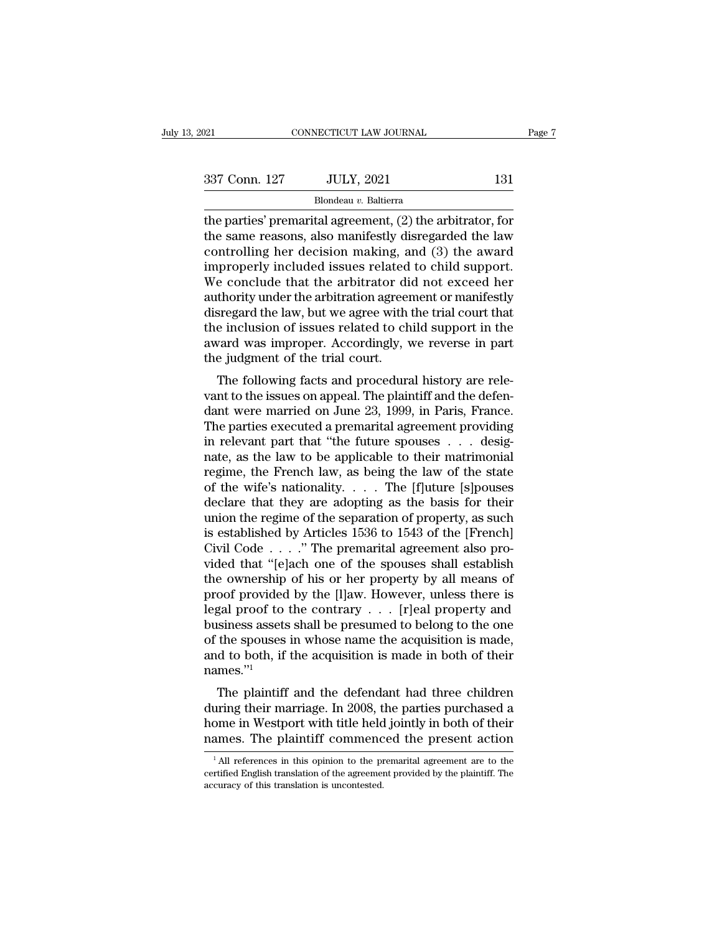| 2021          | CONNECTICUT LAW JOURNAL                                                                                                                                                    | Page 7 |
|---------------|----------------------------------------------------------------------------------------------------------------------------------------------------------------------------|--------|
|               |                                                                                                                                                                            |        |
| 337 Conn. 127 | <b>JULY, 2021</b>                                                                                                                                                          | 131    |
|               | Blondeau v. Baltierra                                                                                                                                                      |        |
|               | the parties' premarital agreement, $(2)$ the arbitrator, for<br>the same reasons, also manifestly disregarded the law<br>controlling her decision making and (2) the award |        |

337 Conn. 127 JULY, 2021 131<br>Blondeau v. Baltierra<br>the parties' premarital agreement, (2) the arbitrator, for<br>the same reasons, also manifestly disregarded the law<br>controlling her decision making, and (3) the award<br>improp 337 Conn. 127 JULY, 2021 131<br>Blondeau v. Baltierra<br>the parties' premarital agreement, (2) the arbitrator, for<br>the same reasons, also manifestly disregarded the law<br>controlling her decision making, and (3) the award<br>improp 337 Conn. 127 JULY, 2021 131<br>
Blondeau v. Baltierra<br>
the parties' premarital agreement, (2) the arbitrator, for<br>
the same reasons, also manifestly disregarded the law<br>
controlling her decision making, and (3) the award<br>
i Blondeau v. Baltierra<br>
the parties' premarital agreement, (2) the arbitrator, for<br>
the same reasons, also manifestly disregarded the law<br>
controlling her decision making, and (3) the award<br>
improperly included issues rela Blondeau  $v$ . Baltierra<br>the parties' premarital agreement, (2) the arbitrator, for<br>the same reasons, also manifestly disregarded the law<br>controlling her decision making, and (3) the award<br>improperly included issues relate the parties' premarital agreement, (2) the arbitrator, for<br>the same reasons, also manifestly disregarded the law<br>controlling her decision making, and (3) the award<br>improperly included issues related to child support.<br>We co the same reasons, also manifestly disregarded the law<br>controlling her decision making, and (3) the award<br>improperly included issues related to child support.<br>We conclude that the arbitrator did not exceed her<br>authority und controlling her decision making, and (3) the award<br>improperly included issues related to child support.<br>We conclude that the arbitrator did not exceed her<br>authority under the arbitration agreement or manifestly<br>disregard t improperly included issues related<br>We conclude that the arbitrator di<br>authority under the arbitration agree<br>disregard the law, but we agree with<br>the inclusion of issues related to ch<br>award was improper. Accordingly, v<br>the e conclude that the arbitration during exceed her<br>thority under the arbitration agreement or manifestly<br>sregard the law, but we agree with the trial court that<br>e inclusion of issues related to child support in the<br>vard was addronly under the arbitration agreement or mannestry<br>disregard the law, but we agree with the trial court that<br>the inclusion of issues related to child support in the<br>award was improper. Accordingly, we reverse in part<br>th

dant were married to child support in the award was improper. Accordingly, we reverse in part<br>the judgment of the trial court.<br>The following facts and procedural history are rele-<br>vant to the issues on appeal. The plaintif the inclusion of issues related to child support in the<br>award was improper. Accordingly, we reverse in part<br>the judgment of the trial court.<br>The following facts and procedural history are rele-<br>vant to the issues on appeal award was improper. Accordingly, we reverse in part<br>the judgment of the trial court.<br>The following facts and procedural history are rele-<br>vant to the issues on appeal. The plaintiff and the defen-<br>dant were married on June The following facts and procedural history are relevant to the issues on appeal. The plaintiff and the defendant were married on June 23, 1999, in Paris, France.<br>The parties executed a premarital agreement providing in rel The following facts and procedural history are relevant to the issues on appeal. The plaintiff and the defendant were married on June 23, 1999, in Paris, France.<br>The parties executed a premarital agreement providing in re vant to the issues on appeal. The plaintiff and the defen-<br>dant were married on June 23, 1999, in Paris, France.<br>The parties executed a premarital agreement providing<br>in relevant part that "the future spouses  $\ldots$  desigdant were married on June 23, 1999, in Paris, France.<br>The parties executed a premarital agreement providing<br>in relevant part that "the future spouses  $\dots$  desig-<br>nate, as the law to be applicable to their matrimonial<br>regi The parties executed a premarital agreement providing<br>in relevant part that "the future spouses  $\ldots$  designate, as the law to be applicable to their matrimonial<br>regime, the French law, as being the law of the state<br>of th in relevant part that "the future spouses  $\ldots$  designate, as the law to be applicable to their matrimonial regime, the French law, as being the law of the state of the wife's nationality.  $\ldots$  The [f]uture [s]pouses dec nate, as the law to be applicable to their matrimonial<br>regime, the French law, as being the law of the state<br>of the wife's nationality. . . . The [f]uture [s]pouses<br>declare that they are adopting as the basis for their<br>un regime, the French law, as being the law of the state<br>of the wife's nationality. . . . The [f]uture [s]pouses<br>declare that they are adopting as the basis for their<br>union the regime of the separation of property, as such<br>i of the wife's nationality. . . . . The [f]uture [s]pouses<br>declare that they are adopting as the basis for their<br>union the regime of the separation of property, as such<br>is established by Articles 1536 to 1543 of the [Frenc declare that they are adopting as the basis for their<br>union the regime of the separation of property, as such<br>is established by Articles 1536 to 1543 of the [French]<br>Civil Code . . . . " The premarital agreement also prounion the regime of the separation of property, as such<br>is established by Articles 1536 to 1543 of the [French]<br>Civil Code . . . . " The premarital agreement also pro-<br>vided that "[e]ach one of the spouses shall establish is established by Articles 1536 to 1543 of the [French]<br>Civil Code . . . ." The premarital agreement also pro-<br>vided that "[e]ach one of the spouses shall establish<br>the ownership of his or her property by all means of<br>pro Civil Code . . . ." The premarital agreement also provided that "[e]ach one of the spouses shall establish the ownership of his or her property by all means of proof provided by the [l]aw. However, unless there is legal p vided that "[e]ach one of the spouses shall establish<br>the ownership of his or her property by all means of<br>proof provided by the [l]aw. However, unless there is<br>legal proof to the contrary  $\ldots$  [r]eal property and<br>busine names."<sup>1</sup> bor provided by the  $\mu$ aw. However, threess there is<br>gal proof to the contrary  $\ldots$  [r]eal property and<br>siness assets shall be presumed to belong to the one<br>the spouses in whose name the acquisition is made,<br>d to both, during the solution of the contrary  $\cdot \cdot$  (Figure property and business assets shall be presumed to belong to the one of the spouses in whose name the acquisition is made, and to both, if the acquisition is made in both

business assets shall be presulted to belong to the one<br>of the spouses in whose name the acquisition is made,<br>and to both, if the acquisition is made in both of their<br>names."<br>The plaintiff and the defendant had three child of the spotses in whose name the acquisition is made,<br>and to both, if the acquisition is made in both of their<br>names."<sup>1</sup><br>The plaintiff and the defendant had three children<br>during their marriage. In 2008, the parties purc The plaintiff and the defendant had three children<br>uring their marriage. In 2008, the parties purchased a<br>ome in Westport with title held jointly in both of their<br>ames. The plaintiff commenced the present action<br> $\frac{1}{2}$ during their marriage. In 2008, the parties purchased a<br>home in Westport with title held jointly in both of their<br>names. The plaintiff commenced the present action<br><sup>1</sup>All references in this opinion to the premarital agreem home in Westport with title held<br>names. The plaintiff commend<br> $\frac{1}{1}$ All references in this opinion to the precritied English translation of the agreement<br>accuracy of this translation is uncontested.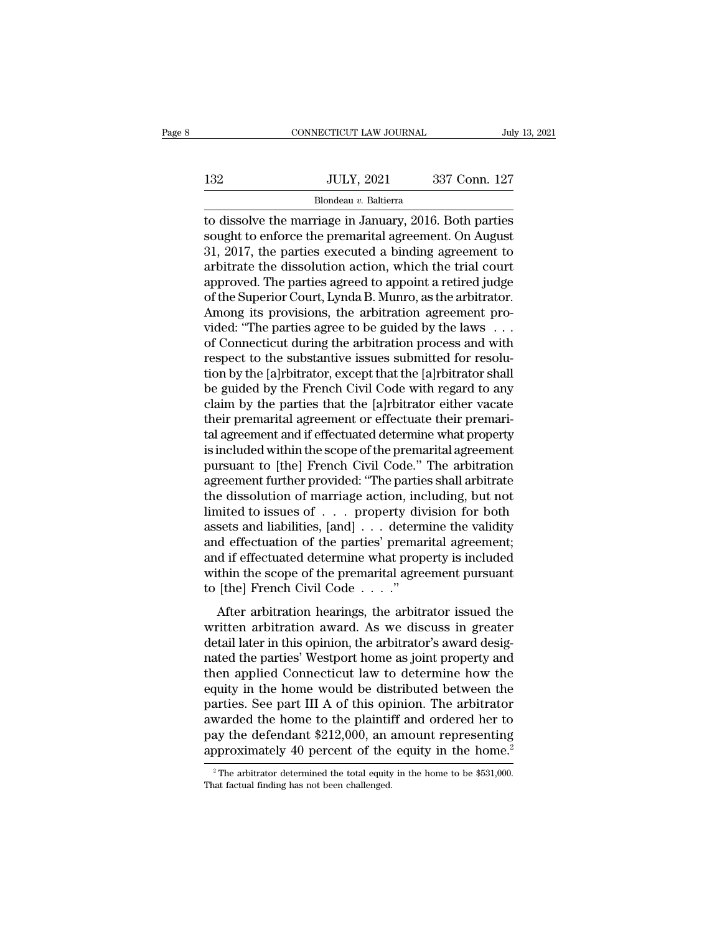|     | CONNECTICUT LAW JOURNAL | July 13, 2021 |  |
|-----|-------------------------|---------------|--|
|     |                         |               |  |
| 132 | <b>JULY, 2021</b>       | 337 Conn. 127 |  |
|     | Blondeau v. Baltierra   |               |  |

CONNECTICUT LAW JOURNAL July 13, 2021<br>132 JULY, 2021 337 Conn. 127<br>Blondeau v. Baltierra<br>to dissolve the marriage in January, 2016. Both parties<br>sought to enforce the premarital agreement. On August<br>21, 2017, the parties e Sought to enforce the premarital agreement. On August 1, 2017, the parties executed a binding agreement to arbitrate the dissolution action, which the trial court  $337$  Conn. 127<br>Blondeau v. Baltierra<br>to dissolve the marriage in January, 2016. Both parties<br>sought to enforce the premarital agreement. On August<br>31, 2017, the parties executed a binding agreement to<br>arbitrate the disso  $\begin{array}{r} \hline \text{Blondeau } v. \text{ Baltimore} \end{array}$  as a 337 Conn. 127<br>
to dissolve the marriage in January, 2016. Both parties<br>
sought to enforce the premarital agreement. On August<br>
31, 2017, the parties executed a binding agreement to<br>
ar Blondeau v. Baltierra<br>
to dissolve the marriage in January, 2016. Both parties<br>
sought to enforce the premarital agreement. On August<br>
31, 2017, the parties executed a binding agreement to<br>
arbitrate the dissolution actio Blondeau v. Baltierra<br>to dissolve the marriage in January, 2016. Both parties<br>sought to enforce the premarital agreement. On August<br>31, 2017, the parties executed a binding agreement to<br>arbitrate the dissolution action, w to dissolve the marriage in January, 2016. Both parties<br>sought to enforce the premarital agreement. On August<br>31, 2017, the parties executed a binding agreement to<br>arbitrate the dissolution action, which the trial court<br>a sought to enforce the premarital agreement. On August 31, 2017, the parties executed a binding agreement to arbitrate the dissolution action, which the trial court approved. The parties agreed to appoint a retired judge of 31, 2017, the parties executed a binding agreement to<br>arbitrate the dissolution action, which the trial court<br>approved. The parties agreed to appoint a retired judge<br>of the Superior Court, Lynda B. Munro, as the arbitrator arbitrate the dissolution action, which the trial court<br>approved. The parties agreed to appoint a retired judge<br>of the Superior Court, Lynda B. Munro, as the arbitrator.<br>Among its provisions, the arbitration agreement proapproved. The parties agreed to appoint a retired judge<br>of the Superior Court, Lynda B. Munro, as the arbitrator.<br>Among its provisions, the arbitration agreement pro-<br>vided: "The parties agree to be guided by the laws . . of the Superior Court, Lynda B. Munro, as the arbitrator.<br>Among its provisions, the arbitration agreement provided: "The parties agree to be guided by the laws . . .<br>of Connecticut during the arbitration process and with<br>r Among its provisions, the arbitration agreement provided: "The parties agree to be guided by the laws  $\ldots$  of Connecticut during the arbitration process and with respect to the substantive issues submitted for resolution vided: "The parties agree to be guided by the laws . . . of Connecticut during the arbitration process and with<br>respect to the substantive issues submitted for resolu-<br>tion by the [a]rbitrator, except that the [a]rbitrator of Connecticut during the arbitration process and with<br>respect to the substantive issues submitted for resolu-<br>tion by the [a]rbitrator, except that the [a]rbitrator shall<br>be guided by the French Civil Code with regard to respect to the substantive issues submitted for resolution by the [a]rbitrator, except that the [a]rbitrator shall<br>be guided by the French Civil Code with regard to any<br>claim by the parties that the [a]rbitrator either vac tion by the [a]rbitrator, except that the [a]rbitrator shall<br>be guided by the French Civil Code with regard to any<br>claim by the parties that the [a]rbitrator either vacate<br>their premarital agreement or effectuate their pre be guided by the French Civil Code with regard to any<br>claim by the parties that the [a]rbitrator either vacate<br>their premarital agreement or effectuate their premari-<br>tal agreement and if effectuated determine what propert claim by the parties that the [a]rbitrator either vacate<br>their premarital agreement or effectuate their premari-<br>tal agreement and if effectuated determine what property<br>is included within the scope of the premarital agree their premarital agreement or effectuate their premari-<br>tal agreement and if effectuated determine what property<br>is included within the scope of the premarital agreement<br>pursuant to [the] French Civil Code." The arbitratio tal agreement and if effectuated determine what property<br>is included within the scope of the premarital agreement<br>pursuant to [the] French Civil Code." The arbitration<br>agreement further provided: "The parties shall arbitra is included within the scope of the premarital agreement<br>pursuant to [the] French Civil Code." The arbitration<br>agreement further provided: "The parties shall arbitrate<br>the dissolution of marriage action, including, but not pursuant to [the] French Civil Code." The arbitration<br>agreement further provided: "The parties shall arbitrate<br>the dissolution of marriage action, including, but not<br>limited to issues of . . . property division for both<br>as agreement further provided: "The parties shall arbitrate<br>the dissolution of marriage action, including, but not<br>limited to issues of . . . property division for both<br>assets and liabilities, [and] . . . determine the validi the dissolution of marriage action, including, but not<br>limited to issues of  $\ldots$  property division for both<br>assets and liabilities, [and]  $\ldots$  determine the validity<br>and effectuation of the parties' premarital agreement Sets and liabilities,  $[and] \dots$  determine the validity<br>sets and liabilities,  $[and] \dots$  determine the validity<br>deffectuation of the parties' premarital agreement;<br>differentiated determine what property is included<br>thin the sco and effectuation of the parties' premarital agreement;<br>and if effectuated determine what property is included<br>within the scope of the premarital agreement pursuant<br>to [the] French Civil Code . . . ."<br>After arbitration hea

and encetation of the parties premarial agreement,<br>and if effectuated determine what property is included<br>within the scope of the premarital agreement pursuant<br>to [the] French Civil Code  $\ldots$ ."<br>After arbitration hearings matrix in the scope of the premarital agreement pursuant<br>to [the] French Civil Code  $\dots$ ."<br>After arbitration hearings, the arbitrator issued the<br>written arbitration award. As we discuss in greater<br>detail later in this opi to [the] French Civil Code  $\dots$ ."<br>After arbitration hearings, the arbitrator issued the<br>written arbitration award. As we discuss in greater<br>detail later in this opinion, the arbitrator's award desig-<br>nated the parties' We After arbitration hearings, the arbitrator issued the<br>written arbitration award. As we discuss in greater<br>detail later in this opinion, the arbitrator's award desig-<br>nated the parties' Westport home as joint property and<br> After arbitration hearings, the arbitrator issued the<br>written arbitration award. As we discuss in greater<br>detail later in this opinion, the arbitrator's award desig-<br>nated the parties' Westport home as joint property and<br> written arbitration award. As we discuss in greater<br>detail later in this opinion, the arbitrator's award desig-<br>nated the parties' Westport home as joint property and<br>then applied Connecticut law to determine how the<br>equi detail later in this opinion, the arbitrator's award designated the parties' Westport home as joint property and then applied Connecticut law to determine how the equity in the home would be distributed between the parties nated the parties' Westport home as joint property and<br>then applied Connecticut law to determine how the<br>equity in the home would be distributed between the<br>parties. See part III A of this opinion. The arbitrator<br>awarded parties. See part III A of this opinion. The arbitrator awarded the home to the plaintiff and ordered her to pay the defendant \$212,000, an amount representing approximately 40 percent of the equity in the home.<sup>2</sup> The ar approximately 40 percent of the equity in the home.<sup>2</sup>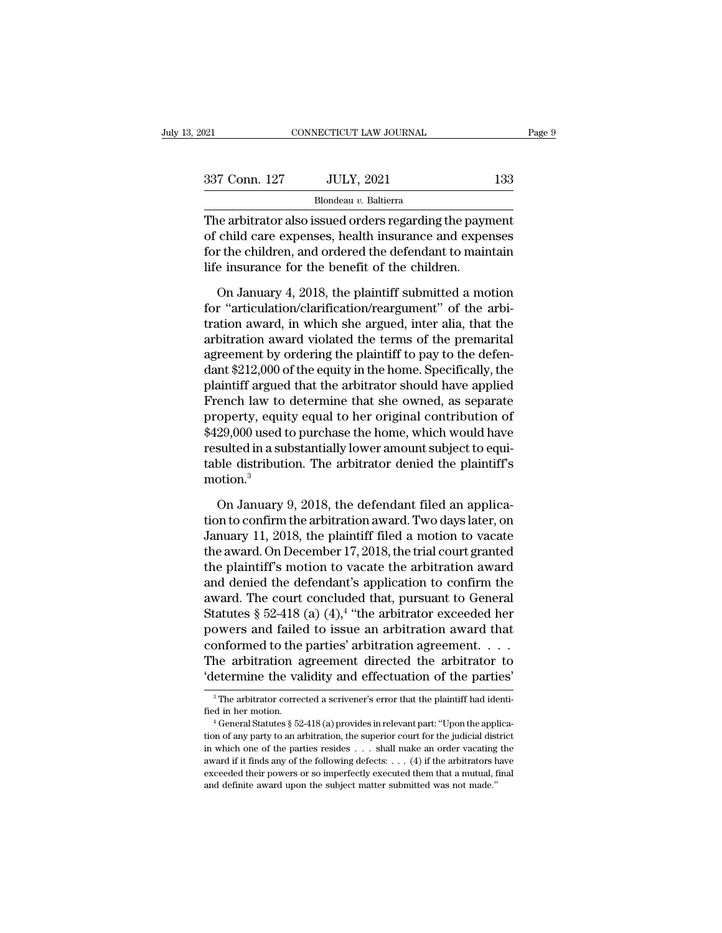| 2021          | CONNECTICUT LAW JOURNAL                                                                                                                                                     |     | Page 9 |
|---------------|-----------------------------------------------------------------------------------------------------------------------------------------------------------------------------|-----|--------|
|               |                                                                                                                                                                             |     |        |
| 337 Conn. 127 | <b>JULY, 2021</b>                                                                                                                                                           | 133 |        |
|               | Blondeau v. Baltierra                                                                                                                                                       |     |        |
|               | The arbitrator also issued orders regarding the payment<br>of child care expenses, health insurance and expenses<br>for the children, and ordered the defendant to maintain |     |        |

337 Conn. 127 JULY, 2021 133<br>Blondeau v. Baltierra<br>The arbitrator also issued orders regarding the payment<br>of child care expenses, health insurance and expenses<br>for the children, and ordered the defendant to maintain<br>life For the children, and ordered the children.<br>
For the children, and ordered the defendant to maintain<br>
differentiative for the defendant to maintain<br>
different of the defendant to maintain<br>
different of the benefit of the 337 Conn. 127 JULY, 2021<br>Blondeau v. Baltierra<br>The arbitrator also issued orders regarding the payr<br>of child care expenses, health insurance and experient of the children, and ordered the defendant to main<br>life insurance Blondeau v. Baltierra<br>
Reachburntiff and Source and Expenses<br>
or the children, and ordered the defendant to maintain<br>
e insurance for the benefit of the children.<br>
On January 4, 2018, the plaintiff submitted a motion<br>
r "a The arbitrator also issued orders regarding the payment<br>of child care expenses, health insurance and expenses<br>for the children, and ordered the defendant to maintain<br>life insurance for the benefit of the children.<br>On Janua

of child care expenses, health insurance and expenses<br>for the children, and ordered the defendant to maintain<br>life insurance for the benefit of the children.<br>On January 4, 2018, the plaintiff submitted a motion<br>for "articu for the children, and ordered the defendant to maintain<br>life insurance for the benefit of the children.<br>On January 4, 2018, the plaintiff submitted a motion<br>for "articulation/clarification/reargument" of the arbi-<br>tration life insurance for the benefit of the children.<br>On January 4, 2018, the plaintiff submitted a motion<br>for "articulation/clarification/reargument" of the arbi-<br>tration award, in which she argued, inter alia, that the<br>arbitra On January 4, 2018, the plaintiff submitted a motion<br>for "articulation/clarification/reargument" of the arbitration award, in which she argued, inter alia, that the<br>arbitration award violated the terms of the premarital<br>ag On January 4, 2018, the plaintiff submitted a motion<br>for "articulation/clarification/reargument" of the arbitration award, in which she argued, inter alia, that the<br>arbitration award violated the terms of the premarital<br>ag for "articulation/clarification/reargument" of the arbitration award, in which she argued, inter alia, that the arbitration award violated the terms of the premarital agreement by ordering the plaintiff to pay to the defe tration award, in which she argued, inter alia, that the<br>arbitration award violated the terms of the premarital<br>agreement by ordering the plaintiff to pay to the defen-<br>dant \$212,000 of the equity in the home. Specifically arbitration award violated the terms of the premarital<br>agreement by ordering the plaintiff to pay to the defen-<br>dant \$212,000 of the equity in the home. Specifically, the<br>plaintiff argued that the arbitrator should have ap agreement by ordering the plaintiff to pay to the defendant \$212,000 of the equity in the home. Specifically, the plaintiff argued that the arbitrator should have applied French law to determine that she owned, as separate dant \$212,000 of the equity in the home. Specifically, the plaintiff argued that the arbitrator should have applied French law to determine that she owned, as separate property, equity equal to her original contribution of motion.<sup>3</sup> operty, equity equal to her original contribution of<br>29,000 used to purchase the home, which would have<br>sulted in a substantially lower amount subject to equi-<br>ble distribution. The arbitrator denied the plaintiff's<br>otion.  $$429,000$  used to purchase the home, which would have<br>resulted in a substantially lower amount subject to equi-<br>table distribution. The arbitrator denied the plaintiff's<br>motion.<sup>3</sup><br>On January 9, 2018, the defendant filed

resulted in a substantially lower amount subject to equi-<br>table distribution. The arbitrator denied the plaintiff's<br>motion.<sup>3</sup><br>On January 9, 2018, the defendant filed an applica-<br>tion to confirm the arbitration award. Two table distribution. The arbitrator denied the plaintiff's<br>motion.<sup>3</sup><br>On January 9, 2018, the defendant filed an applica-<br>tion to confirm the arbitration award. Two days later, on<br>January 11, 2018, the plaintiff filed a mot motion.<sup>3</sup><br>On January 9, 2018, the defendant filed an application to confirm the arbitration award. Two days later, on<br>January 11, 2018, the plaintiff filed a motion to vacate<br>the award. On December 17, 2018, the trial co On January 9, 2018, the defendant filed an application to confirm the arbitration award. Two days later, on January 11, 2018, the plaintiff filed a motion to vacate the award. On December 17, 2018, the trial court granted On January 9, 2018, the defendant filed an application to confirm the arbitration award. Two days later, on January 11, 2018, the plaintiff filed a motion to vacate the award. On December 17, 2018, the trial court granted tion to confirm the arbitration award. Two days later, on<br>January 11, 2018, the plaintiff filed a motion to vacate<br>the award. On December 17, 2018, the trial court granted<br>the plaintiff's motion to vacate the arbitration ion award. Two days later, on<br>
ntiff filed a motion to vacate<br>
7, 2018, the trial court granted<br>
vacate the arbitration award<br>
's application to confirm the<br>
ed that, pursuant to General<br>
"the arbitrator exceeded her<br>
ue a January 11, 2018, the plaintiff filed a motion to vacate<br>the award. On December 17, 2018, the trial court granted<br>the plaintiff's motion to vacate the arbitration award<br>and denied the defendant's application to confirm th the award. On December 17, 2018, the trial court granted<br>the plaintiff's motion to vacate the arbitration award<br>and denied the defendant's application to confirm the<br>award. The court concluded that, pursuant to General<br>St the plaintiff's motion to vacate the arbitration award<br>and denied the defendant's application to confirm the<br>award. The court concluded that, pursuant to General<br>Statutes § 52-418 (a) (4),<sup>4</sup> "the arbitrator exceeded her<br> and denied the defendant's application to confirm the<br>award. The court concluded that, pursuant to General<br>Statutes § 52-418 (a) (4),<sup>4</sup> "the arbitrator exceeded her<br>powers and failed to issue an arbitration award that<br>co conformed to the parties' arbitration agreement. . . . The arbitration agreement directed the arbitrator to 'determine the validity and effectuation of the parties'  $\frac{3}{\pi}$ The arbitrator corrected a scrivener's error t

The arbitration agreement directed the arbitrator to<br>
"determine the validity and effectuation of the parties"<br>
"The arbitrator corrected a scrivener's error that the plaintiff had identi-<br>
fied in her motion.<br>
"General S The contribution of the parties'<br>
The arbitrator corrected a scrivener's error that the plaintiff had identi-<br>
fied in her motion.<br>
<sup>4</sup> General Statutes § 52-418 (a) provides in relevant part: "Upon the applica-<br>
tion of a The arbitrator corrected a scrivener's error that the plaintiff had identified in her motion.<br>
<sup>3</sup> The arbitrator corrected a scrivener's error that the plaintiff had identified in her motion.<br>
<sup>4</sup> General Statutes § 52-4 <sup>3</sup> The arbitrator corrected a scrivener's error that the plaintiff had identified in her motion.<br><sup>4</sup> General Statutes § 52-418 (a) provides in relevant part: "Upon the application of any party to an arbitration, the supe Fied in her motion.<br>
<sup>4</sup> General Statutes § 52-418 (a) provides in relevant part: "Upon the application of any party to an arbitration, the superior court for the judicial district in which one of the parties resides  $\dots$ <sup>4</sup> General Statutes § 52-418 (a) provides in relevant part: "Upon the applicion of any party to an arbitration, the superior court for the judicial dist in which one of the parties resides . . . shall make an order vacat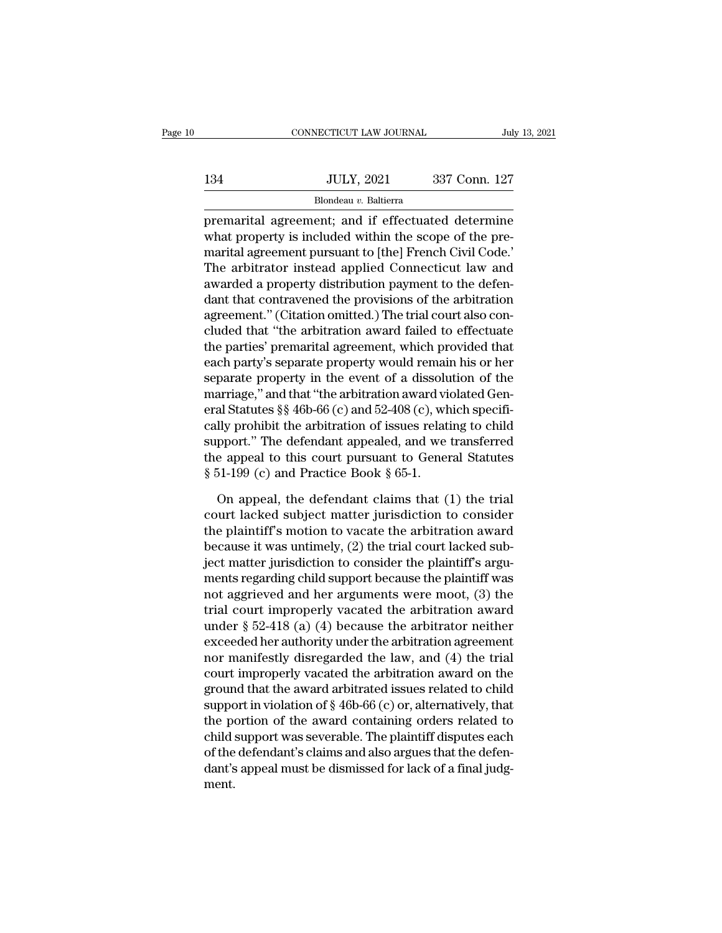|     | CONNECTICUT LAW JOURNAL | July 13, 2021 |
|-----|-------------------------|---------------|
|     |                         |               |
| 134 | <b>JULY, 2021</b>       | 337 Conn. 127 |
|     | Blondeau v. Baltierra   |               |

FREE CONNECTICUT LAW JOURNAL July 13, 2021<br>
134 JULY, 2021 337 Conn. 127<br>
Blondeau v. Baltierra<br>
premarital agreement; and if effectuated determine<br>
what property is included within the scope of the pre- $134$  JULY, 2021 337 Conn. 127<br>Blondeau  $v$ . Baltierra<br>premarital agreement; and if effectuated determine<br>what property is included within the scope of the pre-<br>marital agreement pursuant to [the] French Civil Code.<br>The e  $\frac{134}{\text{Blondeau } v. \text{ Baltimore}}$ <br>Blondeau  $v. \text{ Baltimore}}$ <br>Dendeau  $v. \text{ Baltimore}}$ <br>Dendeau  $v. \text{ Baltimore}}$ <br>Dendeau  $v. \text{ Baltimore}}$ <br>Dendeau  $v. \text{Buffer}$ <br>Dendeau and if effectuated determine<br>what property is included within the scope of the pre-<br>marital agreem  $JULY, 2021$   $337$  Conn. 127<br>
Blondeau v. Baltierra<br>
premarital agreement; and if effectuated determine<br>
what property is included within the scope of the pre-<br>
marital agreement pursuant to [the] French Civil Code.'<br>
The Blondeau  $v$ . Baltierra<br>
premarital agreement; and if effectuated determine<br>
what property is included within the scope of the pre-<br>
marital agreement pursuant to [the] French Civil Code.'<br>
The arbitrator instead applied  $\overline{\text{premartial}}$  agreement; and if effectuated determine<br>what property is included within the scope of the pre-<br>marital agreement pursuant to [the] French Civil Code.'<br>The arbitrator instead applied Connecticut law and<br>awarde premarital agreement; and if effectuated determine<br>what property is included within the scope of the pre-<br>marital agreement pursuant to [the] French Civil Code.'<br>The arbitrator instead applied Connecticut law and<br>awarded a what property is included within the scope of the pre-<br>marital agreement pursuant to [the] French Civil Code.'<br>The arbitrator instead applied Connecticut law and<br>awarded a property distribution payment to the defen-<br>dant t marital agreement pursuant to [the] French Civil Code.'<br>The arbitrator instead applied Connecticut law and<br>awarded a property distribution payment to the defen-<br>dant that contravened the provisions of the arbitration<br>agree The arbitrator instead applied Connecticut law and<br>awarded a property distribution payment to the defen-<br>dant that contravened the provisions of the arbitration<br>agreement." (Citation omitted.) The trial court also con-<br>clu awarded a property distribution payment to the defen-<br>dant that contravened the provisions of the arbitration<br>agreement." (Citation omitted.) The trial court also con-<br>cluded that "the arbitration award failed to effectuat dant that contravened the provisions of the arbitration<br>agreement." (Citation omitted.) The trial court also con-<br>cluded that "the arbitration award failed to effectuate<br>the parties' premarital agreement, which provided th agreement." (Citation omitted.) The trial court also concluded that "the arbitration award failed to effectuate<br>the parties' premarital agreement, which provided that<br>each party's separate property would remain his or her<br> cluded that "the arbitration award failed to effectuate<br>the parties' premarital agreement, which provided that<br>each party's separate property would remain his or her<br>separate property in the event of a dissolution of the<br>m the parties' premarital agreement, which provided that<br>each party's separate property would remain his or her<br>separate property in the event of a dissolution of the<br>marriage," and that "the arbitration award violated Geneach party's separate property would remain his or her separate property in the event of a dissolution of the marriage," and that "the arbitration award violated General Statutes  $\S$  46b-66 (c) and 52-408 (c), which speci separate property in the event of a dissolu<br>marriage," and that "the arbitration award vi<br>eral Statutes §§ 46b-66 (c) and 52-408 (c), wh<br>cally prohibit the arbitration of issues relat<br>support." The defendant appealed, and al Statutes §§ 46b-66 (c) and 52-408 (c), which specifi-<br>lly prohibit the arbitration of issues relating to child<br>pport." The defendant appealed, and we transferred<br>e appeal to this court pursuant to General Statutes<br>51-1 cally prohibit the arbitration of issues relating to child<br>support." The defendant appealed, and we transferred<br>the appeal to this court pursuant to General Statutes<br> $\S 51-199$  (c) and Practice Book  $\S 65-1$ .<br>On appeal, t

support." The defendant appealed, and we transferred<br>the appeal to this court pursuant to General Statutes<br>§ 51-199 (c) and Practice Book § 65-1.<br>On appeal, the defendant claims that (1) the trial<br>court lacked subject matt the appeal to this court pursuant to General Statutes  $\S 51-199$  (c) and Practice Book  $\S 65-1$ .<br>On appeal, the defendant claims that (1) the trial court lacked subject matter jurisdiction to consider<br>the plaintiff's moti  $\S$  51-199 (c) and Practice Book  $\S$  65-1.<br>On appeal, the defendant claims that (1) the trial<br>court lacked subject matter jurisdiction to consider<br>the plaintiff's motion to vacate the arbitration award<br>because it was unti On appeal, the defendant claims that (1) the trial<br>court lacked subject matter jurisdiction to consider<br>the plaintiff's motion to vacate the arbitration award<br>because it was untimely, (2) the trial court lacked sub-<br>ject m On appeal, the defendant claims that (1) the trial<br>court lacked subject matter jurisdiction to consider<br>the plaintiff's motion to vacate the arbitration award<br>because it was untimely, (2) the trial court lacked sub-<br>ject court lacked subject matter jurisdiction to consider<br>the plaintiff's motion to vacate the arbitration award<br>because it was untimely, (2) the trial court lacked sub-<br>ject matter jurisdiction to consider the plaintiff's argu the plaintiff's motion to vacate the arbitration award<br>because it was untimely, (2) the trial court lacked sub-<br>ject matter jurisdiction to consider the plaintiff's argu-<br>ments regarding child support because the plaintif because it was untimely, (2) the trial court lacked sub-<br>ject matter jurisdiction to consider the plaintiff's argu-<br>ments regarding child support because the plaintiff was<br>not aggrieved and her arguments were moot, (3) th ject matter jurisdiction to consider the plaintiff's arguments regarding child support because the plaintiff was<br>not aggrieved and her arguments were moot, (3) the<br>trial court improperly vacated the arbitration award<br>under ments regarding child support because the plaintiff was<br>not aggrieved and her arguments were moot, (3) the<br>trial court improperly vacated the arbitration award<br>under § 52-418 (a) (4) because the arbitration agreement<br>exce not aggrieved and her arguments were moot, (3) the<br>trial court improperly vacated the arbitration award<br>under § 52-418 (a) (4) because the arbitrator neither<br>exceeded her authority under the arbitration agreement<br>nor mani trial court improperly vacated the arbitration award<br>under § 52-418 (a) (4) because the arbitrator neither<br>exceeded her authority under the arbitration agreement<br>nor manifestly disregarded the law, and (4) the trial<br>court under  $\S$  52-418 (a) (4) because the arbitrator neither<br>exceeded her authority under the arbitration agreement<br>nor manifestly disregarded the law, and (4) the trial<br>court improperly vacated the arbitration award on the<br>gr exceeded her authority under the arbitration agreement<br>nor manifestly disregarded the law, and (4) the trial<br>court improperly vacated the arbitration award on the<br>ground that the award arbitrated issues related to child<br>su nor manifestly disregarded the law, and (4) the trial<br>court improperly vacated the arbitration award on the<br>ground that the award arbitrated issues related to child<br>support in violation of § 46b-66 (c) or, alternatively, t court improperly vacated the arbitration award on the<br>ground that the award arbitrated issues related to child<br>support in violation of § 46b-66 (c) or, alternatively, that<br>the portion of the award containing orders related ment.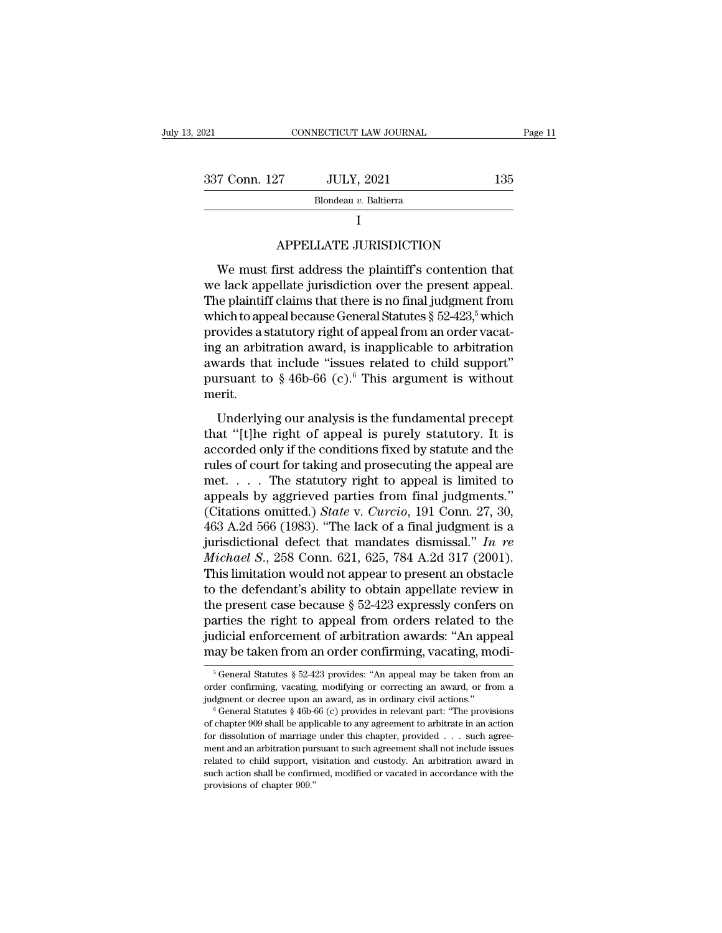| 2021          | CONNECTICUT LAW JOURNAL                               |     | Page 11 |
|---------------|-------------------------------------------------------|-----|---------|
|               |                                                       |     |         |
| 337 Conn. 127 | <b>JULY, 2021</b>                                     | 135 |         |
|               | Blondeau v. Baltierra                                 |     |         |
|               |                                                       |     |         |
|               | <b>APPELLATE JURISDICTION</b>                         |     |         |
|               | We must first address the plaintiff's contention that |     |         |

T Conn. 127 JULY, 2021 135<br>
Blondeau v. Baltierra<br>
I<br>
APPELLATE JURISDICTION<br>
We must first address the plaintiff's contention that<br>
e lack appellate jurisdiction over the present appeal. Blondeau v. Baltierra<br>
I<br>
APPELLATE JURISDICTION<br>
We must first address the plaintiff's contention that<br>
we lack appellate jurisdiction over the present appeal.<br>
The plaintiff claims that there is no final judgment from<br>
w I<br>
I<br>
APPELLATE JURISDICTION<br>
We must first address the plaintiff's contention that<br>
we lack appellate jurisdiction over the present appeal.<br>
The plaintiff claims that there is no final judgment from<br>
which to appeal becau I<br>
APPELLATE JURISDICTION<br>
We must first address the plaintiff's contention that<br>
we lack appellate jurisdiction over the present appeal.<br>
The plaintiff claims that there is no final judgment from<br>
which to appeal because APPELLATE JURISDICTION<br>We must first address the plaintiff's contention that<br>we lack appellate jurisdiction over the present appeal.<br>The plaintiff claims that there is no final judgment from<br>which to appeal because Genera We must first address the plaintiff's contention that<br>we lack appellate jurisdiction over the present appeal.<br>The plaintiff claims that there is no final judgment from<br>which to appeal because General Statutes  $\S~52-423$ ,<sup></sup> We must first address the plaintiff's contention that<br>we lack appellate jurisdiction over the present appeal.<br>The plaintiff claims that there is no final judgment from<br>which to appeal because General Statutes  $\S 52-423$ ,<sup></sup> we lack appellate jurisdiction over the present appeal.<br>The plaintiff claims that there is no final judgment from<br>which to appeal because General Statutes  $\S~52-423$ ,<sup>5</sup> which<br>provides a statutory right of appeal from an merit. ovides a statutory right of appeal from an order vacat-<br>g an arbitration award, is inapplicable to arbitration<br>vards that include "issues related to child support"<br>irsuant to §46b-66 (c).<sup>6</sup> This argument is without<br>erit.<br> ing an arbitrations award, is inapplicable to arbitration<br>
awards that include "issues related to child support"<br>
pursuant to  $\S 46b-66$  (c).<sup>6</sup> This argument is without<br>
merit.<br>
Underlying our analysis is the fundamental

awards that include "issues related to child support"<br>pursuant to  $\S 46b-66$  (c).<sup>6</sup> This argument is without<br>merit.<br>Underlying our analysis is the fundamental precept<br>that "[t]he right of appeal is purely statutory. It i pursuant to  $\S$  46b-66 (c).<sup>6</sup> This argument is without<br>merit.<br>Underlying our analysis is the fundamental precept<br>that "[t]he right of appeal is purely statutory. It is<br>accorded only if the conditions fixed by statute and merit.<br>
Underlying our analysis is the fundamental precept<br>
that "[t]he right of appeal is purely statutory. It is<br>
accorded only if the conditions fixed by statute and the<br>
rules of court for taking and prosecuting the a Underlying our analysis is the fundamental precept<br>that "[t]he right of appeal is purely statutory. It is<br>accorded only if the conditions fixed by statute and the<br>rules of court for taking and prosecuting the appeal are<br>m Underlying our analysis is the fundamental precept<br>that "[t]he right of appeal is purely statutory. It is<br>accorded only if the conditions fixed by statute and the<br>rules of court for taking and prosecuting the appeal are<br>me that "[t]he right of appeal is purely statutory. It is<br>accorded only if the conditions fixed by statute and the<br>rules of court for taking and prosecuting the appeal are<br>met.... The statutory right to appeal is limited to<br> accorded only if the conditions fixed by statute and the rules of court for taking and prosecuting the appeal are met. . . . The statutory right to appeal is limited to appeals by aggrieved parties from final judgments." rules of court for taking and prosecuting the appeal are<br> *Michael S.*, 258 Conn. 7. The statutory right to appeal is limited to<br>
appeals by aggrieved parties from final judgments."<br> *Michael S.*, 258 Conn. 621, 625, 784 A met.... The statutory right to appeal is limited to<br>appeals by aggrieved parties from final judgments."<br>(Citations omitted.) *State* v. *Curcio*, 191 Conn. 27, 30,<br>463 A.2d 566 (1983). "The lack of a final judgment is a<br>j appeals by aggrieved parties from final judgments."<br>(Citations omitted.) *State* v. *Curcio*, 191 Conn. 27, 30,<br>463 A.2d 566 (1983). "The lack of a final judgment is a<br>jurisdictional defect that mandates dismissal." In re (Citations omitted.) *State v. Curcio*, 191 Conn. 27, 30, 463 A.2d 566 (1983). "The lack of a final judgment is a jurisdictional defect that mandates dismissal." *In re Michael S.*, 258 Conn. 621, 625, 784 A.2d 317 (2001) 463 A.2d 566 (1983). "The lack of a final judgment is a<br>jurisdictional defect that mandates dismissal." In re<br>Michael S., 258 Conn. 621, 625, 784 A.2d 317 (2001).<br>This limitation would not appear to present an obstacle<br>to jurisdictional defect that mandates dismissal." In re<br>Michael S., 258 Conn. 621, 625, 784 A.2d 317 (2001).<br>This limitation would not appear to present an obstacle<br>to the defendant's ability to obtain appellate review in<br>t *Michael S.*, 258 Conn. 621, 625, 784 A.2d 317 (2001).<br>This limitation would not appear to present an obstacle<br>to the defendant's ability to obtain appellate review in<br>the present case because  $\S 52-423$  expressly confers ie present case because § 52-423 expressiy conters on<br>arties the right to appeal from orders related to the<br>idicial enforcement of arbitration awards: "An appeal<br>ay be taken from an order confirming, vacating, modi-<br><sup>5</sup> Ge parties the right to appeal from orders related to the judicial enforcement of arbitration awards: "An appeal may be taken from an order confirming, vacating, modi-<br>  $\frac{1}{6}$  General Statutes § 52-423 provides: "An appea

judicial enforcement of arbitration awards: "An appeal<br>may be taken from an order confirming, vacating, modi-<br><sup>5</sup> General Statutes § 52-423 provides: "An appeal may be taken from an<br>order confirming, vacating, modifying o

Thay be taken from an order community, vacating, modi-<br>  $\frac{1}{2}$ <br>  $\frac{1}{2}$ <br>  $\frac{1}{2}$ <br>  $\frac{1}{2}$ <br>  $\frac{1}{2}$ <br>  $\frac{1}{2}$ <br>  $\frac{1}{2}$ <br>  $\frac{1}{2}$ <br>  $\frac{1}{2}$ <br>  $\frac{1}{2}$ <br>  $\frac{1}{2}$ <br>  $\frac{1}{2}$ <br>  $\frac{1}{2}$ <br>  $\frac{1}{2}$ <br>  $\frac{1}{2}$ <br> <sup>5</sup> General Statutes § 52-423 provides: "An appeal may be taken from an order confirming, vacating, modifying or correcting an award, or from a judgment or decree upon an award, as in ordinary civil actions." <br><sup>6</sup> General order confirming, vacating, modifying or correcting an award, or from a judgment or decree upon an award, as in ordinary civil actions."<br>  $\,^6$  General Statutes  $\,^8$  46b-66 (c) provides in relevant part: "The provision independent or decree upon an award, as in ordinary civil actions."<br>  $\degree$  General Statutes § 46b-66 (c) provides in relevant part: "The provisions<br>
of chapter 909 shall be applicable to any agreement to arbitrate in an ac General Statutes § 46b-66 (c) provides in relevant part: "The provisions of chapter 909 shall be applicable to any agreement to arbitrate in an action for dissolution of marriage under this chapter, provided  $\ldots$  such ag of chapter 909 shall be applicable to any agreement to arbitrate in an action for dissolution of marriage under this chapter, provided  $\ldots$  such agreement and an arbitration pursuant to such agreement shall not include i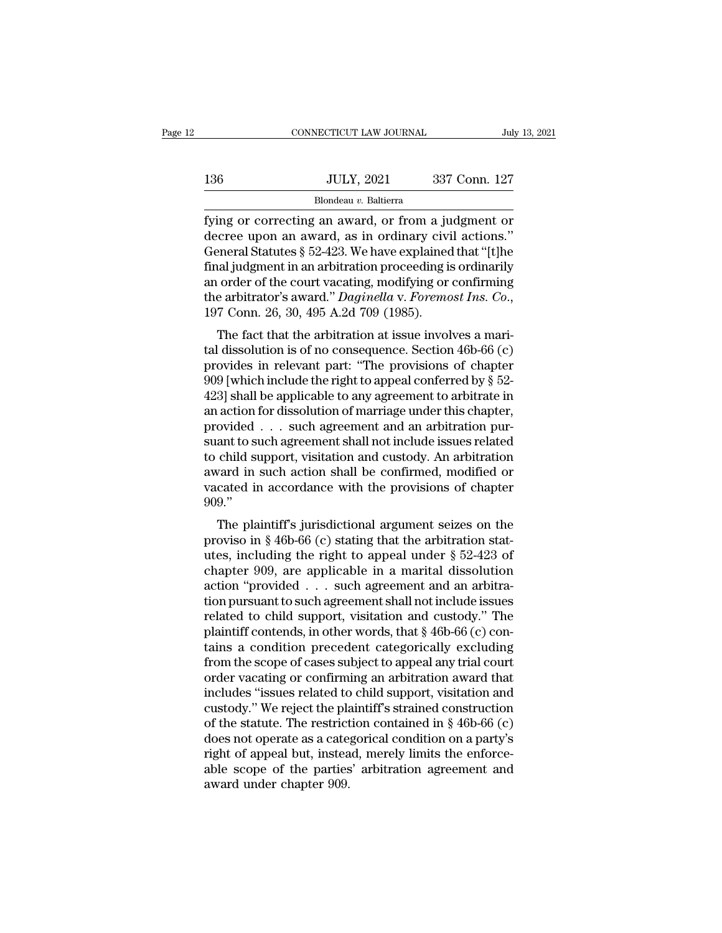|     | CONNECTICUT LAW JOURNAL | July 13, 2021 |  |
|-----|-------------------------|---------------|--|
|     |                         |               |  |
| 136 | <b>JULY, 2021</b>       | 337 Conn. 127 |  |
|     | Blondeau v. Baltierra   |               |  |

FRI CONNECTICUT LAW JOURNAL July 13, 2021<br>136 JULY, 2021 337 Conn. 127<br>1990 Blondeau v. Baltierra<br>1991 Statutes 8, 52, 423 We have explained that "It the 136 JULY, 2021 337 Conn. 127<br>Blondeau v. Baltierra<br>fying or correcting an award, or from a judgment or<br>decree upon an award, as in ordinary civil actions.''<br>General Statutes § 52-423. We have explained that "[t]he<br>final ju  $\frac{JULY, 2021}{Blondeau v. Baltimore}$   $\frac{337 \text{ Conn. } 127}{337 \text{ Conn. } 127}$ <br>fying or correcting an award, or from a judgment or decree upon an award, as in ordinary civil actions."<br>General Statutes § 52-423. We have explained that "[t]he f Final judgment in an arbitration proceeding is ordinary<br>tying or correcting an award, or from a judgment or<br>decree upon an award, as in ordinary civil actions."<br>General Statutes § 52-423. We have explained that "[t]he<br>fin Blondeau v. Baltierra<br>
fying or correcting an award, or from a judgment or<br>
decree upon an award, as in ordinary civil actions."<br>
General Statutes § 52-423. We have explained that "[t]he<br>
final judgment in an arbitration Blondeau v. Baltierra<br>fying or correcting an award, or from a judgment or<br>decree upon an award, as in ordinary civil actions."<br>General Statutes § 52-423. We have explained that "[t]he<br>final judgment in an arbitration proce Ecree upon an award, as in ordinary Civil actions.<br>
Eneral Statutes § 52-423. We have explained that "[t]he<br>
inal judgment in an arbitration proceeding is ordinarily<br>
order of the court vacating, modifying or confirming<br>
e General statutes y 52-425. We have explained that [t]<br>final judgment in an arbitration proceeding is ordinarily<br>an order of the court vacating, modifying or confirming<br>the arbitrator's award." *Daginella* v. Foremost Ins.

mar judgment in an arbitration proceeding is ordinarily<br>an order of the court vacating, modifying or confirming<br>the arbitrator's award." *Daginella* v. Foremost Ins. Co.,<br>197 Conn. 26, 30, 495 A.2d 709 (1985).<br>The fact th an order of the court vacating, modifying of community<br>the arbitrator's award." *Daginella v. Foremost Ins. Co.*,<br>197 Conn. 26, 30, 495 A.2d 709 (1985).<br>The fact that the arbitration at issue involves a mari-<br>tal dissolut the arbitration s award. *Daymeta v. Polemost Ins.* Co.,<br>197 Conn. 26, 30, 495 A.2d 709 (1985).<br>The fact that the arbitration at issue involves a mari-<br>tal dissolution is of no consequence. Section 46b-66 (c)<br>provides in r The fact that the arbitration at issue involves a mari-<br>tal dissolution is of no consequence. Section 46b-66 (c)<br>provides in relevant part: "The provisions of chapter<br>909 [which include the right to appeal conferred by  $\S$ The fact that the arbitration at issue involves a marital dissolution is of no consequence. Section 46b-66 (c) provides in relevant part: "The provisions of chapter 909 [which include the right to appeal conferred by  $\S$  tal dissolution is of no consequence. Section 46b-66 (c)<br>provides in relevant part: "The provisions of chapter<br>909 [which include the right to appeal conferred by  $\S$  52-<br>423] shall be applicable to any agreement to arbit provides in relevant part: "The provisions of chapter  $909$  [which include the right to appeal conferred by  $\S$  52-<br>423] shall be applicable to any agreement to arbitrate in an action for dissolution of marriage under thi 909 [which include the right to appeal conferred by  $\S$  52-<br>423] shall be applicable to any agreement to arbitrate in<br>an action for dissolution of marriage under this chapter,<br>provided  $\ldots$  such agreement and an arbitrat 423] shall be applicable to any agreement to arbitrate in<br>an action for dissolution of marriage under this chapter,<br>provided  $\ldots$  such agreement and an arbitration pur-<br>suant to such agreement shall not include issues re 909.'' ovided . . . such agreement and an arbitration pur-<br>ant to such agreement shall not include issues related<br>child support, visitation and custody. An arbitration<br>vard in such action shall be confirmed, modified or<br>cated in stand to such agreement shan not include issues related<br>to child support, visitation and custody. An arbitration<br>award in such action shall be confirmed, modified or<br>vacated in accordance with the provisions of chapter<br>90

to child support, visitation and custody. An arbitration<br>award in such action shall be confirmed, modified or<br>vacated in accordance with the provisions of chapter<br>909."<br>The plaintiff's jurisdictional argument seizes on th award in such action shall be committed, modified or<br>vacated in accordance with the provisions of chapter<br>909."<br>The plaintiff's jurisdictional argument seizes on the<br>proviso in § 46b-66 (c) stating that the arbitration st Follow The plaintiff's jurisdictional argument seizes on the<br>proviso in § 46b-66 (c) stating that the arbitration stat-<br>utes, including the right to appeal under § 52-423 of<br>chapter 909, are applicable in a marital dissol The plaintiff's jurisdictional argument seizes on the<br>proviso in § 46b-66 (c) stating that the arbitration stat-<br>utes, including the right to appeal under § 52-423 of<br>chapter 909, are applicable in a marital dissolution<br>a The plaintiff's jurisdictional argument seizes on the<br>proviso in § 46b-66 (c) stating that the arbitration stat-<br>utes, including the right to appeal under § 52-423 of<br>chapter 909, are applicable in a marital dissolution<br>a proviso in § 46b-66 (c) stating that the arbitration statures, including the right to appeal under § 52-423 of chapter 909, are applicable in a marital dissolution action "provided . . . such agreement and an arbitration utes, including the right to appeal under  $\S$  52-423 of<br>chapter 909, are applicable in a marital dissolution<br>action "provided . . . such agreement and an arbitra-<br>tion pursuant to such agreement shall not include issues<br>r chapter 909, are applicable in a marital dissolution<br>action "provided  $\ldots$  such agreement and an arbitra-<br>tion pursuant to such agreement shall not include issues<br>related to child support, visitation and custody." The<br>pl action "provided . . . such agreement and an arbitration pursuant to such agreement shall not include issues<br>related to child support, visitation and custody." The<br>plaintiff contends, in other words, that § 46b-66 (c) contion pursuant to such agreement shall not include issues<br>related to child support, visitation and custody." The<br>plaintiff contends, in other words, that § 46b-66 (c) con-<br>tains a condition precedent categorically excluding related to child support, visitation and custody." The<br>plaintiff contends, in other words, that § 46b-66 (c) con-<br>tains a condition precedent categorically excluding<br>from the scope of cases subject to appeal any trial cour plaintiff contends, in other words, that § 46b-66 (c) contains a condition precedent categorically excluding<br>from the scope of cases subject to appeal any trial court<br>order vacating or confirming an arbitration award that<br> tains a condition precedent categorically excluding<br>from the scope of cases subject to appeal any trial court<br>order vacating or confirming an arbitration award that<br>includes "issues related to child support, visitation and from the scope of cases subject to appeal any trial court<br>order vacating or confirming an arbitration award that<br>includes "issues related to child support, visitation and<br>custody." We reject the plaintiff's strained const order vacating or confirming an arbitration award that<br>includes "issues related to child support, visitation and<br>custody." We reject the plaintiff's strained construction<br>of the statute. The restriction contained in § 46bincludes "issues related to<br>custody." We reject the pla<br>of the statute. The restrict<br>does not operate as a cate<br>right of appeal but, instea<br>able scope of the parties<br>award under chapter 909.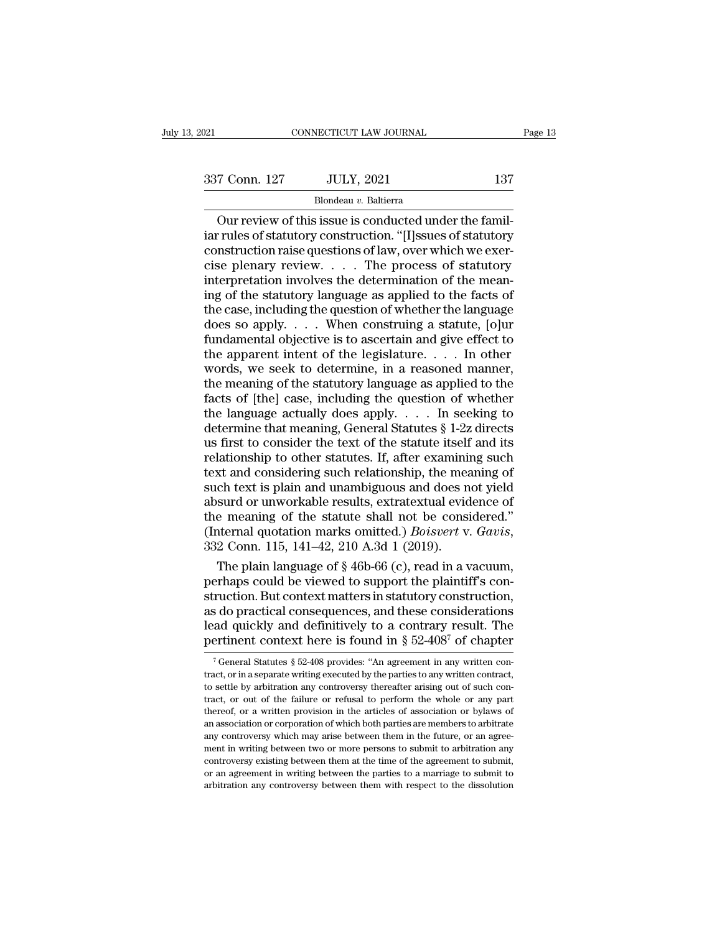CONNECTICUT LAW JOURNAL<br>
T Conn. 127 JULY, 2021 137<br>
Blondeau v. Baltierra<br>
Our review of this issue is conducted under the famil-<br>
Trules of statutory construction. "[I]ssues of statutory<br>
netruction raise questions of la 337 Conn. 127 JULY, 2021 137<br>Blondeau v. Baltierra<br>Our review of this issue is conducted under the familiar rules of statutory construction. "[I]ssues of statutory<br>construction raise questions of law, over which we exer-<br>c 337 Conn. 127 JULY, 2021 137<br>Blondeau v. Baltierra<br>Our review of this issue is conducted under the familiar<br>rules of statutory construction. "[I]ssues of statutory<br>construction raise questions of law, over which we exer-<br> 337 Conn. 127 JULY, 2021 137<br>Blondeau v. Baltierra<br>Our review of this issue is conducted under the familiar rules of statutory construction. "[I]ssues of statutory<br>construction raise questions of law, over which we exer-<br> Blondeau v. Baltierra<br>
Dur review of this issue is conducted under the famil-<br>
iar rules of statutory construction. "[I]ssues of statutory<br>
construction raise questions of law, over which we exer-<br>
cise plenary review. . Blondeau v. Baltierra<br>
Our review of this issue is conducted under the famil-<br>
iar rules of statutory construction. "[I]ssues of statutory<br>
construction raise questions of law, over which we exer-<br>
cise plenary review. . Our review of this issue is conducted under the familiar rules of statutory construction. "[I]ssues of statutory construction raise questions of law, over which we exercise plenary review.  $\dots$  The process of statutory in iar rules of statutory construction. "[I]ssues of statutory<br>construction raise questions of law, over which we exer-<br>cise plenary review. . . . . The process of statutory<br>interpretation involves the determination of the m construction raise questions of law, over which we exercise plenary review.  $\ldots$  The process of statutory interpretation involves the determination of the meaning of the statutory language as applied to the facts of the cise plenary review. . . . . The process of statutory<br>interpretation involves the determination of the mean-<br>ing of the statutory language as applied to the facts of<br>the case, including the question of whether the languag interpretation involves the determination of the meaning of the statutory language as applied to the facts of the case, including the question of whether the language does so apply.  $\dots$  When construing a statute, [o]ur f ing of the statutory language as applied to the facts of<br>the case, including the question of whether the language<br>does so apply. . . . When construing a statute, [o]ur<br>fundamental objective is to ascertain and give effect the case, including the question of whether the language<br>does so apply. . . . When construing a statute, [o]ur<br>fundamental objective is to ascertain and give effect to<br>the apparent intent of the legislature. . . . In othe does so apply. . . . When construing a statute, [o]ur<br>fundamental objective is to ascertain and give effect to<br>the apparent intent of the legislature. . . . In other<br>words, we seek to determine, in a reasoned manner,<br>the fundamental objective is to ascertain and give effect to<br>the apparent intent of the legislature.  $\dots$  In other<br>words, we seek to determine, in a reasoned manner,<br>the meaning of the statutory language as applied to the<br>fac the apparent intent of the legislature. . . . In other words, we seek to determine, in a reasoned manner, the meaning of the statutory language as applied to the facts of [the] case, including the question of whether the words, we seek to determine, in a reasoned manner,<br>the meaning of the statutory language as applied to the<br>facts of [the] case, including the question of whether<br>the language actually does apply. . . . In seeking to<br>deter the meaning of the statutory language as applied to the facts of [the] case, including the question of whether the language actually does apply. . . . In seeking to determine that meaning, General Statutes  $\S 1$ -2z direct facts of [the] case, including the question of whether<br>the language actually does apply. . . . In seeking to<br>determine that meaning, General Statutes  $\S 1-2z$  directs<br>us first to consider the text of the statute itself an the language actually does apply. . . . In seeking to<br>determine that meaning, General Statutes § 1-2z directs<br>us first to consider the text of the statute itself and its<br>relationship to other statutes. If, after examining determine that meaning, General Statutes  $\S$  1-2z directs<br>us first to consider the text of the statute itself and its<br>relationship to other statutes. If, after examining such<br>text and considering such relationship, the me us first to consider the text of the statute itself and its<br>relationship to other statutes. If, after examining such<br>text and considering such relationship, the meaning of<br>such text is plain and unambiguous and does not yi xt and considering such relationship, the meaning of<br>ch text is plain and unambiguous and does not yield<br>surd or unworkable results, extratextual evidence of<br>e meaning of the statute shall not be considered."<br>internal quot such text is plain and unambiguous and does not yield<br>absurd or unworkable results, extratextual evidence of<br>the meaning of the statute shall not be considered."<br>(Internal quotation marks omitted.) *Boisvert* v. *Gavis*,<br>

absurd or unworkable results, extratextual evidence of<br>the meaning of the statute shall not be considered."<br>(Internal quotation marks omitted.) *Boisvert* v. *Gavis*,<br>332 Conn. 115, 141–42, 210 A.3d 1 (2019).<br>The plain lan the meaning of the statute shall not be considered."<br>
(Internal quotation marks omitted.) *Boisvert* v. *Gavis*,<br>
332 Conn. 115, 141–42, 210 A.3d 1 (2019).<br>
The plain language of § 46b-66 (c), read in a vacuum,<br>
perhaps c (Internal quotation marks omitted.) *Boisvert* v. *Gavis*,<br>332 Conn. 115, 141–42, 210 A.3d 1 (2019).<br>The plain language of § 46b-66 (c), read in a vacuum,<br>perhaps could be viewed to support the plaintiff's con-<br>struction. 332 Conn. 115, 141–42, 210 A.3d 1 (2019).<br>
The plain language of § 46b-66 (c), read in a vacuum,<br>
perhaps could be viewed to support the plaintiff's con-<br>
struction. But context matters in statutory construction,<br>
as do p ruction. But context matters in statutory construction,<br>s do practical consequences, and these considerations<br>ad quickly and definitively to a contrary result. The<br>ertinent context here is found in  $\S 52-408^7$  of chapter as do practical consequences, and these considerations<br>lead quickly and definitively to a contrary result. The<br>pertinent context here is found in  $\S 52-408^7$  of chapter<br> $\frac{1}{7}$  General Statutes  $\S 52-408$  provides: "An

lead quickly and definitively to a contrary result. The pertinent context here is found in  $\S 52-408^7$  of chapter  $\frac{1}{10}$  ceneral Statutes  $\S 52-408$  provides: "An agreement in any written contract, or in a separate w pertinent context here is found in § 52-408<sup>7</sup> of chapter  $\frac{1}{7}$  General Statutes § 52-408 provides: "An agreement in any written contract, or in a separate writing executed by the parties to any written contract, to s pertifiem context fiere is found in  $\S$  52-406 of chapter<br>
<sup>7</sup> General Statutes  $\S$  52-408 provides: "An agreement in any written con-<br>
tract, or in a separate writing executed by the parties to any written contract,<br>
to <sup>7</sup> General Statutes § 52-408 provides: "An agreement in any written contract, or in a separate writing executed by the parties to any written contract, to settle by arbitration any controversy thereafter arising out of s any controversy which may arise between them in the future. The future of the parties to any written contract, to settle by arbitration any controversy thereafter arising out of such contract, or out of the failure or refu to settle by arbitration any controversy thereafter arising out of such contract, or out of the failure or refusal to perform the whole or any part thereof, or a written provision in the articles of association or bylaws o tract, or out of the failure or refusal to perform the whole or any part thereof, or a written provision in the articles of association or bylaws of an association or corporation of which both parties are members to arbitr thereof, or a written provision in the articles of association or bylaws of an association or corporation of which both parties are members to arbitrate any controversy which may arise between them in the future, or an agr an association or corporation of which both parties are members to arbitrate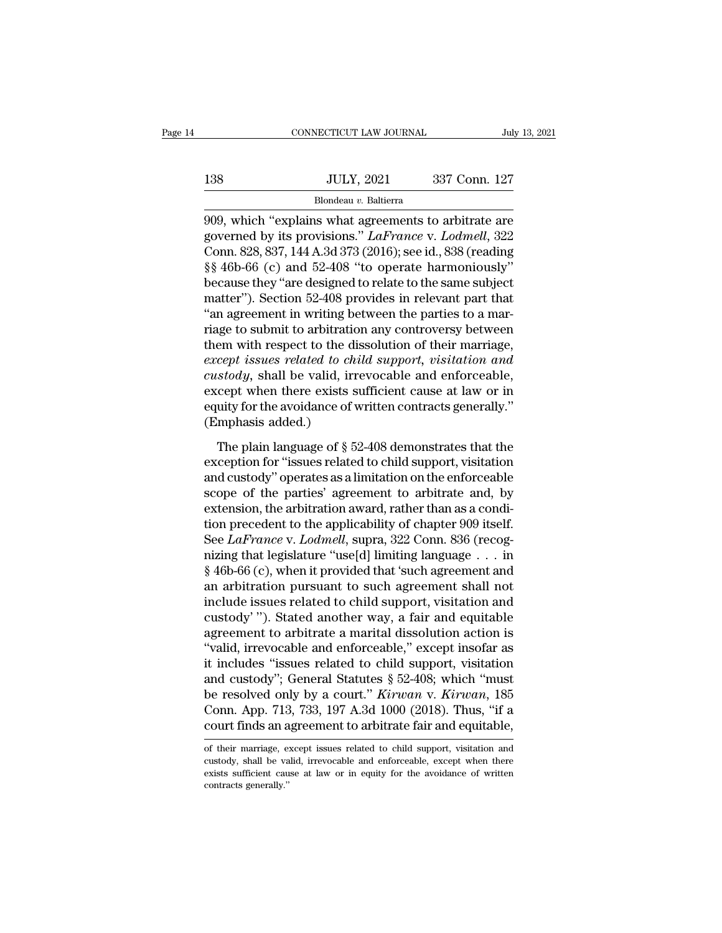# $\begin{tabular}{c} CONNECTICUT LAW JOURNAL \end{tabular} \begin{tabular}{c} \hline \textit{July 13, 2021} \\ \hline \end{tabular}$  138 JULY, 2021 337 Conn. 127 Blondeau v. Baltierra Blondeau *v.* Baltierra

CONNECTICUT LAW JOURNAL July 13, 2021<br>138 JULY, 2021 337 Conn. 127<br>Blondeau v. Baltierra<br>909, which "explains what agreements to arbitrate are<br>governed by its provisions." *LaFrance* v. *Lodmell*, 322<br>Conn. 828, 827, 144, 138 JULY, 2021 337 Conn. 127<br>Blondeau v. Baltierra<br>909, which "explains what agreements to arbitrate are<br>governed by its provisions." *LaFrance* v. *Lodmell*, 322<br>Conn. 828, 837, 144 A.3d 373 (2016); see id., 838 (reading<br> JULY, 2021 337 Conn. 127<br>Blondeau v. Baltierra<br>909, which "explains what agreements to arbitrate are<br>governed by its provisions." *LaFrance* v. *Lodmell*, 322<br>Conn. 828, 837, 144 A.3d 373 (2016); see id., 838 (reading<br>§§ 4  $$\text{JULY, 2021}$ \over \text{Blondeau } v$$ . Baltierra<br>
909, which "explains what agreements to arbitrate are<br>
governed by its provisions." *LaFrance* v. *Lodmell*, 322<br>
Conn. 828, 837, 144 A.3d 373 (2016); see id., 838 (reading<br>  $\S \$ 46b$ Blondeau v. Baltierra<br>
909, which "explains what agreements to arbitrate are<br>
governed by its provisions." *LaFrance* v. *Lodmell*, 322<br>
Conn. 828, 837, 144 A.3d 373 (2016); see id., 838 (reading<br>  $\$ § 46b-66 (c) and 52-Biondeal *v*. Balterra<br>
909, which "explains what agreements to arbitrate are<br>
governed by its provisions." *LaFrance v. Lodmell*, 322<br>
Conn. 828, 837, 144 A.3d 373 (2016); see id., 838 (reading<br>
§§ 46b-66 (c) and 52-408 909, which "explains what agreements to arbitrate are<br>governed by its provisions."  $LaFrance$  v.  $Lodmell$ , 322<br>Conn. 828, 837, 144 A.3d 373 (2016); see id., 838 (reading<br>§§ 46b-66 (c) and 52-408 "to operate harmoniously"<br>because governed by its provisions." *LaFrance v. Lodmell*, 322<br>Conn. 828, 837, 144 A.3d 373 (2016); see id., 838 (reading<br>§§ 46b-66 (c) and 52-408 "to operate harmoniously"<br>because they "are designed to relate to the same subject Conn. 828, 837, 144 A.3d 373 (2016); see id., 838 (reading  $\S$   $\S$  46b-66 (c) and 52-408 "to operate harmoniously" because they "are designed to relate to the same subject matter"). Section 52-408 provides in relevant par §§ 46b-66 (c) and 52-408 "to operate harmoniously"<br>because they "are designed to relate to the same subject<br>matter"). Section 52-408 provides in relevant part that<br>"an agreement in writing between the parties to a mar-<br>ria because they "are designed to relate to the same subject<br>matter"). Section 52-408 provides in relevant part that<br>"an agreement in writing between the parties to a mar-<br>riage to submit to arbitration any controversy between matter"). Section 52-408 provides in relevant part that<br>"an agreement in writing between the parties to a mar-<br>riage to submit to arbitration any controversy between<br>them with respect to the dissolution of their marriage,<br> "an agreement in writing between the parties to a marriage to submit to arbitration any controversy between them with respect to the dissolution of their marriage, except issues related to child support, visitation and cu riage to submit to arbitration<br>them with respect to the different with respect to the different<br>except issues related to chines<br>custody, shall be valid, in<br>except when there exists s<br>equity for the avoidance of<br>(Emphasis a Ein that respect to the did support, visitation and<br>complete issues related to child support, visitation and<br>stody, shall be valid, irrevocable and enforceable,<br>cept when there exists sufficient cause at law or in<br>uity for custody, shall be valid, irrevocable and enforceable,<br>except when there exists sufficient cause at law or in<br>equity for the avoidance of written contracts generally."<br>(Emphasis added.)<br>The plain language of  $\S 52-408$  dem

except when there exists sufficient cause at law or in<br>equity for the avoidance of written contracts generally."<br>(Emphasis added.)<br>The plain language of § 52-408 demonstrates that the<br>exception for "issues related to child equity for the avoidance of written contracts generally."<br>
(Emphasis added.)<br>
The plain language of  $\S$  52-408 demonstrates that the<br>
exception for "issues related to child support, visitation<br>
and custody" operates as a (Emphasis added.)<br>The plain language of § 52-408 demonstrates that the<br>exception for "issues related to child support, visitation<br>and custody" operates as a limitation on the enforceable<br>scope of the parties' agreement to The plain language of  $\S$  52-408 demonstrates that the exception for "issues related to child support, visitation and custody" operates as a limitation on the enforceable scope of the parties' agreement to arbitrate and, The plain language of § 52-408 demonstrates that the exception for "issues related to child support, visitation and custody" operates as a limitation on the enforceable scope of the parties' agreement to arbitrate and, by exception for "issues related to child support, visitation<br>and custody" operates as a limitation on the enforceable<br>scope of the parties' agreement to arbitrate and, by<br>extension, the arbitration award, rather than as a c and custody" operates as a limitation on the enforceable<br>scope of the parties' agreement to arbitrate and, by<br>extension, the arbitration award, rather than as a condi-<br>tion precedent to the applicability of chapter 909 it scope of the parties' agreement to arbitrate and, by<br>extension, the arbitration award, rather than as a condi-<br>tion precedent to the applicability of chapter 909 itself.<br>See *LaFrance* v. *Lodmell*, supra, 322 Conn. 836 ( extension, the arbitration award, rather than as a condition precedent to the applicability of chapter  $909$  itself.<br>See *LaFrance* v. *Lodmell*, supra, 322 Conn. 836 (recognizing that legislature "use[d] limiting languag tion precedent to the applicability of chapter 909 itself.<br>See *LaFrance* v. *Lodmell*, supra, 322 Conn. 836 (recognizing that legislature "use[d] limiting language . . . in<br>§ 46b-66 (c), when it provided that 'such agree See *LaFrance* v. *Lodmell*, supra, 322 Conn. 836 (recognizing that legislature "use[d] limiting language  $\ldots$  in § 46b-66 (c), when it provided that 'such agreement and an arbitration pursuant to such agreement shall no mizing that legislature "use[d] limiting language  $\ldots$  in<br>§ 46b-66 (c), when it provided that 'such agreement and<br>an arbitration pursuant to such agreement shall not<br>include issues related to child support, visitation an  $\S$  46b-66 (c), when it provided that 'such agreement and<br>an arbitration pursuant to such agreement shall not<br>include issues related to child support, visitation and<br>custody''). Stated another way, a fair and equitable<br>ag an arbitration pursuant to such agreement shall not<br>include issues related to child support, visitation and<br>custody'''). Stated another way, a fair and equitable<br>agreement to arbitrate a marital dissolution action is<br>"val include issues related to child support, visitation and<br>custody' "). Stated another way, a fair and equitable<br>agreement to arbitrate a marital dissolution action is<br>"valid, irrevocable and enforceable," except insofar as<br>i custody'"). Stated another way, a fair and equitable<br>agreement to arbitrate a marital dissolution action is<br>"valid, irrevocable and enforceable," except insofar as<br>it includes "issues related to child support, visitation<br>a agreement to arbitrate a marital dissolution action is<br>
"valid, irrevocable and enforceable," except insofar as<br>
it includes "issues related to child support, visitation<br>
and custody"; General Statutes § 52-408; which "mus and custody"; General Statutes § 52-408; which "must<br>be resolved only by a court." *Kirwan* v. *Kirwan*, 185<br>Conn. App. 713, 733, 197 A.3d 1000 (2018). Thus, "if a<br>court finds an agreement to arbitrate fair and equitable, be resolved only by a court." *Kirwan* v. *Kirwan*, 185<br>Conn. App. 713, 733, 197 A.3d 1000 (2018). Thus, "if a<br>court finds an agreement to arbitrate fair and equitable,<br>of their marriage, except issues related to child sup

Conn. App. 713, 733, 197 A.3d 1000 (2018). Thus, "if a court finds an agreement to arbitrate fair and equitable, of their marriage, except issues related to child support, visitation and custody, shall be valid, irrevocabl court finds an a<br>of their marriage, executedy, shall be va<br>exists sufficient cau<br>contracts generally."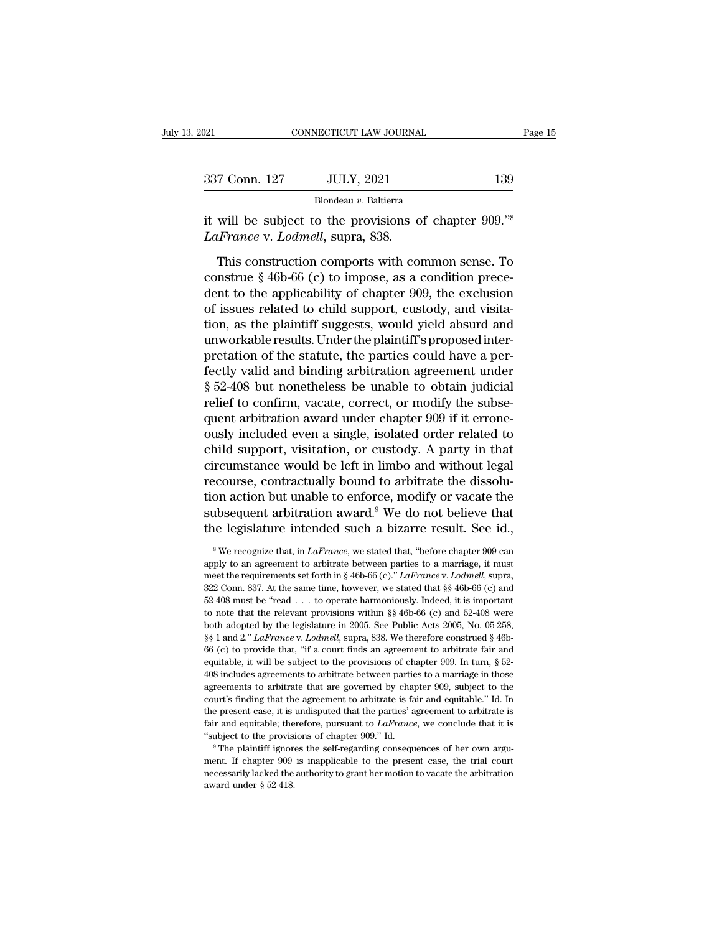| 2021                             | CONNECTICUT LAW JOURNAL                                                                                                                                                 | Page 15 |
|----------------------------------|-------------------------------------------------------------------------------------------------------------------------------------------------------------------------|---------|
|                                  |                                                                                                                                                                         |         |
| 337 Conn. 127                    | <b>JULY, 2021</b>                                                                                                                                                       | 139     |
|                                  | Blondeau v. Baltierra                                                                                                                                                   |         |
| LaFrance v. Lodmell, supra, 838. | it will be subject to the provisions of chapter 909." <sup>8</sup>                                                                                                      |         |
|                                  | This construction comports with common sense. To<br>construe $\S$ 46b-66 (c) to impose, as a condition prece-<br>dont to the emplicability of chapter 000 the evolucion |         |

Blondeau v. Baltierra<br>
Blondeau v. Baltierra<br>
it will be subject to the provisions of chapter 909."<sup>8</sup><br> *LaFrance v. Lodmell*, supra, 838.<br>
This construction comports with common sense. To<br>
construe § 46b-66 (c) to impose Blondeau v. Baltierra<br>it will be subject to the provisions of chapter  $909.^{"8}$ <br>*LaFrance* v. *Lodmell*, supra, 838.<br>This construction comports with common sense. To<br>construe § 46b-66 (c) to impose, as a condition prece-<br> it will be subject to the provisions of chapter  $909.^{n8}$ <br>*LaFrance* v. *Lodmell*, supra, 838.<br>This construction comports with common sense. To<br>construe § 46b-66 (c) to impose, as a condition prece-<br>dent to the applicabi LaFrance v. Lodmell, supra, 838.<br>
This construction comports with common sense. To<br>
construe § 46b-66 (c) to impose, as a condition prece-<br>
dent to the applicability of chapter 909, the exclusion<br>
of issues related to chil This construction comports with common sense. To<br>construe  $\S$  46b-66 (c) to impose, as a condition prece-<br>dent to the applicability of chapter 909, the exclusion<br>of issues related to child support, custody, and visita-<br>ti This construction comports with common sense. To<br>construe  $\S$  46b-66 (c) to impose, as a condition prece-<br>dent to the applicability of chapter 909, the exclusion<br>of issues related to child support, custody, and visita-<br>ti construe  $\S$  46b-66 (c) to impose, as a condition precedent to the applicability of chapter 909, the exclusion of issues related to child support, custody, and visitation, as the plaintiff suggests, would yield absurd and dent to the applicability of chapter 909, the exclusion<br>of issues related to child support, custody, and visita-<br>tion, as the plaintiff suggests, would yield absurd and<br>unworkable results. Under the plaintiff's proposed in of issues related to child support, custody, and visitation, as the plaintiff suggests, would yield absurd and<br>unworkable results. Under the plaintiff's proposed inter-<br>pretation of the statute, the parties could have a pe tion, as the plaintiff suggests, would yield absurd and<br>unworkable results. Under the plaintiff's proposed inter-<br>pretation of the statute, the parties could have a per-<br>fectly valid and binding arbitration agreement unde unworkable results. Under the plaintiff's proposed inter-<br>pretation of the statute, the parties could have a per-<br>fectly valid and binding arbitration agreement under<br>§ 52-408 but nonetheless be unable to obtain judicial<br>r pretation of the statute, the parties could have a perfectly valid and binding arbitration agreement under  $\S$  52-408 but nonetheless be unable to obtain judicial relief to confirm, vacate, correct, or modify the subsequen fectly valid and binding arbitration agreement under<br>§ 52-408 but nonetheless be unable to obtain judicial<br>relief to confirm, vacate, correct, or modify the subse-<br>quent arbitration award under chapter 909 if it errone-<br>ou  $\S$  52-408 but nonetheless be unable to obtain judicial<br>relief to confirm, vacate, correct, or modify the subse-<br>quent arbitration award under chapter 909 if it errone-<br>ously included even a single, isolated order related relief to confirm, vacate, correct, or modify the subsequent arbitration award under chapter 909 if it errone-<br>ously included even a single, isolated order related to<br>child support, visitation, or custody. A party in that<br> quent arbitration award under chapter 909 if it errone-<br>ously included even a single, isolated order related to<br>child support, visitation, or custody. A party in that<br>circumstance would be left in limbo and without legal<br>r ously included even a single, isolated order related to<br>child support, visitation, or custody. A party in that<br>circumstance would be left in limbo and without legal<br>recourse, contractually bound to arbitrate the dissolu-<br> on action but unable to enforce, modify or vacate the ubsequent arbitration award.<sup>9</sup> We do not believe that the legislature intended such a bizarre result. See id.,  $\frac{1}{8}$  We recognize that, in *LaFrance*, we stated th tion action but unable to enforce, modify or vacate the subsequent arbitration award.<sup>9</sup> We do not believe that the legislature intended such a bizarre result. See id., <sup>8</sup> We recognize that, in *LaFrance*, we stated that

subsequent arbitration award.<sup>9</sup> We do not believe that<br>the legislature intended such a bizarre result. See id.,<br><sup>8</sup>We recognize that, in *LaFrance*, we stated that, "before chapter 909 can<br>apply to an agreement to arbitra the legislature intended such a bizarre result. See id.,<br><sup>8</sup>We recognize that, in *LaFrance*, we stated that, "before chapter 909 can<br>apply to an agreement to arbitrate between parties to a marriage, it must<br>meet the requ the legislature intended such a bizarre result. See id.,<br>
<sup>8</sup>We recognize that, in *LaFrance*, we stated that, "before chapter 909 can<br>
apply to an agreement to arbitrate between parties to a marriage, it must<br>
meet the r <sup>8</sup> We recognize that, in *LaFrance*, we stated that, "before chapter 909 can apply to an agreement to arbitrate between parties to a marriage, it must meet the requirements set forth in § 46b-66 (c)." *LaFrance* v. *Lodm* apply to an agreement to arbitrate between parties to a marriage, it must<br>meet the requirements set forth in § 46b-66 (c)." *LaFrance* v. *Lodmell*, supra,<br>322 Conn. 837. At the same time, however, we stated that §§ 46b-6 meet the requirements set forth in § 46b-66 (c)." *LaFrance* v. *Lodmell*, supra, 322 Conn. 837. At the same time, however, we stated that §§ 46b-66 (c) and 52-408 must be "read . . . to operate harmoniously. Indeed, it i 322 Conn. 837. At the same time, however, we stated that §§ 46b-66 (c) and 52-408 must be "read . . . to operate harmoniously. Indeed, it is important to note that the relevant provisions within §§ 46b-66 (c) and 52-408 w 52–408 must be "read . . . to operate harmoniously. Indeed, it is important to note that the relevant provisions within §§ 46b-66 (c) and 52–408 were both adopted by the legislature in 2005. See Public Acts 2005, No. 05-2 to note that the relevant provisions within §§ 46b-66 (c) and 52-408 were both adopted by the legislature in 2005. See Public Acts 2005, No. 05-258, §§ 1 and 2." *LaFrance* v. *Lodmell*, supra, 838. We therefore construed both adopted by the legislature in 2005. See Public Acts 2005, No. 05-258,  $\S$  1 and 2." *LaFrance* v. *Lodmell*, supra, 838. We therefore construed  $\S$  46b-66 (c) to provide that, "if a court finds an agreement to arbitr §§ 1 and 2." *LaFrance* v. *Lodmell*, supra, 838. We therefore construed § 46b-66 (c) to provide that, "if a court finds an agreement to arbitrate fair and equitable, it will be subject to the provisions of chapter 909. I 66 (c) to provide that, "if a court finds an agreement to arbitrate fair and equitable, it will be subject to the provisions of chapter 909. In turn, § 52-408 includes agreements to arbitrate between parties to a marriage equitable, it will be subject to the provisions of chapter 909. In turn, § 52-408 includes agreements to arbitrate between parties to a marriage in those agreements to arbitrate that are governed by chapter 909, subject t 408 includes agreements to arbitrate between parties to a marriage in those agreements to arbitrate that are governed by chapter 909, subject to the court's finding that the agreement to arbitrate is fair and equitable." agreements to arbitrate that are governed by chapter 909, subject to the court's finding that the agreement to arbitrate is fair and equitable." Id. In the present case, it is undisputed that the parties' agreement to arb fair and equitable; therefore, pursuant to LaFrance, we conclude that it is

the present case, it is undisputed that the parties' agreement to arbitrate is fair and equitable; therefore, pursuant to  $LaFrance$ , we conclude that it is "subject to the provisions of chapter 909." Id. "The plaintiff ignores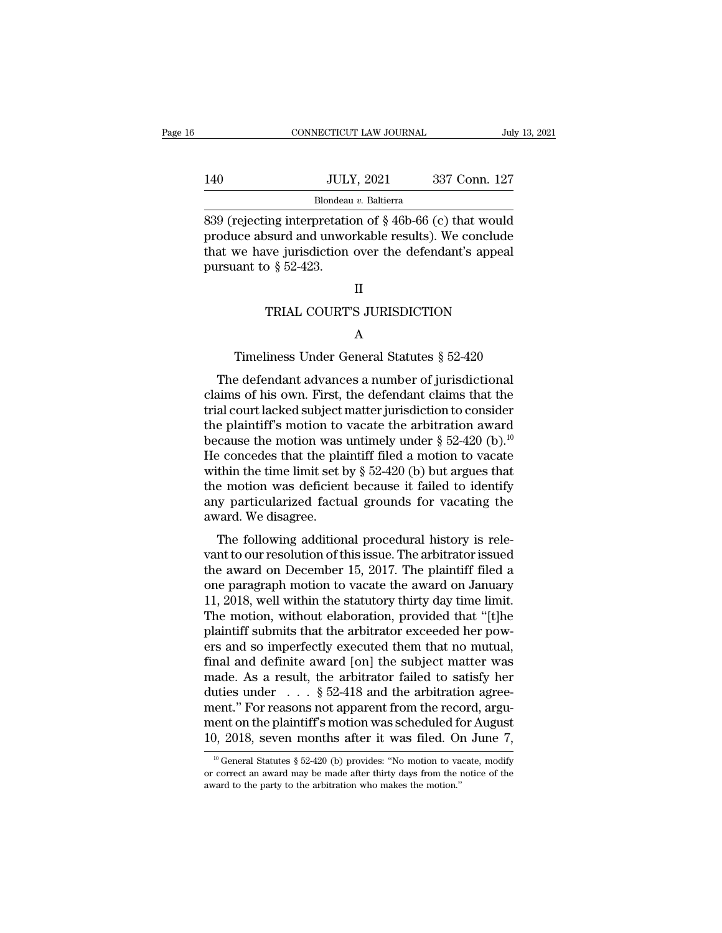|     | CONNECTICUT LAW JOURNAL | July 13, 2021 |
|-----|-------------------------|---------------|
|     |                         |               |
| 140 | <b>JULY, 2021</b>       | 337 Conn. 127 |
|     | Blondeau v. Baltierra   |               |

CONNECTICUT LAW JOURNAL July 13, 2021<br>140 JULY, 2021 337 Conn. 127<br>839 (rejecting interpretation of § 46b-66 (c) that would<br>produce absurd and unworkable results). We conclude 140 JULY, 2021 337 Conn. 127<br>Blondeau v. Baltierra<br>839 (rejecting interpretation of § 46b-66 (c) that would<br>produce absurd and unworkable results). We conclude<br>that we have jurisdiction over the defendant's appeal 140 JULY, 2021 337 Conn. 127<br>Blondeau v. Baltierra<br>839 (rejecting interpretation of  $\S 46b-66$  (c) that would<br>produce absurd and unworkable results). We conclude<br>that we have jurisdiction over the defendant's appeal<br>pursu 140 JULY<br>Blondeau<br>839 (rejecting interpretation<br>produce absurd and unwo<br>that we have jurisdiction<br>pursuant to § 52-423. ing interpretation of § 46b-66 (c) that would<br>be sured and unworkable results). We conclude<br>we jurisdiction over the defendant's appeal<br>o § 52-423.<br>II<br>TRIAL COURT'S JURISDICTION<br>A 1 II<br>TRIAL COURT'S JURISDICTION<br>A<br>Timeliness Under General Statutes § 52-420<br>e defendant advances a number of jurisdictional

# II

# A

II<br>
TRIAL COURT'S JURISDICTION<br>
A<br>
Timeliness Under General Statutes § 52-420<br>
The defendant advances a number of jurisdictional<br>
sims of his own. First, the defendant claims that the<br>
pl court lacked subject matter jurisd TRIAL COURT'S JURISDICTION<br>
A<br>
Timeliness Under General Statutes  $\S~52-420$ <br>
The defendant advances a number of jurisdictional<br>
claims of his own. First, the defendant claims that the<br>
trial court lacked subject matter ju TRIAL COUNT 3 JUNISDICTION<br>
A<br>
Timeliness Under General Statutes  $\S$  52-420<br>
The defendant advances a number of jurisdictional<br>
claims of his own. First, the defendant claims that the<br>
trial court lacked subject matter ju A<br>
Timeliness Under General Statutes § 52-420<br>
The defendant advances a number of jurisdictional<br>
claims of his own. First, the defendant claims that the<br>
trial court lacked subject matter jurisdiction to consider<br>
the pl Timeliness Under General Statutes § 52-420<br>The defendant advances a number of jurisdictional<br>claims of his own. First, the defendant claims that the<br>trial court lacked subject matter jurisdiction to consider<br>the plaintiff The defendant advances a number of jurisdictional<br>claims of his own. First, the defendant claims that the<br>trial court lacked subject matter jurisdiction to consider<br>the plaintiff's motion to vacate the arbitration award<br>b The defendant advances a number of jurisdictional<br>claims of his own. First, the defendant claims that the<br>trial court lacked subject matter jurisdiction to consider<br>the plaintiff's motion to vacate the arbitration award<br>b claims of his own. First, the defendant claims that the<br>trial court lacked subject matter jurisdiction to consider<br>the plaintiff's motion to vacate the arbitration award<br>because the motion was untimely under  $\S 52-420$  (b trial court lacked subject matter jurisdiction to consider<br>the plaintiff's motion to vacate the arbitration award<br>because the motion was untimely under  $\S 52-420$  (b).<sup>10</sup><br>He concedes that the plaintiff filed a motion to the plaintiff's motion to<br>because the motion was<br>He concedes that the pla<br>within the time limit set t<br>the motion was deficient<br>any particularized factu<br>award. We disagree.<br>The following addition Example 18 and the plaintiff filed a motion to vacate<br>thin the time limit set by  $\S$  52-420 (b) but argues that<br>e motion was deficient because it failed to identify<br>y particularized factual grounds for vacating the<br>vard. The concedes that the plant of the arbitration to vacate<br>within the time limit set by  $\S$  52-420 (b) but argues that<br>the motion was deficient because it failed to identify<br>any particularized factual grounds for vacating t

whim the thile initiate by s 32-420 (b) but argues that<br>the motion was deficient because it failed to identify<br>any particularized factual grounds for vacating the<br>award. We disagree.<br>The following additional procedural hi any particularized factual grounds for vacating the<br>award. We disagree.<br>The following additional procedural history is rele-<br>vant to our resolution of this issue. The arbitrator issued<br>the award on December 15, 2017. The p any particularized ractuar grounds for vacating the<br>award. We disagree.<br>The following additional procedural history is rele-<br>vant to our resolution of this issue. The arbitrator issued<br>the award on December 15, 2017. The p award. we usagree.<br>
The following additional procedural history is relevant to our resolution of this issue. The arbitrator issued<br>
the award on December 15, 2017. The plaintiff filed a<br>
one paragraph motion to vacate the The following additional procedural history is relevant to our resolution of this issue. The arbitrator issued<br>the award on December 15, 2017. The plaintiff filed a<br>one paragraph motion to vacate the award on January<br>11, 2 vant to our resolution of this issue. The arbitrator issued<br>the award on December 15, 2017. The plaintiff filed a<br>one paragraph motion to vacate the award on January<br>11, 2018, well within the statutory thirty day time limi the award on December 15, 2017. The plaintiff filed a<br>one paragraph motion to vacate the award on January<br>11, 2018, well within the statutory thirty day time limit.<br>The motion, without elaboration, provided that "[t]he<br>pla one paragraph motion to vacate the award on January<br>11, 2018, well within the statutory thirty day time limit.<br>The motion, without elaboration, provided that "[t]he<br>plaintiff submits that the arbitrator exceeded her pow-<br> 11, 2018, well within the statutory thirty day time limit.<br>The motion, without elaboration, provided that "[t]he<br>plaintiff submits that the arbitrator exceeded her pow-<br>ers and so imperfectly executed them that no mutual, The motion, without elaboration, provided that "[t]he plaintiff submits that the arbitrator exceeded her powers and so imperfectly executed them that no mutual, final and definite award [on] the subject matter was made. A plaintiff submits that the arbitrator exceeded her pow-<br>ers and so imperfectly executed them that no mutual,<br>final and definite award [on] the subject matter was<br>made. As a result, the arbitrator failed to satisfy her<br>duti ers and so imperfectly executed them that no mutual,<br>final and definite award [on] the subject matter was<br>made. As a result, the arbitrator failed to satisfy her<br>duties under  $\ldots$  § 52-418 and the arbitration agree-<br>ment uties under . . . § 52-418 and the arbitration agree-<br>ent." For reasons not apparent from the record, argu-<br>ent on the plaintiff's motion was scheduled for August<br>), 2018, seven months after it was filed. On June 7,<br> $\frac{1$ ment." For reasons not apparent from the record, argument on the plaintiff's motion was scheduled for August 10, 2018, seven months after it was filed. On June 7,  $\frac{10}{10}$  General Statutes § 52-420 (b) provides: "No mo

ment on the plaintiff's motion was scheduled for 10, 2018, seven months after it was filed. On  $^{10}$  General Statutes § 52-420 (b) provides: "No motion to va or correct an award may be made after thirty days from the awa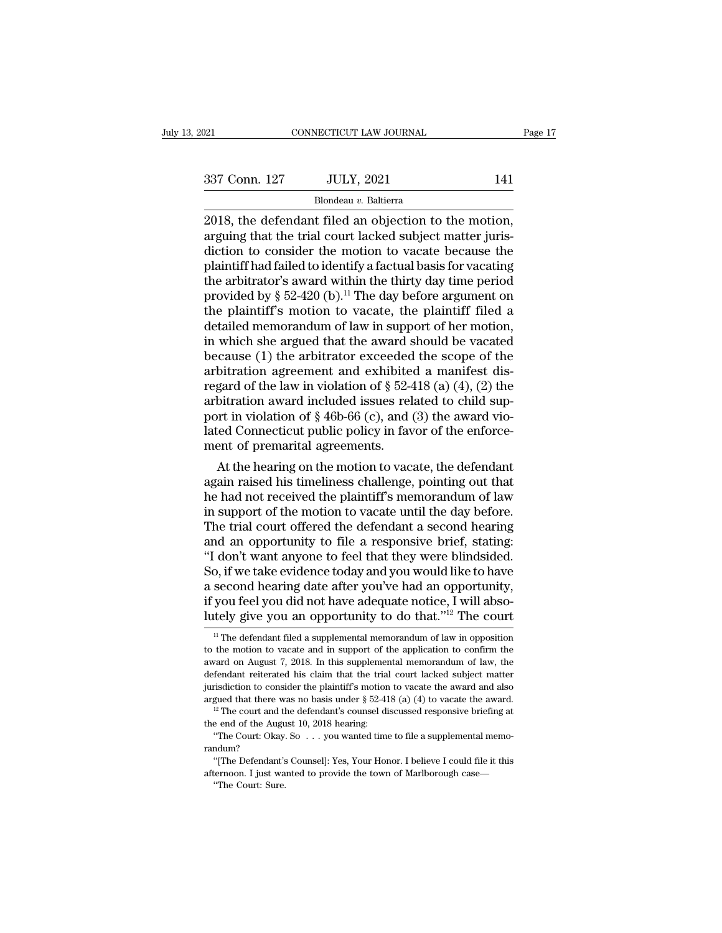21 CONNECTICUT LAW JOURNAL Page<br>
2018, the defendant filed an objection to the motion,<br>
2018, the defendant filed an objection to the motion,<br>
arguing that the trial court lacked subject matter juris-<br>
diction to consider 337 Conn. 127 JULY, 2021 141<br>Blondeau v. Baltierra<br>2018, the defendant filed an objection to the motion,<br>arguing that the trial court lacked subject matter juris-<br>diction to consider the motion to vacate because the<br>plain  $\begin{array}{c|c} \text{337 Conn. 127} & \text{JULY, 2021} & \text{141} \\ \hline \text{Blondeau } v. \text{ Baltimore} \end{array}$ <br>
2018, the defendant filed an objection to the motion, arguing that the trial court lacked subject matter jurisdiction to consider the motion to vacate 337 Conn. 127 JULY, 2021 141<br>Blondeau v. Baltierra<br>2018, the defendant filed an objection to the motion,<br>arguing that the trial court lacked subject matter juris-<br>diction to consider the motion to vacate because the<br>plain Blondeau v. Baltierra<br>
2018, the defendant filed an objection to the motion,<br>
arguing that the trial court lacked subject matter juris-<br>
diction to consider the motion to vacate because the<br>
plaintiff had failed to identi Blondeau v. Baltierra<br>
2018, the defendant filed an objection to the motion,<br>
arguing that the trial court lacked subject matter juris-<br>
diction to consider the motion to vacate because the<br>
plaintiff had failed to identi 2018, the defendant filed an objection to the motion,<br>arguing that the trial court lacked subject matter juris-<br>diction to consider the motion to vacate because the<br>plaintiff had failed to identify a factual basis for vac arguing that the trial court lacked subject matter juris-<br>diction to consider the motion to vacate because the<br>plaintiff had failed to identify a factual basis for vacating<br>the arbitrator's award within the thirty day tim diction to consider the motion to vacate because the plaintiff had failed to identify a factual basis for vacating the arbitrator's award within the thirty day time period provided by  $\S 52-420$  (b).<sup>11</sup> The day before ar plaintiff had failed to identify a factual basis for vacating<br>the arbitrator's award within the thirty day time period<br>provided by § 52-420 (b).<sup>11</sup> The day before argument on<br>the plaintiff's motion to vacate, the plainti the arbitrator's award within the thirty day time period<br>provided by § 52-420 (b).<sup>11</sup> The day before argument on<br>the plaintiff's motion to vacate, the plaintiff filed a<br>detailed memorandum of law in support of her motion provided by § 52-420 (b).<sup>11</sup> The day before argument on<br>the plaintiff's motion to vacate, the plaintiff filed a<br>detailed memorandum of law in support of her motion,<br>in which she argued that the award should be vacated<br>be the plaintiff's motion to vacate, the plaintiff filed a<br>detailed memorandum of law in support of her motion,<br>in which she argued that the award should be vacated<br>because (1) the arbitrator exceeded the scope of the<br>arbitr detailed memorandum of law in support of her motion,<br>in which she argued that the award should be vacated<br>because (1) the arbitrator exceeded the scope of the<br>arbitration agreement and exhibited a manifest dis-<br>regard of in which she argued that the award should be vacated<br>because (1) the arbitrator exceeded the scope of the<br>arbitration agreement and exhibited a manifest dis-<br>regard of the law in violation of  $\S$  52-418 (a) (4), (2) the<br>a because (1) the arbitrator exceeded<br>arbitration agreement and exhibite<br>regard of the law in violation of  $\S$  52-4<br>arbitration award included issues rel<br>port in violation of  $\S$  46b-66 (c), and<br>lated Connecticut public pol bitration agreement and exhibited a manifest dis-<br>gard of the law in violation of  $\S$  52-418 (a) (4), (2) the<br>bitration award included issues related to child sup-<br>primaric in violation of  $\S$  46b-66 (c), and (3) the awar regard of the law in violation of  $\S$  52-418 (a) (4), (2) the<br>arbitration award included issues related to child sup-<br>port in violation of  $\S$  46b-66 (c), and (3) the award vio-<br>lated Connecticut public policy in favor of

arbitration award included issues related to child sup-<br>port in violation of § 46b-66 (c), and (3) the award vio-<br>lated Connecticut public policy in favor of the enforce-<br>ment of premarital agreements.<br>At the hearing on th port in violation of § 46b-66 (c), and (3) the award violated Connecticut public policy in favor of the enforcement of premarital agreements.<br>At the hearing on the motion to vacate, the defendant again raised his timelines lated Connecticut public policy in favor of the enforce-<br>ment of premarital agreements.<br>At the hearing on the motion to vacate, the defendant<br>again raised his timeliness challenge, pointing out that<br>he had not received the ment of premarital agreements.<br>At the hearing on the motion to vacate, the defendant<br>again raised his timeliness challenge, pointing out that<br>he had not received the plaintiff's memorandum of law<br>in support of the motion t At the hearing on the motion to vacate, the defendant<br>again raised his timeliness challenge, pointing out that<br>he had not received the plaintiff's memorandum of law<br>in support of the motion to vacate until the day before.<br> again raised his timeliness challenge, pointing out that<br>he had not received the plaintiff's memorandum of law<br>in support of the motion to vacate until the day before.<br>The trial court offered the defendant a second hearing he had not received the plaintiff's memorandum of law<br>in support of the motion to vacate until the day before.<br>The trial court offered the defendant a second hearing<br>and an opportunity to file a responsive brief, stating:<br> in support of the motion to vacate until the day before.<br>The trial court offered the defendant a second hearing<br>and an opportunity to file a responsive brief, stating:<br>"I don't want anyone to feel that they were blindsided The trial court offered the defendant a second hearing<br>and an opportunity to file a responsive brief, stating:<br>"I don't want anyone to feel that they were blindsided.<br>So, if we take evidence today and you would like to ha 5, if we take evidence today and you would like to have<br>second hearing date after you've had an opportunity,<br>you feel you did not have adequate notice, I will abso-<br>ttely give you an opportunity to do that."<sup>12</sup> The court a second hearing date after you've had an opportunity,<br>if you feel you did not have adequate notice, I will abso-<br>lutely give you an opportunity to do that."<sup>12</sup> The court<br><sup>11</sup> The defendant filed a supplemental memorandu

if you feel you did not have adequate notice, I will absolutely give you an opportunity to do that."<sup>12</sup> The court  $\frac{1}{\sqrt{1-\pi}}$  The defendant filed a supplemental memorandum of law in opposition to the motion to vacate Iutely give you an opportunity to do that."<sup>12</sup> The court<br>
<sup>11</sup> The defendant filed a supplemental memorandum of law in opposition<br>
to the motion to vacate and in support of the application to confirm the<br>
award on August The defendant filed a supplemental memorandum of law in opposition<br>if the motion to vacate and in support of the application to confirm the<br>award on August 7, 2018. In this supplemental memorandum of law, the<br>defendant re <sup>11</sup> The defendant filed a supplemental memorandum of law in opposition to the motion to vacate and in support of the application to confirm the award on August 7, 2018. In this supplemental memorandum of law, the defenda award on August 7, 2018. In this supplemental memorandum of law, the defendant reiterated his claim that the trial court lacked subject matter jurisdiction to consider the plaintiff's motion to vacate the award and also a defendant reiterated his claim that the trial court lacked subject matter jurisdiction to consider the plaintiff's motion to vacate the award and also argued that there was no basis under  $\S$  52-418 (a) (4) to vacate the

randum? "The Court: Okay. So . . . you wanted time to file a supplemental memo-

argued that there was no basis under § 52-418 (a) (4) to vacate the award.<br><sup>12</sup> The court and the defendant's counsel discussed responsive briefing at the end of the August 10, 2018 hearing:<br>"The Court: Okay. So  $\ldots$  you <sup>12</sup> The court and the defendant's counsel discussed responsive briefing at the end of the August 10, 2018 hearing:<br>
"The Court: Okay. So . . . you wanted time to file a supplemental memo-<br>
randum? "[The Defendant's Couns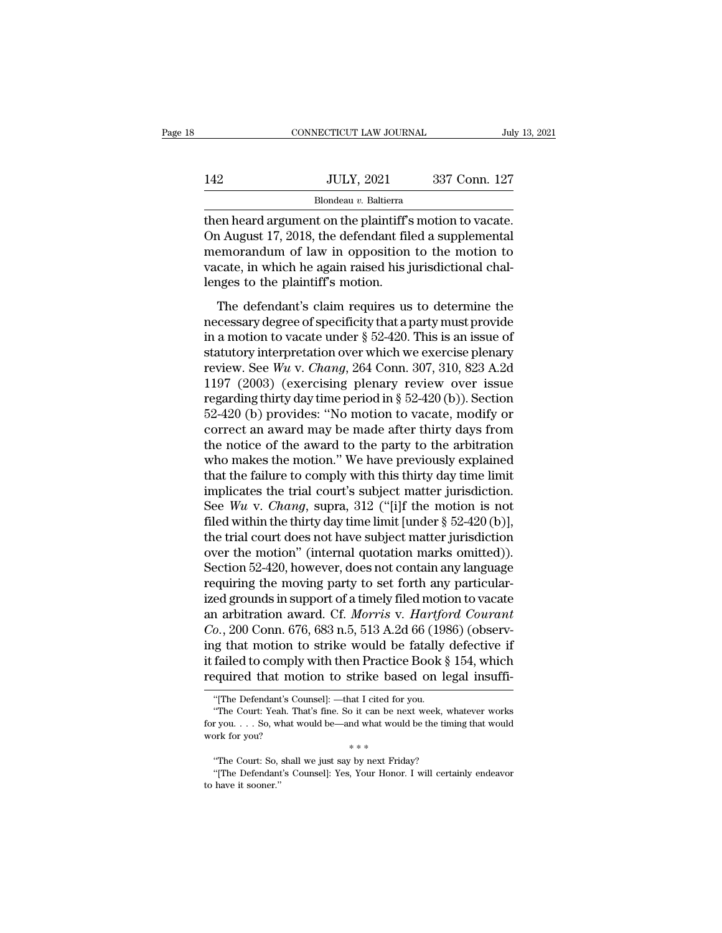|     | CONNECTICUT LAW JOURNAL | July 13, 2021 |
|-----|-------------------------|---------------|
| 142 | <b>JULY, 2021</b>       | 337 Conn. 127 |
|     | Blondeau v. Baltierra   |               |

CONNECTICUT LAW JOURNAL July 13, 2<br>
142 JULY, 2021 337 Conn. 127<br>
Blondeau v. Baltierra<br>
then heard argument on the plaintiff's motion to vacate.<br>
On August 17, 2018, the defendant filed a supplemental<br>
momorandum of law i 142 JULY, 2021 337 Conn. 127<br>Blondeau v. Baltierra<br>then heard argument on the plaintiff's motion to vacate.<br>On August 17, 2018, the defendant filed a supplemental<br>memorandum of law in opposition to the motion to 142 JULY, 2021 337 Conn. 127<br>Blondeau v. Baltierra<br>then heard argument on the plaintiff's motion to vacate.<br>On August 17, 2018, the defendant filed a supplemental<br>memorandum of law in opposition to the motion to<br>vacate, i Vacate 142 1991 127<br>
142 1991 127<br>
142 1991 127<br>
142 127<br>
169 10 127<br>
169 10 127<br>
169 128 139 139 139 139 139 149 149<br>
169 149 149 149 149 149<br>
169 149 149 149 149<br>
169 149 149 149 149<br>
169 149 149 149 149<br>
169 149 149 14 Blondeau v. Baltierra<br>Blondeau v. Baltierra<br>then heard argument on the plaintiff's<br>On August 17, 2018, the defendant film<br>memorandum of law in opposition<br>vacate, in which he again raised his j<br>lenges to the plaintiff's mot en heard argument on the plaintiff's motion to vacate.<br>
1 August 17, 2018, the defendant filed a supplemental<br>
emorandum of law in opposition to the motion to<br>
cate, in which he again raised his jurisdictional chal-<br>
nges on August 17, 2018, the defendant filed a supplemental<br>memorandum of law in opposition to the motion to<br>vacate, in which he again raised his jurisdictional chal-<br>lenges to the plaintiff's motion.<br>The defendant's claim req

in a memorandum of law in opposition to the motion to vacate, in which he again raised his jurisdictional chal-<br>lenges to the plaintiff's motion.<br>The defendant's claim requires us to determine the<br>necessary degree of spec statutory in which he again raised his jurisdictional challenges to the plaintiff's motion.<br>The defendant's claim requires us to determine the<br>necessary degree of specificity that a party must provide<br>in a motion to vacat review. The defendant's claim raised his *jamisdictional changlenges* to the plaintiff's motion.<br>The defendant's claim requires us to determine the necessary degree of specificity that a party must provide<br>in a motion to The defendant's claim requires us to determine the<br>necessary degree of specificity that a party must provide<br>in a motion to vacate under § 52-420. This is an issue of<br>statutory interpretation over which we exercise plenar The defendant's claim requires us to determine the<br>necessary degree of specificity that a party must provide<br>in a motion to vacate under  $\S 52-420$ . This is an issue of<br>statutory interpretation over which we exercise plen necessary degree of specificity that a party must provide<br>in a motion to vacate under  $\S$  52-420. This is an issue of<br>statutory interpretation over which we exercise plenary<br>review. See  $Wu$  v. *Chang*, 264 Conn. 307, 310 in a motion to vacate under § 52-420. This is an issue of<br>statutory interpretation over which we exercise plenary<br>review. See *Wu* v. *Chang*, 264 Conn. 307, 310, 823 A.2d<br>1197 (2003) (exercising plenary review over issue statutory interpretation over which we exercise plenary<br>review. See  $Wu$  v. *Chang*, 264 Conn. 307, 310, 823 A.2d<br>1197 (2003) (exercising plenary review over issue<br>regarding thirty day time period in § 52-420 (b)). Sectio review. See *Wu* v. *Chang*, 264 Conn. 307, 310, 823 A.2d<br>1197 (2003) (exercising plenary review over issue<br>regarding thirty day time period in § 52-420 (b)). Section<br>52-420 (b) provides: "No motion to vacate, modify or<br>c 1197 (2003) (exercising plenary review over issue<br>regarding thirty day time period in § 52-420 (b)). Section<br>52-420 (b) provides: "No motion to vacate, modify or<br>correct an award may be made after thirty days from<br>the not regarding thirty day time period in § 52-420 (b)). Section 52-420 (b) provides: "No motion to vacate, modify or correct an award may be made after thirty days from the notice of the award to the party to the arbitration w 52-420 (b) provides: "No motion to vacate, modify or correct an award may be made after thirty days from the notice of the award to the party to the arbitration who makes the motion." We have previously explained that the correct an award may be made after thirty days from<br>the notice of the award to the party to the arbitration<br>who makes the motion." We have previously explained<br>that the failure to comply with this thirty day time limit<br>im the notice of the award to the party to the arbitration<br>who makes the motion." We have previously explained<br>that the failure to comply with this thirty day time limit<br>implicates the trial court's subject matter jurisdicti who makes the motion." We have previously explained<br>that the failure to comply with this thirty day time limit<br>implicates the trial court's subject matter jurisdiction.<br>See  $Wu$  v. *Chang*, supra, 312 ("[i]f the motion is that the failure to comply with this thirty day time limit<br>implicates the trial court's subject matter jurisdiction.<br>See  $Wu$  v. *Chang*, supra, 312 ("[i]f the motion is not<br>filed within the thirty day time limit [under implicates the trial court's subject matter jurisdiction.<br>See *Wu* v. *Chang*, supra, 312 ("[i]f the motion is not<br>filed within the thirty day time limit [under § 52-420 (b)],<br>the trial court does not have subject matter See *Wu* v. *Chang*, supra, 312 ("[i]f the motion is not filed within the thirty day time limit [under  $\S$  52-420 (b)], the trial court does not have subject matter jurisdiction over the motion" (internal quotation marks filed within the thirty day time limit [under § 52-420 (b)],<br>the trial court does not have subject matter jurisdiction<br>over the motion" (internal quotation marks omitted)).<br>Section 52-420, however, does not contain any lan the trial court does not have subject matter jurisdiction<br>over the motion" (internal quotation marks omitted)).<br>Section 52-420, however, does not contain any language<br>requiring the moving party to set forth any particularover the motion" (internal quotation marks omitted)).<br>Section 52-420, however, does not contain any language<br>requiring the moving party to set forth any particular-<br>ized grounds in support of a timely filed motion to vacat Section 52-420, however, does not contain any language<br>requiring the moving party to set forth any particular-<br>ized grounds in support of a timely filed motion to vacate<br>an arbitration award. Cf. *Morris* v. *Hartford Cour* requiring the moving party to set forth any particular-<br>ized grounds in support of a timely filed motion to vacate<br>an arbitration award. Cf. *Morris* v. *Hartford Courant*<br> $Co.$ , 200 Conn. 676, 683 n.5, 513 A.2d 66 (1986) ( o., 200 Conn. 676, 683 n.5, 513 A.2d 66 (19<br>g that motion to strike would be fatally<br>failed to comply with then Practice Book<br>iquired that motion to strike based on 1<br>"[The Defendant's Counsel]: —that I cited for you.<br>"The ig that motion to strike would be fatally defective if failed to comply with then Practice Book § 154, which equired that motion to strike based on legal insuffi-<br>"[The Defendant's Counsel]: —that I cited for you.<br>"The Cou

it failed to comply with then Practice Book § 154, which<br>required that motion to strike based on legal insuffi-<br>"The Defendant's Counsel]: —that I cited for you.<br>"The Court: Yeah. That's fine. So it can be next week, what required that motion to strike based on legal insufficed<br>
"[The Defendant's Counsel]: —that I cited for you.<br>
"The Court: Yeah. That's fine. So it can be next week, whatever works<br>
for you.... So, what would be—and what w "[The Defendant's Counsel]: —that I cited for you.<br>
"The Court: Yeah. That's fine. So it can be next week, whatever works<br>
r you.... So, what would be—and what would be the timing that would<br>
ork for you?<br>  $* * *$ <br>
"The Cou "The Court: Yeah. That's fine. So it can be next week, whatever works<br>for you.... So, what would be—and what would be the timing that would<br>work for you?<br> $***$ <br>"The Court: So, shall we just say by next Friday?<br>"[The Defenda The Court: Yeah. That's fine. So it can be next week, whatever works r you. . . . So, what would be—and what would be the timing that would ork for you?<br>\*\*\*<br>"The Court: So, shall we just say by next Friday? "[The Defendan for you.... So, what would be—and what would be the timing that would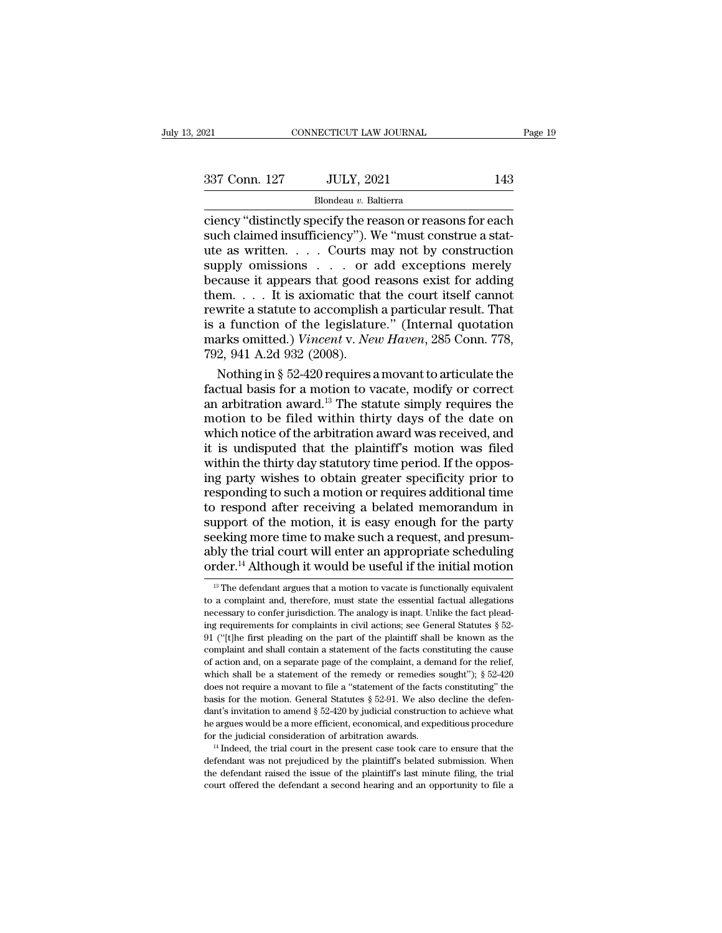| 121           | CONNECTICUT LAW JOURNAL |     | Page 19 |
|---------------|-------------------------|-----|---------|
|               |                         |     |         |
| 337 Conn. 127 | <b>JULY, 2021</b>       | 143 |         |
|               | Blondeau v. Baltierra   |     |         |

connectricut LAW JOURNAL Page 19<br>
337 Conn. 127 JULY, 2021 143<br>
Blondeau v. Baltierra<br>
ciency "distinctly specify the reason or reasons for each<br>
such claimed insufficiency"). We "must construe a stat-<br>
ute as written Cour 337 Conn. 127 JULY, 2021 143<br>Blondeau v. Baltierra<br>Ciency "distinctly specify the reason or reasons for each<br>such claimed insufficiency"). We "must construe a stat-<br>ute as written. . . . . Courts may not by construction<br>s 337 Conn. 127 JULY, 2021 143<br>Blondeau v. Baltierra<br>Ciency "distinctly specify the reason or reasons for each<br>such claimed insufficiency"). We "must construct a stat-<br>ute as written. . . . . Courts may not by construction<br> 337 Conn. 127 JULY, 2021 143<br>
Blondeau v. Baltierra<br>
ciency "distinctly specify the reason or reasons for each<br>
such claimed insufficiency"). We "must construe a stat-<br>
ute as written. . . . . Courts may not by constructi Blondeau v. Baltierra<br>
Elondeau v. Baltierra<br>
Such claimed insufficiency"). We "must construe a stat-<br>
ute as written. . . . . Courts may not by construction<br>
supply omissions . . . or add exceptions merely<br>
because it ap Blondeau v. Baltierra<br>
ciency "distinctly specify the reason or reasons for each<br>
such claimed insufficiency"). We "must construe a stat-<br>
ute as written. . . . Courts may not by construction<br>
supply omissions . . . or ad ciency "distinctly specify the reason or reasons for each<br>such claimed insufficiency"). We "must construe a stat-<br>ute as written. . . . Courts may not by construction<br>supply omissions . . . or add exceptions merely<br>becaus such claimed insufficiency"). We "must construe a stat-<br>ute as written. . . . Courts may not by construction<br>supply omissions . . . or add exceptions merely<br>because it appears that good reasons exist for adding<br>them. . . ute as written. . . . Courts may not by construction<br>supply omissions . . . or add exceptions merely<br>because it appears that good reasons exist for adding<br>them. . . . It is axiomatic that the court itself cannot<br>rewrite a supply omissions . . . . or a<br>because it appears that good if<br>them. . . . It is axiomatic tha<br>rewrite a statute to accomplish<br>is a function of the legislature<br>marks omitted.) *Vincent* v. *Net*<br>792, 941 A.2d 932 (2008).<br>N cause it appears that good reasons exist for adding<br>em. . . . It is axiomatic that the court itself cannot<br>write a statute to accomplish a particular result. That<br>a function of the legislature." (Internal quotation<br>arks o them. . . . It is axiomatic that the court itself cannot<br>rewrite a statute to accomplish a particular result. That<br>is a function of the legislature." (Internal quotation<br>marks omitted.) *Vincent* v. *New Haven*, 285 Conn.

rewrite a statute to accomplish a particular result. That<br>is a function of the legislature." (Internal quotation<br>marks omitted.) *Vincent v. New Haven*, 285 Conn. 778,<br>792, 941 A.2d 932 (2008).<br>Nothing in § 52-420 requires is a function of the legislature." (Internal quotation<br>marks omitted.) *Vincent v. New Haven*, 285 Conn. 778,<br>792, 941 A.2d 932 (2008).<br>Nothing in § 52-420 requires a movant to articulate the<br>factual basis for a motion to marks omitted.) *Vincent v. New Haven*, 285 Conn. 778,<br>792, 941 A.2d 932 (2008).<br>Nothing in § 52-420 requires a movant to articulate the<br>factual basis for a motion to vacate, modify or correct<br>an arbitration award.<sup>13</sup> Th 792, 941 A.2d 932 (2008).<br>
Nothing in § 52-420 requires a movant to articulate the<br>
factual basis for a motion to vacate, modify or correct<br>
an arbitration award.<sup>13</sup> The statute simply requires the<br>
motion to be filed wi Nothing in  $\S$  52-420 requires a movant to articulate the factual basis for a motion to vacate, modify or correct an arbitration award.<sup>13</sup> The statute simply requires the motion to be filed within thirty days of the date factual basis for a motion to vacate, modify or correct<br>an arbitration award.<sup>13</sup> The statute simply requires the<br>motion to be filed within thirty days of the date on<br>which notice of the arbitration award was received, and an arbitration award.<sup>13</sup> The statute simply requires the<br>motion to be filed within thirty days of the date on<br>which notice of the arbitration award was received, and<br>it is undisputed that the plaintiff's motion was filed<br> motion to be filed within thirty days of the date on<br>which notice of the arbitration award was received, and<br>it is undisputed that the plaintiff's motion was filed<br>within the thirty day statutory time period. If the opposwhich notice of the arbitration award was received, and<br>it is undisputed that the plaintiff's motion was filed<br>within the thirty day statutory time period. If the oppos-<br>ing party wishes to obtain greater specificity prior it is undisputed that the plaintiff's motion was filed<br>within the thirty day statutory time period. If the oppos-<br>ing party wishes to obtain greater specificity prior to<br>responding to such a motion or requires additional t within the thirty day statutory time period. If the opposing party wishes to obtain greater specificity prior to responding to such a motion or requires additional time to respond after receiving a belated memorandum in su ing party wishes to obtain greater specificity prior to<br>responding to such a motion or requires additional time<br>to respond after receiving a belated memorandum in<br>support of the motion, it is easy enough for the party<br>seek upport of the motion, it is easy enough for the party<br>eeking more time to make such a request, and presum-<br>oly the trial court will enter an appropriate scheduling<br>rder.<sup>14</sup> Although it would be useful if the initial moti seeking more time to make such a request, and presumably the trial court will enter an appropriate scheduling order.<sup>14</sup> Although it would be useful if the initial motion  $\frac{13}{13}$  The defendant argues that a motion to

dant's invitation to amend § 52-420 by judicial construction to achieve what<br>he argues would be a more efficient, economical, and expeditious procedure<br>for the judicial consideration of arbitration awards.<br><sup>14</sup> Indeed, th

ably the trial court will enter an appropriate scheduling order.<sup>14</sup> Although it would be useful if the initial motion  $\frac{13}{10}$  The defendant argues that a motion to vacate is functionally equivalent to a complaint and order.<sup>14</sup> Although it would be useful if the initial motion  $\frac{1}{18}$  The defendant argues that a motion to vacate is functionally equivalent to a complaint and, therefore, must state the essential factual allegations n  $^{13}$  The defendant argues that a motion to vacate is functionally equivalent<br>to a complaint and, therefore, must state the essential factual allegations<br>necessary to confer jurisdiction. The analogy is inapt. Unlike the <sup>13</sup> The defendant argues that a motion to vacate is functionally equivalent to a complaint and, therefore, must state the essential factual allegations necessary to confer jurisdiction. The analogy is inapt. Unlike the f In a complaint and, therefore, must state the essential factual allegations necessary to confer jurisdiction. The analogy is inapt. Unlike the fact pleading requirements for complaints in civil actions; see General Statute which shall be a statement of the remedy or remedies shall be known as the corresponding requirements for complaints in civil actions; see General Statutes § 52-91 ("[t]he first pleading on the part of the plaintiff shall ing requirements for complaints in civil actions; see General Statutes § 52-<br>91 ("[t]he first pleading on the part of the plaintiff shall be known as the<br>complaint and shall contain a statement of the facts constituting t and  $91$  ("[t]he first pleading on the part of the plaintiff shall be known as the complaint and shall contain a statement of the facts constituting the cause of action and, on a separate page of the complaint, a demand f complaint and shall contain a statement of the facts constituting the cause<br>of action and, on a separate page of the complaint, a demand for the relief,<br>which shall be a statement of the remedy or remedies sought");  $\S 52$ of action and, on a separate page of the complaint, a demand for the relief, which shall be a statement of the remedy or remedies sought"); § 52-420 does not require a movant to file a "statement of the facts constituting which shall be a statement of the remedy or remedies sought"); § 52-420 does not require a movant to file a "statement of the facts constituting" the basis for the motion. General Statutes § 52-91. We also decline the def basis for the motion. General Statutes  $\S$  52-91. We also decline the defendant's invitation to amend  $\S$  52-420 by judicial construction to achieve what he argues would be a more efficient, economical, and expeditious pr he argues would be a more efficient, economical, and expeditious procedure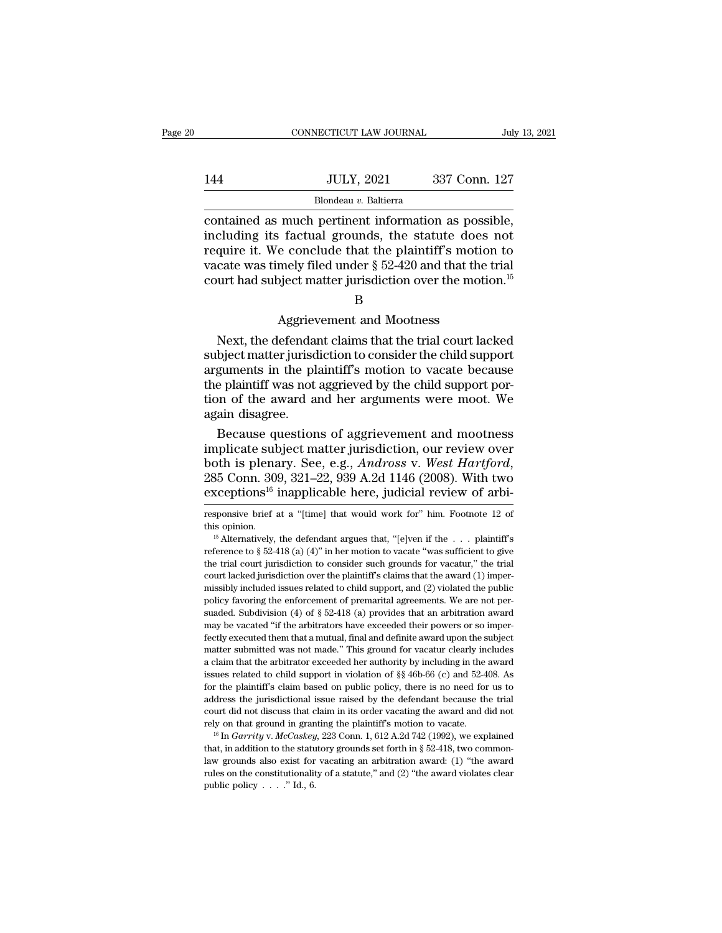|     | CONNECTICUT LAW JOURNAL | July 13, 2021 |
|-----|-------------------------|---------------|
|     |                         |               |
| 144 | <b>JULY, 2021</b>       | 337 Conn. 127 |
|     | Blondeau v. Baltierra   |               |

CONNECTICUT LAW JOURNAL July 13, 2<br>
144 JULY, 2021 337 Conn. 127<br>
Blondeau v. Baltierra<br>
contained as much pertinent information as possible,<br>
including its factual grounds, the statute does not<br>
require it We conclude tha IMEX, 2021 337 Conn. 127<br>
Blondeau v. Baltierra<br>
Contained as much pertinent information as possible,<br>
including its factual grounds, the statute does not<br>
require it. We conclude that the plaintiff's motion to<br>
vacate was 144 JULY, 2021 337 Conn. 127<br>Blondeau v. Baltierra<br>contained as much pertinent information as possible,<br>including its factual grounds, the statute does not<br>require it. We conclude that the plaintiff's motion to<br>vacate was Vacation 144<br>
Vacation 127<br>
Blondeau v. Baltierra<br>
Contained as much pertinent information as possible,<br>
including its factual grounds, the statute does not<br>
require it. We conclude that the plaintiff's motion to<br>
vacate Blondeau v. Baltierra<br>
contained as much pertinent information as possible,<br>
including its factual grounds, the statute does not<br>
require it. We conclude that the plaintiff's motion to<br>
vacate was timely filed under § 52-Franchi momation as possisted in the statute does<br>a conclude that the plaintiff's motion<br>mely filed under  $\S~52-420$  and that the pject matter jurisdiction over the motion<br>B<br>Aggrievement and Mootness<br>efendant claims that quire it. We conclude that the plaintiff's motion to<br>cate was timely filed under § 52-420 and that the trial<br>urt had subject matter jurisdiction over the motion.<sup>15</sup><br>B<br>Aggrievement and Mootness<br>Next, the defendant claims t

# B

vacate was timely filed under  $\S~52-420$  and that the trial<br>court had subject matter jurisdiction over the motion.<sup>15</sup><br>B<br>Aggrievement and Mootness<br>Next, the defendant claims that the trial court lacked<br>subject matter juri court had subject matter jurisdiction over the motion.<sup>15</sup><br>B<br>Aggrievement and Mootness<br>Next, the defendant claims that the trial court lacked<br>subject matter jurisdiction to consider the child support<br>arguments in the plain B<br>
Aggrievement and Mootness<br>
Next, the defendant claims that the trial court lacked<br>
subject matter jurisdiction to consider the child support<br>
arguments in the plaintiff's motion to vacate because<br>
the plaintiff was not Aggrievement and Mootness<br>Next, the defendant claims that the trial court lacked<br>subject matter jurisdiction to consider the child support<br>arguments in the plaintiff's motion to vacate because<br>the plaintiff was not aggriev Aggriev<br>
Next, the defenda<br>
subject matter jurisd<br>
arguments in the pl<br>
the plaintiff was not<br>
tion of the award a<br>
again disagree.<br>
Because question Next, the defendant claims that the trial court lacked<br>bject matter jurisdiction to consider the child support<br>guments in the plaintiff's motion to vacate because<br>e plaintiff was not aggrieved by the child support por-<br>on subject matter jurisdiction to consider the child support<br>arguments in the plaintiff's motion to vacate because<br>the plaintiff was not aggrieved by the child support por-<br>tion of the award and her arguments were moot. We<br>ag

arguments in the plaintiff's motion to vacate because<br>the plaintiff was not aggrieved by the child support por-<br>tion of the award and her arguments were moot. We<br>again disagree.<br>Because questions of aggrievement and mootne tion of the award and her arguments were moot. We<br>again disagree.<br>Because questions of aggrievement and mootness<br>implicate subject matter jurisdiction, our review over<br>both is plenary. See, e.g., *Andross v. West Hartford* implicate subject matter jurisdiction, our review over<br>both is plenary. See, e.g., *Andross v. West Hartford*,<br>285 Conn. 309, 321–22, 939 A.2d 1146 (2008). With two<br>exceptions<sup>16</sup> inapplicable here, judicial review of arbi both is plenary. See, e.g., *Andross* v. *West Hartford*, 285 Conn. 309, 321–22, 939 A.2d 1146 (2008). With two exceptions<sup>16</sup> inapplicable here, judicial review of arbi-<br>responsive brief at a "[time] that would work for"

exceptions<sup>16</sup> inapplicable here, judicial review of arbi-<br>esponsive brief at a "[time] that would work for" him. Footnote 12 of<br>this opinion.<br><sup>15</sup> Alternatively, the defendant argues that, "[e]ven if the ... plaintiff's<br> exceptions Trial court intereducement in the trial court interesting the defendant argues that, "[e]ven if the  $\ldots$  plaintiff's such this opinion.<br>
<sup>15</sup> Alternatively, the defendant argues that, "[e]ven if the  $\ldots$  plain responsive brief at a "[time] that would work for" him. Footnote 12 of<br>this opinion.<br><sup>15</sup> Alternatively, the defendant argues that, "[e]ven if the  $\ldots$  plaintiff's<br>reference to § 52-418 (a) (4)" in her motion to vacate " this opinion.<br>
<sup>15</sup> Alternatively, the defendant argues that, "[e]ven if the . . . plaintiff's<br>
reference to § 52-418 (a) (4)" in her motion to vacate "was sufficient to give<br>
the trial court jurisdiction to consider such <sup>15</sup> Alternatively, the defendant argues that, "[e]ven if the  $\ldots$  plaintiff's reference to § 52-418 (a) (4)" in her motion to vacate "was sufficient to give the trial court jurisdiction to consider such grounds for vaca reference to § 52-418 (a) (4)" in her motion to vacate "was sufficient to give the trial court jurisdiction to consider such grounds for vacatur," the trial court lacked jurisdiction over the plaintiff's claims that the a the trial court jurisdiction to consider such grounds for vacatur," the trial court lacked jurisdiction over the plaintiff's claims that the award (1) imper-<br>missibly included issues related to child support, and (2) viol fectly included issues related to child support, and (2) violated the public mover lacked jurisdiction over the plaintiff's claims that the award (1) impermissibly included issues related to child support, and (2) violate missibly included issues related to child support, and (2) violated the public<br>missibly included issues related to child support, and (2) violated the public<br>policy favoring the enforcement of premarital agreements. We ar policy favoring the enforcement of premarital agreements. We are not per-<br>suaded. Subdivision (4) of § 52-418 (a) provides that an arbitration award<br>may be vacated "if the arbitrators have exceeded their powers or so impe suaded. Subdivision (4) of §§2-418 (a) provides that an arbitration award may be vacated "if the arbitrators have exceeded their powers or so imperfectly executed them that a mutual, final and definite award upon the subj may be vacated "if the arbitrators have exceeded their powers or so imperfectly executed them that a mutual, final and definite award upon the subject matter submitted was not made." This ground for vacatur clearly includ fectly executed them that a mutual, final and definite award upon the subject matter submitted was not made." This ground for vacatur clearly includes a claim that the arbitrator exceeded her authority by including in the matter submitted was not made." This ground for vacatur clearly includes a claim that the arbitrator exceeded her authority by including in the award issues related to child support in violation of  $\S$  46b-66 (c) and 52-4 rely and the arbitrator exceeded her authority by including in the award issues related to child support in violation of  $\S$  46b-66 (c) and 52-408. As for the plaintiff's claim based on public policy, there is no need for issues related to child support in violation of §§ 46b-66 (c) and 52-408. As<br>for the plaintiff's claim based on public policy, there is no need for us to<br>address the jurisdictional issue raised by the defendant because th rely on that ground in granting the plaintiff's motion to vacate.

Exist for vacating and and in stating the defendant because the trial court did not discuss that claim in its order vacating the award and did not rely on that ground in granting the plaintiff's motion to vacate.<br><sup>16</sup> In court did not discuss that claim in its order vacating the award and did not rely on that ground in granting the plaintiff's motion to vacate.<br><sup>16</sup> In *Garrity v. McCaskey*, 223 Conn. 1, 612 A.2d 742 (1992), we explained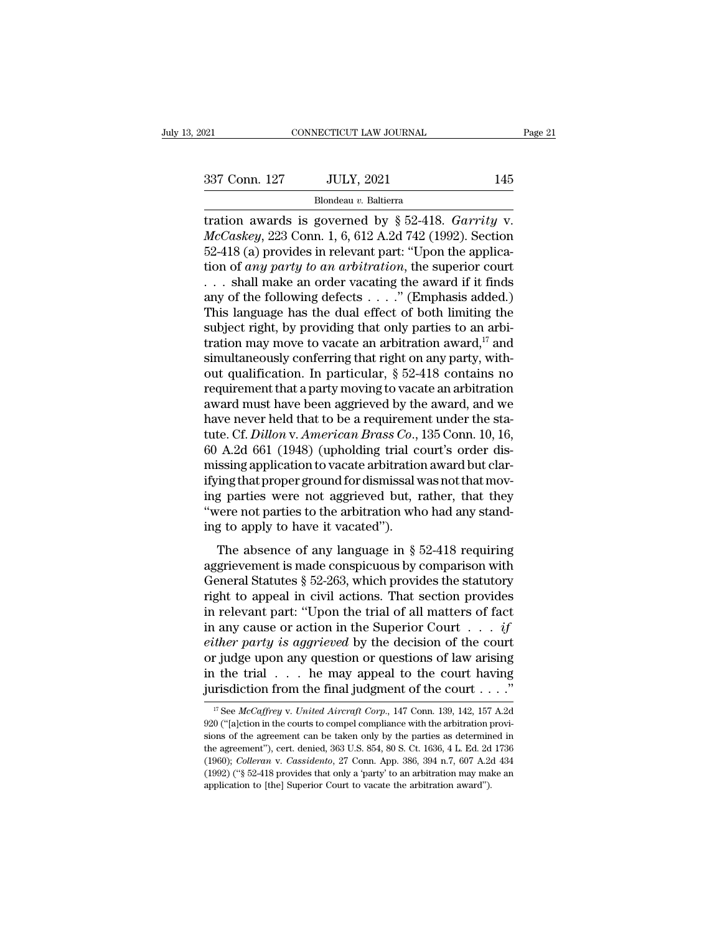Fage 21<br>
The CONNECTICUT LAW JOURNAL<br>
Blondeau v. Baltierra<br>
Tration awards is governed by § 52-418. *Garrity* v.<br>
McCaskey, 223 Conn. 1, 6, 612 A.2d 742 (1992). Section<br>
52.418 (a) provides in relevant part: "Upon the app *Maccaskey*, 223 Conn. 127 *JULY*, 2021 145<br> *McCaskey*, 223 Conn. 1, 6, 612 A.2d 742 (1992). Section<br> *McCaskey*, 223 Conn. 1, 6, 612 A.2d 742 (1992). Section<br>
52-418 (a) provides in relevant part: "Upon the application o 337 Conn. 127 JULY, 2021 145<br>
Blondeau v. Baltierra<br>
tration awards is governed by  $\S$  52-418. *Garrity* v.<br> *McCaskey*, 223 Conn. 1, 6, 612 A.2d 742 (1992). Section<br>
52-418 (a) provides in relevant part: "Upon the applic 337 Conn. 127 JULY, 2021 145<br>
Blondeau v. Baltierra<br>
tration awards is governed by § 52-418. *Garrity* v.<br> *McCaskey*, 223 Conn. 1, 6, 612 A.2d 742 (1992). Section<br>
52-418 (a) provides in relevant part: "Upon the applica-<br> Blondeau v. Baltierra<br>
tration awards is governed by § 52-418. *Garrity* v.<br> *McCaskey*, 223 Conn. 1, 6, 612 A.2d 742 (1992). Section<br>
52-418 (a) provides in relevant part: "Upon the applica-<br>
tion of *any party to an arb* Blondeau v. Baltierra<br>
tration awards is governed by § 52-418. *Garrity* v.<br> *McCaskey*, 223 Conn. 1, 6, 612 A.2d 742 (1992). Section<br>
52-418 (a) provides in relevant part: "Upon the applica-<br>
tion of *any party to an arb* tration awards is governed by § 52-418. *Garrity* v.<br> *McCaskey*, 223 Conn. 1, 6, 612 A.2d 742 (1992). Section<br>
52-418 (a) provides in relevant part: "Upon the applica-<br>
tion of *any party to an arbitration*, the superior McCaskey, 223 Conn. 1, 6, 612 A.2d 742 (1992). Section 52-418 (a) provides in relevant part: "Upon the application of *any party to an arbitration*, the superior court . . . shall make an order vacating the award if it fi 52-418 (a) provides in relevant part: "Upon the application of *any party to an arbitration*, the superior court . . . . shall make an order vacating the award if it finds any of the following defects . . . . " (Emphasis tion of *any party to an arbitration*, the superior court<br>
... shall make an order vacating the award if it finds<br>
any of the following defects ...." (Emphasis added.)<br>
This language has the dual effect of both limiting t . . . shall make an order vacating the award if it finds<br>any of the following defects . . . . ." (Emphasis added.)<br>This language has the dual effect of both limiting the<br>subject right, by providing that only parties to an any of the following defects . . . . ." (Emphasis added.)<br>This language has the dual effect of both limiting the<br>subject right, by providing that only parties to an arbitration may move to vacate an arbitration award,<sup>17</sup> This language has the dual effect of both limiting the<br>subject right, by providing that only parties to an arbi-<br>tration may move to vacate an arbitration award, <sup>17</sup> and<br>simultaneously conferring that right on any party, subject right, by providing that only parties to an arbitration may move to vacate an arbitration award,<sup>17</sup> and simultaneously conferring that right on any party, without qualification. In particular, § 52-418 contains n tration may move to vacate an arbitration award,<sup>17</sup> and<br>simultaneously conferring that right on any party, with-<br>out qualification. In particular, § 52-418 contains no<br>requirement that a party moving to vacate an arbitrat simultaneously conferring that right on any party, without qualification. In particular,  $\S 52-418$  contains no requirement that a party moving to vacate an arbitration award must have been aggrieved by the award, and we out qualification. In particular,  $\S$  52-418 contains no<br>requirement that a party moving to vacate an arbitration<br>award must have been aggrieved by the award, and we<br>have never held that to be a requirement under the starequirement that a party moving to vacate an arbitration<br>award must have been aggrieved by the award, and we<br>have never held that to be a requirement under the sta-<br>tute. Cf. *Dillon* v. *American Brass Co.*, 135 Conn. 10, award must have been aggrieved by the award, and we<br>have never held that to be a requirement under the sta-<br>tute. Cf. *Dillon* v. *American Brass Co.*, 135 Conn. 10, 16,<br>60 A.2d 661 (1948) (upholding trial court's order di have never held that to be a requirement under the statute. Cf. *Dillon* v. *American Brass Co.*, 135 Conn. 10, 16, 60 A.2d 661 (1948) (upholding trial court's order dismissing application to vacate arbitration award but c tute. Cf. *Dillon* v. *American Brass Co.*, 60 A.2d 661 (1948) (upholding trial comissing application to vacate arbitration ifying that proper ground for dismissal v ing parties were not aggrieved but, r "were not parties The absence of any language in § 52-418 requiring<br>the absence of any language in  $\frac{1}{2}$  ratios were not aggrieved but, rather, that they<br>vere not parties to the arbitration who had any stand-<br>g to apply to have it vaca Filiping that proper ground for dismissal was not that moving<br>if ying that proper ground for dismissal was not that mov-<br>ing parties were not aggrieved but, rather, that they<br>"were not parties to the arbitration who had a

Hying that proper ground for dishlassar was not that they<br>
"were not parties to the arbitration who had any stand-<br>
ing to apply to have it vacated").<br>
The absence of any language in § 52-418 requiring<br>
aggrievement is mad right to apply to have it vacated").<br>
"were not parties to the arbitration who had any stand-<br>
ing to apply to have it vacated").<br>
The absence of any language in § 52-418 requiring<br>
aggrievement is made conspicuous by com ing to apply to have it vacated").<br>
The absence of any language in § 52-418 requiring<br>
aggrievement is made conspicuous by comparison with<br>
General Statutes § 52-263, which provides the statutory<br>
right to appeal in civil The absence of any language in § 52-418 requiring<br>aggrievement is made conspicuous by comparison with<br>General Statutes § 52-263, which provides the statutory<br>right to appeal in civil actions. That section provides<br>in rele The absence of any language in § 52-418 requiring<br>aggrievement is made conspicuous by comparison with<br>General Statutes § 52-263, which provides the statutory<br>right to appeal in civil actions. That section provides<br>in rele aggrievement is made conspicuous by comparison with<br>General Statutes § 52-263, which provides the statutory<br>right to appeal in civil actions. That section provides<br>in relevant part: "Upon the trial of all matters of fact<br> General Statutes § 52-263, which provides the statutory<br>right to appeal in civil actions. That section provides<br>in relevant part: "Upon the trial of all matters of fact<br>in any cause or action in the Superior Court  $\ldots$  right to appeal in civil actions. That section provides<br>in relevant part: "Upon the trial of all matters of fact<br>in any cause or action in the Superior Court . . . *if*<br>*either party is aggrieved* by the decision of the c ther party is aggrieved by the decision of the court<br>
r judge upon any question or questions of law arising<br>
i the trial . . . . he may appeal to the court having<br>
risdiction from the final judgment of the court . . . ."<br> or judge upon any question or questions of law arising<br>in the trial . . . he may appeal to the court having<br>jurisdiction from the final judgment of the court . . . ."<br><sup>17</sup> See *McCaffrey* v. *United Aircraft Corp.*, 147 C

in the trial . . . he may appeal to the court having<br>jurisdiction from the final judgment of the court . . . ."<br> $\frac{17}{17}$  See *McCaffrey v. United Aircraft Corp.*, 147 Conn. 139, 142, 157 A.2d<br>920 ("[a]ction in the cour jurisdiction from the final judgment of the court  $\cdot \cdot \cdot$ ."<br>
<sup>IT</sup> See *McCaffrey* v. *United Aircraft Corp.*, 147 Conn. 139, 142, 157 A.2d<br>
920 ("[a]ction in the courts to compel compliance with the arbitration provision <sup>17</sup> See *McCaffrey* v. *United Aircraft Corp.*, 147 Conn. 139, 142, 157 A.2d 920 ("[a]ction in the courts to compel compliance with the arbitration provisions of the agreement can be taken only by the parties as determine <sup>17</sup> See *McCaffrey* v. *United Aircraft Corp.*, 147 Conn. 139, 142, 157 A.2d 920 ("[a]ction in the courts to compel compliance with the arbitration provisions of the agreement can be taken only by the parties as determin 920 ("[a]ction in the courts to compel compliance with the arbitration provisions of the agreement can be taken only by the parties as determined in the agreement"), cert. denied, 363 U.S. 854, 80 S. Ct. 1636, 4 L. Ed. 2d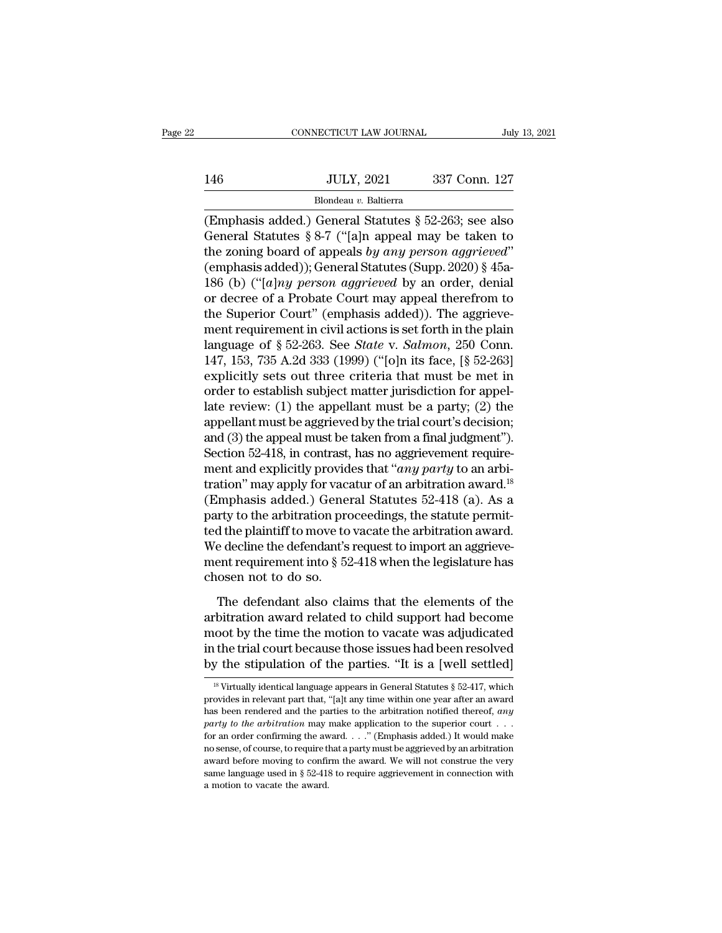# $\begin{tabular}{c} \multicolumn{2}{c|}{\text{CONNECTICUT LAW JOURNAL}} & July 13, 2021 \\ \cline{2-2} \multicolumn{2}{c|}{\text{July 13, 2021}} & \multicolumn{2}{c|}{\text{July 13, 2021}} \\ \cline{2-2} \multicolumn{2}{c|}{\text{July 13, 2021}} & 337 \text{ Conn. } 127 \\ \cline{2-2} \multicolumn{2}{c|}{\text{Blondeau $v$. } \text{ Baltimore}} & \multicolumn{2}{c|}{\text{Blondeau $v$. } \text{ } \text{ } \text{Bufferra}} \end{tabular$ Blondeau *v.* Baltierra

# CONNECTICUT LAW JOURNAL July 13, 2021<br>146 JULY, 2021 337 Conn. 127<br>Blondeau v. Baltierra<br>(Emphasis added.) General Statutes § 52-263; see also<br>General Statutes § 8-7 ("[a]n appeal may be taken to 146 JULY, 2021 337 Conn. 127<br>Blondeau v. Baltierra<br>(Emphasis added.) General Statutes § 52-263; see also<br>General Statutes § 8-7 ("[a]n appeal may be taken to<br>the zoning board of appeals by any person aggrieved"<br>(omphasis 146 JULY, 2021 337 Conn. 127<br>Blondeau *v*. Baltierra<br>(Emphasis added.) General Statutes § 52-263; see also<br>General Statutes § 8-7 ("[a]n appeal may be taken to<br>the zoning board of appeals *by any person aggrieved*"<br>(empha Blondeau v. Baltierra<br>
(Emphasis added.) General Statutes § 52-263; see also<br>
General Statutes § 8-7 ("[a]n appeal may be taken to<br>
the zoning board of appeals by any person aggrieved"<br>
(emphasis added)); General Statutes **Example 3** Bondeau *v*. Battera<br>
(Emphasis added.) General Statutes § 52-263; see also<br>
General Statutes § 8-7 ("[a]n appeal may be taken to<br>
the zoning board of appeals by any person aggrieved"<br>
(emphasis added)); Gener (Emphasis added.) General Statutes § 52-263; see also<br>General Statutes § 8-7 ("[a]n appeal may be taken to<br>the zoning board of appeals by any person aggrieved"<br>(emphasis added)); General Statutes (Supp. 2020) § 45a-<br>186 ( General Statutes § 8-7 ("[a]n appeal may be taken to<br>the zoning board of appeals by any person aggrieved"<br>(emphasis added)); General Statutes (Supp. 2020) § 45a-<br>186 (b) ("[a]ny person aggrieved by an order, denial<br>or dec the zoning board of appeals by any person aggrieved"<br>(emphasis added)); General Statutes (Supp. 2020) § 45a-<br>186 (b) ("[a]ny person aggrieved by an order, denial<br>or decree of a Probate Court may appeal therefrom to<br>the Sup (emphasis added)); General Statutes (Supp. 2020) § 45a-186 (b) ("[*a*]*ny person aggrieved* by an order, denial or decree of a Probate Court may appeal therefrom to the Superior Court" (emphasis added)). The aggrievement 186 (b) ("[*a]ny person aggrieved* by an order, denial<br>or decree of a Probate Court may appeal therefrom to<br>the Superior Court" (emphasis added)). The aggrieve-<br>ment requirement in civil actions is set forth in the plain<br> or decree of a Probate Court may appeal therefrom to<br>the Superior Court" (emphasis added)). The aggrieve-<br>ment requirement in civil actions is set forth in the plain<br>language of § 52-263. See *State* v. *Salmon*, 250 Conn the Superior Court" (emphasis added)). The aggrieve-<br>ment requirement in civil actions is set forth in the plain<br>language of § 52-263. See *State* v. *Salmon*, 250 Conn.<br>147, 153, 735 A.2d 333 (1999) ("[o]n its face, [§ 5 ment requirement in civil actions is set forth in the plain<br>language of § 52-263. See *State* v. *Salmon*, 250 Conn.<br>147, 153, 735 A.2d 333 (1999) ("[o]n its face, [§ 52-263]<br>explicitly sets out three criteria that must b language of § 52-263. See *State* v. *Salmon*, 250 Conn.<br>147, 153, 735 A.2d 333 (1999) ("[o]n its face, [§ 52-263]<br>explicitly sets out three criteria that must be met in<br>order to establish subject matter jurisdiction for 147, 153, 735 A.2d 333 (1999) ("[o]n its face, [§ 52-263] explicitly sets out three criteria that must be met in order to establish subject matter jurisdiction for appellate review: (1) the appellant must be a party; (2) explicitly sets out three criteria that must be met in<br>order to establish subject matter jurisdiction for appel-<br>late review: (1) the appellant must be a party; (2) the<br>appellant must be aggrieved by the trial court's deci order to establish subject matter jurisdiction for appel-<br>late review: (1) the appellant must be a party; (2) the<br>appellant must be aggrieved by the trial court's decision;<br>and (3) the appeal must be taken from a final ju late review: (1) the appellant must be a party; (2) the<br>appellant must be aggrieved by the trial court's decision;<br>and (3) the appeal must be taken from a final judgment").<br>Section 52-418, in contrast, has no aggrievement appellant must be aggrieved by the trial court's decision;<br>and (3) the appeal must be taken from a final judgment").<br>Section 52-418, in contrast, has no aggrievement require-<br>ment and explicitly provides that "*any party* and (3) the appeal must be taken from a final judgment").<br>Section 52-418, in contrast, has no aggrievement requirement and explicitly provides that "*any party* to an arbitration" may apply for vacatur of an arbitration a Section 52-418, in contrast, has no aggrievement requirement and explicitly provides that "*any party* to an arbitration" may apply for vacatur of an arbitration award.<sup>18</sup> (Emphasis added.) General Statutes 52-418 (a). A ment and explicitly provides that "*any party* to an arbitration" may apply for vacatur of an arbitration award.<sup>18</sup> (Emphasis added.) General Statutes 52-418 (a). As a party to the arbitration proceedings, the statute pe tration" may apply for vaca<br>(Emphasis added.) Gener<br>party to the arbitration pro<br>ted the plaintiff to move to<br>We decline the defendant's<br>ment requirement into § 52<br>chosen not to do so.<br>The defendant also clai The defendant also claims that the elements of the element-<br>although the plaintiff to move to vacate the arbitration award.<br>Executive defendant's request to import an aggrieve-<br>ent requirement into  $\S 52-418$  when the leg Finally to the plaintiff to move to vacate the arbitration award.<br>We decline the defendant's request to import an aggrieve-<br>ment requirement into § 52-418 when the legislature has<br>chosen not to do so.<br>The defendant also cl

We decline the defendant's request to import an aggrieve-<br>ment requirement into  $\S$  52-418 when the legislature has<br>chosen not to do so.<br>The defendant also claims that the elements of the<br>arbitration award related to chil in the trial court into  $\S$  52-418 when the legislature has<br>chosen not to do so.<br>The defendant also claims that the elements of the<br>arbitration award related to child support had become<br>moot by the time the motion to vaca The defendant also claims that the elements of the arbitration award related to child support had become moot by the time the motion to vacate was adjudicated in the trial court because those issues had been resolved by t 18 Yirtually identical language appears in General Statutes § 52-417, which wides in relevant part that, "[a]t any time within one year after an award ovides in relevant part that, "[a]t any time within one year after an moot by the time the motion to vacate was adjudicated<br>in the trial court because those issues had been resolved<br>by the stipulation of the parties. "It is a [well settled]<br><sup>18</sup> Virtually identical language appears in Gener

in the trial court because those issues had been resolved<br>by the stipulation of the parties. "It is a [well settled]<br><sup>18</sup> Virtually identical language appears in General Statutes  $\S 52-417$ , which<br>provides in relevant par by the stipulation of the parties. "It is a [well settled]<br><sup>18</sup> Virtually identical language appears in General Statutes § 52-417, which<br>provides in relevant part that, "[a]t any time within one year after an award<br>has bee for an order confirming the award. . . .'' (Emphasis added.) It would make <sup>18</sup> Virtually identical language appears in General Statutes § 52-417, which<br>provides in relevant part that, "[a]t any time within one year after an award<br>has been rendered and the parties to the arbitration notified the provides in relevant part that, "[a]t any time within one year after an award has been rendered and the parties to the arbitration notified thereof, *any* party to the arbitration may make application to the superior cour From the method and the parties to the arbitration notified thereof, any party to the arbitration may make application to the superior court . . . . for an order confirming the award. . . . " (Emphasis added.) It would ma party to the arbitration may make application to the superior court . . . for an order confirming the award. . . ." (Emphasis added.) It would make no sense, of course, to require that a party must be aggrieved by an arbi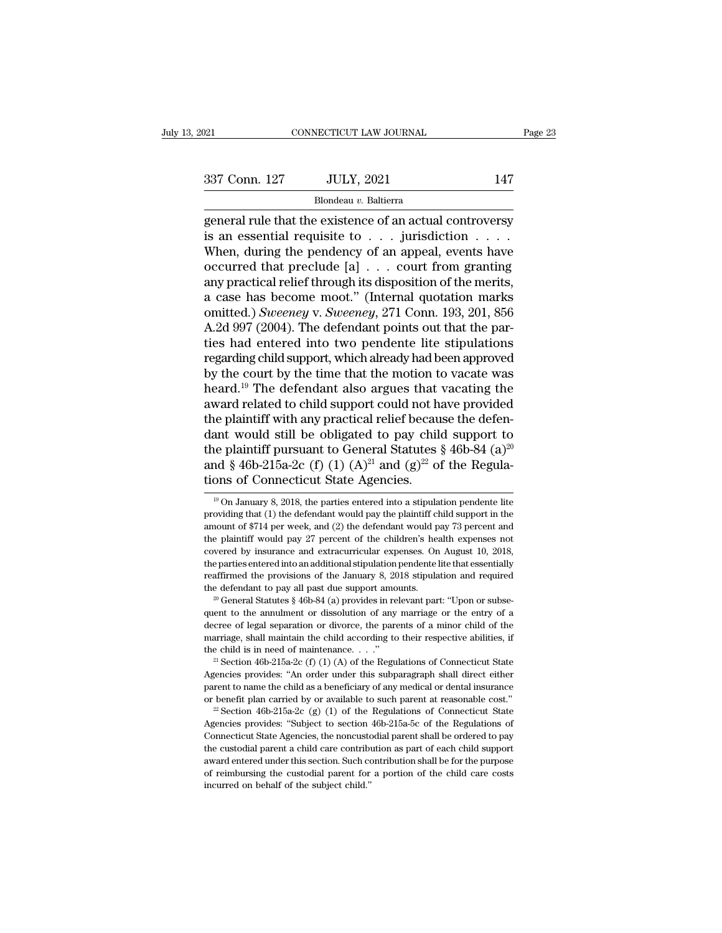Page 23<br>
general rule that the existence of an actual controversy<br>
is an essential requisite to . . . jurisdiction . . . .<br>
When during the pendency of an appeal events have 337 Conn. 127 JULY, 2021 147<br>Blondeau v. Baltierra<br>general rule that the existence of an actual controversy<br>is an essential requisite to . . . jurisdiction . . . .<br>When, during the pendency of an appeal, events have<br>occurr  $\begin{array}{c|c} \text{337 Conn. 127} & \text{JULY, 2021} & \text{147} \\ \hline \text{Blondeau } v. \text{ Baltimore} \end{array}$ <br>general rule that the existence of an actual controversy<br>is an essential requisite to . . . jurisdiction . . . .<br>When, during the pendency of an appeal 337 Conn. 127 JULY, 2021 147<br>
Blondeau v. Baltierra<br>
general rule that the existence of an actual controversy<br>
is an essential requisite to . . . jurisdiction . . . .<br>
When, during the pendency of an appeal, events have<br> Blondeau v. Baltierra<br>
general rule that the existence of an actual controversy<br>
is an essential requisite to . . . jurisdiction . . . .<br>
When, during the pendency of an appeal, events have<br>
occurred that preclude  $[a]$  . Blondeau v. Baltierra<br>
general rule that the existence of an actual controversy<br>
is an essential requisite to . . . jurisdiction . . . .<br>
When, during the pendency of an appeal, events have<br>
occurred that preclude [a] . . general rule that the existence of an actual controversy<br>is an essential requisite to . . . jurisdiction . . . .<br>When, during the pendency of an appeal, events have<br>occurred that preclude [a] . . . court from granting<br>any is an essential requisite to  $\ldots$  jurisdiction  $\ldots$ . When, during the pendency of an appeal, events have occurred that preclude [a]  $\ldots$  court from granting any practical relief through its disposition of the merits, a When, during the pendency of an appeal, events have<br>occurred that preclude  $[a]$  . . . court from granting<br>any practical relief through its disposition of the merits,<br>a case has become moot." (Internal quotation marks<br>omit occurred that preclude [a]  $\ldots$  court from granting<br>any practical relief through its disposition of the merits,<br>a case has become moot." (Internal quotation marks<br>omitted.) *Sweeney* v. *Sweeney*, 271 Conn. 193, 201, 856 any practical relief through its disposition of the merits,<br>a case has become moot." (Internal quotation marks<br>omitted.) *Sweeney* v. *Sweeney*, 271 Conn. 193, 201, 856<br>A.2d 997 (2004). The defendant points out that the pa a case has become moot." (Internal quotation marks<br>omitted.) *Sweeney* v. *Sweeney*, 271 Conn. 193, 201, 856<br>A.2d 997 (2004). The defendant points out that the par-<br>ties had entered into two pendente lite stipulations<br>rega omitted.) *Sweeney* v. *Sweeney*, 271 Conn. 193, 201, 856<br>A.2d 997 (2004). The defendant points out that the par-<br>ties had entered into two pendente lite stipulations<br>regarding child support, which already had been approve A.2d 997 (2004). The defendant points out that the parties had entered into two pendente lite stipulations regarding child support, which already had been approved by the court by the time that the motion to vacate was he ties had entered into two pendente lite stipulations<br>regarding child support, which already had been approved<br>by the court by the time that the motion to vacate was<br>heard.<sup>19</sup> The defendant also argues that vacating the<br>a regarding child support, which already had been approved<br>by the court by the time that the motion to vacate was<br>heard.<sup>19</sup> The defendant also argues that vacating the<br>award related to child support could not have provided by the court by the time that the motion to vacate was<br>heard.<sup>19</sup> The defendant also argues that vacating the<br>award related to child support could not have provided<br>the plaintiff with any practical relief because the defe heard.<sup>19</sup> The defendant also argues that<br>award related to child support could not h<br>the plaintiff with any practical relief becau<br>dant would still be obligated to pay chil<br>the plaintiff pursuant to General Statutes<br>and § ant would still be obligated to pay child support to<br>the plaintiff pursuant to General Statutes § 46b-84 (a)<sup>20</sup><br>and § 46b-215a-2c (f) (1) (A)<sup>21</sup> and (g)<sup>22</sup> of the Regula-<br>ons of Connecticut State Agencies.<br><sup>19</sup> On Janu the plaintiff pursuant to General Statutes § 46b-84 (a)<sup>20</sup> and § 46b-215a-2c (f) (1) (A)<sup>21</sup> and (g)<sup>22</sup> of the Regulations of Connecticut State Agencies.<br><sup>19</sup> On January 8, 2018, the parties entered into a stipulation p

decree of legal separation or divorce, the parents of a minor child of the marriage, shall maintain the child according to their respective abilities, if the child is in need of maintenance. . . ."<br><sup>21</sup> Section 46b-215a-2 marriage, shall maintain the child according to their respective abilities, if the child is in need of maintenance...."<br>
<sup>21</sup> Section 46b-215a-2c (f) (1) (A) of the Regulations of Connecticut State Agencies provides: "An <sup>21</sup> Section 46b-215a-2c (f) (1) (A) of the Regulations of Connecticut State Agencies provides: "An order under this subparagraph shall direct either parent to name the child as a beneficiary of any medical or dental insu

Agencies provides: "An order under this subparagraph shall direct either<br>parent to name the child as a beneficiary of any medical or dental insurance<br>or benefit plan carried by or available to such parent at reasonable co parent to name the child as a beneficiary of any medical or dental insurance<br>or benefit plan carried by or available to such parent at reasonable cost."<br> $22$  Section 46b-215a-2c (g) (1) of the Regulations of Connecticut S For benefit plan carried by or available to such parent at reasonable cost."<br>
<sup>22</sup> Section 46b-215a-2c (g) (1) of the Regulations of Connecticut State<br>
Agencies provides: "Subject to section 46b-215a-5c of the Regulations <sup>22</sup> Section 46b-215a-2c (g) (1) of the Regulations of Connecticut State Agencies provides: "Subject to section 46b-215a-5c of the Regulations of Connecticut State Agencies: "Subject to section 46b-215a-5c of the Regulati Agencies provides: "Subject to section<br>Connecticut State Agencies, the noncust<br>Connecticut State Agencies, the noncust<br>the custodial parent a child care contribi<br>award entered under this section. Such co<br>of reimbursing the

and § 46b-215a-2c (f) (1) (A)<sup>21</sup> and (g)<sup>22</sup> of the Regulations of Connecticut State Agencies.<br>
<sup>19</sup> On January 8, 2018, the parties entered into a stipulation pendente lite providing that (1) the defendant would pay the tions of Connecticut State Agencies.<br>
<sup>19</sup> On January 8, 2018, the parties entered into a stipulation pendente lite<br>
providing that (1) the defendant would pay the plaintiff child support in the<br>
amount of \$714 per week, LIOHS OF COHHECTICUL STATE AgeNCIES.<br>
<sup>19</sup> On January 8, 2018, the parties entered into a stipulation pendente lite<br>
providing that (1) the defendant would pay the plaintiff child support in the<br>
amount of \$714 per week, <sup>19</sup> On January 8, 2018, the parties entered into a stipulation pendente lite providing that (1) the defendant would pay the plaintiff child support in the amount of \$714 per week, and (2) the defendant would pay 73 perce providing that (1) the defendant would pay the plaintiff child support in the amount of \$714 per week, and (2) the defendant would pay 73 percent and the plaintiff would pay 27 percent of the children's health expenses no amount of \$714 per week, and (2) the defendant would pay 73 percent and the plaintiff would pay 27 percent of the children's health expenses not covered by insurance and extracurricular expenses. On August 10, 2018, the p covered by insurance and extracurricular expenses. On August 10, 2018, the parties entered into an additional stipulation pendente lite that essentially reaffirmed the provisions of the January 8, 2018 stipulation and req

the parties entered into an additional stipulation pendente lite that essentially reaffirmed the provisions of the January 8, 2018 stipulation and required the defendant to pay all past due support amounts.<br><sup>20</sup> General St marriage, shall maintain the child according to their respective abilities, if the child according to the samulties, if the child according to their respective abilities, if the child is in need of maintain the child acco the defendant to pay all past due support amounts.<br>
<sup>20</sup> General Statutes § 46b-84 (a) provides in relevant part: "Upon or subsequent to the annulment or dissolution of any marriage or the entry of a decree of legal separ quent to the annulment or dissolution of any marriage or the entry of a decree of legal separation or divorce, the parents of a minor child of the marriage, shall maintain the child according to their respective abilities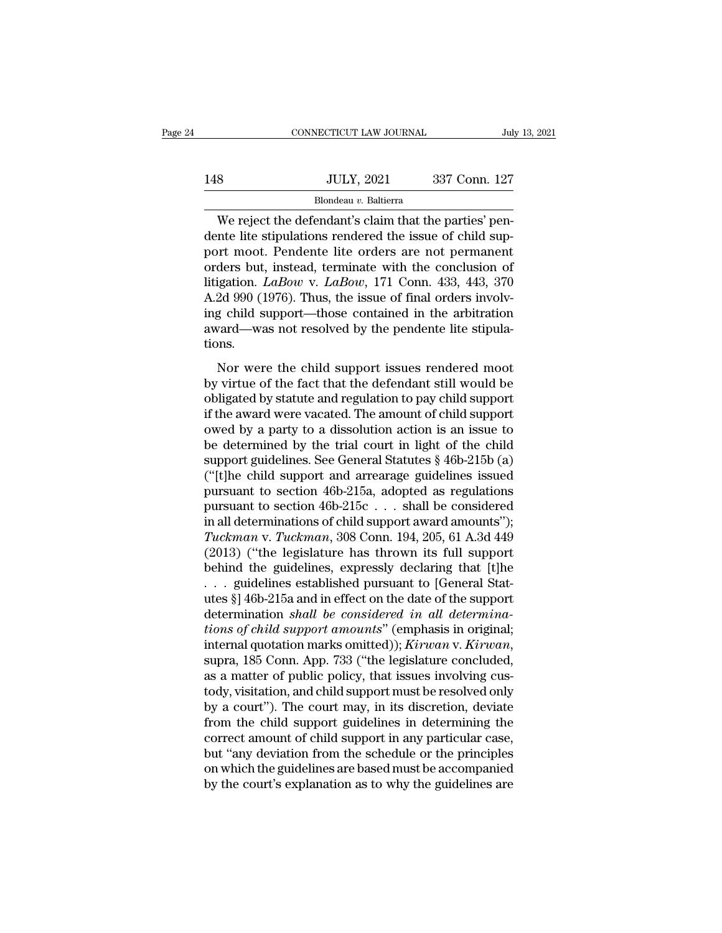|     | CONNECTICUT LAW JOURNAL | July 13, 2021 |
|-----|-------------------------|---------------|
|     |                         |               |
| 148 | <b>JULY, 2021</b>       | 337 Conn. 127 |
|     | Blondeau v. Baltierra   |               |

CONNECTICUT LAW JOURNAL<br>
SULLY, 2021 337 Conn. 127<br>
Blondeau v. Baltierra<br>
We reject the defendant's claim that the parties' pen-<br>
The lite stipulations rendered the issue of child sup-<br>
Numerators are not permanent 148 JULY, 2021 337 Conn. 127<br>Blondeau v. Baltierra<br>We reject the defendant's claim that the parties' pendente lite stipulations rendered the issue of child sup-<br>port moot. Pendente lite orders are not permanent<br>orders but 148 JULY, 2021 337 Conn. 127<br>Blondeau v. Baltierra<br>We reject the defendant's claim that the parties' pendente lite stipulations rendered the issue of child support moot. Pendente lite orders are not permanent<br>orders but, 148 JULY, 2021 337 Conn. 127<br>Blondeau v. Baltierra<br>We reject the defendant's claim that the parties' pendente lite stipulations rendered the issue of child sup-<br>port moot. Pendente lite orders are not permanent<br>orders but Blondeau *v.* Baltierra<br>
We reject the defendant's claim that the parties' pendente lite stipulations rendered the issue of child sup-<br>
port moot. Pendente lite orders are not permanent<br>
orders but, instead, terminate with Blondeau v. Baltierra<br>
We reject the defendant's claim that the parties' pendente lite stipulations rendered the issue of child sup-<br>
port moot. Pendente lite orders are not permanent<br>
orders but, instead, terminate with We reject the defendant's claim that the parties' pendente lite stipulations rendered the issue of child support moot. Pendente lite orders are not permanent orders but, instead, terminate with the conclusion of litigatio dente lite stipulations rendered the issue of child support moot. Pendente lite orders are not permanent orders but, instead, terminate with the conclusion of litigation. *LaBow* v. *LaBow*, 171 Conn. 433, 443, 370 A.2d 99 tions. igation. *LaBow v. LaBow*, 171 Conn. 433, 443, 370<br>2d 990 (1976). Thus, the issue of final orders involv-<br>g child support—those contained in the arbitration<br>vard—was not resolved by the pendente lite stipula-<br>nns.<br>Nor were  $\overline{A}$ .2d 990 (1976). Thus, the issue of final orders involving child support—those contained in the arbitration award—was not resolved by the pendente lite stipulations.<br>Nor were the child support issues rendered moot

Final set (1910). Thus, are issue of final orders involving child support—those contained in the arbitration award—was not resolved by the pendente lite stipulations.<br>Nor were the child support issues rendered moot by vir if the award—was not resolved by the pendente lite stipulations.<br>Nor were the child support issues rendered moot<br>by virtue of the fact that the defendant still would be<br>obligated by statute and regulation to pay child supp More were the child support issues rendered moot<br>by virtue of the fact that the defendant still would be<br>obligated by statute and regulation to pay child support<br>if the award were vacated. The amount of child support<br>owed Nor were the child support issues rendered moot<br>by virtue of the fact that the defendant still would be<br>obligated by statute and regulation to pay child support<br>if the award were vacated. The amount of child support<br>owed Nor were the child support issues rendered moot<br>by virtue of the fact that the defendant still would be<br>obligated by statute and regulation to pay child support<br>if the award were vacated. The amount of child support<br>owed by virtue of the fact that the defendant still would be<br>obligated by statute and regulation to pay child support<br>if the award were vacated. The amount of child support<br>owed by a party to a dissolution action is an issue to obligated by statute and regulation to pay child support<br>if the award were vacated. The amount of child support<br>owed by a party to a dissolution action is an issue to<br>be determined by the trial court in light of the child if the award were vacated. The amount of child support<br>owed by a party to a dissolution action is an issue to<br>be determined by the trial court in light of the child<br>support guidelines. See General Statutes § 46b-215b (a)<br> owed by a party to a dissolution action is an issue to<br>be determined by the trial court in light of the child<br>support guidelines. See General Statutes § 46b-215b (a)<br>("[t]he child support and arrearage guidelines issued<br>p be determined by the trial court in light of the child<br>support guidelines. See General Statutes § 46b-215b (a)<br>("[t]he child support and arrearage guidelines issued<br>pursuant to section 46b-215c . . . shall be considered<br>in support guidelines. See General Statutes  $\S$  46b-215b (a)<br>("[t]he child support and arrearage guidelines issued<br>pursuant to section 46b-215a, adopted as regulations<br>pursuant to section 46b-215c . . . shall be considered<br>i ("[t]he child support and arrearage guidelines issued<br>pursuant to section 46b-215a, adopted as regulations<br>pursuant to section 46b-215c . . . shall be considered<br>in all determinations of child support award amounts");<br> $Tuck$ pursuant to section 46b-215a, adopted as regulations<br>pursuant to section 46b-215c . . . shall be considered<br>in all determinations of child support award amounts");<br>Tuckman v. Tuckman, 308 Conn. 194, 205, 61 A.3d 449<br>(2013 pursuant to section 46b-215c . . . shall be considered<br>in all determinations of child support award amounts");<br>Tuckman v. Tuckman, 308 Conn. 194, 205, 61 A.3d 449<br>(2013) ("the legislature has thrown its full support<br>behin in all determinations of child support award amounts");<br>
Tuckman v. Tuckman, 308 Conn. 194, 205, 61 A.3d 449<br>
(2013) ("the legislature has thrown its full support<br>
behind the guidelines, expressly declaring that [t]he<br>
... *Tuckman* v. *Tuckman*, 308 Conn. 194, 205, 61 A.3d 449 (2013) ("the legislature has thrown its full support behind the guidelines, expressly declaring that [t]he . . . guidelines established pursuant to [General Statures (2013) ("the legislature has thrown its full support<br>behind the guidelines, expressly declaring that [t]he<br>... guidelines established pursuant to [General Stat-<br>utes §] 46b-215a and in effect on the date of the support<br>det ... guidelines established pursuant to [General Statutes §] 46b-215a and in effect on the date of the support determinations *of child support amounts*" (emphasis in original; internal quotation marks omitted)); *Kirwan* utes §] 46b-215a and in effect on the date of the support<br>determination *shall be considered in all determina-*<br>*tions of child support amounts*" (emphasis in original;<br>internal quotation marks omitted)); *Kirwan* v. *Kirw* determination *shall be considered in all determinations of child support amounts*" (emphasis in original; internal quotation marks omitted)); *Kirwan* v. *Kirwan*, supra, 185 Conn. App. 733 ("the legislature concluded, as tions of child support amounts" (emphasis in original;<br>internal quotation marks omitted)); Kirwan v. Kirwan,<br>supra, 185 Conn. App. 733 ("the legislature concluded,<br>as a matter of public policy, that issues involving cus-<br>t internal quotation marks omitted)); *Kirwan* v. *Kirwan*, supra, 185 Conn. App. 733 ("the legislature concluded, as a matter of public policy, that issues involving custody, visitation, and child support must be resolved o supra, 185 Conn. App. 733 ("the legislature concluded,<br>as a matter of public policy, that issues involving cus-<br>tody, visitation, and child support must be resolved only<br>by a court"). The court may, in its discretion, devi as a matter of public policy, that issues involving custody, visitation, and child support must be resolved only by a court"). The court may, in its discretion, deviate from the child support guidelines in determining the tody, visitation, and child support must be resolved only<br>by a court"). The court may, in its discretion, deviate<br>from the child support guidelines in determining the<br>correct amount of child support in any particular case,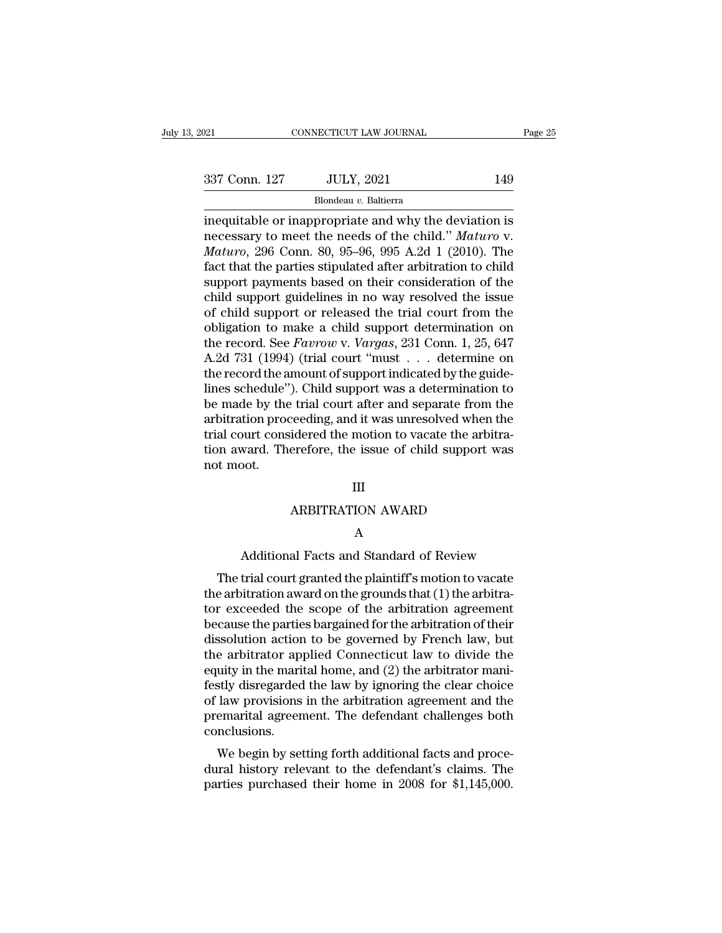Fage 25<br>
121 CONNECTICUT LAW JOURNAL Page 25<br>
337 Conn. 127 JULY, 2021 149<br>
149<br>
1149<br>
116 Blondeau v. Baltierra<br>
1149<br>
116 Dinappropriate and why the deviation is<br>
121 Maturo v.<br>
121 Maturo V.<br>
121 Maturo V. 337 Conn. 127 JULY, 2021 149<br>Blondeau v. Baltierra<br>inequitable or inappropriate and why the deviation is<br>necessary to meet the needs of the child.'' *Maturo* v.<br>*Maturo*, 296 Conn. 80, 95–96, 995 A.2d 1 (2010). The<br>fact th <sup>337</sup> Conn. 127 JULY, 2021 149<br>
<sup>Blondeau v. Baltierra<br>
inequitable or inappropriate and why the deviation is<br>
necessary to meet the needs of the child." *Maturo* v.<br> *Maturo*, 296 Conn. 80, 95–96, 995 A.2d 1 (2010). The<br>
</sup> Factor 127 and the particle and why the deviation is<br>
inequitable or inappropriate and why the deviation is<br>
inecessary to meet the needs of the child." *Maturo* v.<br> *Maturo*, 296 Conn. 80, 95–96, 995 A.2d 1 (2010). The<br> Blondeau v. Baltierra<br>
inequitable or inappropriate and why the deviation is<br>
necessary to meet the needs of the child." Maturo v.<br>
Maturo, 296 Conn. 80, 95–96, 995 A.2d 1 (2010). The<br>
fact that the parties stipulated aft Blondeau v. Baltierra<br>
inequitable or inappropriate and why the deviation is<br>
necessary to meet the needs of the child." Maturo v.<br>
Maturo, 296 Conn. 80, 95–96, 995 A.2d 1 (2010). The<br>
fact that the parties stipulated aft inequitable or inappropriate and why the deviation is<br>necessary to meet the needs of the child."  $Mature$  v.<br> $Mature$ , 296 Conn. 80, 95–96, 995 A.2d 1 (2010). The<br>fact that the parties stipulated after arbitration to child<br>suppor necessary to meet the needs of the child." *Maturo* v.<br> *Maturo*, 296 Conn. 80, 95–96, 995 A.2d 1 (2010). The<br>
fact that the parties stipulated after arbitration to child<br>
support payments based on their consideration of Maturo, 296 Conn. 80, 95–96, 995 A.2d 1 (2010). The<br>fact that the parties stipulated after arbitration to child<br>support payments based on their consideration of the<br>child support guidelines in no way resolved the issue<br>of fact that the parties stipulated after arbitration to child<br>support payments based on their consideration of the<br>child support guidelines in no way resolved the issue<br>of child support or released the trial court from the<br>o support payments based on their consideration of the child support guidelines in no way resolved the issue of child support or released the trial court from the obligation to make a child support determination on the reco child support guidelines in no way resolved the issue<br>of child support or released the trial court from the<br>obligation to make a child support determination on<br>the record. See *Favrow* v. Vargas, 231 Conn. 1, 25, 647<br>A.2d of child support or released the trial court from the obligation to make a child support determination on the record. See *Favrow* v. *Vargas*, 231 Conn. 1, 25, 647 A.2d 731 (1994) (trial court "must  $\ldots$  determine on th obligation to make a child support determination on<br>the record. See *Favrow* v. *Vargas*, 231 Conn. 1, 25, 647<br>A.2d 731 (1994) (trial court "must . . . determine on<br>the record the amount of support indicated by the guide-<br> the record. See *Favrow* v. *Vargas*, 231 Conn. 1, 25, 647<br>A.2d 731 (1994) (trial court "must  $\ldots$  determine on<br>the record the amount of support indicated by the guide-<br>lines schedule"). Child support was a determination A.2d 731 (1994) (trial court "must . . . determine on<br>the record the amount of support indicated by the guide-<br>lines schedule"). Child support was a determination to<br>be made by the trial court after and separate from the<br>a the record the a<br>lines schedule"<br>be made by the<br>arbitration proo<br>trial court cons<br>tion award. Th<br>not moot. eeding, and it was unresolved when the<br>idered the motion to vacate the arbitra-<br>erefore, the issue of child support was<br>III<br>ARBITRATION AWARD<br>A oot.<br>
III<br>
ARBITRATION AWARD<br>
A<br>
Additional Facts and Standard of Review<br>
trial court granted the plaintiff's motion to vacate

# III

# A

III<br>ARBITRATION AWARD<br>A<br>Additional Facts and Standard of Review<br>The trial court granted the plaintiff's motion to vacate<br>e arbitration award on the grounds that (1) the arbitra-<br>r exceeded the scene of the arbitration agre ARBITRATION AWARD<br>
A<br>
Additional Facts and Standard of Review<br>
The trial court granted the plaintiff's motion to vacate<br>
the arbitration award on the grounds that (1) the arbitra-<br>
tor exceeded the scope of the arbitration ANDITIATION AWARD<br>
A<br>
A<br>
Additional Facts and Standard of Review<br>
The trial court granted the plaintiff's motion to vacate<br>
the arbitration award on the grounds that (1) the arbitrator<br>
or exceeded the scope of the arbitra A<br>
Additional Facts and Standard of Review<br>
The trial court granted the plaintiff's motion to vacate<br>
the arbitration award on the grounds that (1) the arbitra-<br>
tor exceeded the scope of the arbitration agreement<br>
because Additional Facts and Standard of Review<br>The trial court granted the plaintiff's motion to vacate<br>the arbitration award on the grounds that  $(1)$  the arbitra-<br>tor exceeded the scope of the arbitration agreement<br>because the The trial court granted the plaintiff's motion to vacate<br>the arbitration award on the grounds that (1) the arbitra-<br>tor exceeded the scope of the arbitration agreement<br>because the parties bargained for the arbitration of t The trial court granted the plaintiff's motion to vacate<br>the arbitration award on the grounds that  $(1)$  the arbitra-<br>tor exceeded the scope of the arbitration agreement<br>because the parties bargained for the arbitration o the arbitration award on the grounds that (1) the arbitrator<br>tor exceeded the scope of the arbitration agreement<br>because the parties bargained for the arbitration of their<br>dissolution action to be governed by French law, b tor exceeded the scope of the arbitration agreement<br>because the parties bargained for the arbitration of their<br>dissolution action to be governed by French law, but<br>the arbitrator applied Connecticut law to divide the<br>equit because the parties bargained for the arbitration of their<br>dissolution action to be governed by French law, but<br>the arbitrator applied Connecticut law to divide the<br>equity in the marital home, and (2) the arbitrator mani-<br> conclusions. E arbitrator applied Connecticut law to divide the<br>uity in the marital home, and (2) the arbitrator mani-<br>stly disregarded the law by ignoring the clear choice<br>law provisions in the arbitration agreement and the<br>emarital Equity in the marital holde, and  $(2)$  the abitration hand-<br>festly disregarded the law by ignoring the clear choice<br>of law provisions in the arbitration agreement and the<br>premarital agreement. The defendant challenges bot parties purchased their home in 2008 for \$1,145,000.<br>We begin by setting forth additional facts and procedural history relevant to the defendant's claims. The parties purchased their home in 2008 for \$1,145,000.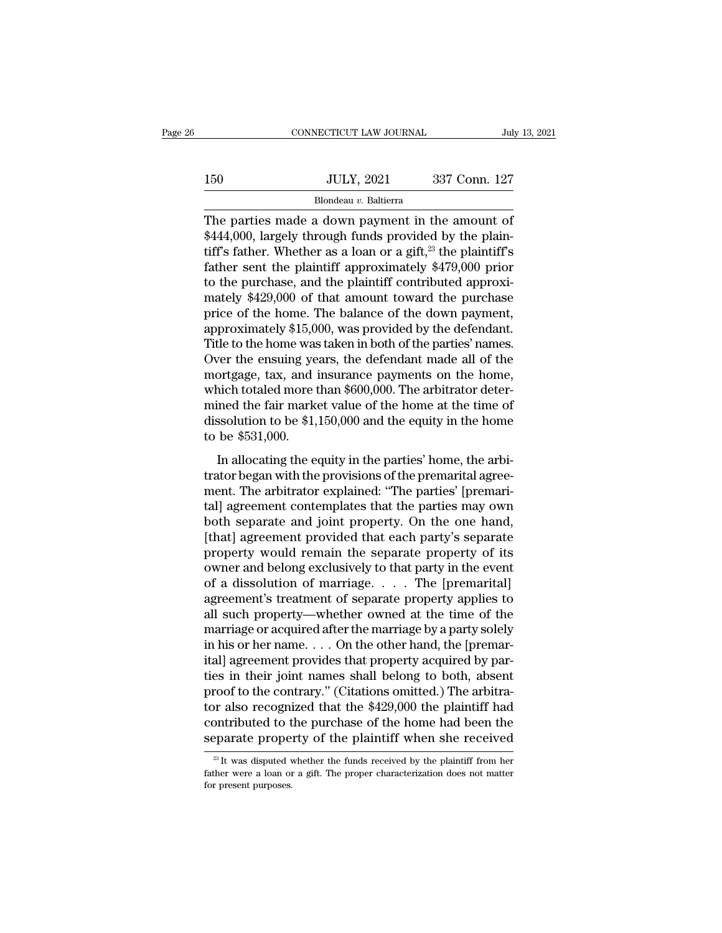|     | CONNECTICUT LAW JOURNAL | July 13, 2021 |
|-----|-------------------------|---------------|
|     |                         |               |
| 150 | <b>JULY, 2021</b>       | 337 Conn. 127 |
|     | Blondeau v. Baltierra   |               |

CONNECTICUT LAW JOURNAL July 13, 202<br>
150 JULY, 2021 337 Conn. 127<br>
Blondeau v. Baltierra<br>
The parties made a down payment in the amount of<br>  $$444,000$ , largely through funds provided by the plain- $\frac{337 \text{ Conn. } 127}{\text{Blondeau } v. \text{ Baltimore}}$ <br>Blondeau v. Baltierra<br>The parties made a down payment in the amount of<br>\$444,000, largely through funds provided by the plain-<br>tiff's father. Whether as a loan or a gift,<sup>23</sup> the plaintif 150 JULY, 2021 337 Conn. 127<br>Blondeau v. Baltierra<br>The parties made a down payment in the amount of<br>\$444,000, largely through funds provided by the plaintiff's<br>father. Whether as a loan or a gift,<sup>23</sup> the plaintiff's<br>fath Father sent the plant of the plane of the parties made a down payment in the amount of  $$444,000$ , largely through funds provided by the plaintiff's father. Whether as a loan or a gift,<sup>23</sup> the plaintiff's father sent the Blondeau *v*. Baltierra<br>
The parties made a down payment in the amount of<br>
\$444,000, largely through funds provided by the plaintiff's<br>
father. Whether as a loan or a gift,<sup>23</sup> the plaintiff's<br>
father sent the plaintiff a Blondeau v. Baltierra<br>
The parties made a down payment in the amount of<br>
\$444,000, largely through funds provided by the plain-<br>
tiff's father. Whether as a loan or a gift,<sup>23</sup> the plaintiff's<br>
father sent the plaintiff a The parties made a down payment in the amount of  $$444,000$ , largely through funds provided by the plaintiff's father. Whether as a loan or a gift,<sup>23</sup> the plaintiff's father sent the plaintiff approximately  $$479,000$  pr \$444,000, largely through funds provided by the plain-<br>tiff's father. Whether as a loan or a gift,<sup>23</sup> the plaintiff's<br>father sent the plaintiff approximately \$479,000 prior<br>to the purchase, and the plaintiff contributed a tiff's father. Whether as a loan or a gift, $^{23}$  the plaintiff's<br>father sent the plaintiff approximately \$479,000 prior<br>to the purchase, and the plaintiff contributed approxi-<br>mately \$429,000 of that amount toward the pu father sent the plaintiff approximately \$479,000 prior<br>to the purchase, and the plaintiff contributed approxi-<br>mately \$429,000 of that amount toward the purchase<br>price of the home. The balance of the down payment,<br>approxi to the purchase, and the plaintiff contributed approximately \$429,000 of that amount toward the purchase<br>price of the home. The balance of the down payment,<br>approximately \$15,000, was provided by the defendant.<br>Title to th mately \$429,000 of that amount toward the purchase<br>price of the home. The balance of the down payment,<br>approximately \$15,000, was provided by the defendant.<br>Title to the home was taken in both of the parties' names.<br>Over price of the home. The balance of the down payment,<br>approximately \$15,000, was provided by the defendant.<br>Title to the home was taken in both of the parties' names.<br>Over the ensuing years, the defendant made all of the<br>mor approximately \$15,000, was provided by the defendant.<br>Title to the home was taken in both of the parties' names.<br>Over the ensuing years, the defendant made all of the<br>mortgage, tax, and insurance payments on the home,<br>whic Title to the home was<br>Over the ensuing ye<br>mortgage, tax, and i<br>which totaled more t<br>mined the fair mark<br>dissolution to be \$1,<br>to be \$531,000.<br>In allocating the e ort are choanglycars, are determined made an ordinate<br>ortgage, tax, and insurance payments on the home,<br>nich totaled more than \$600,000. The arbitrator deter-<br>ined the fair market value of the home at the time of<br>ssolution tratified more than \$600,000. The arbitrator determined the fair market value of the home at the time of dissolution to be \$1,150,000 and the equity in the home to be \$531,000.<br>In allocating the equity in the parties' home

mined the fair market value of the home at the time of<br>dissolution to be \$1,150,000 and the equity in the home<br>to be \$531,000.<br>In allocating the equity in the parties' home, the arbi-<br>trator began with the provisions of t tall dissolution to be \$1,150,000 and the equity in the home<br>to be \$531,000.<br>In allocating the equity in the parties' home, the arbi-<br>trator began with the provisions of the premarital agree-<br>ment. The arbitrator explained to be \$531,000.<br>
In allocating the equity in the parties' home, the arbitrator began with the provisions of the premarital agreement. The arbitrator explained: "The parties' [premarital] agreement contemplates that the pa In allocating the equity in the parties' home, the arbitrator began with the provisions of the premarital agreement. The arbitrator explained: "The parties' [premarital] agreement contemplates that the parties may own both In allocating the equity in the parties' home, the arbitrator began with the provisions of the premarital agreement. The arbitrator explained: "The parties' [premarital] agreement contemplates that the parties may own both trator began with the provisions of the premarital agreement. The arbitrator explained: "The parties' [premarital] agreement contemplates that the parties may own both separate and joint property. On the one hand, [that] a ment. The arbitrator explained: "The parties' [premarital] agreement contemplates that the parties may own both separate and joint property. On the one hand, [that] agreement provided that each party's separate property wo tal] agreement contemplates that the parties may own<br>both separate and joint property. On the one hand,<br>[that] agreement provided that each party's separate<br>property would remain the separate property of its<br>owner and belo both separate and joint property. On the one hand,<br>[that] agreement provided that each party's separate<br>property would remain the separate property of its<br>owner and belong exclusively to that party in the event<br>of a dissol [that] agreement provided that each party's separate<br>property would remain the separate property of its<br>owner and belong exclusively to that party in the event<br>of a dissolution of marriage  $\dots$ . The [premarital]<br>agreement property would remain the separate property of its<br>owner and belong exclusively to that party in the event<br>of a dissolution of marriage. . . . The [premarital]<br>agreement's treatment of separate property applies to<br>all such owner and belong exclusively to that party in the event<br>of a dissolution of marriage. . . . The [premarital]<br>agreement's treatment of separate property applies to<br>all such property—whether owned at the time of the<br>marriag of a dissolution of marriage. . . . The [premarital]<br>agreement's treatment of separate property applies to<br>all such property—whether owned at the time of the<br>marriage or acquired after the marriage by a party solely<br>in hi agreement's treatment of separate property applies to<br>all such property—whether owned at the time of the<br>marriage or acquired after the marriage by a party solely<br>in his or her name. . . . On the other hand, the [premar-<br>i all such property—whether owned at the time of the<br>marriage or acquired after the marriage by a party solely<br>in his or her name. . . . On the other hand, the [premar-<br>ital] agreement provides that property acquired by parmarriage or acquired after the marriage by a party solely<br>in his or her name. . . . On the other hand, the [premar-<br>ital] agreement provides that property acquired by par-<br>ties in their joint names shall belong to both, a in his or her name. . . . On the other hand, the [premarital] agreement provides that property acquired by parties in their joint names shall belong to both, absent proof to the contrary." (Citations omitted.) The arbitra r also recognized that the \$429,000 the plaintiff had bontributed to the purchase of the home had been the parate property of the plaintiff when she received  $\frac{23}{10}$  It was disputed whether the funds received by the p for also recognized that the \$429,000 the plaintiff had contributed to the purchase of the home had been the separate property of the plaintiff when she received  $\frac{1}{x}$  It was disputed whether the funds received by the

contributed to t<br>separate prope<br> $\frac{1}{2}$  T<sub>i</sub> was disputed v<br>father were a loan on<br>for present purposes.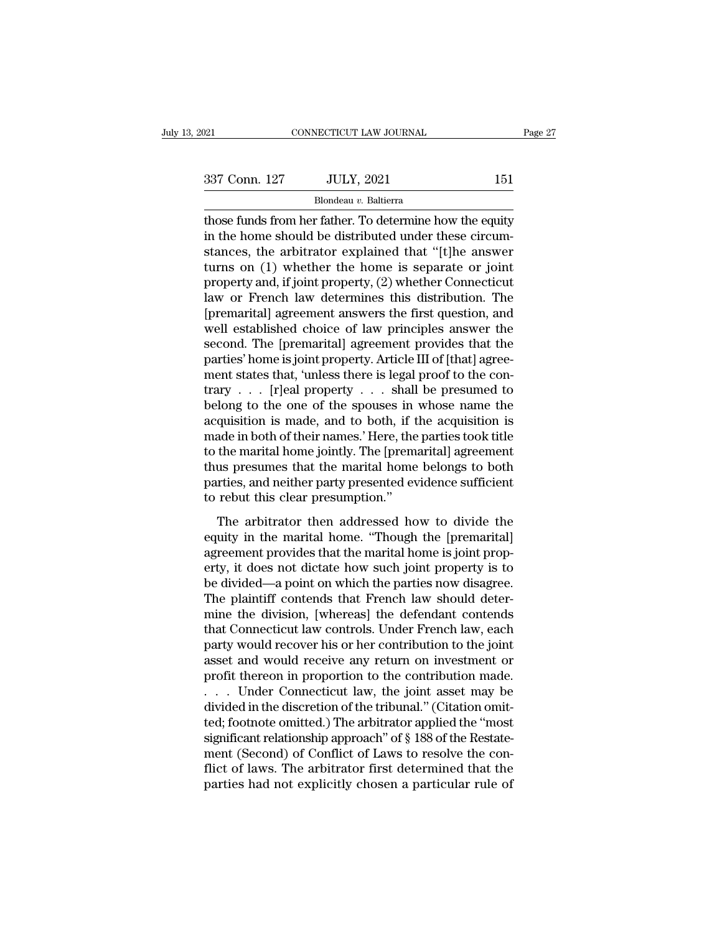The Figure of the state of the state of the state of the state finds from her father. To determine how the equity<br>those funds from her father. To determine how the equity<br>in the home should be distributed under these circu 337 Conn. 127 JULY, 2021 151<br>Blondeau v. Baltierra<br>Those funds from her father. To determine how the equity<br>in the home should be distributed under these circum-<br>stances, the arbitrator explained that "[t]he answer<br>turns 337 Conn. 127 JULY, 2021 151<br>Blondeau v. Baltierra<br>those funds from her father. To determine how the equity<br>in the home should be distributed under these circum-<br>stances, the arbitrator explained that "[t]he answer<br>turns 337 Conn. 127 JULY, 2021 151<br>
Blondeau v. Baltierra<br>
those funds from her father. To determine how the equity<br>
in the home should be distributed under these circum-<br>
stances, the arbitrator explained that "[t]he answer<br>
t Blondeau v. Baltierra<br>
Hose funds from her father. To determine how the equity<br>
in the home should be distributed under these circum-<br>
stances, the arbitrator explained that "[t]he answer<br>
turns on (1) whether the home is Blondeau v. Baltierra<br>
those funds from her father. To determine how the equity<br>
in the home should be distributed under these circum-<br>
stances, the arbitrator explained that "[t]he answer<br>
turns on (1) whether the home i those funds from her father. To determine how the equity<br>in the home should be distributed under these circum-<br>stances, the arbitrator explained that "[t]he answer<br>turns on (1) whether the home is separate or joint<br>propert in the home should be distributed under these circum-<br>stances, the arbitrator explained that "[t]he answer<br>turns on (1) whether the home is separate or joint<br>property and, if joint property, (2) whether Connecticut<br>law or stances, the arbitrator explained that "[t]he answer<br>turns on (1) whether the home is separate or joint<br>property and, if joint property, (2) whether Connecticut<br>law or French law determines this distribution. The<br>[premarit turns on (1) whether the home is separate or joint<br>property and, if joint property, (2) whether Connecticut<br>law or French law determines this distribution. The<br>[premarital] agreement answers the first question, and<br>well es property and, if joint property,  $(2)$  whether Connecticut<br>law or French law determines this distribution. The<br>[premarital] agreement answers the first question, and<br>well established choice of law principles answer the<br>se law or French law determines this distribution. The<br>[premarital] agreement answers the first question, and<br>well established choice of law principles answer the<br>second. The [premarital] agreement provides that the<br>parties' [premarital] agreement answers the first question, and<br>well established choice of law principles answer the<br>second. The [premarital] agreement provides that the<br>parties' home is joint property. Article III of [that] agree well established choice of law principles answer the<br>second. The [premarital] agreement provides that the<br>parties' home is joint property. Article III of [that] agree-<br>ment states that, 'unless there is legal proof to the second. The [premarital] agreement provides that the<br>parties' home is joint property. Article III of [that] agree-<br>ment states that, 'unless there is legal proof to the con-<br>trary  $\ldots$  [r]eal property  $\ldots$  shall be pres parties' home is joint property. Article III of [that] agreement states that, 'unless there is legal proof to the contrary  $\ldots$  [r]eal property  $\ldots$  shall be presumed to belong to the one of the spouses in whose name th ment states that, 'unless there is legal proof to the con-<br>trary  $\ldots$  [r]eal property  $\ldots$  shall be presumed to<br>belong to the one of the spouses in whose name the<br>acquisition is made, and to both, if the acquisition is<br> trary  $\ldots$  [r]eal property  $\ldots$  shall be presumed to belong to the one of the spouses in whose name the acquisition is made, and to both, if the acquisition is made in both of their names.' Here, the parties took title belong to the one of the spouses in<br>acquisition is made, and to both, if t<br>made in both of their names.' Here, the<br>to the marital home jointly. The [prem<br>thus presumes that the marital home<br>parties, and neither party prese quashed is made, and to body, if the dequashed is<br>ade in both of their names.' Here, the parties took title<br>the marital home jointly. The [premarital] agreement<br>us presumes that the marital home belongs to both<br>rties, and radic in solit of their hannes. There, the parties took the<br>to the marital home jointly. The [premarital] agreement<br>thus presumes that the marital home belongs to both<br>parties, and neither party presented evidence sufficie

agreement thus presumes that the marital home belongs to both<br>parties, and neither party presented evidence sufficient<br>to rebut this clear presumption."<br>The arbitrator then addressed how to divide the<br>equity in the marital parties, and neither party presented evidence sufficient<br>to rebut this clear presumption."<br>The arbitrator then addressed how to divide the<br>equity in the marital home. "Though the [premarital]<br>agreement provides that the ma be divided—a point of the particle of the particle of the equity in the marital home. "Though the [premarital] agreement provides that the marital home is joint property, it does not dictate how such joint property is to b The arbitrator then addressed how to divide the<br>equity in the marital home. "Though the [premarital]<br>agreement provides that the marital home is joint prop-<br>erty, it does not dictate how such joint property is to<br>be divide The arbitrator then addressed how to divide the<br>equity in the marital home. "Though the [premarital]<br>agreement provides that the marital home is joint prop-<br>erty, it does not dictate how such joint property is to<br>be divide equity in the marital home. "Though the [premarital]<br>agreement provides that the marital home is joint prop-<br>erty, it does not dictate how such joint property is to<br>be divided—a point on which the parties now disagree.<br>The agreement provides that the marital home is joint property, it does not dictate how such joint property is to<br>be divided—a point on which the parties now disagree.<br>The plaintiff contends that French law should deter-<br>mine erty, it does not dictate how such joint property is to<br>be divided—a point on which the parties now disagree.<br>The plaintiff contends that French law should deter-<br>mine the division, [whereas] the defendant contends<br>that Co be divided—a point on which the parties now disagree.<br>The plaintiff contends that French law should deter-<br>mine the division, [whereas] the defendant contends<br>that Connecticut law controls. Under French law, each<br>party wou The plaintiff contends that French law should deter-<br>mine the division, [whereas] the defendant contends<br>that Connecticut law controls. Under French law, each<br>party would recover his or her contribution to the joint<br>asset mine the division, [whereas] the defendant contends<br>that Connecticut law controls. Under French law, each<br>party would recover his or her contribution to the joint<br>asset and would receive any return on investment or<br>profit that Connecticut law controls. Under French law, each<br>party would recover his or her contribution to the joint<br>asset and would receive any return on investment or<br>profit thereon in proportion to the contribution made.<br>. . party would recover his or her contribution to the joint<br>asset and would receive any return on investment or<br>profit thereon in proportion to the contribution made.<br>. . . . Under Connecticut law, the joint asset may be<br>divi asset and would receive any return on investment or<br>profit thereon in proportion to the contribution made.<br>. . . . Under Connecticut law, the joint asset may be<br>divided in the discretion of the tribunal." (Citation omit-<br>t profit thereon in proportion to the contribution made.<br>
. . . Under Connecticut law, the joint asset may be<br>
divided in the discretion of the tribunal." (Citation omit-<br>
ted; footnote omitted.) The arbitrator applied the " Fig. 7. Under Connecticut law, the joint asset may be divided in the discretion of the tribunal." (Citation omitted; footnote omitted.) The arbitrator applied the "most significant relationship approach" of  $\S$  188 of the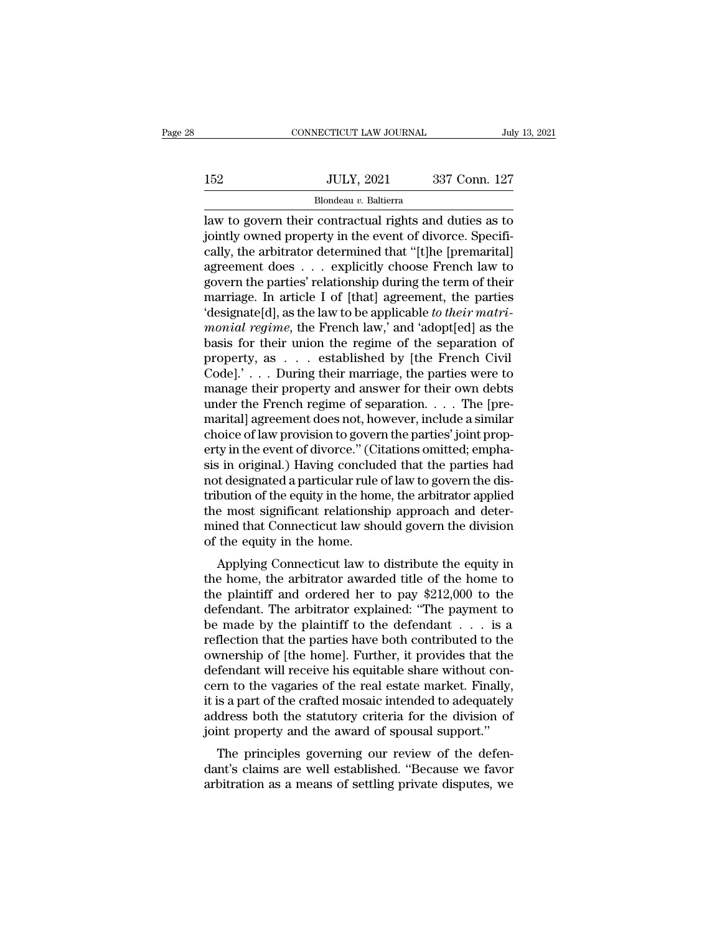# $\begin{tabular}{c} \multicolumn{2}{c|}{\text{CONNECTICUT LAW JOURNAL}} & July 13, 2021 \\ \cline{2-2} \multicolumn{2}{c|}{\text{July 13, 2021}} & \multicolumn{2}{c|}{\text{July 13, 2021}} \\ \cline{2-2} \multicolumn{2}{c|}{\text{July 13, 2021}} & \multicolumn{2}{c|}{\text{337 Conn. 127}} \\ \cline{2-2} \multicolumn{2}{c|}{\text{Blondeau $v$. Baltierra}} & \multicolumn{2}{c|}{\text{Multi}} \\ \cline{2-2} \end{tabular}$

Blondeau *v.* Baltierra

CONNECTICUT LAW JOURNAL July 13, 2021<br>152 JULY, 2021 337 Conn. 127<br>1800 Blondeau v. Baltierra<br>1800 Blondeau v. Baltierra<br>1800 Blondeau v. Baltierra<br>1800 Blondeau rights and duties as to<br>1901 Blow Word property in the event 152 JULY, 2021 337 Conn. 127<br>Blondeau v. Baltierra<br>law to govern their contractual rights and duties as to<br>jointly owned property in the event of divorce. Specifi-<br>cally, the arbitrator determined that "[t]he [premarital]<br> 152 JULY, 2021 337 Conn. 127<br>Blondeau v. Baltierra<br>law to govern their contractual rights and duties as to<br>jointly owned property in the event of divorce. Specifi-<br>cally, the arbitrator determined that "[t]he [premarital]  $\frac{JULY, 2021}{Blondeau \ v. \ Baltierra}$ <br>
law to govern their contractual rights and duties as to<br>
jointly owned property in the event of divorce. Specifi-<br>
cally, the arbitrator determined that "[t]he [premarital]<br>
agreement does . Blondeau v. Baltierra<br>Blondeau v. Baltierra<br>Jaw to govern their contractual rights and duties as to<br>jointly owned property in the event of divorce. Specifi-<br>cally, the arbitrator determined that "[t]he [premarital]<br>agreem Blondeau v. Baltierra<br>law to govern their contractual rights and duties as to<br>jointly owned property in the event of divorce. Specifi-<br>cally, the arbitrator determined that "[t]he [premarital]<br>agreement does . . . explici law to govern their contractual rights and duties as to jointly owned property in the event of divorce. Specifically, the arbitrator determined that "[t]he [premarital] agreement does . . . explicitly choose French law to jointly owned property in the event of divorce. Specifically, the arbitrator determined that "[t]he [premarital] agreement does . . . explicitly choose French law to govern the parties' relationship during the term of thei cally, the arbitrator determined that "[t]he [premarital]<br>agreement does . . . explicitly choose French law to<br>govern the parties' relationship during the term of their<br>marriage. In article I of [that] agreement, the part agreement does . . . explicitly choose French law to<br>govern the parties' relationship during the term of their<br>marriage. In article I of [that] agreement, the parties<br>'designate[d], as the law to be applicable *to their m* govern the parties' relationship during the term of their<br>marriage. In article I of [that] agreement, the parties<br>'designate[d], as the law to be applicable *to their matri-<br>monial regime*, the French law,' and 'adopt[ed] marriage. In article I of [that] agreement, the parties<br>
'designate[d], as the law to be applicable *to their matri-*<br> *monial regime*, the French law,' and 'adopt[ed] as the<br>
basis for their union the regime of the separ 'designate[d], as the law to be applicable *to their matri-monial regime*, the French law,' and 'adopt[ed] as the basis for their union the regime of the separation of property, as  $\ldots$  established by [the French Civil C monial regime, the French law,' and 'adopt[ed] as the<br>basis for their union the regime of the separation of<br>property, as . . . established by [the French Civil<br>Code].' . . . During their marriage, the parties were to<br>mana basis for their union the regime of the separation of property, as  $\ldots$  established by [the French Civil Code].'  $\ldots$  During their marriage, the parties were to manage their property and answer for their own debts under property, as . . . . established by [the French Civil Code].' . . . During their marriage, the parties were to manage their property and answer for their own debts under the French regime of separation. . . . The [premarit Code].' . . . During their marriage, the parties were to<br>manage their property and answer for their own debts<br>under the French regime of separation. . . . The [pre-<br>marital] agreement does not, however, include a similar<br> manage their property and answer for their own debts<br>under the French regime of separation. . . . The [pre-<br>marital] agreement does not, however, include a similar<br>choice of law provision to govern the parties' joint prop under the French regime of separation.  $\dots$  The [pre-<br>marital] agreement does not, however, include a similar<br>choice of law provision to govern the parties' joint prop-<br>erty in the event of divorce." (Citations omitted; e marital] agreement does not, however, include a similar<br>choice of law provision to govern the parties' joint prop-<br>erty in the event of divorce." (Citations omitted; empha-<br>sis in original.) Having concluded that the parti choice of law provision to govern the parties' joint property in the event of divorce." (Citations omitted; emphasis in original.) Having concluded that the parties had not designated a particular rule of law to govern the erty in the event of divorce." (Ci<br>sis in original.) Having conclud<br>not designated a particular rule (<br>tribution of the equity in the home<br>the most significant relationshi<br>mined that Connecticut law sho<br>of the equity in th Applying Connecticut law to govern the distribution of the equity in the home, the arbitrator applied<br>a most significant relationship approach and deter-<br>ined that Connecticut law should govern the division<br>the equity in fluit designated a particular rule of faw to govern the us-<br>tribution of the equity in the home, the arbitrator applied<br>the most significant relationship approach and deter-<br>mined that Connecticut law should govern the div

the most significant relationship approach and deter-<br>mined that Connecticut law should govern the division<br>of the equity in the home.<br>Applying Connecticut law to distribute the equity in<br>the home, the arbitrator awarded t deferred that Connecticut law should govern the division<br>of the equity in the home.<br>Applying Connecticut law to distribute the equity in<br>the home, the arbitrator awarded title of the home to<br>the plaintiff and ordered her t be made that connecticut law should govern the division<br>of the equity in the home.<br>Applying Connecticut law to distribute the equity in<br>the home, the arbitrator awarded title of the home to<br>the plaintiff and ordered her t or the equity in the nome.<br>
Applying Connecticut law to distribute the equity in<br>
the home, the arbitrator awarded title of the home to<br>
the plaintiff and ordered her to pay \$212,000 to the<br>
defendant. The arbitrator expla Applying Connecticut law to distribute the equity in<br>the home, the arbitrator awarded title of the home to<br>the plaintiff and ordered her to pay \$212,000 to the<br>defendant. The arbitrator explained: "The payment to<br>be made the home, the arbitrator awarded title of the home to<br>the plaintiff and ordered her to pay \$212,000 to the<br>defendant. The arbitrator explained: "The payment to<br>be made by the plaintiff to the defendant  $\dots$  is a<br>reflectio the plaintiff and ordered her to pay \$212,000 to the<br>defendant. The arbitrator explained: "The payment to<br>be made by the plaintiff to the defendant . . . is a<br>reflection that the parties have both contributed to the<br>owners defendant. The arbitrator explained: "The payment to<br>be made by the plaintiff to the defendant . . . is a<br>reflection that the parties have both contributed to the<br>ownership of [the home]. Further, it provides that the<br>defe be made by the plaintiff to the defendant . . . is a<br>reflection that the parties have both contributed to the<br>ownership of [the home]. Further, it provides that the<br>defendant will receive his equitable share without con-<br>c reflection that the parties have both contributed to the ownership of [the home]. Further, it provides that the defendant will receive his equitable share without concern to the vagaries of the real estate market. Finally, Final profile is a provided share without contracted fendant will receive his equitable share without contraction to the vagaries of the real estate market. Finally, is a part of the crafted mosaic intended to adequately d deferiorally will receive this equitable share without concern to the vagaries of the real estate market. Finally, it is a part of the crafted mosaic intended to adequately address both the statutory criteria for the divis Fig. is a part of the crafted mosaic intended to adequately<br>address both the statutory criteria for the division of<br>joint property and the award of spousal support."<br>The principles governing our review of the defen-<br>dant's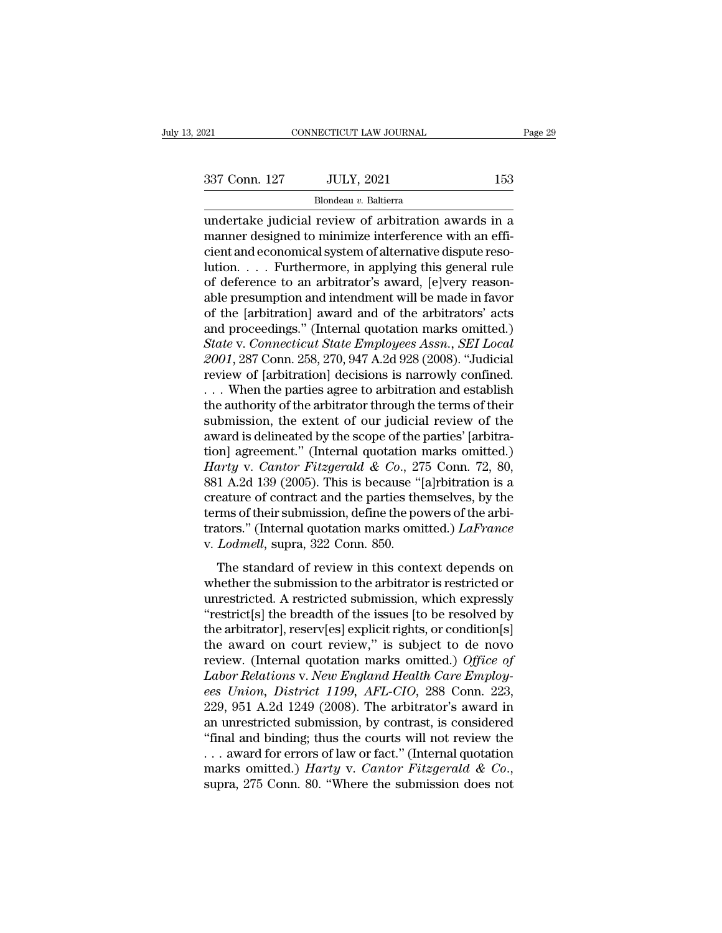Examples 29<br>
1921 CONNECTICUT LAW JOURNAL Page 29<br>
2337 Conn. 127 JULY, 2021 153<br>
2337 Conn. 127 JULY, 2021 153<br>
2337 Conn. 127 JULY, 2021<br>
2337 Conn. 127 JULY, 2021<br>
2337 Conn. 127 JULY, 2021<br>
2337 Conn. 127 JULY, 2021<br>
2  $\begin{array}{ccc}\n 337 \text{ Conn. } 127 & \text{JULY, } 2021 & 153 \\
 \hline\n \text{Blondeau } v. \text{ Baltimore} & \text{In} \\
 \text{Mmetric} & \text{In} \\
 \text{Magnetic} & \text{In} \\
 \text{Magnetic} & \text{In} \\
 \text{Dometric} & \text{In} \\
 \text{Dometric} & \text{In} \\
 \text{Dometric} & \text{In} \\
 \text{Dometric} & \text{In} \\
 \text{Dometric} & \text{In} \\
 \text{Dometric} & \text{In} \\
 \text{Dometric} & \text{In} \\
 \text{Dometric} & \text{In} \\
 \text{Dometric} & \text$ 337 Conn. 127 JULY, 2021 153<br>
Blondeau v. Baltierra<br>
undertake judicial review of arbitration awards in a<br>
manner designed to minimize interference with an effi-<br>
cient and economical system of alternative dispute reso-<br> 337 Conn. 127 JULY, 2021 153<br>
Blondeau v. Baltierra<br>
undertake judicial review of arbitration awards in a<br>
manner designed to minimize interference with an effi-<br>
cient and economical system of alternative dispute reso-<br> Blondeau *v*. Baltierra<br>
undertake judicial review of arbitration awards in a<br>
manner designed to minimize interference with an effi-<br>
cient and economical system of alternative dispute reso-<br>
lution. . . . Furthermore, i Blondeau *v*. Baltierra<br>
undertake judicial review of arbitration awards in a<br>
manner designed to minimize interference with an effi-<br>
cient and economical system of alternative dispute reso-<br>
lution. . . . Furthermore, i undertake judicial review of arbitration awards in a<br>manner designed to minimize interference with an effi-<br>cient and economical system of alternative dispute reso-<br>lution. . . . Furthermore, in applying this general rule manner designed to minimize interference with an efficient and economical system of alternative dispute resolution. . . . Furthermore, in applying this general rule of deference to an arbitrator's award, [e]very reasonabl cient and economical system of alternative dispute resolution. . . . Furthermore, in applying this general rule<br>of deference to an arbitrator's award, [e]very reason-<br>able presumption and intendment will be made in favor<br>o Iution. . . . Furthermore, in applying this general rule<br>of deference to an arbitrator's award, [e]very reason-<br>able presumption and intendment will be made in favor<br>of the [arbitration] award and of the arbitrators' acts<br> of deference to an arbitrator's award, [e]very reasonable presumption and intendment will be made in favor<br>of the [arbitration] award and of the arbitrators' acts<br>and proceedings." (Internal quotation marks omitted.)<br>State able presumption and intendment will be made in favor<br>of the [arbitration] award and of the arbitrators' acts<br>and proceedings." (Internal quotation marks omitted.)<br>State v. Connecticut State Employees Assn., SEI Local<br>2001 of the [arbitration] award and of the arbitrators' acts<br>and proceedings." (Internal quotation marks omitted.)<br>State v. Connecticut State Employees Assn., SEI Local<br>2001, 287 Conn. 258, 270, 947 A.2d 928 (2008). "Judicial<br>r and proceedings." (Internal quotation marks omitted.)<br> *State* v. *Connecticut State Employees Assn.*, *SEI Local*<br>
2001, 287 Conn. 258, 270, 947 A.2d 928 (2008). "Judicial<br>
review of [arbitration] decisions is narrowly co State v. Connecticut State Employees Assn., SEI Local 2001, 287 Conn. 258, 270, 947 A.2d 928 (2008). "Judicial review of [arbitration] decisions is narrowly confined.<br>
... When the parties agree to arbitration and establi 2001, 287 Conn. 258, 270, 947 A.2d 928 (2008). "Judicial<br>review of [arbitration] decisions is narrowly confined.<br>... When the parties agree to arbitration and establish<br>the authority of the arbitrator through the terms of *Harty* of [arbitration] decisions is narrowly confined.<br> *Harty* v. *When the parties agree to arbitration and establish*<br> *Hauthority of the arbitrator through the terms of their*<br> *Submission, the extent of our judicial* ... When the parties agree to arbitration and establish<br>the authority of the arbitrator through the terms of their<br>submission, the extent of our judicial review of the<br>award is delineated by the scope of the parties' [arb the authority of the arbitrator through the terms of their<br>submission, the extent of our judicial review of the<br>award is delineated by the scope of the parties' [arbitra-<br>tion] agreement." (Internal quotation marks omitte submission, the extent of our judicial review of the<br>award is delineated by the scope of the parties' [arbitra-<br>tion] agreement." (Internal quotation marks omitted.)<br>Harty v. Cantor Fitzgerald & Co., 275 Conn. 72, 80,<br>881 award is delineated by the scope of the parties' [arbitration] agreement." (Internal quotation marks omitted.)<br>*Harty* v. *Cantor Fitzgerald & Co.*, 275 Conn. 72, 80, 881 A.2d 139 (2005). This is because "[a]rbitration is tion] agreement." (Internal quotation 1<br>Harty v. *Cantor Fitzgerald & Co.*, 27<br>881 A.2d 139 (2005). This is because "|<br>creature of contract and the parties the<br>terms of their submission, define the po<br>trators." (Internal q 1 A.2d 139 (2005). This is because "[a]rbitration is a<br>ature of contract and the parties themselves, by the<br>rms of their submission, define the powers of the arbi-<br>ators." (Internal quotation marks omitted.) *LaFrance*<br>*L* cost rink to (2009). This is because (appointment is a<br>creature of contract and the parties themselves, by the<br>terms of their submission, define the powers of the arbi-<br>trators." (Internal quotation marks omitted.)  $LaFrance$ <br>v

terms of their submission, define the powers of the arbitrators." (Internal quotation marks omitted.) *LaFrance*<br>v. *Lodmell*, supra, 322 Conn. 850.<br>The standard of review in this context depends on<br>whether the submission trators." (Internal quotation marks omitted.) *LaFrance*<br>v. *Lodmell*, supra, 322 Conn. 850.<br>The standard of review in this context depends on<br>whether the submission to the arbitrator is restricted or<br>unrestricted. A rest v. *Lodmell*, supra, 322 Conn. 850.<br>The standard of review in this context depends on whether the submission to the arbitrator is restricted or unrestricted. A restricted submission, which expressly "restrict[s] the bread The standard of review in this context depends on<br>whether the submission to the arbitrator is restricted or<br>unrestricted. A restricted submission, which expressly<br>"restrict[s] the breadth of the issues [to be resolved by<br> The standard of review in this context depends on<br>whether the submission to the arbitrator is restricted or<br>unrestricted. A restricted submission, which expressly<br>"restrict[s] the breadth of the issues [to be resolved by<br>t whether the submission to the arbitrator is restricted or<br>unrestricted. A restricted submission, which expressly<br>"restrict[s] the breadth of the issues [to be resolved by<br>the arbitrator], reserv[es] explicit rights, or con unrestricted. A restricted submission, which expressly<br>
"restrict[s] the breadth of the issues [to be resolved by<br>
the arbitrator], reserv[es] explicit rights, or condition[s]<br>
the award on court review," is subject to de "restrict[s] the breadth of the issues [to be resolved by<br>the arbitrator], reserv[es] explicit rights, or condition[s]<br>the award on court review," is subject to de novo<br>review. (Internal quotation marks omitted.) Office of the arbitrator], reserv[es] explicit rights, or condition[s]<br>the award on court review," is subject to de novo<br>review. (Internal quotation marks omitted.) Office of<br>Labor Relations v. New England Health Care Employ-<br>ees Un the award on court review," is subject to de novo<br>review. (Internal quotation marks omitted.) Office of<br>Labor Relations v. New England Health Care Employ-<br>ees Union, District 1199, AFL-CIO, 288 Conn. 223,<br>229, 951 A.2d 12 review. (Internal quotation marks omitted.) Office of<br>Labor Relations v. New England Health Care Employ-<br>ees Union, District 1199, AFL-CIO, 288 Conn. 223,<br>229, 951 A.2d 1249 (2008). The arbitrator's award in<br>an unrestrict *Labor Relations v. New England Health Care Employ-*<br>ees Union, District 1199, AFL-CIO, 288 Conn. 223,<br>229, 951 A.2d 1249 (2008). The arbitrator's award in<br>an unrestricted submission, by contrast, is considered<br>"final and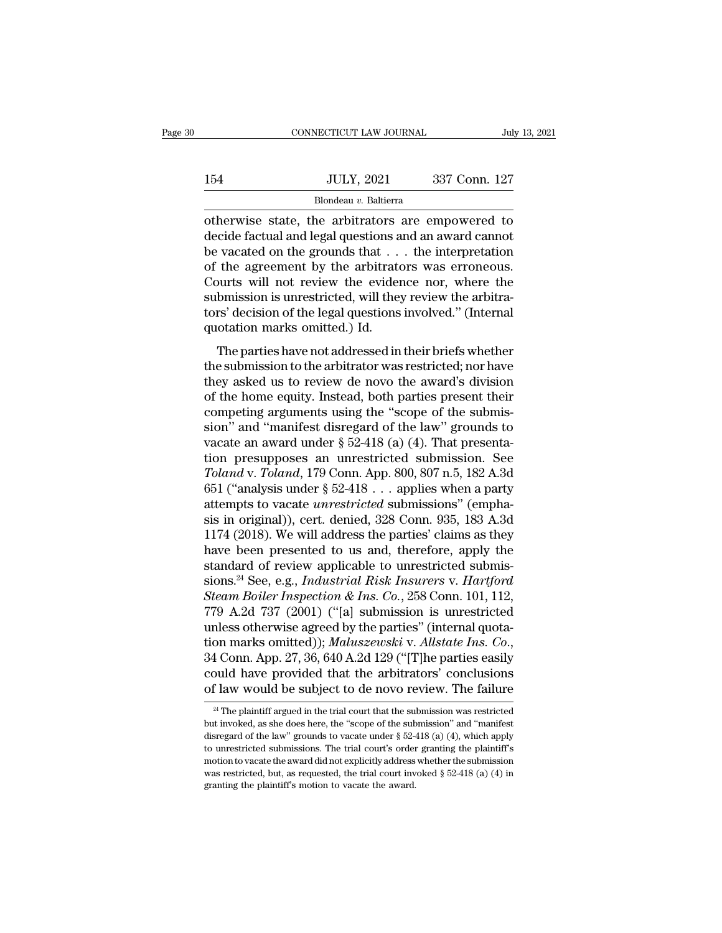|     | CONNECTICUT LAW JOURNAL | July 13, 2021 |  |
|-----|-------------------------|---------------|--|
|     |                         |               |  |
| 154 | <b>JULY, 2021</b>       | 337 Conn. 127 |  |
|     | Blondeau v. Baltierra   |               |  |

CONNECTICUT LAW JOURNAL July 13, 2021<br>154 JULY, 2021 337 Conn. 127<br>16 Blondeau v. Baltierra<br>17 Blondeau v. Baltierra<br>17 Detecture state, the arbitrators are empowered to<br>18 decide factual and legal questions and an award 154 JULY, 2021 337 Conn. 127<br>Blondeau v. Baltierra<br>otherwise state, the arbitrators are empowered to<br>decide factual and legal questions and an award cannot<br>be vacated on the grounds that . . . the interpretation<br>of the agr 154 JULY, 2021 337 Conn. 127<br>Blondeau v. Baltierra<br>otherwise state, the arbitrators are empowered to<br>decide factual and legal questions and an award cannot<br>be vacated on the grounds that . . . the interpretation<br>of the ag  $\frac{JULY, 2021}{Blondeau \, v. \text{ Baltimore}}$ <br>
otherwise state, the arbitrators are empowered to<br>
decide factual and legal questions and an award cannot<br>
be vacated on the grounds that . . . the interpretation<br>
of the agreement by the arb Blondeau v. Baltierra<br>
Otherwise state, the arbitrators are empowered to<br>
decide factual and legal questions and an award cannot<br>
be vacated on the grounds that . . . the interpretation<br>
of the agreement by the arbitrator Blondeau v. Baltierra<br>
otherwise state, the arbitrators are empowered to<br>
decide factual and legal questions and an award cannot<br>
be vacated on the grounds that  $\dots$  the interpretation<br>
of the agreement by the arbitrators otherwise state, the arbitrators are empowered to<br>decide factual and legal questions and an award cannot<br>be vacated on the grounds that . . . the interpretation<br>of the agreement by the arbitrators was erroneous.<br>Courts wil decide factual and legal questions a<br>be vacated on the grounds that . . .<br>of the agreement by the arbitrate<br>Courts will not review the evider<br>submission is unrestricted, will the<br>tors' decision of the legal questions<br>quota The agreement by the arbitrators was erroneous.<br>
burts will not review the evidence nor, where the<br>
bmission is unrestricted, will they review the arbitra-<br>
rs' decision of the legal questions involved." (Internal<br>
otatio of the agreement by the arbitrators was erroneous.<br>Courts will not review the evidence nor, where the<br>submission is unrestricted, will they review the arbitra-<br>tors' decision of the legal questions involved." (Internal<br>quo

courts win not review the evidence nor, where the<br>submission is unrestricted, will they review the arbitra-<br>tors' decision of the legal questions involved." (Internal<br>quotation marks omitted.) Id.<br>The parties have not addr subhission is unestricted, whi they review the arbitra-<br>tors' decision of the legal questions involved." (Internal<br>quotation marks omitted.) Id.<br>The parties have not addressed in their briefs whether<br>the submission to the competition marks omitted.) Id.<br>The parties have not addressed in their briefs whether<br>the submission to the arbitrator was restricted; nor have<br>they asked us to review de novo the award's division<br>of the home equity. Ins The parties have not addressed in their briefs whether<br>the submission to the arbitrator was restricted; nor have<br>they asked us to review de novo the award's division<br>of the home equity. Instead, both parties present their The parties have not addressed in their briefs whether<br>the submission to the arbitrator was restricted; nor have<br>they asked us to review de novo the award's division<br>of the home equity. Instead, both parties present their the submission to the arbitrator was restricted; nor have<br>they asked us to review de novo the award's division<br>of the home equity. Instead, both parties present their<br>competing arguments using the "scope of the submis-<br>si they asked us to review de novo the award's division<br>of the home equity. Instead, both parties present their<br>competing arguments using the "scope of the submis-<br>sion" and "manifest disregard of the law" grounds to<br>vacate a of the home equity. Instead, both parties present their<br>competing arguments using the "scope of the submis-<br>sion" and "manifest disregard of the law" grounds to<br>vacate an award under § 52-418 (a) (4). That presenta-<br>tion competing arguments using the "scope of the submission" and "manifest disregard of the law" grounds to vacate an award under § 52-418 (a) (4). That presentation presupposes an unrestricted submission. See *Toland* v. *Tola* sion" and "manifest disregard of the law" grounds to<br>vacate an award under § 52-418 (a) (4). That presenta-<br>tion presupposes an unrestricted submission. See<br> $Toland$  v.  $Toland$ , 179 Conn. App. 800, 807 n.5, 182 A.3d<br>651 ("analys vacate an award under § 52-418 (a) (4). That presentation presupposes an unrestricted submission. See *Toland* v. *Toland*, 179 Conn. App. 800, 807 n.5, 182 A.3d 651 ("analysis under § 52-418 . . . applies when a party at tion presupposes an unrestricted submission. See<br> *Toland* v. *Toland*, 179 Conn. App. 800, 807 n.5, 182 A.3d<br>
651 ("analysis under § 52-418 . . . applies when a party<br>
attempts to vacate *unrestricted* submissions" (emph Toland v. Toland, 179 Conn. App. 800, 807 n.5, 182 A.3d 651 ("analysis under § 52-418 . . . applies when a party attempts to vacate *unrestricted* submissions" (emphasis in original)), cert. denied, 328 Conn. 935, 183 A.3 651 ("analysis under § 52-418 . . . applies when a party<br>attempts to vacate *unrestricted* submissions" (empha-<br>sis in original)), cert. denied, 328 Conn. 935, 183 A.3d<br>1174 (2018). We will address the parties' claims as attempts to vacate *unrestricted* submissions" (emphasis in original)), cert. denied, 328 Conn. 935, 183 A.3d 1174 (2018). We will address the parties' claims as they have been presented to us and, therefore, apply the sta sis in original)), cert. denied, 328 Conn. 935, 183 A.3d<br>1174 (2018). We will address the parties' claims as they<br>have been presented to us and, therefore, apply the<br>standard of review applicable to unrestricted submis-<br>si 1174 (2018). We will address the parties' claims as they<br>have been presented to us and, therefore, apply the<br>standard of review applicable to unrestricted submis-<br>sions.<sup>24</sup> See, e.g., *Industrial Risk Insurers v. Hartfor* have been presented to us and, therefore, apply the<br>standard of review applicable to unrestricted submis-<br>sions.<sup>24</sup> See, e.g., *Industrial Risk Insurers v. Hartford*<br>*Steam Boiler Inspection & Ins. Co.*, 258 Conn. 101, 11 sions.<sup>24</sup> See, e.g., *Industrial Risk Insurers v. Hartford*<br>*Steam Boiler Inspection & Ins. Co.*, 258 Conn. 101, 112,<br>779 A.2d 737 (2001) ("[a] submission is unrestricted<br>unless otherwise agreed by the parties" (internal *Steam Boiler Inspection & Ins. Co.*, 258 Conn. 101, 112, 779 A.2d 737 (2001) ("[a] submission is unrestricted unless otherwise agreed by the parties" (internal quotation marks omitted)); *Maluszewski* v. *Allstate Ins. C* tion marks omitted)); *Maluszewski* v. *Allstate Ins. Co.*, 34 Conn. App. 27, 36, 640 A.2d 129 ("[T]he parties easily could have provided that the arbitrators' conclusions of law would be subject to de novo review. The fa 34 Conn. App. 27, 36, 640 A.2d 129 ("[T]he parties easily could have provided that the arbitrators' conclusions of law would be subject to de novo review. The failure  $\frac{24}{4}$  The plaintiff argued in the trial court tha

could have provided that the arbitrators' conclusions of law would be subject to de novo review. The failure  $\frac{24}{10}$  The plaintiff argued in the trial court that the submission was restricted but invoked, as she does of law would be subject to de novo review. The failure<br>
<sup>24</sup> The plaintiff argued in the trial court that the submission was restricted<br>
but invoked, as she does here, the "scope of the submission" and "manifest<br>
disregar <sup>24</sup> The plaintiff argued in the trial court that the submission was restricted but invoked, as she does here, the "scope of the submission" and "manifest disregard of the law" grounds to vacate under  $\S$  52-418 (a) (4), <sup>24</sup> The plaintiff argued in the trial court that the submission was restricted but invoked, as she does here, the "scope of the submission" and "manifest disregard of the law" grounds to vacate under  $\S$  52-418 (a) (4), but invoked, as she does here, the "scope of the submission" and "manifest disregard of the law" grounds to vacate under  $\S$  52-418 (a) (4), which apply to unrestricted submissions. The trial court's order granting the pl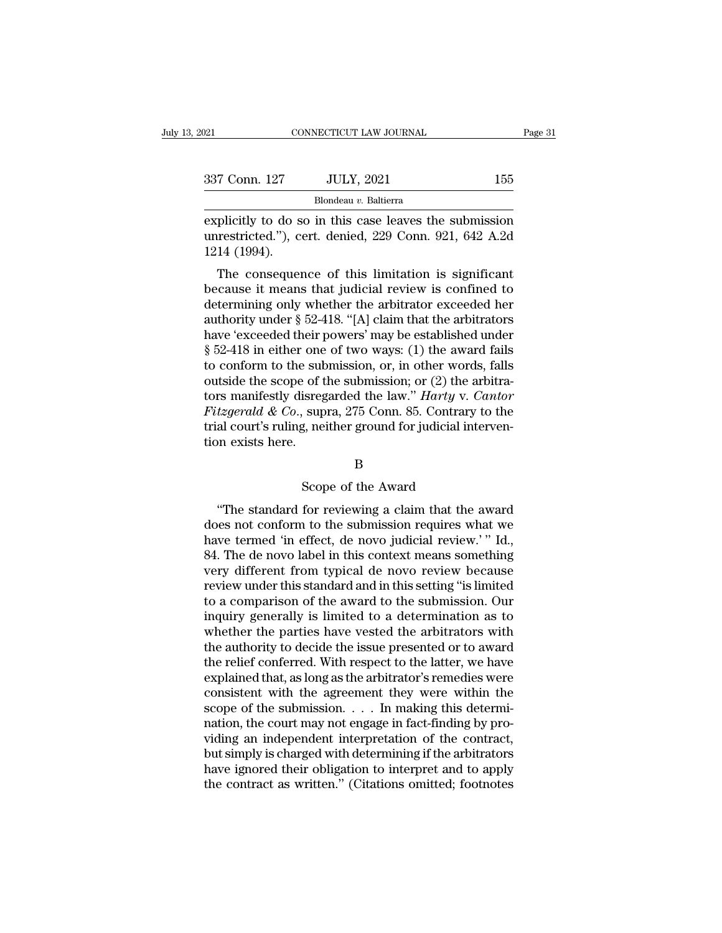| 2021                 | CONNECTICUT LAW JOURNAL                                                                                          | Page 31 |
|----------------------|------------------------------------------------------------------------------------------------------------------|---------|
| 337 Conn. 127        | <b>JULY, 2021</b>                                                                                                | 155     |
|                      | Blondeau v. Baltierra                                                                                            |         |
| 191 <i>4 (</i> 1004) | explicitly to do so in this case leaves the submission<br>unrestricted."), cert. denied, 229 Conn. 921, 642 A.2d |         |

337 Conn. 127 JULY, 2021 155<br>Blondeau v. Baltierra<br>explicitly to do so in this case leaves the submission<br>unrestricted.''), cert. denied, 229 Conn. 921, 642 A.2d<br>1214 (1994). 337 Conn. 127<br>explicitly to do s<br>unrestricted."), c<br>1214 (1994).<br>The consequer The consequence of this limitation is significant<br>The consequence of this limitation is significant<br>cause it means that judicial review is confined to<br>terming only whether the erhite corooded her

Blondeau v. Baltierra<br>
explicitly to do so in this case leaves the submission<br>
unrestricted."), cert. denied, 229 Conn. 921, 642 A.2d<br>
1214 (1994).<br>
The consequence of this limitation is significant<br>
because it means that explicitly to do so in this case leaves the submission<br>unrestricted."), cert. denied, 229 Conn. 921, 642 A.2d<br>1214 (1994).<br>The consequence of this limitation is significant<br>because it means that judicial review is confined Expiritly to do so in this case feaves the subhission<br>unrestricted."), cert. denied, 229 Conn. 921, 642 A.2d<br>1214 (1994).<br>The consequence of this limitation is significant<br>because it means that judicial review is confined The consequence of this limitation is significant<br>because it means that judicial review is confined to<br>determining only whether the arbitrator exceeded her<br>authority under § 52-418. "[A] claim that the arbitrators<br>have 'e The consequence of this limitation is significant<br>because it means that judicial review is confined to<br>determining only whether the arbitrator exceeded her<br>authority under § 52-418. "[A] claim that the arbitrators<br>have 'e The consequence of this limitation is significant<br>because it means that judicial review is confined to<br>determining only whether the arbitrator exceeded her<br>authority under  $\S 52-418$ . "[A] claim that the arbitrators<br>have because it means that judicial review is confined to<br>determining only whether the arbitrator exceeded her<br>authority under § 52-418. "[A] claim that the arbitrators<br>have 'exceeded their powers' may be established under<br>§ 5 determining only whether the arbitrator exceeded her<br>authority under § 52-418. "[A] claim that the arbitrators<br>have 'exceeded their powers' may be established under<br>§ 52-418 in either one of two ways: (1) the award fails<br>t authority under § 52-418. "[A] claim that the arbitrators<br>have 'exceeded their powers' may be established under<br>§ 52-418 in either one of two ways: (1) the award fails<br>to conform to the submission, or, in other words, fall have 'exceeded their powers' may be established under  $\S$  52-418 in either one of two ways: (1) the award fails<br>to conform to the submission, or, in other words, falls<br>outside the scope of the submission; or (2) the arbit § 52-418 in either one<br>to conform to the sub<br>outside the scope of t<br>tors manifestly disreg<br>*Fitzgerald & Co.*, sup<br>trial court's ruling, ne<br>tion exists here. isregarded the law." *Harty* v. *C*<br>supra, 275 Conn. 85. Contrary<br>g, neither ground for judicial interaction<br>B<br>Scope of the Award<br>for reviewing a claim that the a Experata & Co., supra, 275 Confi. 85. Contrary to the<br>al court's ruling, neither ground for judicial interven-<br>on exists here.<br>B<br>Scope of the Award<br>"The standard for reviewing a claim that the award<br>es not conform to the s

# B

does not conform to the submission requires what we<br>have termed in effect, de novo judicial review." Id.,<br>we termed 'in effect, de novo judicial review.'" Id.,<br>and the submission requires what we<br>have termed 'in effect, de B<br>
Scope of the Award<br>
"The standard for reviewing a claim that the award<br>
does not conform to the submission requires what we<br>
have termed 'in effect, de novo judicial review.' " Id.,<br>
84. The de novo label in this contex 84. Scope of the Award<br>
84. The standard for reviewing a claim that the award<br>
94. The de novo label in this context means something<br>
84. The de novo label in this context means something<br>
94. The de novo label in this con Scope of the Award<br>
"The standard for reviewing a claim that the award<br>
does not conform to the submission requires what we<br>
have termed 'in effect, de novo judicial review.'" Id.,<br>
84. The de novo label in this context me scope of the Award<br>
"The standard for reviewing a claim that the award<br>
does not conform to the submission requires what we<br>
have termed 'in effect, de novo judicial review.'" Id.,<br>
84. The de novo label in this context me "The standard for reviewing a claim that the award<br>does not conform to the submission requires what we<br>have termed 'in effect, de novo judicial review.'" Id.,<br>84. The de novo label in this context means something<br>very diff does not conform to the submission requires what we<br>have termed 'in effect, de novo judicial review.'" Id.,<br>84. The de novo label in this context means something<br>very different from typical de novo review because<br>review un have termed 'in effect, de novo judicial review.'" Id.,<br>84. The de novo label in this context means something<br>very different from typical de novo review because<br>review under this standard and in this setting ''is limited<br>t 84. The de novo label in this context means something<br>very different from typical de novo review because<br>review under this standard and in this setting "is limited<br>to a comparison of the award to the submission. Our<br>inquir very different from typical de novo review because<br>review under this standard and in this setting "is limited<br>to a comparison of the award to the submission. Our<br>inquiry generally is limited to a determination as to<br>whethe review under this standard and in this setting "is limited<br>to a comparison of the award to the submission. Our<br>inquiry generally is limited to a determination as to<br>whether the parties have vested the arbitrators with<br>the to a comparison of the award to the submission. Our<br>inquiry generally is limited to a determination as to<br>whether the parties have vested the arbitrators with<br>the authority to decide the issue presented or to award<br>the re inquiry generally is limited to a determination as to<br>whether the parties have vested the arbitrators with<br>the authority to decide the issue presented or to award<br>the relief conferred. With respect to the latter, we have<br>e whether the parties have vested the arbitrators with<br>the authority to decide the issue presented or to award<br>the relief conferred. With respect to the latter, we have<br>explained that, as long as the arbitrator's remedies w the authority to decide the issue presented or to award<br>the relief conferred. With respect to the latter, we have<br>explained that, as long as the arbitrator's remedies were<br>consistent with the agreement they were within the the relief conferred. With respect to the latter, we have explained that, as long as the arbitrator's remedies were consistent with the agreement they were within the scope of the submission. . . . In making this determina explained that, as long as the arbitrator's remedies were<br>consistent with the agreement they were within the<br>scope of the submission. . . . In making this determi-<br>nation, the court may not engage in fact-finding by pro-<br> consistent with the agreement they were within the scope of the submission.  $\dots$  In making this determination, the court may not engage in fact-finding by providing an independent interpretation of the contract, but simpl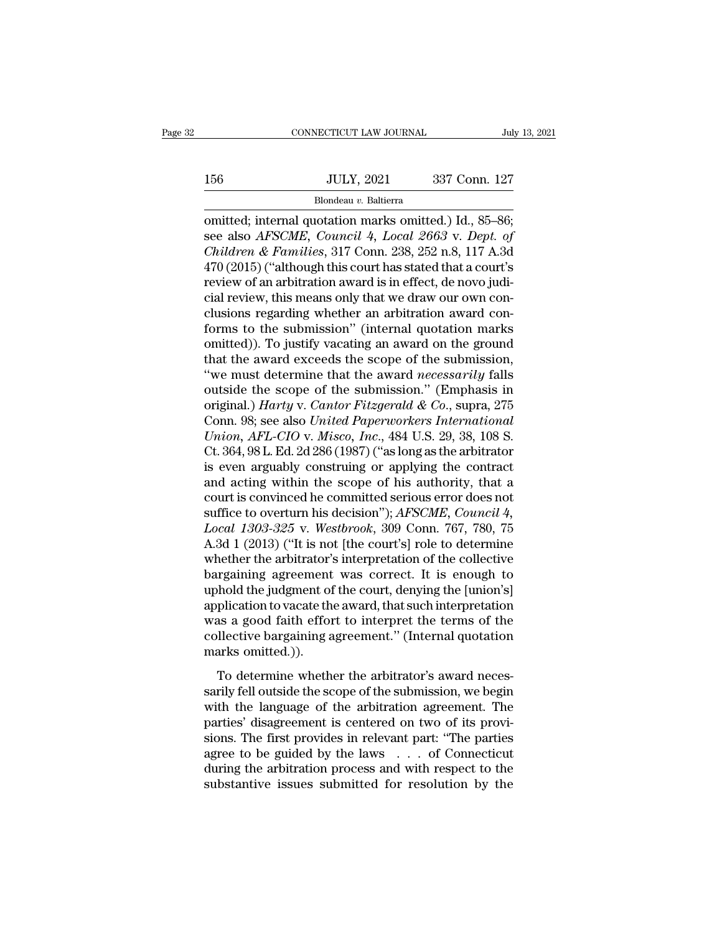# $\begin{tabular}{c} \multicolumn{2}{c|}{\text{CONNECTICUT LAW JOURNAL}} & July 13, 2021 \\ \cline{2-2} \multicolumn{2}{c|}{\text{July 13, 2021}} & \multicolumn{2}{c|}{\text{July 13, 2021}} \\ \cline{2-2} \multicolumn{2}{c|}{\text{July 13, 2021}} & \multicolumn{2}{c|}{\text{337 Conn. 127}} \\ \cline{2-2} \multicolumn{2}{c|}{\text{Blondeau $v$. Baltierra}} & \multicolumn{2}{c|}{\text{Multi-} \end{tabular}}$

# Blondeau *v.* Baltierra

CONNECTICUT LAW JOURNAL July 13, 2<br>
156 JULY, 2021 337 Conn. 127<br>
Blondeau v. Baltierra<br>
00 omitted; internal quotation marks omitted.) Id., 85–86;<br>
see also *AFSCME*, *Council 4*, *Local 2663* v. *Dept. of*<br> *Children & F* See also *AFSCME*, Council 4, *Local 2663* v. *Dept.* of<br>Children & Families, 317 Conn. 238, 252 n.8, 117 A.3d 470 (2015) ("although this court has stated that a court's *Children & Families*, 317 Conn. 228, 252 n.8, 117 A.3d 470 (2015) ("although this court has stated that a court's provious of an arbitration aword is in offect do nove indices  $156$  JULY, 2021 337 Conn. 127<br>Blondeau v. Baltierra<br>
comitted; internal quotation marks omitted.) Id., 85–86;<br>
see also *AFSCME*, *Council* 4, *Local* 2663 v. *Dept. of*<br> *Children & Families*, 317 Conn. 238, 252 n.8, 11 Blondeau v. Baltierra<br>
mitted; internal quotation marks omitted.) Id., 85–86;<br>
see also *AFSCME*, *Council 4*, *Local 2663* v. *Dept. of*<br> *Children & Families*, 317 Conn. 238, 252 n.8, 117 A.3d<br>
470 (2015) ("although thi Blondeau v. Baltierra<br>
comitted; internal quotation marks omitted.) Id., 85–86;<br>
see also *AFSCME*, *Council* 4, *Local 2663* v. *Dept. of*<br> *Children & Families*, 317 Conn. 238, 252 n.8, 117 A.3d<br>
470 (2015) ("although t omitted; internal quotation marks omitted.) Id., 85–86;<br>see also *AFSCME*, *Council* 4, *Local 2663* v. *Dept. of*<br>*Children & Families*, 317 Conn. 238, 252 n.8, 117 A.3d<br>470 (2015) ("although this court has stated that a see also *AFSCME*, *Council* 4, *Local 2663* v. *Dept. of*<br>*Children & Families*, 317 Conn. 238, 252 n.8, 117 A.3d<br>470 (2015) ("although this court has stated that a court's<br>review of an arbitration award is in effect, de Children & Families, 317 Conn. 238, 252 n.8, 117 A.3d<br>470 (2015) ("although this court has stated that a court's<br>review of an arbitration award is in effect, de novo judi-<br>cial review, this means only that we draw our own 470 (2015) ("although this court has stated that a court's<br>review of an arbitration award is in effect, de novo judi-<br>cial review, this means only that we draw our own con-<br>clusions regarding whether an arbitration award review of an arbitration award is in effect, de novo judicial review, this means only that we draw our own conclusions regarding whether an arbitration award conforms to the submission" (internal quotation marks omitted)). cial review, this means only that we draw our own conclusions regarding whether an arbitration award conforms to the submission" (internal quotation marks omitted)). To justify vacating an award on the ground that the awa clusions regarding whether an arbitration award conforms to the submission" (internal quotation marks<br>omitted)). To justify vacating an award on the ground<br>that the award exceeds the scope of the submission,<br>"we must deter forms to the submission" (internal quotation marks<br>omitted)). To justify vacating an award on the ground<br>that the award exceeds the scope of the submission,<br>"we must determine that the award *necessarily* falls<br>outside the omitted)). To justify vacating an award on the ground<br>that the award exceeds the scope of the submission,<br>"we must determine that the award *necessarily* falls<br>outside the scope of the submission." (Emphasis in<br>original.) that the award exceeds the scope of the submission,<br>
"we must determine that the award *necessarily* falls<br>
outside the scope of the submission." (Emphasis in<br>
original.) *Harty* v. *Cantor Fitzgerald & Co.*, supra, 275<br> "we must determine that the award *necessarily* falls<br>outside the scope of the submission." (Emphasis in<br>original.) *Harty* v. *Cantor Fitzgerald & Co.*, supra, 275<br>Conn. 98; see also *United Paperworkers International*<br> outside the scope of the submission." (Emphasis in<br>original.) *Harty* v. *Cantor Fitzgerald & Co.*, supra, 275<br>Conn. 98; see also *United Paperworkers International*<br>*Union, AFL-CIO* v. *Misco, Inc.*, 484 U.S. 29, 38, 108 original.) *Harty* v. *Cantor Fitzgerald & Co.*, supra, 275<br>Conn. 98; see also *United Paperworkers International*<br>*Union, AFL-CIO* v. *Misco, Inc.*, 484 U.S. 29, 38, 108 S.<br>Ct. 364, 98 L. Ed. 2d 286 (1987) ("as long as t Conn. 98; see also *United Paperworkers International*<br>
Union, AFL-CIO v. Misco, Inc., 484 U.S. 29, 38, 108 S.<br>
Ct. 364, 98 L. Ed. 2d 286 (1987) ("as long as the arbitrator<br>
is even arguably construing or applying the cont *Lnion, AFL-CIO v. Misco, Inc.*, 484 U.S. 29, 38, 108 S.<br>Ct. 364, 98 L. Ed. 2d 286 (1987) ("as long as the arbitrator<br>is even arguably construing or applying the contract<br>and acting within the scope of his authority, that Ct. 364, 98 L. Ed. 2d 286 (1987) ("as long as the arbitrator<br>is even arguably construing or applying the contract<br>and acting within the scope of his authority, that a<br>court is convinced he committed serious error does not is even arguably construing or applying the contract<br>and acting within the scope of his authority, that a<br>court is convinced he committed serious error does not<br>suffice to overturn his decision"); *AFSCME*, *Council 4*,<br> and acting within the scope of his authority, that a<br>court is convinced he committed serious error does not<br>suffice to overturn his decision");  $AFSCME$ ,  $Council$  4,<br> $Local$   $1303-325$  v. Westbrook, 309 Conn. 767, 780, 75<br>A.3d 1  $($ court is convinced he committed serious error does not<br>suffice to overturn his decision"); *AFSCME*, *Council 4*,<br>*Local 1303-325* v. *Westbrook*, 309 Conn. 767, 780, 75<br>A.3d 1 (2013) ("It is not [the court's] role to dete suffice to overturn his decision"); *AFSCME*, *Council* 4, *Local 1303-325* v. *Westbrook*, 309 Conn. 767, 780, 75 A.3d 1 (2013) ("It is not [the court's] role to determine whether the arbitrator's interpretation of the c Local 1303-325 v. Westbrook, 309 Conn. 767, 780, 75<br>A.3d 1 (2013) ("It is not [the court's] role to determine<br>whether the arbitrator's interpretation of the collective<br>bargaining agreement was correct. It is enough to<br>uph A.3d 1 (2013) ("It is not [the court's] role to determine<br>whether the arbitrator's interpretation of the collective<br>bargaining agreement was correct. It is enough to<br>uphold the judgment of the court, denying the [union's]<br> whether the arbitrator'<br>bargaining agreement<br>uphold the judgment of<br>application to vacate th<br>was a good faith effor<br>collective bargaining a<br>marks omitted.)).<br>To determine wheth The determine whether the arbitrator's award neces-<br>The limit of the court, denying the [union's]<br>plication to vacate the award, that such interpretation<br>as a good faith effort to interpret the terms of the<br>llective bargai application to vacate the award, that such interpretation<br>application to vacate the award, that such interpretation<br>was a good faith effort to interpret the terms of the<br>collective bargaining agreement." (Internal quotatio

representive valuate are award, and satellihed presention<br>was a good faith effort to interpret the terms of the<br>collective bargaining agreement." (Internal quotation<br>marks omitted.)).<br>To determine whether the arbitrator's mas a good ratar enter to interpret are terms of the<br>collective bargaining agreement." (Internal quotation<br>marks omitted.)).<br>To determine whether the arbitrator's award neces-<br>sarily fell outside the scope of the submissio since in the first provides in the first provides in the scheme whether the arbitrator's award neces-<br>sarily fell outside the scope of the submission, we begin<br>with the language of the arbitration agreement. The<br>parties' d To determine whether the arbitrator's award necessarily fell outside the scope of the submission, we begin with the language of the arbitration agreement. The parties' disagreement is centered on two of its provisions. Th To determine whether the arbitrator's award necessarily fell outside the scope of the submission, we begin with the language of the arbitration agreement. The parties' disagreement is centered on two of its provisions. Th sarily fell outside the scope of the submission, we begin<br>with the language of the arbitration agreement. The<br>parties' disagreement is centered on two of its provi-<br>sions. The first provides in relevant part: "The parties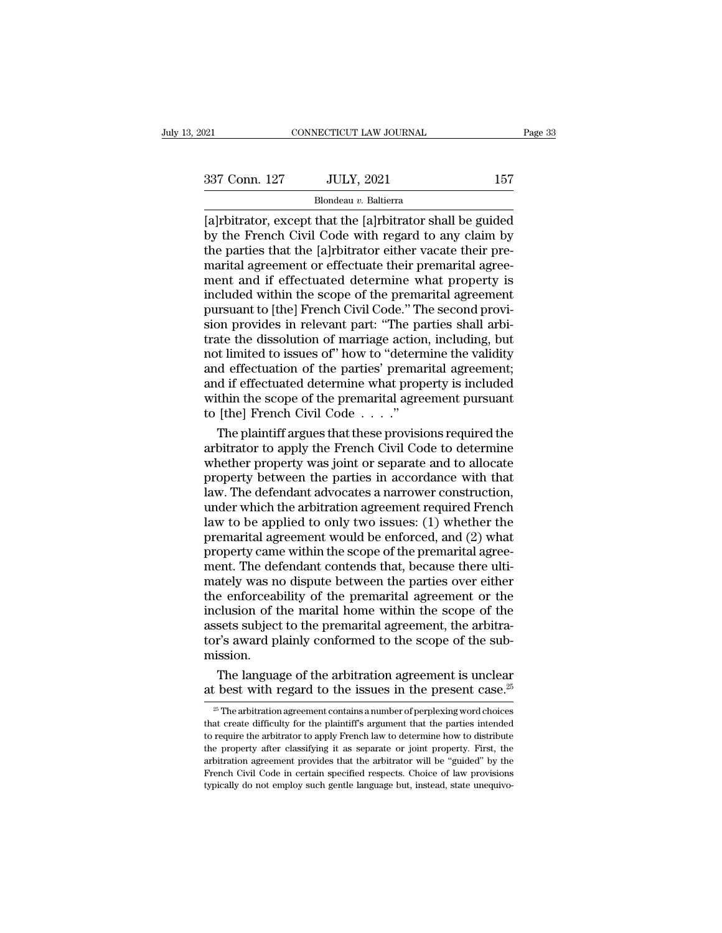Expansible 1921<br>
CONNECTICUT LAW JOURNAL<br>
Page 33<br>
337 Conn. 127 JULY, 2021<br>
Blondeau v. Baltierra<br>
[a]rbitrator, except that the [a]rbitrator shall be guided<br>
by the French Civil Code with regard to any claim by<br>
the part  $\begin{array}{ccc} \text{337 Conn. 127} & \text{JULY, 2021} & \text{157} \\ \hline \text{Blondeau } v. \text{ Baltimore} & \text{Boltierra} \\ \text{[a]rbitrator, except that the [a]rbitrator shall be guided by the French Civil Code with regard to any claim by the parties that the [a]rbitrator either vacate their pre-marital agreement or effective their premarital agree.} \end{array}$ 337 Conn. 127 JULY, 2021 157<br>Blondeau v. Baltierra<br>[a]rbitrator, except that the [a]rbitrator shall be guided<br>by the French Civil Code with regard to any claim by<br>the parties that the [a]rbitrator either vacate their pre-337 Conn. 127 JULY, 2021 157<br>Blondeau  $v$ . Baltierra<br>[a]rbitrator, except that the [a]rbitrator shall be guided<br>by the French Civil Code with regard to any claim by<br>the parties that the [a]rbitrator either vacate their pr Blondeau v. Baltierra<br>
[a]rbitrator, except that the [a]rbitrator shall be guided<br>
by the French Civil Code with regard to any claim by<br>
the parties that the [a]rbitrator either vacate their pre-<br>
marital agreement or eff Blondeau v. Baltierra<br>
[a]rbitrator, except that the [a]rbitrator shall be guided<br>
by the French Civil Code with regard to any claim by<br>
the parties that the [a]rbitrator either vacate their pre-<br>
marital agreement or eff [a]rbitrator, except that the [a]rbitrator shall be guided<br>by the French Civil Code with regard to any claim by<br>the parties that the [a]rbitrator either vacate their pre-<br>marital agreement or effectuate their premarital ag by the French Civil Code with regard to any claim by<br>the parties that the [a]rbitrator either vacate their pre-<br>marital agreement or effectuate their premarital agree-<br>ment and if effectuated determine what property is<br>inc the parties that the [a]rbitrator either vacate their pre-<br>marital agreement or effectuate their premarital agreement<br>and if effectuated determine what property is<br>included within the scope of the premarital agreement<br>purs marital agreement or effectuate their premarital agreement and if effectuated determine what property is<br>included within the scope of the premarital agreement<br>pursuant to [the] French Civil Code." The second provi-<br>sion pr ment and if effectuated determine what property is<br>included within the scope of the premarital agreement<br>pursuant to [the] French Civil Code." The second provi-<br>sion provides in relevant part: "The parties shall arbi-<br>trat included within the scope of the premarital agreement<br>pursuant to [the] French Civil Code." The second provi-<br>sion provides in relevant part: "The parties shall arbi-<br>trate the dissolution of marriage action, including, bu pursuant to [the] French Civil Code." The second provision provides in relevant part: "The parties shall arbitrate the dissolution of marriage action, including, but not limited to issues of" how to "determine the validity Frequency is in relevant part: "The particular in provides in relevant part: "The particle traction of marriage action not limited to issues of" how to "determ and effectuation of the parties" premaind af effectuated dete the the dissolution of marriage action, including, but<br>t limited to issues of" how to "determine the validity<br>d effectuation of the parties' premarital agreement;<br>d if effectuated determine what property is included<br>thin t not limited to issues of" how to "determine the validity<br>and effectuation of the parties' premarital agreement;<br>and if effectuated determine what property is included<br>within the scope of the premarital agreement pursuant<br>t

and effectuation of the parties' premarital agreement;<br>and if effectuated determine what property is included<br>within the scope of the premarital agreement pursuant<br>to [the] French Civil Code . . . ."<br>The plaintiff argues t and if effectuated determine what property is included<br>within the scope of the premarital agreement pursuant<br>to [the] French Civil Code  $\dots$ ."<br>The plaintiff argues that these provisions required the<br>arbitrator to apply th within the scope of the premarital agreement pursuant<br>to [the] French Civil Code  $\ldots$ ."<br>The plaintiff argues that these provisions required the<br>arbitrator to apply the French Civil Code to determine<br>whether property was to [the] French Civil Code  $\ldots$ ."<br>The plaintiff argues that these provisions required the<br>arbitrator to apply the French Civil Code to determine<br>whether property was joint or separate and to allocate<br>property between the The plaintiff argues that these provisions required the<br>arbitrator to apply the French Civil Code to determine<br>whether property was joint or separate and to allocate<br>property between the parties in accordance with that<br>law arbitrator to apply the French Civil Code to determine<br>whether property was joint or separate and to allocate<br>property between the parties in accordance with that<br>law. The defendant advocates a narrower construction,<br>under whether property was joint or separate and to allocate<br>property between the parties in accordance with that<br>law. The defendant advocates a narrower construction,<br>under which the arbitration agreement required French<br>law to property between the parties in accordance with that<br>law. The defendant advocates a narrower construction,<br>under which the arbitration agreement required French<br>law to be applied to only two issues: (1) whether the<br>premari Iaw. The defendant advocates a narrower construction,<br>under which the arbitration agreement required French<br>law to be applied to only two issues: (1) whether the<br>premarital agreement would be enforced, and (2) what<br>propert under which the arbitration agreement required French<br>law to be applied to only two issues: (1) whether the<br>premarital agreement would be enforced, and (2) what<br>property came within the scope of the premarital agree-<br>ment. law to be applied to only two issues: (1) whether the<br>premarital agreement would be enforced, and (2) what<br>property came within the scope of the premarital agree-<br>ment. The defendant contends that, because there ulti-<br>mate premarital agreement would be enforced, and (2) what<br>property came within the scope of the premarital agreement. The defendant contends that, because there ulti-<br>mately was no dispute between the parties over either<br>the en property came within the scope of the premarital agreement. The defendant contends that, because there ultimately was no dispute between the parties over either the enforceability of the premarital agreement or the inclusi mission. ately was no dispute between the parties over either<br>e enforceability of the premarital agreement or the<br>clusion of the marital home within the scope of the<br>sets subject to the premarital agreement, the arbitra-<br>r's award the enforceability of the premarital agreement or the<br>inclusion of the marital home within the scope of the<br>assets subject to the premarital agreement, the arbitra-<br>tor's award plainly conformed to the scope of the sub-<br>m

<sup>25</sup> The language of the arbitration agreement is unclear<br>
25 The language of the arbitration agreement is unclear<br>
25 The arbitration agreement contains a number of perplexing word choices<br>
25 The arbitration agreement con The language of the arbitration agreement is unclear<br>at best with regard to the issues in the present case.<sup>25</sup><br> $\frac{25}{\pi}$  The arbitration agreement contains a number of perplexing word choices<br>that create difficulty for The language of the arbitration agreement is unclear<br>at best with regard to the issues in the present case.<sup>25</sup><br> $\frac{25}{\pi}$  The arbitration agreement contains a number of perplexing word choices<br>that create difficulty for at best with regard to the issues in the present case.<sup>25</sup><br>at best with regard to the issues in the present case.<sup>25</sup><br> $\frac{25}{5}$  The arbitration agreement contains a number of perplexing word choices<br>that create difficult at best with regard to the issues in the present case.<sup>--</sup><br><sup>25</sup> The arbitration agreement contains a number of perplexing word choices<br>that create difficulty for the plaintiff's argument that the parties intended<br>to requi  $^{25}$  The arbitration agreement contains a number of perplexing word choices<br>that create difficulty for the plaintiff's argument that the parties intended<br>to require the arbitrator to apply French law to determine how to that create difficulty for the plaintiff's argument that the parties intended<br>to require the arbitrator to apply French law to determine how to distribute<br>the property after classifying it as separate or joint property. Fi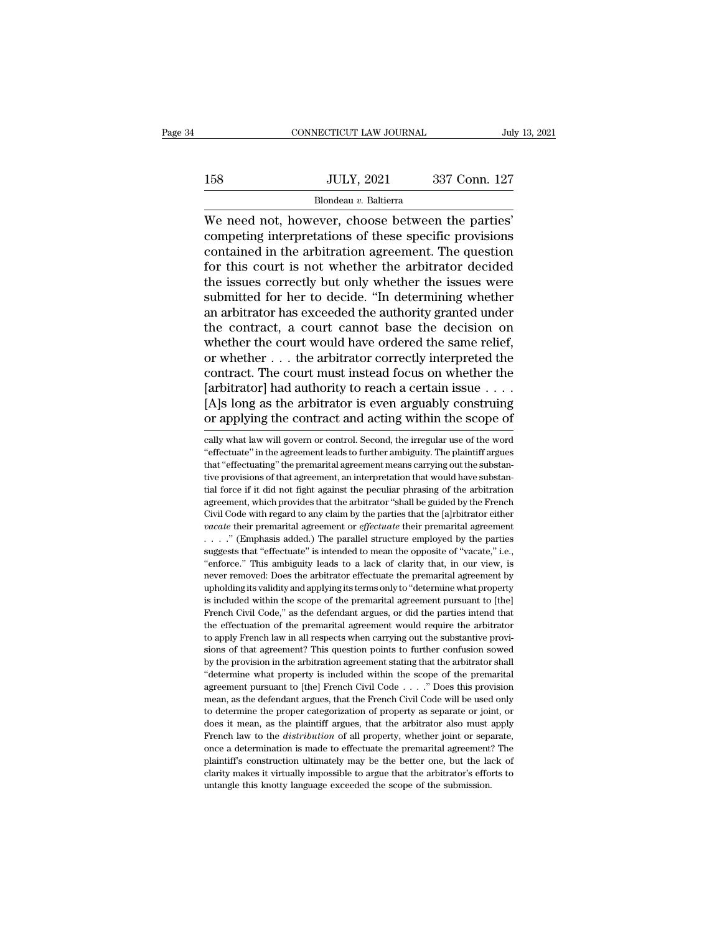|     | CONNECTICUT LAW JOURNAL | July 13, 2021 |
|-----|-------------------------|---------------|
|     |                         |               |
| 158 | <b>JULY, 2021</b>       | 337 Conn. 127 |
|     | Blondeau v. Baltierra   |               |

CONNECTICUT LAW JOURNAL July 13, 2<br>
158 JULY, 2021 337 Conn. 127<br>
Blondeau v. Baltierra<br>
We need not, however, choose between the parties'<br>
competing interpretations of these specific provisions<br>
contained in the arbitrati 158 JULY, 2021 337 Conn. 127<br>Blondeau v. Baltierra<br>We need not, however, choose between the parties'<br>competing interpretations of these specific provisions<br>contained in the arbitration agreement. The question<br>for this cour 158 JULY, 2021 337 Conn. 127<br>Blondeau  $v$ . Baltierra<br>We need not, however, choose between the parties'<br>competing interpretations of these specific provisions<br>contained in the arbitration agreement. The question<br>for this c  $f_{\text{Blondeau } v. \text{ Baltimore}}$   $\frac{337 \text{ Conn. } 127}{127 \text{ Blondeau } v. \text{ Baltimore}}$ <br>
We need not, however, choose between the parties'<br>
competing interpretations of these specific provisions<br>
contained in the arbitration agreement. The question<br>
f Blondeau v. Baltierra<br>We need not, however, choose between the parties'<br>competing interpretations of these specific provisions<br>contained in the arbitration agreement. The question<br>for this court is not whether the arbitra  $\overline{\text{Biondeau } v. \text{ Batterra}}$ <br>We need not, however, choose between the parties'<br>competing interpretations of these specific provisions<br>contained in the arbitration agreement. The question<br>for this court is not whether the arbitr We need not, however, choose between the parties'<br>competing interpretations of these specific provisions<br>contained in the arbitration agreement. The question<br>for this court is not whether the arbitrator decided<br>the issues competing interpretations of these specific provisions<br>contained in the arbitration agreement. The question<br>for this court is not whether the arbitrator decided<br>the issues correctly but only whether the issues were<br>submitt contained in the arbitration agreement. The question<br>for this court is not whether the arbitrator decided<br>the issues correctly but only whether the issues were<br>submitted for her to decide. "In determining whether<br>an arbitr for this court is not whether the arbitrator decided<br>the issues correctly but only whether the issues were<br>submitted for her to decide. "In determining whether<br>an arbitrator has exceeded the authority granted under<br>the con the issues correctly but only whether the issues were<br>submitted for her to decide. "In determining whether<br>an arbitrator has exceeded the authority granted under<br>the contract, a court cannot base the decision on<br>whether th submitted for her to decide. "In determining whether<br>an arbitrator has exceeded the authority granted under<br>the contract, a court cannot base the decision on<br>whether the court would have ordered the same relief,<br>or whether an arbitrator has exceeded the authority granted under<br>the contract, a court cannot base the decision on<br>whether the court would have ordered the same relief,<br>or whether . . . the arbitrator correctly interpreted the<br>cont the contract, a court cannot base the decision on<br>whether the court would have ordered the same relief,<br>or whether ... the arbitrator correctly interpreted the<br>contract. The court must instead focus on whether the<br>[arbitr contract. The court must instead focus on whether the [arbitrator] had authority to reach a certain issue  $\dots$  [A]s long as the arbitrator is even arguably construing or applying the contract and acting within the scope o [arbitrator] had authority to reach a certain issue  $\dots$  . [A]s long as the arbitrator is even arguably construing<br>or applying the contract and acting within the scope of<br>cally what law will govern or control. Second, the

[A]s long as the arbitrator is even arguably construing<br>or applying the contract and acting within the scope of<br>cally what law will govern or control. Second, the irregular use of the word<br>"effectuate" in the agreement lea The form of the contract and acting within the scope of<br>cally what law will govern or control. Second, the irregular use of the word<br>"effectuate" in the agreement leads to further ambiguity. The plaintiff argues<br>that "effe or applying the contract and acting within the scope of early what law will govern or control. Second, the irregular use of the word "effectuate" in the agreement leads to further ambiguity. The plaintiff argues that "effe cally what law will govern or control. Second, the irregular use of the word "effectuate" in the agreement leads to further ambiguity. The plaintiff argues that "effectuating" the premarital agreement means carrying out th "" "effectuate" in the agreement leads to further ambiguity. The plaintiff argues that "effectuating" the premarital agreement means carrying out the substantive provisions of that agreement, an interpretation that would *vacate* that "effectuating" the premarital agreement means carrying out the substantive provisions of that agreement, an interpretation that would have substantial force if it did not fight against the peculiar phrasing o tive provisions of that agreement, an interpretation that would have substantial force if it did not fight against the peculiar phrasing of the arbitration agreement, which provides that the arbitrator "shall be guided by Figure 1 is different to the element of the arbitration agreement, which provides that the peculiar phrasing of the arbitration agreement, which provides that the arbitrator "shall be guided by the French Civil Code with agreement, which provides that the arbitrator "shall be guided by the French Civil Code with regard to any claim by the parties that the [a]rbitrator either *vacate* their premarital agreement or *effectuate* their premar Civil Code with regard to any claim by the parties that the [a]rbitrator either *vacate* their premarital agreement or *effectuate* their premarital agreement  $\ldots$ ." (Emphasis added.) The parallel structure employed by t *vacate* their premarital agreement or *effectuate* their premarital agreement  $\ldots$ ." (Emphasis added.) The parallel structure employed by the parties suggests that "effectuate" is intended to mean the opposite of "vacat is included within the scope of the premarital premarities of "vacate," i.e., "enforce." This ambiguity leads to a lack of clarity that, in our view, is "enforce." This ambiguity leads to a lack of clarity that, in our vi French Civil Code,'' as the defendant argues, or did the parties that "effectuate" is intended to mean the opposite of "vacate," i.e., "enforce." This ambiguity leads to a lack of clarity that, in our view, is never remove "enforce." This ambiguity leads to a lack of clarity that, in our view, is<br>"enforce." This ambiguity leads to a lack of clarity that, in our view, is<br>never removed: Does the arbitrator effectuate the premarital agreement "enforce." This ambiguity leads to a lack of clarity that, in our view, is never removed: Does the arbitrator effectuate the premarital agreement by upholding its validity and applying its terms only to "determine what pro upholding its validity and applying its terms only to "determine what property is included within the scope of the premarital agreement pursuant to [the] French Civil Code," as the defendant argues, or did the parties inte is included within the scope of the premarital agreement pursuant to [the] French Civil Code," as the defendant argues, or did the parties intend that the effectuation of the premarital agreement would require the arbitra French Civil Code," as the defendant argues, or did the parties intend that the effectuation of the premarital agreement would require the arbitrator to apply French law in all respects when carrying out the substantive p The effectuation of the premarital agreement would require the arbitrator to apply French law in all respects when carrying out the substantive provisions of that agreement? This question points to further confusion sowed to apply French law in all respects when carrying out the substantive provisions of that agreement? This question points to further confusion sowed by the provision in the arbitration agreement stating that the arbitrator sions of that agreement? This question points to further confusion sowed<br>by the provision in the arbitration agreement stating that the arbitrator shall<br>"determine what property is included within the scope of the premari by the provision in the arbitration agreement stating that the arbitrator shall "determine what property is included within the scope of the premarital agreement pursuant to [the] French Civil Code  $\ldots$  " Does this provi Frem the *distribution* of the *distribution* of all property. The *distribution* of the *distribution* of  $\mu$  all  $\mu$  and  $\mu$  and  $\mu$  and  $\mu$  and  $\mu$  and  $\mu$  and  $\mu$  are  $\mu$  of  $\mu$  and  $\mu$  are  $\mu$  of  $\mu$  and agreement pursuant to [the] French Civil Code  $\ldots$  " Does this provision mean, as the defendant argues, that the French Civil Code will be used only to determine the proper categorization of property as separate or joint agreement pursuant to [the] French Civil Code  $\ldots$  ." Does this provision mean, as the defendant argues, that the French Civil Code will be used only to determine the proper categorization of property as separate or join to determine the proper categorization of property as separate or joint, or does it mean, as the plaintiff argues, that the arbitrator also must apply French law to the *distribution* of all property, whether joint or sepa does it mean, as the plaintiff argues, that the arbitrator also must apply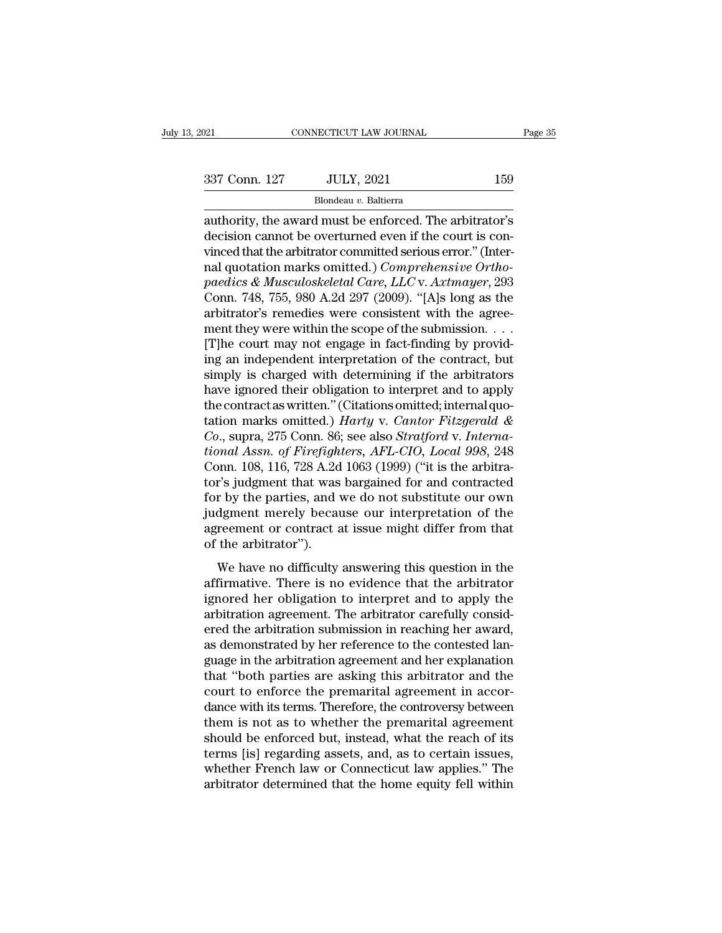Page 35<br>
and CONNECTICUT LAW JOURNAL Page 35<br>
authority, the award must be enforced. The arbitrator's<br>
decision cannot be overturned even if the court is con-<br>
vinced that the arbitrator committed serious error." (Inter- $\begin{array}{ccc}\n 337 \text{ Conn. } 127 & \text{JULY, } 2021 & 159 \\
 \hline\n \text{Blondeau } v. \text{ Baltimore} \\
 \text{authority, the award must be enforced. The arbitrary condition cannot be overturred even if the court is convinced that the arbitrary committed series is error. \end{array}$ 337 Conn. 127 JULY, 2021 159<br>
Blondeau v. Baltierra<br>
authority, the award must be enforced. The arbitrator's<br>
decision cannot be overturned even if the court is con-<br>
vinced that the arbitrator committed serious error.'' 337 Conn. 127 JULY, 2021 159<br>
Blondeau *v*. Baltierra<br>
authority, the award must be enforced. The arbitrator's<br>
decision cannot be overturned even if the court is con-<br>
vinced that the arbitrator committed serious error." *Blondeau v. Baltierra*<br> *pauthority, the award must be enforced. The arbitrator's*<br>
decision cannot be overturned even if the court is con-<br>
vinced that the arbitrator committed serious error." (Inter-<br>
nal quotation mark Blondeau v. Baltierra<br>
authority, the award must be enforced. The arbitrator's<br>
decision cannot be overturned even if the court is con-<br>
vinced that the arbitrator committed serious error." (Inter-<br>
nal quotation marks om authority, the award must be enforced. The arbitrator's<br>decision cannot be overturned even if the court is con-<br>vinced that the arbitrator committed serious error." (Inter-<br>nal quotation marks omitted.) *Comprehensive Orth* decision cannot be overturned even if the court is convinced that the arbitrator committed serious error." (Internal quotation marks omitted.) *Comprehensive Orthopaedics* & *Musculoskeletal Care, LLC* v. *Axtmayer*, 293 C vinced that the arbitrator committed serious error." (Internal quotation marks omitted.) *Comprehensive Ortho-*<br>paedics & Musculoskeletal Care, LLC v. Axtmayer, 293<br>Conn. 748, 755, 980 A.2d 297 (2009). "[A]s long as the<br>a nal quotation marks omitted.) *Comprehensive Ortho-<br>paedics & Musculoskeletal Care, LLC v. Axtmayer*, 293<br>Conn. 748, 755, 980 A.2d 297 (2009). "[A]s long as the<br>arbitrator's remedies were consistent with the agree-<br>ment th paedics & Musculoskeletal Care, LLC v. Axtmayer, 293<br>Conn. 748, 755, 980 A.2d 297 (2009). "[A]s long as the<br>arbitrator's remedies were consistent with the agree-<br>ment they were within the scope of the submission. . . .<br>[T] Conn. 748, 755, 980 A.2d 297 (2009). "[A]s long as the<br>arbitrator's remedies were consistent with the agree-<br>ment they were within the scope of the submission. . . .<br>[T]he court may not engage in fact-finding by provid-<br>i the contract as written.''(Citations omitted; internal quotation marks omitted.) *Harty* v. *Cantor Fitzgerald &* [T]he court may not engage in fact-finding by providing an independent interpretation of the contract, but<br>simply is charged with determining if the arbitrators<br>have ignored their obligation to interpret and to apply<br>the c ing an independent interpretation of the contract, but<br>simply is charged with determining if the arbitrators<br>have ignored their obligation to interpret and to apply<br>the contract as written." (Citations omitted; internal qu simply is charged with determining if the arbitrators<br>have ignored their obligation to interpret and to apply<br>the contract as written." (Citations omitted; internal quo-<br>tation marks omitted.) *Harty* v. *Cantor Fitzgerald* have ignored their obligation to interpret and to apply<br>the contract as written." (Citations omitted; internal quo-<br>tation marks omitted.) *Harty* v. *Cantor Fitzgerald &*<br>*Co.*, supra, 275 Conn. 86; see also *Stratford* v the contract as written." (Citations omitted; internal quotation marks omitted.) *Harty* v. *Cantor Fitzgerald &*<br> *Co.*, supra, 275 Conn. 86; see also *Stratford* v. *Interna-<br>
tional Assn. of Firefighters*, *AFL-CIO*, *L* tation marks omitted.) *Harty* v. *Cantor Fitzgerald &*<br>Co., supra, 275 Conn. 86; see also *Stratford* v. *Interna-<br>tional Assn. of Firefighters, AFL-CIO, Local 998*, 248<br>Conn. 108, 116, 728 A.2d 1063 (1999) ("it is the a Co., supra, 275 Conn. 86; see also *Stratford v. International Assn. of Firefighters, AFL-CIO, Local 998*, 248 Conn. 108, 116, 728 A.2d 1063 (1999) ("it is the arbitrator's judgment that was bargained for and contracted fo tional Assn. of Firefigh<br>Conn. 108, 116, 728 A.2d<br>tor's judgment that was<br>for by the parties, and<br>judgment merely becau<br>agreement or contract a<br>of the arbitrator'').<br>We have no difficulty We have no difficulty answering this question in the firmative. There is no evidence that the arbitrator").<br>We have no difficulty answering this question in the firmative. There is no evidence that the arbitrator and the For by the parties, and we do not substitute our own<br>judgment merely because our interpretation of the<br>agreement or contract at issue might differ from that<br>of the arbitrator").<br>We have no difficulty answering this questio

For by the partics, and we do not substitute our own<br>judgment merely because our interpretation of the<br>agreement or contract at issue might differ from that<br>of the arbitrator").<br>We have no difficulty answering this questio agreement or contract at issue might differ from that<br>agreement or contract at issue might differ from that<br>of the arbitrator").<br>We have no difficulty answering this question in the<br>affirmative. There is no evidence that t expression of the arbitrator").<br>We have no difficulty answering this question in the<br>affirmative. There is no evidence that the arbitrator<br>ignored her obligation to interpret and to apply the<br>arbitration agreement. The arb We have no difficulty answering this question in the affirmative. There is no evidence that the arbitrator ignored her obligation to interpret and to apply the arbitration agreement. The arbitrator carefully considered the We have no difficulty answering this question in the affirmative. There is no evidence that the arbitrator ignored her obligation to interpret and to apply the arbitration agreement. The arbitrator carefully considered the affirmative. There is no evidence that the arbitrator<br>
ignored her obligation to interpret and to apply the<br>
arbitration agreement. The arbitrator carefully consid-<br>
ered the arbitration submission in reaching her award,<br> ignored her obligation to interpret and to apply the<br>arbitration agreement. The arbitrator carefully consid-<br>ered the arbitration submission in reaching her award,<br>as demonstrated by her reference to the contested lan-<br>gua arbitration agreement. The arbitrator carefully considered the arbitration submission in reaching her award, as demonstrated by her reference to the contested language in the arbitration agreement and her explanation that ered the arbitration submission in reaching her award,<br>as demonstrated by her reference to the contested language in the arbitration agreement and her explanation<br>that "both parties are asking this arbitrator and the<br>court as demonstrated by her reference to the contested language in the arbitration agreement and her explanation<br>that "both parties are asking this arbitrator and the<br>court to enforce the premarital agreement in accor-<br>dance wi guage in the arbitration agreement and her explanation<br>that "both parties are asking this arbitrator and the<br>court to enforce the premarital agreement in accor-<br>dance with its terms. Therefore, the controversy between<br>them that "both parties are asking this arbitrator and the<br>court to enforce the premarital agreement in accor-<br>dance with its terms. Therefore, the controversy between<br>them is not as to whether the premarital agreement<br>should b court to enforce the premarital agreement in accordance with its terms. Therefore, the controversy between them is not as to whether the premarital agreement should be enforced but, instead, what the reach of its terms [is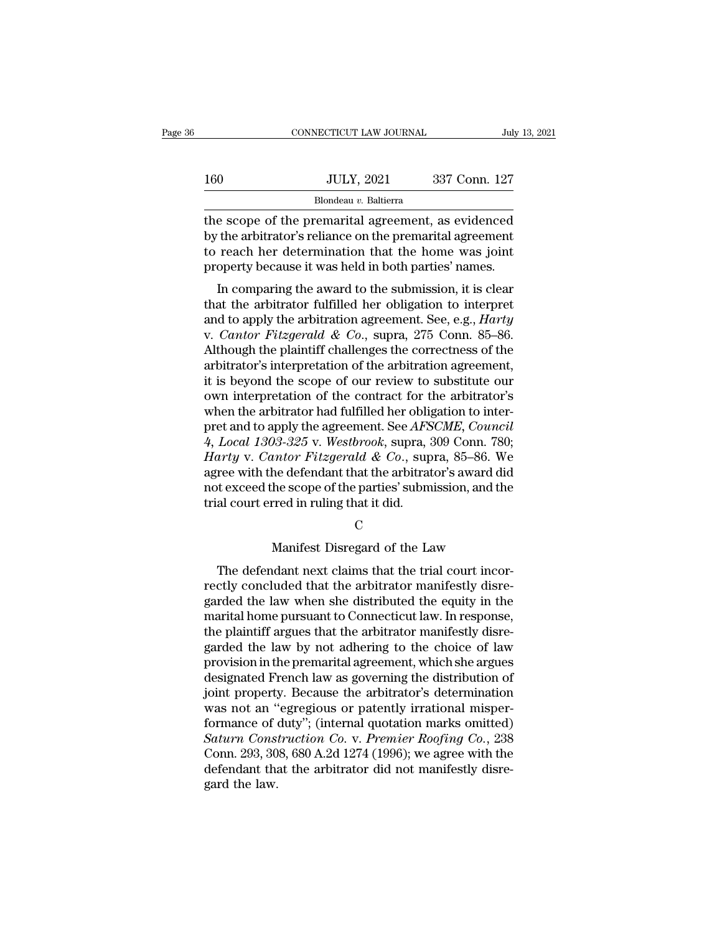|     | CONNECTICUT LAW JOURNAL | July 13, 2021 |
|-----|-------------------------|---------------|
|     |                         |               |
| 160 | <b>JULY, 2021</b>       | 337 Conn. 127 |
|     | Blondeau v. Baltierra   |               |

CONNECTICUT LAW JOURNAL July 13, 2021<br>160 JULY, 2021 337 Conn. 127<br>160 JULY, 2021 337 Conn. 127<br>160 Blondeau v. Baltierra<br>160 Sope of the premarital agreement, as evidenced<br>160 by the arbitrator's reliance on the premarita 160 JULY, 2021 337 Conn. 127<br>Blondeau v. Baltierra<br>the scope of the premarital agreement, as evidenced<br>by the arbitrator's reliance on the premarital agreement<br>to reach her determination that the home was joint<br>proporty bo  $\begin{tabular}{ll} \bf 160 & \tt JULY, 2021 & \tt 337 Conn. 127 \\ \hline \end{tabular} \end{tabular} \begin{tabular}{ll} \bf 160 & \tt JULY, 2021 & \tt 337 Conn. 127 \\ \hline \end{tabular} \end{tabular} \begin{tabular}{ll} \bf 160 & \tt 127 \\ \bf 161 & \tt 272 & \tt 2837 Conn. 127 \\ \bf 185 & \tt 2867 & \tt 2877 & \tt 2887 & \tt 2887 & \tt 2887 & \tt 2887 & \tt 28$ 160 JULY, 2021 337 Conn. 127<br>Blondeau v. Baltierra<br>the scope of the premarital agreement, as evidenced<br>by the arbitrator's reliance on the premarital agreement<br>to reach her determination that the home was joint<br>property be Blondeau v. Baltierra<br>
e scope of the premarital agreement, as evidenced<br>
the arbitrator's reliance on the premarital agreement<br>
reach her determination that the home was joint<br>
operty because it was held in both parties' the scope of the premarital agreement, as evidenced<br>by the arbitrator's reliance on the premarital agreement<br>to reach her determination that the home was joint<br>property because it was held in both parties' names.<br>In compa

the scope of the premarital agreement, as evidenced<br>by the arbitrator's reliance on the premarital agreement<br>to reach her determination that the home was joint<br>property because it was held in both parties' names.<br>In compar by the arbitrator's renance on the premarital agreement<br>to reach her determination that the home was joint<br>property because it was held in both parties' names.<br>In comparing the award to the submission, it is clear<br>that the to reach her determination that the none was joint<br>property because it was held in both parties' names.<br>In comparing the award to the submission, it is clear<br>that the arbitrator fulfilled her obligation to interpret<br>and t In comparing the award to the submission, it is clear<br>that the arbitrator fulfilled her obligation to interpret<br>and to apply the arbitration agreement. See, e.g., *Harty*<br>v. *Cantor Fitzgerald & Co.*, supra, 275 Conn. 85– In comparing the award to the submission, it is clear<br>that the arbitrator fulfilled her obligation to interpret<br>and to apply the arbitration agreement. See, e.g., *Harty*<br>v. *Cantor Fitzgerald & Co.*, supra, 275 Conn. 85– that the arbitrator fulfilled her obligation to interpret<br>and to apply the arbitration agreement. See, e.g., *Harty*<br>v. *Cantor Fitzgerald & Co.*, supra, 275 Conn. 85–86.<br>Although the plaintiff challenges the correctness and to apply the arbitration agreement. See, e.g., *Harty* v. *Cantor Fitzgerald & Co.*, supra, 275 Conn. 85–86.<br>Although the plaintiff challenges the correctness of the arbitrator's interpretation of the arbitration agre v. *Cantor Fitzgerald & Co.*, supra, 275 Conn. 85–86.<br>Although the plaintiff challenges the correctness of the<br>arbitrator's interpretation of the arbitration agreement,<br>it is beyond the scope of our review to substitute ou Although the plaintiff challenges the correctness of the arbitrator's interpretation of the arbitration agreement, it is beyond the scope of our review to substitute our own interpretation of the contract for the arbitrato arbitrator's interpretation of the arbitration agreement,<br>it is beyond the scope of our review to substitute our<br>own interpretation of the contract for the arbitrator's<br>when the arbitrator had fulfilled her obligation to i it is beyond the scope of our review to substitute our<br>own interpretation of the contract for the arbitrator's<br>when the arbitrator had fulfilled her obligation to inter-<br>pret and to apply the agreement. See *AFSCME*, *Coun* own interpretation of the contract for the arbitrator's<br>when the arbitrator had fulfilled her obligation to inter-<br>pret and to apply the agreement. See *AFSCME*, *Council*<br>4, *Local 1303-325* v. *Westbrook*, supra, 309 Con when the arbitrator had fulfilled her obliqued pret and to apply the agreement. See AFS 4, Local 1303-325 v. Westbrook, supra,  $\frac{1}{2}$  Harty v. Cantor Fitzgerald & Co., sup agree with the defendant that the arbitrat not untor Fitzgerald & Co., supra, 85–86. We<br>he defendant that the arbitrator's award did<br>he scope of the parties' submission, and the<br>rred in ruling that it did.<br>C<br>Manifest Disregard of the Law<br>dant next claims that the tria The defendant next claims in an interesting of the particle state and the defendant erred in ruling that it did.<br>C<br>Manifest Disregard of the Law<br>The defendant next claims that the trial court incor-<br>ctly concluded that the

# C<sub>c</sub>

rection and the scope of the parties submission, and the<br>trial court erred in ruling that it did.<br>C<br>Manifest Disregard of the Law<br>The defendant next claims that the trial court incor-<br>rectly concluded that the arbitrator m garded the law and the law the defendant next claims that the trial court incorrectly concluded that the arbitrator manifestly disregarded the law when she distributed the equity in the marital home pursuant to Connecticut C<br>
Manifest Disregard of the Law<br>
The defendant next claims that the trial court incor-<br>
rectly concluded that the arbitrator manifestly disre-<br>
garded the law when she distributed the equity in the<br>
marital home pursuant Manifest Disregard of the Law<br>The defendant next claims that the trial court incor-<br>rectly concluded that the arbitrator manifestly disre-<br>garded the law when she distributed the equity in the<br>marital home pursuant to Conn mannest Distegard of the Law<br>The defendant next claims that the trial court incor-<br>rectly concluded that the arbitrator manifestly disre-<br>garded the law when she distributed the equity in the<br>marital home pursuant to Conne The defendant next claims that the trial court incorrectly concluded that the arbitrator manifestly disregarded the law when she distributed the equity in the marital home pursuant to Connecticut law. In response, the plai rectly concluded that the arbitrator manifestly disregarded the law when she distributed the equity in the marital home pursuant to Connecticut law. In response, the plaintiff argues that the arbitrator manifestly disregar garded the law when she distributed the equity in the<br>marital home pursuant to Connecticut law. In response,<br>the plaintiff argues that the arbitrator manifestly disre-<br>garded the law by not adhering to the choice of law<br>pr marital home pursuant to Connecticut law. In response,<br>the plaintiff argues that the arbitrator manifestly disre-<br>garded the law by not adhering to the choice of law<br>provision in the premarital agreement, which she argues<br> the plaintiff argues that the arbitrator manifestly disregarded the law by not adhering to the choice of law<br>provision in the premarital agreement, which she argues<br>designated French law as governing the distribution of<br>j garded the law by not adhering to the choice of law<br>provision in the premarital agreement, which she argues<br>designated French law as governing the distribution of<br>joint property. Because the arbitrator's determination<br>was provision in the premarital agreement, which she argues<br>designated French law as governing the distribution of<br>joint property. Because the arbitrator's determination<br>was not an "egregious or patently irrational misper-<br>for designated French law as governing the distribution of<br>joint property. Because the arbitrator's determination<br>was not an "egregious or patently irrational misper-<br>formance of duty"; (internal quotation marks omitted)<br>Satur iont property<br>was not an "formance of<br>formance of exaturn Consi<br>Conn. 293, 30<br>defendant that<br>gard the law.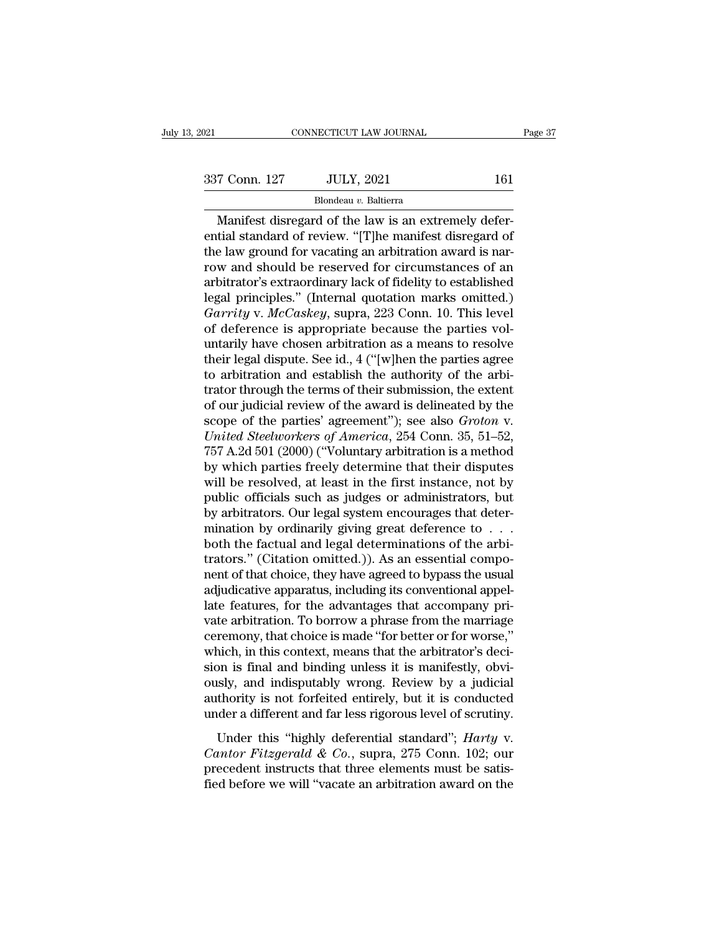July 13, 2021 CONNECTICUT LAW JOURNAL<br>
337 Conn. 127 JULY, 2021 161<br>
Blondeau v. Baltierra<br>
Manifest disregard of the law is an extremely defer-<br>
ential standard of review. "[T]he manifest disregard of<br>
the law ground for ential standard of review. ''[T] and a statemential standard of review. ''[T] he manifest disregard of the law ground for vacating an arbitration award is narrow and should be reserved for gireumstances of an 337 Conn. 127 JULY, 2021 161<br>Blondeau v. Baltierra<br>Manifest disregard of the law is an extremely defer-<br>ential standard of review. "[T]he manifest disregard of<br>the law ground for vacating an arbitration award is nar-<br>row 337 Conn. 127 JULY, 2021 161<br>Blondeau v. Baltierra<br>Manifest disregard of the law is an extremely defer-<br>ential standard of review. "[T]he manifest disregard of<br>the law ground for vacating an arbitration award is nar-<br>row Blondeau v. Baltierra<br>
Manifest disregard of the law is an extremely defer-<br>
ential standard of review. "[T]he manifest disregard of<br>
the law ground for vacating an arbitration award is nar-<br>
row and should be reserved fo Blondeau v. Baltierra<br>
Manifest disregard of the law is an extremely defer-<br>
ential standard of review. "[T]he manifest disregard of<br>
the law ground for vacating an arbitration award is nar-<br>
row and should be reserved fo Manifest disregard of the law is an extremely deferential standard of review. "[T]he manifest disregard of the law ground for vacating an arbitration award is narrow and should be reserved for circumstances of an arbitrato ential standard of review. "[T]he manifest disregard of<br>the law ground for vacating an arbitration award is nar-<br>row and should be reserved for circumstances of an<br>arbitrator's extraordinary lack of fidelity to established the law ground for vacating an arbitration award is nar-<br>row and should be reserved for circumstances of an<br>arbitrator's extraordinary lack of fidelity to established<br>legal principles." (Internal quotation marks omitted.)<br> row and should be reserved for circumstances of an arbitrator's extraordinary lack of fidelity to established legal principles." (Internal quotation marks omitted.)<br>Garrity v.  $McCasey$ , supra, 223 Conn. 10. This level<br>of defe arbitrator's extraordinary lack of fidelity to established<br>legal principles." (Internal quotation marks omitted.)<br>*Garrity* v. *McCaskey*, supra, 223 Conn. 10. This level<br>of deference is appropriate because the parties vol legal principles." (Internal quotation marks omitted.)<br> *Garrity* v. *McCaskey*, supra, 223 Conn. 10. This level<br>
of deference is appropriate because the parties vol-<br>
untarily have chosen arbitration as a means to resolve Garrity v. McCaskey, supra, 223 Conn. 10. This level<br>of deference is appropriate because the parties vol-<br>untarily have chosen arbitration as a means to resolve<br>their legal dispute. See id., 4 ("[w]hen the parties agree<br>t of deference is appropriate because the parties voluntarily have chosen arbitration as a means to resolve<br>their legal dispute. See id., 4 ("[w]hen the parties agree<br>to arbitration and establish the authority of the arbi-<br>t untarily have chosen arbitration as a means to resolve<br>their legal dispute. See id., 4 ("[w]hen the parties agree<br>to arbitration and establish the authority of the arbi-<br>trator through the terms of their submission, the ex their legal dispute. See id., 4 ("[w]hen the parties agree<br>to arbitration and establish the authority of the arbi-<br>trator through the terms of their submission, the extent<br>of our judicial review of the award is delineated to arbitration and establish the authority of the arbitrator through the terms of their submission, the extent<br>of our judicial review of the award is delineated by the<br>scope of the parties' agreement"); see also *Groton* v trator through the terms of their submission, the extent<br>of our judicial review of the award is delineated by the<br>scope of the parties' agreement"); see also *Groton* v.<br>*United Steelworkers of America*, 254 Conn. 35, 51–5 of our judicial review of the award is delineated by the<br>scope of the parties' agreement"); see also *Groton* v.<br>*United Steelworkers of America*, 254 Conn. 35, 51–52,<br>757 A.2d 501 (2000) ("Voluntary arbitration is a metho scope of the parties' agreement"); see also *Groton v.*<br>United Steelworkers of America, 254 Conn. 35, 51–52, 757 A.2d 501 (2000) ("Voluntary arbitration is a method by which parties freely determine that their disputes wi United Steelworkers of America, 254 Conn. 35, 51–52, 757 A.2d 501 (2000) ("Voluntary arbitration is a method by which parties freely determine that their disputes will be resolved, at least in the first instance, not by p 757 A.2d 501 (2000) ("Voluntary arbitration is a method<br>by which parties freely determine that their disputes<br>will be resolved, at least in the first instance, not by<br>public officials such as judges or administrators, but by which parties freely determine that their disputes<br>will be resolved, at least in the first instance, not by<br>public officials such as judges or administrators, but<br>by arbitrators. Our legal system encourages that deter-<br> will be resolved, at least in the first instance, not by<br>public officials such as judges or administrators, but<br>by arbitrators. Our legal system encourages that deter-<br>mination by ordinarily giving great deference to . . . public officials such as judges or administrators, but<br>by arbitrators. Our legal system encourages that deter-<br>mination by ordinarily giving great deference to . . .<br>both the factual and legal determinations of the arbi-<br>t by arbitrators. Our legal system encourages that determination by ordinarily giving great deference to  $\ldots$ .<br>both the factual and legal determinations of the arbitrators." (Citation omitted.)). As an essential component mination by ordinarily giving great deference to . . .<br>both the factual and legal determinations of the arbitrators." (Citation omitted.)). As an essential compo-<br>nent of that choice, they have agreed to bypass the usual<br>a both the factual and legal determinations of the arbi-<br>trators." (Citation omitted.)). As an essential compo-<br>nent of that choice, they have agreed to bypass the usual<br>adjudicative apparatus, including its conventional app trators." (Citation omitted.)). As an essential component of that choice, they have agreed to bypass the usual adjudicative apparatus, including its conventional appellate features, for the advantages that accompany privat nent of that choice, they have agreed to bypass the usual adjudicative apparatus, including its conventional appel-<br>late features, for the advantages that accompany private arbitration. To borrow a phrase from the marriage adjudicative apparatus, including its conventional appellate features, for the advantages that accompany private arbitration. To borrow a phrase from the marriage ceremony, that choice is made "for better or for worse," wh late features, for the advantages that accompany private arbitration. To borrow a phrase from the marriage ceremony, that choice is made "for better or for worse," which, in this context, means that the arbitrator's decisi vate arbitration. To borrow a phrase from the marriage<br>ceremony, that choice is made "for better or for worse,"<br>which, in this context, means that the arbitrator's deci-<br>sion is final and binding unless it is manifestly, o rementy, and entoce is made for seater of for worse,<br>nich, in this context, means that the arbitrator's deci-<br>on is final and binding unless it is manifestly, obvi-<br>sly, and indisputably wrong. Review by a judicial<br>thority *Cantor, in this content, incuts that the distributed sides* is manifestly, obviously, and indisputably wrong. Review by a judicial authority is not forfeited entirely, but it is conducted under a different and far less ri

precedent instructs that three elements and indisputably wrong. Review by a judicial authority is not forfeited entirely, but it is conducted under a different and far less rigorous level of scrutiny. Under this "highly d authority is not forfeited entirely, but it is conducted<br>authority is not forfeited entirely, but it is conducted<br>under a different and far less rigorous level of scrutiny.<br>Under this "highly deferential standard"; *Harty*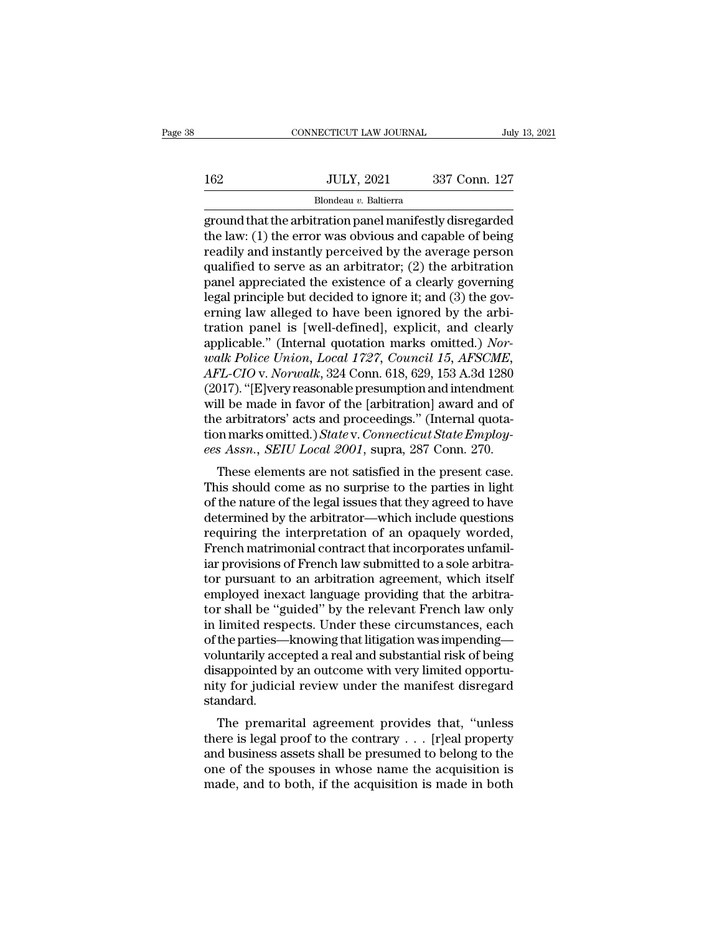# $\begin{tabular}{c} \multicolumn{2}{c|}{\text{CONNECTICUT LAW JOURNAL}} & July 13, 2021 \\ \hline 162 & JULY, 2021 & 337 & Conn. 127 \\ \hline \end{tabular}$

# Blondeau *v.* Baltierra

CONNECTICUT LAW JOURNAL July 13, 2021<br>162 JULY, 2021 337 Conn. 127<br>Blondeau v. Baltierra<br>ground that the arbitration panel manifestly disregarded<br>the law: (1) the error was obvious and capable of being<br>readily and instantl 162 JULY, 2021 337 Conn. 127<br>Blondeau v. Baltierra<br>ground that the arbitration panel manifestly disregarded<br>the law: (1) the error was obvious and capable of being<br>readily and instantly perceived by the average person<br>qual 162 JULY, 2021 337 Conn. 127<br>Blondeau v. Baltierra<br>ground that the arbitration panel manifestly disregarded<br>the law: (1) the error was obvious and capable of being<br>readily and instantly perceived by the average person<br>qua  $\frac{JULY, 2021}{Blondeau \ v. \ Baltierra}$ <br>ground that the arbitration panel manifestly disregarded<br>the law: (1) the error was obvious and capable of being<br>readily and instantly perceived by the average person<br>qualified to serve as an Blondeau v. Baltierra<br>
ground that the arbitration panel manifestly disregarded<br>
the law: (1) the error was obvious and capable of being<br>
readily and instantly perceived by the average person<br>
qualified to serve as an arb Blondeau v. Baltierra<br>ground that the arbitration panel manifestly disregarded<br>the law: (1) the error was obvious and capable of being<br>readily and instantly perceived by the average person<br>qualified to serve as an arbitra ground that the arbitration panel manifestly disregarded<br>the law: (1) the error was obvious and capable of being<br>readily and instantly perceived by the average person<br>qualified to serve as an arbitrator; (2) the arbitratio the law: (1) the error was obvious and capable of being<br>readily and instantly perceived by the average person<br>qualified to serve as an arbitrator; (2) the arbitration<br>panel appreciated the existence of a clearly governing readily and instantly perceived by the average person<br>qualified to serve as an arbitrator; (2) the arbitration<br>panel appreciated the existence of a clearly governing<br>legal principle but decided to ignore it; and (3) the go qualified to serve as an arbitrator; (2) the arbitration<br>panel appreciated the existence of a clearly governing<br>legal principle but decided to ignore it; and (3) the gov-<br>erning law alleged to have been ignored by the arbi panel appreciated the existence of a clearly governing<br>legal principle but decided to ignore it; and (3) the governing law alleged to have been ignored by the arbitration panel is [well-defined], explicit, and clearly<br>appl legal principle but decided to ignore it; and (3) the governing law alleged to have been ignored by the arbitration panel is [well-defined], explicit, and clearly applicable." (Internal quotation marks omitted.) Norwalk Po erning law alleged to have been ignored by the arbitration panel is [well-defined], explicit, and clearly applicable." (Internal quotation marks omitted.) *Norwalk Police Union, Local 1727, Council 15, AFSCME, AFL-CIO v. N* tration panel is [well-defined], explicit, and clearly<br>applicable." (Internal quotation marks omitted.) Nor-<br>walk Police Union, Local 1727, Council 15, AFSCME,<br>AFL-CIO v. Norwalk, 324 Conn. 618, 629, 153 A.3d 1280<br>(2017). applicable." (Internal quotation marks omitted.) *Norwalk Police Union, Local 1727, Council 15, AFSCME, AFL-CIO v. Norwalk,* 324 Conn. 618, 629, 153 A.3d 1280 (2017). "[E]very reasonable presumption and intendment will b *walk Police Union, Local 1727, Council 15, AFSCME,*<br>*AFL-CIO v. Norwalk,* 324 Conn. 618, 629, 153 A.3d 1280<br>(2017). "[E]very reasonable presumption and intendment<br>will be made in favor of the [arbitration] award and of<br>th These elements are not satisfied in the present case.<br>These elements are not satisfied in favor of the [arbitration] award and of<br>e arbitrators' acts and proceedings." (Internal quota-<br>nonmarks omitted.) State v. Connecti (2017). [E]very reasonable presumption and interidirent<br>will be made in favor of the [arbitration] award and of<br>the arbitrators' acts and proceedings." (Internal quota-<br>tion marks omitted.) *State v. Connecticut State Emp* 

will be inade in favor of the [afbitration] award and of<br>the arbitrators' acts and proceedings." (Internal quota-<br>tion marks omitted.) State v. Connecticut State Employ-<br>ees Assn., SEIU Local 2001, supra, 287 Conn. 270.<br>Th the arbitrators acts and proceedings. (Internal quotation marks omitted.) State v. Connecticut State Employ-<br>ees Assn., SEIU Local 2001, supra, 287 Conn. 270.<br>These elements are not satisfied in the present case.<br>This shou read Assonated. J State v. Connectical State Emptoy-<br>ees Assn., SEIU Local 2001, supra, 287 Conn. 270.<br>These elements are not satisfied in the present case.<br>This should come as no surprise to the parties in light<br>of the na Fremch matrimonial contract that incorporates unfamilies that the present case.<br>This should come as no surprise to the parties in light<br>of the nature of the legal issues that they agreed to have<br>determined by the arbitrato These elements are not satisfied in the present case.<br>This should come as no surprise to the parties in light<br>of the nature of the legal issues that they agreed to have<br>determined by the arbitrator—which include questions<br> This should come as no surprise to the parties in light<br>of the nature of the legal issues that they agreed to have<br>determined by the arbitrator—which include questions<br>requiring the interpretation of an opaquely worded,<br>Fr of the nature of the legal issues that they agreed to have<br>determined by the arbitrator—which include questions<br>requiring the interpretation of an opaquely worded,<br>French matrimonial contract that incorporates unfamil-<br>iar determined by the arbitrator—which include questions<br>requiring the interpretation of an opaquely worded,<br>French matrimonial contract that incorporates unfamil-<br>iar provisions of French law submitted to a sole arbitra-<br>tor requiring the interpretation of an opaquely worded,<br>French matrimonial contract that incorporates unfamiliar<br>provisions of French law submitted to a sole arbitrator<br>pursuant to an arbitration agreement, which itself<br>employ French matrimonial contract that incorporates unfamiliar provisions of French law submitted to a sole arbitrator pursuant to an arbitration agreement, which itself<br>employed inexact language providing that the arbitrator sh iar provisions of French law submitted to a sole arbitrator pursuant to an arbitration agreement, which itself<br>employed inexact language providing that the arbitrator shall be "guided" by the relevant French law only<br>in li tor pursuant to an arbitration agreement, which itself<br>employed inexact language providing that the arbitra-<br>tor shall be "guided" by the relevant French law only<br>in limited respects. Under these circumstances, each<br>of the employed inexact language providing that the arbitrator shall be "guided" by the relevant French law only in limited respects. Under these circumstances, each of the parties—knowing that litigation was impending—voluntaril standard. minted respects. Onder these circumstances, each<br>the parties—knowing that litigation was impending—<br>luntarily accepted a real and substantial risk of being<br>sappointed by an outcome with very limited opportu-<br>ty for judicia of the parties—knowing that infigation was impedual<br>voluntarily accepted a real and substantial risk of being<br>disappointed by an outcome with very limited opportu-<br>nity for judicial review under the manifest disregard<br>sta

voluntarily accepted a real and substantial risk of belig<br>disappointed by an outcome with very limited opportu-<br>nity for judicial review under the manifest disregard<br>standard.<br>The premarital agreement provides that, "unle disappointed by an outcome with very immed opportunity for judicial review under the manifest disregard standard.<br>The premarital agreement provides that, "unless there is legal proof to the contrary  $\dots$  [r]eal property a matrix for Judician review under the mannest disregard<br>standard.<br>The premarital agreement provides that, "unless<br>there is legal proof to the contrary  $\dots$  [r]eal property<br>and business assets shall be presumed to belong to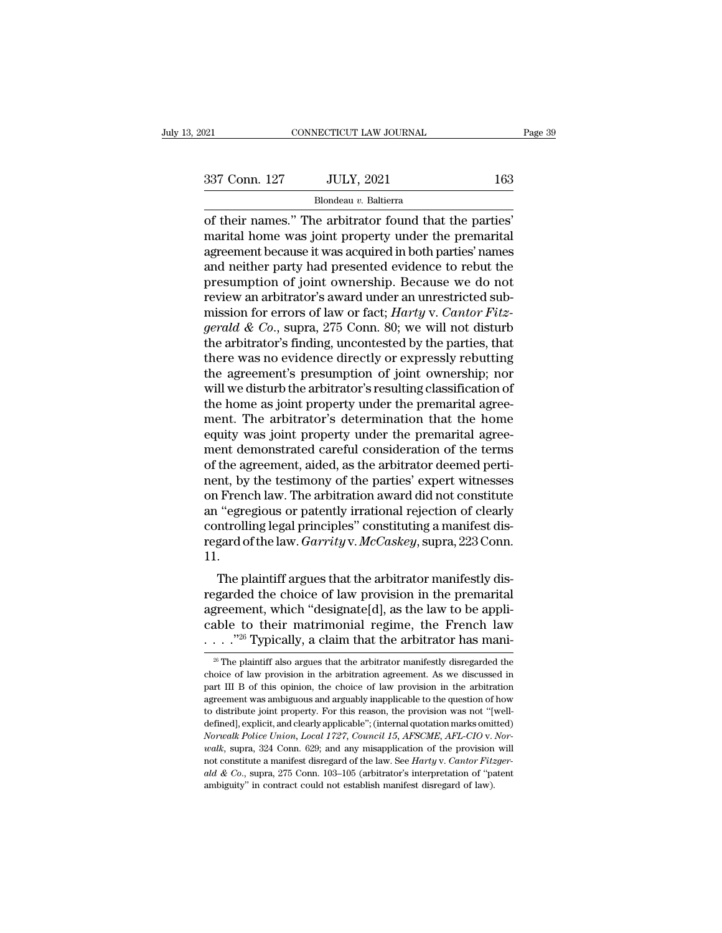Blondeau *v.* Baltierra

Fags CONNECTICUT LAW JOURNAL Pags<br>
337 Conn. 127 JULY, 2021 163<br>
Blondeau v. Baltierra<br>
of their names.'' The arbitrator found that the parties'<br>
marital home was joint property under the premarital<br>
agreement because it w  $\frac{337 \text{ Conn. } 127}{\text{Blondeau } v. \text{ Baltimore}}$  163<br>  $\frac{163}{\text{Blondeau } v. \text{ Baltimore}}$ <br>
of their names." The arbitrator found that the parties'<br>
marital home was joint property under the premarital<br>
agreement because it was acquired in both part  $\frac{337 \text{ Conn. } 127}{\text{Blondeau } v. \text{ Baltimore}}$   $\frac{163}{\text{Blondeau } v. \text{ Baltimore}}$ <br>
of their names." The arbitrator found that the parties' marital home was joint property under the premarital agreement because it was acquired in both parties' na  $\frac{337 \text{ Conn. } 127}{\text{Blondeau } v. \text{ Baltimore}}$   $\frac{163}{\text{Blondeau } v. \text{ Baltimore}}$ <br>
of their names." The arbitrator found that the parties'<br>
marital home was joint property under the premarital<br>
agreement because it was acquired in both parties' Blondeau v. Baltierra<br>
of their names." The arbitrator found that the parties'<br>
marital home was joint property under the premarital<br>
agreement because it was acquired in both parties' names<br>
and neither party had present Blondeau v. Baltierra<br>
of their names." The arbitrator found that the parties'<br>
marital home was joint property under the premarital<br>
agreement because it was acquired in both parties' names<br>
and neither party had present of their names." The arbitrator found that the parties'<br>marital home was joint property under the premarital<br>agreement because it was acquired in both parties' names<br>and neither party had presented evidence to rebut the<br>pr marital home was joint property under the premarital<br>agreement because it was acquired in both parties' names<br>and neither party had presented evidence to rebut the<br>presumption of joint ownership. Because we do not<br>review a agreement because it was acquired in both parties' names<br>and neither party had presented evidence to rebut the<br>presumption of joint ownership. Because we do not<br>review an arbitrator's award under an unrestricted sub-<br>missi and neither party had presented evidence to rebut the<br>presumption of joint ownership. Because we do not<br>review an arbitrator's award under an unrestricted sub-<br>mission for errors of law or fact; *Harty* v. *Cantor Fitz-*<br> presumption of joint ownership. Because we do not<br>review an arbitrator's award under an unrestricted sub-<br>mission for errors of law or fact; *Harty* v. *Cantor Fitz-*<br>*gerald* & *Co.*, supra, 275 Conn. 80; we will not dist review an arbitrator's award under an unrestricted sub-<br>mission for errors of law or fact; *Harty* v. *Cantor Fitz-*<br>*gerald* & *Co.*, supra, 275 Conn. 80; we will not disturb<br>the arbitrator's finding, uncontested by the p mission for errors of law or fact; *Harty* v. *Cantor Fitzgerald & Co.*, supra, 275 Conn. 80; we will not disturb<br>the arbitrator's finding, uncontested by the parties, that<br>there was no evidence directly or expressly rebu *gerald & Co.*, supra, 275 Conn. 80; we will not disturb<br>the arbitrator's finding, uncontested by the parties, that<br>there was no evidence directly or expressly rebutting<br>the agreement's presumption of joint ownership; nor the arbitrator's finding, uncontested by the parties, that<br>there was no evidence directly or expressly rebutting<br>the agreement's presumption of joint ownership; nor<br>will we disturb the arbitrator's resulting classification there was no evidence directly or expressly rebutting<br>the agreement's presumption of joint ownership; nor<br>will we disturb the arbitrator's resulting classification of<br>the home as joint property under the premarital agree-<br> the agreement's presumption of joint ownership; nor will we disturb the arbitrator's resulting classification of the home as joint property under the premarital agreement. The arbitrator's determination that the home equit will we disturb the arbitrator's resulting classification of<br>the home as joint property under the premarital agree-<br>ment. The arbitrator's determination that the home<br>equity was joint property under the premarital agree-<br>m the home as joint property under the premarital agreement. The arbitrator's determination that the home<br>equity was joint property under the premarital agreement demonstrated careful consideration of the terms<br>of the agreem ment. The arbitrator's determination that the home<br>equity was joint property under the premarital agree-<br>ment demonstrated careful consideration of the terms<br>of the agreement, aided, as the arbitrator deemed perti-<br>nent, b equity was joint property under the premarital agreement demonstrated careful consideration of the terms of the agreement, aided, as the arbitrator deemed pertinent, by the testimony of the parties' expert witnesses on Fre ment demonstrated careful consideration of the terms<br>of the agreement, aided, as the arbitrator deemed perti-<br>nent, by the testimony of the parties' expert witnesses<br>on French law. The arbitration award did not constitute<br> 11. In French law. The arbitration award did not constitute<br>
"egregious or patently irrational rejection of clearly<br>
introlling legal principles" constituting a manifest dis-<br>
gard of the law. *Garrity* v. *McCaskey*, supra, 2 on French law. The arbitration award did not constitute<br>an "egregious or patently irrational rejection of clearly<br>controlling legal principles" constituting a manifest dis-<br>regard of the law.  $Garrity$  v.  $McCaskey$ , supra, 223 C

an "egregious or patently inational rejection or clearly<br>controlling legal principles" constituting a manifest dis-<br>regard of the law.  $Garrity$  v.  $McCaskey$ , supra, 223 Conn.<br>11.<br>The plaintiff argues that the arbitrator manifes controlling legal principles constituting a maillest dis-<br>regard of the law.  $Garrity$  v.  $McCaskey$ , supra, 223 Conn.<br>11.<br>The plaintiff argues that the arbitrator manifestly dis-<br>regarded the choice of law provision in the prema The plaintiff argues that the arbitrator manifestly dis-<br>regarded the choice of law provision in the premarital<br>agreement, which "designate[d], as the law to be appli-<br>cable to their matrimonial regime, the French law<br> $\dots$ expanded the choice of law provision in the premarital<br>greement, which "designate[d], as the law to be appli-<br>able to their matrimonial regime, the French law<br> $\dots$ "<sup>26</sup> Typically, a claim that the arbitrator has mani-<br><sup>26</sup> agreement, which "designate[d], as the law to be applicable to their matrimonial regime, the French law ...."<sup>26</sup> Typically, a claim that the arbitrator has mani-<br><sup>26</sup> The plaintiff also argues that the arbitrator manifes

cable to their matrimonial regime, the French law  $\cdots$ <sup>726</sup> Typically, a claim that the arbitrator has mani-<br><sup>26</sup> The plaintiff also argues that the arbitrator manifestly disregarded the choice of law provision in the ar  $\cdots$ <sup>226</sup> Typically, a claim that the arbitrator has mani-<br><sup>26</sup> The plaintiff also argues that the arbitrator manifestly disregarded the choice of law provision in the arbitration agreement. As we discussed in part III B  $\frac{1}{26}$  The plaintiff also argues that the at formulation in the at formulation  $\frac{1}{26}$  The plaintiff also argues that the arbitration agreement. As we discussed in part III B of this opinion, the choice of law prov <sup>26</sup> The plaintiff also argues that the arbitrator manifestly disregarded the choice of law provision in the arbitration agreement. As we discussed in part III B of this opinion, the choice of law provision in the arbitra choice of law provision in the arbitration agreement. As we discussed in part III B of this opinion, the choice of law provision in the arbitration agreement was ambiguous and arguably inapplicable to the question of how t part III B of this opinion, the choice of law provision in the arbitration agreement was ambiguous and arguably inapplicable to the question of how to distribute joint property. For this reason, the provision was not "[we agreement was ambiguous and arguably inapplicable to the question of how<br>to distribute joint property. For this reason, the provision was not "[well-<br>defined], explicit, and clearly applicable"; (internal quotation marks o to distribute joint property. For this reason, the provision was not "[welldefined], explicit, and clearly applicable"; (internal quotation marks omitted)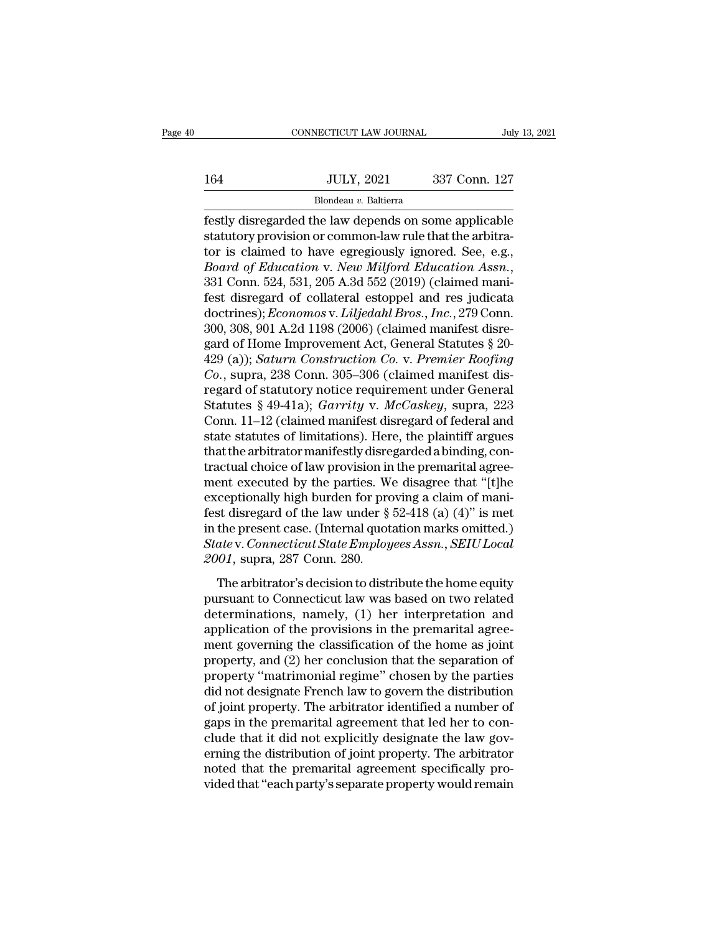# $\begin{tabular}{c} \multicolumn{1}{c|}{\text{CONNECTICUT LAW JOURNAL}} & July 13, 2021\\ \hline \end{tabular}$   $\begin{tabular}{c} \multicolumn{1}{c|}{\text{JULY, 2021}}\\ \multicolumn{1}{c|}{\text{Blondeau $v$. Baltierra}}\\ \hline \end{tabular}$

### Blondeau *v.* Baltierra

Festly disregarded the law depends on some applicable<br>tatutory provision or common-law rule that the arbitrater is claimed to bave orgatiously ispected. See a 3 164 JULY, 2021 337 Conn. 127<br>Blondeau v. Baltierra<br>festly disregarded the law depends on some applicable<br>statutory provision or common-law rule that the arbitra-<br>tor is claimed to have egregiously ignored. See, e.g.,<br>Board 164 JULY, 2021 337 Conn. 127<br>Blondeau v. Baltierra<br>festly disregarded the law depends on some applicable<br>statutory provision or common-law rule that the arbitra-<br>tor is claimed to have egregiously ignored. See, e.g.,<br>*Boa Blondeau v. Baltierra*<br> *Blondeau v. Baltierra*<br> **Estly disregarded the law depends on some applicable**<br> **statutory provision or common-law rule that the arbitra-**<br> **tor is claimed to have egregiously ignored. See, e.g.,** Blondeau v. Baltierra<br>
festly disregarded the law depends on some applicable<br>
statutory provision or common-law rule that the arbitra-<br>
tor is claimed to have egregiously ignored. See, e.g.,<br> *Board of Education v. New Mi* festly disregarded the law depends on some applicable<br>statutory provision or common-law rule that the arbitra-<br>tor is claimed to have egregiously ignored. See, e.g.,<br>*Board of Education v. New Milford Education Assn.*,<br>331 statutory provision or common-law rule that the arbitrator is claimed to have egregiously ignored. See, e.g., *Board of Education v. New Milford Education Assn.*, 331 Conn. 524, 531, 205 A.3d 552 (2019) (claimed manifest d tor is claimed to have egregiously ignored. See, e.g.,<br>Board of Education v. New Milford Education Assn.,<br>331 Conn. 524, 531, 205 A.3d 552 (2019) (claimed mani-<br>fest disregard of collateral estoppel and res judicata<br>doctri Board of Education v. New Milford Education Assn.,<br>331 Conn. 524, 531, 205 A.3d 552 (2019) (claimed manifest disregard of collateral estoppel and res judicata<br>doctrines); *Economos* v. *Liljedahl Bros.*, *Inc.*, 279 Conn.<br> 331 Conn. 524, 531, 205 A.3d 552 (2019) (claimed manifest disregard of collateral estoppel and res judicata<br>doctrines); *Economos* v. *Liljedahl Bros.*, *Inc.*, 279 Conn.<br>300, 308, 901 A.2d 1198 (2006) (claimed manifest di fest disregard of collateral estoppel and res judicata<br>doctrines); *Economos* v. *Liljedahl Bros.*, *Inc.*, 279 Conn.<br>300, 308, 901 A.2d 1198 (2006) (claimed manifest disre-<br>gard of Home Improvement Act, General Statutes § doctrines); *Economos* v. *Liljedahl Bros.*, *Inc.*, 279 Conn.<br>300, 308, 901 A.2d 1198 (2006) (claimed manifest disregard of Home Improvement Act, General Statutes § 20-<br>429 (a)); *Saturn Construction Co. v. Premier Roofin* 300, 308, 901 A.2d 1198 (2006) (claimed manifest disregard of Home Improvement Act, General Statutes § 20-<br>429 (a)); *Saturn Construction Co.* v. *Premier Roofing*<br>*Co.*, supra, 238 Conn. 305–306 (claimed manifest dis-<br>reg gard of Home Improvement Act, General Statutes § 20-<br>429 (a)); *Saturn Construction Co.* v. *Premier Roofing*<br>*Co.*, supra, 238 Conn. 305–306 (claimed manifest dis-<br>regard of statutory notice requirement under General<br>Stat 429 (a)); *Saturn Construction Co.* v. *Premier Roofing Co.*, supra, 238 Conn. 305–306 (claimed manifest dis-<br>regard of statutory notice requirement under General<br>Statutes § 49-41a); *Garrity v. McCaskey*, supra, 223<br>Conn *Co.*, supra, 238 Conn. 305–306 (claimed manifest dis-<br>regard of statutory notice requirement under General<br>Statutes § 49-41a); *Garrity* v. *McCaskey*, supra, 223<br>Conn. 11–12 (claimed manifest disregard of federal and<br>st regard of statutory notice requirement under General<br>Statutes § 49-41a); *Garrity* v. *McCaskey*, supra, 223<br>Conn. 11–12 (claimed manifest disregard of federal and<br>state statutes of limitations). Here, the plaintiff argue Statutes § 49-41a); *Garrity* v. *McCaskey*, supra, 223<br>Conn. 11–12 (claimed manifest disregard of federal and<br>state statutes of limitations). Here, the plaintiff argues<br>that the arbitrator manifestly disregarded a bindin Conn. 11–12 (claimed manifest disregard of federal and<br>state statutes of limitations). Here, the plaintiff argues<br>that the arbitrator manifestly disregarded a binding, con-<br>tractual choice of law provision in the premarit state statutes of limitations). Here, the plaintiff argues<br>that the arbitrator manifestly disregarded a binding, con-<br>tractual choice of law provision in the premarital agree-<br>ment executed by the parties. We disagree that that the arbitrator manifestly disregarded a binding, contractual choice of law provision in the premarital agreement executed by the parties. We disagree that "[t]he exceptionally high burden for proving a claim of manife tractual choice of law provision in<br>ment executed by the parties. We<br>exceptionally high burden for prc<br>fest disregard of the law under §<br>in the present case. (Internal quot<br>*State* v. *Connecticut State Employ*<br>2001, supra The arbitrator's decision to distribute the home equity<br>
reptionally high burden for proving a claim of manist disregard of the law under  $\S$  52-418 (a) (4)" is met<br>
the present case. (Internal quotation marks omitted.)<br> exceptionary right statical for proving a claim of main<br>fest disregard of the law under § 52-418 (a) (4)" is met<br>in the present case. (Internal quotation marks omitted.)<br>*State* v. Connecticut State Employees Assn., SEIU

determinations, namely, (1) here is present assembled.)<br>
and the present case. (Internal quotation marks omitted.)<br>
and the present state Employees Assn., SEIU Local<br>
2001, supra, 287 Conn. 280.<br>
The arbitrator's decision and the present case. (Internal quotation manks sinuscal.)<br>
State v. Connecticut State Employees Assn., SEIU Local<br>
2001, supra, 287 Conn. 280.<br>
The arbitrator's decision to distribute the home equity<br>
pursuant to Connect 2001, supra, 287 Conn. 280.<br>
The arbitrator's decision to distribute the home equity<br>
pursuant to Connecticut law was based on two related<br>
determinations, namely, (1) her interpretation and<br>
application of the provisions The arbitrator's decision to distribute the home equity<br>pursuant to Connecticut law was based on two related<br>determinations, namely, (1) her interpretation and<br>application of the provisions in the premarital agree-<br>ment go The arbitrator's decision to distribute the home equity<br>pursuant to Connecticut law was based on two related<br>determinations, namely, (1) her interpretation and<br>application of the provisions in the premarital agree-<br>ment go pursuant to Connecticut law was based on two related<br>determinations, namely, (1) her interpretation and<br>application of the provisions in the premarital agree-<br>ment governing the classification of the home as joint<br>property determinations, namely, (1) her interpretation and<br>application of the provisions in the premarital agree-<br>ment governing the classification of the home as joint<br>property, and (2) her conclusion that the separation of<br>prope application of the provisions in the premarital agreement governing the classification of the home as joint property, and (2) her conclusion that the separation of property "matrimonial regime" chosen by the parties did no ment governing the classification of the home as joint<br>property, and (2) her conclusion that the separation of<br>property "matrimonial regime" chosen by the parties<br>did not designate French law to govern the distribution<br>of property, and (2) her conclusion that the separation of<br>property "matrimonial regime" chosen by the parties<br>did not designate French law to govern the distribution<br>of joint property. The arbitrator identified a number of<br>g property "matrimonial regime" chosen by the parties<br>did not designate French law to govern the distribution<br>of joint property. The arbitrator identified a number of<br>gaps in the premarital agreement that led her to con-<br>clu did not designate French law to govern the distribution<br>of joint property. The arbitrator identified a number of<br>gaps in the premarital agreement that led her to con-<br>clude that it did not explicitly designate the law gov-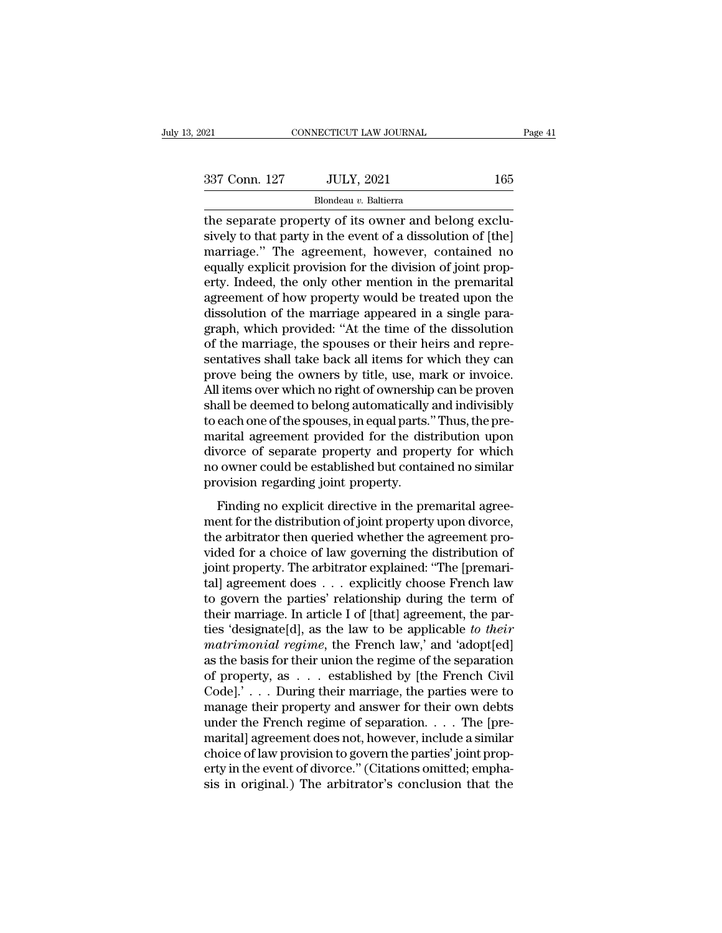| 2021          | CONNECTICUT LAW JOURNAL                                                                                                                                              | Page 41 |
|---------------|----------------------------------------------------------------------------------------------------------------------------------------------------------------------|---------|
| 337 Conn. 127 | <b>JULY, 2021</b>                                                                                                                                                    | 165     |
|               | Blondeau v. Baltierra                                                                                                                                                |         |
|               | the separate property of its owner and belong exclu-<br>sively to that party in the event of a dissolution of [the]<br>marriage," The agreement however contained no |         |

337 Conn. 127 JULY, 2021 165<br>Blondeau v. Baltierra<br>the separate property of its owner and belong exclusively to that party in the event of a dissolution of [the]<br>marriage." The agreement, however, contained no  $\frac{337 \text{ Conn. } 127}{\text{Blondeau } v. \text{ Baltimore}}$   $\frac{165}{\text{Blondeau } v. \text{ Baltimore}}$ <br>
the separate property of its owner and belong exclusively to that party in the event of a dissolution of [the]<br>
marriage.'' The agreement, however, contained no<br> 337 Conn. 127 JULY, 2021 165<br>Blondeau v. Baltierra<br>the separate property of its owner and belong exclu-<br>sively to that party in the event of a dissolution of [the]<br>marriage." The agreement, however, contained no<br>equally e Blondeau *v.* Baltierra<br>
the separate property of its owner and belong exclusively to that party in the event of a dissolution of [the]<br>
marriage." The agreement, however, contained no<br>
equally explicit provision for the d Blondeau v. Baltierra<br>
the separate property of its owner and belong exclu-<br>
sively to that party in the event of a dissolution of [the]<br>
marriage." The agreement, however, contained no<br>
equally explicit provision for the the separate property of its owner and belong exclusively to that party in the event of a dissolution of [the] marriage." The agreement, however, contained no equally explicit provision for the division of joint property. sively to that party in the event of a dissolution of [the]<br>marriage." The agreement, however, contained no<br>equally explicit provision for the division of joint prop-<br>erty. Indeed, the only other mention in the premarital<br> marriage." The agreement, however, contained no<br>equally explicit provision for the division of joint prop-<br>erty. Indeed, the only other mention in the premarital<br>agreement of how property would be treated upon the<br>dissolut equally explicit provision for the division of joint property. Indeed, the only other mention in the premarital agreement of how property would be treated upon the dissolution of the marriage appeared in a single paragraph erty. Indeed, the only other mention in the premarital<br>agreement of how property would be treated upon the<br>dissolution of the marriage appeared in a single para-<br>graph, which provided: "At the time of the dissolution<br>of th agreement of how property would be treated upon the<br>dissolution of the marriage appeared in a single para-<br>graph, which provided: "At the time of the dissolution<br>of the marriage, the spouses or their heirs and repre-<br>senta dissolution of the marriage appeared in a single paragraph, which provided: "At the time of the dissolution of the marriage, the spouses or their heirs and representatives shall take back all items for which they can prove graph, which provided: "At the time of the dissolution<br>of the marriage, the spouses or their heirs and repre-<br>sentatives shall take back all items for which they can<br>prove being the owners by title, use, mark or invoice.<br>A of the marriage, the spouses or their heirs and repre-<br>sentatives shall take back all items for which they can<br>prove being the owners by title, use, mark or invoice.<br>All items over which no right of ownership can be proven sentatives shall take back all items for which they can<br>prove being the owners by title, use, mark or invoice.<br>All items over which no right of ownership can be proven<br>shall be deemed to belong automatically and indivisibl prove being the owners by title, use, mark or invoice.<br>All items over which no right of ownership can be proven<br>shall be deemed to belong automatically and indivisibly<br>to each one of the spouses, in equal parts." Thus, the All items over which no right of ownership<br>shall be deemed to belong automatically<br>to each one of the spouses, in equal parts.<br>marital agreement provided for the dis<br>divorce of separate property and prop<br>no owner could be an be decided to belong addomatedary and matchesty,<br>each one of the spouses, in equal parts." Thus, the pre-<br>arital agreement provided for the distribution upon<br>vorce of separate property and property for which<br>owner could to cach one of all spoases, in equal parts. Thus, all pre-<br>marital agreement provided for the distribution upon<br>divorce of separate property and property for which<br>no owner could be established but contained no similar<br>pro

The arbitrator of the distribution appearance of separate property and property for which no owner could be established but contained no similar provision regarding joint property.<br>Finding no explicit directive in the prem molecular discree of separate property and property for which<br>no owner could be established but contained no similar<br>provision regarding joint property.<br>Finding no explicit directive in the premarital agree-<br>ment for the d provision regarding joint property.<br>
Finding no explicit directive in the premarital agreement for the distribution of joint property upon divorce,<br>
the arbitrator then queried whether the agreement provided for a choice o Finding no explicit directive in the premarital agreement for the distribution of joint property upon divorce,<br>the arbitrator then queried whether the agreement pro-<br>vided for a choice of law governing the distribution of Finding no explicit directive in the premarital agreement for the distribution of joint property upon divorce, the arbitrator then queried whether the agreement provided for a choice of law governing the distribution of j ment for the distribution of joint property upon divorce,<br>the arbitrator then queried whether the agreement pro-<br>vided for a choice of law governing the distribution of<br>joint property. The arbitrator explained: "The [prema the arbitrator then queried whether the agreement pro-<br>vided for a choice of law governing the distribution of<br>joint property. The arbitrator explained: "The [premari-<br>tal] agreement does . . . explicitly choose French law vided for a choice of law governing the distribution of<br>joint property. The arbitrator explained: "The [premari-<br>tal] agreement does . . . explicitly choose French law<br>to govern the parties' relationship during the term of joint property. The arbitrator explained: "The [premarital] agreement does . . . explicitly choose French law<br>to govern the parties' relationship during the term of<br>their marriage. In article I of [that] agreement, the pa tall agreement does . . . explicitly choose French law<br>to govern the parties' relationship during the term of<br>their marriage. In article I of [that] agreement, the par-<br>ties 'designate[d], as the law to be applicable *to* to govern the parties' relationship during the term of<br>their marriage. In article I of [that] agreement, the par-<br>ties 'designate[d], as the law to be applicable *to their*<br>matrimonial regime, the French law,' and 'adopt[ their marriage. In article I of [that] agreement, the parties 'designate[d], as the law to be applicable *to their* matrimonial regime, the French law,' and 'adopt[ed] as the basis for their union the regime of the separa ties 'designate[d], as the law to be applicable to their matrimonial regime, the French law,' and 'adopt[ed] as the basis for their union the regime of the separation of property, as  $\dots$  established by [the French Civil matrimonial regime, the French law,' and 'adopt[ed]<br>as the basis for their union the regime of the separation<br>of property, as  $\ldots$  established by [the French Civil<br>Code].'  $\ldots$  During their marriage, the parties were to as the basis for their union the regime of the separation<br>of property, as  $\ldots$  established by [the French Civil<br>Code].'  $\ldots$  During their marriage, the parties were to<br>manage their property and answer for their own debt of property, as . . . established by [the French Civil Code].' . . . During their marriage, the parties were to manage their property and answer for their own debts under the French regime of separation. . . . The [premari Code].' . . . During their marriage, the parties were to manage their property and answer for their own debts under the French regime of separation. . . . The [premarital] agreement does not, however, include a similar cho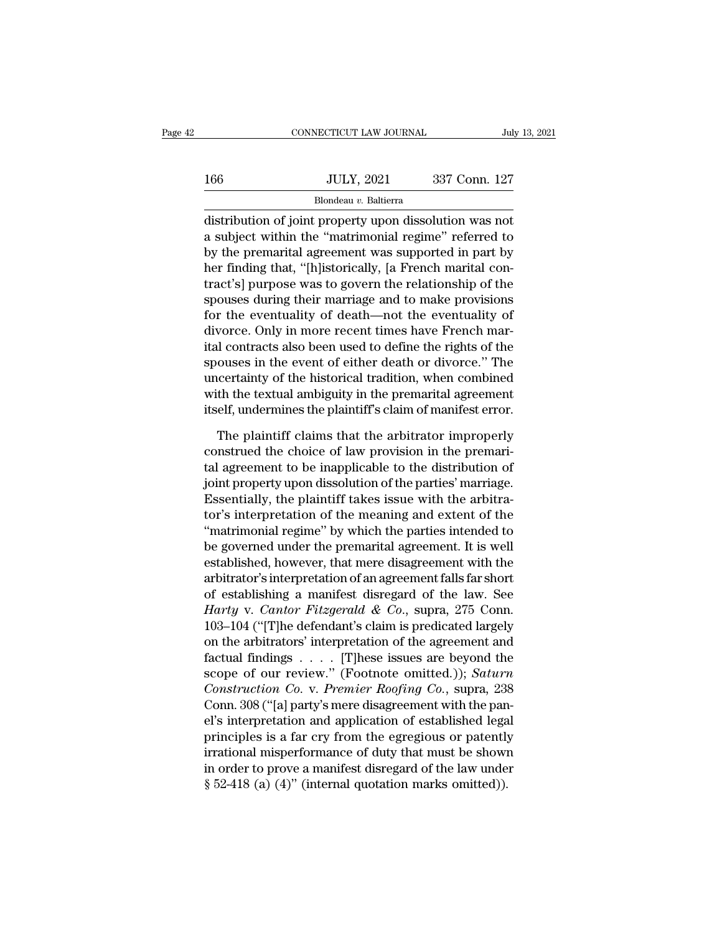|     | CONNECTICUT LAW JOURNAL | July 13, 2021 |
|-----|-------------------------|---------------|
|     |                         |               |
| 166 | <b>JULY, 2021</b>       | 337 Conn. 127 |
|     | Blondeau v. Baltierra   |               |

CONNECTICUT LAW JOURNAL July 13, 202<br>
166 JULY, 2021 337 Conn. 127<br>
Blondeau v. Baltierra<br>
distribution of joint property upon dissolution was not<br>
a subject within the "matrimonial regime" referred to<br>
by the propertial a 166 JULY, 2021 337 Conn. 127<br>Blondeau v. Baltierra<br>distribution of joint property upon dissolution was not<br>a subject within the "matrimonial regime" referred to<br>by the premarital agreement was supported in part by<br>hor find  $\frac{166}{\text{Blondeau } v. \text{ Baltimore}}$   $\frac{337 \text{ Conn. } 127}{\text{Blondeau } v. \text{ Baltimore}}$ <br>
distribution of joint property upon dissolution was not<br>
a subject within the "matrimonial regime" referred to<br>
by the premarital agreement was supported in par  $\frac{JULY, 2021}{Blondeau v.$  Baltierra<br>distribution of joint property upon dissolution was not<br>a subject within the "matrimonial regime" referred to<br>by the premarital agreement was supported in part by<br>her finding that, "[h]isto Blondeau  $v$ . Baltierra<br>
distribution of joint property upon dissolution was not<br>
a subject within the "matrimonial regime" referred to<br>
by the premarital agreement was supported in part by<br>
her finding that, "[h]istorica spondear v. Batteria<br>distribution of joint property upon dissolution was not<br>a subject within the "matrimonial regime" referred to<br>by the premarital agreement was supported in part by<br>her finding that, "[h]istorically, [a distribution of joint property upon dissolution was not<br>a subject within the "matrimonial regime" referred to<br>by the premarital agreement was supported in part by<br>her finding that, "[h]istorically, [a French marital con-<br>t a subject within the "matrimonial regime" referred to<br>by the premarital agreement was supported in part by<br>her finding that, "[h]istorically, [a French marital con-<br>tract's] purpose was to govern the relationship of the<br>sp by the premarital agreement was supported in part by<br>her finding that, "[h]istorically, [a French marital con-<br>tract's] purpose was to govern the relationship of the<br>spouses during their marriage and to make provisions<br>for her finding that, "[h]istorically, [a French marital con-<br>tract's] purpose was to govern the relationship of the<br>spouses during their marriage and to make provisions<br>for the eventuality of death—not the eventuality of<br>divo tract's] purpose was to govern the relationship of the<br>spouses during their marriage and to make provisions<br>for the eventuality of death—not the eventuality of<br>divorce. Only in more recent times have French mar-<br>ital contr spouses during their marriage and to make provisions<br>for the eventuality of death—not the eventuality of<br>divorce. Only in more recent times have French mar-<br>ital contracts also been used to define the rights of the<br>spouses for the eventuality of death—not the eventuality of<br>divorce. Only in more recent times have French mar-<br>ital contracts also been used to define the rights of the<br>spouses in the event of either death or divorce." The<br>uncert I contracts also been used to define the rights of the<br>ouses in the event of either death or divorce." The<br>certainty of the historical tradition, when combined<br>th the textual ambiguity in the premarital agreement<br>elf, unde spouses in the event of either death or divorce." The uncertainty of the historical tradition, when combined with the textual ambiguity in the premarital agreement itself, undermines the plaintiff's claim of manifest error

uncertainty of the historical tradition, when combined<br>with the textual ambiguity in the premarital agreement<br>itself, undermines the plaintiff's claim of manifest error.<br>The plaintiff claims that the arbitrator improperly<br> with the textual ambiguity in the premarital agreement<br>itself, undermines the plaintiff's claim of manifest error.<br>The plaintiff claims that the arbitrator improperly<br>construed the choice of law provision in the premari-<br>t itself, undermines the plaintiff's claim of manifest error.<br>The plaintiff claims that the arbitrator improperly<br>construed the choice of law provision in the premari-<br>tal agreement to be inapplicable to the distribution of<br> The plaintiff claims that the arbitrator improperly<br>construed the choice of law provision in the premari-<br>tal agreement to be inapplicable to the distribution of<br>joint property upon dissolution of the parties' marriage.<br>Es The plaintiff claims that the arbitrator improperly<br>construed the choice of law provision in the premari-<br>tal agreement to be inapplicable to the distribution of<br>joint property upon dissolution of the parties' marriage.<br>Es construed the choice of law provision in the premari-<br>tal agreement to be inapplicable to the distribution of<br>joint property upon dissolution of the parties' marriage.<br>Essentially, the plaintiff takes issue with the arbitr tal agreement to be inapplicable to the distribution of<br>joint property upon dissolution of the parties' marriage.<br>Essentially, the plaintiff takes issue with the arbitra-<br>tor's interpretation of the meaning and extent of t joint property upon dissolution of the parties' marriage.<br>Essentially, the plaintiff takes issue with the arbitra-<br>tor's interpretation of the meaning and extent of the<br>"matrimonial regime" by which the parties intended t Essentially, the plaintiff takes issue with the arbitrator's interpretation of the meaning and extent of the "matrimonial regime" by which the parties intended to be governed under the premarital agreement. It is well est for's interpretation of the meaning and extent of the<br>
"matrimonial regime" by which the parties intended to<br>
be governed under the premarital agreement. It is well<br>
established, however, that mere disagreement with the<br>
a "matrimonial regime" by which the parties intended to<br>be governed under the premarital agreement. It is well<br>established, however, that mere disagreement with the<br>arbitrator's interpretation of an agreement falls far shor be governed under the premarital agreement. It is well<br>established, however, that mere disagreement with the<br>arbitrator's interpretation of an agreement falls far short<br>of establishing a manifest disregard of the law. See established, however, that mere disagreement with the<br>arbitrator's interpretation of an agreement falls far short<br>of establishing a manifest disregard of the law. See<br>*Harty* v. *Cantor Fitzgerald & Co.*, supra, 275 Conn. arbitrator's interpretation of an agreement falls far short<br>of establishing a manifest disregard of the law. See<br>*Harty* v. *Cantor Fitzgerald & Co.*, supra, 275 Conn.<br>103–104 ("[T]he defendant's claim is predicated largel of establishing a manifest disregard of the law. See<br>*Harty* v. *Cantor Fitzgerald & Co.*, supra, 275 Conn.<br>103–104 ("[T]he defendant's claim is predicated largely<br>on the arbitrators' interpretation of the agreement and<br>fa *Harty* v. *Cantor Fitzgerald & Co.*, supra, 275 Conn.<br>103–104 ("[T]he defendant's claim is predicated largely<br>on the arbitrators' interpretation of the agreement and<br>factual findings . . . . [T]hese issues are beyond the 103–104 ("[T]he defendant's claim is predicated largely<br>on the arbitrators' interpretation of the agreement and<br>factual findings  $\dots$ . [T]hese issues are beyond the<br>scope of our review." (Footnote omitted.)); *Saturn*<br>*Co* on the arbitrators' interpretation of the agreement and<br>factual findings  $\ldots$ . [T]hese issues are beyond the<br>scope of our review." (Footnote omitted.)); *Saturn*<br>*Construction Co.* v. *Premier Roofing Co.*, supra, 238<br>Co factual findings  $\ldots$  [T]hese issues are beyond the<br>scope of our review." (Footnote omitted.)); *Saturn*<br>*Construction Co.* v. *Premier Roofing Co.*, supra, 238<br>Conn. 308 ("[a] party's mere disagreement with the pan-<br>el' scope of our review." (Footnote omitted.)); *Saturn* Construction Co. v. Premier Roofing Co., supra, 238 Conn. 308 ("[a] party's mere disagreement with the panel's interpretation and application of established legal princ Construction Co. v. Premier Roofing Co., supra, 238<br>Conn. 308 ("[a] party's mere disagreement with the pan<br>el's interpretation and application of established lega<br>principles is a far cry from the egregious or patently<br>irra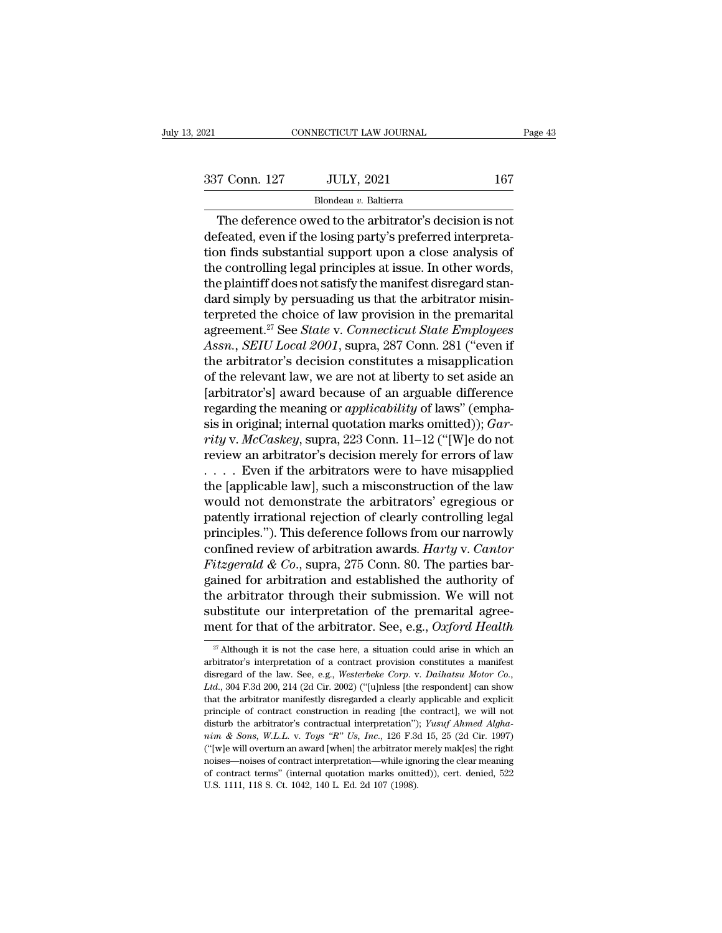Blondeau *v.* Baltierra

CONNECTICUT LAW JOURNAL Page 4:<br>
The deference owed to the arbitrator's decision is not<br>
feated, even if the losing party's preferred interpreta-<br>
The deference owed to the arbitrator's decision is not<br>
feated, even if the  $\begin{array}{c|c} \text{337 Conn.} \text{ 127} & \text{JULY, 2021} & \text{167} \\ \hline \text{Blondeau } v. \text{ Baltimore} \end{array}$ The deference owed to the arbitrator's decision is not defeated, even if the losing party's preferred interpretation finds substantial support upon 337 Conn. 127 JULY, 2021 167<br>Blondeau v. Baltierra<br>The deference owed to the arbitrator's decision is not<br>defeated, even if the losing party's preferred interpreta-<br>tion finds substantial support upon a close analysis of<br> 337 Conn. 127 JULY, 2021 167<br>Blondeau v. Baltierra<br>The deference owed to the arbitrator's decision is not<br>defeated, even if the losing party's preferred interpreta-<br>tion finds substantial support upon a close analysis of<br> Blondeau  $v$ . Baltierra<br>
The deference owed to the arbitrator's decision is not<br>
defeated, even if the losing party's preferred interpreta-<br>
tion finds substantial support upon a close analysis of<br>
the controlling legal p  $\overline{\text{Bounded } v. \text{ Baudera}}$ <br>The deference owed to the arbitrator's decision is not<br>defeated, even if the losing party's preferred interpreta-<br>tion finds substantial support upon a close analysis of<br>the controlling legal principl The deference owed to the arbitrator's decision is not<br>defeated, even if the losing party's preferred interpreta-<br>tion finds substantial support upon a close analysis of<br>the controlling legal principles at issue. In other defeated, even if the losing party's preferred interpretation finds substantial support upon a close analysis of the controlling legal principles at issue. In other words, the plaintiff does not satisfy the manifest disreg tion finds substantial support upon a close analysis of<br>the controlling legal principles at issue. In other words,<br>the plaintiff does not satisfy the manifest disregard stan-<br>dard simply by persuading us that the arbitrato the controlling legal principles at issue. In other words,<br>the plaintiff does not satisfy the manifest disregard stan-<br>dard simply by persuading us that the arbitrator misin-<br>terpreted the choice of law provision in the pr the plaintiff does not satisfy the manifest disregard stan-<br>dard simply by persuading us that the arbitrator misin-<br>terpreted the choice of law provision in the premarital<br>agreement.<sup>27</sup> See *State* v. *Connecticut State E* dard simply by persuading us that the arbitrator misin-<br>terpreted the choice of law provision in the premarital<br>agreement.<sup>27</sup> See *State* v. Connecticut State Employees<br>Assn., SEIU Local 2001, supra, 287 Conn. 281 ("even terpreted the choice of law provision in the premarital agreement.<sup>27</sup> See *State* v. *Connecticut State Employees Assn.*, *SEIU Local 2001*, supra, 287 Conn. 281 ("even if the arbitrator's decision constitutes a misappl agreement.<sup>27</sup> See *State v. Connecticut State Employees*<br>Assn., *SEIU Local 2001*, supra, 287 Conn. 281 ("even if<br>the arbitrator's decision constitutes a misapplication<br>of the relevant law, we are not at liberty to set as *Assn., SEIU Local 2001,* supra, 287 Conn. 281 ("even if<br>the arbitrator's decision constitutes a misapplication<br>of the relevant law, we are not at liberty to set aside an<br>[arbitrator's] award because of an arguable differe the arbitrator's decision constitutes a misapplication<br>of the relevant law, we are not at liberty to set aside an<br>[arbitrator's] award because of an arguable difference<br>regarding the meaning or *applicability* of laws" (e of the relevant law, we are not at liberty to set aside an [arbitrator's] award because of an arguable difference<br>regarding the meaning or *applicability* of laws" (emphasis in original; internal quotation marks omitted)) [arbitrator's] award because of an arguable difference<br>regarding the meaning or *applicability* of laws" (empha-<br>sis in original; internal quotation marks omitted)); *Gar-*<br>rity v. McCaskey, supra, 223 Conn. 11–12 ("[W]e regarding the meaning or *applicability* of laws" (emphasis in original; internal quotation marks omitted)); *Garrity* v. *McCaskey*, supra, 223 Conn. 11–12 ("[W]e do not review an arbitrator's decision merely for errors sis in original; internal quotation marks omitted));  $Gar-  
rity v. McCaskey, supra, 223 Conn. 11–12 ("[W]e do not  
review an arbitrary's decision merely for errors of law  
... . Even if the arbitrary were to have misapplied  
the [applicable law], such a misconstruction of the law  
would not demonstrate the arbitrary eigengious or  
patchly irrational rejection of clearly controlling legal  
principles.") This deference follows from our narrowly  
confined review of optimization surveds. Hartev. Cartev$ rity v. *McCaskey*, supra, 223 Conn. 11–12 ("[W]e do not<br>review an arbitrator's decision merely for errors of law<br>.... Even if the arbitrators were to have misapplied<br>the [applicable law], such a misconstruction of the la review an arbitrator's decision merely for errors of law<br>
. . . . . Even if the arbitrators were to have misapplied<br>
the [applicable law], such a misconstruction of the law<br>
would not demonstrate the arbitrators' egregious *Fitzgerald & Co.*, such a misconstruction of the law would not demonstrate the arbitrators' egregious or patently irrational rejection of clearly controlling legal principles."). This deference follows from our narrowly c the [applicable law], such a misconstruction of the law<br>would not demonstrate the arbitrators' egregious or<br>patently irrational rejection of clearly controlling legal<br>principles."). This deference follows from our narrowly would not demonstrate the arbitrators' egregious or<br>patently irrational rejection of clearly controlling legal<br>principles."). This deference follows from our narrowly<br>confined review of arbitration awards. *Harty* v. *Can* patently irrational rejection of clearly controlling legal<br>principles."). This deference follows from our narrowly<br>confined review of arbitration awards. *Harty* v. *Cantor*<br>Fitzgerald & Co., supra, 275 Conn. 80. The part principles."). This deference follows from our narrowly<br>confined review of arbitration awards. *Harty* v. *Cantor*<br>*Fitzgerald* & *Co.*, supra, 275 Conn. 80. The parties bar-<br>gained for arbitration and established the auth gained for arbitration and established the authority of<br>the arbitrator through their submission. We will not the arbitrator through their submission. We will not substitute our interpretation of the premarital agreement for that of the arbitrator. See, e.g., *Oxford Health*  $\frac{x}{t}$  Although it is not the case here, a situation

substitute our interpretation of the premarital agreement for that of the arbitrator. See, e.g., *Oxford Health*  $\frac{x}{l}$  Although it is not the case here, a situation could arise in which an arbitrator's interpretation of **Multimum Example 10** Following a structure. See, e.g., Oxford Health  $\frac{1}{27}$  Although it is not the case here, a situation could arise in which an arbitrator's interpretation of a contract provision constitutes a manif Thent for that of the arbitrator. See, e.g., Oxford Hetath<br>
<sup>27</sup> Although it is not the case here, a situation could arise in which an<br>
arbitrator's interpretation of a contract provision constitutes a manifest<br>
disregard <sup>27</sup> Although it is not the case here, a situation could arise in which an arbitrator's interpretation of a contract provision constitutes a manifest disregard of the law. See, e.g., *Westerbeke Corp.* v. *Daihatsu Motor* arbitrator's interpretation of a contract provision constitutes a manifest disregard of the law. See, e.g., *Westerbeke Corp.* v. *Daihatsu Motor Co.*, *Ltd.*, 304 F.3d 200, 214 (2d Cir. 2002) ("[u]nless [the respondent] disregard of the law. See, e.g., *Westerbeke Corp.* v. *Daihatsu Motor Co.*, *Ltd.*, 304 F.3d 200, 214 (2d Cir. 2002) ("[u]nless [the respondent] can show that the arbitrator manifestly disregarded a clearly applicable and Ltd., 304 F.3d 200, 214 (2d Cir. 2002) ("[u]nless [the respondent] can show that the arbitrator manifestly disregarded a clearly applicable and explicit principle of contract construction in reading [the contract], we wil That the arbitrator manifestly disregarded a clearly applicable and explicit<br>principle of contract construction in reading [the contract], we will not<br>disturb the arbitrator's contractual interpretation"); *Yusuf Ahmed Al* principle of contract construction in reading [the contract], we will not disturb the arbitrator's contractual interpretation''); *Yusuf Ahmed Alghanim & Sons, W.L.L.* v. *Toys "R" Us, Inc.*, 126 F.3d 15, 25 (2d Cir. 1997 disturb the arbitrator's contractual interpretation''); *Yusuf Ahmed Alghanim & Sons, W.L.L. v. Toys "R" Us, Inc.*, 126 F.3d 15, 25 (2d Cir. 1997) ("[w]e will overturn an award [when] the arbitrator merely mak[es] the rig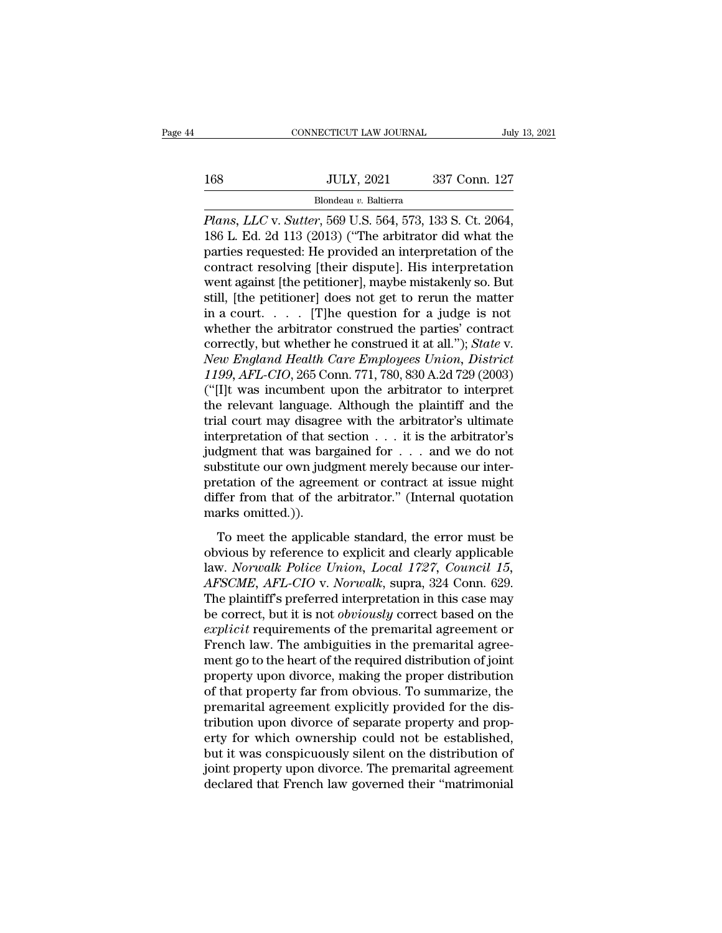# $\begin{tabular}{c} \multicolumn{1}{c|}{\text{CONNECTICUT LAW JOURNAL}} & July 13, 2021 \\ \hline \end{tabular}$   $\begin{tabular}{c} \multicolumn{1}{c|}{\text{JULY, 2021}}\\ \multicolumn{1}{c|}{\text{Blondeau $v$. Baltierra}}\\ \hline \end{tabular}$

### Blondeau *v.* Baltierra

*Plans, LLC* v. *Sutter*, 569 U.S. 564, 573, 133 S. Ct. 2064, 186 L. Ed. 2d 113 (2013) ("The arbitrator did what the nartige requested: He previded an interpretation of the 168 JULY, 2021 337 Conn. 127<br>Blondeau v. Baltierra<br>Plans, LLC v. Sutter, 569 U.S. 564, 573, 133 S. Ct. 2064,<br>186 L. Ed. 2d 113 (2013) ("The arbitrator did what the<br>parties requested: He provided an interpretation of the 168 JULY, 2021 337 Conn. 127<br>Blondeau v. Baltierra<br>Plans, LLC v. Sutter, 569 U.S. 564, 573, 133 S. Ct. 2064,<br>186 L. Ed. 2d 113 (2013) ("The arbitrator did what the<br>parties requested: He provided an interpretation of the<br>co 168 JULY, 2021 337 Conn. 127<br>
Blondeau v. Baltierra<br>
Plans, LLC v. Sutter, 569 U.S. 564, 573, 133 S. Ct. 2064,<br>
186 L. Ed. 2d 113 (2013) ("The arbitrator did what the<br>
parties requested: He provided an interpretation of th Blondeau v. Baltierra<br>
Plans, LLC v. Sutter, 569 U.S. 564, 573, 133 S. Ct. 2064,<br>
186 L. Ed. 2d 113 (2013) ("The arbitrator did what the<br>
parties requested: He provided an interpretation of the<br>
contract resolving [their Blondeau v. Baltierra<br>
Plans, LLC v. Sutter, 569 U.S. 564, 573, 133 S. Ct. 2064,<br>
186 L. Ed. 2d 113 (2013) ("The arbitrator did what the<br>
parties requested: He provided an interpretation of the<br>
contract resolving [their *Plans, LLC v. Sutter,* 569 U.S. 564, 573, 133 S. Ct. 2064, 186 L. Ed. 2d 113 (2013) ("The arbitrator did what the parties requested: He provided an interpretation of the contract resolving [their dispute]. His interpreta 186 L. Ed. 2d 113 (2013) ("The arbitrator did what the parties requested: He provided an interpretation of the contract resolving [their dispute]. His interpretation went against [the petitioner], maybe mistakenly so. But parties requested: He provided an interpretation of the<br>contract resolving [their dispute]. His interpretation<br>went against [the petitioner], maybe mistakenly so. But<br>still, [the petitioner] does not get to rerun the matte contract resolving [their dispute]. His interpretation<br>went against [the petitioner], maybe mistakenly so. But<br>still, [the petitioner] does not get to rerun the matter<br>in a court.... [T]he question for a judge is not<br>wheth went against [the petitioner], maybe mistakenly so. But<br>still, [the petitioner] does not get to rerun the matter<br>in a court.... [T]he question for a judge is not<br>whether the arbitrator construed the parties' contract<br>corre still, [the petitioner] does not get to rerun the matter<br>in a court. . . . . [T]he question for a judge is not<br>whether the arbitrator construed the parties' contract<br>correctly, but whether he construed it at all."); *Stat* in a court. . . . . [T]he question for a judge is not<br>whether the arbitrator construed the parties' contract<br>correctly, but whether he construed it at all."); *State v.*<br>New England Health Care Employees Union, District<br>1 whether the arbitrator construed the parties' contract<br>correctly, but whether he construed it at all."); *State v.*<br>New England Health Care Employees Union, District<br>1199, AFL-CIO, 265 Conn. 771, 780, 830 A.2d 729 (2003)<br> correctly, but whether he construed it at all."); State v.<br>New England Health Care Employees Union, District<br>1199, AFL-CIO, 265 Conn. 771, 780, 830 A.2d 729 (2003)<br>("[I]t was incumbent upon the arbitrator to interpret<br>the New England Health Care Employees Union, District 1199, AFL-CIO, 265 Conn. 771, 780, 830 A.2d 729 (2003)<br>("[I]t was incumbent upon the arbitrator to interpret<br>the relevant language. Although the plaintiff and the<br>trial co 1199, AFL-CIO, 265 Conn. 771, 780, 830 A.2d 729 (2003)<br>("[I]t was incumbent upon the arbitrator to interpret<br>the relevant language. Although the plaintiff and the<br>trial court may disagree with the arbitrator's ultimate<br>in ("[I]t was incumbent upon the arbitrator to interpret<br>the relevant language. Although the plaintiff and the<br>trial court may disagree with the arbitrator's ultimate<br>interpretation of that section  $\dots$  it is the arbitrator' the relevant language. Although the plaintiff and the trial court may disagree with the arbitrator's ultimate interpretation of that section  $\dots$  it is the arbitrator's judgment that was bargained for  $\dots$  and we do not s trial court may disagre<br>interpretation of that s<br>judgment that was bar<br>substitute our own judg<br>pretation of the agreer<br>differ from that of the<br>marks omitted.)).<br>To meet the applica dgment that was bargained for  $\dots$  and we do not bstitute our own judgment merely because our inter-<br>etation of the agreement or contract at issue might<br>ffer from that of the arbitrator." (Internal quotation<br>arks omitted. substitute our own judgment merely because our inter-<br>pretation of the agreement or contract at issue might<br>differ from that of the arbitrator." (Internal quotation<br>marks omitted.)).<br>To meet the applicable standard, the e

bassance of own jadgment mercy secall of mich<br>pretation of the agreement or contract at issue might<br>differ from that of the arbitrator." (Internal quotation<br>marks omitted.)).<br>To meet the applicable standard, the error must *AFFORE AFT CONTRACT CONTRACT AT ASSAE Highter from that of the arbitrator." (Internal quotation marks omitted.)).*<br> *To meet the applicable standard, the error must be obvious by reference to explicit and clearly applicab* marks omitted.)).<br>To meet the applicable standard, the error must be<br>obvious by reference to explicit and clearly applicable<br>law. Norwalk Police Union, Local 1727, Council 15,<br>AFSCME, AFL-CIO v. Norwalk, supra, 324 Conn. 6 To meet the applicable standard, the error must be<br>obvious by reference to explicit and clearly applicable<br>law. *Norwalk Police Union, Local 1727, Council 15,*<br>AFSCME, AFL-CIO v. *Norwalk*, supra, 324 Conn. 629.<br>The plaint To meet the applicable standard, the error must be<br>obvious by reference to explicit and clearly applicable<br>law. *Norwalk Police Union, Local 1727, Council 15,*<br>*AFSCME, AFL-CIO v. Norwalk*, supra, 324 Conn. 629.<br>The plaint obvious by reference to explicit and clearly applicable<br>law. *Norwalk Police Union, Local 1727, Council 15,*<br>*AFSCME, AFL-CIO v. Norwalk,* supra, 324 Conn. 629.<br>The plaintiff's preferred interpretation in this case may<br>be law. *Norwalk Police Union, Local 1727, Council 15,*<br>AFSCME, AFL-CIO v. *Norwalk*, supra, 324 Conn. 629.<br>The plaintiff's preferred interpretation in this case may<br>be correct, but it is not *obviously* correct based on the<br> AFSCME, AFL-CIO v. Norwalk, supra, 324 Conn. 629.<br>The plaintiff's preferred interpretation in this case may<br>be correct, but it is not *obviously* correct based on the<br>*explicit* requirements of the premarital agreement or<br> The plaintiff's preferred interpretation in this case may<br>be correct, but it is not *obviously* correct based on the<br>explicit requirements of the premarital agreement or<br>French law. The ambiguities in the premarital agreebe correct, but it is not *obviously* correct based on the *explicit* requirements of the premarital agreement or French law. The ambiguities in the premarital agreement go to the heart of the required distribution of join explicit requirements of the premarital agreement or<br>French law. The ambiguities in the premarital agreement go to the heart of the required distribution of joint<br>property upon divorce, making the proper distribution<br>of th French law. The ambiguities in the premarital agreement go to the heart of the required distribution of joint<br>property upon divorce, making the proper distribution<br>of that property far from obvious. To summarize, the<br>prema ment go to the heart of the required distribution of joint<br>property upon divorce, making the proper distribution<br>of that property far from obvious. To summarize, the<br>premarital agreement explicitly provided for the dis-<br>tr property upon divorce, making the proper distribution<br>of that property far from obvious. To summarize, the<br>premarital agreement explicitly provided for the dis-<br>tribution upon divorce of separate property and prop-<br>erty fo of that property far from obvious. To summarize, the<br>premarital agreement explicitly provided for the dis-<br>tribution upon divorce of separate property and prop-<br>erty for which ownership could not be established,<br>but it was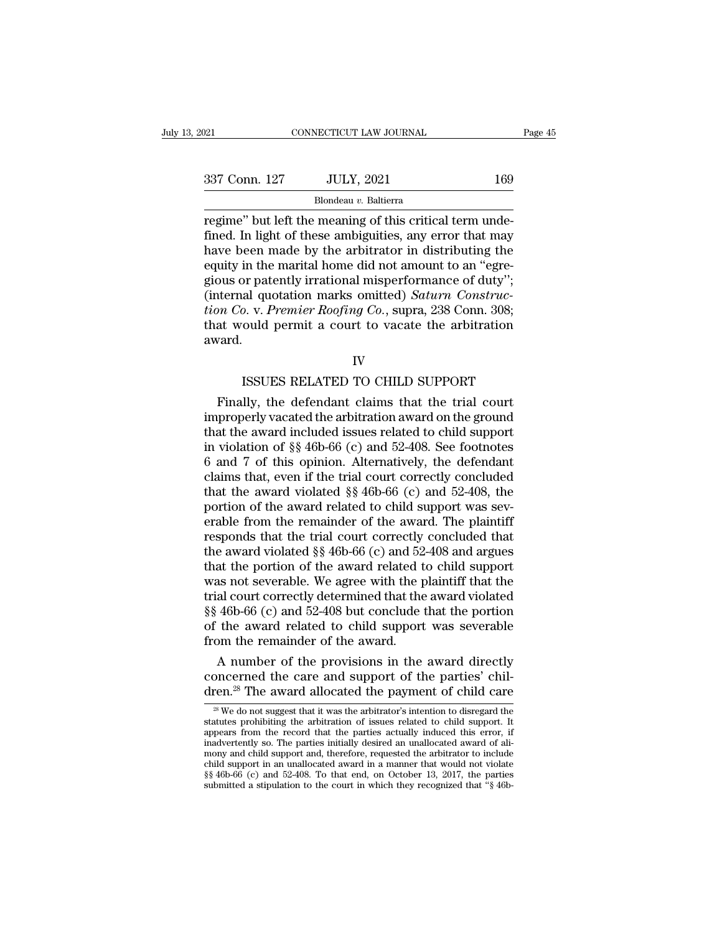| 021           | CONNECTICUT LAW JOURNAL                                                                                                                                                      | Page 45 |
|---------------|------------------------------------------------------------------------------------------------------------------------------------------------------------------------------|---------|
| 337 Conn. 127 | <b>JULY, 2021</b>                                                                                                                                                            | 169     |
|               | Blondeau v. Baltierra                                                                                                                                                        |         |
|               | regime" but left the meaning of this critical term unde-<br>fined. In light of these ambiguities, any error that may<br>haya heen made by the arbitrator in distributing the |         |

Finder at  $\frac{337 \text{ Conn. } 127}{\text{Blondeau } v. \text{ Baltimore}}$  and  $\frac{169}{\text{Holdeau } v. \text{ Baltimore}}$ <br>The sum of this critical term underfined. In light of these ambiguities, any error that may have been made by the arbitrator in distributing the equi  $\begin{array}{c|c} \text{337 Conn. 127} & \text{JULY, 2021} & \text{169} \ \hline \text{Blondeau } v. \text{ Baltimore} \end{array}$  regime" but left the meaning of this critical term undefined. In light of these ambiguities, any error that may have been made by the arbitrator in di 337 Conn. 127 JULY, 2021 169<br>
Blondeau v. Baltierra<br>
regime" but left the meaning of this critical term unde-<br>
fined. In light of these ambiguities, any error that may<br>
have been made by the arbitrator in distributing the Blondeau v. Baltierra<br>
Fegime" but left the meaning of this critical term unde-<br>
fined. In light of these ambiguities, any error that may<br>
have been made by the arbitrator in distributing the<br>
equity in the marital home d Blondeau *v*. Baltierra<br>
regime" but left the meaning of this critical term unde-<br>
fined. In light of these ambiguities, any error that may<br>
have been made by the arbitrator in distributing the<br>
equity in the marital home regime" but left the meaning of this critical term unde-<br>fined. In light of these ambiguities, any error that may<br>have been made by the arbitrator in distributing the<br>equity in the marital home did not amount to an "egre-<br> fined. In light of these ambiguities, any error that may<br>have been made by the arbitrator in distributing the<br>equity in the marital home did not amount to an "egre-<br>gious or patently irrational misperformance of duty";<br>(in award. In patently matismal imperformance of daty ,<br>al quotation marks omitted) Saturn Construc-<br>o. v. Premier Roofing Co., supra, 238 Conn. 308;<br>ould permit a court to vacate the arbitration<br>IV<br>ISSUES RELATED TO CHILD SUPPORT<br>Il or Co. v. Premier Roofing Co., supra, 238 Conn. 308;<br>at would permit a court to vacate the arbitration<br>vard.<br>IV<br>ISSUES RELATED TO CHILD SUPPORT<br>Finally, the defendant claims that the trial court<br>properly vacated the arbitr

IV

that would permit a court to vacate the arbitration<br>award.<br>IV<br>ISSUES RELATED TO CHILD SUPPORT<br>Finally, the defendant claims that the trial court<br>improperly vacated the arbitration award on the ground<br>that the award include IV<br>ISSUES RELATED TO CHILD SUPPORT<br>Finally, the defendant claims that the trial court<br>improperly vacated the arbitration award on the ground<br>that the award included issues related to child support<br>in violation of §§ 46b-66 IV<br>ISSUES RELATED TO CHILD SUPPORT<br>Finally, the defendant claims that the trial court<br>improperly vacated the arbitration award on the ground<br>that the award included issues related to child support<br>in violation of §§ 46b-66 ISSUES RELATED TO CHILD SUPPORT<br>Finally, the defendant claims that the trial court<br>improperly vacated the arbitration award on the ground<br>that the award included issues related to child support<br>in violation of §§ 46b-66 ( ISSUES RELATED TO CHILD SUPPORT<br>Finally, the defendant claims that the trial court<br>improperly vacated the arbitration award on the ground<br>that the award included issues related to child support<br>in violation of §§ 46b-66 ( Finally, the defendant claims that the trial court<br>improperly vacated the arbitration award on the ground<br>that the award included issues related to child support<br>in violation of §§ 46b-66 (c) and 52-408. See footnotes<br>6 a improperly vacated the arbitration award on the ground<br>that the award included issues related to child support<br>in violation of §§ 46b-66 (c) and 52-408. See footnotes<br>6 and 7 of this opinion. Alternatively, the defendant<br> that the award included issues related to child support<br>in violation of  $\S$  46b-66 (c) and 52-408. See footnotes<br>6 and 7 of this opinion. Alternatively, the defendant<br>claims that, even if the trial court correctly conclud in violation of  $\S$ § 46b-66 (c) and 52-408. See footnotes<br>6 and 7 of this opinion. Alternatively, the defendant<br>claims that, even if the trial court correctly concluded<br>that the award violated  $\S$ § 46b-66 (c) and 52-408, 6 and 7 of this opinion. Alternatively, the defendant claims that, even if the trial court correctly concluded that the award violated  $\S$  46b-66 (c) and 52-408, the portion of the award related to child support was sever claims that, even if the trial court correctly concluded<br>that the award violated  $\S$  46b-66 (c) and 52-408, the<br>portion of the award related to child support was sev-<br>erable from the remainder of the award. The plaintiff<br> that the award violated  $\S$  46b-66 (c) and 52-408, the<br>portion of the award related to child support was sev-<br>erable from the remainder of the award. The plaintiff<br>responds that the trial court correctly concluded that<br>th portion of the award related to child support was severable from the remainder of the award. The plaintiff<br>responds that the trial court correctly concluded that<br>the award violated §§ 46b-66 (c) and 52-408 and argues<br>that erable from the remainder of the award. The plaintiff<br>responds that the trial court correctly concluded that<br>the award violated  $\S \$  46b-66 (c) and 52-408 and argues<br>that the portion of the award related to child support<br> responds that the trial court correctly concluded that<br>the award violated  $\S\S 46b-66$  (c) and 52-408 and argues<br>that the portion of the award related to child support<br>was not severable. We agree with the plaintiff that th the award violated  $\S$ § 46b-66 (c) and 52 that the portion of the award related t was not severable. We agree with the p trial court correctly determined that the  $\S$ § 46b-66 (c) and 52-408 but conclude to the award relat as not severable. We agree with the plaintiff that the<br>al court correctly determined that the award violated<br>46b-66 (c) and 52-408 but conclude that the portion<br>the award related to child support was severable<br>bm the rema was not severable. We agree with the plaintiff that the<br>trial court correctly determined that the award violated<br> $\S$  46b-66 (c) and 52-408 but conclude that the portion<br>of the award related to child support was severable<br> trial court correctly determined that the award violated<br>
§§ 46b-66 (c) and 52-408 but conclude that the portion<br>
of the award related to child support was severable<br>
from the remainder of the award.<br>
A number of the prov

28 Member of the provisions in the award directly<br>pncerned the care and support of the parties' chil-<br>ren.<sup>28</sup> The award allocated the payment of child care<br> $\frac{28}{100}$  We do not suggest that it was the arbitrator's inte A number of the provisions in the award directly<br>concerned the care and support of the parties' chil-<br>dren.<sup>28</sup> The award allocated the payment of child care<br> $\frac{28}{100}$  We do not suggest that it was the arbitrator's int

A number of the provisions in the award directly<br>concerned the care and support of the parties' chil-<br>dren.<sup>28</sup> The award allocated the payment of child care<br> $\frac{28}{3}$  We do not suggest that it was the arbitrator's inten dren.<sup>28</sup> The award allocated the payment of child care  $\frac{28}{100}$  We do not suggest that it was the arbitrator's intention to disregard the statutes prohibiting the arbitration of issues related to child support. It ap dren.<sup>28</sup> The award allocated the payment of child care  $\frac{1}{28}$  We do not suggest that it was the arbitrator's intention to disregard the statutes prohibiting the arbitration of issues related to child support. It appe  $\frac{1}{2}$  was defined an unallocated and the paymetric of child care<br>statutes prohibiting the arbitration of issues related to child support. It<br>appears from the record that the parties actually induced this error, if<br>ina <sup>28</sup> We do not suggest that it was the arbitrator's intention to disregard the statutes prohibiting the arbitration of issues related to child support. It appears from the record that the parties actually induced this err statutes prohibiting the arbitration of issues related to child support. It appears from the record that the parties actually induced this error, if inadvertently so. The parties initially desired an unallocated award of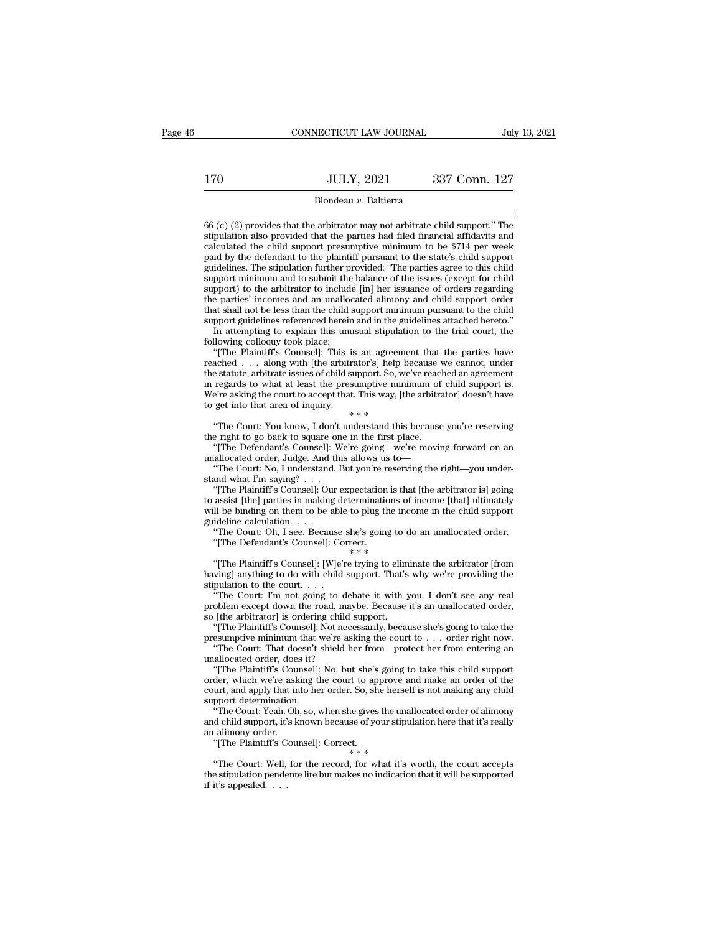### Blondeau *v.* Baltierra

170 JULY, 2021 337 Conn. 127<br>Blondeau v. Baltierra<br>66 (c) (2) provides that the arbitrator may not arbitrate child support.'' The<br>stipulation also provided that the parties had filed financial affidavits and<br>calculated th State also provides that the arbitrator may not arbitrate child support." The  $\frac{66}{6}$  (c) (2) provides that the arbitrator may not arbitrate child support." The calculated the child support presumptive minimum to be \$7 170 JULY, 2021 337 Conn. 127<br>Blondeau v. Baltierra<br>66 (c) (2) provides that the arbitrator may not arbitrate child support." The<br>stipulation also provided that the parties had filed financial affidavits and<br>calculated the 66 (c) (2) provides that the arbitrator may not arbitrate child support." The stipulation also provided that the parties had filed financial affidavits and calculated the child support presumptive minimum to be \$714 per w Blondeau v. Baltierra<br>
66 (c) (2) provides that the arbitrator may not arbitrate child support." The<br>
stipulation also provided that the parties had filed financial affidavits and<br>
calculated the child support presumptive  $\overline{166}$  (c) (2) provides that the arbitrator may not arbitrate child support." The stipulation also provided that the parties had filed financial affidavits and calculated the child support presumptive minimum to be \$7  $66$  (c) (2) provides that the arbitrator may not arbitrate child support." The stipulation also provided that the parties had filed financial affidavits and calculated the child support presumptive minimum to be \$714 per calculated the child support presumptive minimum to be \$714 per week<br>paid by the defendant to the plaintiff pursuant to the state's child support<br>guidelines. The stipulation further provided: "The parties agree to this ch Explorated the child support presumptive minimum to be \$714 per week<br>paid by the defendant to the plaintiff pursuant to the state's child support<br>guidelines. The stipulation further provided: "The parties agree to this chi paid by the defendant to the plaintiff pursuant to the state's child support guidelines. The stipulation further provided: "The parties agree to this child support minimum and to submit the balance of the issues (except f In attempting to substitute the balance of the issues (except for child pport minimum and to submit the balance of the issues (except for child pport minimum and to submit the balance of the issues (except for child pport support minium and to submit the<br>support minium and to submit the<br>support) to the arbitrator to includ<br>the parties' incomes and an unallo<br>that shall not be less than the child<br>support guidelines referenced herein<br>interesti pport) to the arbitrator to include [in] her issuance of orders regarding<br>e parties' incomes and an unallocated alimony and child support order<br>at shall not be less than the child support minimum pursuant to the child<br>ppor

reached . . . along with least and an analocated alimony and child support order<br>that shall not be less than the child support minimum pursuant to the child<br>support guidelines referenced herein and in the guidelines attach that shall not be less than the child support minimum pursuant to the child<br>support guidelines referenced herein and in the guidelines attached hereto."<br>In attempting to explain this unusual stipulation to the trial court support guidelines referenced herein and in the guidelines attached hereto."<br>In attempting to explain this unusual stipulation to the trial court, the<br>following colloquy took place:<br>"[The Plaintiff's Counsel]: This is an Experimental contracts in the musual stipulation to the trial court, the following colloquy took place:<br>
"[The Plaintiff's Counsel]: This is an agreement that the parties have reached  $\dots$  along with [the arbitrator's] he following colloquy took place:<br>
"[The Plaintiff's Counsel]: This is an agreem<br>
reached . . . along with [the arbitrator's] help b<br>
the statute, arbitrate issues of child support. So, w<br>
in regards to what at least the pre From Transition and the arbitrator's] help because we cannot, under<br>e statute, arbitrate issues of child support. So, we've reached an agreement<br>regards to what at least the presumptive minimum of child support is.<br>e're a the statute, arbitrate issues of child support. So, we've reachin regards to what at least the presumptive minimum of We're asking the court to accept that. This way, [the arbitrato get into that area of inquiry.<br>
"The Co regards to what at least the presumptive minimum of child support is.<br>
e're asking the court to accept that. This way, [the arbitrator] doesn't have<br>
get into that area of inquiry.<br>
"The Court: You know, I don't understand We're asking the court to accept that. This way, [the arbitrator] doesn't lot get into that area of inquiry.<br>
"The Court: You know, I don't understand this because you're reser<br>
the right to go back to square one in the f

to get into that area of inquiry.<br>
"The Court: You know, I don't understand this because you're reserving<br>
the right to go back to square one in the first place.<br>
"The Defendant" Scounsel]: We're going—we're moving forwar the right to go back to square one in the first place.

"The Court: You know, I don't understand this because you're reserving<br>
e right to go back to square one in the first place.<br>
"[The Defendant's Counsel]: We're going—we're moving forward on an<br>
allocated order, Judge. And the right to go back to square one in the first place.<br>
"[The Defendant's Counsel]: We're going—we're moving forward on an<br>
unallocated order, Judge. And this allows us to—<br>
"The Court: No, I understand. But you're reservi to assist [the] parties in making determinations of income [that] ultimately will be binding on them to be able to plug the income in the child support guideline calculation.  $\ldots$ unallocated order, Judge. And t<br>
"The Court: No, I understand.<br>
stand what I'm saying? . . .<br>
"[The Plaintiff's Counsel]: Outo assist [the] parties in making<br>
will be binding on them to be a<br>
guideline calculation. . . . . "The Court: No, I understand. But you're reserving the right—you under-<br>"The Court: No, I understand. But you're reserving the right—you under-<br>and what I'm saying? . . .<br>"[The Plaintiff's Counsel]: Our expectation is tha and what I'm saying?<br>
"The Plaintiff's Counsel]: Our expectation is the assist [the] parties in making determinations of<br>
ll be binding on them to be able to plug the in<br>
ideline calculation. . . .<br>
"The Court: Oh, I see. The Plaintiff's Counsel]: We determinations of income [that] ultimately<br>
Il be binding on them to be able to plug the income in the child support<br>
ideline calculation. . . .<br>
"The Court: Oh, I see. Because she's going to d

will be binding on them to be able to plug the income in the child support<br>guideline calculation. . . .<br>"The Court: Oh, I see. Because she's going to do an unallocated order.<br>"[The Defendant's Counsel]: Correct.<br>"\*\*\*<br>"[Th guideline calculation.<br>
"The Court: Oh, I see. Because<br>
"The Defendant's Counsel]: Co<br>
"[The Plaintiff's Counsel]: [W]e'n<br>
having] anything to do with child<br>
stipulation to the court. . . . .<br>
"The Court: I'm not going to "The Court: Oh, I see. Because she's going to do an unallocated order.<br>
"The Court: Oh, I see. Because she's going to do an unallocated order.<br>
"The Plaintiff's Counsel]: [W]e're trying to eliminate the arbitrator [from<br> "The Defendant's Counsel]: Correct.<br>
"The Defendant's Counsel]: Correct.<br>  $**$ <br>
"The Plaintiff's Counsel]: [W]e're trying to eliminate the arbitrator [from<br>
having] anything to do with child support. That's why we're provi "The Plaintiff's Counsel]: [W]e're trying to eliminate the arbitrator [from<br>ving] anything to do with child support. That's why we're providing the<br>pulation to the court. . . .<br>"The Court: I'm not going to debate it with y

The Plaintiff's Counsel]: [W]e're trying to elim<br>having] anything to do with child support. That's<br>stipulation to the court....<br>"The Court: I'm not going to debate it with y<br>problem except down the road, maybe. Because<br>so presumptive minimum that we're asking the court to . . . order right now. Frame of the Court: The Court. The Court of the court.<br>
"The Court: I'm not going to debate it with you. I don't see any real<br>
oblem except down the road, maybe. Because it's an unallocated order,<br>
[the arbitrator] is ord The Court: I'm not going to de<br>
problem except down the road, may<br>
so [the arbitrator] is ordering child<br>
"[The Plaintiff's Counsel]: Not nec<br>
presumptive minimum that we're as<br>
"The Court: That doesn't shield h<br>
unallocat

The matter who sheals are determined to the road, maybe. Because it's an unallocated order, [the arbitrator] is ordering child support.<br>
"[The Plaintiff's Counsel]: Not necessarily, because she's going to take the esumptiv so (the arbitrator) is ordering child support.<br>
"(The Plaintiff's Counsel]: Not necessarily, because she's going to take the<br>
presumptive minimum that we're asking the court to  $\ldots$  order right now.<br>
"The Court: That doe "The Plaintiff's Counsel]: Not necessarily, because she's going to take the presumptive minimum that we're asking the court to  $\ldots$  order right now.<br>"The Court: That doesn't shield her from—protect her from entering an u presumptive minimum that<br>
"The Court: That doesn't<br>
unallocated order, does it?<br>
"[The Plaintiff's Counsel]:<br>
order, which we're asking ti<br>
court, and apply that into he<br>
"The Court: Yeah. Oh, so, when<br>
"The Court: Yeah. O "The Court: That doesn't shield her from—protect her from entering an allocated order, does it?<br>
"[The Plaintiff's Counsel]: No, but she's going to take this child support<br>
der, which we're asking the court to approve and unallocated order, does it?<br>
"[The Plaintiff's Counsel]: No, but she's going to take this child support<br>
order, which we're asking the court to approve and make an order of the<br>
court, and apply that into her order. So, sh "The Plaintiff's Courtes, which we're ask<br>court, and apply that in<br>support determination. "The Court: Yeah. Oh<br>and child support, it's k<br>an alimony order. "[The Plaintiff's Cou <sup>1</sup> The Which we're asking the court to approve<br>
der, which we're asking the court to approve<br>
urt, and apply that into her order. So, she herse<br>
pport determination.<br>
"The Court: Yeah. Oh, so, when she gives the un<br>
d chi

any and expert determination.<br>
"The Court: Yeah. Oh, so, when she gives the unallocated order of alimony<br>
d child support, it's known because of your stipulation here that it's really<br>
alimony order.<br>
"The Plaintiff's Coun "The Court: Yeah. Oh, so, when she gives the unallocated order of alimony and child support, it's known because of your stipulation here that it's really an alimony order.<br>"[The Plaintiff's Counsel]: Correct.<br> $***$ <br>"The Co

The Court: Yeah. Oh, so, when she gives the unallocated order of alimony<br>and child support, it's known because of your stipulation here that it's really<br>an alimony order.<br>"[The Plaintiff's Counsel]: Correct.<br>"The Court: W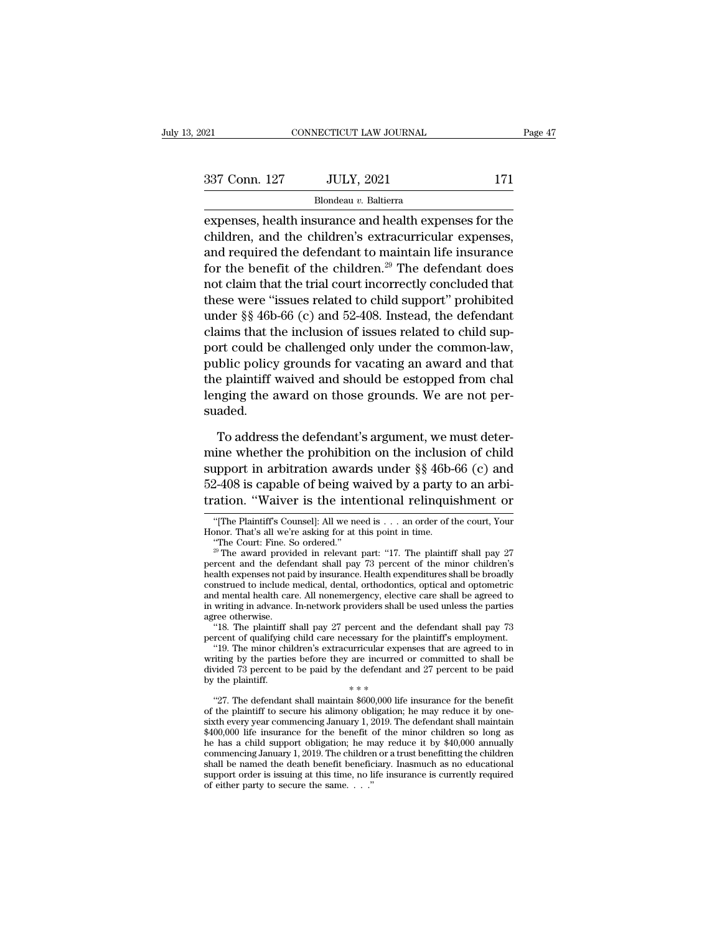| 2021          | CONNECTICUT LAW JOURNAL                                                                                                                                                    | Page 47 |
|---------------|----------------------------------------------------------------------------------------------------------------------------------------------------------------------------|---------|
| 337 Conn. 127 | <b>JULY, 2021</b>                                                                                                                                                          | 171     |
|               | Blondeau v. Baltierra                                                                                                                                                      |         |
|               | expenses, health insurance and health expenses for the<br>children, and the children's extracurricular expenses,<br>and required the defendant to maintain life inquirance |         |

337 Conn. 127 JULY, 2021 171<br>Blondeau v. Baltierra<br>expenses, health insurance and health expenses for the<br>children, and the children's extracurricular expenses,<br>and required the defendant to maintain life insurance<br>for th 337 Conn. 127 JULY, 2021 171<br>Blondeau v. Baltierra<br>expenses, health insurance and health expenses for the<br>children, and the children's extracurricular expenses,<br>and required the defendant to maintain life insurance<br>for th for the benefit of the children.<sup>29</sup> The defendant does Blondeau v. Baltierra<br>
expenses, health insurance and health expenses for the<br>
children, and the children's extracurricular expenses,<br>
and required the defendant to maintain life insurance<br>
for the benefit of the children  $\overline{ }$ <br>expenses, health insurance and health expenses for the<br>children, and the children's extracurricular expenses,<br>and required the defendant to maintain life insurance<br>for the benefit of the children.<sup>29</sup> The defendan expenses, health insurance and health expenses for the<br>children, and the children's extracurricular expenses,<br>and required the defendant to maintain life insurance<br>for the benefit of the children.<sup>29</sup> The defendant does<br>no children, and the children's extracurricular expenses,<br>and required the defendant to maintain life insurance<br>for the benefit of the children.<sup>29</sup> The defendant does<br>not claim that the trial court incorrectly concluded that and required the defendant to maintain life insurance<br>for the benefit of the children.<sup>29</sup> The defendant does<br>not claim that the trial court incorrectly concluded that<br>these were "issues related to child support" prohibite for the benefit of the children.<sup>29</sup> The defendant does<br>not claim that the trial court incorrectly concluded that<br>these were "issues related to child support" prohibited<br>under  $\S\S 46b-66$  (c) and 52-408. Instead, the defe not claim that the trial court incorrectly concluded that<br>these were "issues related to child support" prohibited<br>under §§ 46b-66 (c) and 52-408. Instead, the defendant<br>claims that the inclusion of issues related to child these were "issues related to child support" prohibited<br>under §§ 46b-66 (c) and 52-408. Instead, the defendant<br>claims that the inclusion of issues related to child sup-<br>port could be challenged only under the common-law,<br>p suaded. For a could be challenged only under the common-law,<br>thic policy grounds for vacating an award and that<br>e plaintiff waived and should be estopped from chal<br>nging the award on those grounds. We are not per-<br>aded.<br>To address public policy grounds for vacating an award and that<br>the plaintiff waived and should be estopped from chal<br>lenging the award on those grounds. We are not per-<br>suaded.<br>To address the defendant's argument, we must deter-<br>min

the plaintiff waived and should be estopped from chal<br>lenging the award on those grounds. We are not per-<br>suaded.<br>To address the defendant's argument, we must deter-<br>mine whether the prohibition on the inclusion of child<br>s lenging the award on those grounds. We are not per-<br>suaded.<br>To address the defendant's argument, we must deter-<br>mine whether the prohibition on the inclusion of child<br>support in arbitration awards under §§ 46b-66 (c) and<br>5 suaded.<br>
To address the defendant's argument, we must deter-<br>
mine whether the prohibition on the inclusion of child<br>
support in arbitration awards under §§ 46b-66 (c) and<br>
52-408 is capable of being waived by a party to une whether the prohibition on the inclusion of child<br>upport in arbitration awards under §§ 46b-66 (c) and<br>2-408 is capable of being waived by a party to an arbi-<br>ation. "Waiver is the intentional relinquishment or<br>"The Pl support in arbitration awards under  $\S$  46b-<br>52-408 is capable of being waived by a party<br>tration. "Waiver is the intentional relinqui-<br>"The Plaintiff's Counsel]: All we need is . . . an order of the<br>mor. That's all we're 2-408 is capable of being waived by a party to an arbi-<br>
ation. "Waiver is the intentional relinquishment or<br>
"The Plaintiff's Counsel]: All we need is  $\dots$  an order of the court, Your<br>
"The Plaintiff"s all we're asking f

and mental health care. All nonemergency, elective care shall be agreed to<br>in writing in advance. In-network providers shall be used unless the parties<br>agree otherwise.<br>"18. The plaintiff shall pay 27 percent and the defen in writing in advance. In-network providers shall be used unless the parties agree otherwise.<br>
"18. The plaintiff shall pay 27 percent and the defendant shall pay 73 percent of qualifying child care necessary for the plai agree otherwise.<br>
agree otherwise.<br>
"18. The plaintiff shall pay 27 percent and the<br>
percent of qualifying child care necessary for the<br>
"19. The minor children's extracurricular expe<br>
writing by the parties before they ar "18. The plaintiff shall pay 27 percent and the defendant shall pay 73 percent of qualifying child care necessary for the plaintiff's employment. "19. The minor children's extracurricular expenses that are agreed to in wr <sup>of</sup> the minor children's extracurricular expenses that are agreed to in<br>writing by the parties before they are incurred or committed to shall be<br>divided 73 percent to be paid by the defendant and 27 percent to be paid<br>by

simulation is the parties before they are incurred or committed to shall be divided 73 percent to be paid by the defendant and 27 percent to be paid by the plaintiff.<br>  $**$ <br>
"27. The defendant shall maintain \$600,000 life divided 73 percent to be paid by the defendant and 27 percent to be paid<br>by the plaintiff.<br> $**$ <br>"27. The defendant shall maintain \$600,000 life insurance for the benefit<br>of the plaintiff to secure his alimony obligation; h by the plaintiff.<br>  $**$ <br>
"27. The defendant shall maintain \$600,000 life insurance for the benefit<br>
of the plaintiff to secure his alimony obligation; he may reduce it by one-<br>
sixth every year commencing January 1, 2019. <sup>\*</sup> \* \* \*<br>
"27. The defendant shall maintain \$600,000 life insurance for the benefit<br>
of the plaintiff to secure his alimony obligation; he may reduce it by one-<br>
sixth every year commencing January 1, 2019. The defendant "27. The defendant shall maintain \$600,000 life insurance for the benefit<br>of the plaintiff to secure his alimony obligation; he may reduce it by one-<br>sixth every year commencing January 1, 2019. The defendant shall mainta of the plaintiff to secure his alimony obligation; he may reduce it by one-<br>sixth every year commencing January 1, 2019. The defendant shall maintain<br>\$400,000 life insurance for the benefit of the minor children so long a \$400,000 life insurance for the benefit of the minor children so long as he has a child support obligation; he may reduce it by \$40,000 annually commencing January 1, 2019. The children or a trust benefitting the children

**tration. "Waiver is the intentional relinquishment or** "[The Plaintiff's Counsel]: All we need is  $\ldots$  an order of the court, Your Honor. That's all we're asking for at this point in time. "The Court: Fine. So ordered." Fraction. We are the interference of the court, Your<br>
Honor. That's all we're asking for at this point in time.<br>
"The Court: Fine. So ordered."<br>
<sup>29</sup> The award provided in relevant part: "17. The plaintiff shall pay 27<br>
p "The Plaintiff's Counsel]: All we need is . . . an order of the court, Your Honor. That's all we're asking for at this point in time.<br>
"The Court: Fine. So ordered."<br>
<sup>20</sup> The award provided in relevant part: "17. The pla Honor. That's all we're asking for at this point in time.<br>
"The Court: Fine. So ordered."<br>
<sup>29</sup> The award provided in relevant part: "17. The plaintiff shall pay 27<br>
percent and the defendant shall pay 73 percent of the mi The Court: Fine. So ordered."<br>
<sup>20</sup> The Court: Fine. So ordered."<br>
<sup>20</sup> The award provided in relevant part: "17. The plaintiff shall pay 27<br>
percent and the defendant shall pay 73 percent of the minor children's<br>
health <sup>29</sup> The award provident and the defendant momentum of the health expenses not provide and mental health can in writing in advance.<br>agree otherwise.<br> $^{48}$  S. The plaintiff similar momentum of material in nerror of malify The main the defendant shall pay 73 percent of the minor children's<br>alth expenses not paid by insurance. Health expenditures shall be broadly<br>nstrued to include medical, dental, orthodontics, optical and optometric<br>d menta percent of mail and an expected or committed or speaker of the plainting to include medical, dental, orthodontics, optical and optometric and mental health care. All nonemergency, elective care shall be agreed to in writin matrued to include medical, dental, orthodontics, optical and optometric<br>
d mental health care. All nonemergency, elective care shall be agreed to<br>
writing in advance. In-network providers shall be used unless the parties<br>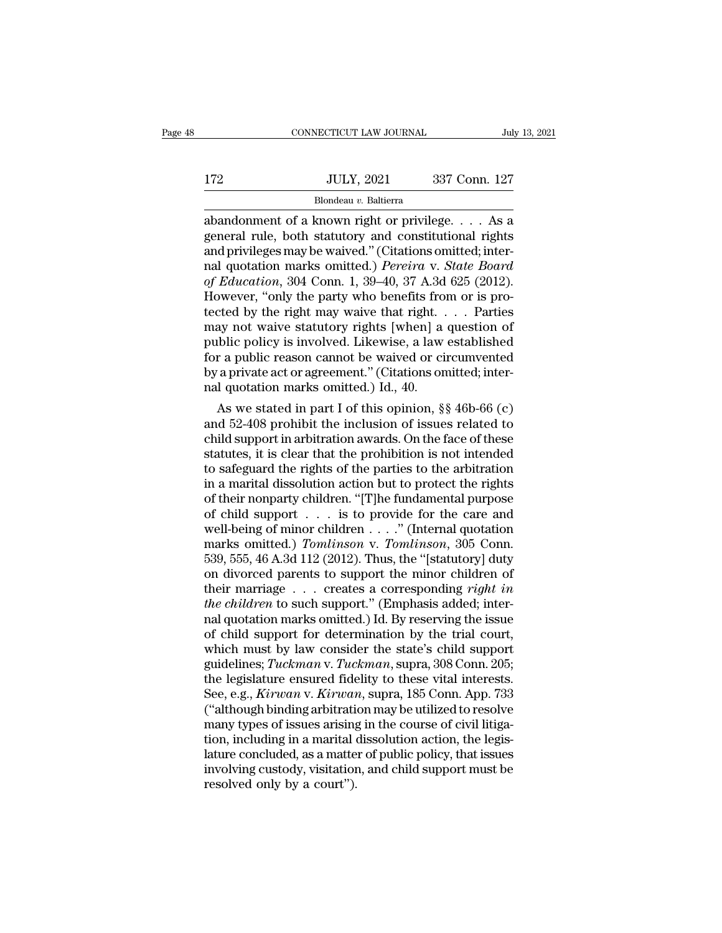# $\begin{tabular}{c} \multicolumn{2}{c} \multicolumn{2}{c}{} \multicolumn{2}{c}{} \multicolumn{2}{c}{} \multicolumn{2}{c}{} \multicolumn{2}{c}{} \multicolumn{2}{c}{} \multicolumn{2}{c}{} \multicolumn{2}{c}{} \multicolumn{2}{c}{} \multicolumn{2}{c}{} \multicolumn{2}{c}{} \multicolumn{2}{c}{} \multicolumn{2}{c}{} \multicolumn{2}{c}{} \multicolumn{2}{c}{} \multicolumn{2}{c}{} \multicolumn{2}{c}{} \multicolumn{2}{c}{} \multicolumn{2}{c}{} \multicolumn{2}{c}{} \multic$

### Blondeau *v.* Baltierra

CONNECTICUT LAW JOURNAL July 13, 2021<br>172 JULY, 2021 337 Conn. 127<br>Blondeau v. Baltierra<br>abandonment of a known right or privilege. . . . As a<br>general rule, both statutory and constitutional rights<br>and privileges may be wa 172 JULY, 2021 337 Conn. 127<br>Blondeau v. Baltierra<br>abandonment of a known right or privilege. . . . As a<br>general rule, both statutory and constitutional rights<br>and privileges may be waived." (Citations omitted; inter-<br>nal 172 JULY, 2021 337 Conn. 127<br>Blondeau v. Baltierra<br>abandonment of a known right or privilege.... As a<br>general rule, both statutory and constitutional rights<br>and privileges may be waived.'' (Citations omitted; inter-<br>nal q nal quotation marks omitted.) *Pereira* abandonment of a known right or privilege. . . . As a<br>general rule, both statutory and constitutional rights<br>and privileges may be waived." (Citations omitted; inter-<br>nal quotation m **Blondeau v. Baltierra**<br>**abandonment of a known right or privilege.... As a**<br>**general rule, both statutory and constitutional rights**<br>and privileges may be waived." (Citations omitted; inter-<br>nal quotation marks omitted.) Blondeau v. Baltierra<br>
abandonment of a known right or privilege.... As a<br>
general rule, both statutory and constitutional rights<br>
and privileges may be waived." (Citations omitted; inter-<br>
nal quotation marks omitted.) abandonment of a known right or privilege. . . . As a<br>general rule, both statutory and constitutional rights<br>and privileges may be waived." (Citations omitted; inter-<br>nal quotation marks omitted.) *Pereira* v. State Board general rule, both statutory and constitutional rights<br>and privileges may be waived." (Citations omitted; inter-<br>nal quotation marks omitted.) *Pereira* v. *State Board*<br>of Education, 304 Conn. 1, 39–40, 37 A.3d 625 (2012) and privileges may be waived." (Citations omitted; inter-<br>nal quotation marks omitted.) *Pereira* v. *State Board*<br>of *Education*, 304 Conn. 1, 39–40, 37 A.3d 625 (2012).<br>However, "only the party who benefits from or is p nal quotation marks omitted.) *Pereira* v. *State Board*<br>of *Education*, 304 Conn. 1, 39–40, 37 A.3d 625 (2012).<br>However, "only the party who benefits from or is pro-<br>tected by the right may waive that right. . . . . Part of *Education*, 304 Conn. 1, 39–40, 37 A.3d 625 (2012).<br>However, "only the party who benefits from or is protected by the right may waive that right. . . . Parties<br>may not waive statutory rights [when] a question of<br>publi However, "only the party who benefits from tected by the right may waive that right. . may not waive statutory rights [when] a public policy is involved. Likewise, a law for a public reason cannot be waived or cips a priv read by the right may waive that right. . . . . Parties<br>ay not waive statutory rights [when] a question of<br>iblic policy is involved. Likewise, a law established<br>r a public reason cannot be waived or circumvented<br>a private may not waive statutory rights [when] a question of<br>public policy is involved. Likewise, a law established<br>for a public reason cannot be waived or circumvented<br>by a private act or agreement." (Citations omitted; inter-<br>nal

public policy is involved. Likewise, a law established<br>for a public reason cannot be waived or circumvented<br>by a private act or agreement." (Citations omitted; inter-<br>nal quotation marks omitted.) Id., 40.<br>As we stated in for a public reason cannot be walved or circumvented<br>by a private act or agreement." (Citations omitted; inter-<br>nal quotation marks omitted.) Id., 40.<br>As we stated in part I of this opinion, §§ 46b-66 (c)<br>and 52-408 prohi by a private act or agreement." (Citations omitted; inter-<br>nal quotation marks omitted.) Id., 40.<br>As we stated in part I of this opinion, §§ 46b-66 (c)<br>and 52-408 prohibit the inclusion of issues related to<br>child support mal quotation marks omitted.) Id., 40.<br>
As we stated in part I of this opinion,  $\S \$  46b-66 (c)<br>
and 52-408 prohibit the inclusion of issues related to<br>
child support in arbitration awards. On the face of these<br>
statutes, As we stated in part I of this opinion,  $\S\S$  46b-66 (c)<br>and 52-408 prohibit the inclusion of issues related to<br>child support in arbitration awards. On the face of these<br>statutes, it is clear that the prohibition is not in and 52-408 prohibit the inclusion of issues related to<br>child support in arbitration awards. On the face of these<br>statutes, it is clear that the prohibition is not intended<br>to safeguard the rights of the parties to the arb child support in arbitration awards. On the face of these<br>statutes, it is clear that the prohibition is not intended<br>to safeguard the rights of the parties to the arbitration<br>in a marital dissolution action but to protect statutes, it is clear that the prohibition is not intended<br>to safeguard the rights of the parties to the arbitration<br>in a marital dissolution action but to protect the rights<br>of their nonparty children. "[T]he fundamental to safeguard the rights of the parties to the arbitration<br>in a marital dissolution action but to protect the rights<br>of their nonparty children. "[T]he fundamental purpose<br>of child support  $\dots$  is to provide for the care a in a marital dissolution action but to protect the rights<br>of their nonparty children. "[T]he fundamental purpose<br>of child support  $\dots$  is to provide for the care and<br>well-being of minor children  $\dots$ ." (Internal quotation of their nonparty children. "[T]he fundamental purpose<br>of child support . . . is to provide for the care and<br>well-being of minor children . . . ." (Internal quotation<br>marks omitted.) *Tomlinson* v. *Tomlinson*, 305 Conn.<br> of child support . . . . is to provide for the care and<br>well-being of minor children . . . ." (Internal quotation<br>marks omitted.) *Tomlinson* v. *Tomlinson*, 305 Conn.<br>539, 555, 46 A.3d 112 (2012). Thus, the "[statutory] d well-being of minor children . . . ." (Internal quotation<br>marks omitted.) *Tomlinson* v. *Tomlinson*, 305 Conn.<br>539, 555, 46 A.3d 112 (2012). Thus, the "[statutory] duty<br>on divorced parents to support the minor children o marks omitted.) *Tomlinson* v. *Tomlinson*, 305 Conn.<br>539, 555, 46 A.3d 112 (2012). Thus, the "[statutory] duty<br>on divorced parents to support the minor children of<br>their marriage . . . creates a corresponding *right in*<br> 539, 555, 46 A.3d 112 (2012). Thus, the "[statutory] duty<br>on divorced parents to support the minor children of<br>their marriage . . . creates a corresponding *right in*<br>the children to such support." (Emphasis added; interon divorced parents to support the minor children of<br>their marriage . . . creates a corresponding *right in*<br>the children to such support." (Emphasis added; inter-<br>nal quotation marks omitted.) Id. By reserving the issue<br>o their marriage . . . creates a corresponding *right in*<br>the children to such support." (Emphasis added; inter-<br>nal quotation marks omitted.) Id. By reserving the issue<br>of child support for determination by the trial court, the children to such support." (Emphasis added; inter-<br>nal quotation marks omitted.) Id. By reserving the issue<br>of child support for determination by the trial court,<br>which must by law consider the state's child support<br>gu nal quotation marks omitted.) Id. By reserving the issue<br>of child support for determination by the trial court,<br>which must by law consider the state's child support<br>guidelines; *Tuckman* v. *Tuckman*, supra, 308 Conn. 205; of child support for determination by the trial court,<br>which must by law consider the state's child support<br>guidelines; *Tuckman* v. *Tuckman*, supra, 308 Conn. 205;<br>the legislature ensured fidelity to these vital interest which must by law consider the state's child support guidelines; *Tuckman* v. *Tuckman*, supra, 308 Conn. 205; the legislature ensured fidelity to these vital interests. See, e.g., *Kirwan* v. *Kirwan*, supra, 185 Conn. Ap guidelines; *Tuckman* v. *Tuckman*, supra, 308 Conn. 205;<br>the legislature ensured fidelity to these vital interests.<br>See, e.g., *Kirwan* v. *Kirwan*, supra, 185 Conn. App. 733<br>("although binding arbitration may be utilized the legislature ensured fidelity to these vital interests.<br>See, e.g., *Kirwan* v. *Kirwan*, supra, 185 Conn. App. 733<br>("although binding arbitration may be utilized to resolve<br>many types of issues arising in the course of See, e.g., *Kirwan* v. *Kirwan*<br>("although binding arbitrati<br>many types of issues arising<br>tion, including in a marital d<br>lature concluded, as a matte<br>involving custody, visitation<br>resolved only by a court").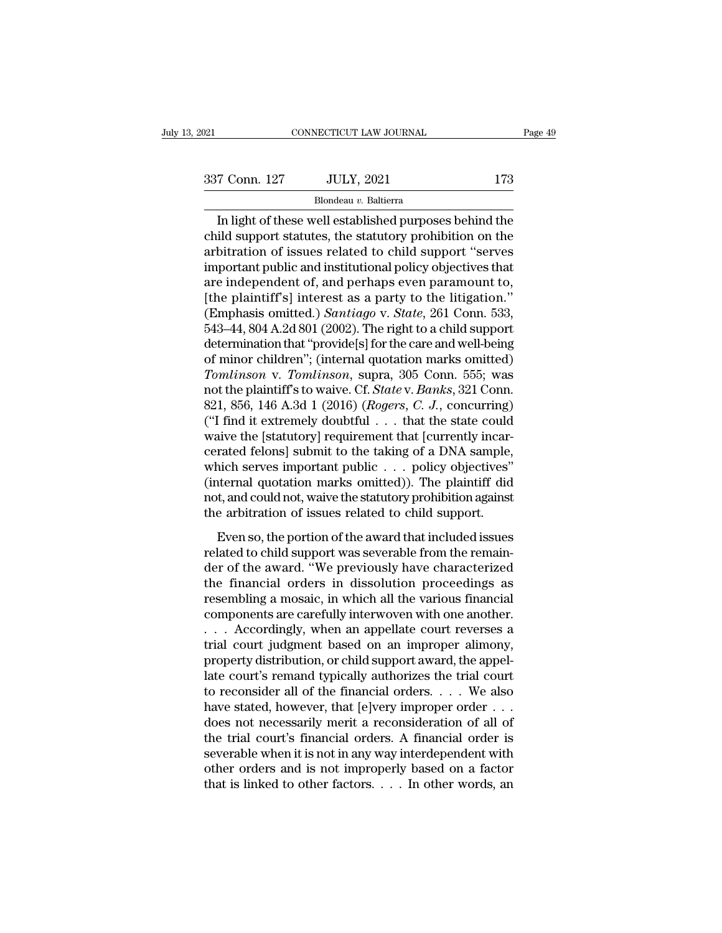### Blondeau *v.* Baltierra

CONNECTICUT LAW JOURNAL Page 49<br>
T Conn. 127 JULY, 2021 173<br>
Blondeau v. Baltierra<br>
In light of these well established purposes behind the<br>
ild support statutes, the statutory prohibition on the<br>
hitration of issues relate 337 Conn. 127 JULY, 2021 173<br>Blondeau v. Baltierra<br>In light of these well established purposes behind the<br>child support statutes, the statutory prohibition on the<br>arbitration of issues related to child support "serves<br>impo  $\begin{array}{c|c} \text{337 Conn. 127} & \text{JULY, 2021} & \text{173} \\ \hline \text{Blondeau } v. \text{ Baltimore} & \text{Baltierra} \\ \hline \text{In light of these well established purposes behind the child support saturates, the statutory prohibition on the arbitrary probability of the initial state.} \\ \text{imputation of issues related to child support "serves important public and institutional policy objectives that are independent of, and perhaps even premeunt to a given maximum.} \end{array}$ 337 Conn. 127 JULY, 2021 173<br>
Blondeau v. Baltierra<br>
In light of these well established purposes behind the<br>
child support statutes, the statutory prohibition on the<br>
arbitration of issues related to child support "serves Blondeau v. Baltierra<br>
In light of these well established purposes behind the<br>
child support statutes, the statutory prohibition on the<br>
arbitration of issues related to child support "serves<br>
important public and institu  $t$  Blondeau v. Balterra<br>
In light of these well established purposes behind the<br>
child support statutes, the statutory prohibition on the<br>
arbitration of issues related to child support "serves<br>
important public and inst In light of these well established purposes behind the<br>child support statutes, the statutory prohibition on the<br>arbitration of issues related to child support "serves<br>important public and institutional policy objectives th child support statutes, the statutory prohibition on the<br>arbitration of issues related to child support "serves<br>important public and institutional policy objectives that<br>are independent of, and perhaps even paramount to,<br>[ arbitration of issues related to child support "serves<br>important public and institutional policy objectives that<br>are independent of, and perhaps even paramount to,<br>[the plaintiff's] interest as a party to the litigation."<br> important public and institutional policy objectives that<br>are independent of, and perhaps even paramount to,<br>[the plaintiff's] interest as a party to the litigation."<br>(Emphasis omitted.) *Santiago* v. *State*, 261 Conn. 53 are independent of, and perhaps even paramount to,<br>
[the plaintiff's] interest as a party to the litigation."<br>
(Emphasis omitted.) *Santiago* v. *State*, 261 Conn. 533,<br>
543–44, 804 A.2d 801 (2002). The right to a child su [the plaintiff's] interest as a party to the litigation."<br>(Emphasis omitted.) *Santiago* v. *State*, 261 Conn. 533,<br>543–44, 804 A.2d 801 (2002). The right to a child support<br>determination that "provide[s] for the care and (Emphasis omitted.) *Santiago v. State*, 261 Conn. 533, 543–44, 804 A.2d 801 (2002). The right to a child support determination that "provide[s] for the care and well-being of minor children"; (internal quotation marks omi 543–44, 804 A.2d 801 (2002). The right to a child support<br>determination that "provide[s] for the care and well-being<br>of minor children"; (internal quotation marks omitted)<br> $Tomlinson$  v.  $Tomlinson$ , supra, 305 Conn. 555; was<br>not the determination that "provide[s] for the care and well-being<br>of minor children"; (internal quotation marks omitted)<br>Tomlinson v. Tomlinson, supra, 305 Conn. 555; was<br>not the plaintiff's to waive. Cf. *State* v. *Banks*, 321 of minor children"; (internal quotation marks omitted)<br> *Tomlinson* v. *Tomlinson*, supra, 305 Conn. 555; was<br>
not the plaintiff's to waive. Cf. *State* v. *Banks*, 321 Conn.<br>
821, 856, 146 A.3d 1 (2016) (*Rogers*, *C. J.* Tomlinson v. Tomlinson, supra, 305 Conn. 555; was<br>not the plaintiff's to waive. Cf. *State* v. *Banks*, 321 Conn.<br>821, 856, 146 A.3d 1 (2016) (*Rogers*, *C. J.*, concurring)<br>("I find it extremely doubtful . . . that the s not the plaintiff's to waive. Cf. *State* v. *Banks*, 321 Conn.<br>821, 856, 146 A.3d 1 (2016) (*Rogers*, *C. J.*, concurring)<br>("I find it extremely doubtful . . . that the state could<br>waive the [statutory] requirement that 821, 856, 146 A.3d 1 (2016) (*Rogers*, *C. J.*, concurring)<br>("I find it extremely doubtful . . . that the state could<br>waive the [statutory] requirement that [currently incar-<br>cerated felons] submit to the taking of a DNA ("I find it extremely doubtful  $\ldots$  that the state could waive the [statutory] requirement that [currently incarcerated felons] submit to the taking of a DNA sample, which serves important public  $\ldots$  policy objectives" The distance of the taking of a DNA sample,<br>
rated felons] submit to the taking of a DNA sample,<br>
inch serves important public  $\ldots$  policy objectives"<br>
iternal quotation marks omitted)). The plaintiff did<br>
t, and could n which serves important public  $\ldots$  policy objectives"<br>(internal quotation marks omitted)). The plaintiff did<br>not, and could not, waive the statutory prohibition against<br>the arbitration of issues related to child support.

(internal quotation marks omitted)). The plaintiff did<br>not, and could not, waive the statutory prohibition against<br>the arbitration of issues related to child support.<br>Even so, the portion of the award that included issues (internal quotation marks onlined)). The plantiful did<br>not, and could not, waive the statutory prohibition against<br>the arbitration of issues related to child support.<br>Even so, the portion of the award that included issues<br> resembling a mosaic settled to child support.<br>
Even so, the portion of the award that included issues<br>
related to child support was severable from the remain-<br>
der of the award. "We previously have characterized<br>
the finan Even so, the portion of the award that included issues<br>related to child support was severable from the remain-<br>der of the award. "We previously have characterized<br>the financial orders in dissolution proceedings as<br>resembli Even so, the portion of the award that included issues<br>related to child support was severable from the remain-<br>der of the award. "We previously have characterized<br>the financial orders in dissolution proceedings as<br>resembl related to child support was severable from the remainder of the award. "We previously have characterized the financial orders in dissolution proceedings as resembling a mosaic, in which all the various financial component der of the award. "We previously have characterized<br>the financial orders in dissolution proceedings as<br>resembling a mosaic, in which all the various financial<br>components are carefully interwoven with one another.<br>... Accor the financial orders in dissolution proceedings as<br>resembling a mosaic, in which all the various financial<br>components are carefully interwoven with one another.<br>. . . Accordingly, when an appellate court reverses a<br>trial c resembling a mosaic, in which all the various financial<br>components are carefully interwoven with one another.<br>... Accordingly, when an appellate court reverses a<br>trial court judgment based on an improper alimony,<br>property components are carefully interwoven with one another.<br>
. . . Accordingly, when an appellate court reverses a<br>
trial court judgment based on an improper alimony,<br>
property distribution, or child support award, the appel-<br> . . . Accordingly, when an appellate court reverses a<br>trial court judgment based on an improper alimony,<br>property distribution, or child support award, the appel-<br>late court's remand typically authorizes the trial court<br>t trial court judgment based on an improper alimony,<br>property distribution, or child support award, the appel-<br>late court's remand typically authorizes the trial court<br>to reconsider all of the financial orders.  $\dots$  We also property distribution, or child support award, the appellate court's remand typically authorizes the trial court<br>to reconsider all of the financial orders.  $\dots$  We also<br>have stated, however, that [e]very improper order  $\d$ late court's remand typically authorizes the trial court<br>to reconsider all of the financial orders. . . . We also<br>have stated, however, that [e]very improper order . . .<br>does not necessarily merit a reconsideration of all to reconsider all of the financial orders. . . . We also have stated, however, that [e]very improper order . . . does not necessarily merit a reconsideration of all of the trial court's financial orders. A financial order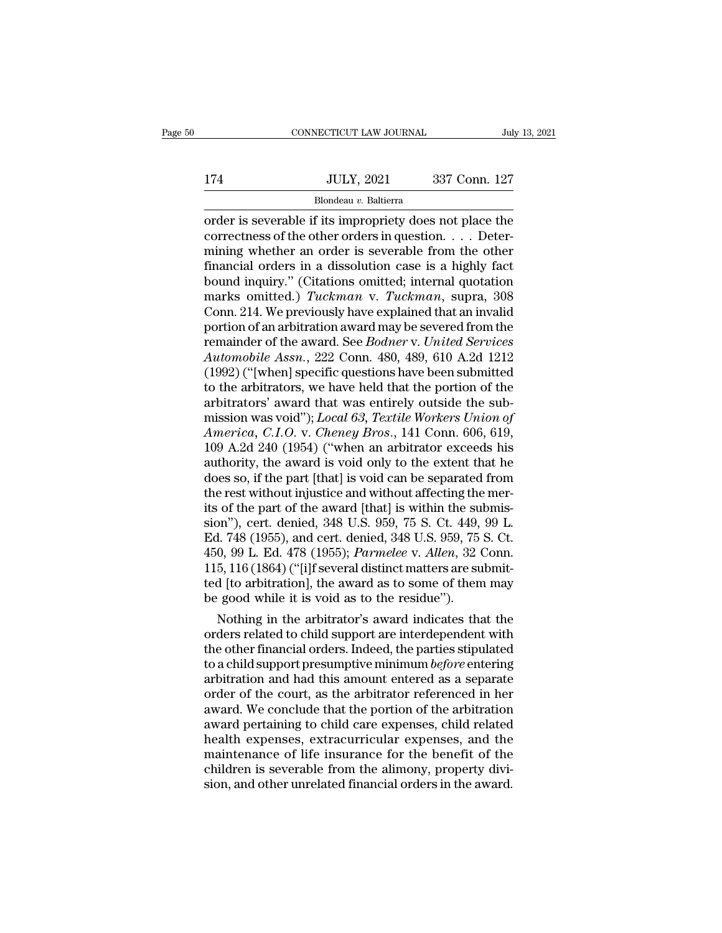### $\begin{tabular}{c} \multicolumn{1}{c|}{\text{CONNECTICUT LAW JOURNAL}} & July 13, 2021 \\ \cline{2-2} \multicolumn{1}{c|}{\text{July 13, 2021}} & \multicolumn{1}{c|}{\text{July 13, 2021}} \\ \cline{2-2} \multicolumn{1}{c|}{\text{July 13, 2021}} & 337 \text{ Conn. } 127 \\ \cline{2-2} \multicolumn{1}{c|}{\text{Blondeau $v$. } \text{Bluttera}} \end{tabular}$ Blondeau *v.* Baltierra

CONNECTICUT LAW JOURNAL July 13, 2021<br>
JULY, 2021 337 Conn. 127<br>
Blondeau v. Baltierra<br>
Order is severable if its impropriety does not place the<br>
correctness of the other orders in question. . . . Deter-174 JULY, 2021 337 Conn. 127<br>Blondeau v. Baltierra<br>
order is severable if its impropriety does not place the<br>
correctness of the other orders in question. . . . Deter-<br>
mining whether an order is severable from the other<br> 174 JULY, 2021 337 Conn. 127<br>Blondeau v. Baltierra<br>
order is severable if its impropriety does not place the<br>
correctness of the other orders in question. . . . Deter-<br>
mining whether an order is severable from the other<br> Financial order is severable if its impropriety does not place the<br>correctness of the other orders in question. . . . Deter-<br>mining whether an order is severable from the other<br>financial orders in a dissolution case is a Blondeau v. Baltierra<br>
order is severable if its impropriety does not place the<br>
correctness of the other orders in question. . . . Deter-<br>
mining whether an order is severable from the other<br>
financial orders in a dissol Blondeau *v.* Baltierra<br>
order is severable if its impropriety does not place the<br>
correctness of the other orders in question. . . . Deter-<br>
mining whether an order is severable from the other<br>
financial orders in a disso order is severable if its impropriety does not place the<br>correctness of the other orders in question. . . . Deter-<br>mining whether an order is severable from the other<br>financial orders in a dissolution case is a highly fac correctness of the other orders in question. . . . Determining whether an order is severable from the other<br>financial orders in a dissolution case is a highly fact<br>bound inquiry." (Citations omitted; internal quotation<br>ma mining whether an order is severable from the other<br>financial orders in a dissolution case is a highly fact<br>bound inquiry." (Citations omitted; internal quotation<br>marks omitted.) *Tuckman* v. *Tuckman*, supra, 308<br>Conn. 21 financial orders in a dissolution case is a highly fact<br>bound inquiry." (Citations omitted; internal quotation<br>marks omitted.) *Tuckman* v. *Tuckman*, supra, 308<br>Conn. 214. We previously have explained that an invalid<br>port bound inquiry." (Citations omitted; internal quotation<br>marks omitted.) *Tuckman* v. *Tuckman*, supra, 308<br>Conn. 214. We previously have explained that an invalid<br>portion of an arbitration award may be severed from the<br>rema marks omitted.) *Tuckman* v. *Tuckman*, supra, 308<br>Conn. 214. We previously have explained that an invalid<br>portion of an arbitration award may be severed from the<br>remainder of the award. See *Bodner* v. *United Services*<br>A Conn. 214. We previously have explained that an invalid<br>portion of an arbitration award may be severed from the<br>remainder of the award. See *Bodner v. United Services*<br>Automobile Assn., 222 Conn. 480, 489, 610 A.2d 1212<br>( portion of an arbitration award may be severed from the<br>remainder of the award. See *Bodner v. United Services*<br>Automobile Assn., 222 Conn. 480, 489, 610 A.2d 1212<br>(1992) ("[when] specific questions have been submitted<br>to *Automobile Assn.*, 222 Conn. 480, 489, 610 A.2d 1212 (1992) ("[when] specific questions have been submitted to the arbitrators, we have held that the portion of the arbitrators' award that was entirely outside the submiss Automobile Assn., 222 Conn. 480, 489, 610 A.2d 1212<br>(1992) ("[when] specific questions have been submitted<br>to the arbitrators, we have held that the portion of the<br>arbitrators' award that was entirely outside the sub-<br>miss (1992) ("[when] specific questions have been submitted<br>to the arbitrators, we have held that the portion of the<br>arbitrators' award that was entirely outside the sub-<br>mission was void"); *Local 63*, *Textile Workers Union* to the arbitrators, we have held that the portion of the<br>arbitrators' award that was entirely outside the sub-<br>mission was void"); *Local 63, Textile Workers Union of*<br>*America, C.I.O.* v. *Cheney Bros.*, 141 Conn. 606, 61 arbitrators' award that was entirely outside the sub-<br>mission was void"); *Local 63*, *Textile Workers Union of*<br>*America*, *C.I.O.* v. *Cheney Bros.*, 141 Conn. 606, 619,<br>109 A.2d 240 (1954) ("when an arbitrator exceeds mission was void"); *Local 63*, *Textile Workers Union of America*, *C.I.O.* v. *Cheney Bros.*, 141 Conn. 606, 619, 109 A.2d 240 (1954) ("when an arbitrator exceeds his authority, the award is void only to the extent th America, C.I.O. v. Cheney Bros., 141 Conn. 606, 619, 109 A.2d 240 (1954) ("when an arbitrator exceeds his authority, the award is void only to the extent that he does so, if the part [that] is void can be separated from th 109 A.2d 240 (1954) ("when an arbitrator exceeds his authority, the award is void only to the extent that he does so, if the part [that] is void can be separated from the rest without injustice and without affecting the m authority, the award is void only to the extent that he does so, if the part [that] is void can be separated from the rest without injustice and without affecting the merits of the part of the award [that] is within the su does so, if the part [that] is void can be separated from<br>the rest without injustice and without affecting the mer-<br>its of the part of the award [that] is within the submis-<br>sion"), cert. denied, 348 U.S. 959, 75 S. Ct. 44 the rest without injustice and without affecting the merits of the part of the award [that] is within the submission"), cert. denied, 348 U.S. 959, 75 S. Ct. 449, 99 L.<br>Ed. 748 (1955), and cert. denied, 348 U.S. 959, 75 S. its of the part of the award [that] is within the su<br>sion"), cert. denied, 348 U.S. 959, 75 S. Ct. 449,<br>Ed. 748 (1955), and cert. denied, 348 U.S. 959, 75<br>450, 99 L. Ed. 478 (1955); *Parmelee* v. *Allen*, 32 (<br>115, 116 (1 In 7), cert. denied, 348 U.S. 959, 75 S. Ct. 449, 99 L.<br>
1. 748 (1955), and cert. denied, 348 U.S. 959, 75 S. Ct.<br>
0, 99 L. Ed. 478 (1955); *Parmelee v. Allen*, 32 Conn.<br>
5, 116 (1864) ("[i]f several distinct matters are Ed. 748 (1955), and cert. denied, 348 U.S. 959, 75 S. Ct.<br>450, 99 L. Ed. 478 (1955); *Parmelee v. Allen*, 32 Conn.<br>115, 116 (1864) ("[i]f several distinct matters are submit-<br>ted [to arbitration], the award as to some of

450, 99 L. Ed. 478 (1955); *Parmetee* v. *Atten*, 32 Conn.<br>115, 116 (1864) ("[i]f several distinct matters are submit-<br>ted [to arbitration], the award as to some of them may<br>be good while it is void as to the residue").<br>N 115, 116 (1864) ("[1]I several distinct matters are submitted [to arbitration], the award as to some of them may<br>be good while it is void as to the residue").<br>Nothing in the arbitrator's award indicates that the<br>orders rel ted [to arbitration], the award as to some of them may<br>be good while it is void as to the residue").<br>Nothing in the arbitrator's award indicates that the<br>orders related to child support are interdependent with<br>the other fi be good while it is vold as to the residue").<br>
Nothing in the arbitrator's award indicates that the<br>
orders related to child support are interdependent with<br>
the other financial orders. Indeed, the parties stipulated<br>
to a Nothing in the arbitrator's award indicates that the<br>orders related to child support are interdependent with<br>the other financial orders. Indeed, the parties stipulated<br>to a child support presumptive minimum *before* enteri orders related to child support are interdependent with<br>the other financial orders. Indeed, the parties stipulated<br>to a child support presumptive minimum *before* entering<br>arbitration and had this amount entered as a separ the other financial orders. Indeed, the parties stipulated<br>to a child support presumptive minimum *before* entering<br>arbitration and had this amount entered as a separate<br>order of the court, as the arbitrator referenced in to a child support presumptive minimum *before* entering<br>arbitration and had this amount entered as a separate<br>order of the court, as the arbitrator referenced in her<br>award. We conclude that the portion of the arbitration<br> arbitration and had this amount entered as a separate<br>order of the court, as the arbitrator referenced in her<br>award. We conclude that the portion of the arbitration<br>award pertaining to child care expenses, child related<br>he order of the court, as the arbitrator referenced in her<br>award. We conclude that the portion of the arbitration<br>award pertaining to child care expenses, child related<br>health expenses, extracurricular expenses, and the<br>maint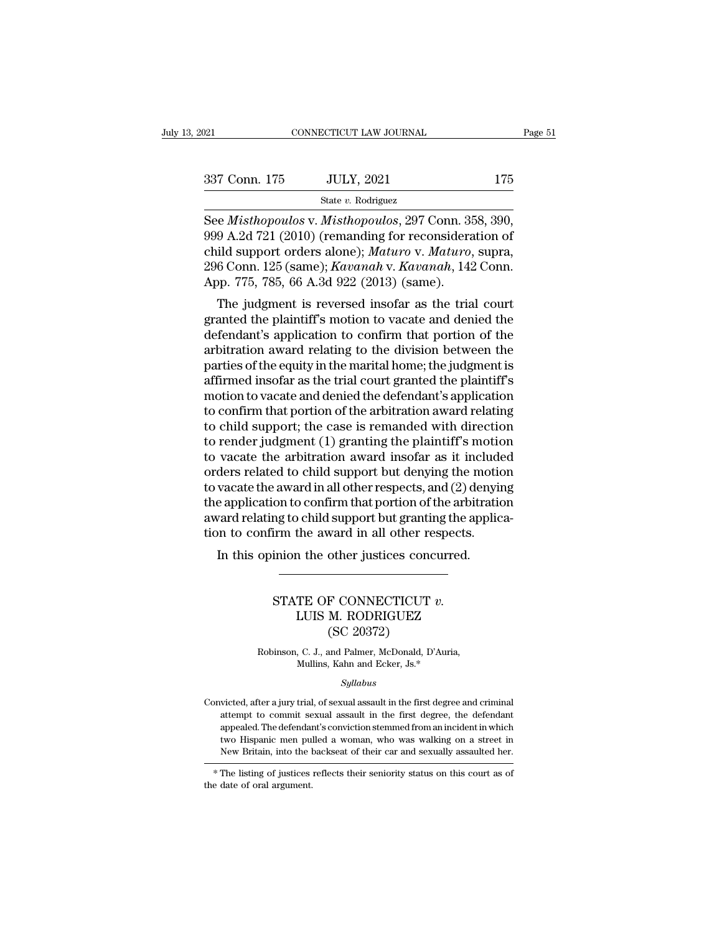State *v.* Rodriguez

Fage<br>
See *Misthopoulos* v. *Misthopoulos*, 297 Conn. 358, 390,<br>
See *Misthopoulos* v. *Misthopoulos*, 297 Conn. 358, 390,<br>
See *Misthopoulos* v. *Misthopoulos*, 297 Conn. 358, 390,<br>
999 A.2d 721 (2010) (remanding for reco 337 Conn. 175 JULY, 2021 175<br>
State v. Rodriguez<br>
See Misthopoulos v. Misthopoulos, 297 Conn. 358, 390,<br>
999 A.2d 721 (2010) (remanding for reconsideration of<br>
child support orders alone); Maturo v. Maturo, supra,<br>
996 Con 337 Conn. 175 JULY, 2021 175<br>
State v. Rodriguez<br>
See *Misthopoulos* v. *Misthopoulos*, 297 Conn. 358, 390,<br>
999 A.2d 721 (2010) (remanding for reconsideration of<br>
child support orders alone); *Maturo* v. *Maturo*, supra,<br> 237 Conn. 175 JULY, 2021 175<br>
State v. Rodriguez<br>
See *Misthopoulos* v. *Misthopoulos*, 297 Conn. 358, 390,<br>
299 A.2d 721 (2010) (remanding for reconsideration of<br>
child support orders alone); *Maturo* v. *Maturo*, supra,<br> State v. Rodriguez<br>State v. Rodriguez<br>See *Misthopoulos* v. *Misthopoulos*, 297 Conn. 38<br>999 A.2d 721 (2010) (remanding for reconsidera<br>child support orders alone); *Maturo* v. *Maturo*,<br>296 Conn. 125 (same); *Kavanah* v. e *Misthopoulos* v. *Misthopoulos*, 297 Conn. 358, 390, 9 A.2d 721 (2010) (remanding for reconsideration of ild support orders alone); *Maturo* v. *Maturo*, supra, 6 Conn. 125 (same); *Kavanah* v. *Kavanah*, 142 Conn. pp. see *Misinopolios v. Misinopolios*, 297 Coliii. 356, 390,<br>999 A.2d 721 (2010) (remanding for reconsideration of<br>child support orders alone); *Maturo v. Maturo*, supra,<br>296 Conn. 125 (same); *Kavanah v. Kavanah*, 142 Conn.<br>

best A.2d (21 (2010) (remaining for reconsideration of<br>child support orders alone); *Maturo* v. *Maturo*, supra,<br>296 Conn. 125 (same); *Kavanah* v. *Kavanah*, 142 Conn.<br>App. 775, 785, 66 A.3d 922 (2013) (same).<br>The judgmen child support orders alone), *maturo* v. *maturo*, supra,<br>296 Conn. 125 (same); *Kavanah* v. *Kavanah*, 142 Conn.<br>App. 775, 785, 66 A.3d 922 (2013) (same).<br>The judgment is reversed insofar as the trial court<br>granted the pl  $250$  Collit.  $125$  (salle), Kabahah v. Kabahah, 142 Collit.<br>App. 775, 785, 66 A.3d 922 (2013) (same).<br>The judgment is reversed insofar as the trial court<br>granted the plaintiff's motion to vacate and denied the<br>defendant' App.  $775$ ,  $765$ ,  $60$  A.5d  $922$  ( $2015$ ) (same).<br>The judgment is reversed insofar as the trial court<br>granted the plaintiff's motion to vacate and denied the<br>defendant's application to confirm that portion of the<br>arbitr The judgment is reversed insofar as the trial court<br>granted the plaintiff's motion to vacate and denied the<br>defendant's application to confirm that portion of the<br>arbitration award relating to the division between the<br>part granted the plaintiff's motion to vacate and denied the<br>defendant's application to confirm that portion of the<br>arbitration award relating to the division between the<br>parties of the equity in the marital home; the judgment defendant's application to confirm that portion of the<br>arbitration award relating to the division between the<br>parties of the equity in the marital home; the judgment is<br>affirmed insofar as the trial court granted the plain arbitration award relating to the division between the<br>parties of the equity in the marital home; the judgment is<br>affirmed insofar as the trial court granted the plaintiff's<br>motion to vacate and denied the defendant's appl parties of the equity in the marital home; the judgment is<br>affirmed insofar as the trial court granted the plaintiff's<br>motion to vacate and denied the defendant's application<br>to confirm that portion of the arbitration awar affirmed insofar as the trial court granted the plaintiff's<br>motion to vacate and denied the defendant's application<br>to confirm that portion of the arbitration award relating<br>to child support; the case is remanded with dire motion to vacate and denied the defendant's application<br>to confirm that portion of the arbitration award relating<br>to child support; the case is remanded with direction<br>to render judgment (1) granting the plaintiff's motion to confirm that portion of the arbitration award relating<br>to child support; the case is remanded with direction<br>to render judgment (1) granting the plaintiff's motion<br>to vacate the arbitration award insofar as it included<br> to child support; the case is remanded with direction<br>to render judgment (1) granting the plaintiff's motion<br>to vacate the arbitration award insofar as it included<br>orders related to child support but denying the motion<br>to to render judgment (1) granting the plaintiff's motic<br>to vacate the arbitration award insofar as it include<br>orders related to child support but denying the motic<br>to vacate the award in all other respects, and (2) denyir<br>th vacate the andiration award insolar as it includers related to child support but denying the moti vacate the award in all other respects, and (2) denyie application to confirm that portion of the arbitration ward relating on to commit that portion of the afolitation<br>for the child support but granting the applicity of the award in all other respects.<br>inion the other justices concurred.<br>STATE OF CONNECTICUT *v.*<br>LUIS M. RODRIGUEZ % award relating to child support but granting the application to confirm the award in all other respects.<br>
In this opinion the other justices concurred.<br>  $\begin{array}{r}\n\text{STATE OF CONNECTICUT } v.\n\text{LUIS M. RODRIGUEZ}\n\text{(SC 20372)}\n\end{array}$ 

### ward in an other re<br>
other justices conc<br>
F CONNECTICUT<br>
M. RODRIGUEZ<br>
(SC 20372)<br>
and Palmer, McDonald, D' STATE OF CONNECTICUT  $v$ .<br>LUIS M. RODRIGUEZ<br>(SC 20372)<br>Robinson, C. J., and Palmer, McDonald, D'Auria,<br>Mullins, Kahn and Ecker, Js.\* TE OF CONNECTICUT *v*.<br>
LUIS M. RODRIGUEZ<br>
(SC 20372)<br>
, C. J., and Palmer, McDonald, D'Auria<br>
Mullins, Kahn and Ecker, Js.\*<br>
Sullabus

### *Syllabus*

 $(CO_2O372)$ <br>Robinson, C. J., and Palmer, McDonald, D'Auria,<br>Mullins, Kahn and Ecker, Js.\*<br>Syllabus<br>Convicted, after a jury trial, of sexual assault in the first degree and criminal<br>attempt to commit sexual assault in the Robinson, C. J., and Palmer, McDonald, D'Auria,<br>Mullins, Kahn and Ecker, Js.\*<br>Syllabus<br>victed, after a jury trial, of sexual assault in the first degree and criminal<br>attempt to commit sexual assault in the first degree, th Mullins, Kahn and Ecker, Js. $*$ <br> *Syllabus*<br>
victed, after a jury trial, of sexual assault in the first degree and criminal<br>
attempt to commit sexual assault in the first degree, the defendant<br>
appealed. The defendant's c Syllabus<br>
since with the first degree and criminal<br>
attempt to commit sexual assault in the first degree, the defendant<br>
appealed. The defendant's conviction stemmed from an incident in which<br>
two Hispanic men pulled a wom Syllabus<br>
Syllabus<br>
are and criminal<br>
attempt to commit sexual assault in the first degree, the defendant<br>
appealed. The defendant's conviction stemmed from an incident in which<br>
two Hispanic men pulled a woman, who was wa attempt to commit see<br>appealed. The defendant wo Hispanic men pul<br>New Britain, into the l<br>\* The listing of justices<br>the date of oral argument.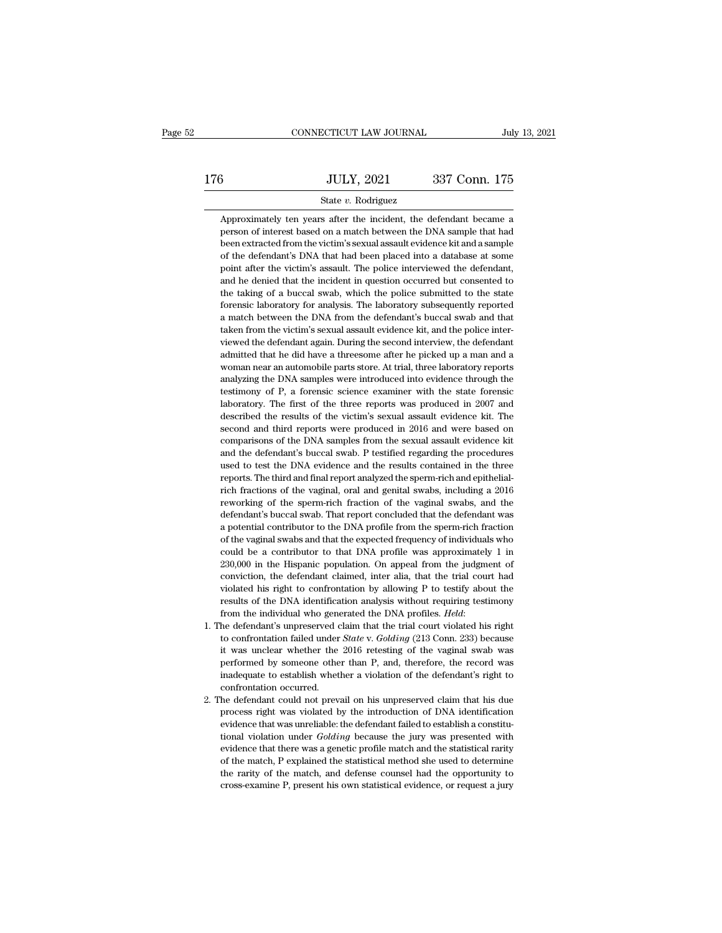# $\begin{tabular}{c} \multicolumn{1}{c|}{\text{CONNECTICUT LAW JOURNAL}} & July 13, 2021 \\ \cline{2-2} \multicolumn{1}{c|}{\text{July 13, 2021}} & \multicolumn{1}{c|}{\text{July 13, 2021}} \\ \cline{2-2} \multicolumn{1}{c|}{\text{July 13, 2021}} & \multicolumn{1}{c|}{\text{337 Conn. 175}} \\ & \multicolumn{1}{c|}{\text{State $v$. Rodriguez}} & \multicolumn{1}{c|}{\text{Total image}} \\ \cline{2-2} \end{tabular}$

### State *v.* Rodriguez

 $337$  Conn. 175<br>
State v. Rodriguez<br>
Approximately ten years after the incident, the defendant became a<br>
Approximately ten years after the incident, the defendant became a<br>
NA sample that had  $\frac{JULY, 2021}{\text{State } v. \text{ Rodriguez}}$ <br>Approximately ten years after the incident, the defendant became a person of interest based on a match between the DNA sample that had been extracted from the victim's sexual assault evidence k  $\frac{337}{21}$  S37 Conn. 175<br>State v. Rodriguez<br>Approximately ten years after the incident, the defendant became a<br>person of interest based on a match between the DNA sample that had<br>been extracted from the victim's sexual State  $v$ . Rodriguez<br>Approximately ten years after the incident, the defendant became a<br>person of interest based on a match between the DNA sample that had<br>been extracted from the victim's sexual assault evidence kit and State  $v$ . Rodriguez<br>Approximately ten years after the incident, the defendant became a<br>person of interest based on a match between the DNA sample that had<br>been extracted from the victim's sexual assault evidence kit and Approximately ten years after the incident, the defendant became a<br>person of interest based on a match between the DNA sample that had<br>been extracted from the victim's sexual assault evidence kit and a sample<br>of the defend The taking of a buccal swab, which the police submitted to the state of the defendant's DNA that had been placed into a database at some point after the victim's assault. The police interviewed the defendant, and he denied from the victim's sexual assault evidence kit and a sample been extracted from the victim's sexual assault evidence kit and a sample of the defendant's DNA that had been placed into a database at some point after the victi so fthe defendant's DNA that had been placed into a database at some point after the victim's assault. The police interviewed the defendant, and he denied that the incident in question occurred but consented to the taking of the defendant's DNA that had been placed into a database at some<br>point after the victim's assault. The police interviewed the defendant,<br>and he denied that the incident in question occurred but consented to<br>the taking o and he denied that the incident in question occurred but consented to the taking of a buccal swab, which the police submitted to the state forensic laboratory for analysis. The laboratory subsequently reported a match betw the taking of a buccal swab, which the police submitted to the state forensic laboratory for analysis. The laboratory subsequently reported a match between the DNA from the defendant's buccal swab and that taken from the v forensic laboratory for analysis. The laboratory subsequently reported a match between the DNA from the defendant's buccal swab and that taken from the victim's sexual assault evidence kit, and the police interviewed the d a match between the DNA from the defendant's buccal swab and that taken from the victim's sexual assault evidence kit, and the police interviewed the defendant again. During the second interview, the defendant admitted tha a mean to the victim's sexual assault evidence kit, and the police inter-<br>viewed the defendant again. During the second interview, the defendant<br>admitted that he did have a threesome after he picked up a man and a<br>admitted wiewed the defendant again. During the second interview, the defendant admitted that he did have a threesome after he picked up a man and a woman near an automobile parts store. At trial, three laboratory reports analyzing described that he did have a threesome after he picked up a man and a woman near an automobile parts store. At trial, three laboratory reports analyzing the DNA samples were introduced into evidence through the testimony o woman near an automobile parts store. At trial, three laboratory reports analyzing the DNA samples were introduced into evidence through the testimony of P, a forensic science examiner with the state forensic laboratory. T manalyzing the DNA samples were introduced into evidence through the testimony of P, a forensic science examiner with the state forensic laboratory. The first of the three reports was produced in 2007 and described the res and the defendant's defendant's sexual session of P, a forensic science examiner with the state forensic laboratory. The first of the victim's sexual assault evidence kit. The second and third reports were produced in 2016 laboratory. The first of the three reports was produced in 2007 and described the results of the victim's sexual assault evidence kit. The second and third reports were produced in 2016 and were based on comparisons of the resoluted the results of the victim's sexual assault evidence kit. The second and third reports were produced in 2016 and were based on comparisons of the DNA samples from the sexual assault evidence kit and the defendant' second and third reports were produced in 2016 and were based on comparisons of the DNA samples from the sexual assault evidence kit and the defendant's buccal swab. P testified regarding the procedures used to test the DN comparisons of the DNA samples from the sexual assault evidence kit and the defendant's buccal swab. P testified regarding the procedures used to test the DNA evidence and the results contained in the three reports. The th and the defendant's buccal swab. P testified regarding the procedures used to test the DNA evidence and the results contained in the three reports. The third and final report analyzed the sperm-rich and epithelial-<br>rich fr used to test the DNA evidence and the results contained in the three reports. The third and final report analyzed the sperm-rich and epithelial-<br>rich fractions of the vaginal, oral and genital swabs, including a 2016<br>rewor reports. The third and final report analyzed the sperm-rich and epithelial-<br>rich fractions of the vaginal, oral and genital swabs, including a 2016<br>reworking of the sperm-rich fraction of the vaginal swabs, and the<br>defenda rich fractions of the vaginal, oral and genital swabs, including a 2016<br>reworking of the sperm-rich fraction of the vaginal swabs, and the<br>defendant's buccal swab. That report concluded that the defendant was<br>a potential c reworking of the sperm-rich fraction of the vaginal swabs, and the defendant's buccal swab. That report concluded that the defendant was a potential contributor to the DNA profile from the sperm-rich fraction of the vagina defendant's buccal swab. That report concluded that the defendant was<br>a potential contributor to the DNA profile from the sperm-rich fraction<br>of the vaginal swabs and that the expected frequency of individuals who<br>could be a potential contributor to the DNA profile from the sperm-rich fraction of the vaginal swabs and that the expected frequency of individuals who could be a contributor to that DNA profile was approximately 1 in 230,000 in t of the vaginal swabs and that the expected frequency of individuals who could be a contributor to that DNA profile was approximately 1 in 230,000 in the Hispanic population. On appeal from the judgment of conviction, the d from the individual who generated the DNA profile was approximately 1 in 230,000 in the Hispanic population. On appeal from the judgment of conviction, the defendant claimed, inter alia, that the trial court had violated h conviction, the defendant claimed, inter alia, that the trial court had violated his right to confrontation by allowing P to testify about the results of the DNA identification analysis without requiring testimony from the

- is with the confrontation by allowing P to testify about the results of the DNA identification analysis without requiring testimony from the individual who generated the DNA profiles. *Held*: the defendant's unpreserved c results of the DNA identification analysis without requiring testimony<br>from the individual who generated the DNA profiles. *Held*:<br>the defendant's unpreserved claim that the trial court violated his right<br>to confrontation from the individual who generated the DNA profiles. *Held*:<br>from the individual who generated the DNA profiles. *Held*:<br>he defendant's unpreserved claim that the trial court violated his right<br>to confrontation failed under from the individual who generated the DNA profiles. *Held*:<br>1. The defendant's unpreserved claim that the trial court violated his right<br>to confrontation failed under *State* v. *Golding* (213 Conn. 233) because<br>it was un 2. The defendant could not prevail on his unpreserved claim that his due process right was violated by the introduction of the defendant's right to confrontation occurred.<br>
2. The defendant could not prevail on his unprese it was unclear whether the 2016 retesting (116 vaginal swab was<br>performed by someone other than P, and, therefore, the record was<br>inadequate to establish whether a violation of the defendant's right to<br>confrontation occurr
- evidence that was unreliable: the defendant failed to establish whether a violation of the defendant's right to confrontation occurred.<br>The defendant could not prevail on his unpreserved claim that his due process right wa practicular to establish whether a violation of the defendant's right to confrontation occurred.<br>
he defendant could not prevail on his unpreserved claim that his due<br>
process right was violated by the introduction of DNA evidence that there are invariant and the statistical rarity of the defendant could not prevail on his unpreserved claim that his due process right was violated by the introduction of DNA identification evidence that was u be defendant could not prevail on his unpreserved claim that his due<br>process right was violated by the introduction of DNA identification<br>evidence that was unreliable: the defendant failed to establish a constitu-<br>tional v the determine of the match and the previous of DNA identification<br>process right was violated by the introduction of DNA identification<br>evidence that was unreliable: the defendant failed to establish a constitu-<br>tional viol examine that was unreliable: the defendant failed to establish a constitutional violation under *Golding* because the jury was presented with evidence that there was a genetic profile match and the statistical rarity of t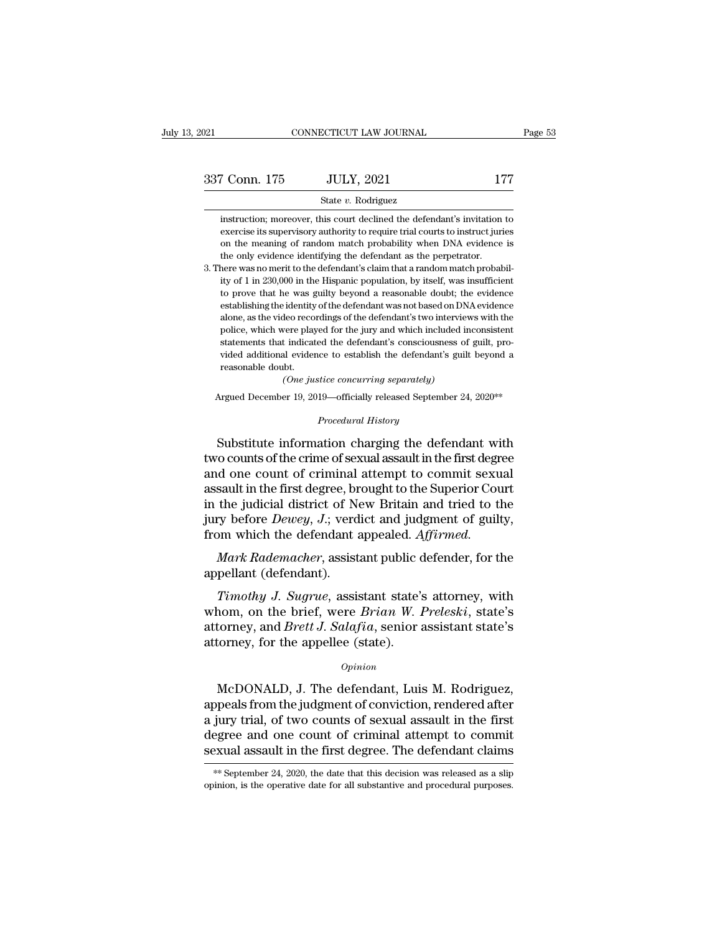### State *v.* Rodriguez

Fig. 177<br>
instruction; moreover, this court declined the defendant's invitation to<br>
exercise its supervisory authority to require trial courts to instruct juries Fraction: The control of the ULIV,  $2021$  177<br>
State v. Rodriguez<br>
instruction; moreover, this court declined the defendant's invitation to<br>
exercise its supervisory authority to require trial courts to instruct juries<br>
o **Conn. 175** JULY, 2021 177<br>
State  $v$ . Rodriguez<br>
instruction; moreover, this court declined the defendant's invitation to<br>
exercise its supervisory authority to require trial courts to instruct juries<br>
on the meaning of 337 Conn. 175 JULY, 2021 177<br>
State v. Rodriguez<br>
instruction; moreover, this court declined the defendant's invitation to<br>
exercise its supervisory authority to require trial courts to instruct juries<br>
on the meaning of State v. Rodriguez<br>
instruction; moreover, this court declined the defendant's invitation to<br>
exercise its supervisory authority to require trial courts to instruct juries<br>
on the meaning of random match probability when D instruction; moreover, this court declined the defendant's invitation to exercise its supervisory authority to require trial courts to instruct juries on the meaning of random match probability when DNA evidence is the onl

exercise its supervisory authority to require trial courts to instruct juries<br>on the meaning of random match probability when DNA evidence is<br>the only evidence identifying the defendant as the perpetrator.<br>here was no meri establishing the identity of the defendant as the perpetrator.<br>The includes the only evidence identifying the defendant as the perpetrator.<br>Here was no merit to the defendant's claim that a random match probability of 1 in alone, the video recordings the defendant as the perpetrator.<br>The only evidence identifying the defendant as the perpetrator.<br>There was no merit to the defendant's claim that a random match probability of 1 in 230,000 in t here was no merit to the defendant's claim that a random match probability of 1 in 230,000 in the Hispanic population, by itself, was insufficient to prove that he was guilty beyond a reasonable doubt; the evidence establi ity of 1 in 230,000 in the Hispanic population, by itself, was insufficient to prove that he was guilty beyond a reasonable doubt; the evidence establishing the identity of the defendant was not based on DNA evidence alon v<sub>id</sub> or prove that he was guilty beyond a reasonable doubt; the evidence establishing the identity of the defendant was not based on DNA evidence alone, as the video recordings of the defendant's two interviews with the p establishing the identity of the defendant was not based on DNA evidence<br>alone, as the video recordings of the defendant's two interviews with the<br>police, which were played for the jury and which included inconsistent<br>sta alone, as the video recordings of the defendant's two interviews with the police, which were played for the jury and which included inconsistent statements that indicated the defendant's consciousness of guilt, provided a police, which were played for the jury and which included inconsistent<br>statements that indicated the defendant's consciousness of guilt, pro-<br>vided additional evidence to establish the defendant's guilt beyond a<br>reasonabl vided additional evidence to establish the defendant's guilt beyond a reasonable doubt.<br>
(One justice concurring separately)<br>
Argued December 19, 2019—officially released September 24, 2020<sup>\*\*</sup><br> *Procedural History*<br>
Subst

Substitute information charging the defendant with<br>
(One justice concurring separately)<br>
Argued December 19, 2019—officially released September 24, 2020<sup>\*\*</sup><br>
Procedural History<br>
Substitute information charging the defendan reasonable doubt.<br>
(One justice concurring separately)<br>
Argued December 19, 2019—officially released September 24, 2020\*\*<br>
Procedural History<br>
Substitute information charging the defendant with<br>
two counts of the crime of (One justice concurring separately)<br>Argued December 19, 2019—officially released September 24, 2020\*\*<br> $Procedural History$ <br>Substitute information charging the defendant with<br>two counts of the crime of sexual assault in the first degre Argued December 19, 2019—officially released September 24, 2020<sup>\*\*</sup><br> *Procedural History*<br>
Substitute information charging the defendant with<br>
two counts of the crime of sexual assault in the first degree<br>
and one count of *Procedural History*<br>
Substitute information charging the defendant with<br>
two counts of the crime of sexual assault in the first degree<br>
and one count of criminal attempt to commit sexual<br>
assault in the first degree, brou Substitute information charging the defendant with<br>two counts of the crime of sexual assault in the first degree<br>and one count of criminal attempt to commit sexual<br>assault in the first degree, brought to the Superior Court Substitute information charging the defendant wit<br>two counts of the crime of sexual assault in the first degree<br>and one count of criminal attempt to commit sexual<br>assault in the first degree, brought to the Superior Cou<br>in *Mark Rademacher,* assistant public defender, for the pellant (defendant).<br> *Mark Rademacher,* assistant public defender, for the pellant (defendant).<br> *Mark Rademacher,* assistant public defender, for the pellant (defenda and one count of erminiar<br>assault in the first degree, br<br>in the judicial district of N<sub>i</sub><br>jury before *Dewey*, J.; verd<br>from which the defendant :<br>*Mark Rademacher*, assist<br>appellant (defendant).<br>*Timothy J. Sugrue*, assi *The judicial district of New Britain and tried to the*<br>*Try before Dewey, J.*; verdict and judgment of guilty,<br>*Timoth the defendant appealed. Affirmed.*<br>*Mark Rademacher*, assistant public defender, for the<br>*Pellant (def* 

jury before *Dewey*, *J*.; verdict and judgment of guilty,<br>from which the defendant appealed. Affirmed.<br>Mark Rademacher, assistant public defender, for the<br>appellant (defendant).<br>Timothy *J. Sugrue*, assistant state's atto from which the defendant appealed. *Affirmed.*<br> *Mark Rademacher*, assistant public defender, for the<br>
appellant (defendant).<br> *Timothy J. Sugrue*, assistant state's attorney, with<br>
whom, on the brief, were *Brian W. Prele* Mark Rademacher, assistant public compellant (defendant).<br>Timothy J. Sugrue, assistant state's<br>whom, on the brief, were Brian W. Interney, and Brett J. Salafia, senior attorney, for the appellee (state).<br>opinion Timothy J. Sugrue, assistant state's attorney, with<br>nom, on the brief, were *Brian W. Preleski*, state's<br>torney, and *Brett J. Salafia*, senior assistant state's<br>torney, for the appellee (state).<br> $o_{pinion}$ <br>McDONALD, J. The d

### *Opinion*

whom, on the brief, were *Brian W. Preleski*, state's<br>attorney, and *Brett J. Salafia*, senior assistant state's<br>attorney, for the appellee (state).<br> $o_{pinion}$ <br>McDONALD, J. The defendant, Luis M. Rodriguez,<br>appeals from the j attorney, and *Brett J. Salafia*, senior assistant state's<br>attorney, for the appellee (state).<br> $opinion$ <br> $McDOMALD, J.$  The defendant, Luis M. Rodriguez,<br>appeals from the judgment of conviction, rendered after<br>a jury trial, of two opinion<br>opinion<br>McDONALD, J. The defendant, Luis M. Rodriguez,<br>appeals from the judgment of conviction, rendered after<br>a jury trial, of two counts of sexual assault in the first<br>degree and one count of criminal attempt to opinion<br>McDONALD, J. The defendant, Luis M. Rodriguez,<br>appeals from the judgment of conviction, rendered after<br>a jury trial, of two counts of sexual assault in the first<br>degree and one count of criminal attempt to commit<br> appeals from the judgment of conviction, rendered after<br>a jury trial, of two counts of sexual assault in the first<br>degree and one count of criminal attempt to commit<br>sexual assault in the first degree. The defendant claim sexual assault in the first degree. The defendant claims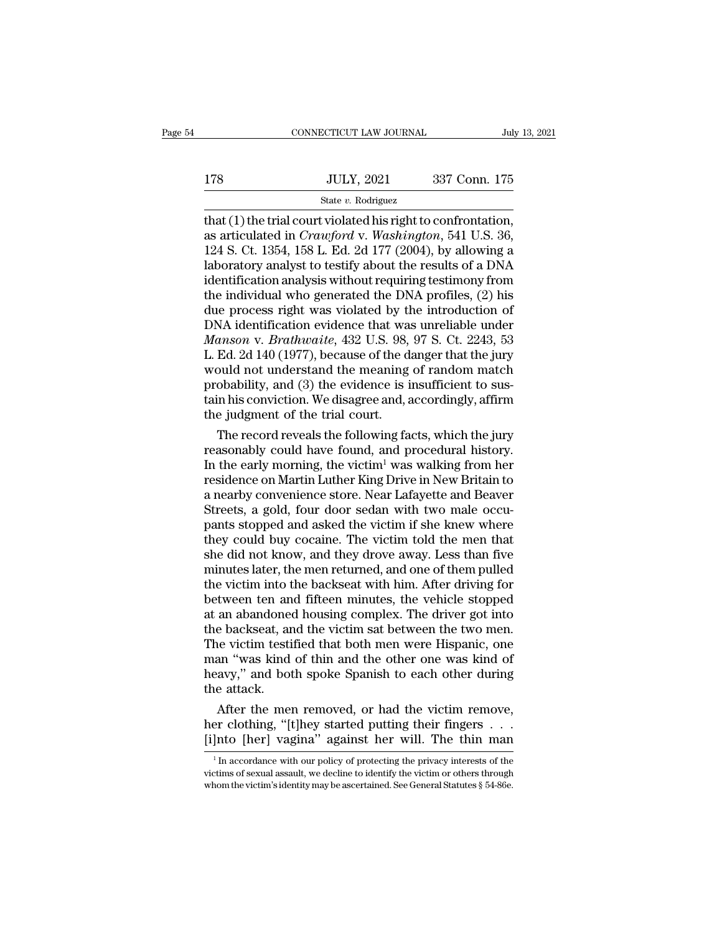# $\begin{tabular}{c} \multicolumn{1}{c|}{\text{CONNECTICUT LAW JOURNAL}} & July 13, 2021 \\ \cline{2-2} \multicolumn{1}{c|}{\text{July 13, 2021}} & \multicolumn{1}{c|}{\text{July 13, 2021}} \\ \cline{2-2} \multicolumn{1}{c|}{\text{July 13, 2021}} & \multicolumn{1}{c|}{\text{337 Conn. 175}} \\ & \multicolumn{1}{c|}{\text{State $v$. Rodriguez}} & \multicolumn{1}{c|}{\text{State 2}} & \multicolumn{1}{c|}{\text{State 3}} \\ \cline{2$

### State *v.* Rodriguez

CONNECTICUT LAW JOURNAL July 13, 2<br>
178 JULY, 2021 337 Conn. 175<br>
State v. Rodriguez<br>
that (1) the trial court violated his right to confrontation,<br>
as articulated in *Crawford* v. *Washington*, 541 U.S. 36,<br>
124 S. Ct. 13 178 JULY, 2021 337 Conn. 175<br>
State v. Rodriguez<br>
that (1) the trial court violated his right to confrontation,<br>
as articulated in *Crawford* v. *Washington*, 541 U.S. 36,<br>
124 S. Ct. 1354, 158 L. Ed. 2d 177 (2004), by all 178 JULY, 2021 337 Conn. 175<br>
State v. Rodriguez<br>
that (1) the trial court violated his right to confrontation,<br>
as articulated in *Crawford v. Washington*, 541 U.S. 36,<br>
124 S. Ct. 1354, 158 L. Ed. 2d 177 (2004), by allo 178 JULY, 2021 337 Conn. 175<br>
State v. Rodriguez<br>
that (1) the trial court violated his right to confrontation,<br>
as articulated in *Crawford* v. *Washington*, 541 U.S. 36,<br>
124 S. Ct. 1354, 158 L. Ed. 2d 177 (2004), by al State v. Rodriguez<br>
State v. Rodriguez<br>
that (1) the trial court violated his right to confrontation,<br>
as articulated in *Crawford* v. *Washington*, 541 U.S. 36,<br>
124 S. Ct. 1354, 158 L. Ed. 2d 177 (2004), by allowing a<br> State v. Rodriguez<br>
that (1) the trial court violated his right to confrontation,<br>
as articulated in *Crawford* v. *Washington*, 541 U.S. 36,<br>
124 S. Ct. 1354, 158 L. Ed. 2d 177 (2004), by allowing a<br>
laboratory analyst t that (1) the trial court violated his right to confrontation,<br>as articulated in *Crawford* v. *Washington*, 541 U.S. 36,<br>124 S. Ct. 1354, 158 L. Ed. 2d 177 (2004), by allowing a<br>laboratory analyst to testify about the res as articulated in *Crawford* v. *Washington*, 541 U.S. 36, 124 S. Ct. 1354, 158 L. Ed. 2d 177 (2004), by allowing a laboratory analyst to testify about the results of a DNA identification analysis without requiring testimo 124 S. Ct. 1354, 158 L. Ed. 2d 177 (2004), by allowing a laboratory analyst to testify about the results of a DNA identification analysis without requiring testimony from the individual who generated the DNA profiles, (2) laboratory analyst to testify about the results of a DNA<br>identification analysis without requiring testimony from<br>the individual who generated the DNA profiles, (2) his<br>due process right was violated by the introduction of identification analysis without requiring testimony from<br>the individual who generated the DNA profiles, (2) his<br>due process right was violated by the introduction of<br>DNA identification evidence that was unreliable under<br>*M* the individual who generated the DNA profiles, (2) his<br>due process right was violated by the introduction of<br>DNA identification evidence that was unreliable under<br>*Manson* v. *Brathwaite*, 432 U.S. 98, 97 S. Ct. 2243, 53<br>L due process right was violated by the introduction of DNA identification evidence that was unreliable under *Manson* v. *Brathwaite*, 432 U.S. 98, 97 S. Ct. 2243, 53 L. Ed. 2d 140 (1977), because of the danger that the jur DNA identification evidence that wa<br>Manson v. Brathwaite, 432 U.S. 98,<br>L. Ed. 2d 140 (1977), because of the d<br>would not understand the meaning<br>probability, and (3) the evidence is i<br>tain his conviction. We disagree and, a<br> anson v. *Brathwaite*, 432 U.S. 98, 97 S. Ct. 2243, 53<br>Ed. 2d 140 (1977), because of the danger that the jury<br>ould not understand the meaning of random match<br>obability, and (3) the evidence is insufficient to sus-<br>in his L. Ed. 2d 140 (1977), because of the danger that the jury<br>would not understand the meaning of random match<br>probability, and (3) the evidence is insufficient to sus-<br>tain his conviction. We disagree and, accordingly, affir

would not understand the meaning of random match<br>probability, and (3) the evidence is insufficient to sus-<br>tain his conviction. We disagree and, accordingly, affirm<br>the judgment of the trial court.<br>The record reveals the probability, and (3) the evidence is insufficient to sus-<br>tain his conviction. We disagree and, accordingly, affirm<br>the judgment of the trial court.<br>The record reveals the following facts, which the jury<br>reasonably could tain his conviction. We disagree and, accordingly, affirm<br>the judgment of the trial court.<br>The record reveals the following facts, which the jury<br>reasonably could have found, and procedural history.<br>In the early morning, t the judgment of the trial court.<br>The record reveals the following facts, which the jury<br>reasonably could have found, and procedural history.<br>In the early morning, the victim<sup>1</sup> was walking from her<br>residence on Martin Luth The record reveals the following facts, which the jury<br>reasonably could have found, and procedural history.<br>In the early morning, the victim<sup>1</sup> was walking from her<br>residence on Martin Luther King Drive in New Britain to<br>a reasonably could have found, and procedural history.<br>In the early morning, the victim<sup>1</sup> was walking from her<br>residence on Martin Luther King Drive in New Britain to<br>a nearby convenience store. Near Lafayette and Beaver<br>St In the early morning, the victim<sup>1</sup> was walking from her residence on Martin Luther King Drive in New Britain to a nearby convenience store. Near Lafayette and Beaver Streets, a gold, four door sedan with two male occupant residence on Martin Luther King Drive in New Britain to<br>a nearby convenience store. Near Lafayette and Beaver<br>Streets, a gold, four door sedan with two male occu-<br>pants stopped and asked the victim if she knew where<br>they c a nearby convenience store. Near Lafayette and Beaver<br>Streets, a gold, four door sedan with two male occu-<br>pants stopped and asked the victim if she knew where<br>they could buy cocaine. The victim told the men that<br>she did n Streets, a gold, four door sedan with two male occupants stopped and asked the victim if she knew where they could buy cocaine. The victim told the men that she did not know, and they drove away. Less than five minutes lat pants stopped and asked the victim if she knew where<br>they could buy cocaine. The victim told the men that<br>she did not know, and they drove away. Less than five<br>minutes later, the men returned, and one of them pulled<br>the vi they could buy cocaine. The victim told the men that<br>she did not know, and they drove away. Less than five<br>minutes later, the men returned, and one of them pulled<br>the victim into the backseat with him. After driving for<br>be she did not know, and they drove away. Less than five<br>minutes later, the men returned, and one of them pulled<br>the victim into the backseat with him. After driving for<br>between ten and fifteen minutes, the vehicle stopped<br>at minutes later, the men returned, and one of them pulled<br>the victim into the backseat with him. After driving for<br>between ten and fifteen minutes, the vehicle stopped<br>at an abandoned housing complex. The driver got into<br>the the victim into the backseat with him. After driving for between ten and fifteen minutes, the vehicle stopped at an abandoned housing complex. The driver got into the backseat, and the victim sat between the two men. The v between ten and fifteen minutes, the vehicle stopped<br>at an abandoned housing complex. The driver got into<br>the backseat, and the victim sat between the two men.<br>The victim testified that both men were Hispanic, one<br>man "was an abandoned housing complex. The driver got into<br>e backseat, and the victim sat between the two men.<br>he victim testified that both men were Hispanic, one<br>an "was kind of thin and the other one was kind of<br>avy," and both s the backseat, and the victim sat between the two men.<br>The victim testified that both men were Hispanic, one<br>man "was kind of thin and the other one was kind of<br>heavy," and both spoke Spanish to each other during<br>the attack The victim testified that both men were Hispanic, one<br>man "was kind of thin and the other one was kind of<br>heavy," and both spoke Spanish to each other during<br>the attack.<br>After the men removed, or had the victim remove,<br>he

1 In accordance with our policy of protecting their fingers  $\ldots$  and the victim remove,  $\frac{1}{\pi}$  contring, "[t] hey started putting their fingers  $\ldots$  . Into [her] vagina" against her will. The thin man  $\frac{1}{\pi}$  In After the men removed, or had the victim remove,<br>her clothing, "[t]hey started putting their fingers . . .<br>[i]nto [her] vagina" against her will. The thin man<br> $\frac{1}{1}$  In accordance with our policy of protecting the priv her clothing, "[t]hey started putting their fingers  $\ldots$  [i]nto [her] vagina" against her will. The thin man  $\frac{1}{1}$  In accordance with our policy of protecting the privacy interests of the victims of sexual assault, w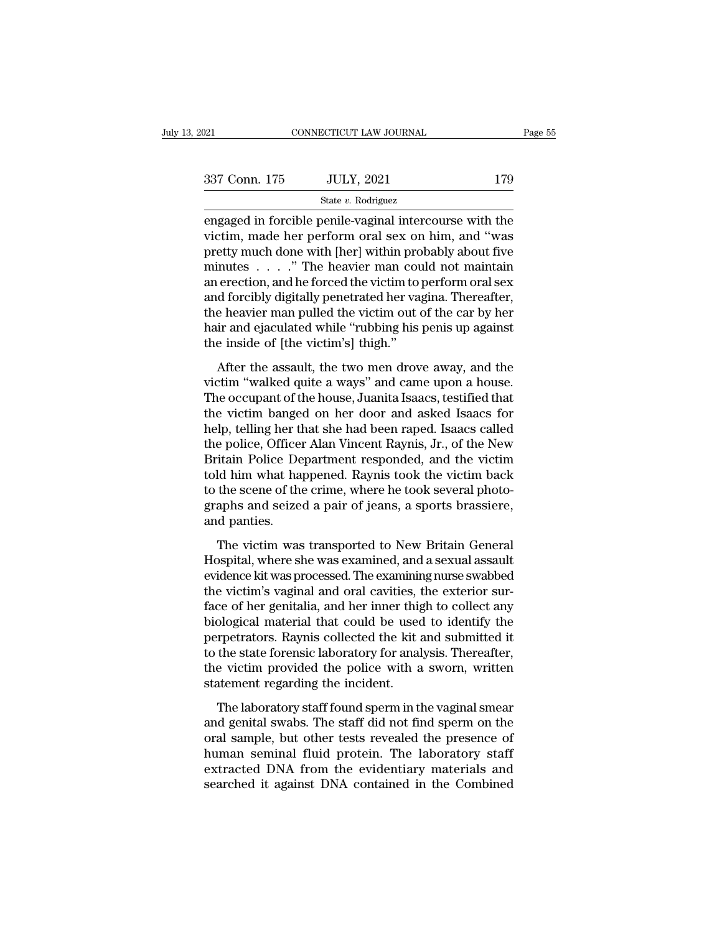| 2021          | CONNECTICUT LAW JOURNAL                                                                                                                                                 | Page 55 |
|---------------|-------------------------------------------------------------------------------------------------------------------------------------------------------------------------|---------|
|               |                                                                                                                                                                         |         |
| 337 Conn. 175 | <b>JULY, 2021</b>                                                                                                                                                       | 179     |
|               | State $v$ . Rodriguez                                                                                                                                                   |         |
|               | engaged in forcible penile-vaginal intercourse with the<br>victim, made her perform oral sex on him, and "was<br>protty much done with [bor] within probobly about five |         |

 $337 \text{ Conn. } 175 \qquad \text{JULY, } 2021 \qquad \qquad 179$ <br>  $\frac{\text{State } v. \text{ Rodriguez}}{\text{engaged in forcible penile-vaginal intercourse with the}\$ <br>
victim, made her perform oral sex on him, and "was<br>
pretty much done with [her] within probably about five<br>
minutes " The beavier man could 337 Conn. 175 JULY, 2021 179<br>
State v. Rodriguez<br>
engaged in forcible penile-vaginal intercourse with the<br>
victim, made her perform oral sex on him, and "was<br>
pretty much done with [her] within probably about five<br>
minute 337 Conn. 175 JULY, 2021 179<br>
State v. Rodriguez<br>
engaged in forcible penile-vaginal intercourse with the<br>
victim, made her perform oral sex on him, and "was<br>
pretty much done with [her] within probably about five<br>
minute Solution, and the victim, and the victim, and the victim, made her perform oral sex on him, and "was pretty much done with [her] within probably about five minutes  $\ldots$  ." The heavier man could not maintain an erection, state v. Rodriguez<br>
engaged in forcible penile-vaginal intercourse with the<br>
victim, made her perform oral sex on him, and "was<br>
pretty much done with [her] within probably about five<br>
minutes . . . . ." The heavier man c engaged in forcible penile-vaginal intercourse with the victim, made her perform oral sex on him, and "was pretty much done with [her] within probably about five minutes  $\ldots$  ." The heavier man could not maintain an erec victim, made her perform oral sex on him, and "was<br>pretty much done with [her] within probably about five<br>minutes  $\ldots$ ." The heavier man could not maintain<br>an erection, and he forced the victim to perform oral sex<br>and fo pretty much done with [her] within pro<br>minutes  $\ldots$ ." The heavier man cou<br>an erection, and he forced the victim to<br>and forcibly digitally penetrated her va;<br>the heavier man pulled the victim out o<br>hair and ejaculated whi Frances  $\cdot \cdot \cdot \cdot$  The heavier man codal not maintain evertom, and he forced the victim to perform oral sex d forcibly digitally penetrated her vagina. Thereafter, e heavier man pulled the victim out of the car by her ir and forcibly digitally penetrated her vagina. Thereafter,<br>and forcibly digitally penetrated her vagina. Thereafter,<br>the heavier man pulled the victim out of the car by her<br>hair and ejaculated while "rubbing his penis up ag

and foctory digitally percenticed field vaginal. Therefore,<br>the heavier man pulled the victim out of the car by her<br>hair and ejaculated while "rubbing his penis up against<br>the inside of [the victim's] thigh."<br>After the ass the nearest nuar puncture weak of the car by her<br>hair and ejaculated while "rubbing his penis up against<br>the inside of [the victim's] thigh."<br>After the assault, the two men drove away, and the<br>victim "walked quite a ways" he inside of [the victim's] thigh."<br>
After the assault, the two men drove away, and the<br>
victim "walked quite a ways" and came upon a house.<br>
The occupant of the house, Juanita Isaacs, testified that<br>
the victim banged on After the assault, the two men drove away, and the<br>victim "walked quite a ways" and came upon a house.<br>The occupant of the house, Juanita Isaacs, testified that<br>the victim banged on her door and asked Isaacs for<br>help, tell After the assault, the two men drove away, and the<br>victim "walked quite a ways" and came upon a house.<br>The occupant of the house, Juanita Isaacs, testified that<br>the victim banged on her door and asked Isaacs for<br>help, tell victim "walked quite a ways" and came upon a house.<br>The occupant of the house, Juanita Isaacs, testified that<br>the victim banged on her door and asked Isaacs for<br>help, telling her that she had been raped. Isaacs called<br>the The occupant of the house, Juanita Isaacs, testified that<br>the victim banged on her door and asked Isaacs for<br>help, telling her that she had been raped. Isaacs called<br>the police, Officer Alan Vincent Raynis, Jr., of the New the victim banged on her door and asked Isaacs for<br>help, telling her that she had been raped. Isaacs called<br>the police, Officer Alan Vincent Raynis, Jr., of the New<br>Britain Police Department responded, and the victim<br>told help, telling her t<br>the police, Office:<br>Britain Police De<br>told him what ha<br>to the scene of the<br>graphs and seize<br>and panties.<br>The victim was The victim was transported to New Britain General<br>The victim back the scene of the crime, where he took several photo-<br>aphs and seized a pair of jeans, a sports brassiere,<br>d panties.<br>The victim was transported to New Brita Eriam Tonce Expansional responsed, and are viewed<br>to the scene of the crime, where he took several photo-<br>graphs and seized a pair of jeans, a sports brassiere,<br>and panties.<br>The victim was transported to New Britain Genera

to the scene of the crime, where he took several photographs and seized a pair of jeans, a sports brassiere, and panties.<br>The victim was transported to New Britain General Hospital, where she was examined, and a sexual ass the victim's vaginal and seized a pair of jeans, a sports brassiere,<br>and panties.<br>The victim was transported to New Britain General<br>Hospital, where she was examined, and a sexual assault<br>evidence kit was processed. The exa face of her genitalia, and her inner thigh to collect any<br>and panties.<br>The victim was transported to New Britain General<br>Hospital, where she was examined, and a sexual assault<br>evidence kit was processed. The examining nurs The victim was transported to New Britain General<br>Hospital, where she was examined, and a sexual assault<br>evidence kit was processed. The examining nurse swabbed<br>the victim's vaginal and oral cavities, the exterior sur-<br>fac The victim was transported to New Britain General<br>Hospital, where she was examined, and a sexual assault<br>evidence kit was processed. The examining nurse swabbed<br>the victim's vaginal and oral cavities, the exterior sur-<br>fac Hospital, where she was examined, and a sexual assault<br>evidence kit was processed. The examining nurse swabbed<br>the victim's vaginal and oral cavities, the exterior sur-<br>face of her genitalia, and her inner thigh to collect evidence kit was processed. The examining nurse swabbed<br>the victim's vaginal and oral cavities, the exterior sur-<br>face of her genitalia, and her inner thigh to collect any<br>biological material that could be used to identify the victim's vaginal and oral cavities, that face of her genitalia, and her inner thigh<br>biological material that could be used<br>perpetrators. Raynis collected the kit at<br>to the state forensic laboratory for anal<br>the victim blogical material that could be used to identify the<br>rpetrators. Raynis collected the kit and submitted it<br>the state forensic laboratory for analysis. Thereafter,<br>e victim provided the police with a sworn, written<br>atement biological material and codid be dised to identify are<br>perpetrators. Raynis collected the kit and submitted it<br>to the state forensic laboratory for analysis. Thereafter,<br>the victim provided the police with a sworn, written

perpendators. Taty instructed the fact and submitted it<br>to the state forensic laboratory for analysis. Thereafter,<br>the victim provided the police with a sworn, written<br>statement regarding the incident.<br>The laboratory staff the victim provided the police with a sworn, written<br>statement regarding the incident.<br>The laboratory staff found sperm in the vaginal smear<br>and genital swabs. The staff did not find sperm on the<br>oral sample, but other tes extracted The provided the police what a sworn, which statement regarding the incident.<br>The laboratory staff found sperm in the vaginal smear<br>and genital swabs. The staff did not find sperm on the<br>oral sample, but other te The laboratory staff found sperm in the vaginal smear<br>and genital swabs. The staff did not find sperm on the<br>oral sample, but other tests revealed the presence of<br>human seminal fluid protein. The laboratory staff<br>extracted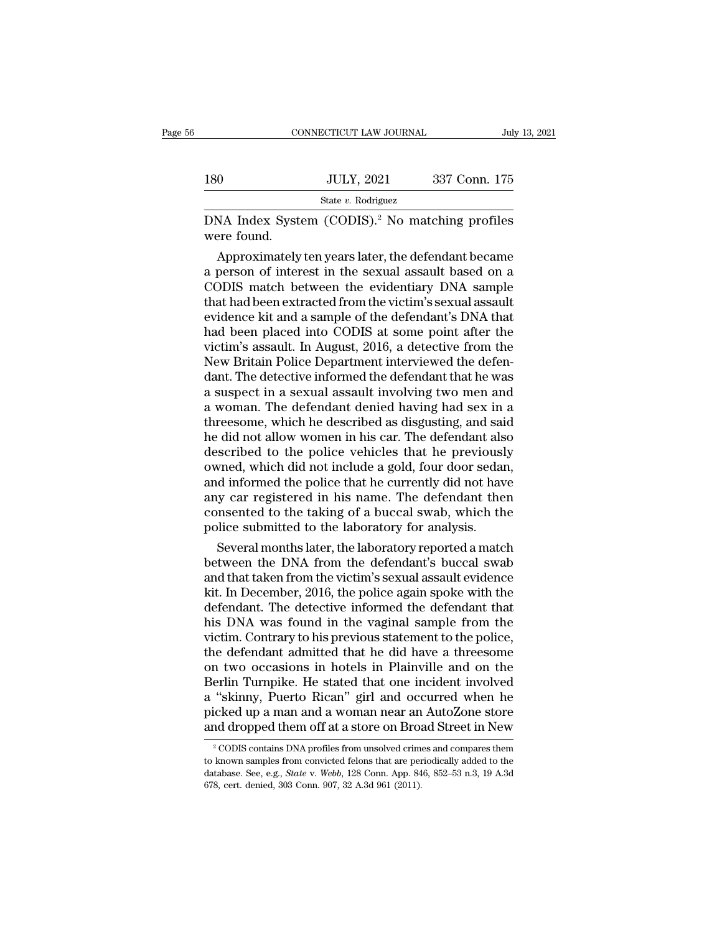|                                                                            | CONNECTICUT LAW JOURNAL                             |               | July 13, 2021 |
|----------------------------------------------------------------------------|-----------------------------------------------------|---------------|---------------|
|                                                                            |                                                     |               |               |
| 180                                                                        | <b>JULY, 2021</b>                                   | 337 Conn. 175 |               |
|                                                                            | State v. Rodriguez                                  |               |               |
| DNA Index System (CODIS). <sup>2</sup> No matching profiles<br>were found. |                                                     |               |               |
|                                                                            | Approximately ten years later, the defendant became |               |               |

 $\frac{\text{JULY, 2021}}{\text{State } v. \text{ Rodriguez}}$ <br>
NA Index System (CODIS).<sup>2</sup> No matching profiles<br>
ere found.<br>
Approximately ten years later, the defendant became<br>
person of interest in the sexual assault based on a<br>
DDIS match between the  $\noindent\text{JULY, } 2021 \qquad \qquad 337 \text{ Conn. } 175$ <br>  $\text{State } v. \text{ Rodriguez}$ <br>  $\text{DNA Index System (CODIS).}^2 \text{ No matching profiles}$ <br>
were found.<br>
Approximately ten years later, the defendant became<br>
a person of interest in the sexual assault based on a<br>
CODIS match between State v. Rodriguez<br>
DNA Index System (CODIS).<sup>2</sup> No matching profiles<br>
were found.<br>
Approximately ten years later, the defendant became<br>
a person of interest in the sexual assault based on a<br>
CODIS match between the evide DNA Index System (CODIS).<sup>2</sup> No matching profiles<br>were found.<br>Approximately ten years later, the defendant became<br>a person of interest in the sexual assault based on a<br>CODIS match between the evidentiary DNA sample<br>that ha DNA Index System (CODIS).<sup>2</sup> No matching profiles<br>were found.<br>Approximately ten years later, the defendant became<br>a person of interest in the sexual assault based on a<br>CODIS match between the evidentiary DNA sample<br>that ha were found.<br>
Approximately ten years later, the defendant became<br>
a person of interest in the sexual assault based on a<br>
CODIS match between the evidentiary DNA sample<br>
that had been extracted from the victim's sexual assa Approximately ten years later, the defendant became<br>a person of interest in the sexual assault based on a<br>CODIS match between the evidentiary DNA sample<br>that had been extracted from the victim's sexual assault<br>evidence kit a person of interest in the sexual assault based on a<br>CODIS match between the evidentiary DNA sample<br>that had been extracted from the victim's sexual assault<br>evidence kit and a sample of the defendant's DNA that<br>had been p CODIS match between the evidentiary DNA sample<br>that had been extracted from the victim's sexual assault<br>evidence kit and a sample of the defendant's DNA that<br>had been placed into CODIS at some point after the<br>victim's assa that had been extracted from the victim's sexual assault<br>evidence kit and a sample of the defendant's DNA that<br>had been placed into CODIS at some point after the<br>victim's assault. In August, 2016, a detective from the<br>New evidence kit and a sample of the defendant's DNA that<br>had been placed into CODIS at some point after the<br>victim's assault. In August, 2016, a detective from the<br>New Britain Police Department interviewed the defen-<br>dant. Th had been placed into CODIS at some point after the victim's assault. In August, 2016, a detective from the New Britain Police Department interviewed the defendant. The detective informed the defendant that he was a suspect victim's assault. In August, 2016, a detective from the<br>New Britain Police Department interviewed the defen-<br>dant. The detective informed the defendant that he was<br>a suspect in a sexual assault involving two men and<br>a woma New Britain Police Department interviewed the defendant. The detective informed the defendant that he was<br>a suspect in a sexual assault involving two men and<br>a woman. The defendant denied having had sex in a<br>threesome, whi dant. The detective informed the defendant that he was<br>a suspect in a sexual assault involving two men and<br>a woman. The defendant denied having had sex in a<br>threesome, which he described as disgusting, and said<br>he did not a suspect in a sexual assault involving two men and<br>a woman. The defendant denied having had sex in a<br>threesome, which he described as disgusting, and said<br>he did not allow women in his car. The defendant also<br>described to a woman. The defendant denied having had sex in a<br>threesome, which he described as disgusting, and said<br>he did not allow women in his car. The defendant also<br>described to the police vehicles that he previously<br>owned, which threesome, which he described as disgusting, and said<br>he did not allow women in his car. The defendant also<br>described to the police vehicles that he previously<br>owned, which did not include a gold, four door sedan,<br>and info he did not allow women in his car. The defendant alse<br>scribed to the police vehicles that he previousl<br>owned, which did not include a gold, four door sedan<br>and informed the police that he currently did not have<br>any car reg secribed to the police vehicles that he previously<br>vned, which did not include a gold, four door sedan,<br>d informed the police that he currently did not have<br>y car registered in his name. The defendant then<br>msented to the t owned, which did not include a gold, four door sedan,<br>and informed the police that he currently did not have<br>any car registered in his name. The defendant then<br>consented to the taking of a buccal swab, which the<br>police sub

and informed the police that he currently did not have<br>any car registered in his name. The defendant then<br>consented to the taking of a buccal swab, which the<br>police submitted to the laboratory for analysis.<br>Several months any car registered in his name. The detendant then<br>consented to the taking of a buccal swab, which the<br>police submitted to the laboratory for analysis.<br>Several months later, the laboratory reported a match<br>between the DNA consented to the taking of a buccal swab, which the<br>police submitted to the laboratory for analysis.<br>Several months later, the laboratory reported a match<br>between the DNA from the defendant's buccal swab<br>and that taken fro police submitted to the laboratory for analysis.<br>Several months later, the laboratory reported a match<br>between the DNA from the defendant's buccal swab<br>and that taken from the victim's sexual assault evidence<br>kit. In Decem Several months later, the laboratory reported a match<br>between the DNA from the defendant's buccal swab<br>and that taken from the victim's sexual assault evidence<br>kit. In December, 2016, the police again spoke with the<br>defend between the DNA from the defendant's buccal swab<br>and that taken from the victim's sexual assault evidence<br>kit. In December, 2016, the police again spoke with the<br>defendant. The detective informed the defendant that<br>his DNA and that taken from the victim's sexual assault evidence<br>kit. In December, 2016, the police again spoke with the<br>defendant. The detective informed the defendant that<br>his DNA was found in the vaginal sample from the<br>victim. kit. In December, 2016, the police again spoke with the<br>defendant. The detective informed the defendant that<br>his DNA was found in the vaginal sample from the<br>victim. Contrary to his previous statement to the police,<br>the de defendant. The detective informed the defendant that<br>his DNA was found in the vaginal sample from the<br>victim. Contrary to his previous statement to the police,<br>the defendant admitted that he did have a threesome<br>on two occ his DNA was found in the vaginal sample from the<br>victim. Contrary to his previous statement to the police,<br>the defendant admitted that he did have a threesome<br>on two occasions in hotels in Plainville and on the<br>Berlin Turn victim. Contrary to his previous statement to the police,<br>the defendant admitted that he did have a threesome<br>on two occasions in hotels in Plainville and on the<br>Berlin Turnpike. He stated that one incident involved<br>a "ski erlin Turnpike. He stated that one incident involved<br>
"skinny, Puerto Rican" girl and occurred when he<br>
icked up a man and a woman near an AutoZone store<br>
nd dropped them off at a store on Broad Street in New<br>
<sup>2</sup> CODIS co a "skinny, Puerto Rican" girl and occurred when he<br>picked up a man and a woman near an AutoZone store<br>and dropped them off at a store on Broad Street in New<br> $\frac{2 \text{ CODIS} \text{ contains DNA profiles from unsolved crimes and compares them}}{2 \text{ to known samples from converted felons that are periodically added to the}$ <br>database. See, e.g and dropped them off at a store on Broad Street in New

picked up a man and a woman near an AutoZone store<br>and dropped them off at a store on Broad Street in New<br><sup>2</sup> CODIS contains DNA profiles from unsolved crimes and compares them<br>to known samples from convicted felons that a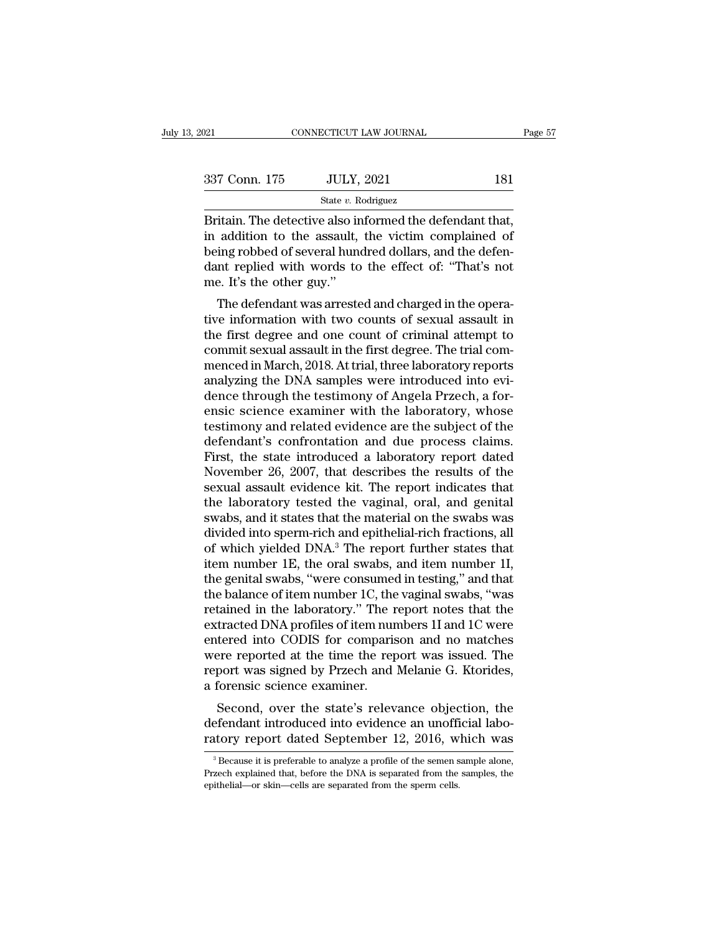| 121           | CONNECTICUT LAW JOURNAL |     | Page 57 |
|---------------|-------------------------|-----|---------|
|               |                         |     |         |
| 337 Conn. 175 | <b>JULY, 2021</b>       | 181 |         |
|               | State $v$ . Rodriguez   |     |         |

 $\begin{array}{|l|l|} \hline \text{COMPECTICUT LAW JOURNAL} & \text{Page} \ \hline \text{337 Conn. 175} & \text{JULY, 2021} & \text{181} \ \hline \text{State } v. \text{ Rodriguez} \ \hline \text{British. The defective also informed the defendant that, in addition to the assault, the victim complained of being replaced by the design.} \hline \end{array}$ 337 Conn. 175 JULY, 2021 181<br>
State v. Rodriguez<br>
Britain. The detective also informed the defendant that,<br>
in addition to the assault, the victim complained of<br>
being robbed of several hundred dollars, and the defen-<br>
da  $\begin{array}{c|c} \text{337 Conn. } 175 & \text{JULY, } 2021 & \text{181} \\ \hline \text{State } v. \text{ Rodriguez} \\ \hline \end{array}$ <br>Britain. The detective also informed the defendant that, in addition to the assault, the victim complained of being robbed of several hundred dollar 337 Conn. 175 JULY, 2021 181<br>
State v. Rodriguez<br>
Britain. The detective also informed the defendant that,<br>
in addition to the assault, the victim complained of<br>
being robbed of several hundred dollars, and the defen-<br>
da  $\frac{\text{State } v \cdot \text{R}}{\text{British. The defective also in addition to the assault, being robbed of several human tenplied with words to me. It's the other guy.}\n\nThe defendant was arrested.$ Train. The detective also informed the defendant that, addition to the assault, the victim complained of ing robbed of several hundred dollars, and the defen-<br>nt replied with words to the effect of: "That's not e. It's the Britain. The detective also informed the detendant that,<br>in addition to the assault, the victim complained of<br>being robbed of several hundred dollars, and the defen-<br>dant replied with words to the effect of: "That's not<br>me

In addition to the assault, the victim complained of<br>being robbed of several hundred dollars, and the defen-<br>dant replied with words to the effect of: "That's not<br>me. It's the other guy."<br>The defendant was arrested and cha being robbed of several nundred donars, and the defermed<br>ant replied with words to the effect of: "That's not<br>me. It's the other guy."<br>The defendant was arrested and charged in the opera-<br>tive information with two counts o me. It's the other guy."<br>
The defendant was arrested and charged in the operative information with two counts of sexual assault in<br>
the first degree and one count of criminal attempt to<br>
commit sexual assault in the first The defendant was arrested and charged in the operative information with two counts of sexual assault in the first degree and one count of criminal attempt to commit sexual assault in the first degree. The trial commenced The defendant was arrested and charged in the operative information with two counts of sexual assault in the first degree and one count of criminal attempt to commit sexual assault in the first degree. The trial commenced tive information with two counts of sexual assault in<br>the first degree and one count of criminal attempt to<br>commit sexual assault in the first degree. The trial com-<br>menced in March, 2018. At trial, three laboratory report the first degree and one count of criminal attempt to<br>commit sexual assault in the first degree. The trial com-<br>menced in March, 2018. At trial, three laboratory reports<br>analyzing the DNA samples were introduced into evi-<br> commit sexual assault in the first degree. The trial com-<br>menced in March, 2018. At trial, three laboratory reports<br>analyzing the DNA samples were introduced into evi-<br>dence through the testimony of Angela Przech, a for-<br>e menced in March, 2018. At trial, three laboratory reports<br>analyzing the DNA samples were introduced into evi-<br>dence through the testimony of Angela Przech, a for-<br>ensic science examiner with the laboratory, whose<br>testimony analyzing the DNA samples were introduced into evidence through the testimony of Angela Przech, a forensic science examiner with the laboratory, whose<br>testimony and related evidence are the subject of the<br>defendant's confr dence through the testimony of Angela Przech, a forensic science examiner with the laboratory, whose<br>testimony and related evidence are the subject of the<br>defendant's confrontation and due process claims.<br>First, the state ensic science examiner with the laboratory, whose<br>testimony and related evidence are the subject of the<br>defendant's confrontation and due process claims.<br>First, the state introduced a laboratory report dated<br>November 26, 2 testimony and related evidence are the subject of the<br>defendant's confrontation and due process claims.<br>First, the state introduced a laboratory report dated<br>November 26, 2007, that describes the results of the<br>sexual assa defendant's confrontation and due process claims.<br>First, the state introduced a laboratory report dated<br>November 26, 2007, that describes the results of the<br>sexual assault evidence kit. The report indicates that<br>the labora First, the state introduced a laboratory report dated<br>November 26, 2007, that describes the results of the<br>sexual assault evidence kit. The report indicates that<br>the laboratory tested the vaginal, oral, and genital<br>swabs, November 26, 2007, that describes the results of the<br>sexual assault evidence kit. The report indicates that<br>the laboratory tested the vaginal, oral, and genital<br>swabs, and it states that the material on the swabs was<br>divi sexual assault evidence kit. The report indicates that<br>the laboratory tested the vaginal, oral, and genital<br>swabs, and it states that the material on the swabs was<br>divided into sperm-rich and epithelial-rich fractions, all the laboratory tested the vaginal, oral, and genital<br>swabs, and it states that the material on the swabs was<br>divided into sperm-rich and epithelial-rich fractions, all<br>of which yielded DNA.<sup>3</sup> The report further states tha swabs, and it states that the material on the swabs was<br>divided into sperm-rich and epithelial-rich fractions, all<br>of which yielded DNA<sup>3</sup> The report further states that<br>item number 1E, the oral swabs, and item number 1I,<br> divided into sperm-rich and epithelial-rich fractions, all<br>of which yielded DNA.<sup>3</sup> The report further states that<br>item number 1E, the oral swabs, and item number 1I,<br>the genital swabs, "were consumed in testing," and that of which yielded DNA.<sup>3</sup> The report further states that<br>item number 1E, the oral swabs, and item number 1I,<br>the genital swabs, "were consumed in testing," and that<br>the balance of item number 1C, the vaginal swabs, "was<br>ret item number 1E, the oral swabs, and item number 1I,<br>the genital swabs, "were consumed in testing," and that<br>the balance of item number 1C, the vaginal swabs, "was<br>retained in the laboratory." The report notes that the<br>extr the genital swabs, "were consumed in testing," and that<br>the balance of item number 1C, the vaginal swabs, "was<br>retained in the laboratory." The report notes that the<br>extracted DNA profiles of item numbers 1I and 1C were<br>en the balance of item number 1C, the<br>retained in the laboratory." The r<br>extracted DNA profiles of item nur<br>entered into CODIS for comparis<br>were reported at the time the rep<br>report was signed by Przech and<br>a forensic science tracted DNA profiles of item numbers 1I and 1C were<br>tered into CODIS for comparison and no matches<br>ere reported at the time the report was issued. The<br>port was signed by Przech and Melanie G. Ktorides,<br>forensic science exa extracted DNA promes of them numbers IT and TC were<br>entered into CODIS for comparison and no matches<br>were reported at the time the report was issued. The<br>report was signed by Przech and Melanie G. Ktorides,<br>a forensic scie Entered into CODIS for comparison and no matches<br>were reported at the time the report was issued. The<br>report was signed by Przech and Melanie G. Ktorides,<br>a forensic science examiner.<br>Second, over the state's relevance obj

Second, over the state's relevance objection, the efendant introduced into evidence an unofficial labo-<br>tory report dated September 12, 2016, which was<br> $\frac{3}{8}$ Because it is preferable to analyze a profile of the semen s Second, over the state's relevance objection, the defendant introduced into evidence an unofficial laboratory report dated September 12, 2016, which was  $\frac{3}{8}$  Because it is preferable to analyze a profile of the semen defendant introduced into evidence an unofficatory report dated September 12, 2016, w<br><sup>3</sup>Because it is preferable to analyze a profile of the sement Przech explained that, before the DNA is separated from the epithelial—or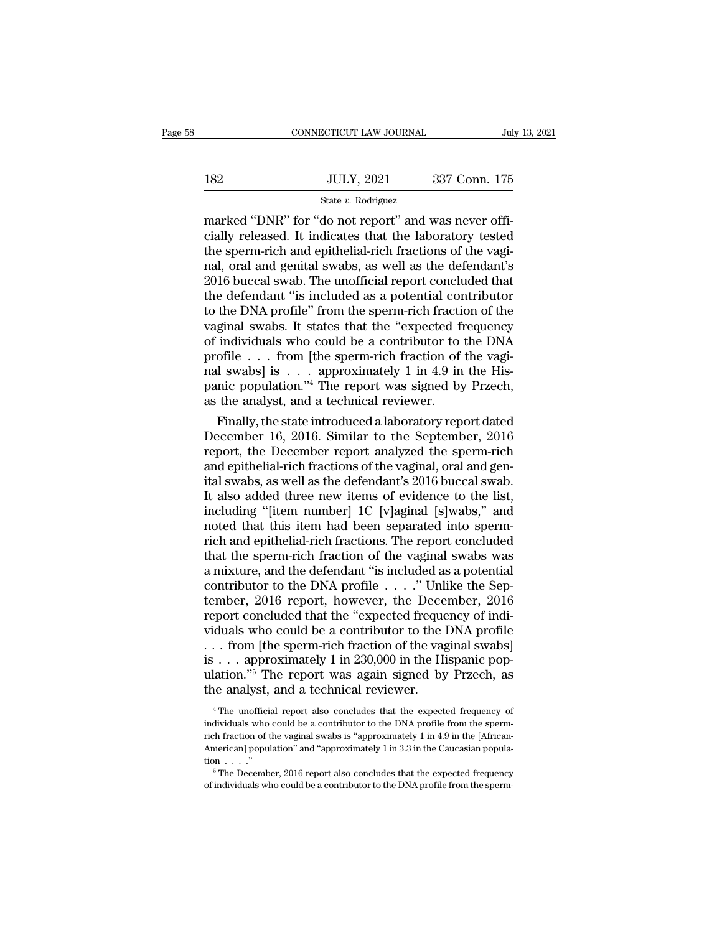# $\begin{tabular}{c} \multicolumn{2}{c|}{\text{CONNECTICUT LAW JOURNAL}} & July 13, 2021 \\ \cline{2-2} \multicolumn{2}{c|}{\text{July 13, 2021}} & \multicolumn{2}{c|}{\text{July 13, 2021}} \\ \cline{2-2} \multicolumn{2}{c|}{\text{July 13, 2021}} & \multicolumn{2}{c|}{\text{337 Conn. 175}} \\ & \multicolumn{2}{c|}{\text{State $v$. Rodriguez}} & \multicolumn{2}{c|}{\text{Total image}} \\ \cline{2-2} \end{tabular}$

### State *v.* Rodriguez

CONNECTICUT LAW JOURNAL<br>
182 JULY, 2021 337 Conn. 175<br>
5 State v. Rodriguez<br>
marked "DNR" for "do not report" and was never offi-<br>
cially released. It indicates that the laboratory tested<br>
the sperm rich and opitholial ric 182 JULY, 2021 337 Conn. 175<br>
State v. Rodriguez<br>
marked "DNR" for "do not report" and was never officially<br>
released. It indicates that the laboratory tested<br>
the sperm-rich and epithelial-rich fractions of the vagi-<br>
rel 182 JULY, 2021 337 Conn. 175<br>
State v. Rodriguez<br>
marked "DNR" for "do not report" and was never officially<br>
released. It indicates that the laboratory tested<br>
the sperm-rich and epithelial-rich fractions of the vagi-<br>
na  $182$  JULY, 2021 337 Conn. 175<br>  $\frac{\text{State } v. \text{ Rodriguez}}{\text{market "DNR" for "do not report" and was never officially released. It indicates that the laboratory tested the sperm-rich and epithelial-rich fractions of the vaginal, oral and genital swabs, as well as the defendant's 2016 buccal swab. The unofficial report concluded that the defendant "is included as a potential contribution.$ Examples of the unofficial report of the DNA profile of the parameter of the unit of the unit of the unit of the unit of the unit of the unit of the unit of the unit of the unit of the unit of the UNA profile  $\alpha$  report State v. Rodriguez<br>
marked "DNR" for "do not report" and was never offi-<br>
cially released. It indicates that the laboratory tested<br>
the sperm-rich and epithelial-rich fractions of the vagi-<br>
nal, oral and genital swabs, a marked "DNR" for "do not report" and was never officially released. It indicates that the laboratory tested<br>the sperm-rich and epithelial-rich fractions of the vagi-<br>nal, oral and genital swabs, as well as the defendant's<br> cially released. It indicates that the laboratory tested<br>the sperm-rich and epithelial-rich fractions of the vagi-<br>nal, oral and genital swabs, as well as the defendant's<br>2016 buccal swab. The unofficial report concluded t the sperm-rich and epithelial-rich fractions of the vagi-<br>nal, oral and genital swabs, as well as the defendant's<br>2016 buccal swab. The unofficial report concluded that<br>the defendant "is included as a potential contributor nal, oral and genital swabs, as well as the defendant's<br>2016 buccal swab. The unofficial report concluded that<br>the defendant "is included as a potential contributor<br>to the DNA profile" from the sperm-rich fraction of the<br>v 2016 buccal swab. The unofficial report concluded that<br>the defendant "is included as a potential contributor<br>to the DNA profile" from the sperm-rich fraction of the<br>vaginal swabs. It states that the "expected frequency<br>of the defendant "is included as a potential contributor<br>to the DNA profile" from the sperm-rich fraction of the<br>vaginal swabs. It states that the "expected frequency<br>of individuals who could be a contributor to the DNA<br>profi to the DNA profile" from the sperm-rich fraction vaginal swabs. It states that the "expected field of individuals who could be a contributor to profile . . . from [the sperm-rich fraction of nal swabs] is . . . approximat ginal swabs. It states that the "expected frequency<br>individuals who could be a contributor to the DNA<br>ofile . . . from [the sperm-rich fraction of the vagi-<br>l swabs] is . . . approximately 1 in 4.9 in the His-<br>nic populat of individuals who could be a contributor to the DNA<br>profile . . . from [the sperm-rich fraction of the vagi-<br>nal swabs] is . . . approximately 1 in 4.9 in the His-<br>panic population."<sup>4</sup> The report was signed by Przech,<br>as

profile . . . from [the sperm-rich fraction of the vagi-<br>nal swabs] is . . . approximately 1 in 4.9 in the His-<br>panic population."<sup>4</sup> The report was signed by Przech,<br>as the analyst, and a technical reviewer.<br>Finally, the nal swabs] is . . . approximately 1 in 4.9 in the Hispanic population."<sup>4</sup> The report was signed by Przech, as the analyst, and a technical reviewer.<br>Finally, the state introduced a laboratory report dated December 16, 201 panic population."<sup>4</sup> The report was signed by Przech,<br>as the analyst, and a technical reviewer.<br>Finally, the state introduced a laboratory report dated<br>December 16, 2016. Similar to the September, 2016<br>report, the Decembe as the analyst, and a technical reviewer.<br>
Finally, the state introduced a laboratory report dated<br>
December 16, 2016. Similar to the September, 2016<br>
report, the December report analyzed the sperm-rich<br>
and epithelial-ric Finally, the state introduced a laboratory report dated<br>December 16, 2016. Similar to the September, 2016<br>report, the December report analyzed the sperm-rich<br>and epithelial-rich fractions of the vaginal, oral and gen-<br>ital December 16, 2016. Similar to the September, 2016<br>report, the December report analyzed the sperm-rich<br>and epithelial-rich fractions of the vaginal, oral and gen-<br>ital swabs, as well as the defendant's 2016 buccal swab.<br>It report, the December report analyzed the sperm-rich<br>and epithelial-rich fractions of the vaginal, oral and gen-<br>ital swabs, as well as the defendant's 2016 buccal swab.<br>It also added three new items of evidence to the list and epithelial-rich fractions of the vaginal, oral and genital swabs, as well as the defendant's 2016 buccal swab.<br>It also added three new items of evidence to the list,<br>including "[item number] 1C [v]aginal [s]wabs," and<br> ital swabs, as well as the defendant's 2016 buccal swab.<br>It also added three new items of evidence to the list,<br>including "[item number] 1C [v]aginal [s]wabs," and<br>noted that this item had been separated into sperm-<br>rich a It also added three new items of evidence to the list,<br>including "[item number] 1C [v]aginal [s]wabs," and<br>noted that this item had been separated into sperm-<br>rich and epithelial-rich fractions. The report concluded<br>that t including "[item number] 1C [v]aginal [s]wabs," and<br>noted that this item had been separated into sperm-<br>rich and epithelial-rich fractions. The report concluded<br>that the sperm-rich fraction of the vaginal swabs was<br>a mixtu noted that this item had been separated into sperm-<br>rich and epithelial-rich fractions. The report concluded<br>that the sperm-rich fraction of the vaginal swabs was<br>a mixture, and the defendant "is included as a potential<br>co rich and epithelial-rich fractions. The report concluded<br>that the sperm-rich fraction of the vaginal swabs was<br>a mixture, and the defendant "is included as a potential<br>contributor to the DNA profile  $\ldots$ ." Unlike the Sep that the sperm-rich fraction of the vaginal swabs was<br>a mixture, and the defendant "is included as a potential<br>contributor to the DNA profile . . . . " Unlike the Sep-<br>tember, 2016 report, however, the December, 2016<br>repo a mixture, and the defendant "is included as a potential<br>contributor to the DNA profile . . . ." Unlike the Sep-<br>tember, 2016 report, however, the December, 2016<br>report concluded that the "expected frequency of indi-<br>vidu contributor to the DNA profile . . . ." Unlike the September, 2016 report, however, the December, 2016 report concluded that the "expected frequency of individuals who could be a contributor to the DNA profile . . . from tember, 2016 report, however, the Dece<br>report concluded that the "expected freque<br>viduals who could be a contributor to the l<br> $\ldots$  from [the sperm-rich fraction of the vag<br>is  $\ldots$  approximately 1 in 230,000 in the Hi<br>ul 4 The unofficial report was again signed by Przech, as the analyst, and a technical reviewer.<br>
4 The unofficial report was again signed by Przech, as the analyst, and a technical reviewer.<br>
4 The unofficial report also co is . . . approximately 1 in 230,000 in the Hispanic population."<sup>5</sup> The report was again signed by Przech, as the analyst, and a technical reviewer.<br> $\frac{4}{1}$  The unofficial report also concludes that the expected frequen

ulation."<sup>5</sup> The report was again signed by Przech, as<br>the analyst, and a technical reviewer.<br> $\overline{ }$ <sup>4</sup>The unofficial report also concludes that the expected frequency of<br>individuals who could be a contributor to the DNA <sup>4</sup> The unofficial report also concludes that the expected frequency of dividuals who could be a contributor to the DNA profile from the sperm-<br>ch fraction of the vaginal swabs is "approximately 1 in 4.9 in the [African-<br> The antalyst, and a technical reviewer.<br>
<sup>4</sup> The unofficial report also concludes that the expected frequency of<br>
individuals who could be a contributor to the DNA profile from the sperm-<br>
rich fraction of the vaginal swab rich fraction of the vaginal swabs is "approximately 1 in 4.9 in the [African-American] population" and "approximately 1 in 3.3 in the Caucasian population . . . ."<br><sup>5</sup> The December, 2016 report also concludes that the ex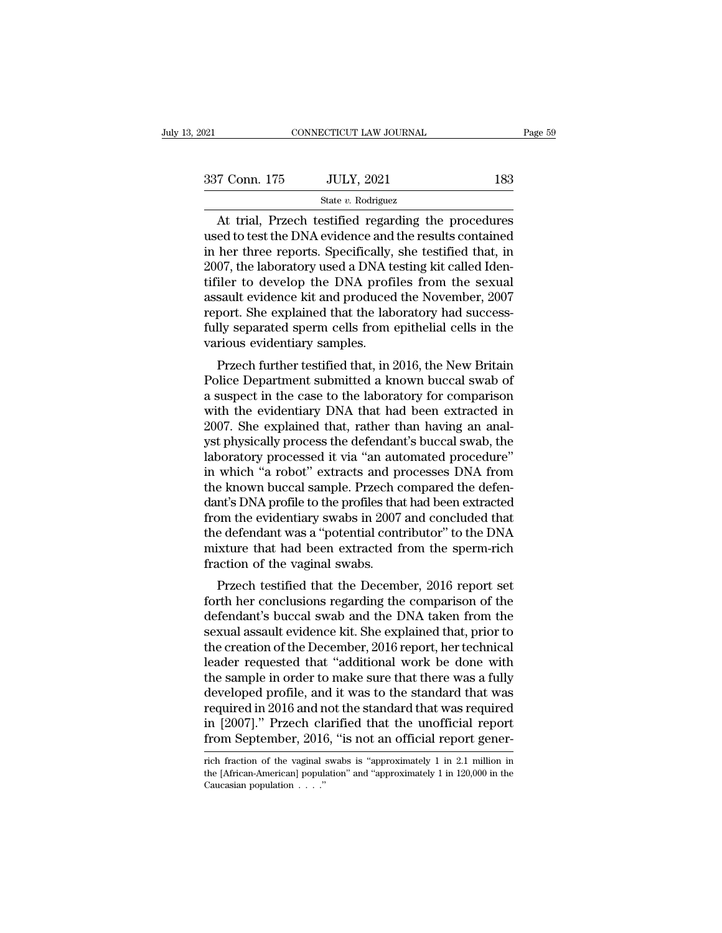| 2021          | CONNECTICUT LAW JOURNAL                                                                                                                                                     | Page 59 |
|---------------|-----------------------------------------------------------------------------------------------------------------------------------------------------------------------------|---------|
|               |                                                                                                                                                                             |         |
| 337 Conn. 175 | <b>JULY, 2021</b>                                                                                                                                                           | 183     |
|               | State v. Rodriguez                                                                                                                                                          |         |
|               | At trial, Przech testified regarding the procedures<br>used to test the DNA evidence and the results contained<br>in har three reports. Specifically, she testified that in |         |

 $337$  Conn. 175 JULY, 2021 183<br>  $\frac{337}{201}$  State v. Rodriguez<br>
At trial, Przech testified regarding the procedures<br>
used to test the DNA evidence and the results contained<br>
in her three reports. Specifically, she testi 337 Conn. 175 JULY, 2021 183<br>
State v. Rodriguez<br>
At trial, Przech testified regarding the procedures<br>
used to test the DNA evidence and the results contained<br>
in her three reports. Specifically, she testified that, in<br>
2 337 Conn. 175 JULY, 2021 183<br>  $\frac{337 \text{ Conn. } 175}{\text{State } v. \text{ Rodriguez}}$ <br>
At trial, Przech testified regarding the procedures<br>
used to test the DNA evidence and the results contained<br>
in her three reports. Specifically, she testifi State v. Rodriguez<br>
State v. Rodriguez<br>
At trial, Przech testified regarding the procedures<br>
used to test the DNA evidence and the results contained<br>
in her three reports. Specifically, she testified that, in<br>
2007, the l state v. Rodriguez<br>At trial, Przech testified regarding the procedures<br>used to test the DNA evidence and the results contained<br>in her three reports. Specifically, she testified that, in<br>2007, the laboratory used a DNA tes At trial, Przech testified regarding the procedures<br>used to test the DNA evidence and the results contained<br>in her three reports. Specifically, she testified that, in<br>2007, the laboratory used a DNA testing kit called Iden used to test the DNA evidence and the results contained<br>in her three reports. Specifically, she testified that, in<br>2007, the laboratory used a DNA testing kit called Iden-<br>tifiler to develop the DNA profiles from the sexua in her three reports. Specifically,<br>2007, the laboratory used a DNA to<br>tifiler to develop the DNA profi<br>assault evidence kit and produced<br>report. She explained that the lab<br>fully separated sperm cells from v<br>arious evident or, the laboratory used a DNA testing Kit called identifier to develop the DNA profiles from the sexual sault evidence kit and produced the November, 2007<br>port. She explained that the laboratory had success-<br>lly separated ET THE TO develop the DNA promiss from the sexual assault evidence kit and produced the November, 2007<br>report. She explained that the laboratory had success-<br>fully separated sperm cells from epithelial cells in the<br>various

assauri evidence Kri and produced the November, 2007<br>report. She explained that the laboratory had success-<br>fully separated sperm cells from epithelial cells in the<br>various evidentiary samples.<br>Przech further testified tha report. She explained that the laboratory had success-<br>fully separated sperm cells from epithelial cells in the<br>various evidentiary samples.<br>Przech further testified that, in 2016, the New Britain<br>Police Department submitt Figure 1 and the various evidentiary samples.<br>
Przech further testified that, in 2016, the New Britain<br>
Police Department submitted a known buccal swab of<br>
a suspect in the case to the laboratory for comparison<br>
with the e various evidentiary samples.<br>
Przech further testified that, in 2016, the New Britain<br>
Police Department submitted a known buccal swab of<br>
a suspect in the case to the laboratory for comparison<br>
with the evidentiary DNA th Przech further testified that, in 2016, the New Britain<br>Police Department submitted a known buccal swab of<br>a suspect in the case to the laboratory for comparison<br>with the evidentiary DNA that had been extracted in<br>2007. Sh Police Department submitted a known buccal swab of<br>a suspect in the case to the laboratory for comparison<br>with the evidentiary DNA that had been extracted in<br>2007. She explained that, rather than having an anal-<br>yst physic a suspect in the case to the laboratory for comparison<br>with the evidentiary DNA that had been extracted in<br>2007. She explained that, rather than having an anal-<br>yst physically process the defendant's buccal swab, the<br>labor with the evidentiary DNA that had been extracted in 2007. She explained that, rather than having an analyst physically process the defendant's buccal swab, the laboratory processed it via "an automated procedure" in which 2007. She explained that, rather than having an analyst physically process the defendant's buccal swab, the laboratory processed it via "an automated procedure" in which "a robot" extracts and processes DNA from the known yst physically process the defendant's buccal swab, the laboratory processed it via "an automated procedure"<br>in which "a robot" extracts and processes DNA from<br>the known buccal sample. Przech compared the defen-<br>dant's DNA laboratory processed it via "an automated procedure"<br>in which "a robot" extracts and processes DNA from<br>the known buccal sample. Przech compared the defen-<br>dant's DNA profile to the profiles that had been extracted<br>from th in which "a robot" extracts and p<br>the known buccal sample. Przech c<br>dant's DNA profile to the profiles tha<br>from the evidentiary swabs in 2007<br>the defendant was a "potential cont<br>mixture that had been extracted f<br>fraction o e known buccar sample. I izech compared the defen-<br>mt's DNA profile to the profiles that had been extracted<br>bm the evidentiary swabs in 2007 and concluded that<br>e defendant was a "potential contributor" to the DNA<br>ixture th dant s DNA prome to the promes that had been extracted<br>from the evidentiary swabs in 2007 and concluded that<br>the defendant was a "potential contributor" to the DNA<br>mixture that had been extracted from the sperm-rich<br>fracti

molt the evidentiary swabs in 2007 and concrided that<br>the defendant was a "potential contributor" to the DNA<br>mixture that had been extracted from the sperm-rich<br>fraction of the vaginal swabs.<br>Przech testified that the Dece the defendant was a potential contributor to the DNA<br>mixture that had been extracted from the sperm-rich<br>fraction of the vaginal swabs.<br>Przech testified that the December, 2016 report set<br>forth her conclusions regarding th fraction of the vaginal swabs.<br>
Przech testified that the December, 2016 report set<br>
forth her conclusions regarding the comparison of the<br>
defendant's buccal swab and the DNA taken from the<br>
sexual assault evidence kit. S Fraction of the vaginal swabs.<br>
Przech testified that the December, 2016 report set<br>
forth her conclusions regarding the comparison of the<br>
defendant's buccal swab and the DNA taken from the<br>
sexual assault evidence kit. S Przech testified that the December, 2016 report set<br>forth her conclusions regarding the comparison of the<br>defendant's buccal swab and the DNA taken from the<br>sexual assault evidence kit. She explained that, prior to<br>the cre forth her conclusions regarding the comparison of the<br>defendant's buccal swab and the DNA taken from the<br>sexual assault evidence kit. She explained that, prior to<br>the creation of the December, 2016 report, her technical<br>le defendant's buccal swab and the DNA taken from the<br>sexual assault evidence kit. She explained that, prior to<br>the creation of the December, 2016 report, her technical<br>leader requested that "additional work be done with<br>the sexual assault evidence kit. She explained that, prior to<br>the creation of the December, 2016 report, her technical<br>leader requested that "additional work be done with<br>the sample in order to make sure that there was a fully the creation of the December, 2016 report, her technical<br>leader requested that "additional work be done with<br>the sample in order to make sure that there was a fully<br>developed profile, and it was to the standard that was<br>re developed profile, and it was to the standard that was<br>required in 2016 and not the standard that was required<br>in [2007]." Przech clarified that the unofficial report<br>from September, 2016, "is not an official report generrequired in 2016 and not the standard that was required<br>in [2007]." Przech clarified that the unofficial report<br>from September, 2016, "is not an official report gener-<br>rich fraction of the vaginal swabs is "approximately

in [2007]." Przech cl:<br>from September, 2016<br>rich fraction of the vaginal<br>the [African-American] popul<br>Caucasian population . . . ."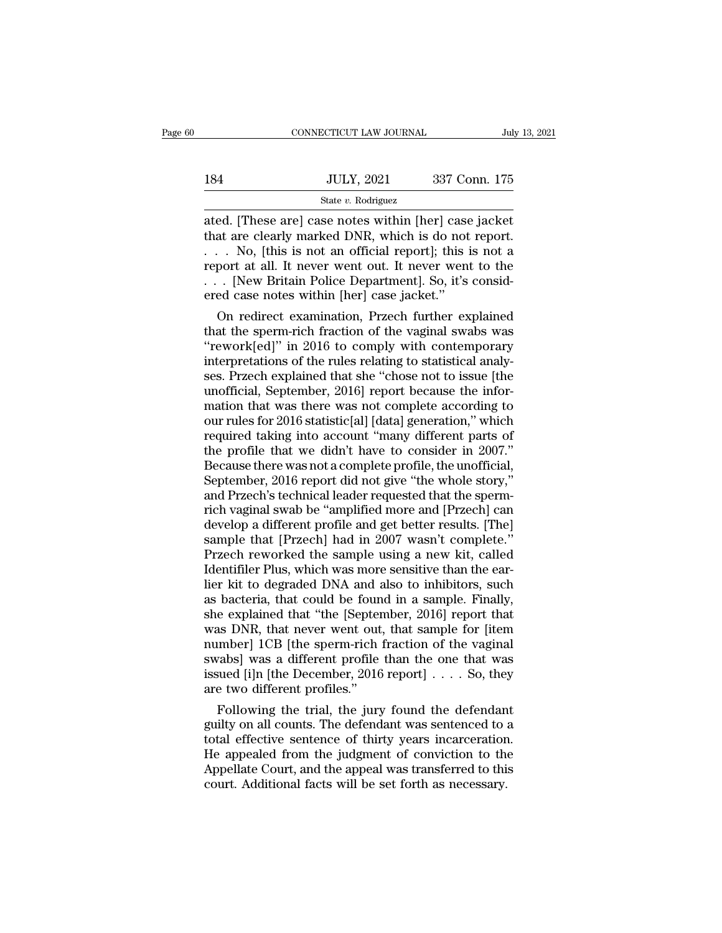|     | CONNECTICUT LAW JOURNAL | July 13, 2021 |  |
|-----|-------------------------|---------------|--|
|     |                         |               |  |
| 184 | <b>JULY, 2021</b>       | 337 Conn. 175 |  |
|     | State $v$ . Rodriguez   |               |  |

CONNECTICUT LAW JOURNAL July 13, 202<br>
184 JULY, 2021 337 Conn. 175<br>
5tate v. Rodriguez<br>
ated. [These are] case notes within [her] case jacket<br>
that are clearly marked DNR, which is do not report.<br>
No Ithis is not an offici 184 JULY, 2021 337 Conn. 175<br>
State v. Rodriguez<br>
ated. [These are] case notes within [her] case jacket<br>
that are clearly marked DNR, which is do not report.<br>
. . . No, [this is not an official report]; this is not a<br>
repo 184 JULY, 2021 337 Conn. 175<br>
State v. Rodriguez<br>
ated. [These are] case notes within [her] case jacket<br>
that are clearly marked DNR, which is do not report.<br>
. . . No, [this is not an official report]; this is not a<br>
rep 184 JULY, 2021 337 Conn. 175<br>
State v. Rodriguez<br>
ated. [These are] case notes within [her] case jacket<br>
that are clearly marked DNR, which is do not report.<br>
. . . No, [this is not an official report]; this is not a<br>
rep State v. Rodriguez<br>
State v. Rodriguez<br>
ated. [These are] case notes within [her] case jacket<br>
that are clearly marked DNR, which is do not report.<br>
. . . No, [this is not an official report]; this is not a<br>
report at all State v. Rodriguez<br>ated. [These are] case notes within [her] case<br>that are clearly marked DNR, which is do not<br> $\ldots$  No, [this is not an official report]; this i<br>report at all. It never went out. It never went<br> $\ldots$  [New ed. [These are] case notes within [her] case jacket<br>at are clearly marked DNR, which is do not report.<br>. . No, [this is not an official report]; this is not a<br>port at all. It never went out. It never went to the<br>. [New Bri that are clearly marked DNR, which is do not report.<br>  $\ldots$  No, [this is not an official report]; this is not a<br>
report at all. It never went out. It never went to the<br>  $\ldots$  [New Britain Police Department]. So, it's cons

. . . No, [this is not an official report]; this is not a<br>report at all. It never went out. It never went to the<br>. . . [New Britain Police Department]. So, it's consid-<br>ered case notes within [her] case jacket."<br>On redire report at all. It never went out. It never went to the<br>
. . . [New Britain Police Department]. So, it's consid-<br>
ered case notes within [her] case jacket."<br>
On redirect examination, Przech further explained<br>
that the sperm section of the Mindon Constant Police Department]. So, it's considered case notes within [her] case jacket."<br>On redirect examination, Przech further explained<br>that the sperm-rich fraction of the vaginal swabs was<br>"rework[e ered case notes within [her] case jacket."<br>
On redirect examination, Przech further explained<br>
that the sperm-rich fraction of the vaginal swabs was<br>
"rework[ed]" in 2016 to comply with contemporary<br>
interpretations of the On redirect examination, Przech further explained<br>that the sperm-rich fraction of the vaginal swabs was<br>"rework[ed]" in 2016 to comply with contemporary<br>interpretations of the rules relating to statistical analy-<br>ses. Prze that the sperm-rich fraction of the vaginal swabs was<br>
"rework[ed]" in 2016 to comply with contemporary<br>
interpretations of the rules relating to statistical analy-<br>
ses. Przech explained that she "chose not to issue [the<br> "rework[ed]" in 2016 to comply with contemporary<br>interpretations of the rules relating to statistical analy-<br>ses. Przech explained that she "chose not to issue [the<br>unofficial, September, 2016] report because the infor-<br>ma interpretations of the rules relating to statistical analyses. Przech explained that she "chose not to issue [the unofficial, September, 2016] report because the information that was there was not complete according to our ses. Przech explained that she "chose not to issue [the<br>unofficial, September, 2016] report because the infor-<br>mation that was there was not complete according to<br>our rules for 2016 statistic[al] [data] generation," which<br> unofficial, September, 2016] report because the information that was there was not complete according to our rules for 2016 statistic[al] [data] generation," which required taking into account "many different parts of the mation that was there was not complete according to<br>our rules for 2016 statistic[al] [data] generation," which<br>required taking into account "many different parts of<br>the profile that we didn't have to consider in 2007."<br>Bec our rules for 2016 statistic[al] [data] generation," which<br>required taking into account "many different parts of<br>the profile that we didn't have to consider in 2007."<br>Because there was not a complete profile, the unofficia required taking into account "many different parts of<br>the profile that we didn't have to consider in 2007."<br>Because there was not a complete profile, the unofficial,<br>September, 2016 report did not give "the whole story,"<br>a the profile that we didn't have to consider in 2007."<br>Because there was not a complete profile, the unofficial,<br>September, 2016 report did not give "the whole story,"<br>and Przech's technical leader requested that the sperm-Because there was not a complete profile, the unofficial,<br>September, 2016 report did not give "the whole story,"<br>and Przech's technical leader requested that the sperm-<br>rich vaginal swab be "amplified more and [Przech] can September, 2016 report did not give "the whole story,"<br>and Przech's technical leader requested that the sperm-<br>rich vaginal swab be "amplified more and [Przech] can<br>develop a different profile and get better results. [The] and Przech's technical leader requested that the sperm-<br>rich vaginal swab be "amplified more and [Przech] can<br>develop a different profile and get better results. [The]<br>sample that [Przech] had in 2007 wasn't complete."<br>Prz rich vaginal swab be "amplified more and [Przech] can<br>develop a different profile and get better results. [The]<br>sample that [Przech] had in 2007 wasn't complete."<br>Przech reworked the sample using a new kit, called<br>Identifi develop a different profile and get better results. [The]<br>sample that [Przech] had in 2007 wasn't complete."<br>Przech reworked the sample using a new kit, called<br>Identifiler Plus, which was more sensitive than the ear-<br>lier sample that [Przech] had in 2007 wasn't complete."<br>Przech reworked the sample using a new kit, called<br>Identifiler Plus, which was more sensitive than the ear-<br>lier kit to degraded DNA and also to inhibitors, such<br>as bacter Przech reworked the sample using a new kit, called<br>Identifiler Plus, which was more sensitive than the ear-<br>lier kit to degraded DNA and also to inhibitors, such<br>as bacteria, that could be found in a sample. Finally,<br>she e Identifiler Plus, which was more sensitive than the earlier kit to degraded DNA and also to inhibitors, such as bacteria, that could be found in a sample. Finally, she explained that "the [September, 2016] report that was lier kit to degraded DNA and also to inhibitors, such<br>as bacteria, that could be found in a sample. Finally,<br>she explained that "the [September, 2016] report that<br>was DNR, that never went out, that sample for [item<br>number] as bacteria, that could be found in a sample. Finally, she explained that "the [September, 2016] report that was DNR, that never went out, that sample for [item number] 1CB [the sperm-rich fraction of the vaginal swabs] w e explained that "the [September, 2016] report that<br>as DNR, that never went out, that sample for [item<br>imber] 1CB [the sperm-rich fraction of the vaginal<br>vabs] was a different profile than the one that was<br>sued [i]n [the D was DNR, that never went out, that sample for [item<br>number] 1CB [the sperm-rich fraction of the vaginal<br>swabs] was a different profile than the one that was<br>issued [i]n [the December, 2016 report]  $\ldots$  . So, they<br>are two

number] ICB [the sperm-rich fraction of the vaginal<br>swabs] was a different profile than the one that was<br>issued [i]n [the December, 2016 report]  $\dots$  So, they<br>are two different profiles."<br>Following the trial, the jury fou swabs] was a different profile than the one that was<br>issued [i]n [the December, 2016 report]  $\dots$  So, they<br>are two different profiles."<br>Following the trial, the jury found the defendant<br>guilty on all counts. The defendant issued [1]n [the December, 2016 report]  $\ldots$  . So, they<br>are two different profiles."<br>Following the trial, the jury found the defendant<br>guilty on all counts. The defendant was sentenced to a<br>total effective sentence of th are two different profiles."<br>Following the trial, the jury found the defendan<br>guilty on all counts. The defendant was sentenced to a<br>total effective sentence of thirty years incarceration<br>He appealed from the judgment of c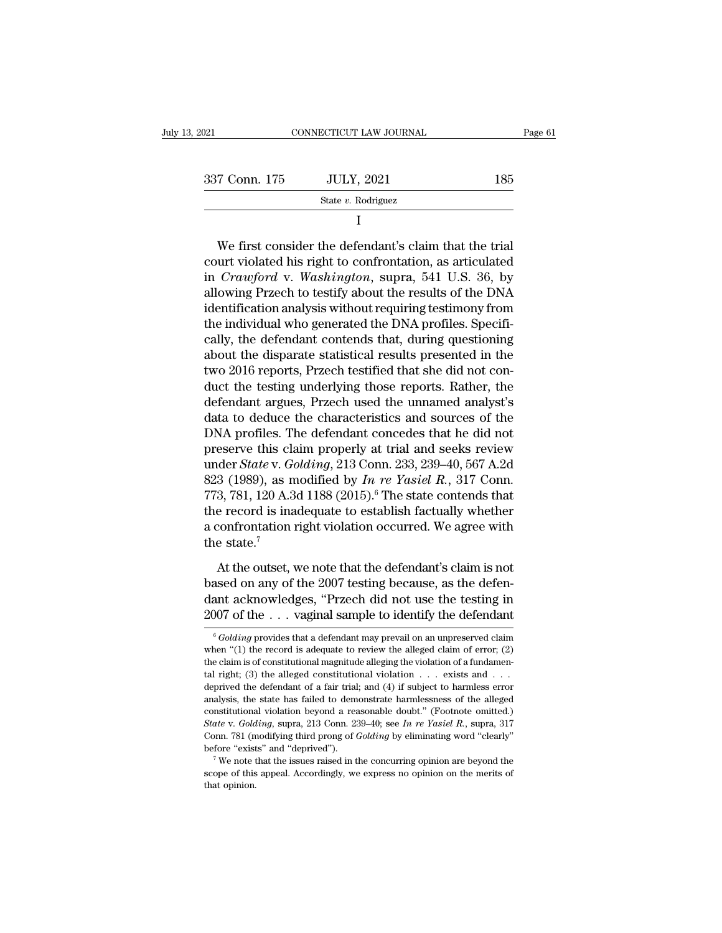| 3, 2021       | CONNECTICUT LAW JOURNAL | Page 61 |
|---------------|-------------------------|---------|
| 337 Conn. 175 | <b>JULY, 2021</b>       | 185     |
|               | State $v$ . Rodriguez   |         |
|               |                         |         |

337 Conn. 175 JULY, 2021 185<br>
State v. Rodriguez<br>
I<br>
We first consider the defendant's claim that the trial<br>
court violated his right to confrontation, as articulated<br>
in *Crawford* v. *Washington*, supra, 541 U.S. 36, by Safetime, 175 State v. Rodriguez<br>
State v. Rodriguez<br>
I<br>
We first consider the defendant's claim that the trial<br>
court violated his right to confrontation, as articulated<br>
in *Crawford* v. *Washington*, supra, 541 U.S. 36, State v. Rodriguez<br>
I<br>
We first consider the defendant's claim that the trial<br>
court violated his right to confrontation, as articulated<br>
in *Crawford* v. *Washington*, supra, 541 U.S. 36, by<br>
allowing Przech to testify a I<br>We first consider the defendant's claim that the trial<br>court violated his right to confrontation, as articulated<br>in *Crawford* v. *Washington*, supra, 541 U.S. 36, by<br>allowing Przech to testify about the results of the D We first consider the defendant's claim that the trial<br>court violated his right to confrontation, as articulated<br>in *Crawford* v. *Washington*, supra, 541 U.S. 36, by<br>allowing Przech to testify about the results of the DNA We first consider the defendant's claim that the trial<br>court violated his right to confrontation, as articulated<br>in *Crawford* v. *Washington*, supra, 541 U.S. 36, by<br>allowing Przech to testify about the results of the DNA court violated his right to confrontation, as articulated<br>in *Crawford* v. *Washington*, supra, 541 U.S. 36, by<br>allowing Przech to testify about the results of the DNA<br>identification analysis without requiring testimony fr in *Crawford* v. *Washington*, supra, 541 U.S. 36, by<br>allowing Przech to testify about the results of the DNA<br>identification analysis without requiring testimony from<br>the individual who generated the DNA profiles. Specifiallowing Przech to testify about the results of the DNA<br>identification analysis without requiring testimony from<br>the individual who generated the DNA profiles. Specifi-<br>cally, the defendant contends that, during questionin identification analysis without requiring testimony from<br>the individual who generated the DNA profiles. Specifi-<br>cally, the defendant contends that, during questioning<br>about the disparate statistical results presented in t the individual who generated the DNA profiles. Specifically, the defendant contends that, during questioning<br>about the disparate statistical results presented in the<br>two 2016 reports, Przech testified that she did not concally, the defendant contends that, during questioning<br>about the disparate statistical results presented in the<br>two 2016 reports, Przech testified that she did not con-<br>duct the testing underlying those reports. Rather, th about the disparate statistical results presented in the<br>two 2016 reports, Przech testified that she did not con-<br>duct the testing underlying those reports. Rather, the<br>defendant argues, Przech used the unnamed analyst's<br> two 2016 reports, Przech testified that she did not con-<br>duct the testing underlying those reports. Rather, the<br>defendant argues, Przech used the unnamed analyst's<br>data to deduce the characteristics and sources of the<br>DNA duct the testing underlying those reports. Rather, the defendant argues, Przech used the unnamed analyst's data to deduce the characteristics and sources of the DNA profiles. The defendant concedes that he did not preserve defendant argues, Przech used the unnamed analyst's<br>data to deduce the characteristics and sources of the<br>DNA profiles. The defendant concedes that he did not<br>preserve this claim properly at trial and seeks review<br>under data to deduce the characteristics and sources of the<br>DNA profiles. The defendant concedes that he did not<br>preserve this claim properly at trial and seeks review<br>under *State* v. *Golding*, 213 Conn. 233, 239–40, 567 A.2d DNA profiles. The defendant concedes that he did not<br>preserve this claim properly at trial and seeks review<br>under *State* v. *Golding*, 213 Conn. 233, 239–40, 567 A.2d<br>823 (1989), as modified by *In re Yasiel R.*, 317 Con preserve this cla<br>under *State* v. *G*<br>823 (1989), as n<br>773, 781, 120 A.3<br>the record is ina<br>a confrontation i<br>the state.<sup>7</sup><br>At the outset, v 3 (1989), as modified by *In re Yasiel R.*, 317 Conn.<br>3, 781, 120 A.3d 1188 (2015).<sup>6</sup> The state contends that<br>e record is inadequate to establish factually whether<br>confrontation right violation occurred. We agree with<br>e 773, 781, 120 A.3d 1188 (2015).<sup>6</sup> The state contends that<br>the record is inadequate to establish factually whether<br>a confrontation right violation occurred. We agree with<br>the state.<sup>7</sup><br>At the outset, we note that the defe

the record is inadequate to establish factually whether<br>a confrontation right violation occurred. We agree with<br>the state.<sup>7</sup><br>At the outset, we note that the defendant's claim is not<br>based on any of the 2007 testing becau a confrontation right violation occurred. We agree with<br>the state.<sup>7</sup><br>At the outset, we note that the defendant's claim is not<br>based on any of the 2007 testing because, as the defen-<br>dant acknowledges, "Przech did not use At the outset, we note that the defendant's claim is not based on any of the 2007 testing because, as the defendant acknowledges, "Przech did not use the testing in 2007 of the  $\ldots$  vaginal sample to identify the defenda based on any of the 2007 testing because, as the defendant acknowledges, "Przech did not use the testing in 2007 of the . . . vaginal sample to identify the defendant  $\frac{6}{6}$  *Golding* provides that a defendant may prev

dant acknowledges, "Przech did not use the testing in 2007 of the ... vaginal sample to identify the defendant  $*6$  folding provides that a defendant may prevail on an unpreserved claim when "(1) the record is adequate to 2007 of the ... vaginal sample to identify the defendant  $\overline{\phantom{a}}$   $\overline{\phantom{a}}$   $\overline{\phantom{a}}$   $\overline{\phantom{a}}$   $\overline{\phantom{a}}$   $\overline{\phantom{a}}$   $\overline{\phantom{a}}$   $\overline{\phantom{a}}$   $\overline{\phantom{a}}$   $\overline{\phantom{a}}$   $\overline{\phantom{a}}$   $\overline{\phantom{a}}$   $\overline{\phantom{a}}$   $\overline{\phantom{$  $\overline{\phantom{a}}$   $\overline{\phantom{a}}$   $\overline{\phantom{a}}$   $\overline{\phantom{a}}$   $\overline{\phantom{a}}$   $\overline{\phantom{a}}$   $\overline{\phantom{a}}$   $\overline{\phantom{a}}$   $\overline{\phantom{a}}$   $\overline{\phantom{a}}$   $\overline{\phantom{a}}$   $\overline{\phantom{a}}$   $\overline{\phantom{a}}$   $\overline{\phantom{a}}$   $\overline{\phantom{a}}$   $\overline{\phantom{a}}$   $\overline{\phantom{a}}$   $\overline{\phantom{a}}$   $\overline{\$ <sup>6</sup> Golding provides that a defendant may prevail on an unpreserved claim when "(1) the record is adequate to review the alleged claim of error; (2) the claim is of constitutional magnitude alleging the violation of a fun when "(1) the record is adequate to review the alleged claim of error; (2) the claim is of constitutional magnitude alleging the violation of a fundamental right; (3) the alleged constitutional violation  $\ldots$  exists and *State* v. *Golding*, supra, 213 Conn. 239–40; see *In re Yasiel R.,* suppression of a fundamental right; (3) the alleged constitutional violation  $\ldots$  exists and  $\ldots$  deprived the defendant of a fair trial; and (4) if deprived the defendant of a fair trial; and (4) if subject to harmless error analysis, the state has failed to demonstrate harmlessness of the alleged constitutional violation beyond a reasonable doubt." (Footnote omitted before the defendant of a fair trial; and (4) if subject to harmless error analysis, the state has failed to demonstrate harmlessness of the alleged constitutional violation beyond a reasonable doubt." (Footnote omitted.) constitutional violation beyond a reasonable doubt." (Footnote omitted.)<br>State v. Golding, supra, 213 Conn. 239–40; see In re Yasiel R., supra, 317<br>Conn. 781 (modifying third prong of Golding by eliminating word "clearly" Conn. 781 (modifying third prong of Golding by eliminating word "clearly"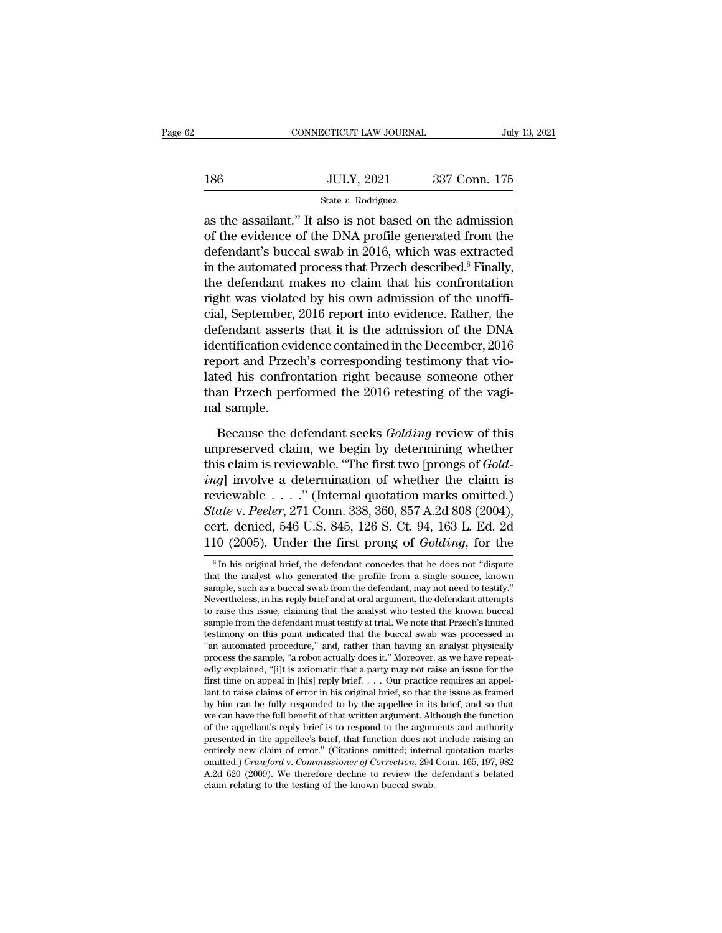|     | CONNECTICUT LAW JOURNAL | July 13, 2021 |
|-----|-------------------------|---------------|
|     |                         |               |
| 186 | <b>JULY, 2021</b>       | 337 Conn. 175 |
|     | State $v$ . Rodriguez   |               |

CONNECTICUT LAW JOURNAL July 13, 2021<br>186 JULY, 2021 337 Conn. 175<br>5 State v. Rodriguez<br>as the assailant.'' It also is not based on the admission<br>of the evidence of the DNA profile generated from the<br>defendent's bugged su 186 JULY, 2021 337 Conn. 175<br>
State v. Rodriguez<br>
as the assailant." It also is not based on the admission<br>
of the evidence of the DNA profile generated from the<br>
defendant's buccal swab in 2016, which was extracted<br>
in t 186 JULY, 2021 337 Conn. 175<br>
State v. Rodriguez<br>
as the assailant." It also is not based on the admission<br>
of the evidence of the DNA profile generated from the<br>
defendant's buccal swab in 2016, which was extracted<br>
in t 186 JULY, 2021 337 Conn. 175<br>
state v. Rodriguez<br>
as the assailant." It also is not based on the admission<br>
of the evidence of the DNA profile generated from the<br>
defendant's buccal swab in 2016, which was extracted<br>
in t State v. Rodriguez<br>
as the assailant." It also is not based on the admission<br>
of the evidence of the DNA profile generated from the<br>
defendant's buccal swab in 2016, which was extracted<br>
in the automated process that Prze siate v. Roanguez<br>as the assailant." It also is not based on the admission<br>of the evidence of the DNA profile generated from the<br>defendant's buccal swab in 2016, which was extracted<br>in the automated process that Przech de as the assailant." It also is not based on the admission<br>of the evidence of the DNA profile generated from the<br>defendant's buccal swab in 2016, which was extracted<br>in the automated process that Przech described.<sup>8</sup> Finally of the evidence of the DNA profile generated from the<br>defendant's buccal swab in 2016, which was extracted<br>in the automated process that Przech described.<sup>8</sup> Finally,<br>the defendant makes no claim that his confrontation<br>rig defendant's buccal swab in 2016, which was extracted<br>in the automated process that Przech described.<sup>8</sup> Finally,<br>the defendant makes no claim that his confrontation<br>right was violated by his own admission of the unoffi-<br>ci in the automated process that Przech described.<sup>8</sup> Finally,<br>the defendant makes no claim that his confrontation<br>right was violated by his own admission of the unoffi-<br>cial, September, 2016 report into evidence. Rather, the the defendant makes no claim that his confrontation<br>right was violated by his own admission of the unoffi-<br>cial, September, 2016 report into evidence. Rather, the<br>defendant asserts that it is the admission of the DNA<br>ident right was violated by his own admission of the unofficial, September, 2016 report into evidence. Rather, the defendant asserts that it is the admission of the DNA identification evidence contained in the December, 2016 rep cial, September,<br>defendant assert<br>identification evi<br>report and Przec<br>lated his confro<br>than Przech peri<br>nal sample.<br>Because the d entification evidence contained in the December, 2016<br>port and Przech's corresponding testimony that vio-<br>red his confrontation right because someone other<br>an Przech performed the 2016 retesting of the vagi-<br>I sample.<br>Beca report and Przech's corresponding testimony that vio-<br>lated his confrontation right because someone other<br>than Przech performed the 2016 retesting of the vagi-<br>nal sample.<br>Because the defendant seeks *Golding* review of th

lated his confrontation right because someone other<br>than Przech performed the 2016 retesting of the vagi-<br>nal sample.<br>Because the defendant seeks *Golding* review of this<br>unpreserved claim, we begin by determining whether<br> than Przech performed the 2016 retesting of the vagi-<br>
rail sample.<br> *Because the defendant seeks Golding* review of this<br>
unpreserved claim, we begin by determining whether<br>
this claim is reviewable. "The first two [pron review of this<br>
may assume the defendant seeks *Golding* review of this<br>
unpreserved claim, we begin by determining whether<br>
this claim is reviewable. "The first two [prongs of *Gold-*<br> *ing*] involve a determination of w Because the defendant seeks *Golding* review of this<br>unpreserved claim, we begin by determining whether<br>this claim is reviewable. "The first two [prongs of *Gold-*<br>ing] involve a determination of whether the claim is<br>revie Because the defendant seeks *Golding* review of this<br>unpreserved claim, we begin by determining whether<br>this claim is reviewable. "The first two [prongs of *Gold-*<br>ing] involve a determination of whether the claim is<br>revie unpreserved claim, we begin by determining whether<br>this claim is reviewable. "The first two [prongs of *Gold-*<br>*ing*] involve a determination of whether the claim is<br>reviewable . . . . " (Internal quotation marks omitted.) reviewable  $\ldots$  ." (Internal quotation marks omitted.)<br> *State* v. *Peeler*, 271 Conn. 338, 360, 857 A.2d 808 (2004),<br>
cert. denied, 546 U.S. 845, 126 S. Ct. 94, 163 L. Ed. 2d<br>
110 (2005). Under the first prong of *Goldi* State v. Peeler, 271 Conn. 338, 360, 857 A.2d 808 (2004),<br>cert. denied, 546 U.S. 845, 126 S. Ct. 94, 163 L. Ed. 2d<br>110 (2005). Under the first prong of *Golding*, for the<br><sup>8</sup>In his original brief, the defendant concedes th

cert. denied, 546 U.S. 845, 126 S. Ct. 94, 163 L. Ed. 2d 110 (2005). Under the first prong of *Golding*, for the  $\frac{\pi}{10}$  in his original brief, the defendant concedes that he does not "dispute that the analyst who gene 110 (2005). Under the first prong of *Golding*, for the  $\frac{1}{10}$  (2005). Under the first prong of *Golding*, for the  $\frac{1}{10}$  (2005). Under the first prong of *Golding*, for the  $\frac{1}{10}$  in his original brief, the d 110 (2005). Under the first prong of  $Goldung$ , for the  $\frac{1}{8}$  In his original brief, the defendant concedes that he does not "dispute that the analyst who generated the profile from a single source, known sample, such as a  $\degree$  In his original brief, the defendant concedes that he does not "dispute that the analyst who generated the profile from a single source, known sample, such as a buccal swab from the defendant, may not need to testify  $^{\circ}$  In his original brief, the defendant concedes that he does not "dispute that the analyst who generated the profile from a single source, known sample, such as a buccal swab from the defendant, may not need to testi that the analyst who generated the profile from a single source, known<br>sample, such as a buccal swab from the defendant, may not need to testify."<br>Nevertheless, in his reply brief and at oral argument, the defendant attemp sample, such as a buccal swab from the defendant, may not need to testily.<br>Nevertheless, in his reply brief and at oral argument, the defendant attempts<br>to raise this issue, claiming that the analyst who tested the known b Nevertheless, in his reply brief and at oral argument, the defendant attempts<br>to raise this issue, claiming that the analyst who tested the known buccal<br>sample from the defendant must testify at trial. We note that Przech' for raise this issue, claiming that the analyst who tested the known buccal<br>sample from the defendant must testify at trial. We note that Przech's limited<br>testimony on this point indicated that the buccal swab was processe sample from the detendant must testity at trial. We note that Przech's limited testimony on this point indicated that the buccal swab was processed in "an automated procedure," and, rather than having an analyst physically testimony on this point indicated that the buccal swab was processed in "an automated procedure," and, rather than having an analyst physically process the sample, "a robot actually does it." Moreover, as we have repeatedl "an automated procedure," and, rather than having an analyst physically<br>process the sample, "a robot actually does it." Moreover, as we have repeat-<br>edly explained, "[i]t is axiomatic that a party may not raise an issue f process the sample, "a robot actually does it." Moreover, as we have repeatedly explained, "[i]t is axiomatic that a party may not raise an issue for the first time on appeal in [his] reply brief.... Our practice requires edly explained, "[1]t is axiomatic that a party may not raise an issue for the first time on appeal in [his] reply brief.... Our practice requires an appellant to raise claims of error in his original brief, so that the i first time on appeal in [his] reply brief.... Our practice requires an appel-<br>lant to raise claims of error in his original brief, so that the issue as framed<br>by him can be fully responded to by the appellee in its brief, lant to rase claims of error in his original brief, so that the issue as framed<br>by him can be fully responded to by the appellee in its brief, and so that<br>we can have the full benefit of that written argument. Although the by him can be fully responded to by the appellee in its brief, and so that<br>we can have the full benefit of that written argument. Although the function<br>of the appellant's reply brief is to respond to the arguments and auth we can have the full benefit of that written argument. Alt<br>of the appellant's reply brief is to respond to the argum<br>presented in the appellee's brief, that function does not<br>entirely new claim of error." (Citations omitte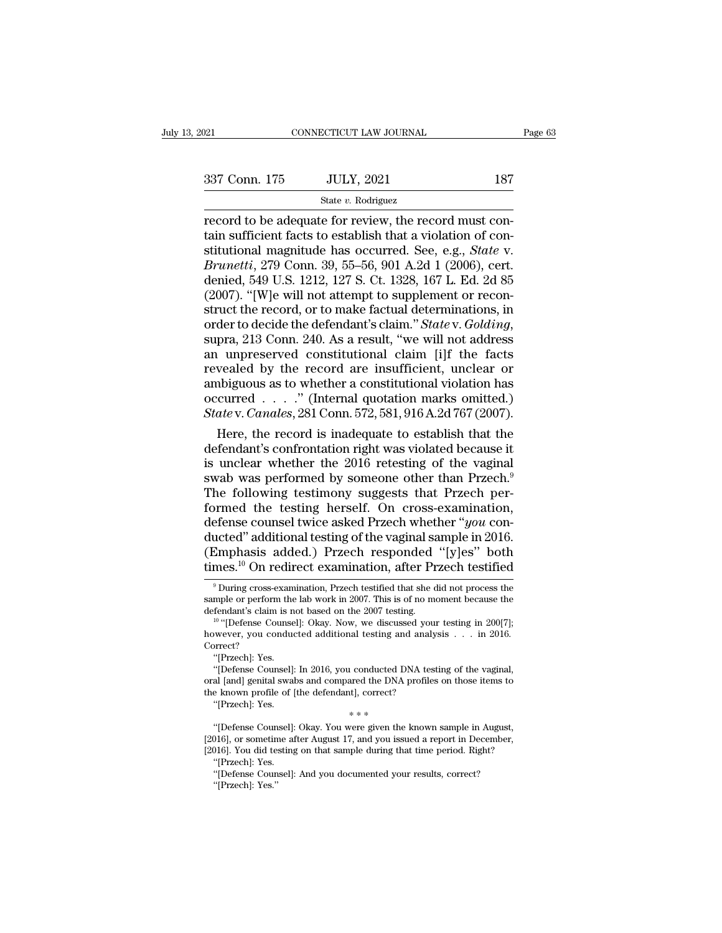### State *v.* Rodriguez

Fig. 21 CONNECTICUT LAW JOURNAL<br>  $\frac{337 \text{ Conn. } 175}$  JULY,  $2021$  187<br>  $\frac{540 \text{ Hz}}{2021}$  187<br>  $\frac{187}{2021}$  record to be adequate for review, the record must con-<br>
tain sufficient facts to establish that a violation of 337 Conn. 175 JULY, 2021 187<br>
State v. Rodriguez<br>
record to be adequate for review, the record must con-<br>
tain sufficient facts to establish that a violation of con-<br>
stitutional magnitude has occurred. See, e.g., *State* State v. Rodriguez<br>
State v. Rodriguez<br>
Tecord to be adequate for review, the record must contain sufficient facts to establish that a violation of con-<br>
stitutional magnitude has occurred. See, e.g., *State* v.<br> *Brunetti* <sup>337</sup> Conn. 175 JULY, 2021 187<br>
<sup>State v. Rodriguez<br> **Fecord to be adequate for review, the record must contain sufficient facts to establish that a violation of con-<br>
stitutional magnitude has occurred. See, e.g.,** *State </sup>* Solutional magnitude for review, the record must contain sufficient facts to establish that a violation of con-<br>stitutional magnitude has occurred. See, e.g., *State* v.<br>*Brunetti*, 279 Conn. 39, 55–56, 901 A.2d 1 (2006), State v. Rodriguez<br>
record to be adequate for review, the record must con-<br>
tain sufficient facts to establish that a violation of con-<br>
stitutional magnitude has occurred. See, e.g., *State v.*<br> *Brunetti*, 279 Conn. 39, record to be adequate for review, the record must contain sufficient facts to establish that a violation of constitutional magnitude has occurred. See, e.g., *State v.*<br>Brunetti, 279 Conn. 39, 55–56, 901 A.2d 1 (2006), cer tain sufficient facts to establish that a violation of constitutional magnitude has occurred. See, e.g., *State* v.<br>*Brunetti*, 279 Conn. 39, 55–56, 901 A.2d 1 (2006), cert.<br>denied, 549 U.S. 1212, 127 S. Ct. 1328, 167 L. E *Brunetti*, 279 Conn. 39, 55–56, 901 A.2d 1 (2006), cert.<br>denied, 549 U.S. 1212, 127 S. Ct. 1328, 167 L. Ed. 2d 85<br>(2007). "[W]e will not attempt to supplement or recon-<br>struct the record, or to make factual determination denied, 549 U.S. 1212, 127 S. Ct. 1328, 167 L. Ed. 2d 85<br>(2007). "[W]e will not attempt to supplement or reconstruct the record, or to make factual determinations, in<br>order to decide the defendant's claim." *State* v. *Gol* (2007). "[W]e will not attempt to supplement or reconstruct the record, or to make factual determinations, in order to decide the defendant's claim." *State* v. *Golding*, supra, 213 Conn. 240. As a result, "we will not a struct the record, or to make factual determinations, in<br>order to decide the defendant's claim." State v. Golding,<br>supra, 213 Conn. 240. As a result, "we will not address<br>an unpreserved constitutional claim [i]f the facts<br> order to decide the defendant's claim." *State* v. *Golding*, supra, 213 Conn. 240. As a result, "we will not address an unpreserved constitutional claim [i]f the facts revealed by the record are insufficient, unclear or a pra, 213 Conn. 240. As a result, "we will not address<br>
unpreserved constitutional claim [i]f the facts<br>
vealed by the record are insufficient, unclear or<br>
obiguous as to whether a constitutional violation has<br>
curred . . an unpreserved constitutional claim [i]f the facts<br>revealed by the record are insufficient, unclear or<br>ambiguous as to whether a constitutional violation has<br>occurred . . . ." (Internal quotation marks omitted.)<br>Statev. C

revealed by the record are insufficient, unclear or<br>ambiguous as to whether a constitutional violation has<br>occurred . . . ." (Internal quotation marks omitted.)<br>State v. Canales, 281 Conn. 572, 581, 916 A.2d 767 (2007).<br>H ambiguous as to whether a constitutional violation has<br>occurred . . . . " (Internal quotation marks omitted.)<br>State v. Canales, 281 Conn. 572, 581, 916 A.2d 767 (2007).<br>Here, the record is inadequate to establish that the occurred . . . ." (Internal quotation marks omitted.)<br> *State* v. *Canales*, 281 Conn. 572, 581, 916 A.2d 767 (2007).<br>
Here, the record is inadequate to establish that the<br>
defendant's confrontation right was violated bec *State* v. *Canales*, 281 Conn. 572, 581, 916 A.2d 767 (2007).<br>
Here, the record is inadequate to establish that the<br>
defendant's confrontation right was violated because it<br>
is unclear whether the 2016 retesting of the v Here, the record is inadequate to establish that the<br>defendant's confrontation right was violated because it<br>is unclear whether the 2016 retesting of the vaginal<br>swab was performed by someone other than Przech.<sup>9</sup><br>The foll defendant's confrontation right was violated because it<br>is unclear whether the 2016 retesting of the vaginal<br>swab was performed by someone other than Przech.<sup>9</sup><br>The following testimony suggests that Przech per-<br>formed the is unclear whether the 2016 retesting of the vaginal<br>swab was performed by someone other than Przech.<sup>9</sup><br>The following testimony suggests that Przech per-<br>formed the testing herself. On cross-examination,<br>defense counsel swab was performed by someone other than Przech.<sup>9</sup><br>The following testimony suggests that Przech performed the testing herself. On cross-examination,<br>defense counsel twice asked Przech whether "*you* con-<br>ducted" additiona efense counsel twice asked Przech whether "*you* con-<br>ucted" additional testing of the vaginal sample in 2016.<br>Emphasis added.) Przech responded "[y]es" both<br>mes.<sup>10</sup> On redirect examination, after Przech testified<br><sup>9</sup> Dur ducted" additional testing of the vaginal sample in 2016.<br>
(Emphasis added.) Przech responded "[y]es" both<br>
times.<sup>10</sup> On redirect examination, after Przech testified<br>
<sup>9</sup> During cross-examination, Przech testified that sh (Emphasis added.) Przech responded "[y]es" both<br>times.<sup>10</sup> On redirect examination, after Przech testified<br><sup>9</sup> During cross-examination, Przech testified that she did not process the<br>sample or perform the lab work in 2007

"[Defense Counsel]: In 2016, you conducted DNA testing of the vagnal,<br>oral [and] genital swabs and compared the DNA profiles on those items to<br>the known profile of [the defendant], correct?<br>"[Przech]: Yes.<br>"[Defense Counse oral [and] genital swabs and compared the DNA profiles on those items to<br>the known profile of [the defendant], correct?<br>"[Przech]: Yes.<br>"[Defense Counsel]: Okay. You were given the known sample in August,<br>[2016], or someti e known profile of |<br>"[Przech]: Yes.<br>"[Defense Counsel]:<br>"[Defense Counsel]:<br>"[Przech]: Yes.<br>"[Defense Counsel]:<br>"[Defense Counsel]: "[Przecn]: Yes. \*\*\*<br>
"[Defense Counsel]: Okay. You were given the known sample in August,<br>
"[Defense Counsel]: And you documented your results, correct?<br>
"[Przech]: Yes.<br>
"[Defense Counsel]: And you documented your results "[Defense Coun<br>016], or sometin<br>016]. You did te:<br>"[Przech]: Yes.<br>"[Przech]: Yes."

times.<sup>10</sup> On redirect examination, after Przech testified<br>
<sup>9</sup> During cross-examination, Przech testified that she did not process the<br>
sample or perform the lab work in 2007. This is of no moment because the<br>
defendant'  $^\circ$ During cross-examination, Przech testified that she did not process the sample or perform the lab work in 2007. This is of no moment because the defendant's claim is not based on the 2007 testing.<br>  $^{10}$  "(Defense Co

Correct? mple or perform the lab work in 2007. This is of no moment because the<br>fendant's claim is not based on the 2007 testing.<br><sup>10</sup> "[Defense Counsel]: Okay. Now, we discussed your testing in 200[7];<br>wever, you conducted additio

defendant's claim is not based on the 2007 testing.<br>
<sup>10</sup> "[Defense Counsel]: Okay. Now, we discussed your testing in 200[7];<br>
however, you conducted additional testing and analysis . . . in 2016.<br>
Correct?<br>
"[Przech]: Yes <sup>to</sup> "[Defense Counsel]: Okay. Now, we discussed you<br>however, you conducted additional testing and analy<br>Correct?<br>"[Przech]: Yes.<br>"[Defense Counsel]: In 2016, you conducted DNA tes<br>oral [and] genital swabs and compared the wever, you conducted additional testing an<br>
"(Przech]: Yes.<br>
"[Defense Counsel]: In 2016, you conducted D<br>
al [and] genital swabs and compared the DNA<br>
e known profile of [the defendant], correct?<br>
"[Przech]: Yes.<br>
\*\*\*<br>
"[ "|Przech|: Yes.<br>"(Defense Counsel]: In 2016, you conducted DNA testing of the vaginal,<br>al [and] genital swabs and compared the DNA profiles on those items to<br>e known profile of [the defendant], correct?<br>"[Przech]: Yes.<br>"[D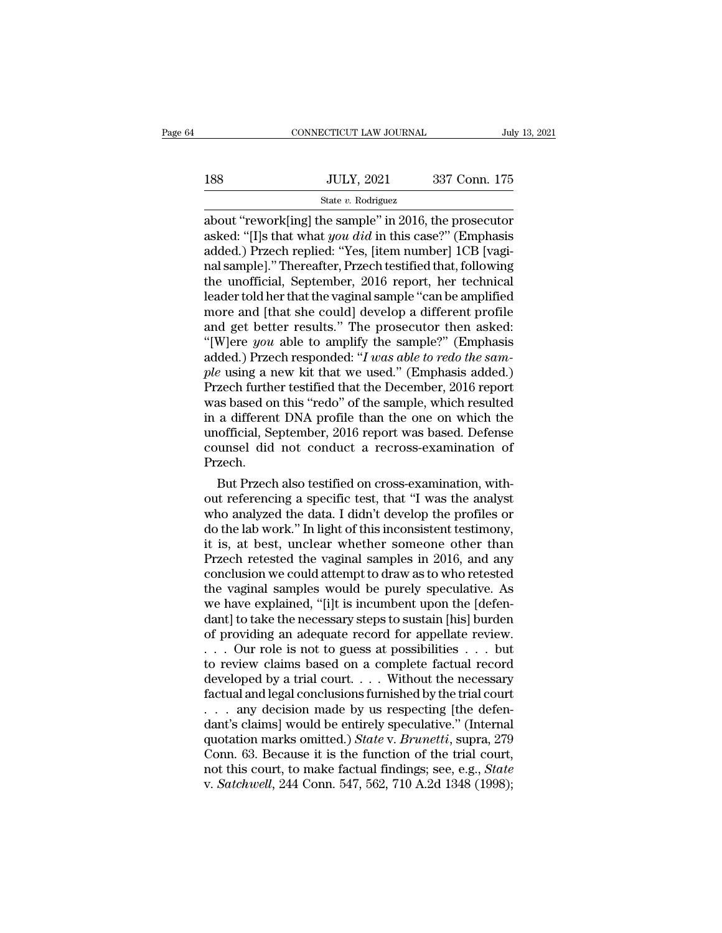# $\begin{tabular}{c} \multicolumn{1}{c|}{\text{CONNECTICUT LAW JOURNAL}} & July 13, 2021 \\ \hline \end{tabular}$  188 JULY, 2021 337 Conn. 175<br>State v. Rodriguez

### State *v.* Rodriguez

CONNECTICUT LAW JOURNAL July 13, 2021<br>
188 JULY, 2021 337 Conn. 175<br>
188 JULY, 2021 337 Conn. 175<br>
188 State v. Rodriguez<br>
189 State v. Rodriguez<br>
189 State v. Rodriguez<br>
189 State ("[I]s that what you did in this case?" ( 188 JULY, 2021 337 Conn. 175<br>
<sup>State v.</sup> Rodriguez<br>
about "rework[ing] the sample" in 2016, the prosecutor<br>
asked: "[I]s that what *you did* in this case?" (Emphasis<br>
added.) Przech replied: "Yes, [item number] 1CB [vagi-<br> 188 JULY, 2021 337 Conn. 175<br>
State v. Rodriguez<br>
about "rework[ing] the sample" in 2016, the prosecutor<br>
asked: "[I]s that what *you did* in this case?" (Emphasis<br>
added.) Przech replied: "Yes, [item number] 1CB [vagi-<br> 188 JULY, 2021 337 Conn. 175<br>
State v. Rodriguez<br>
about "rework[ing] the sample" in 2016, the prosecutor<br>
asked: "[I]s that what you did in this case?" (Emphasis<br>
added.) Przech replied: "Yes, [item number] 1CB [vagi-<br>
na State v. Rodriguez<br>
State v. Rodriguez<br>
about "rework[ing] the sample" in 2016, the prosecutor<br>
asked: "[I]s that what *you did* in this case?" (Emphasis<br>
added.) Przech replied: "Yes, [item number] ICB [vagi-<br>
nal sample state v. Rodriguez<br>
about "rework[ing] the sample" in 2016, the prosecutor<br>
asked: "[I]s that what *you did* in this case?" (Emphasis<br>
added.) Przech replied: "Yes, [item number] 1CB [vagi-<br>
nal sample]." Thereafter, Prze about "rework[ing] the sample" in 2016, the prosecutor<br>asked: "[I]s that what *you did* in this case?" (Emphasis<br>added.) Przech replied: "Yes, [item number] 1CB [vagi-<br>nal sample]." Thereafter, Przech testified that, follo asked: "[I]s that what *you did* in this case?" (Emphasis<br>added.) Przech replied: "Yes, [item number] 1CB [vagi-<br>nal sample]." Thereafter, Przech testified that, following<br>the unofficial, September, 2016 report, her techni added.) Przech replied: "Yes, [item number] 1CB [vaginal sample]." Thereafter, Przech testified that, following<br>the unofficial, September, 2016 report, her technical<br>leader told her that the vaginal sample "can be amplifie nal sample]." Thereafter, Przech testified that, following<br>the unofficial, September, 2016 report, her technical<br>leader told her that the vaginal sample "can be amplified<br>more and [that she could] develop a different profi the unofficial, September, 2016 report, her technical<br>leader told her that the vaginal sample "can be amplified<br>more and [that she could] develop a different profile<br>and get better results." The prosecutor then asked:<br>"[W] leader told her that the vaginal sample "can be amplified<br>more and [that she could] develop a different profile<br>and get better results." The prosecutor then asked:<br>"[W]ere *you* able to amplify the sample?" (Emphasis<br>added more and [that she could] develop a different profile<br>and get better results." The prosecutor then asked:<br>"[W]ere *you* able to amplify the sample?" (Emphasis<br>added.) Przech responded: "*I was able to redo the sam-*<br>*ple* and get better results." The prosecutor then asked:<br>"[W]ere *you* able to amplify the sample?" (Emphasis<br>added.) Przech responded: "*I was able to redo the sam-*<br>ple using a new kit that we used." (Emphasis added.)<br>Przech "[W]ere *you* able to amplify the sample?" (Emphasis added.) Przech responded: "*I was able to redo the sample* using a new kit that we used." (Emphasis added.) Przech further testified that the December, 2016 report was added.) Przech responded: "*I was able to redo the sam-*<br>ple using a new kit that we used." (Emphasis added.)<br>Przech further testified that the December, 2016 report<br>was based on this "redo" of the sample, which resulted<br>i Przech. zech turther testified that the December, 2016 report<br>as based on this "redo" of the sample, which resulted<br>a different DNA profile than the one on which the<br>oofficial, September, 2016 report was based. Defense<br>unsel did n was based on this "redo" of the sample, which resulted<br>in a different DNA profile than the one on which the<br>unofficial, September, 2016 report was based. Defense<br>counsel did not conduct a recross-examination of<br>Przech.<br>But

in a different DNA profile than the one on which the<br>unofficial, September, 2016 report was based. Defense<br>counsel did not conduct a recross-examination of<br>Przech.<br>But Przech also testified on cross-examination, with-<br>out unotficial, September, 2016 report was based. Detense<br>counsel did not conduct a recross-examination of<br>Przech.<br>But Przech also testified on cross-examination, with-<br>out referencing a specific test, that "I was the analyst<br> counsel did not conduct a recross-examination of<br>Przech.<br>But Przech also testified on cross-examination, with-<br>out referencing a specific test, that "I was the analyst<br>who analyzed the data. I didn't develop the profiles o Przech.<br>But Przech also testified on cross-examination, with-<br>out referencing a specific test, that "I was the analyst<br>who analyzed the data. I didn't develop the profiles or<br>do the lab work." In light of this inconsistent But Przech also testified on cross-examination, with-<br>out referencing a specific test, that "I was the analyst<br>who analyzed the data. I didn't develop the profiles or<br>do the lab work." In light of this inconsistent testimo out referencing a specific test, that "I was the analyst<br>who analyzed the data. I didn't develop the profiles or<br>do the lab work." In light of this inconsistent testimony,<br>it is, at best, unclear whether someone other than who analyzed the data. I didn't develop the profiles or<br>do the lab work." In light of this inconsistent testimony,<br>it is, at best, unclear whether someone other than<br>Przech retested the vaginal samples in 2016, and any<br>con do the lab work." In light of this inconsistent testimony,<br>it is, at best, unclear whether someone other than<br>Przech retested the vaginal samples in 2016, and any<br>conclusion we could attempt to draw as to who retested<br>the it is, at best, unclear whether someone other than<br>Przech retested the vaginal samples in 2016, and any<br>conclusion we could attempt to draw as to who retested<br>the vaginal samples would be purely speculative. As<br>we have exp Przech retested the vaginal samples in 2016, and any<br>conclusion we could attempt to draw as to who retested<br>the vaginal samples would be purely speculative. As<br>we have explained, "[i]t is incumbent upon the [defen-<br>dant] conclusion we could attempt to draw as to who retested<br>the vaginal samples would be purely speculative. As<br>we have explained, "[i]t is incumbent upon the [defen-<br>dant] to take the necessary steps to sustain [his] burden<br>o the vaginal samples would be purely speculative. As<br>we have explained, "[i]t is incumbent upon the [defen-<br>dant] to take the necessary steps to sustain [his] burden<br>of providing an adequate record for appellate review.<br> $\d$ we have explained, "[i]t is incumbent upon the [defen-<br>dant] to take the necessary steps to sustain [his] burden<br>of providing an adequate record for appellate review.<br> $\dots$  Our role is not to guess at possibilities  $\dots$  bu dant] to take the necessary steps to sustain [his] burden<br>of providing an adequate record for appellate review.<br>... Our role is not to guess at possibilities ... but<br>to review claims based on a complete factual record<br>dev of providing an adequate record for appellate review.<br>  $\ldots$  Our role is not to guess at possibilities  $\ldots$  but<br>
to review claims based on a complete factual record<br>
developed by a trial court.  $\ldots$  Without the necessar order is not to guess at possibilities . . . but<br>to review claims based on a complete factual record<br>developed by a trial court. . . . Without the necessary<br>factual and legal conclusions furnished by the trial court<br>. . . to review claims based on a complete factual record<br>developed by a trial court. . . . Without the necessary<br>factual and legal conclusions furnished by the trial court<br>. . . any decision made by us respecting [the defen-<br>d developed by a trial court. . . . Without the necessary<br>factual and legal conclusions furnished by the trial court<br>. . . any decision made by us respecting [the defen-<br>dant's claims] would be entirely speculative." (Intern factual and legal conclusions furnished by the trial court<br>
. . . . any decision made by us respecting [the defendant's claims] would be entirely speculative." (Internal<br>
quotation marks omitted.) *State* v. *Brunetti*, su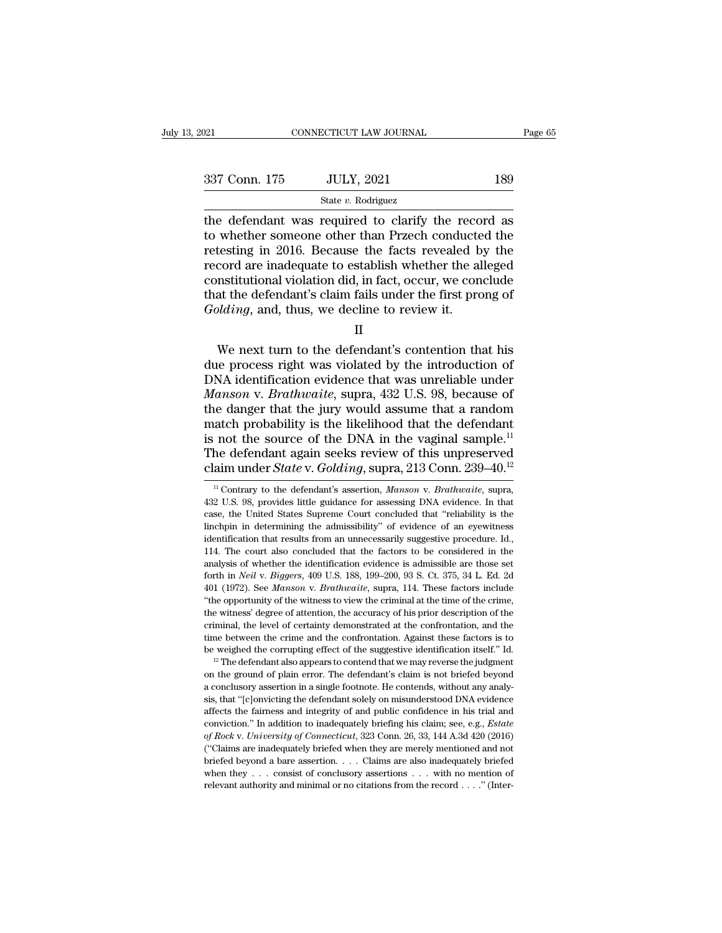### State *v.* Rodriguez

Fage 65<br>
21 CONNECTICUT LAW JOURNAL Page 65<br>
237 Conn. 175 JULY, 2021 189<br>
25 State v. Rodriguez<br>
2016 Recause the facts revealed by the 337 Conn. 175 JULY, 2021 189<br>
State v. Rodriguez<br>
the defendant was required to clarify the record as<br>
to whether someone other than Przech conducted the<br>
retesting in 2016. Because the facts revealed by the<br>
record are i 337 Conn. 175 JULY, 2021 189<br>
State v. Rodriguez<br>
the defendant was required to clarify the record as<br>
to whether someone other than Przech conducted the<br>
retesting in 2016. Because the facts revealed by the<br>
record are i 337 Conn. 175 JULY, 2021 189<br>
State v. Rodriguez<br>
the defendant was required to clarify the record as<br>
to whether someone other than Przech conducted the<br>
retesting in 2016. Because the facts revealed by the<br>
record are i Solutional violation did, in fact, occur, we conclude that the defendant was required to clarify the record as<br>to whether someone other than Przech conducted the<br>retesting in 2016. Because the facts revealed by the<br>record State v. Rodriguez<br>the defendant was required to clarify the record as<br>to whether someone other than Przech conducted the<br>retesting in 2016. Because the facts revealed by the<br>record are inadequate to establish whether the the defendant was required to clarify the recoto whether someone other than Przech conducted retesting in 2016. Because the facts revealed b record are inadequate to establish whether the al constitutional violation did, i Example 12010. Because the facts feverated by the<br>cord are inadequate to establish whether the alleged<br>nstitutional violation did, in fact, occur, we conclude<br>at the defendant's claim fails under the first prong of<br>*pldin* 

II

record are madequate to establish whether the aneged<br>constitutional violation did, in fact, occur, we conclude<br>that the defendant's claim fails under the first prong of<br>*Golding*, and, thus, we decline to review it.<br>II<br>We Constitutional violation did, in fact, occur, we concrude<br>that the defendant's claim fails under the first prong of<br> $Golding$ , and, thus, we decline to review it.<br> $II$ <br>We next turn to the defendant's contention that his<br>due pro *Golding*, and, thus, we decline to review it.<br>
II<br>
We next turn to the defendant's contention that his<br>
due process right was violated by the introduction of<br>
DNA identification evidence that was unreliable under<br> *Manson* We next turn to the defendant's contention that his<br>due process right was violated by the introduction of<br>DNA identification evidence that was unreliable under<br>*Manson* v. *Brathwaite*, supra, 432 U.S. 98, because of<br>the We next turn to the defendant's contention that his<br>due process right was violated by the introduction of<br>DNA identification evidence that was unreliable under<br>*Manson* v. *Brathwaite*, supra, 432 U.S. 98, because of<br>the We next turn to the defendant's contention that his<br>due process right was violated by the introduction of<br>DNA identification evidence that was unreliable under<br>*Manson* v. *Brathwaite*, supra, 432 U.S. 98, because of<br>the due process right was violated by the introduction of DNA identification evidence that was unreliable under *Manson* v. *Brathwaite*, supra, 432 U.S. 98, because of the danger that the jury would assume that a random matc DNA identification evidence that was unreliable under<br> *Manson* v. *Brathwaite*, supra, 432 U.S. 98, because of<br>
the danger that the jury would assume that a random<br>
match probability is the likelihood that the defendant<br> atch probability is the likelihood that the defendant<br>not the source of the DNA in the vaginal sample.<sup>11</sup><br>the defendant again seeks review of this unpreserved<br>aim under *State* v. *Golding*, supra, 213 Conn. 239–40.<sup>12</sup><br><sup></sup> is not the source of the DNA in the vaginal sample.<sup>11</sup><br>The defendant again seeks review of this unpreserved<br>claim under *State* v. *Golding*, supra, 213 Conn. 239–40.<sup>12</sup><br><sup>11</sup> Contrary to the defendant's assertion, *Mans* 

a conclusory assertion in a single footnote. He confrontation, and the time between the crime and the confrontation. Against these factors is to be weighed the corrupting effect of the suggestive identification itself." Id time between the crime and the confrontation. Against these factors is to be weighed the corrupting effect of the suggestive identification itself." Id.<br><sup>12</sup> The defendant also appears to contend that we may reverse the j be weighed the corrupting effect of the suggestive identification itself." Id.<br><sup>12</sup> The defendant also appears to contend that we may reverse the judgment<br>on the ground of plain error. The defendant's claim is not briefed <sup>12</sup> The defendant also appears to contend that we may reverse the judgment<br>on the ground of plain error. The defendant's claim is not briefed beyond<br>a conclusory assertion in a single footnote. He contends, without any an In the ground of plain error. The defendant's claim is not briefed beyond a conclusory assertion in a single footnote. He contends, without any analysis, that "[c]onvicting the defendant solely on misunderstood DNA evidenc a conclusory assertion in a single footnote. He contends, without any analysis, that "[c]onvicting the defendant solely on misunderstood DNA evidence affects the fairness and integrity of and public confidence in his tria is sis, that "[c]onvicting the defendant solely on misunderstood DNA evidence affects the fairness and integrity of and public confidence in his trial and conviction." In addition to inadequately briefing his claim; see, affects the fairness and integrity of and public confidence in his trial and conviction." In addition to inadequately briefing his claim; see, e.g., *Estate of Rock v. University of Connecticut*, 323 Conn. 26, 33, 144 A.3 conviction." In addition to inadequately briefing his claim; see, e.g., Estate

The defendant again seeks review of this unpreserved<br>claim under *State* v. *Golding*, supra, 213 Conn. 239–40.<sup>12</sup><br><sup>11</sup> Contrary to the defendant's assertion, *Manson* v. *Brathwaite*, supra, 432 U.S. 98, provides little The determining dark sects Tevic w of this difference of claim under *State* v. *Golding*, supra, 213 Conn. 239–40.<sup>12</sup><br><sup>11</sup> Contrary to the defendant's assertion, *Manson v. Brathwaite*, supra, 432 U.S. 98, provides litt CLATERT UNIVERTY ACTOUTED TO UNITED THE TRANSFER THAT THE REFLORED TO THE REFLORED TO THE REFLORED TO THE REFLORED THAT ASSES, the United States Supreme Court concluded that "reliability is the linchpin in determining the <sup>11</sup> Contrary to the defendant's assertion, *Manson* v. *Brathwaite*, supra, 432 U.S. 98, provides little guidance for assessing DNA evidence. In that case, the United States Supreme Court concluded that "reliability is t 432 U.S. 98, provides little guidance for assessing DNA evidence. In that case, the United States Supreme Court concluded that "reliability is the linchpin in determining the admissibility" of evidence of an eyewitness id case, the United States Supreme Court concluded that "reliability is the linchpin in determining the admissibility" of evidence of an eyewitness identification that results from an unnecessarily suggestive procedure. Id., linchpin in determining the admissibility" of evidence of an eyewitness<br>identification that results from an unnecessarily suggestive procedure. Id.,<br>114. The court also concluded that the factors to be considered in the<br>an identification that results from an unnecessarily suggestive procedure. Id., 114. The court also concluded that the factors to be considered in the analysis of whether the identification evidence is admissible are those se 114. The court also concluded that the factors to be considered in the analysis of whether the identification evidence is admissible are those set forth in *Neil v. Biggers*, 409 U.S. 188, 199–200, 93 S. Ct. 375, 34 L. Ed analysis of whether the identification evidence is admissible are those set forth in *Neil* v. *Biggers*, 409 U.S. 188, 199–200, 93 S. Ct. 375, 34 L. Ed. 2d 401 (1972). See *Manson v. Brathwaite*, supra, 114. These factor forth in *Neil* v. *Biggers*, 409 U.S. 188, 199-200, 93 S. Ct. 375, 34 L. Ed. 2d 401 (1972). See *Manson v. Brathwaite*, supra, 114. These factors include "the opportunity of the witness to view the criminal at the time o be 401 (1972). See *Manson* v. *Brathwaite*, supra, 114. These factors include "the opportunity of the witness to view the criminal at the time of the crime, the witness' degree of attention, the accuracy of his prior des the witness' degree of attention, the accuracy of his prior description of the criminal, the level of certainty demonstrated at the confrontation, and the criminal, the level of certainty demonstrated at the confrontation,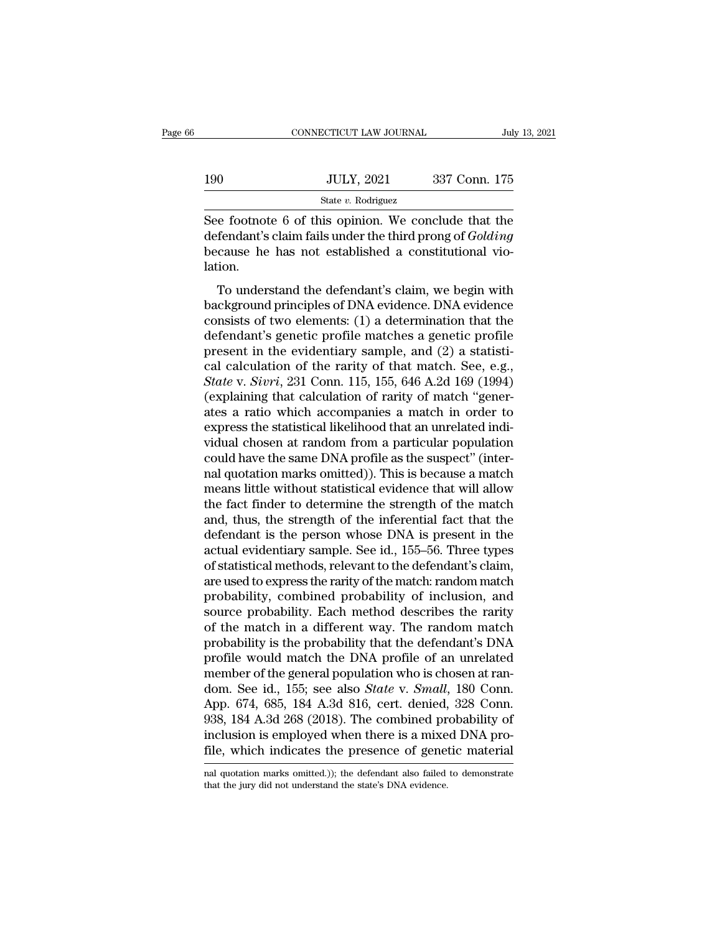|     | CONNECTICUT LAW JOURNAL | July 13, 2021 |  |
|-----|-------------------------|---------------|--|
|     |                         |               |  |
| 190 | <b>JULY, 2021</b>       | 337 Conn. 175 |  |
|     | State $v$ . Rodriguez   |               |  |

CONNECTICUT LAW JOURNAL July 13, 2021<br>190 JULY, 2021 337 Conn. 175<br>State v. Rodriguez<br>See footnote 6 of this opinion. We conclude that the<br>defendant's claim fails under the third prong of *Golding*<br>boquise he has not estab defendant's claim fails under the third prong of *Golding*<br>defendant's claim fails under the third prong of *Golding*<br>because he has not established a constitutional vio-190 JULY, 2021 337 Conn. 175<br>
State v. Rodriguez<br>
See footnote 6 of this opinion. We conclude that the<br>
defendant's claim fails under the third prong of *Golding*<br>
because he has not established a constitutional vio-<br>
lat lation. State v. Rodriguez<br>
e footnote 6 of this opinion. We conclude that the<br>
fendant's claim fails under the third prong of *Golding*<br>
cause he has not established a constitutional vio-<br>
ion.<br>
To understand the defendant's cla See footnote 6 of this opinion. We conclude that the<br>defendant's claim fails under the third prong of *Golding*<br>because he has not established a constitutional vio-<br>lation.<br>To understand the defendant's claim, we begin wit

bet roomote 6 or ans opmor. We concrude that the<br>defendant's claim fails under the third prong of *Golding*<br>because he has not established a constitutional vio-<br>lation.<br>To understand the defendant's claim, we begin with<br>ba defendant's claim hans under the third profig of column<br>because he has not established a constitutional vio-<br>lation.<br>To understand the defendant's claim, we begin with<br>background principles of DNA evidence. DNA evidence<br>co presents in the defendant's claim, we begin with<br>hackground principles of DNA evidence. DNA evidence<br>consists of two elements: (1) a determination that the<br>defendant's genetic profile matches a genetic profile<br>present in t To understand the defendant's claim, we begin with<br>background principles of DNA evidence. DNA evidence<br>consists of two elements: (1) a determination that the<br>defendant's genetic profile matches a genetic profile<br>present i To understand the defendant's claim, we begin with<br>background principles of DNA evidence. DNA evidence<br>consists of two elements: (1) a determination that the<br>defendant's genetic profile matches a genetic profile<br>present in background principles of DNA evidence. DNA evidence<br>consists of two elements: (1) a determination that the<br>defendant's genetic profile matches a genetic profile<br>present in the evidentiary sample, and (2) a statisti-<br>cal ca consists of two elements: (1) a determination that the<br>defendant's genetic profile matches a genetic profile<br>present in the evidentiary sample, and (2) a statisti-<br>cal calculation of the rarity of that match. See, e.g.,<br>defendant's genetic profile matches a genetic profile<br>present in the evidentiary sample, and (2) a statisti-<br>cal calculation of the rarity of that match. See, e.g.,<br>*State* v. *Sivri*, 231 Conn. 115, 155, 646 A.2d 169 (19 present in the evidentiary sample, and  $(2)$  a statistical calculation of the rarity of that match. See, e.g., *State v. Sivri*, 231 Conn. 115, 155, 646 A.2d 169 (1994) (explaining that calculation of rarity of match "gen cal calculation of the rarity of that match. See, e.g.,<br>State v. Sivri, 231 Conn. 115, 155, 646 A.2d 169 (1994)<br>(explaining that calculation of rarity of match "gener-<br>ates a ratio which accompanies a match in order to<br>exp State v. Sivri, 231 Conn. 115, 155, 646 A.2d 169 (1994)<br>(explaining that calculation of rarity of match "gener-<br>ates a ratio which accompanies a match in order to<br>express the statistical likelihood that an unrelated indi-<br> (explaining that calculation of rarity of match "gener-<br>ates a ratio which accompanies a match in order to<br>express the statistical likelihood that an unrelated indi-<br>vidual chosen at random from a particular population<br>cou ates a ratio which accompanies a match in order to<br>express the statistical likelihood that an unrelated indi-<br>vidual chosen at random from a particular population<br>could have the same DNA profile as the suspect" (inter-<br>nal express the statistical likelihood that an unrelated individual chosen at random from a particular population<br>could have the same DNA profile as the suspect" (inter-<br>nal quotation marks omitted)). This is because a match<br>m vidual chosen at random from a particular population<br>could have the same DNA profile as the suspect" (inter-<br>nal quotation marks omitted)). This is because a match<br>means little without statistical evidence that will allow<br> could have the same DNA profile as the suspect" (inter-<br>nal quotation marks omitted)). This is because a match<br>means little without statistical evidence that will allow<br>the fact finder to determine the strength of the matc nal quotation marks omitted)). This is because a match<br>means little without statistical evidence that will allow<br>the fact finder to determine the strength of the match<br>and, thus, the strength of the inferential fact that t means little without statistical evidence that will allow<br>the fact finder to determine the strength of the match<br>and, thus, the strength of the inferential fact that the<br>defendant is the person whose DNA is present in the<br> the fact finder to determine the strength of the match<br>and, thus, the strength of the inferential fact that the<br>defendant is the person whose DNA is present in the<br>actual evidentiary sample. See id., 155–56. Three types<br>of and, thus, the strength of the inferential fact that the<br>defendant is the person whose DNA is present in the<br>actual evidentiary sample. See id., 155–56. Three types<br>of statistical methods, relevant to the defendant's claim defendant is the person whose DNA is present in the<br>actual evidentiary sample. See id., 155–56. Three types<br>of statistical methods, relevant to the defendant's claim,<br>are used to express the rarity of the match: random mat actual evidentiary sample. See id., 155–56. Three types<br>of statistical methods, relevant to the defendant's claim,<br>are used to express the rarity of the match: random match<br>probability, combined probability of inclusion, a of statistical methods, relevant to the defendant's claim,<br>are used to express the rarity of the match: random match<br>probability, combined probability of inclusion, and<br>source probability. Each method describes the rarity<br> are used to express the rarity of the match: random match<br>probability, combined probability of inclusion, and<br>source probability. Each method describes the rarity<br>of the match in a different way. The random match<br>probabil probability, combined probability of inclusion, and<br>source probability. Each method describes the rarity<br>of the match in a different way. The random match<br>probability is the probability that the defendant's DNA<br>profile wou source probability. Each method describes the rarity<br>of the match in a different way. The random match<br>probability is the probability that the defendant's DNA<br>profile would match the DNA profile of an unrelated<br>member of t of the match in a different way. The random match<br>probability is the probability that the defendant's DNA<br>profile would match the DNA profile of an unrelated<br>member of the general population who is chosen at ran-<br>dom. See probability is the probability that the defendant's DNA<br>profile would match the DNA profile of an unrelated<br>member of the general population who is chosen at ran-<br>dom. See id., 155; see also *State* v. *Small*, 180 Conn.<br>A profile would match the DNA profile of an unrelated<br>member of the general population who is chosen at ran-<br>dom. See id., 155; see also *State* v. *Small*, 180 Conn.<br>App. 674, 685, 184 A.3d 816, cert. denied, 328 Conn.<br>938, 938, 184 A.3d 268 (2018). The combined probability of inclusion is employed when there is a mixed DNA pro-<br>file, which indicates the presence of genetic material<br>nal quotation marks omitted.)); the defendant also failed t file, which indicates the presence of genetic material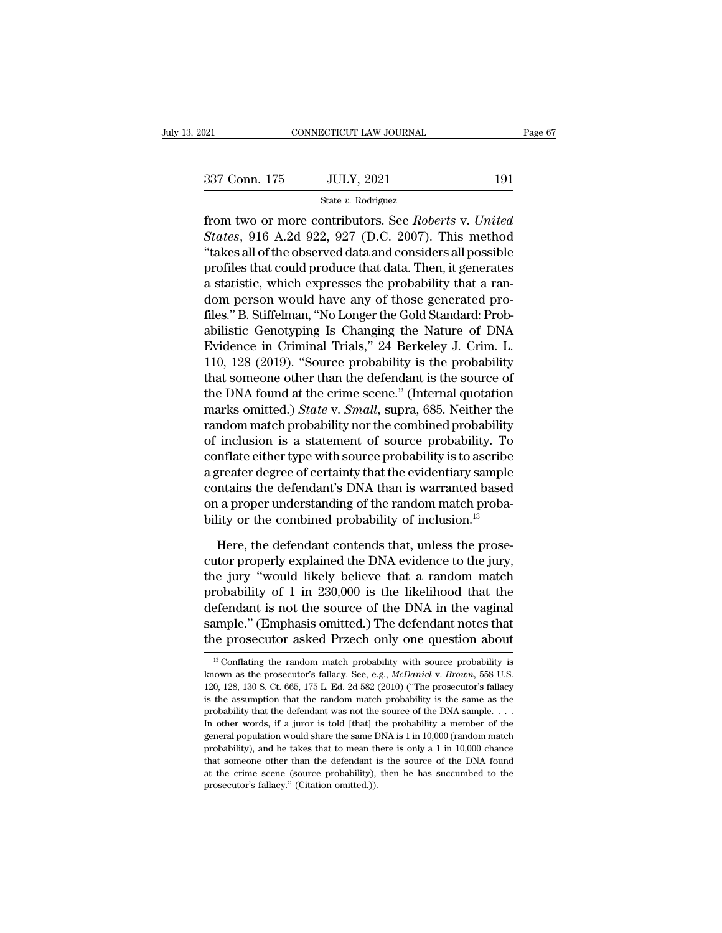State *v.* Rodriguez

From two or more contributors. See *Roberts* v. *United*<br>
States, 916 A.2d 922, 927 (D.C. 2007). This method<br>
"telses all of the observed data and considers all possible <sup>337</sup> Conn. 175 JULY, 2021 191<br>
<sup>State v. Rodriguez<br>
from two or more contributors. See *Roberts* v. *United*<br> *States*, 916 A.2d 922, 927 (D.C. 2007). This method<br>
"takes all of the observed data and considers all possibl</sup> <sup>337</sup> Conn. 175 JULY, 2021 191<br>
<sup>State v. Rodriguez<br>
from two or more contributors. See *Roberts v. United*<br> *States*, 916 A.2d 922, 927 (D.C. 2007). This method<br>
"takes all of the observed data and considers all possible</sup> 337 Conn. 175 JULY, 2021 191<br>
State v. Rodriguez<br>
from two or more contributors. See *Roberts* v. United<br>
States, 916 A.2d 922, 927 (D.C. 2007). This method<br>
"takes all of the observed data and considers all possible<br>
pro State v. Rodriguez<br>
from two or more contributors. See *Roberts* v. United<br> *States*, 916 A.2d 922, 927 (D.C. 2007). This method<br>
"takes all of the observed data and considers all possible<br>
profiles that could produce tha state by nondez and those generated pro-<br>from two or more contributors. See *Roberts v. United*<br>States, 916 A.2d 922, 927 (D.C. 2007). This method<br>"takes all of the observed data and considers all possible<br>profiles that c from two or more contributors. See *Roberts* v. United<br>States, 916 A.2d 922, 927 (D.C. 2007). This method<br>"takes all of the observed data and considers all possible<br>profiles that could produce that data. Then, it generates *States*, 916 A.2d 922, 927 (D.C. 2007). This method<br>
"takes all of the observed data and considers all possible<br>
profiles that could produce that data. Then, it generates<br>
a statistic, which expresses the probability that "takes all of the observed data and considers all possible<br>profiles that could produce that data. Then, it generates<br>a statistic, which expresses the probability that a ran-<br>dom person would have any of those generated pro profiles that could produce that data. Then, it generates<br>a statistic, which expresses the probability that a ran-<br>dom person would have any of those generated pro-<br>files." B. Stiffelman, "No Longer the Gold Standard: Prob a statistic, which expresses the probability that a ran-<br>dom person would have any of those generated pro-<br>files." B. Stiffelman, "No Longer the Gold Standard: Prob-<br>abilistic Genotyping Is Changing the Nature of DNA<br>Evide dom person would have any of those generated pro-<br>files." B. Stiffelman, "No Longer the Gold Standard: Prob-<br>abilistic Genotyping Is Changing the Nature of DNA<br>Evidence in Criminal Trials," 24 Berkeley J. Crim. L.<br>110, 128 files." B. Stiffelman, "No Longer the Gold Standard: Probabilistic Genotyping Is Changing the Nature of DNA<br>Evidence in Criminal Trials," 24 Berkeley J. Crim. L.<br>110, 128 (2019). "Source probability is the probability<br>that abilistic Genotyping Is Changing the Nature of DNA<br>Evidence in Criminal Trials," 24 Berkeley J. Crim. L.<br>110, 128 (2019). "Source probability is the probability<br>that someone other than the defendant is the source of<br>the DN Evidence in Criminal Trials," 24 Berkeley J. Crim. L.<br>110, 128 (2019). "Source probability is the probability<br>that someone other than the defendant is the source of<br>the DNA found at the crime scene." (Internal quotation<br>ma 110, 128 (2019). "Source probability is the probability<br>that someone other than the defendant is the source of<br>the DNA found at the crime scene." (Internal quotation<br>marks omitted.) *State* v. *Small*, supra, 685. Neither that someone other than the defendant is the source of<br>the DNA found at the crime scene." (Internal quotation<br>marks omitted.) *State* v. *Small*, supra, 685. Neither the<br>random match probability nor the combined probabilit the DNA found at the crime scene." (Internal quotation<br>marks omitted.) *State* v. *Small*, supra, 685. Neither the<br>random match probability nor the combined probability<br>of inclusion is a statement of source probability. To marks omitted.) *State* v. *Small*, supra, 685. Neither the random match probability nor the combined probability of inclusion is a statement of source probability. To conflate either type with source probability is to as random match probability nor the combined probability<br>of inclusion is a statement of source probability. To<br>conflate either type with source probability is to ascribe<br>a greater degree of certainty that the evidentiary samp matrix either type with source probability is to ascribe<br>greater degree of certainty that the evidentiary sample<br>matains the defendant's DNA than is warranted based<br>a proper understanding of the random match proba-<br>lity o a greater degree of certainty that the evidentiary sample<br>contains the defendant's DNA than is warranted based<br>on a proper understanding of the random match proba-<br>bility or the combined probability of inclusion.<sup>13</sup><br>Here

contains the defendant's DNA than is warranted based<br>on a proper understanding of the random match probability or the combined probability of inclusion.<sup>13</sup><br>Here, the defendant contends that, unless the prose-<br>cutor prope on a proper understanding of the random match probability or the combined probability of inclusion.<sup>13</sup><br>Here, the defendant contends that, unless the prose-<br>cutor properly explained the DNA evidence to the jury,<br>the jury " bility or the combined probability of inclusion.<sup>13</sup><br>Here, the defendant contends that, unless the prose-<br>cutor properly explained the DNA evidence to the jury,<br>the jury "would likely believe that a random match<br>probabili Here, the defendant contends that, unless the prose-<br>cutor properly explained the DNA evidence to the jury,<br>the jury "would likely believe that a random match<br>probability of 1 in 230,000 is the likelihood that the<br>defendan Here, the defendant contends that, unless the prosecutor properly explained the DNA evidence to the jury, the jury "would likely believe that a random match probability of 1 in 230,000 is the likelihood that the defendant probability of 1 in 230,000 is the likelihood that the defendant is not the source of the DNA in the vaginal sample." (Emphasis omitted.) The defendant notes that the prosecutor asked Przech only one question about  $\frac{13$ defendant is not the source of the DNA in the vaginal<br>sample." (Emphasis omitted.) The defendant notes that<br>the prosecutor asked Przech only one question about<br><sup>13</sup> Conflating the random match probability with source proba

sample." (Emphasis omitted.) The defendant notes that<br>the prosecutor asked Przech only one question about<br> $\frac{18}{10}$ Conflating the random match probability with source probability is<br>known as the prosecutor's fallacy. Se the prosecutor asked Przech only one question about<br>
<sup>13</sup> Conflating the random match probability with source probability is<br>
known as the prosecutor's fallacy. See, e.g., *McDaniel* v. *Brown*, 558 U.S.<br>
120, 128, 130 S. <sup>13</sup> Conflating the random match probability with source probability is known as the prosecutor's fallacy. See, e.g., *McDaniel v. Brown*, 558 U.S. 120, 128, 130 S. Ct. 665, 175 L. Ed. 2d 582 (2010) ("The prosecutor's fal <sup>13</sup> Conflating the random match probability with source probability is known as the prosecutor's fallacy. See, e.g., *McDaniel* v. *Brown*, 558 U.S. 120, 128, 130 S. Ct. 665, 175 L. Ed. 2d 582 (2010) ("The prosecutor's f known as the prosecutor's fallacy. See, e.g., *McDaniel* v. *Brown*, 558 U.S. 120, 128, 130 S. Ct. 665, 175 L. Ed. 2d 582 (2010) ("The prosecutor's fallacy is the assumption that the random match probability is the same a 120, 128, 130 S. Ct. 665, 175 L. Ed. 2d 582 (2010) ("The prosecutor's fallacy is the assumption that the random match probability is the same as the probability that the defendant was not the source of the DNA sample.... The assumption that the random match probability is the same as the probability that the defendant was not the source of the DNA sample.  $\ldots$  In other words, if a juror is told [that] the probability a member of the gene at the crime scene (source of the SDM sample  $\ldots$ ). In other words, if a juror is told [that] the probability a member of the general population would share the same DNA is 1 in 10,000 (random match probability), and he In other words, if a juror is told [that] the probability a member of the general population would share the same DNA is 1 in 10,000 (random match probability), and he takes that to mean there is only a 1 in 10,000 chance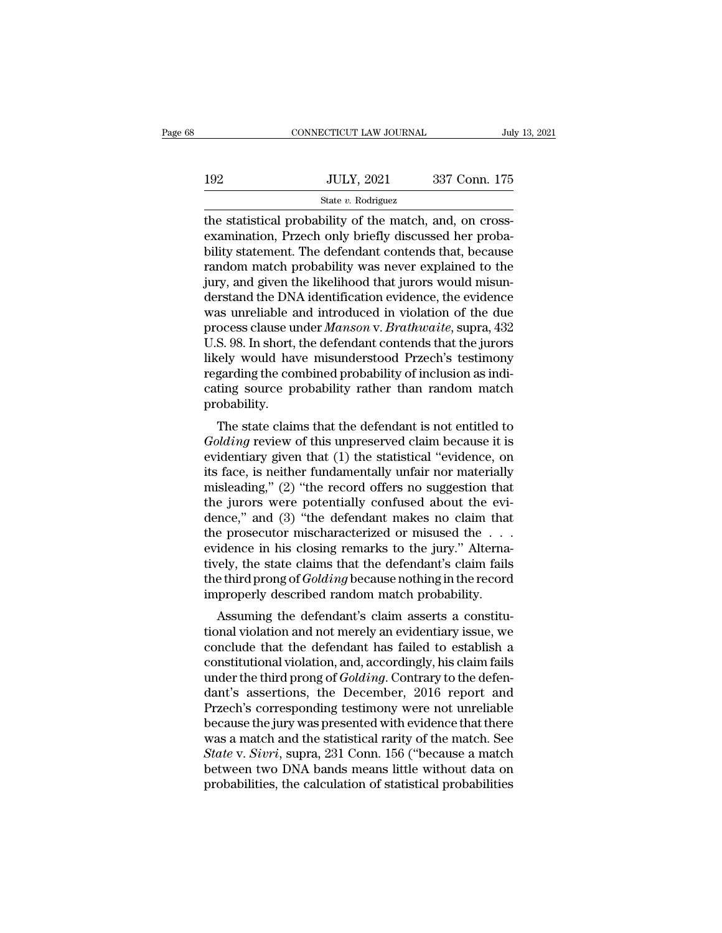|     | CONNECTICUT LAW JOURNAL | July 13, 2021 |  |
|-----|-------------------------|---------------|--|
|     |                         |               |  |
| 192 | <b>JULY, 2021</b>       | 337 Conn. 175 |  |
|     | State $v$ . Rodriguez   |               |  |

CONNECTICUT LAW JOURNAL<br>
192 JULY, 2021 337 Conn. 175<br>
5tate v. Rodriguez<br>
the statistical probability of the match, and, on cross-<br>
examination, Przech only briefly discussed her probability statement. The defendant conte 192 JULY, 2021 337 Conn. 175<br>
State v. Rodriguez<br>
the statistical probability of the match, and, on cross-<br>
examination, Przech only briefly discussed her proba-<br>
bility statement. The defendant contends that, because<br>
ran  $\frac{192}{\text{State } v. \text{ Rodriguez}}$ <br>
State v. Rodriguez<br>
the statistical probability of the match, and, on cross-<br>
examination, Przech only briefly discussed her proba-<br>
bility statement. The defendant contends that, because<br>
random ma  $r_{\text{state}}$   $r_{\text{. Rodriguez}}$ <br>  $r_{\text{static}}$  and  $r_{\text{. Bodriquez}}$ <br>  $r_{\text{the statistical probability of the match, and, on cross-examination, Przech only briefly discussed her probability statement. The defendant contents that, because random match probability was never explained to the jury, and given the likelihood that juros would misundered the DNA identification evidence, the evidence of the data.$ State v. Rodriguez<br>
State v. Rodriguez<br>
The statistical probability of the match, and, on cross-<br>
examination, Przech only briefly discussed her proba-<br>
bility statement. The defendant contends that, because<br>
random match state v. Rodriguez<br>the statistical probability of the match, and, on cross-<br>examination, Przech only briefly discussed her proba-<br>bility statement. The defendant contends that, because<br>random match probability was never e the statistical probability of the match, and, on cross-<br>examination, Przech only briefly discussed her proba-<br>bility statement. The defendant contends that, because<br>random match probability was never explained to the<br>jury examination, Przech only briefly discussed her probability statement. The defendant contends that, because random match probability was never explained to the jury, and given the likelihood that jurors would misunderstand bility statement. The defendant contends that, because<br>random match probability was never explained to the<br>jury, and given the likelihood that jurors would misun-<br>derstand the DNA identification evidence, the evidence<br>was random match probability was never explained to the<br>jury, and given the likelihood that jurors would misun-<br>derstand the DNA identification evidence, the evidence<br>was unreliable and introduced in violation of the due<br>proce jury, and given the likelihood that jurors would misun-<br>derstand the DNA identification evidence, the evidence<br>was unreliable and introduced in violation of the due<br>process clause under *Manson* v. *Brathwaite*, supra, 432 derstand the DNA identification evidence, the evidence<br>was unreliable and introduced in violation of the due<br>process clause under *Manson* v. *Brathwaite*, supra, 432<br>U.S. 98. In short, the defendant contends that the juro probability. S. 98. In short, the defendant contends that the jurors<br>
sely would have misunderstood Przech's testimony<br>
garding the combined probability of inclusion as indi-<br>
ting source probability rather than random match<br>
obabilit *G.S. 96.* In short, the defendant contends that the jurors<br>likely would have misunderstood Przech's testimony<br>regarding the combined probability of inclusion as indi-<br>cating source probability rather than random match<br>pro

regarding the combined probability of inclusion as indicating source probability rather than random match<br>probability.<br>The state claims that the defendant is not entitled to<br> $Golding$  review of this unpreserved claim because i regaturing the combined probability of inclusion as inde-<br>cating source probability rather than random match<br>probability.<br>The state claims that the defendant is not entitled to<br>Golding review of this unpreserved claim beca cating source probability rather than random match<br>probability.<br>The state claims that the defendant is not entitled to<br>Golding review of this unpreserved claim because it is<br>evidentiary given that (1) the statistical "evid The state claims that the defendant is not entitled to  $Golding$  review of this unpreserved claim because it is evidentiary given that  $(1)$  the statistical "evidence, on its face, is neither fundamentally unfair nor materiall The state claims that the defendant is not entitled to *Golding* review of this unpreserved claim because it is evidentiary given that (1) the statistical "evidence, on its face, is neither fundamentally unfair nor materi Golding review of this unpreserved claim because it is<br>evidentiary given that (1) the statistical "evidence, on<br>its face, is neither fundamentally unfair nor materially<br>misleading," (2) "the record offers no suggestion tha evidentiary given that (1) the statistical "evidence, on<br>its face, is neither fundamentally unfair nor materially<br>misleading," (2) "the record offers no suggestion that<br>the jurors were potentially confused about the evi-<br>d its face, is neither fundamentally unfair nor materially<br>misleading," (2) "the record offers no suggestion that<br>the jurors were potentially confused about the evi-<br>dence," and (3) "the defendant makes no claim that<br>the pr misleading," (2) "the record offers no suggestion that<br>the jurors were potentially confused about the evi-<br>dence," and (3) "the defendant makes no claim that<br>the prosecutor mischaracterized or misused the . . .<br>evidence in the jurors were potentially confused about the evi-<br>dence," and (3) "the defendant makes no claim that<br>the prosecutor mischaracterized or misused the . . .<br>evidence in his closing remarks to the jury." Alterna-<br>tively, the Fince, and (5) the defendant makes no claim that<br>e prosecutor mischaracterized or misused the ...<br>idence in his closing remarks to the jury." Alterna-<br>rely, the state claims that the defendant's claim fails<br>e third prong o the prosection inischaracterized of inistised the . . .<br>evidence in his closing remarks to the jury." Alterna-<br>tively, the state claims that the defendant's claim fails<br>the third prong of *Golding* because nothing in the r

evidence in his closing remarks to the jury. Alternatively, the state claims that the defendant's claim fails<br>the third prong of *Golding* because nothing in the record<br>improperly described random match probability.<br>Assumi tivery, the state claims that the defendant s claim fails<br>the third prong of *Golding* because nothing in the record<br>improperly described random match probability.<br>Assuming the defendant's claim asserts a constitu-<br>tional improperly described random match probability.<br>
Assuming the defendant's claim asserts a constitu-<br>
tional violation and not merely an evidentiary issue, we<br>
conclude that the defendant has failed to establish a<br>
constitut Iniproperly described random match probability.<br>
Assuming the defendant's claim asserts a constitutional violation and not merely an evidentiary issue, we<br>
conclude that the defendant has failed to establish a<br>
constitutio Assuming the defendant's claim asserts a constitutional violation and not merely an evidentiary issue, we conclude that the defendant has failed to establish a constitutional violation, and, accordingly, his claim fails un tional violation and not merely an evidentiary issue, we<br>conclude that the defendant has failed to establish a<br>constitutional violation, and, accordingly, his claim fails<br>under the third prong of *Golding*. Contrary to the conclude that the defendant has failed to establish a<br>constitutional violation, and, accordingly, his claim fails<br>under the third prong of *Golding*. Contrary to the defen-<br>dant's assertions, the December, 2016 report and<br> constitutional violation, and, accordingly, his claim fails<br>under the third prong of *Golding*. Contrary to the defen-<br>dant's assertions, the December, 2016 report and<br>Przech's corresponding testimony were not unreliable<br>b under the third prong of *Golding*. Contrary to the defen-<br>dant's assertions, the December, 2016 report and<br>Przech's corresponding testimony were not unreliable<br>because the jury was presented with evidence that there<br>was a dant's assertions, the December, 2016 report and<br>Przech's corresponding testimony were not unreliable<br>because the jury was presented with evidence that there<br>was a match and the statistical rarity of the match. See<br>*State*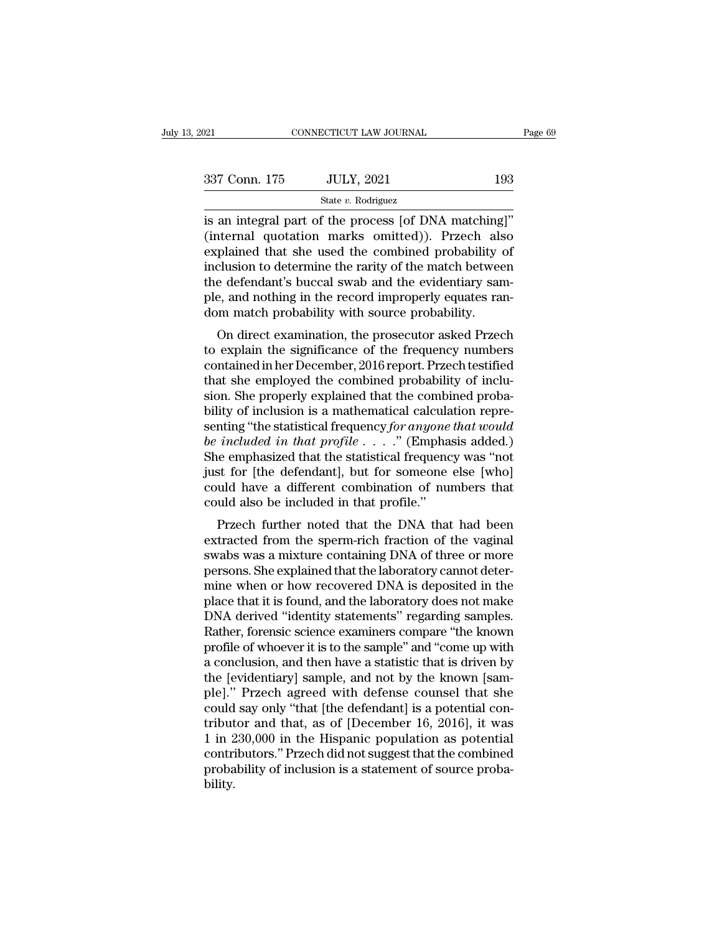| 2021          | CONNECTICUT LAW JOURNAL                                                                                                                                           | Page 69 |
|---------------|-------------------------------------------------------------------------------------------------------------------------------------------------------------------|---------|
|               |                                                                                                                                                                   |         |
| 337 Conn. 175 | <b>JULY, 2021</b>                                                                                                                                                 | 193     |
|               | State v. Rodriguez                                                                                                                                                |         |
|               | is an integral part of the process [of DNA matching]"<br>(internal quotation marks omitted)). Przech also<br>evolutined that she used the combined probability of |         |

 $\frac{337 \text{ Conn. } 175 \qquad \text{JULY, } 2021 \qquad \text{193}}{\text{State } v. \text{ Rodriguez}}$ <br>
is an integral part of the process [of DNA matching]"<br>
(internal quotation marks omitted)). Przech also<br>
explained that she used the combined probability of<br>
incl 337 Conn. 175 JULY, 2021 193<br>
State v. Rodriguez<br>
is an integral part of the process [of DNA matching]"<br>
(internal quotation marks omitted)). Przech also<br>
explained that she used the combined probability of<br>
inclusion to 337 Conn. 175 JULY, 2021 193<br>
state v. Rodriguez<br>
is an integral part of the process [of DNA matching]"<br>
(internal quotation marks omitted)). Przech also<br>
explained that she used the combined probability of<br>
inclusion to State v. Rodriguez<br>
State v. Rodriguez<br>
is an integral part of the process [of DNA matching]"<br>
(internal quotation marks omitted)). Przech also<br>
explained that she used the combined probability of<br>
inclusion to determine state v. Rodriguez<br>
is an integral part of the process [of DNA matching]"<br>
(internal quotation marks omitted)). Przech also<br>
explained that she used the combined probability of<br>
inclusion to determine the rarity of the ma is an integral part of the process [of DNA matching<br>(internal quotation marks omitted)). Przech als<br>explained that she used the combined probability of<br>inclusion to determine the rarity of the match betwee<br>the defendant's The direct examination of the match between<br>plained that she used the combined probability of<br>clusion to determine the rarity of the match between<br>e defendant's buccal swab and the evidentiary sam-<br>e, and nothing in the re explained that sile used the combined probability of<br>inclusion to determine the rarity of the match between<br>the defendant's buccal swab and the evidentiary sam-<br>ple, and nothing in the record improperly equates ran-<br>dom ma

metasion to determine the ranky of the match between<br>the defendant's buccal swab and the evidentiary sam-<br>ple, and nothing in the record improperly equates ran-<br>dom match probability with source probability.<br>On direct exam the defendant's buccar swab and the evidentiary sample, and nothing in the record improperly equates random match probability with source probability.<br>On direct examination, the prosecutor asked Przech to explain the signi ple, and nothing in the record improperly equates random match probability with source probability.<br>On direct examination, the prosecutor asked Przech to explain the significance of the frequency numbers<br>contained in her D ond inated probability with source probability.<br>
On direct examination, the prosecutor asked Przech to explain the significance of the frequency numbers<br>
contained in her December, 2016 report. Przech testified<br>
that she On direct examination, the prosecutor asked Przech<br>to explain the significance of the frequency numbers<br>contained in her December, 2016 report. Przech testified<br>that she employed the combined probability of inclu-<br>sion. Sh to explain the significance of the frequency numbers<br>contained in her December, 2016 report. Przech testified<br>that she employed the combined probability of inclu-<br>sion. She properly explained that the combined proba-<br>bilit contained in her December, 2016 report. Przech testified<br>that she employed the combined probability of inclu-<br>sion. She properly explained that the combined proba-<br>bility of inclusion is a mathematical calculation repre-<br> that she employed the combined probability of inclusion. She properly explained that the combined probability of inclusion is a mathematical calculation representing "the statistical frequency for anyone that would be inc sion. She properly explained that the combined probability of inclusion is a mathematical calculation representing "the statistical frequency for anyone that would be included in that profile  $\ldots$ ." (Emphasis added.) She bility of inclusion is a mathematical calcula<br>senting "the statistical frequency for anyone<br>be included in that profile....." (Empha<br>She emphasized that the statistical frequenc<br>just for [the defendant], but for someone<br>c included in that profile  $\ldots$ ." (Emphasis added.)<br>
ie emphasized that the statistical frequency was "not<br>
st for [the defendant], but for someone else [who]<br>
uld have a different combination of numbers that<br>
uld also be be *included in that projue*  $\ldots$  (Eniphasis added.)<br>She emphasized that the statistical frequency was "not<br>just for [the defendant], but for someone else [who]<br>could have a different combination of numbers that<br>could al

she emphasized that the statistical frequency was flot<br>just for [the defendant], but for someone else [who]<br>could have a different combination of numbers that<br>could also be included in that profile."<br>Przech further noted t pust for [the detendant], but for someone else [who]<br>could have a different combination of numbers that<br>could also be included in that profile."<br>Przech further noted that the DNA that had been<br>extracted from the sperm-rich could have a unterent combination of numbers that<br>could also be included in that profile."<br>Przech further noted that the DNA that had been<br>extracted from the sperm-rich fraction of the vaginal<br>swabs was a mixture containin Przech further noted that the DNA that had been<br>extracted from the sperm-rich fraction of the vaginal<br>swabs was a mixture containing DNA of three or more<br>persons. She explained that the laboratory cannot deter-<br>mine when o Przech further noted that the DNA that had been<br>extracted from the sperm-rich fraction of the vaginal<br>swabs was a mixture containing DNA of three or more<br>persons. She explained that the laboratory cannot deter-<br>mine when o extracted from the sperm-rich fraction of the vaginal<br>swabs was a mixture containing DNA of three or more<br>persons. She explained that the laboratory cannot deter-<br>mine when or how recovered DNA is deposited in the<br>place th swabs was a mixture containing DNA of three or more<br>persons. She explained that the laboratory cannot deter-<br>mine when or how recovered DNA is deposited in the<br>place that it is found, and the laboratory does not make<br>DNA d persons. She explained that the laboratory cannot determine when or how recovered DNA is deposited in the place that it is found, and the laboratory does not make DNA derived "identity statements" regarding samples. Rather mine when or how recovered DNA is deposited in the place that it is found, and the laboratory does not make DNA derived "identity statements" regarding samples.<br>Rather, forensic science examiners compare "the known profile place that it is found, and the laboratory does not make<br>DNA derived "identity statements" regarding samples.<br>Rather, forensic science examiners compare "the known<br>profile of whoever it is to the sample" and "come up with<br> DNA derived "identity statements" regarding samples.<br>Rather, forensic science examiners compare "the known<br>profile of whoever it is to the sample" and "come up with<br>a conclusion, and then have a statistic that is driven by Rather, forensic science examiners compare "the known<br>profile of whoever it is to the sample" and "come up with<br>a conclusion, and then have a statistic that is driven by<br>the [evidentiary] sample, and not by the known [samprofile of whoever it is to the sample" and "come up with<br>a conclusion, and then have a statistic that is driven by<br>the [evidentiary] sample, and not by the known [sam-<br>ple]." Przech agreed with defense counsel that she<br>co a conclusion, and then have a statistic that is driven by<br>the [evidentiary] sample, and not by the known [sam-<br>ple]." Przech agreed with defense counsel that she<br>could say only "that [the defendant] is a potential con-<br>tri the [evidentiary] sample, and not by the known [sample]." Przech agreed with defense counsel that she could say only "that [the defendant] is a potential contributor and that, as of [December 16, 2016], it was 1 in 230,000 bility.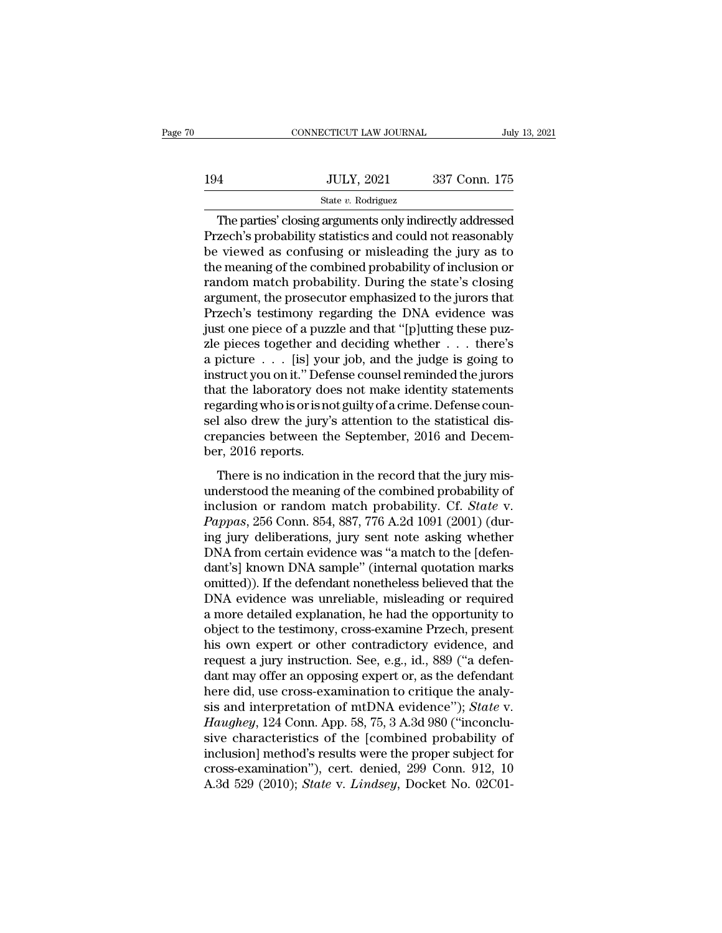|     | CONNECTICUT LAW JOURNAL | July 13, 2021 |  |
|-----|-------------------------|---------------|--|
|     |                         |               |  |
| 194 | <b>JULY, 2021</b>       | 337 Conn. 175 |  |
|     | State $v$ . Rodriguez   |               |  |

CONNECTICUT LAW JOURNAL July 13, 2021<br>
4<br>
JULY, 2021 337 Conn. 175<br>
State v. Rodriguez<br>
The parties' closing arguments only indirectly addressed<br>
zech's probability statistics and could not reasonably<br>
viewed as confusing 194 JULY, 2021 337 Conn. 175<br>
State v. Rodriguez<br>
The parties' closing arguments only indirectly addressed<br>
Przech's probability statistics and could not reasonably<br>
be viewed as confusing or misleading the jury as to<br>
the 194 JULY, 2021 337 Conn. 175<br>
State v. Rodriguez<br>
The parties' closing arguments only indirectly addressed<br>
Przech's probability statistics and could not reasonably<br>
be viewed as confusing or misleading the jury as to<br>
th  $194$  JULY, 2021 337 Conn. 175<br>  $\frac{\text{State } v. \text{ Rodriguez}}{\text{The parties' closing arguments only indirectly addressed}}$ <br>
Przech's probability statistics and could not reasonably<br>
be viewed as confusing or misleading the jury as to<br>
the meaning of the combined probability of incl State v. Rodriguez<br>
The parties' closing arguments only indirectly addressed<br>
Przech's probability statistics and could not reasonably<br>
be viewed as confusing or misleading the jury as to<br>
the meaning of the combined proba state v. Rodriguez<br>The parties' closing arguments only indirectly addressed<br>Przech's probability statistics and could not reasonably<br>be viewed as confusing or misleading the jury as to<br>the meaning of the combined probabil The parties' closing arguments only indirectly addressed<br>Przech's probability statistics and could not reasonably<br>be viewed as confusing or misleading the jury as to<br>the meaning of the combined probability of inclusion or<br> Przech's probability statistics and could not reasonably<br>be viewed as confusing or misleading the jury as to<br>the meaning of the combined probability of inclusion or<br>random match probability. During the state's closing<br>argu be viewed as confusing or misleading the jury as to<br>the meaning of the combined probability of inclusion or<br>random match probability. During the state's closing<br>argument, the prosecutor emphasized to the jurors that<br>Przech the meaning of the combined probability of inclusion or<br>random match probability. During the state's closing<br>argument, the prosecutor emphasized to the jurors that<br>Przech's testimony regarding the DNA evidence was<br>just one random match probability. During the state's closing<br>argument, the prosecutor emphasized to the jurors that<br>Przech's testimony regarding the DNA evidence was<br>just one piece of a puzzle and that "[p]utting these puzzle<br>pie argument, the prosecutor emphasized to the jurors that<br>Przech's testimony regarding the DNA evidence was<br>just one piece of a puzzle and that "[p]utting these puzzle<br>pieces together and deciding whether . . . there's<br>a pict Przech's testimony regarding the DNA evidence was<br>just one piece of a puzzle and that "[p]utting these puzzle pieces together and deciding whether  $\dots$  there's<br>a picture  $\dots$  [is] your job, and the judge is going to<br>instr just one piece of a puzzle and that "[p]utting these puzzle pieces together and deciding whether  $\ldots$  there's a picture  $\ldots$  [is] your job, and the judge is going to instruct you on it." Defense counsel reminded the jur zle pieces together and deciding whether  $\ldots$  there's<br>a picture  $\ldots$  [is] your job, and the judge is going to<br>instruct you on it." Defense counsel reminded the jurors<br>that the laboratory does not make identity statement a picture . . . [is] you<br>instruct you on it." Defe<br>that the laboratory doe<br>regarding who is or is no<br>sel also drew the jury':<br>crepancies between th<br>ber, 2016 reports.<br>There is no indicatio! and the laboratory does not make identity statements<br>at the laboratory does not make identity statements<br>garding who is or is not guilty of a crime. Defense coun-<br>l also drew the jury's attention to the statistical dis-<br>ep regarding who is or is not guilty of a crime. Defense counsel also drew the jury's attention to the statistical discrepancies between the September, 2016 and December, 2016 reports.<br>There is no indication in the record th

inclusion of *Statesgang* or a strike. Determine counsel also drew the jury's attention to the statistical discrepancies between the September, 2016 and December, 2016 reports.<br>There is no indication in the record that the *Pappases and the September, 2016* and December, 2016 reports.<br> *Papparcies between the September, 2016 and December, 2016 reports.*<br> *Pappas, 256 Conn. 854, 887, 776 A.2d 1091 (2001) (during jury deliberations, jury sent* ber, 2016 reports.<br>
There is no indication in the record that the jury mis-<br>
understood the meaning of the combined probability of<br>
inclusion or random match probability. Cf. *State* v.<br> *Pappas*, 256 Conn. 854, 887, 776 A There is no indication in the record that the jury mis-<br>understood the meaning of the combined probability of<br>inclusion or random match probability. Cf. *State* v.<br>*Pappas*, 256 Conn. 854, 887, 776 A.2d 1091 (2001) (dur-<br> There is no indication in the record that the jury mis-<br>understood the meaning of the combined probability of<br>inclusion or random match probability. Cf. *State* v.<br>*Pappas*, 256 Conn. 854, 887, 776 A.2d 1091 (2001) (dur-<br> understood the meaning of the combined probability of<br>inclusion or random match probability. Cf. *State* v.<br>*Pappas*, 256 Conn. 854, 887, 776 A.2d 1091 (2001) (dur-<br>ing jury deliberations, jury sent note asking whether<br>DNA inclusion or random match probability. Cf. *State* v.<br> *Pappas*, 256 Conn. 854, 887, 776 A.2d 1091 (2001) (during jury deliberations, jury sent note asking whether<br>
DNA from certain evidence was "a match to the [defen-<br>
da Pappas, 256 Conn. 854, 887, 776 A.2d 1091 (2001) (during jury deliberations, jury sent note asking whether DNA from certain evidence was "a match to the [defendant's] known DNA sample" (internal quotation marks omitted)). ing jury deliberations, jury sent note asking whether<br>DNA from certain evidence was "a match to the [defen-<br>dant's] known DNA sample" (internal quotation marks<br>omitted)). If the defendant nonetheless believed that the<br>DNA DNA from certain evidence was "a match to the [defen-<br>dant's] known DNA sample" (internal quotation marks<br>omitted)). If the defendant nonetheless believed that the<br>DNA evidence was unreliable, misleading or required<br>a more dant's] known DNA sample" (internal quotation marks<br>omitted)). If the defendant nonetheless believed that the<br>DNA evidence was unreliable, misleading or required<br>a more detailed explanation, he had the opportunity to<br>objec omitted)). If the defendant nonetheless believed that the<br>DNA evidence was unreliable, misleading or required<br>a more detailed explanation, he had the opportunity to<br>object to the testimony, cross-examine Przech, present<br>hi DNA evidence was unreliable, misleading or required<br>a more detailed explanation, he had the opportunity to<br>object to the testimony, cross-examine Przech, present<br>his own expert or other contradictory evidence, and<br>request a more detailed explanation, he had the opportunity to<br>object to the testimony, cross-examine Przech, present<br>his own expert or other contradictory evidence, and<br>request a jury instruction. See, e.g., id., 889 ("a defen-<br>d object to the testimony, cross-examine Przech, present<br>his own expert or other contradictory evidence, and<br>request a jury instruction. See, e.g., id., 889 ("a defen-<br>dant may offer an opposing expert or, as the defendant<br>h his own expert or other contradictory evidence, and<br>request a jury instruction. See, e.g., id., 889 ("a defen-<br>dant may offer an opposing expert or, as the defendant<br>here did, use cross-examination to critique the analy-<br> request a jury instruction. See, e.g., id., 889 ("a defendant may offer an opposing expert or, as the defendant<br>here did, use cross-examination to critique the analy-<br>sis and interpretation of mtDNA evidence"); *State* v. dant may offer an opposing expert or, as the defendant<br>here did, use cross-examination to critique the analy-<br>sis and interpretation of mtDNA evidence"); *State* v.<br>*Haughey*, 124 Conn. App. 58, 75, 3 A.3d 980 ("inconclu-<br> here did, use cross-examination to critique the analysis and interpretation of mtDNA evidence"); *State* v.<br>*Haughey*, 124 Conn. App. 58, 75, 3 A.3d 980 ("inconclusive characteristics of the [combined probability of inclus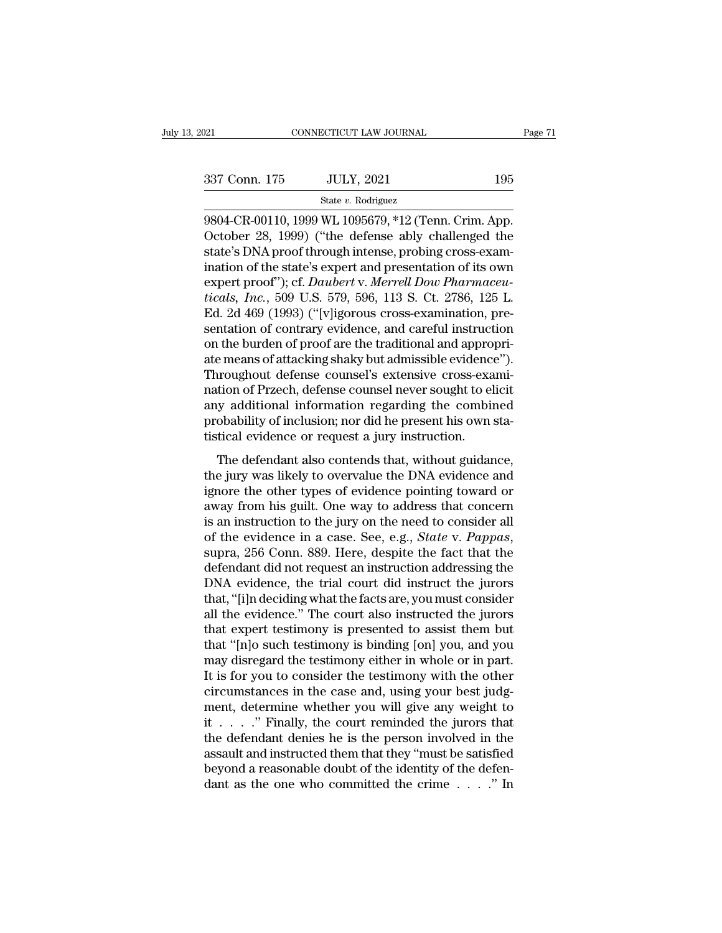State *v.* Rodriguez

9804-CR-00110, 1999 WL 1095679, \*12 (Tenn. Crim. App. 0ctober 28, 1999) ("the defense ably challenged the state's DNA proof through intense probing gross even. 337 Conn. 175 JULY, 2021 195<br>
State v. Rodriguez<br>
State v. Rodriguez<br>
2804-CR-00110, 1999 WL 1095679, \*12 (Tenn. Crim. App.<br>
October 28, 1999) ("the defense ably challenged the<br>
state's DNA proof through intense, probing c 337 Conn. 175 JULY, 2021 195<br>
State v. Rodriguez<br>
State v. Rodriguez<br>
9804-CR-00110, 1999 WL 1095679, \*12 (Tenn. Crim. App.<br>
October 28, 1999) ("the defense ably challenged the<br>
state's DNA proof through intense, probing 337 Conn. 175 JULY, 2021 195<br>
state v. Rodriguez<br>
9804-CR-00110, 1999 WL 1095679, \*12 (Tenn. Crim. App.<br>
October 28, 1999) ("the defense ably challenged the<br>
state's DNA proof through intense, probing cross-exam-<br>
ination State *v.* Rodriguez<br>
State *v.* Rodriguez<br>
9804-CR-00110, 1999 WL 1095679, \*12 (Tenn. Crim. App.<br>
October 28, 1999) ("the defense ably challenged the<br>
state's DNA proof through intense, probing cross-exam-<br>
ination of the <sup>state v. Rodnguez<br>
9804-CR-00110, 1999 WL 1095679, \*12 (Tenn. Crim. App.<br>
October 28, 1999) ("the defense ably challenged the<br>
state's DNA proof through intense, probing cross-exam-<br>
ination of the state's expert and pres</sup> 9804-CR-00110, 1999 WL 1095679, \*12 (Tenn. Crim. App.<br>October 28, 1999) ("the defense ably challenged the<br>state's DNA proof through intense, probing cross-exam-<br>ination of the state's expert and presentation of its own<br>exp October 28, 1999) ("the defense ably challenged the<br>state's DNA proof through intense, probing cross-exam-<br>ination of the state's expert and presentation of its own<br>expert proof"); cf. *Daubert* v. *Merrell Dow Pharmaceu-<br>* state's DNA proof through intense, probing cross-examination of the state's expert and presentation of its own<br>expert proof"); cf. *Daubert* v. *Merrell Dow Pharmaceu-<br>ticals, Inc.*, 509 U.S. 579, 596, 113 S. Ct. 2786, 125 ination of the state's expert and presentation of its own<br>expert proof"); cf. *Daubert* v. *Merrell Dow Pharmaceu-<br>ticals, Inc.*, 509 U.S. 579, 596, 113 S. Ct. 2786, 125 L.<br>Ed. 2d 469 (1993) ("[v]igorous cross-examination, expert proof"); cf. Daubert v. Merrell Dow Pharmaceu-<br>ticals, Inc., 509 U.S. 579, 596, 113 S. Ct. 2786, 125 L.<br>Ed. 2d 469 (1993) ("[v]igorous cross-examination, pre-<br>sentation of contrary evidence, and careful instruction<br> ticals, *Inc.*, 509 U.S. 579, 596, 113 S. Ct. 2786, 125 L.<br>Ed. 2d 469 (1993) ("[v]igorous cross-examination, pre-<br>sentation of contrary evidence, and careful instruction<br>on the burden of proof are the traditional and appro Ed. 2d 469 (1993) ("[v]igorous cross-examination, pre-<br>sentation of contrary evidence, and careful instruction<br>on the burden of proof are the traditional and appropri-<br>ate means of attacking shaky but admissible evidence") sentation of contrary evidence, and careful instruction<br>on the burden of proof are the traditional and appropri-<br>ate means of attacking shaky but admissible evidence").<br>Throughout defense counsel's extensive cross-exami-<br>n on the burden of proof are the traditional and appromate means of attacking shaky but admissible evidence.<br>Throughout defense counsel's extensive cross-exantion of Przech, defense counsel never sought to eleany additional The defendant also contends that, without also contends that, without defense counsel's extensive cross-examition of Przech, defense counsel never sought to elicit y additional information regarding the combined obability Throughout defense counser's extensive cross extant<br>nation of Przech, defense counsel never sought to elicit<br>any additional information regarding the combined<br>probability of inclusion; nor did he present his own sta-<br>tisti

rataon of Friech, actense coaliser never sought to ench<br>any additional information regarding the combined<br>probability of inclusion; nor did he present his own sta-<br>tistical evidence or request a jury instruction.<br>The defen probability of inclusion; nor did he present his own statistical evidence or request a jury instruction.<br>The defendant also contends that, without guidance, the jury was likely to overvalue the DNA evidence and ignore the The defendant also contends that, without guidance,<br>the jury was likely to overvalue the DNA evidence and<br>ignore the other types of evidence pointing toward or<br>away from his guilt. One way to address that concern<br>is an in The defendant also contends that, without guidance, the jury was likely to overvalue the DNA evidence and ignore the other types of evidence pointing toward or away from his guilt. One way to address that concern is an ins the jury was likely to overvalue the DNA evidence and<br>ignore the other types of evidence pointing toward or<br>away from his guilt. One way to address that concern<br>is an instruction to the jury on the need to consider all<br>of ignore the other types of evidence pointing toward or<br>away from his guilt. One way to address that concern<br>is an instruction to the jury on the need to consider all<br>of the evidence in a case. See, e.g., *State* v. *Pappas* away from his guilt. One way to address that concern<br>is an instruction to the jury on the need to consider all<br>of the evidence in a case. See, e.g., *State* v. *Pappas*,<br>supra, 256 Conn. 889. Here, despite the fact that th is an instruction to the jury on the need to consider all<br>of the evidence in a case. See, e.g., *State* v. *Pappas*,<br>supra, 256 Conn. 889. Here, despite the fact that the<br>defendant did not request an instruction addressing of the evidence in a case. See, e.g., *State v. Pappas*, supra, 256 Conn. 889. Here, despite the fact that the defendant did not request an instruction addressing the DNA evidence, the trial court did instruct the jurors t supra, 256 Conn. 889. Here, despite the fact that the<br>defendant did not request an instruction addressing the<br>DNA evidence, the trial court did instruct the jurors<br>that, "[i]n deciding what the facts are, you must consider defendant did not request an instruction addressing the<br>DNA evidence, the trial court did instruct the jurors<br>that, "[i]n deciding what the facts are, you must consider<br>all the evidence." The court also instructed the juro DNA evidence, the trial court did instruct the jurors<br>that, "[i]n deciding what the facts are, you must consider<br>all the evidence." The court also instructed the jurors<br>that expert testimony is presented to assist them but that, "[i]n deciding what the facts are, you must consider<br>all the evidence." The court also instructed the jurors<br>that expert testimony is presented to assist them but<br>that "[n]o such testimony is binding [on] you, and yo all the evidence." The court also instructed the jurors<br>that expert testimony is presented to assist them but<br>that "[n]o such testimony is binding [on] you, and you<br>may disregard the testimony either in whole or in part.<br> that expert testimony is presented to assist them but<br>that "[n]o such testimony is binding [on] you, and you<br>may disregard the testimony either in whole or in part.<br>It is for you to consider the testimony with the other<br>c that "[n]o such testimony is binding [on] you, and you<br>may disregard the testimony either in whole or in part.<br>It is for you to consider the testimony with the other<br>circumstances in the case and, using your best judg-<br>me may disregard the testimony either in whole or in part.<br>It is for you to consider the testimony with the other<br>circumstances in the case and, using your best judg-<br>ment, determine whether you will give any weight to<br>it  $\d$ It is for you to consider the testimony with the other<br>circumstances in the case and, using your best judg-<br>ment, determine whether you will give any weight to<br>it . . . . ." Finally, the court reminded the jurors that<br>the circumstances in the case and, using your best judgment, determine whether you will give any weight to it . . . . ." Finally, the court reminded the jurors that the defendant denies he is the person involved in the assaul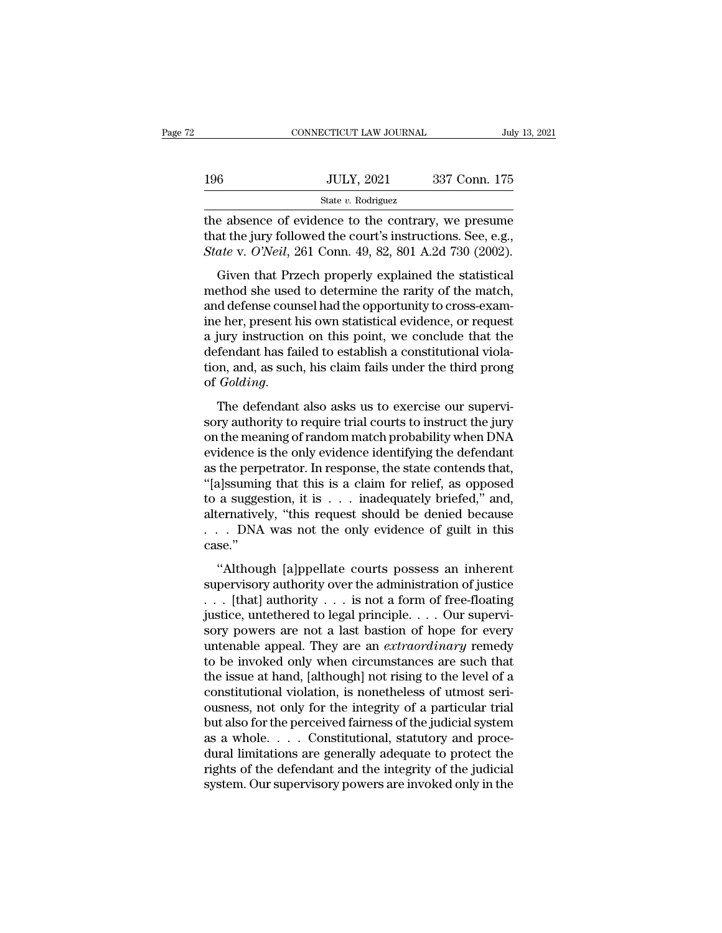|     | CONNECTICUT LAW JOURNAL | July 13, 2021 |
|-----|-------------------------|---------------|
|     |                         |               |
| 196 | <b>JULY, 2021</b>       | 337 Conn. 175 |
|     | State $v$ . Rodriguez   |               |

CONNECTICUT LAW JOURNAL July 13, 2021<br>196 JULY, 2021 337 Conn. 175<br>196 State v. Rodriguez<br>1. State v. Rodriguez<br>1. The absence of evidence to the contrary, we presume<br>1. That the jury followed the court's instructions. Se 196 JULY, 2021 337 Conn. 175<br>
State v. Rodriguez<br>
the absence of evidence to the contrary, we presume<br>
that the jury followed the court's instructions. See, e.g.,<br>
State v. O'Neil, 261 Conn. 49, 82, 801 A.2d 730 (2002). **State v. Rodriguez**<br> **State v. Rodriguez**<br> **Conn. 175**<br> **State v. Pooliguez**<br> **Connection**<br> **Conserved the contrary, we presume**<br> **Conserved the court's instructions. See, e.g.,**<br> *State v. O'Neil*, 261 Conn. 49, 82, 801 Given that Przech properly explained the statistical

State v. Rodriguez<br>the absence of evidence to the contrary, we presume<br>that the jury followed the court's instructions. See, e.g.,<br>State v. O'Neil, 261 Conn. 49, 82, 801 A.2d 730 (2002).<br>Given that Przech properly explain the absence of evidence to the contrary, we presume<br>that the jury followed the court's instructions. See, e.g.,<br>*State* v. O'Neil, 261 Conn. 49, 82, 801 A.2d 730 (2002).<br>Given that Przech properly explained the statistical that the jury followed the court's instructions. See, e.g.,<br> *State v. O'Neil*, 261 Conn. 49, 82, 801 A.2d 730 (2002).<br>
Given that Przech properly explained the statistical<br>
method she used to determine the rarity of the m State v. O'Neil, 261 Conn. 49, 82, 801 A.2d 730 (2002).<br>
Given that Przech properly explained the statistical<br>
method she used to determine the rarity of the match,<br>
and defense counsel had the opportunity to cross-exam-<br> Given that Przech properly explained the statistical<br>method she used to determine the rarity of the match,<br>and defense counsel had the opportunity to cross-exam-<br>ine her, present his own statistical evidence, or request<br>a Given that Przech properly explained the statistical<br>method she used to determine the rarity of the match,<br>and defense counsel had the opportunity to cross-exam-<br>ine her, present his own statistical evidence, or request<br>a ine her, present his own statistical evidence, or request<br>a jury instruction on this point, we conclude that the<br>defendant has failed to establish a constitutional viola-<br>tion, and, as such, his claim fails under the third in the field possible and which solutions are interested as jury instruction on this point, we conclude that the defendant has failed to establish a constitutional violation, and, as such, his claim fails under the third p

or the meaning of random match probability when DNA<br>defendant has failed to establish a constitutional violation, and, as such, his claim fails under the third prong<br>of *Golding*.<br>The defendant also asks us to exercise our econdair has fared to establish a constructional violation, and, as such, his claim fails under the third prong<br>of *Golding*.<br>The defendant also asks us to exercise our supervisory authority to require trial courts to inst as sach, its cannot has ander are and prong<br>of *Golding*.<br>The defendant also asks us to exercise our supervi-<br>sory authority to require trial courts to instruct the jury<br>on the meaning of random match probability when DNA<br> The defendant also asks us to exercise our supervisory authority to require trial courts to instruct the jury<br>on the meaning of random match probability when DNA<br>evidence is the only evidence identifying the defendant<br>as The defendant also asks us to exercise our supervisory authority to require trial courts to instruct the jury<br>on the meaning of random match probability when DNA<br>evidence is the only evidence identifying the defendant<br>as sory authority to require trial courts to instruct the jury<br>on the meaning of random match probability when DNA<br>evidence is the only evidence identifying the defendant<br>as the perpetrator. In response, the state contends th on the meaning of random match probability when DNA<br>evidence is the only evidence identifying the defendant<br>as the perpetrator. In response, the state contends that,<br>"[a]ssuming that this is a claim for relief, as opposed<br> case.'' ''Although [a]ppellate courts possess an inherent (a) isoming that this is a chain for rener, as opposed<br>to a suggestion, it is . . . inadequately briefed," and,<br>alternatively, "this request should be denied because<br> $\ldots$  DNA was not the only evidence of guilt in this<br>ca

alternatively, "this is not a fractional be denied because<br>
... DNA was not the only evidence of guilt in this<br>
case."<br>
"Although [a]ppellate courts possess an inherent<br>
supervisory authority over the administration of ju  $\ldots$  DNA was not the only evidence of guilt in this case."<br>
"Although [a]ppellate courts possess an inherent supervisory authority over the administration of justice<br>  $\ldots$  [that] authority  $\ldots$  is not a form of free-fl something and the same of the solar methods of the same case."<br>
"Although [a]ppellate courts possess an inherent supervisory authority over the administration of justice<br>
. . . [that] authority . . . is not a form of free "Although [a]ppellate courts possess an inherent<br>supervisory authority over the administration of justice<br>... [that] authority ... is not a form of free-floating<br>justice, untethered to legal principle.... Our supervi-<br>sor "Although [a]ppellate courts possess an inherent<br>supervisory authority over the administration of justice<br>... [that] authority ... is not a form of free-floating<br>justice, untethered to legal principle.... Our supervi-<br>sor supervisory authority over the administration of justice<br>  $\ldots$  [that] authority  $\ldots$  is not a form of free-floating<br>
justice, untethered to legal principle.  $\ldots$  Our supervi-<br>
sory powers are not a last bastion of hope . . . [that] authority . . . is not a form of free-floating<br>justice, untethered to legal principle. . . . Our supervi-<br>sory powers are not a last bastion of hope for every<br>untenable appeal. They are an *extraordinary* rem justice, untethered to legal principle. . . . Our supervisory powers are not a last bastion of hope for every untenable appeal. They are an *extraordinary* remedy to be invoked only when circumstances are such that the is sory powers are not a last bastion of hope for every<br>untenable appeal. They are an *extraordinary* remedy<br>to be invoked only when circumstances are such that<br>the issue at hand, [although] not rising to the level of a<br>const untenable appeal. They are an *extraordinary* remedy<br>to be invoked only when circumstances are such that<br>the issue at hand, [although] not rising to the level of a<br>constitutional violation, is nonetheless of utmost seri-<br> to be invoked only when circumstances are such that<br>the issue at hand, [although] not rising to the level of a<br>constitutional violation, is nonetheless of utmost seri-<br>ousness, not only for the integrity of a particular tr the issue at hand, [although] not rising to the level of a<br>constitutional violation, is nonetheless of utmost seri-<br>ousness, not only for the integrity of a particular trial<br>but also for the perceived fairness of the judic constitutional violation, is nonetheless of utmost seri-<br>ousness, not only for the integrity of a particular trial<br>but also for the perceived fairness of the judicial system<br>as a whole. . . . Constitutional, statutory and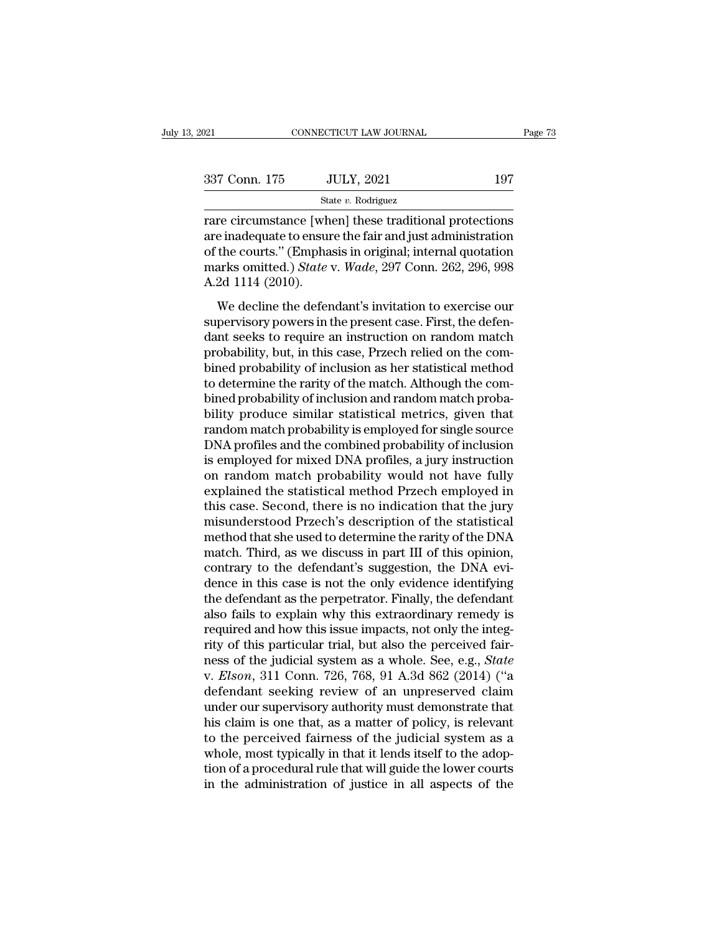| 337 Conn. 175 | <b>JULY, 2021</b> | 197 |
|---------------|-------------------|-----|
|               |                   |     |

337 Conn. 175 JULY, 2021 197<br>
State v. Rodriguez<br>
Trare circumstance [when] these traditional protections<br>
are inadequate to ensure the fair and just administration<br>
of the courts." (Emphasis in original; internal quotati 337 Conn. 175 JULY, 2021 197<br>
State v. Rodriguez<br>
Trare circumstance [when] these traditional protections<br>
are inadequate to ensure the fair and just administration<br>
of the courts." (Emphasis in original; internal quotati 337 Conn. 175 JULY, 2021 197<br>
<sup>State v. Rodriguez<br>
Trare circumstance [when] these traditional protections<br>
are inadequate to ensure the fair and just administration<br>
of the courts." (Emphasis in original; internal quotati</sup> State<br>
Trare circumstance [wh<br>
are inadequate to ensure<br>
of the courts." (Empha<br>
marks omitted.) *State*<br>
A.2d 1114 (2010).<br>
We decline the defer re circumstance [when] these traditional protections<br>e inadequate to ensure the fair and just administration<br>the courts." (Emphasis in original; internal quotation<br>arks omitted.) *State* v. Wade, 297 Conn. 262, 296, 998<br>2d First extensional proceeds.<br>
Supervisor are inadequate to ensure the fair and just administration<br>
of the courts." (Emphasis in original; internal quotation<br>
marks omitted.) *State* v. *Wade*, 297 Conn. 262, 296, 998<br>
A.2d

date mate quate to ensure are nat analyses daministration<br>of the courts." (Emphasis in original; internal quotation<br>marks omitted.) *State* v. *Wade*, 297 Conn. 262, 296, 998<br>A.2d 1114 (2010).<br>We decline the defendant's in probability, but, in this case, Przech relied on the com-<br>but, in this case, 297 Conn. 262, 296, 998<br>A.2d 1114 (2010).<br>We decline the defendant's invitation to exercise our<br>supervisory powers in the present case. First, th A.2d 1114 (2010).<br>
We decline the defendant's invitation to exercise our<br>
supervisory powers in the present case. First, the defen-<br>
dant seeks to require an instruction on random match<br>
probability, but, in this case, Pr We decline the defendant's invitation to exercise our<br>supervisory powers in the present case. First, the defen-<br>dant seeks to require an instruction on random match<br>probability, but, in this case, Przech relied on the com-We decline the defendant's invitation to exercise our<br>supervisory powers in the present case. First, the defen-<br>dant seeks to require an instruction on random match<br>probability, but, in this case, Przech relied on the comsupervisory powers in the present case. First, the defendant seeks to require an instruction on random match<br>probability, but, in this case, Przech relied on the com-<br>bined probability of inclusion as her statistical metho dant seeks to require an instruction on random match<br>probability, but, in this case, Przech relied on the com-<br>bined probability of inclusion as her statistical method<br>to determine the rarity of the match. Although the com probability, but, in this case, Przech relied on the combined probability of inclusion as her statistical method<br>to determine the rarity of the match. Although the com-<br>bined probability of inclusion and random match proba bined probability of inclusion as her statistical method<br>to determine the rarity of the match. Although the com-<br>bined probability of inclusion and random match proba-<br>bility produce similar statistical metrics, given that to determine the rarity of the match. Although the combined probability of inclusion and random match probability produce similar statistical metrics, given that random match probability is employed for single source DNA p bined probability of inclusion and random match probability produce similar statistical metrics, given that<br>random match probability is employed for single source<br>DNA profiles and the combined probability of inclusion<br>is e bility produce similar statistical metrics, given that<br>random match probability is employed for single source<br>DNA profiles and the combined probability of inclusion<br>is employed for mixed DNA profiles, a jury instruction<br>on random match probability is employed for single source<br>DNA profiles and the combined probability of inclusion<br>is employed for mixed DNA profiles, a jury instruction<br>on random match probability would not have fully<br>explaine DNA profiles and the combined probability of inclusion<br>is employed for mixed DNA profiles, a jury instruction<br>on random match probability would not have fully<br>explained the statistical method Przech employed in<br>this case. is employed for mixed DNA profiles, a jury instruction<br>on random match probability would not have fully<br>explained the statistical method Przech employed in<br>this case. Second, there is no indication that the jury<br>misunderst on random match probability would not have fully<br>explained the statistical method Przech employed in<br>this case. Second, there is no indication that the jury<br>misunderstood Przech's description of the statistical<br>method that explained the statistical method Przech employed in<br>this case. Second, there is no indication that the jury<br>misunderstood Przech's description of the statistical<br>method that she used to determine the rarity of the DNA<br>matc this case. Second, there is no indication that the jury<br>misunderstood Przech's description of the statistical<br>method that she used to determine the rarity of the DNA<br>match. Third, as we discuss in part III of this opinion, misunderstood Przech's description of the statistical<br>method that she used to determine the rarity of the DNA<br>match. Third, as we discuss in part III of this opinion,<br>contrary to the defendant's suggestion, the DNA evi-<br>de method that she used to determine the rarity of the DNA<br>match. Third, as we discuss in part III of this opinion,<br>contrary to the defendant's suggestion, the DNA evi-<br>dence in this case is not the only evidence identifying<br> match. Third, as we discuss in part III of this opinion,<br>contrary to the defendant's suggestion, the DNA evi-<br>dence in this case is not the only evidence identifying<br>the defendant as the perpetrator. Finally, the defendan contrary to the defendant's suggestion, the DNA evi-<br>dence in this case is not the only evidence identifying<br>the defendant as the perpetrator. Finally, the defendant<br>also fails to explain why this extraordinary remedy is<br>r dence in this case is not the only evidence identifying<br>the defendant as the perpetrator. Finally, the defendant<br>also fails to explain why this extraordinary remedy is<br>required and how this issue impacts, not only the inte the defendant as the perpetrator. Finally, the defendant<br>also fails to explain why this extraordinary remedy is<br>required and how this issue impacts, not only the integ-<br>rity of this particular trial, but also the perceived also fails to explain why this extraordinary remedy is<br>required and how this issue impacts, not only the integ-<br>rity of this particular trial, but also the perceived fair-<br>ness of the judicial system as a whole. See, e.g., required and how this issue impacts, not only the integrity of this particular trial, but also the perceived fairness of the judicial system as a whole. See, e.g., *State* v. *Elson*, 311 Conn. 726, 768, 91 A.3d 862 (2014) rity of this particular trial, but also the perceived fair-<br>ness of the judicial system as a whole. See, e.g., *State*<br>v. *Elson*, 311 Conn. 726, 768, 91 A.3d 862 (2014) ("a<br>defendant seeking review of an unpreserved claim ness of the judicial system as a whole. See, e.g., *State* v. *Elson*, 311 Conn. 726, 768, 91 A.3d 862 (2014) ("a defendant seeking review of an unpreserved claim under our supervisory authority must demonstrate that his c v. *Elson*, 311 Conn. 726, 768, 91 A.3d 862 (2014) ("a defendant seeking review of an unpreserved claim under our supervisory authority must demonstrate that his claim is one that, as a matter of policy, is relevant to the defendant seeking review of an unpreserved claim<br>under our supervisory authority must demonstrate that<br>his claim is one that, as a matter of policy, is relevant<br>to the perceived fairness of the judicial system as a<br>whole,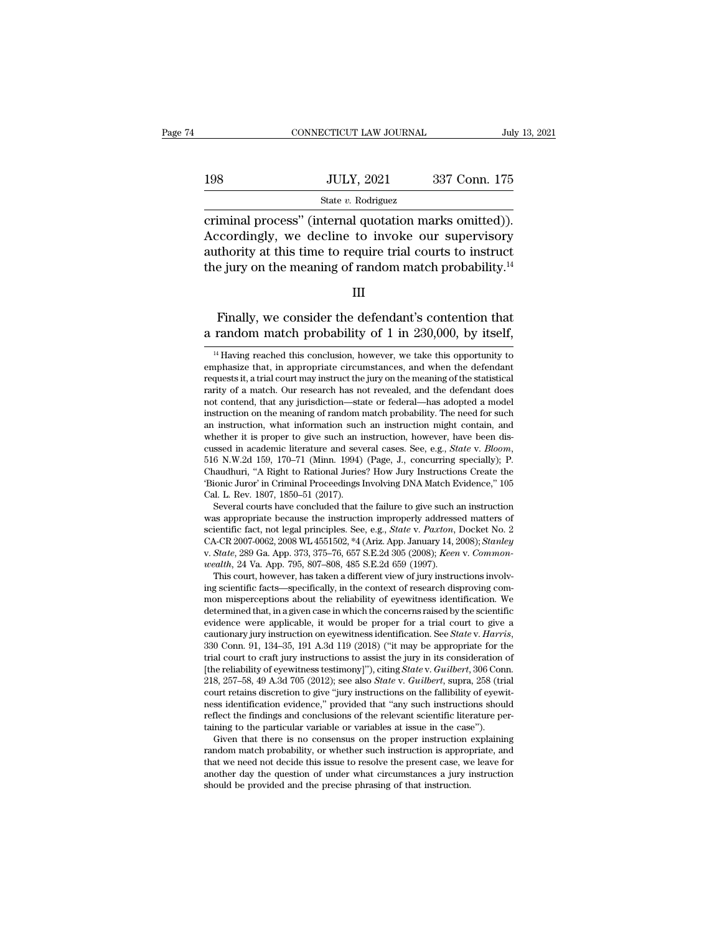|     | CONNECTICUT LAW JOURNAL | July 13, 2021 |
|-----|-------------------------|---------------|
|     |                         |               |
| 198 | <b>JULY, 2021</b>       | 337 Conn. 175 |
|     | State $v$ . Rodriguez   |               |

CONNECTICUT LAW JOURNAL July 13, 2<br>
198 JULY, 2021 337 Conn. 175<br>
State v. Rodriguez<br>
Criminal process'' (internal quotation marks omitted)).<br>
Accordingly, we decline to invoke our supervisory<br>
suthority at this time to re  $\n \begin{array}{cc}\n 198 & \text{JULY, } 2021 & 337 \text{ Conn. } 175 \\
 \hline\n \text{State } v. \text{ Rodriguez} \\
 \hline\n \text{criminal process" (internal quotation marks omitted)). \\
 \text{Accordingly, we decline to invoke our supervisory}\n \text{authority at this time to require trial courts to instruct}\n \text{the iux on the meaning of random match probability.} \n \end{array}$ 198 JULY, 2021 337 Conn. 175<br>
State v. Rodriguez<br>
criminal process" (internal quotation marks omitted)).<br>
Accordingly, we decline to invoke our supervisory<br>
authority at this time to require trial courts to instruct<br>
the 198 JULY, 2021 337 Conn. 175<br>
State v. Rodriguez<br>
criminal process" (internal quotation marks omitted)).<br>
Accordingly, we decline to invoke our supervisory<br>
authority at this time to require trial courts to instruct<br>
the Finally, we decline to invoke our supervisory<br>thority at this time to require trial courts to instruct<br>e jury on the meaning of random match probability.<sup>14</sup><br>III<br>Finally, we consider the defendant's contention that<br>random Accordingly, we decline to invoke our supervisory<br>authority at this time to require trial courts to instruct<br>the jury on the meaning of random match probability.<sup>14</sup><br>III<br>Finally, we consider the defendant's contention tha

### III

516 N.W.2d 159, 170–71 (Minn. 1994) (Page, J., concurring specially); P.<br>Chaudhuri, "A Right to Rational Juries? How Jury Instructions Create the<br>Bionic Juror' in Criminal Proceedings Involving DNA Match Evidence," 105<br>Cal Chaudhur, "A Kight to Kational Juries? How Jury Instructions Create the<br>
"Bionic Juror" in Criminal Proceedings Involving DNA Match Evidence," 105<br>
Cal. L. Rev. 1807, 1850–51 (2017).<br>
Several courts have concluded that the Bionic Juror in Criminal Proceedings Involving DNA Match Evidence," 105<br>Cal. L. Rev. 1807, 1850–51 (2017).<br>Several courts have concluded that the failure to give such an instruction<br>was appropriate because the instruction Cal. L. Rev. 1807, 1850–51 (2017).<br>
Several courts have concluded that the failure to give such a<br>
was appropriate because the instruction improperly addresse<br>
scientific fact, not legal principles. See, e.g., *State* v. Several courts have concluded that the tailure to give such an instruction<br>is appropriate because the instruction improperly addressed matters of<br>ientific fact, not legal principles. See, e.g., *State v. Paxton*, Docket No was appropriate because the instruction improperly addressed matters of scientific fact, not legal principles. See, e.g., *State v. Paxton*, Docket No. 2 CA-CR 2007-0062, 2008 WL 4551502,  $*4$  (Ariz. App. January 14, 2008

scientific facts, not legal principles. See, e.g., *State v. Paxton*, Docket No. 2<br>CA-CR 2007-0062, 2008 WL 4551502, \*4 (Ariz. App. January 14, 2008); *Stanley*<br>v. *State*, 289 Ga. App. 373, 375–76, 657 S.E.2d 305 (2008); CA-CR 2007-0062, 2008 WL 4551502, \*4 (Ariz. App. January 14, 2008); *Stanley* v. *State*, 289 Ga. App. 373, 375–76, 657 S.E.2d 305 (2008); *Keen* v. *Commonwealth*, 24 Va. App. 795, 807–808, 485 S.E.2d 659 (1997). This co v. State, 289 Ga. App. 373, 375–76, 657 S.E.2d 305 (2008); *Keen v. Common-*<br>wealth, 24 Va. App. 795, 807–808, 485 S.E.2d 659 (1997).<br>This court, however, has taken a different view of jury instructions involv-<br>ing scient *cauth*, 24 va. App. 795, 807–808, 485 S.E.2d 659 (1997).<br>
This court, however, has taken a different view of jury instructions involving<br>
imp scientific facts—specifically, in the context of research disproving com-<br>
mon implementary in the context of research disproving common misperceptions about the reliability of eyewitness identification. We determined that, in a given case in which the concerns raised by the scientific evidence were mon misperceptions about the reliability of eyewitness identification. We<br>determined that, in a given case in which the concerns raised by the scientific<br>evidence were applicable, it would be proper for a trial court to gi determined that, in a given case in which the concerns raised by the scientific<br>evidence were applicable, it would be proper for a trial court to give a<br>cautionary jury instruction on eyewitness identification. See *State* evidence were applicable, it would be proper for a trial court to give a<br>cautionary jury instruction on eyewitness identification. See *State* v. *Harris*,<br>330 Conn. 91, 134–35, 191 A.3d 119 (2018) ("it may be appropriate cautionary jury instruction on eyewitness identification. See *State* v. *Harris*, 330 Conn. 91, 134–35, 191 A.3d 119 (2018) ("it may be appropriate for the trial court to craft jury instructions to assist the jury in its 330 Conn. 91, 134–35, 191 A.3d 119 (2018) ("it may be appropriate for the trial court to craft jury instructions to assist the jury in its consideration of [the reliability of eyewitness testimony]"), citing *State v. Gui* trial court to cratt jury instructions to assist the jury in its consideration (<br>fthe reliability of eyewitness testimony]"), citing *State* v. *Guilbert*, 306 Con<br>218, 257–58, 49 A.3d 705 (2012); see also *State* v. *Guil* EVALUATE: The event there is no consensus on the proper instructions,  $\frac{1}{2}$  and  $\frac{1}{2}$  and  $\frac{1}{2}$  and  $\frac{1}{2}$  and  $\frac{1}{2}$  are also *State* v. *Guilbert*, supra, 258 (trial curt retains discretion to give "ju 218, 257–58, 49 A.3d 705 (2012); see also *State v. Guutbert*, supra, 258 (trial<br>court retains discretion to give "jury instructions on the fallibility of eyewit-<br>ness identification evidence," provided that "any such ins

court retains discretion to give "jury instructions on the fallibility of eyewitness identification evidence," provided that "any such instructions should reflect the findings and conclusions of the relevant scientific li ness identification evidence," provided that "any such instructions should<br>reflect the findings and conclusions of the relevant scientific literature per-<br>taining to the particular variable or variables at issue in the cas random match probability, or whether such instruction is appropriate, and

<sup>&</sup>lt;sup>14</sup> Having reached this conclusion, however, we take this opportunity to  $\frac{14}{14}$  Having reached this conclusion, however, we take this opportunity to ophasize that, in appropriate circumstances, and when the defendan Finally, we consider the defendant's contention that<br>a random match probability of 1 in 230,000, by itself,<br> $\frac{14}{4}$  Having reached this conclusion, however, we take this opportunity to<br>emphasize that, in appropriate ci Finally, we consider the defendant's contention that<br>a random match probability of 1 in 230,000, by itself,<br> $\frac{14}{14}$  Having reached this conclusion, however, we take this opportunity to<br>emphasize that, in appropriate c **a random match probability of 1 in 230,000, by itself,**<br>
<sup>14</sup> Having reached this conclusion, however, we take this opportunity to emphasize that, in appropriate circumstances, and when the defendant requests it, a trial  $^{14}$  Having reached this conclusion, however, we take this opportunity to emphasize that, in appropriate circumstances, and when the defendant requests it, a trial court may instruct the jury on the meaning of the stati <sup>14</sup> Having reached this conclusion, however, we take this opportunity to emphasize that, in appropriate circumstances, and when the defendant requests it, a trial court may instruct the jury on the meaning of the statist <sup>a</sup> Having reached this conclusion, however, we take this opportunity to emphasize that, in appropriate circumstances, and when the defendant requests it, a trial court may instruct the jury on the meaning of the statistic not contend, that any jurisdiction—state or federal—has adopted a model instruction on the meaning of random match probability. The need for such an instruction, what information such an instruction might contain, and whe requests it, a trial court may instruct the jury on the meaning of the statistical<br>rarity of a match. Our research has not revealed, and the defendant does<br>not contend, that any jurisdiction—state or federal—has adopted a not contend, that any jurisdiction—state or federal—has adopted a model<br>instruction on the meaning of random match probability. The need for such<br>an instruction, what information such an instruction might contain, and<br>whet mstruction on the meaning of random match probability. The need for such<br>an instruction, what information such an instruction might contain, and<br>whether it is proper to give such an instruction, however, have been dis-<br>cus an instruction, what information such<br>whether it is proper to give such an in<br>cussed in academic literature and seve<br>516 N.W.2d 159, 170–71 (Minn. 1994)<br>Chaudhuri, "A Right to Rational Juries<br>"Bionic Juror" in Criminal Pro nether it is proper to give such an instruction, however, have been dissed in academic literature and several cases. See, e.g., *State v. Bloom*, 6 N.W.2d 159, 170–71 (Minn. 1994) (Page, J., concurring specially); P. aaudh cussed in academic literature and several cases. See, e.g., *State v. Bloom*, 516 N.W.2d 159, 170–71 (Minn. 1994) (Page, J., concurring specially); P. Chaudhuri, "A Right to Rational Juries? How Jury Instructions Create th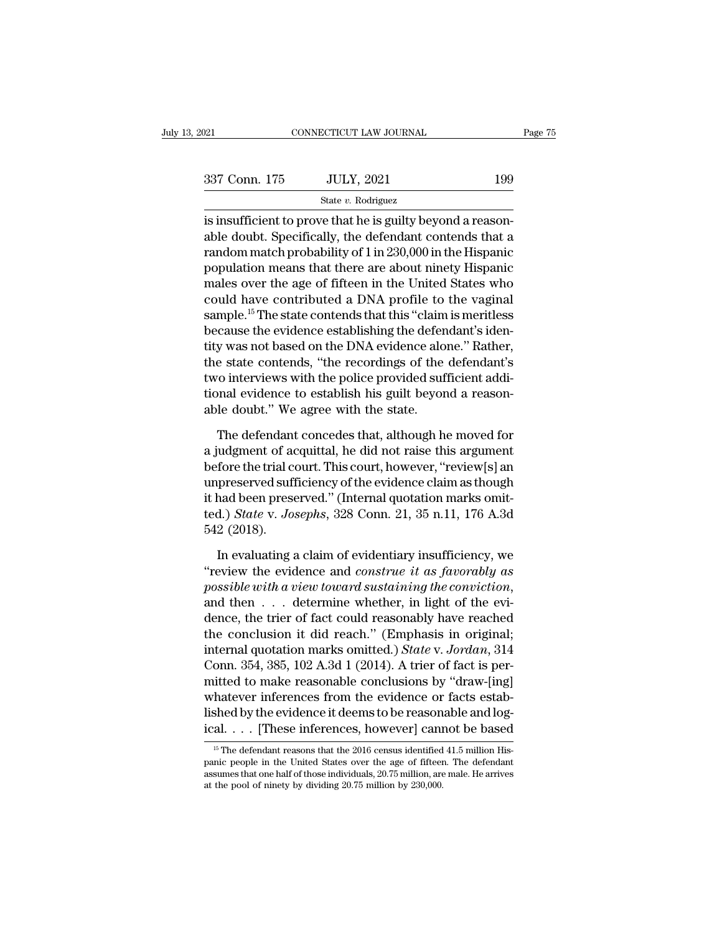| 2021          | CONNECTICUT LAW JOURNAL                                                                                                                                                            | Page 75 |
|---------------|------------------------------------------------------------------------------------------------------------------------------------------------------------------------------------|---------|
|               |                                                                                                                                                                                    |         |
| 337 Conn. 175 | <b>JULY, 2021</b>                                                                                                                                                                  | 199     |
|               | State v. Rodriguez                                                                                                                                                                 |         |
|               | is insufficient to prove that he is guilty beyond a reason-<br>able doubt. Specifically, the defendant contends that a<br>rendom metab probobility of 1 in 990,000 in the Hignesia |         |

337 Conn. 175 JULY, 2021 199<br>
State v. Rodriguez<br>
is insufficient to prove that he is guilty beyond a reason-<br>
able doubt. Specifically, the defendant contends that a<br>
random match probability of 1 in 230,000 in the Hispa 337 Conn. 175 JULY, 2021 199<br>
State v. Rodriguez<br>
is insufficient to prove that he is guilty beyond a reason-<br>
able doubt. Specifically, the defendant contends that a<br>
random match probability of 1 in 230,000 in the Hispa 337 Conn. 175 JULY, 2021 199<br>
State v. Rodriguez<br>
is insufficient to prove that he is guilty beyond a reason-<br>
able doubt. Specifically, the defendant contends that a<br>
random match probability of 1 in 230,000 in the Hispa State v. Rodriguez<br>
is insufficient to prove that he is guilty beyond a reason-<br>
able doubt. Specifically, the defendant contends that a<br>
random match probability of 1 in 230,000 in the Hispanic<br>
population means that the state v. hounging a reason-<br>is insufficient to prove that he is guilty beyond a reason-<br>able doubt. Specifically, the defendant contends that a<br>random match probability of 1 in 230,000 in the Hispanic<br>population means tha is insufficient to prove that he is guilty beyond a reasonable doubt. Specifically, the defendant contends that a random match probability of 1 in 230,000 in the Hispanic population means that there are about ninety Hispa able doubt. Specifically, the defendant contends that a<br>random match probability of 1 in 230,000 in the Hispanic<br>population means that there are about ninety Hispanic<br>males over the age of fifteen in the United States who<br> random match probability of 1 in 230,000 in the Hispanic<br>population means that there are about ninety Hispanic<br>males over the age of fifteen in the United States who<br>could have contributed a DNA profile to the vaginal<br>samp population means that there are about ninety Hispanic<br>males over the age of fifteen in the United States who<br>could have contributed a DNA profile to the vaginal<br>sample.<sup>15</sup> The state contends that this "claim is meritless<br> males over the age of fifteen in the United States who<br>could have contributed a DNA profile to the vaginal<br>sample.<sup>15</sup> The state contends that this "claim is meritless<br>because the evidence establishing the defendant's iden could have contributed a DNA profile to the vaginal<br>sample.<sup>15</sup> The state contends that this "claim is meritless<br>because the evidence establishing the defendant's iden-<br>tity was not based on the DNA evidence alone." Rather sample.<sup>15</sup> The state contends that this "claim<br>because the evidence establishing the defen<br>tity was not based on the DNA evidence alo<br>the state contends, "the recordings of the<br>two interviews with the police provided suf<br> y was not based on the DNA evidence alone." Rather,<br>e state contends, "the recordings of the defendant's<br>ro interviews with the police provided sufficient addi-<br>bedianal evidence to establish his guilt beyond a reason-<br>le the state contends, "the recordings of the defendant's<br>two interviews with the police provided sufficient addi-<br>tional evidence to establish his guilt beyond a reason-<br>able doubt." We agree with the state.<br>The defendant co

two interviews with the police provided sufficient additional evidence to establish his guilt beyond a reason-<br>able doubt." We agree with the state.<br>The defendant concedes that, although he moved for<br>a judgment of acquitta tional evidence to establish his guilt beyond a reason-<br>able doubt." We agree with the state.<br>The defendant concedes that, although he moved for<br>a judgment of acquittal, he did not raise this argument<br>before the trial cou able doubt." We agree with the state.<br>
The defendant concedes that, although he moved for<br>
a judgment of acquittal, he did not raise this argument<br>
before the trial court. This court, however, "review[s] an<br>
unpreserved s The defendant concedes that, although he moved for<br>a judgment of acquittal, he did not raise this argument<br>before the trial court. This court, however, "review[s] an<br>unpreserved sufficiency of the evidence claim as though<br> The defendant<br>a judgment of ace<br>before the trial compreserved suff<br>it had been prese<br>ted.) *State v. Jo.*<br>542 (2018).<br>In evaluating a fore the trial court. This court, however, "review[s] an<br>preserved sufficiency of the evidence claim as though<br>had been preserved." (Internal quotation marks omit-<br>d.) *State* v. Josephs, 328 Conn. 21, 35 n.11, 176 A.3d<br>2 unpreserved sufficiency of the evidence claim as though<br>it had been preserved." (Internal quotation marks omit-<br>ted.) *State v. Josephs*, 328 Conn. 21, 35 n.11, 176 A.3d<br>542 (2018).<br>In evaluating a claim of evidentiary ins

*possible with a view toward sustaining the convicted.) State v. Josephs*, 328 Conn. 21, 35 n.11, 176 A.3d 542 (2018).<br>In evaluating a claim of evidentiary insufficiency, we "review the evidence and *construe it as favorab* 542 (2018).<br>
In evaluating a claim of evidentiary insufficiency, we<br>
"review the evidence and *construe it as favorably as*<br>
possible with a view toward sustaining the conviction,<br>
and then  $\dots$  determine whether, in ligh In evaluating a claim of evidentiary insufficiency, we<br>
"review the evidence and *construe it as favorably as*<br> *possible with a view toward sustaining the conviction*,<br>
and then . . . determine whether, in light of the e In evaluating a claim of evidentiary insufficiency, we<br>
"review the evidence and *construe it as favorably as*<br>
possible with a view toward sustaining the conviction,<br>
and then . . . determine whether, in light of the evi-"review the evidence and *construe it as favorably as*<br>possible with a view toward sustaining the conviction,<br>and then  $\dots$  determine whether, in light of the evi-<br>dence, the trier of fact could reasonably have reached<br>th possible with a view toward sustaining the conviction,<br>and then  $\dots$  determine whether, in light of the evi-<br>dence, the trier of fact could reasonably have reached<br>the conclusion it did reach." (Emphasis in original;<br>inte and then  $\dots$  determine whether, in light of the evidence, the trier of fact could reasonably have reached<br>the conclusion it did reach." (Emphasis in original;<br>internal quotation marks omitted.) *State* v. Jordan, 314<br>Con dence, the trier of fact could reasonably have reached<br>the conclusion it did reach." (Emphasis in original;<br>internal quotation marks omitted.) *State* v. Jordan, 314<br>Conn. 354, 385, 102 A.3d 1 (2014). A trier of fact is pe the conclusion it did reach." (Emphasis in original;<br>internal quotation marks omitted.) *State* v. Jordan, 314<br>Conn. 354, 385, 102 A.3d 1 (2014). A trier of fact is per-<br>mitted to make reasonable conclusions by "draw-[ing 15 Intervalse matrix of the evidence in the evidence or facts established by the evidence it deems to be reasonable and log-<br>16 Shed by the evidence it deems to be reasonable and log-<br>16 Intervalse inferences, however can whatever inferences from the evidence or facts established by the evidence it deems to be reasonable and log-<br>ical. . . . [These inferences, however] cannot be based<br> $\frac{15 \text{ The defendant reasons that the 2016 census identified 41.5 million His-  
panic people in the United States over the age of fifteen. The defendant  
assumes that one half of those$ 

lished by the evidence it deems to be reasonable and log-<br>ical.  $\ldots$  [These inferences, however] cannot be based<br><sup>15</sup> The defendant reasons that the 2016 census identified 41.5 million His-<br>panic people in the United Sta ical.  $\ldots$  [These inferences, however] cannot be based<br>
<sup>15</sup> The defendant reasons that the 2016 census identified 41.5 million Hispanic people in the United States over the age of fifteen. The defendant assumes that one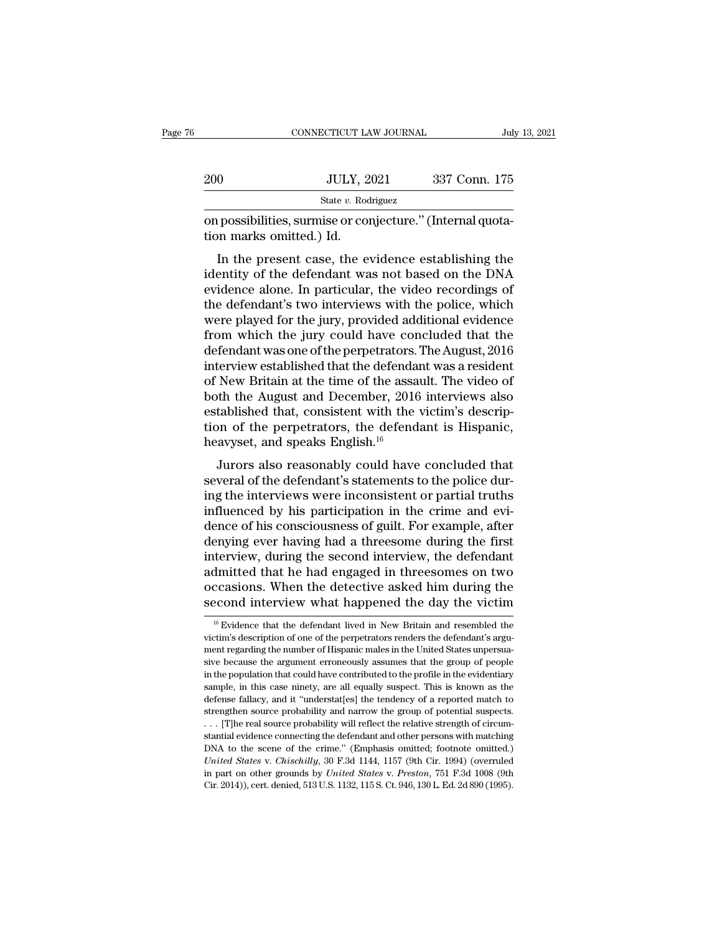|     | CONNECTICUT LAW JOURNAL                                                                | July 13, 2021 |
|-----|----------------------------------------------------------------------------------------|---------------|
|     |                                                                                        |               |
| 200 | <b>JULY, 2021</b>                                                                      | 337 Conn. 175 |
|     | State $v$ . Rodriguez                                                                  |               |
|     | on possibilities, surmise or conjecture." (Internal quota-<br>tion marks omitted.) Id. |               |
|     | In the present case, the evidence establishing the                                     |               |

 $\frac{\text{JULY, 2021}}{\text{State } v. \text{ Rodriguez}}$ <br> **Example 2**<br> **Example 2**<br> **Example 2**<br> **Example 2**<br> **Example 2**<br> **Example 2**<br> **Example 2**<br> **Example 2**<br> **Example 2**<br> **Example 2**<br> **Example 2**<br> **Example 2**<br> **Example 2**<br> **Example 2**<br> **Exampl** 200 JULY, 2021 337 Conn. 175<br>
State v. Rodriguez<br>
on possibilities, surmise or conjecture." (Internal quotation<br>
marks omitted.) Id.<br>
In the present case, the evidence establishing the<br>
identity of the defendant was not b State v. Rodriguez<br>
on possibilities, surmise or conjecture." (Internal quota-<br>
tion marks omitted.) Id.<br>
In the present case, the evidence establishing the<br>
identity of the defendant was not based on the DNA<br>
evidence al on possibilities, surmise or conjecture." (Internal quotation marks omitted.) Id.<br>
In the present case, the evidence establishing the<br>
identity of the defendant was not based on the DNA<br>
evidence alone. In particular, the on possibilities, surface of conjecture. (Internal quotation marks omitted.) Id.<br>
In the present case, the evidence establishing the<br>
identity of the defendant was not based on the DNA<br>
evidence alone. In particular, the v In the present case, the evidence establishing the<br>identity of the defendant was not based on the DNA<br>evidence alone. In particular, the video recordings of<br>the defendant's two interviews with the police, which<br>were played In the present case, the evidence establishing the<br>identity of the defendant was not based on the DNA<br>evidence alone. In particular, the video recordings of<br>the defendant's two interviews with the police, which<br>were played identity of the defendant was not based on the DNA<br>evidence alone. In particular, the video recordings of<br>the defendant's two interviews with the police, which<br>were played for the jury, provided additional evidence<br>from wh evidence alone. In particular, the video recordings of<br>the defendant's two interviews with the police, which<br>were played for the jury, provided additional evidence<br>from which the jury could have concluded that the<br>defendan the defendant's two interviews with the police, which<br>were played for the jury, provided additional evidence<br>from which the jury could have concluded that the<br>defendant was one of the perpetrators. The August, 2016<br>intervi were played for the jury, provided additional evidence<br>from which the jury could have concluded that the<br>defendant was one of the perpetrators. The August, 2016<br>interview established that the defendant was a resident<br>of N from which the jury could have concluded that the<br>defendant was one of the perpetrators. The August, 2016<br>interview established that the defendant was a resident<br>of New Britain at the time of the assault. The video of<br>both defendant was one of the perpetrators.<br>interview established that the defenda<br>of New Britain at the time of the assa<br>both the August and December, 2016<br>established that, consistent with the<br>tion of the perpetrators, the de New Britain at the defendant was a resident<br>New Britain at the time of the assault. The video of<br>th the August and December, 2016 interviews also<br>tablished that, consistent with the victim's descrip-<br>on of the perpetrator of New Britani at the time of the assault. The video of<br>both the August and December, 2016 interviews also<br>established that, consistent with the victim's descrip-<br>tion of the perpetrators, the defendant is Hispanic,<br>heavys

both the August and Becember, 2010 interviews also<br>established that, consistent with the victim's descrip-<br>tion of the perpetrators, the defendant is Hispanic,<br>heavyset, and speaks English.<sup>16</sup><br>Jurors also reasonably could Established that, consistent with the vietnit's descrip-<br>tion of the perpetrators, the defendant is Hispanic,<br>heavyset, and speaks English.<sup>16</sup><br>Jurors also reasonably could have concluded that<br>several of the defendant's st dence of the perpetrators, the detendant is rinspanic,<br>heavyset, and speaks English.<sup>16</sup><br>Jurors also reasonably could have concluded that<br>several of the defendant's statements to the police dur-<br>ing the interviews were inc denyiset, and speaks English.<br>Jurors also reasonably could have concluded that<br>several of the defendant's statements to the police dur-<br>ing the interviews were inconsistent or partial truths<br>influenced by his participation Jurors also reasonably could have concluded that<br>several of the defendant's statements to the police dur-<br>ing the interviews were inconsistent or partial truths<br>influenced by his participation in the crime and evi-<br>dence o several of the defendant's statements to the police during the interviews were inconsistent or partial truths<br>influenced by his participation in the crime and evi-<br>dence of his consciousness of guilt. For example, after<br>de ing the interviews were inconsistent or partial truths<br>influenced by his participation in the crime and evi-<br>dence of his consciousness of guilt. For example, after<br>denying ever having had a threesome during the first<br>inte influenced by his participation in the crime and evi-<br>dence of his consciousness of guilt. For example, after<br>denying ever having had a threesome during the first<br>interview, during the second interview, the defendant<br>admi the defendant dimitted that he had engaged in threesomes on two ccasions. When the detective asked him during the econd interview what happened the day the victim  $\frac{16}{16}$  Evidence that the defendant lived in New Britai admitted that he had engaged in threesomes on two<br>occasions. When the detective asked him during the<br>second interview what happened the day the victim<br><sup>16</sup> Evidence that the defendant lived in New Britain and resembled the

occasions. When the detective asked him during the second interview what happened the day the victim  $\frac{16}{16}$  Evidence that the defendant lived in New Britain and resembled the victim's description of one of the perpet second interview what happened the day the victim<br> $\frac{16}{16}$  Evidence that the defendant lived in New Britain and resembled the<br>victim's description of one of the perpetrators renders the defendant's argument<br>regarding t <sup>16</sup> Evidence that the defendant lived in New Britain and resembled the victim's description of one of the perpetrators renders the defendant's argument regarding the number of Hispanic males in the United States unpersua  $^{16}$  Evidence that the defendant lived in New Britain and resembled the victim's description of one of the perpetrators renders the defendant's argument regarding the number of Hispanic males in the United States unpers victim's description of one of the perpetrators renders the defendant's argument regarding the number of Hispanic males in the United States unpersuasive because the argument erroneously assumes that the group of people in ment regarding the number of Hispanic males in the United States unpersualisive because the argument erroneously assumes that the group of people in the population that could have contributed to the profile in the evidenti sive because the argument erroneously assumes that the group of people<br>in the population that could have contributed to the profile in the evidentiary<br>sample, in this case ninety, are all equally suspect. This is known as in the population that could have contributed to the profile in the evidentiary sample, in this case ninety, are all equally suspect. This is known as the defense fallacy, and it "understat[es] the tendency of a reported sample, in this case ninety, are all equally suspect. This is known as the defense fallacy, and it "understat[es] the tendency of a reported match to strengthen source probability and narrow the group of potential suspect *United States* v. *Chischilly*, 30 F.3d 1144, 1157 (9th Cir. 1994) (9th Darker and States v. *Chischilly* and narrow the group of potential suspects... (T]he real source probability and narrow the group of potential suspe strengthen source probability and narrow the group of potential suspects.<br>
. . . [T]he real source probability will reflect the relative strength of circumstantial evidence connecting the defendant and other persons with m ... [T]he real source probability will reflect the relative strength of circumstantial evidence connecting the defendant and other persons with matching DNA to the scene of the crime." (Emphasis omitted; footnote omitted.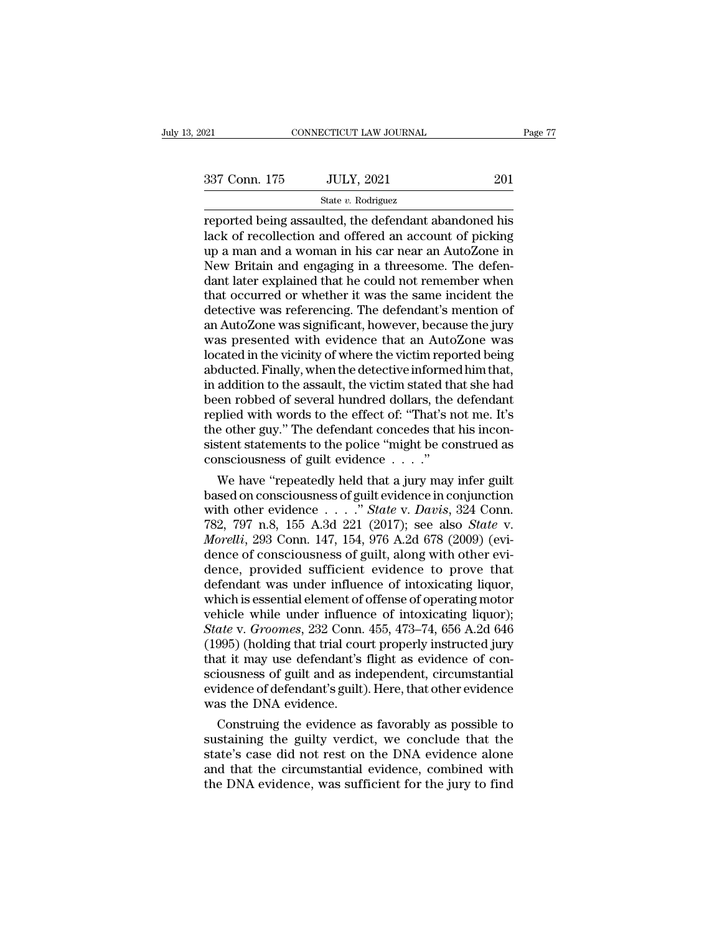reported being assaulted, the defendant abandoned his<br>
and the defendant abandoned his<br>
lack of recollection and offered an account of picking<br>
reported being assaulted, the defendant abandoned his<br>
lack of recollection an  $\begin{array}{r} \text{337 Conn. 175} \quad \text{JULY, 2021} \quad \text{201} \ \text{State } v. \text{ Rodriguez} \ \text{reported being assumed, the defendant abandoned his lack of recollections and offered an account of picking up a man and a woman in his car near an AutoZone in New Britain and engaging in a threesome. The defen-$ 337 Conn. 175 JULY, 2021 201<br>
State v. Rodriguez<br>
reported being assaulted, the defendant abandoned his<br>
lack of recollection and offered an account of picking<br>
up a man and a woman in his car near an AutoZone in<br>
New Bri  $337$  Conn. 175 JULY, 2021 201<br>
State v. Rodriguez<br>
reported being assaulted, the defendant abandoned his<br>
lack of recollection and offered an account of picking<br>
up a man and a woman in his car near an AutoZone in<br>
New B Solution 110 and the v. Rodriguez<br>
State v. Rodriguez<br>
Teported being assaulted, the defendant abandoned his<br>
lack of recollection and offered an account of picking<br>
up a man and a woman in his car near an AutoZone in<br>
Ne State v. Rodriguez<br>
reported being assaulted, the defendant abandoned his<br>
lack of recollection and offered an account of picking<br>
up a man and a woman in his car near an AutoZone in<br>
New Britain and engaging in a threeso reported being assaulted, the defendant abandoned his<br>lack of recollection and offered an account of picking<br>up a man and a woman in his car near an AutoZone in<br>New Britain and engaging in a threesome. The defen-<br>dant late lack of recollection and offered an account of picking<br>up a man and a woman in his car near an AutoZone in<br>New Britain and engaging in a threesome. The defen-<br>dant later explained that he could not remember when<br>that occur up a man and a woman in his car near an AutoZone in<br>New Britain and engaging in a threesome. The defen-<br>dant later explained that he could not remember when<br>that occurred or whether it was the same incident the<br>detective w New Britain and engaging in a threesome. The defendant later explained that he could not remember when that occurred or whether it was the same incident the detective was referencing. The defendant's mention of an AutoZone dant later explained that he could not remember when<br>that occurred or whether it was the same incident the<br>detective was referencing. The defendant's mention of<br>an AutoZone was significant, however, because the jury<br>was pr that occurred or whether it was the same incident the<br>detective was referencing. The defendant's mention of<br>an AutoZone was significant, however, because the jury<br>was presented with evidence that an AutoZone was<br>located in detective was referencing. The defendant's mention of<br>an AutoZone was significant, however, because the jury<br>was presented with evidence that an AutoZone was<br>located in the vicinity of where the victim reported being<br>abduc an AutoZone was significant, however, because the jury<br>was presented with evidence that an AutoZone was<br>located in the vicinity of where the victim reported being<br>abducted. Finally, when the detective informed him that,<br>in was presented with evidence that an AutoZone was<br>located in the vicinity of where the victim reported being<br>abducted. Finally, when the detective informed him that,<br>in addition to the assault, the victim stated that she ha located in the vicinity of where the victim reported being<br>abducted. Finally, when the detective informed him that,<br>in addition to the assault, the victim stated that she had<br>been robbed of several hundred dollars, the def abducted. Finally, when the detective informe<br>in addition to the assault, the victim stated th<br>been robbed of several hundred dollars, the<br>replied with words to the effect of: "That's n<br>the other guy." The defendant conced addition to the assault, the victim stated that she had<br>en robbed of several hundred dollars, the defendant<br>plied with words to the effect of: "That's not me. It's<br>e other guy." The defendant concedes that his incon-<br>sten been robbed of several hundred dollars, the defendant<br>replied with words to the effect of: "That's not me. It's<br>the other guy." The defendant concedes that his incon-<br>sistent statements to the police "might be construed a

replied with words to the effect of: "That's not me. It's<br>the other guy." The defendant concedes that his incon-<br>sistent statements to the police "might be construed as<br>consciousness of guilt evidence . . . ."<br>We have "rep the other guy." The detendant concedes that his inconsistent statements to the police "might be construed as<br>consciousness of guilt evidence . . . ."<br>We have "repeatedly held that a jury may infer guilt<br>based on consciousn sistent statements to the police "might be construed as<br>
consciousness of guilt evidence . . . ."<br> *We have "repeatedly held that a jury may infer guilt*<br>
based on consciousness of guilt evidence in conjunction<br>
with other consciousness of guilt evidence  $\dots$  . . . ."<br>We have "repeatedly held that a jury may infer guilt<br>based on consciousness of guilt evidence in conjunction<br>with other evidence  $\dots$ . . . ." State v. Davis, 324 Conn.<br>782, 79 We have "repeatedly held that a jury may infer guilt<br>based on consciousness of guilt evidence in conjunction<br>with other evidence  $\ldots$ ." State v. Davis, 324 Conn.<br>782, 797 n.8, 155 A.3d 221 (2017); see also *State* v.<br>*Mo* based on consciousness of guilt evidence in conjunction<br>with other evidence  $\ldots$ ." State v. Davis, 324 Conn.<br>782, 797 n.8, 155 A.3d 221 (2017); see also *State* v.<br>*Morelli*, 293 Conn. 147, 154, 976 A.2d 678 (2009) (eviwith other evidence  $\dots$  of State v. Davis, 324 Conn.<br>
782, 797 n.8, 155 A.3d 221 (2017); see also State v.<br> *Morelli*, 293 Conn. 147, 154, 976 A.2d 678 (2009) (evidence of consciousness of guilt, along with other evidenc 782, 797 n.8, 155 A.3d 221 (2017); see also *State* v.<br>Morelli, 293 Conn. 147, 154, 976 A.2d 678 (2009) (evi-<br>dence of consciousness of guilt, along with other evi-<br>dence, provided sufficient evidence to prove that<br>defend *Morelli*, 293 Conn. 147, 154, 976 A.2d 678 (2009) (evidence of consciousness of guilt, along with other evidence, provided sufficient evidence to prove that defendant was under influence of intoxicating liquor, which is e dence of consciousness of guilt, along with other evidence, provided sufficient evidence to prove that<br>defendant was under influence of intoxicating liquor,<br>which is essential element of offense of operating motor<br>vehicle dence, provided sufficient evidence to prove that<br>defendant was under influence of intoxicating liquor,<br>which is essential element of offense of operating motor<br>vehicle while under influence of intoxicating liquor);<br>*State* defendant was under influence of intoxicating liquor,<br>which is essential element of offense of operating motor<br>vehicle while under influence of intoxicating liquor);<br>State v. Groomes, 232 Conn. 455, 473–74, 656 A.2d 646<br>(1 which is essential element of offense of operating motor<br>vehicle while under influence of intoxicating liquor);<br>State v. Groomes, 232 Conn. 455, 473–74, 656 A.2d 646<br>(1995) (holding that trial court properly instructed jur vehicle while under influenof<br>State v. Groomes, 232 Conn.<br>(1995) (holding that trial cou<br>that it may use defendant's<br>sciousness of guilt and as inevidence of defendant's guilt)<br>was the DNA evidence.<br>Construing the evidence ate v. Groomes, 232 Conn. 455, 473–74, 656 A.2d 646<br>995) (holding that trial court properly instructed jury<br>at it may use defendant's flight as evidence of con-<br>iousness of guilt and as independent, circumstantial<br>idence o (1995) (holding that trial court properly instructed jury<br>that it may use defendant's flight as evidence of con-<br>sciousness of guilt and as independent, circumstantial<br>evidence of defendant's guilt). Here, that other evide

that it may use defendant's flight as evidence of consciousness of guilt and as independent, circumstantial<br>evidence of defendant's guilt). Here, that other evidence<br>was the DNA evidence.<br>Construing the evidence as favorab sciousness of guilt and as independent, circumstantial<br>evidence of defendant's guilt). Here, that other evidence<br>was the DNA evidence.<br>Construing the evidence as favorably as possible to<br>sustaining the guilty verdict, we c evidence of defendant's guilt). Here, that other evidence<br>was the DNA evidence.<br>Construing the evidence as favorably as possible to<br>sustaining the guilty verdict, we conclude that the<br>state's case did not rest on the DNA e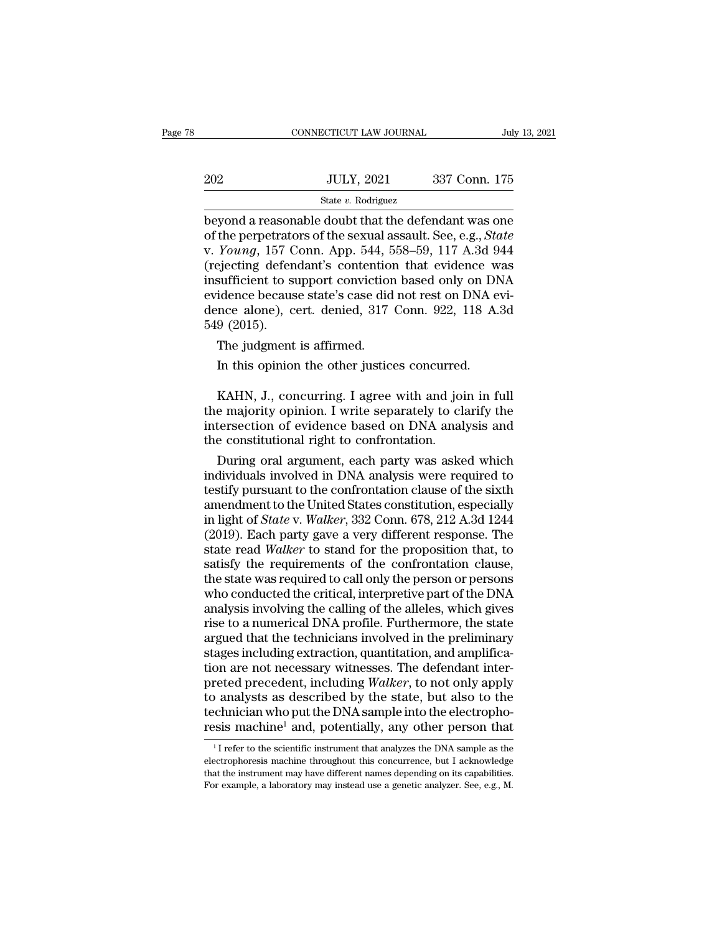|     | CONNECTICUT LAW JOURNAL | July 13, 2021 |  |
|-----|-------------------------|---------------|--|
|     |                         |               |  |
| 202 | <b>JULY, 2021</b>       | 337 Conn. 175 |  |
|     | State v. Rodriguez      |               |  |

CONNECTICUT LAW JOURNAL July 13, 2021<br>
202 JULY, 2021 337 Conn. 175<br>
State v. Rodriguez<br>
beyond a reasonable doubt that the defendant was one<br>
of the perpetrators of the sexual assault. See, e.g., *State*<br>
v. *Young* 157 C of the perpetrators of the sexual assault. See, e.g., *State*<br>
of the perpetrators of the sexual assault. See, e.g., *State*<br>
v. *Young*, 157 Conn. App. 544, 558–59, 117 A.3d 944<br>
(rejecting defendant's contention that evi VOCAL 2021 337 Conn. 175<br> *State v. Rodriguez*<br>
beyond a reasonable doubt that the defendant was one<br>
of the perpetrators of the sexual assault. See, e.g., *State*<br>
v. *Young*, 157 Conn. App. 544, 558–59, 117 A.3d 944<br>
(re 202 JULY, 2021 337 Conn. 175<br>
State v. Rodriguez<br>
beyond a reasonable doubt that the defendant was one<br>
of the perpetrators of the sexual assault. See, e.g., *State*<br>
v. *Young*, 157 Conn. App. 544, 558–59, 117 A.3d 944<br> State v. Rodriguez<br>
State v. Rodriguez<br>
beyond a reasonable doubt that the defendant was one<br>
of the perpetrators of the sexual assault. See, e.g., *State*<br>
v. *Young*, 157 Conn. App. 544, 558–59, 117 A.3d 944<br>
(rejecting State v. Rodriguez<br>beyond a reasonable doubt that the defendant was one<br>of the perpetrators of the sexual assault. See, e.g., *State*<br>v. *Young*, 157 Conn. App. 544, 558–59, 117 A.3d 944<br>(rejecting defendant's contention beyond a reasonable doubt that the defendant was one<br>of the perpetrators of the sexual assault. See, e.g., *State*<br>v. *Young*, 157 Conn. App. 544, 558–59, 117 A.3d 944<br>(rejecting defendant's contention that evidence was<br>in of the perpetratc<br>v. *Young*, 157 C<br>(rejecting defen<br>insufficient to s<br>evidence becaus<br>dence alone), c<br>549 (2015).<br>The judgment Young, 157 Conn. App. 544, 5<br>
ejecting defendant's contention<br>
sufficient to support conviction<br>
idence because state's case did<br>
nce alone), cert. denied, 317<br>
9 (2015).<br>
The judgment is affirmed.<br>
In this opinion the ot sufficient to support conviction based only on Didence because state's case did not rest on DNA e<br>nce alone), cert. denied, 317 Conn. 922, 118 A.<br>9 (2015).<br>The judgment is affirmed.<br>In this opinion the other justices concu

Reflective because state 5 class and not rest on DTM eVideo<br>
mee alone), cert. denied, 317 Conn. 922, 118 A.3d<br>
9 (2015).<br>
The judgment is affirmed.<br>
In this opinion the other justices concurred.<br>
KAHN, J., concurring. I a the majority, each defined.<br>The judgment is affirmed.<br>In this opinion the other justices concurred.<br>KAHN, J., concurring. I agree with and join in full<br>the majority opinion. I write separately to clarify the<br>intersection o In this opinion the other justices concurred.<br>
In this opinion the other justices concurred.<br>
KAHN, J., concurring. I agree with and join in full<br>
the majority opinion. I write separately to clarify the<br>
intersection of ev The judgment is affirmed.<br>In this opinion the other justices concurred<br>KAHN, J., concurring. I agree with and joi<br>the majority opinion. I write separately to cl<br>intersection of evidence based on DNA anal<br>the constitutional In this opinion the other justices concurred.<br>KAHN, J., concurring. I agree with and join in full<br>e majority opinion. I write separately to clarify the<br>tersection of evidence based on DNA analysis and<br>e constitutional righ KAHN, J., concurring. I agree with and join in full<br>the majority opinion. I write separately to clarify the<br>intersection of evidence based on DNA analysis and<br>the constitutional right to confrontation.<br>During oral argument

KAHN, J., concurring. I agree with and join in full<br>the majority opinion. I write separately to clarify the<br>intersection of evidence based on DNA analysis and<br>the constitutional right to confrontation.<br>During oral argumen the majority opinion. I write separately to clarify the<br>intersection of evidence based on DNA analysis and<br>the constitutional right to confrontation.<br>During oral argument, each party was asked which<br>individuals involved in intersection of evidence based on DNA analysis and<br>the constitutional right to confrontation.<br>During oral argument, each party was asked which<br>individuals involved in DNA analysis were required to<br>testify pursuant to the c the constitutional right to confrontation.<br>
During oral argument, each party was asked which<br>
individuals involved in DNA analysis were required to<br>
testify pursuant to the confrontation clause of the sixth<br>
amendment to t During oral argument, each party was asked which<br>individuals involved in DNA analysis were required to<br>testify pursuant to the confrontation clause of the sixth<br>amendment to the United States constitution, especially<br>in li individuals involved in DNA analysis were required to<br>testify pursuant to the confrontation clause of the sixth<br>amendment to the United States constitution, especially<br>in light of *State* v. *Walker*, 332 Conn. 678, 212 A. testify pursuant to the confrontation clause of the sixth<br>amendment to the United States constitution, especially<br>in light of *State* v. Walker, 332 Conn. 678, 212 A.3d 1244<br>(2019). Each party gave a very different respons amendment to the United States constitution, especially<br>in light of *State* v. *Walker*, 332 Conn. 678, 212 A.3d 1244<br>(2019). Each party gave a very different response. The<br>state read *Walker* to stand for the proposition in light of *State* v. *Walker*, 332 Conn. 678, 212 A.3d 1244 (2019). Each party gave a very different response. The state read *Walker* to stand for the proposition that, to satisfy the requirements of the confrontation c (2019). Each party gave a very different response. The state read *Walker* to stand for the proposition that, to satisfy the requirements of the confrontation clause, the state was required to call only the person or pers state read *Walker* to stand for the proposition that, to<br>satisfy the requirements of the confrontation clause,<br>the state was required to call only the person or persons<br>who conducted the critical, interpretive part of the satisfy the requirements of the confrontation clause,<br>the state was required to call only the person or persons<br>who conducted the critical, interpretive part of the DNA<br>analysis involving the calling of the alleles, which the state was required to call only the person or persons<br>who conducted the critical, interpretive part of the DNA<br>analysis involving the calling of the alleles, which gives<br>rise to a numerical DNA profile. Furthermore, th who conducted the critical, interpretive part of the DNA<br>analysis involving the calling of the alleles, which gives<br>rise to a numerical DNA profile. Furthermore, the state<br>argued that the technicians involved in the prelim analysis involving the calling of the alleles, which gives<br>rise to a numerical DNA profile. Furthermore, the state<br>argued that the technicians involved in the preliminary<br>stages including extraction, quantitation, and ampl rise to a numerical DNA profile. Furthermore, the state<br>argued that the technicians involved in the preliminary<br>stages including extraction, quantitation, and amplifica-<br>tion are not necessary witnesses. The defendant inte argued that the technicians involved in the preliminary<br>stages including extraction, quantitation, and amplifica-<br>tion are not necessary witnesses. The defendant inter-<br>preted precedent, including *Walker*, to not only ap reted precedent, including *Walker*, to not only apply<br>to analysts as described by the state, but also to the<br>chnician who put the DNA sample into the electropho-<br>sis machine<sup>1</sup> and, potentially, any other person that<br> $\frac$ to analysts as described by the state, but also to the technician who put the DNA sample into the electrophoresis machine<sup>1</sup> and, potentially, any other person that  $\frac{1}{1}$  refer to the scientific instrument that analyz resis machine<sup>1</sup> and, potentially, any other person that

technician who put the DNA sample into the electrophoresis machine<sup>1</sup> and, potentially, any other person that  $\frac{1}{1}$  refer to the scientific instrument that analyzes the DNA sample as the electrophoresis machine throug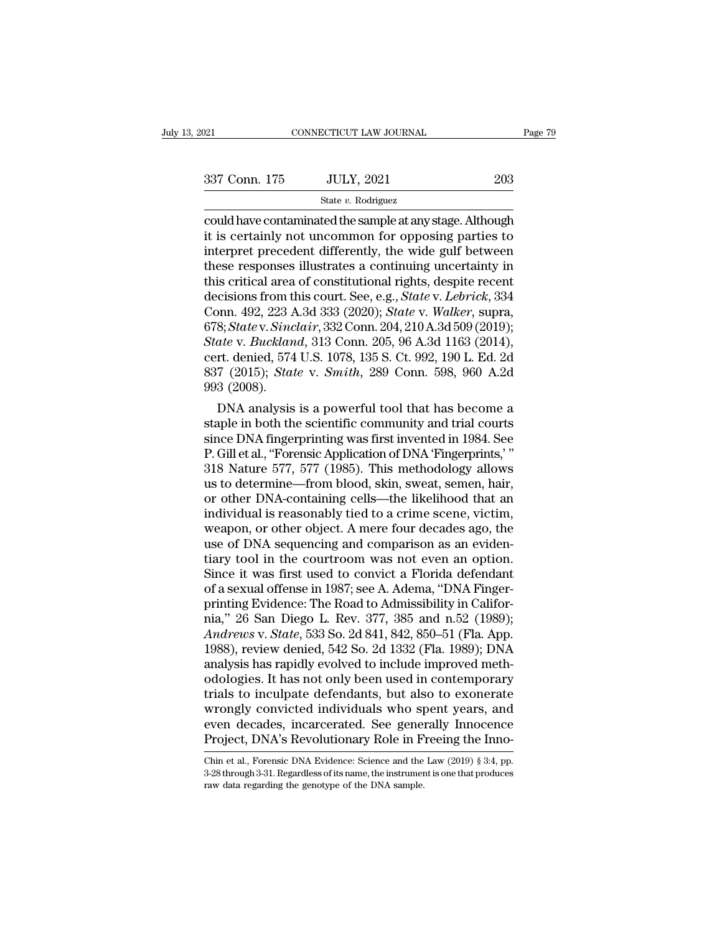connecticut LAW JOURNAL Page 79<br>
337 Conn. 175 JULY, 2021 203<br>  $\frac{\text{State } v. \text{ Rodriguez}}{\text{State } v. \text{ Rodriguez}}$ <br>
could have contaminated the sample at any stage. Although<br>
it is certainly not uncommon for opposing parties to  $\begin{array}{r} \text{337 Conn. } 175 \text{ } \text{JULY, } 2021 \text{ } \text{203} \\ \text{State } v. \text{ Rodriguez} \\ \text{could have contaminated the sample at any stage. Although it is certainly not uncommon for opposing parties to interpret precedent differently, the wide gulf between these responses illustrates a continuing uncertainty in the other hand, and the other hand, the effect is not a significant difference.} \end{array}$  $\frac{337 \text{ Conn. } 175 \qquad \text{JULY, } 2021 \qquad \text{203}}{\text{State } v. \text{ Rodriguez}}$ <br>
could have contaminated the sample at any stage. Although<br>
it is certainly not uncommon for opposing parties to<br>
interpret precedent differently, the wide gulf be 337 Conn. 175 JULY, 2021 203<br>
State v. Rodriguez<br>
could have contaminated the sample at any stage. Although<br>
it is certainly not uncommon for opposing parties to<br>
interpret precedent differently, the wide gulf between<br>
th Solutional State v. Rodriguez<br>
could have contaminated the sample at any stage. Although<br>
it is certainly not uncommon for opposing parties to<br>
interpret precedent differently, the wide gulf between<br>
these responses illus state *v*. Rodriguez<br>
could have contaminated the sample at any stage. Although<br>
it is certainly not uncommon for opposing parties to<br>
interpret precedent differently, the wide gulf between<br>
these responses illustrates a c could have contaminated the sample at any stage. Although<br>it is certainly not uncommon for opposing parties to<br>interpret precedent differently, the wide gulf between<br>these responses illustrates a continuing uncertainty in<br> it is certainly not uncommon for opposing parties to<br>interpret precedent differently, the wide gulf between<br>these responses illustrates a continuing uncertainty in<br>this critical area of constitutional rights, despite recen interpret precedent differently, the wide gulf between<br>these responses illustrates a continuing uncertainty in<br>this critical area of constitutional rights, despite recent<br>decisions from this court. See, e.g., *State* v. *L* these responses illustrates a continuing uncertainty in<br>this critical area of constitutional rights, despite recent<br>decisions from this court. See, e.g., *State* v. *Lebrick*, 334<br>Conn. 492, 223 A.3d 333 (2020); *State* v. this critical area of constitutional rights, despite recent<br>decisions from this court. See, e.g., *State* v. *Lebrick*, 334<br>Conn. 492, 223 A.3d 333 (2020); *State* v. *Walker*, supra,<br>678; *State* v. *Sinclair*, 332 Conn. decisions from this court. See, e.g., *State v. Lebrick*, 334<br>Conn. 492, 223 A.3d 333 (2020); *State v. Walker*, supra,<br>678; *State v. Sinclair*, 332 Conn. 204, 210 A.3d 509 (2019);<br>*State v. Buckland*, 313 Conn. 205, 96 bin. 492, 223 A.3d 333 (2020); State v. Watker, supra,<br>8; State v. Sinclair, 332 Conn. 204, 210 A.3d 509 (2019);<br>ate v. Buckland, 313 Conn. 205, 96 A.3d 1163 (2014),<br>rt. denied, 574 U.S. 1078, 135 S. Ct. 992, 190 L. Ed. 2  $678$ ; State v. Smctarr, 332 Conn. 204, 210 A.3d 509 (2019);<br> *State v. Buckland*, 313 Conn. 205, 96 A.3d 1163 (2014),<br>
cert. denied, 574 U.S. 1078, 135 S. Ct. 992, 190 L. Ed. 2d<br>
837 (2015); *State v. Smith*, 289 Conn. 5

State v. Bucklana, 313 Conn. 205, 96 A.3d 1163 (2014),<br>cert. denied, 574 U.S. 1078, 135 S. Ct. 992, 190 L. Ed. 2d<br>837 (2015); *State v. Smith*, 289 Conn. 598, 960 A.2d<br>993 (2008).<br>DNA analysis is a powerful tool that has b cert. denied, 574 U.S. 1078, 135 S. Ct. 992, 190 L. Ed. 2d<br>837 (2015); *State* v. *Smith*, 289 Conn. 598, 960 A.2d<br>993 (2008).<br>DNA analysis is a powerful tool that has become a<br>staple in both the scientific community and t 837 (2015); *State v. Smith*, 289 Conn. 598, 960 A.2d<br>993 (2008).<br>DNA analysis is a powerful tool that has become a<br>staple in both the scientific community and trial courts<br>since DNA fingerprinting was first invented in 19 993 (2008).<br>
DNA analysis is a powerful tool that has become a<br>
staple in both the scientific community and trial courts<br>
since DNA fingerprinting was first invented in 1984. See<br>
P. Gill et al., "Forensic Application of D DNA analysis is a powerful tool that has become a<br>staple in both the scientific community and trial courts<br>since DNA fingerprinting was first invented in 1984. See<br>P. Gill et al., "Forensic Application of DNA 'Fingerprints staple in both the scientific community and trial courts<br>since DNA fingerprinting was first invented in 1984. See<br>P. Gill et al., "Forensic Application of DNA 'Fingerprints,' "<br>318 Nature 577, 577 (1985). This methodology since DNA fingerprinting was first invented in 1984. See<br>P. Gill et al., "Forensic Application of DNA 'Fingerprints,' "<br>318 Nature 577, 577 (1985). This methodology allows<br>us to determine—from blood, skin, sweat, semen, ha P. Gill et al., "Forensic Application of DNA 'Fingerprints,' "<br>318 Nature 577, 577 (1985). This methodology allows<br>us to determine—from blood, skin, sweat, semen, hair,<br>or other DNA-containing cells—the likelihood that an<br> 318 Nature 577, 577 (1985). This methodology allows<br>us to determine—from blood, skin, sweat, semen, hair,<br>or other DNA-containing cells—the likelihood that an<br>individual is reasonably tied to a crime scene, victim,<br>weapon, us to determine—from blood, skin, sweat, semen, hair,<br>or other DNA-containing cells—the likelihood that an<br>individual is reasonably tied to a crime scene, victim,<br>weapon, or other object. A mere four decades ago, the<br>use o or other DNA-containing cells—the likelihood that an individual is reasonably tied to a crime scene, victim, weapon, or other object. A mere four decades ago, the use of DNA sequencing and comparison as an evidentiary tool individual is reasonably tied to a crime scene, victim, weapon, or other object. A mere four decades ago, the use of DNA sequencing and comparison as an evidentiary tool in the courtroom was not even an option. Since it wa weapon, or other object. A mere four decades ago, the<br>use of DNA sequencing and comparison as an eviden-<br>tiary tool in the courtroom was not even an option.<br>Since it was first used to convict a Florida defendant<br>of a sexua use of DNA sequencing and comparison as an evidentiary tool in the courtroom was not even an option.<br>Since it was first used to convict a Florida defendant<br>of a sexual offense in 1987; see A. Adema, "DNA Finger-<br>printing E tiary tool in the courtroom was not even an option.<br>Since it was first used to convict a Florida defendant<br>of a sexual offense in 1987; see A. Adema, "DNA Finger-<br>printing Evidence: The Road to Admissibility in Califor-<br>ni Since it was first used to convict a Florida defendant<br>of a sexual offense in 1987; see A. Adema, "DNA Finger-<br>printing Evidence: The Road to Admissibility in Califor-<br>nia," 26 San Diego L. Rev. 377, 385 and n.52 (1989);<br> of a sexual offense in 1987; see A. Adema, "DNA Finger-<br>printing Evidence: The Road to Admissibility in Califor-<br>nia," 26 San Diego L. Rev. 377, 385 and n.52 (1989);<br>*Andrews v. State*, 533 So. 2d 841, 842, 850–51 (Fla. Ap printing Evidence: The Road to Admissibility in California," 26 San Diego L. Rev. 377, 385 and n.52 (1989);<br>Andrews v. State, 533 So. 2d 841, 842, 850–51 (Fla. App.<br>1988), review denied, 542 So. 2d 1332 (Fla. 1989); DNA<br>an nia," 26 San Diego L. Rev. 377, 385 and n.52 (1989);<br>Andrews v. State, 533 So. 2d 841, 842, 850–51 (Fla. App.<br>1988), review denied, 542 So. 2d 1332 (Fla. 1989); DNA<br>analysis has rapidly evolved to include improved meth-<br>od Andrews v. State, 533 So. 2d 841, 842, 850–51 (Fla. App. 1988), review denied, 542 So. 2d 1332 (Fla. 1989); DNA<br>analysis has rapidly evolved to include improved meth-<br>odologies. It has not only been used in contemporary<br>tr 1988), review denied, 542 So. 2d 1332 (Fla. 1989); DNA analysis has rapidly evolved to include improved methodologies. It has not only been used in contemporary trials to inculpate defendants, but also to exonerate wrongl trials to inculpate defendants, but also to exonerate<br>wrongly convicted individuals who spent years, and<br>even decades, incarcerated. See generally Innocence<br>Project, DNA's Revolutionary Role in Freeing the Inno-<br>Chin et al wrongly convicted individuals who spent years, and<br>even decades, incarcerated. See generally Innocence<br>Project, DNA's Revolutionary Role in Freeing the Inno-<br>Chin et al., Forensic DNA Evidence: Science and the Law (2019) §

even decades, incarcerated. See gene:<br>Project, DNA's Revolutionary Role in F<br>Chin et al., Forensic DNA Evidence: Science and the<br>3-28 through 3-31. Regardless of its name, the instrumer<br>raw data regarding the genotype of t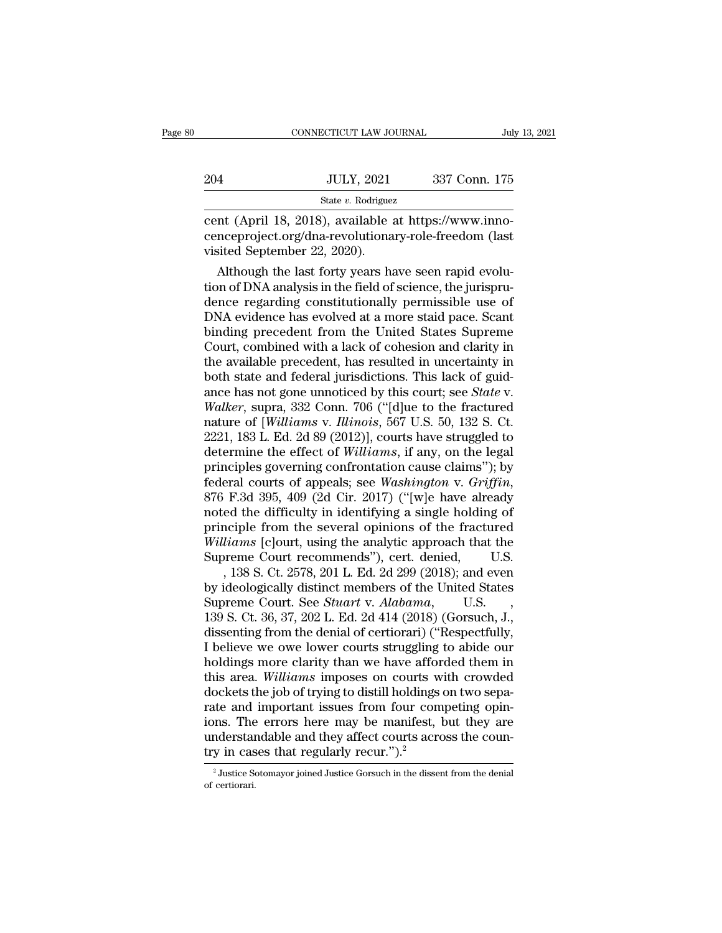|     | CONNECTICUT LAW JOURNAL | July 13, 2021 |
|-----|-------------------------|---------------|
| 204 | <b>JULY, 2021</b>       | 337 Conn. 175 |
|     | State v. Rodriguez      |               |

connectricut LAW JOURNAL<br>
204 JULY, 2021 337 Conn. 175<br>
<sup>204</sup> State v. Rodriguez<br>
cent (April 18, 2018), available at https://www.inno-<br>
cenceproject.org/dna-revolutionary-role-freedom (last<br>
visited Sontomber 22, 2020) 204 JULY, 2021 337 Conn. 175<br>
State v. Rodriguez<br>
Cent (April 18, 2018), available at https://www.inno-<br>
cenceproject.org/dna-revolutionary-role-freedom (last<br>
visited September 22, 2020). 204 JULY, 2021<br>
State v. Rodriguez<br>
cent (April 18, 2018), available :<br>
cenceproject.org/dna-revolutiona<br>
visited September 22, 2020).<br>
Although the last forty years ha  $\frac{\text{JULY, 2021}}{\text{State } v. \text{ Rodriguez}}$ <br>
nt (April 18, 2018), available at https://www.inno-<br>
nceproject.org/dna-revolutionary-role-freedom (last<br>
sited September 22, 2020).<br>
Although the last forty years have seen rapid evolu-<br>

State v. Rodriguez<br>
cent (April 18, 2018), available at https://www.inno-<br>
cenceproject.org/dna-revolutionary-role-freedom (last<br>
visited September 22, 2020).<br>
Although the last forty years have seen rapid evolu-<br>
tion of cent (April 18, 2018), available at https://www.inno-<br>cenceproject.org/dna-revolutionary-role-freedom (last<br>visited September 22, 2020).<br>Although the last forty years have seen rapid evolu-<br>tion of DNA analysis in the fiel cent (April 18, 2018), available at https://www.nno-<br>cenceproject.org/dna-revolutionary-role-freedom (last<br>visited September 22, 2020).<br>Although the last forty years have seen rapid evolu-<br>tion of DNA analysis in the field cenceproject.org/dna-revolutionary-role-freedom (last<br>visited September 22, 2020).<br>Although the last forty years have seen rapid evolu-<br>tion of DNA analysis in the field of science, the jurispru-<br>dence regarding constituti visited September 22, 2020).<br>
Although the last forty years have seen rapid evolution of DNA analysis in the field of science, the jurispru-<br>
dence regarding constitutionally permissible use of<br>
DNA evidence has evolved at Although the last forty years have seen rapid evolution of DNA analysis in the field of science, the jurispru-<br>dence regarding constitutionally permissible use of<br>DNA evidence has evolved at a more staid pace. Scant<br>bindin tion of DNA analysis in the field of science, the jurispru-<br>dence regarding constitutionally permissible use of<br>DNA evidence has evolved at a more staid pace. Scant<br>binding precedent from the United States Supreme<br>Court, c dence regarding constitutionally permissible use of<br>DNA evidence has evolved at a more staid pace. Scant<br>binding precedent from the United States Supreme<br>Court, combined with a lack of cohesion and clarity in<br>the available DNA evidence has evolved at a more staid pace. Scant<br>binding precedent from the United States Supreme<br>Court, combined with a lack of cohesion and clarity in<br>the available precedent, has resulted in uncertainty in<br>both stat binding precedent from the United States Supreme<br>Court, combined with a lack of cohesion and clarity in<br>the available precedent, has resulted in uncertainty in<br>both state and federal jurisdictions. This lack of guid-<br>ance Court, combined with a lack of cohesion and clarity in<br>the available precedent, has resulted in uncertainty in<br>both state and federal jurisdictions. This lack of guid-<br>ance has not gone unnoticed by this court; see *State* the available precedent, has resulted in uncertainty in<br>both state and federal jurisdictions. This lack of guid-<br>ance has not gone unnoticed by this court; see *State v*.<br>Walker, supra, 332 Conn. 706 ("[d]ue to the fractur both state and federal jurisdictions. This lack of guid-<br>ance has not gone unnoticed by this court; see *State* v.<br>Walker, supra, 332 Conn. 706 ("[d]ue to the fractured<br>nature of [Williams v. Illinois, 567 U.S. 50, 132 S. ance has not gone unnoticed by this court; see *State v.*<br> *Walker*, supra, 332 Conn. 706 ("[d]ue to the fractured<br>
nature of [*Williams v. Illinois*, 567 U.S. 50, 132 S. Ct.<br>
2221, 183 L. Ed. 2d 89 (2012)], courts have st nature of [*Williams v. Illinois*, 567 U.S. 50, 132 S. Ct.<br>2221, 183 L. Ed. 2d 89 (2012)], courts have struggled to<br>determine the effect of *Williams*, if any, on the legal<br>principles governing confrontation cause claims") 2221, 183 L. Ed. 2d 89 (2012)], courts have struggled to<br>determine the effect of *Williams*, if any, on the legal<br>principles governing confrontation cause claims"); by<br>federal courts of appeals; see *Washington* v. *Griffi* determine the effect of *Williams*, if any, on the legal<br>principles governing confrontation cause claims"); by<br>federal courts of appeals; see *Washington v. Griffin*,<br>876 F.3d 395, 409 (2d Cir. 2017) ("[w]e have already<br>no principles governing confrontation cause claims"); by<br>federal courts of appeals; see *Washington* v. *Griffin*,<br>876 F.3d 395, 409 (2d Cir. 2017) ("[w]e have already<br>noted the difficulty in identifying a single holding of<br>p eral courts of appeals; see *Washington* v. *Griffin*,<br>F.3d 395, 409 (2d Cir. 2017) ("[w]e have already<br>ed the difficulty in identifying a single holding of<br>nciple from the several opinions of the fractured<br>*liams* [c]ourt 876 F.3d 395, 409 (2d Cir. 2017) ("[w]e have already<br>noted the difficulty in identifying a single holding of<br>principle from the several opinions of the fractured<br>Williams [c]ourt, using the analytic approach that the<br>Supr

noted the difficulty in identifying a single holding of<br>principle from the several opinions of the fractured<br>Williams [c]ourt, using the analytic approach that the<br>Supreme Court recommends"), cert. denied, U.S.<br>, 138 S. Ct principle from the several opinions of the fractured<br>Williams [c]ourt, using the analytic approach that the<br>Supreme Court recommends"), cert. denied, U.S.<br>, 138 S. Ct. 2578, 201 L. Ed. 2d 299 (2018); and even<br>by ideologica Williams [c]ourt, using the analytic approach that the<br>Supreme Court recommends"), cert. denied, U.S.<br>, 138 S. Ct. 2578, 201 L. Ed. 2d 299 (2018); and even<br>by ideologically distinct members of the United States<br>Supreme Cou Supreme Court recommends"), cert. denied, U.S.<br>, 138 S. Ct. 2578, 201 L. Ed. 2d 299 (2018); and even<br>by ideologically distinct members of the United States<br>Supreme Court. See *Stuart v. Alabama*, U.S.<br>, 139 S. Ct. 36, 37, , 138 S. Ct. 2578, 201 L. Ed. 2d 299 (2018); and even<br>by ideologically distinct members of the United States<br>Supreme Court. See *Stuart* v. Alabama, U.S. ,<br>139 S. Ct. 36, 37, 202 L. Ed. 2d 414 (2018) (Gorsuch, J.,<br>dissent by ideologically distinct members of the United States<br>
Supreme Court. See *Stuart v. Alabama*, U.S.<br>
139 S. Ct. 36, 37, 202 L. Ed. 2d 414 (2018) (Gorsuch, J.,<br>
dissenting from the denial of certiorari) ("Respectfully,<br>
I Supreme Court. See *Stuart* v. Alabama, U.S. , 139 S. Ct. 36, 37, 202 L. Ed. 2d 414 (2018) (Gorsuch, J., dissenting from the denial of certiorari) ("Respectfully, I believe we owe lower courts struggling to abide our holdi 139 S. Ct. 36, 37, 202 L. Ed. 2d 414 (2018) (Gorsuch, J., dissenting from the denial of certiorari) ("Respectfully, I believe we owe lower courts struggling to abide our holdings more clarity than we have afforded them in dissenting from the denial of certiorari) ("Respectfully,<br>I believe we owe lower courts struggling to abide our<br>holdings more clarity than we have afforded them in<br>this area. Williams imposes on courts with crowded<br>docket I believe we owe lower courts struggling to abide our holdings more clarity than we have afforded them in this area. *Williams* imposes on courts with crowded dockets the job of trying to distill holdings on two separate holdings more clarity than we have affor<br>this area. Williams imposes on courts w<br>dockets the job of trying to distill holdings<br>rate and important issues from four com<br>ions. The errors here may be manifest,<br>understandable the and important issues from four competing opin-<br>ms. The errors here may be manifest, but they are<br>nderstandable and they affect courts across the coun-<br>y in cases that regularly recur.").<sup>2</sup><br>Justice Sotomayor joined Jus ions. The<br>understar<br>try in case<br> $\frac{1}{2}$ Justice Sof<br>certiorari.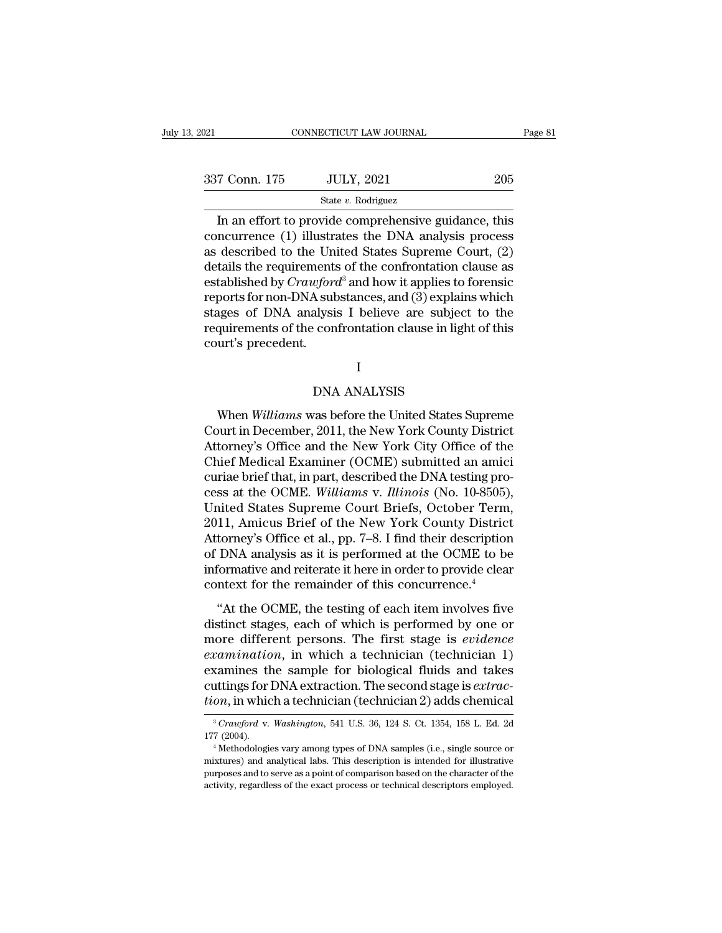| 2021          | CONNECTICUT LAW JOURNAL                                                                                                                                             | Page 81 |
|---------------|---------------------------------------------------------------------------------------------------------------------------------------------------------------------|---------|
| 337 Conn. 175 | <b>JULY, 2021</b>                                                                                                                                                   | 205     |
|               | State v. Rodriguez                                                                                                                                                  |         |
|               | In an effort to provide comprehensive guidance, this<br>concurrence (1) illustrates the DNA analysis process<br>as described to the United States Supreme Court (9) |         |

337 Conn. 175 JULY, 2021 205<br>
State v. Rodriguez<br>
In an effort to provide comprehensive guidance, this<br>
concurrence (1) illustrates the DNA analysis process<br>
as described to the United States Supreme Court, (2)<br>
details t 337 Conn. 175 JULY, 2021 205<br>
State v. Rodriguez<br>
In an effort to provide comprehensive guidance, this<br>
concurrence (1) illustrates the DNA analysis process<br>
as described to the United States Supreme Court, (2)<br>
details t 337 Conn. 175 JULY, 2021 205<br>
State v. Rodriguez<br>
In an effort to provide comprehensive guidance, this<br>
concurrence (1) illustrates the DNA analysis process<br>
as described to the United States Supreme Court, (2)<br>
details t Solen 113 **EVELT, 2022**<br>
State *v.* Rodriguez<br>
In an effort to provide comprehensive guidance, this<br>
concurrence (1) illustrates the DNA analysis process<br>
as described to the United States Supreme Court, (2)<br>
details the r state v. Rodriguez<br>In an effort to provide comprehensive guidance, this<br>concurrence (1) illustrates the DNA analysis process<br>as described to the United States Supreme Court, (2)<br>details the requirements of the confrontati In an effort to provide comprehensive guidance, this<br>concurrence (1) illustrates the DNA analysis process<br>as described to the United States Supreme Court, (2)<br>details the requirements of the confrontation clause as<br>establ concurrence (1) illustrates the DNA analysis process<br>as described to the United States Supreme Court, (2)<br>details the requirements of the confrontation clause as<br>established by *Crawford*<sup>3</sup> and how it applies to forensic<br> as described to the Un<br>details the requirement:<br>established by *Crawforr*<br>reports for non-DNA sul<br>stages of DNA analysi<br>requirements of the con<br>court's precedent. A substances, and (3) explain<br>alysis I believe are subject<br>confrontation clause in ligh<br>I<br>DNA ANALYSIS<br>vas before the United States S

I

quirements of the confrontation clause in light of this<br>urt's precedent.<br>I<br>DNA ANALYSIS<br>When *Williams* was before the United States Supreme<br>purt in December, 2011, the New York County District<br>ternor's Office and the New Court's precedent.<br>
I<br>
DNA ANALYSIS<br>
When *Williams* was before the United States Supreme<br>
Court in December, 2011, the New York County District<br>
Attorney's Office and the New York City Office of the<br>
Chief Medical Examine I<br>
DNA ANALYSIS<br>
When *Williams* was before the United States Supreme<br>
Court in December, 2011, the New York County District<br>
Attorney's Office and the New York City Office of the<br>
Chief Medical Examiner (OCME) submitted a DNA ANALYSIS<br>
When *Williams* was before the United States Supreme<br>
Court in December, 2011, the New York County District<br>
Attorney's Office and the New York City Office of the<br>
Chief Medical Examiner (OCME) submitted an a DNA ANALYSIS<br>When *Williams* was before the United States Supreme<br>Court in December, 2011, the New York County District<br>Attorney's Office and the New York City Office of the<br>Chief Medical Examiner (OCME) submitted an amici ENTERTATIONS<br>
When *Williams* was before the United States Supreme<br>
Court in December, 2011, the New York County District<br>
Attorney's Office and the New York City Office of the<br>
Chief Medical Examiner (OCME) submitted an a When *Williams* was before the United States Supreme<br>Court in December, 2011, the New York County District<br>Attorney's Office and the New York City Office of the<br>Chief Medical Examiner (OCME) submitted an amici<br>curiae brief Court in December, 2011, the New York County District<br>Attorney's Office and the New York City Office of the<br>Chief Medical Examiner (OCME) submitted an amici<br>curiae brief that, in part, described the DNA testing pro-<br>cess a Attorney's Office and the New York City Office of the<br>Chief Medical Examiner (OCME) submitted an amici<br>curiae brief that, in part, described the DNA testing pro-<br>cess at the OCME. Williams v. Illinois (No. 10-8505),<br>United Chief Medical Examiner (OCME) submitted an amici<br>curiae brief that, in part, described the DNA testing pro-<br>cess at the OCME. *Williams v. Illinois* (No. 10-8505),<br>United States Supreme Court Briefs, October Term,<br>2011, Am curiae brief that, in part, described the DNA testing process at the OCME. Williams v. Illinois (No. 10-8505), United States Supreme Court Briefs, October Term, 2011, Amicus Brief of the New York County District Attorney's cess at the OCME. *Williams v. Illinois* (No. 10-8505)<br>United States Supreme Court Briefs, October Term<br>2011, Amicus Brief of the New York County District<br>Attorney's Office et al., pp. 7–8. I find their descriptior<br>of DNA The States Supreme Court Briefs, October Term,<br>
11, Amicus Brief of the New York County District<br>
torney's Office et al., pp. 7–8. I find their description<br>
DNA analysis as it is performed at the OCME to be<br>
formative and EVIT, THREGE DTET OF THE THE WE TOTA COUNTS DESITE:<br>Attorney's Office et al., pp. 7–8. I find their description<br>of DNA analysis as it is performed at the OCME to be<br>informative and reiterate it here in order to provide cl

more different persons. The first stage is *evidence*<br>formative and reiterate it here in order to provide clear<br>context for the remainder of this concurrence.<sup>4</sup><br>"At the OCME, the testing of each item involves five<br>distin *examinative* and reiterate it here in order to provide clear<br>context for the remainder of this concurrence.<sup>4</sup><br>"At the OCME, the testing of each item involves five<br>distinct stages, each of which is performed by one or<br>mor example for the remainder of this concurrence.<sup>4</sup><br>
"At the OCME, the testing of each item involves five<br>
distinct stages, each of which is performed by one or<br>
more different persons. The first stage is *evidence*<br>
examin "At the OCME, the testing of each item involves five distinct stages, each of which is performed by one or more different persons. The first stage is *evidence* examination, in which a technician (technician 1) examines th "At the OCME, the testing of each item involves five distinct stages, each of which is performed by one or more different persons. The first stage is *evidence* examination, in which a technician (technician 1) examines t *Camination*, in which a technician (technician 1)<br>
xamines the sample for biological fluids and takes<br>
attings for DNA extraction. The second stage is *extrac-*<br> *on*, in which a technician (technician 2) adds chemical<br>
<sup></sup> examines the sample for biological fluids and takes<br>cuttings for DNA extraction. The second stage is *extrac-*<br>*tion*, in which a technician (technician 2) adds chemical<br> $\frac{3}{2}$  Crawford v. Washington, 541 U.S. 36, 124

*tion*, in which a technician (technician 2) adds chemical<br>
<sup>3</sup> *Crawford* v. *Washington*, 541 U.S. 36, 124 S. Ct. 1354, 158 L. Ed. 2d<br>
<sup>177</sup> (2004).<br>
<sup>4</sup> Methodologies vary among types of DNA samples (i.e., single sourc *COL*, III WHICH a technician (technician 2) adds chemical and  $\frac{3}{2}$  *Crawford* v. *Washington*, 541 U.S. 36, 124 S. Ct. 1354, 158 L. Ed. 2d 177 (2004).<br>
<sup>4</sup> Methodologies vary among types of DNA samples (i.e., single <sup>3</sup> Crawford v. Washington, 541 U.S. 36, 124 S. Ct. 1354, 158 L. Ed. 2d 177 (2004).<br>
<sup>4</sup> Methodologies vary among types of DNA samples (i.e., single source or mixtures) and analytical labs. This description is intended fo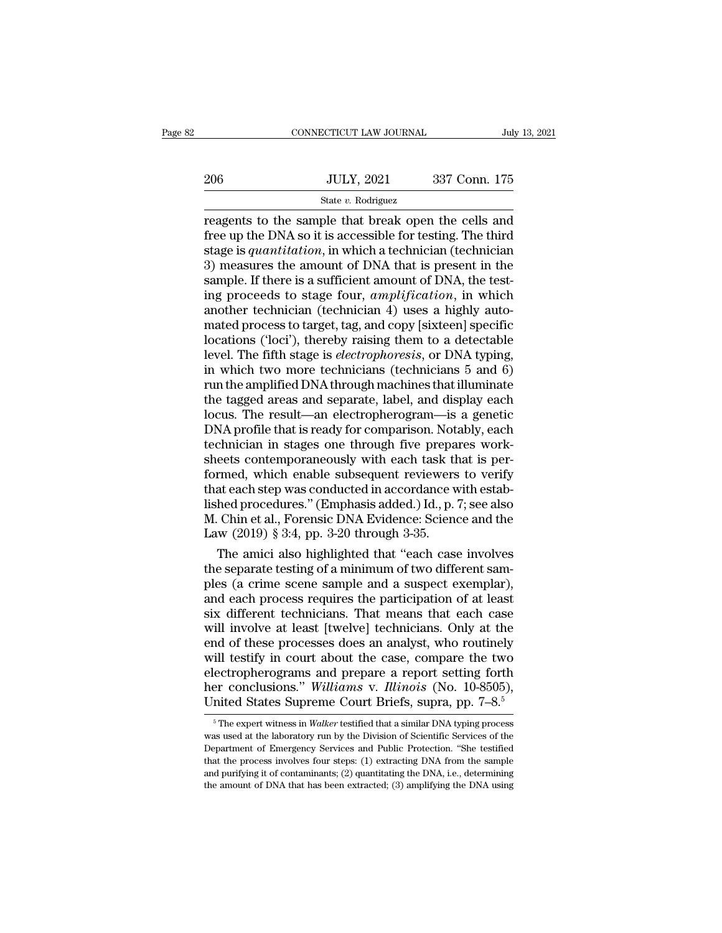# $\begin{tabular}{c} \multicolumn{2}{c|}{\text{CONNECTICUT LAW JOURNAL}} & July 13, 2021 \\ \hline \end{tabular}$   $\begin{tabular}{c} \multicolumn{2}{c|}{\text{JULY, 2021}} & 337 \text{ Conn. } 175 \\ \multicolumn{2}{c|}{\text{State $v$. Rodriguez}} \\ \end{tabular}$

### State *v.* Rodriguez

 $\begin{tabular}{ll} \multicolumn{1}{l}{{\text{CONRECTICUT LAW JOURNAL}}} & \multicolumn{1}{l}{\text{July 13, 2021}}\\ \hline & {\text{SUEY, 2021}} & \multicolumn{1}{l}{\text{337 Conn. 175}}\\ \hline & {\text{State $v$. Rodriguez}}\\ \hline \end{tabular}$ Free UP to the Sample that break open the cells and<br>state v. Rodriguez<br>reagents to the sample that break open the cells and<br>free up the DNA so it is accessible for testing. The third<br>stage is *quantitation*, in which a te  $\frac{\text{JULY, 2021}}{\text{State } v. \text{ Rodriguez}}$ <br>
State v. Rodriguez<br>
reagents to the sample that break open the cells and<br>
free up the DNA so it is accessible for testing. The third<br>
stage is *quantitation*, in which a technician (technic  $337$  Conn. 175<br>  $\frac{337}{2}$  Conn. 175<br>  $\frac{337}{2}$  Conn. 175<br>  $\frac{337}{2}$  Conn. 175<br>  $\frac{337}{2}$  Conn. 175<br>  $\frac{337}{2}$  Conn. 175<br>  $\frac{337}{2}$  Conn. 175<br>  $\frac{337}{2}$  Conn. 175<br>  $\frac{337}{2}$  Conn. 175<br>  $\frac{337}{2}$  Conn. 17 State v. Rodriguez<br>
State v. Rodriguez<br>
Treagents to the sample that break open the cells and<br>
free up the DNA so it is accessible for testing. The third<br>
stage is *quantitation*, in which a technician (technician<br>
3) mea State v. Rodriguez<br>
reagents to the sample that break open the cells and<br>
free up the DNA so it is accessible for testing. The third<br>
stage is *quantitation*, in which a technician (technician<br>
3) measures the amount of D reagents to the sample that break open the cells and<br>free up the DNA so it is accessible for testing. The third<br>stage is *quantitation*, in which a technician (technician<br>3) measures the amount of DNA that is present in th free up the DNA so it is accessible for testing. The third<br>stage is *quantitation*, in which a technician (technician<br>3) measures the amount of DNA that is present in the<br>sample. If there is a sufficient amount of DNA, th stage is *quantitation*, in which a technician (technician 3) measures the amount of DNA that is present in the sample. If there is a sufficient amount of DNA, the testing proceeds to stage four, *amplification*, in which 3) measures the amount of DNA that is present in the sample. If there is a sufficient amount of DNA, the test-<br>ing proceeds to stage four, *amplification*, in which<br>another technician (technician 4) uses a highly auto-<br>mat sample. If there is a sufficient amount of DNA, the test-<br>ing proceeds to stage four, *amplification*, in which<br>another technician (technician 4) uses a highly auto-<br>mated process to target, tag, and copy [sixteen] specifi ing proceeds to stage four, *amplification*, in which<br>another technician (technician 4) uses a highly auto-<br>mated process to target, tag, and copy [sixteen] specific<br>locations ('loci'), thereby raising them to a detectable another technician (technician 4) uses a highly auto-<br>mated process to target, tag, and copy [sixteen] specific<br>locations ('loci'), thereby raising them to a detectable<br>level. The fifth stage is *electrophoresis*, or DNA mated process to target, tag, and copy [sixteen] specific<br>locations ('loci'), thereby raising them to a detectable<br>level. The fifth stage is *electrophoresis*, or DNA typing,<br>in which two more technicians (technicians 5 an locations ('loci'), thereby raising them to a detectable<br>level. The fifth stage is *electrophoresis*, or DNA typing,<br>in which two more technicians (technicians 5 and 6)<br>run the amplified DNA through machines that illuminat level. The fifth stage is *electrophoresis*, or DNA typing,<br>in which two more technicians (technicians 5 and 6)<br>run the amplified DNA through machines that illuminate<br>the tagged areas and separate, label, and display each<br> in which two more technicians (technicians 5 and 6)<br>run the amplified DNA through machines that illuminate<br>the tagged areas and separate, label, and display each<br>locus. The result—an electropherogram—is a genetic<br>DNA profi run the amplified DNA through machines that illuminate<br>the tagged areas and separate, label, and display each<br>locus. The result—an electropherogram—is a genetic<br>DNA profile that is ready for comparison. Notably, each<br>techn the tagged areas and separate, label, and display each<br>locus. The result—an electropherogram—is a genetic<br>DNA profile that is ready for comparison. Notably, each<br>technician in stages one through five prepares work-<br>sheets locus. The result—an electropherogram—is a genetic<br>DNA profile that is ready for comparison. Notably, each<br>technician in stages one through five prepares work-<br>sheets contemporaneously with each task that is per-<br>formed, w DNA profile that is ready for comparison. Notably, each<br>technician in stages one through five prepares work-<br>sheets contemporaneously with each task that is per-<br>formed, which enable subsequent reviewers to verify<br>that eac technician in stages one through five prepa<br>sheets contemporaneously with each task th<br>formed, which enable subsequent reviewers<br>that each step was conducted in accordance w<br>lished procedures." (Emphasis added.) Id., p.<br>M. eets contemporaneously with each task that is per-<br>rmed, which enable subsequent reviewers to verify<br>at each step was conducted in accordance with estab-<br>hed procedures." (Emphasis added.) Id., p. 7; see also<br>Chin et al., formed, which enable subsequent reviewers to verify<br>that each step was conducted in accordance with estab-<br>lished procedures." (Emphasis added.) Id., p. 7; see also<br>M. Chin et al., Forensic DNA Evidence: Science and the<br>La

that each step was conducted in accordance with established procedures." (Emphasis added.) Id., p. 7; see also<br>M. Chin et al., Forensic DNA Evidence: Science and the<br>Law (2019) § 3:4, pp. 3-20 through 3-35.<br>The amici also lished procedures." (Emphasis added.) Id., p. 7; see also<br>M. Chin et al., Forensic DNA Evidence: Science and the<br>Law (2019) § 3:4, pp. 3-20 through 3-35.<br>The amici also highlighted that "each case involves<br>the separate tes M. Chin et al., Forensic DNA Evidence: Science and the<br>Law (2019) § 3:4, pp. 3-20 through 3-35.<br>The amici also highlighted that "each case involves<br>the separate testing of a minimum of two different sam-<br>ples (a crime sce Law (2019) § 3:4, pp. 3-20 through 3-35.<br>The amici also highlighted that "each case involves<br>the separate testing of a minimum of two different sam-<br>ples (a crime scene sample and a suspect exemplar),<br>and each process requ The amici also highlighted that "each case involves<br>the separate testing of a minimum of two different sam-<br>ples (a crime scene sample and a suspect exemplar),<br>and each process requires the participation of at least<br>six di the separate testing of a minimum of two different samples (a crime scene sample and a suspect exemplar), and each process requires the participation of at least six different technicians. That means that each case will in ples (a crime scene sample and a suspect exemplar),<br>and each process requires the participation of at least<br>six different technicians. That means that each case<br>will involve at least [twelve] technicians. Only at the<br>end and each process requires the participation of at least<br>six different technicians. That means that each case<br>will involve at least [twelve] technicians. Only at the<br>end of these processes does an analyst, who routinely<br>wil six different technicians. That means that each case<br>will involve at least [twelve] technicians. Only at the<br>end of these processes does an analyst, who routinely<br>will testify in court about the case, compare the two<br>elec ill testify in court about the case, compare the two<br>ectropherograms and prepare a report setting forth<br>er conclusions." Williams v. Illinois (No. 10-8505),<br>nited States Supreme Court Briefs, supra, pp. 7–8.<sup>5</sup><br><sup>5</sup>The expe electropherograms and prepare a report setting forth<br>her conclusions." Williams v. Illinois (No. 10-8505),<br>United States Supreme Court Briefs, supra, pp. 7–8.<sup>5</sup><br><sup>5</sup>The expert witness in Walker testified that a similar DNA

her conclusions." Williams v. Illinois (No. 10-8505),<br>United States Supreme Court Briefs, supra, pp. 7–8.<sup>5</sup><br><sup>5</sup> The expert witness in *Walker* testified that a similar DNA typing process<br>was used at the laboratory run by That the process involves the process involves four steps: (10. 10 0000),<br>
Inited States Supreme Court Briefs, supra, pp. 7–8.<sup>5</sup><br>
<sup>5</sup> The expert witness in *Walker* testified that a similar DNA typing process<br>
was used a The expert witness in *Walker* testified that a similar DNA typing process was used at the laboratory run by the Division of Scientific Services of the Department of Emergency Services and Public Protection. "She testifie <sup>5</sup> The expert witness in *Walker* testified that a similar DNA typing process was used at the laboratory run by the Division of Scientific Services of the Department of Emergency Services and Public Protection. "She test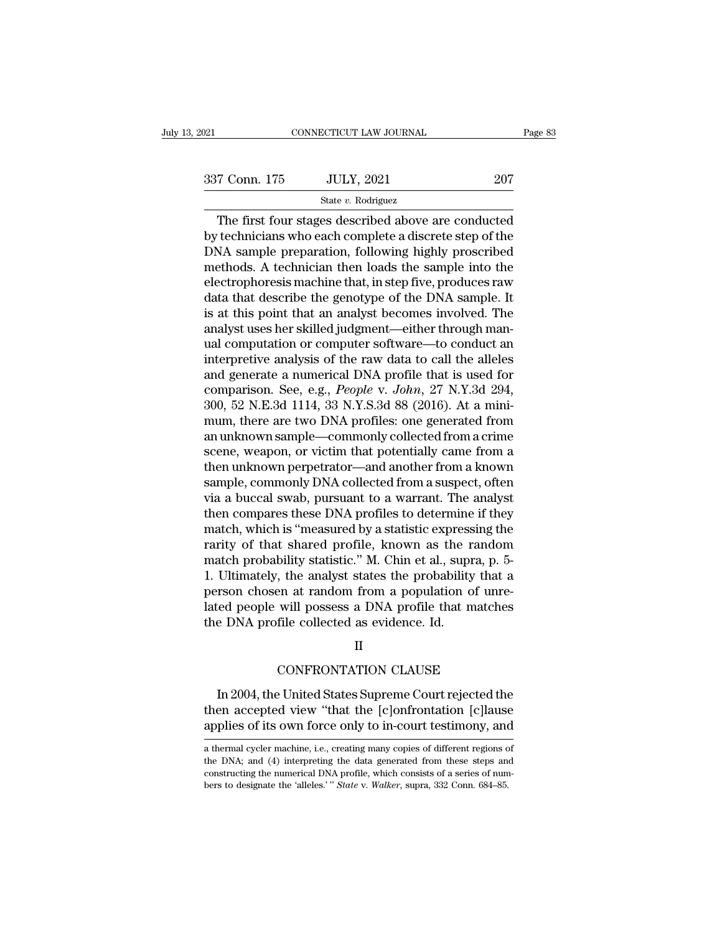$\begin{tabular}{ll} \multicolumn{1}{l}{{\small\bf CONRECTICUT LAW JOURNAL}} & \multicolumn{1}{l}{Page 83} \\\\ 7 & \multicolumn{1}{l}{{\small\bf Cont. 175}} & \multicolumn{1}{l}{{\small\bf JULY, 2021}} & \multicolumn{1}{l}{207} \\\hline & \multicolumn{1}{l}{\small\bf State $v$. Rodriguez} \end{tabular} \label{tab:2}$ The first four stages described above are conducted technicians who  $\begin{array}{ccc} \text{337 Conn. 175} & \text{JULY, 2021} & \text{207} \\ \text{State } v. \text{ Rodriguez} & \\ \text{The first four stages described above are conducted by techniques who each complete a discrete step of the DNA sample preparation, following highly prescribed methods. A technique then loads the sample into the data. \end{array}$  $\frac{337 \text{ Conn. } 175 \qquad \text{JULY, } 2021 \qquad \text{207}}{\text{State } v. \text{ Rodriguez}}$ <br>The first four stages described above are conducted by technicians who each complete a discrete step of the DNA sample preparation, following highly proscribed met 337 Conn. 175 JULY, 2021 207<br>
State v. Rodriguez<br>
The first four stages described above are conducted<br>
by technicians who each complete a discrete step of the<br>
DNA sample preparation, following highly proscribed<br>
methods. State v. Rodriguez<br>
The first four stages described above are conducted<br>
by technicians who each complete a discrete step of the<br>
DNA sample preparation, following highly proscribed<br>
methods. A technician then loads the s State v. Rodriguez<br>The first four stages described above are conducted<br>by technicians who each complete a discrete step of the<br>DNA sample preparation, following highly proscribed<br>methods. A technician then loads the sampl The first four stages described above are conducted<br>by technicians who each complete a discrete step of the<br>DNA sample preparation, following highly proscribed<br>methods. A technician then loads the sample into the<br>electroph by technicians who each complete a discrete step of the DNA sample preparation, following highly proscribed methods. A technician then loads the sample into the electrophoresis machine that, in step five, produces raw data DNA sample preparation, following highly proscribed<br>methods. A technician then loads the sample into the<br>electrophoresis machine that, in step five, produces raw<br>data that describe the genotype of the DNA sample. It<br>is at methods. A technician then loads the sample into the<br>electrophoresis machine that, in step five, produces raw<br>data that describe the genotype of the DNA sample. It<br>is at this point that an analyst becomes involved. The<br>ana electrophoresis machine that, in step five, produces raw<br>data that describe the genotype of the DNA sample. It<br>is at this point that an analyst becomes involved. The<br>analyst uses her skilled judgment—either through man-<br>u data that describe the genotype of the DNA sample. It<br>is at this point that an analyst becomes involved. The<br>analyst uses her skilled judgment—either through man-<br>ual computation or computer software—to conduct an<br>interpre is at this point that an analyst becomes involved. The<br>analyst uses her skilled judgment—either through man-<br>ual computation or computer software—to conduct an<br>interpretive analysis of the raw data to call the alleles<br>and analyst uses her skilled judgment—either through manual computation or computer software—to conduct an<br>interpretive analysis of the raw data to call the alleles<br>and generate a numerical DNA profile that is used for<br>compari ual computation or computer software—to conduct an<br>interpretive analysis of the raw data to call the alleles<br>and generate a numerical DNA profile that is used for<br>comparison. See, e.g., *People* v. John, 27 N.Y.3d 294,<br>300 interpretive analysis of the raw data to call the alleles<br>and generate a numerical DNA profile that is used for<br>comparison. See, e.g., *People* v. John, 27 N.Y.3d 294,<br>300, 52 N.E.3d 1114, 33 N.Y.S.3d 88 (2016). At a miniand generate a numerical DNA profile that is used for<br>comparison. See, e.g., *People v. John*, 27 N.Y.3d 294,<br>300, 52 N.E.3d 1114, 33 N.Y.S.3d 88 (2016). At a mini-<br>mum, there are two DNA profiles: one generated from<br>an un comparison. See, e.g., *People v. John*, 27 N.Y.3d 294,<br>300, 52 N.E.3d 1114, 33 N.Y.S.3d 88 (2016). At a mini-<br>mum, there are two DNA profiles: one generated from<br>an unknown sample—commonly collected from a crime<br>scene, we 300, 52 N.E.3d 1114, 33 N.Y.S.3d 88 (2016). At a mini-<br>mum, there are two DNA profiles: one generated from<br>an unknown sample—commonly collected from a crime<br>scene, weapon, or victim that potentially came from a<br>then unknow mum, there are two DNA profiles: one generated from<br>an unknown sample—commonly collected from a crime<br>scene, weapon, or victim that potentially came from a<br>then unknown perpetrator—and another from a known<br>sample, commonly an unknown sample—commonly collected from a crime<br>scene, weapon, or victim that potentially came from a<br>then unknown perpetrator—and another from a known<br>sample, commonly DNA collected from a suspect, often<br>via a buccal sw scene, weapon, or victim that potentially came from a<br>then unknown perpetrator—and another from a known<br>sample, commonly DNA collected from a suspect, often<br>via a buccal swab, pursuant to a warrant. The analyst<br>then compar then unknown perpetrator—and another from a known<br>sample, commonly DNA collected from a suspect, often<br>via a buccal swab, pursuant to a warrant. The analyst<br>then compares these DNA profiles to determine if they<br>match, whic sample, commonly DNA collected from a suspect, often<br>via a buccal swab, pursuant to a warrant. The analyst<br>then compares these DNA profiles to determine if they<br>match, which is "measured by a statistic expressing the<br>rarit via a buccal swab, pursuant to a warrant. The analyst<br>then compares these DNA profiles to determine if they<br>match, which is "measured by a statistic expressing the<br>rarity of that shared profile, known as the random<br>match p then compares these DNA profiles to determine if they<br>match, which is "measured by a statistic expressing the<br>rarity of that shared profile, known as the random<br>match probability statistic." M. Chin et al., supra, p. 5-<br>1. match, which is "measured by a statistic express<br>rarity of that shared profile, known as the r<br>match probability statistic." M. Chin et al., sup<br>1. Ultimately, the analyst states the probability<br>person chosen at random fro The analyst states the probability that a<br>
en at random from a population of unre-<br>
will possess a DNA profile that matches<br>
file collected as evidence. Id.<br>
II<br>
CONFRONTATION CLAUSE<br>
Punited States Supreme Court rejected

### II

Example will possess a DNA profile that matches<br>
e DNA profile collected as evidence. Id.<br>
II<br>
CONFRONTATION CLAUSE<br>
In 2004, the United States Supreme Court rejected the<br>
en accepted view "that the [c]onfrontation [c]laus the DNA profile collected as evidence. Id.<br>
II<br>
CONFRONTATION CLAUSE<br>
In 2004, the United States Supreme Court rejected the<br>
then accepted view "that the [c]onfrontation [c]lause<br>
applies of its own force only to in-court II<br>
CONFRONTATION CLAUSE<br>
In 2004, the United States Supreme Court rejected the<br>
then accepted view "that the [c]onfrontation [c]lause<br>
applies of its own force only to in-court testimony, and<br>
a thermal cycler machine, i. In 2004, the United States Supreme Court rejected the<br>then accepted view "that the [c]onfrontation [c]lause<br>applies of its own force only to in-court testimony, and<br>a thermal cycler machine, i.e., creating many copies of d In 2004, the United States Supreme Court rejected the<br>then accepted view "that the [c]onfrontation [c]lause<br>applies of its own force only to in-court testimony, and<br>a thermal cycler machine, i.e., creating many copies of d

then accepted view "that the [c]onfrontation [c]lause<br>applies of its own force only to in-court testimony, and<br>a thermal cycler machine, i.e., creating many copies of different regions of<br>the DNA; and (4) interpreting the applies of its own force only to in-court testimony, and a thermal cycler machine, i.e., creating many copies of different regions of the DNA; and (4) interpreting the data generated from these steps an constructing the nu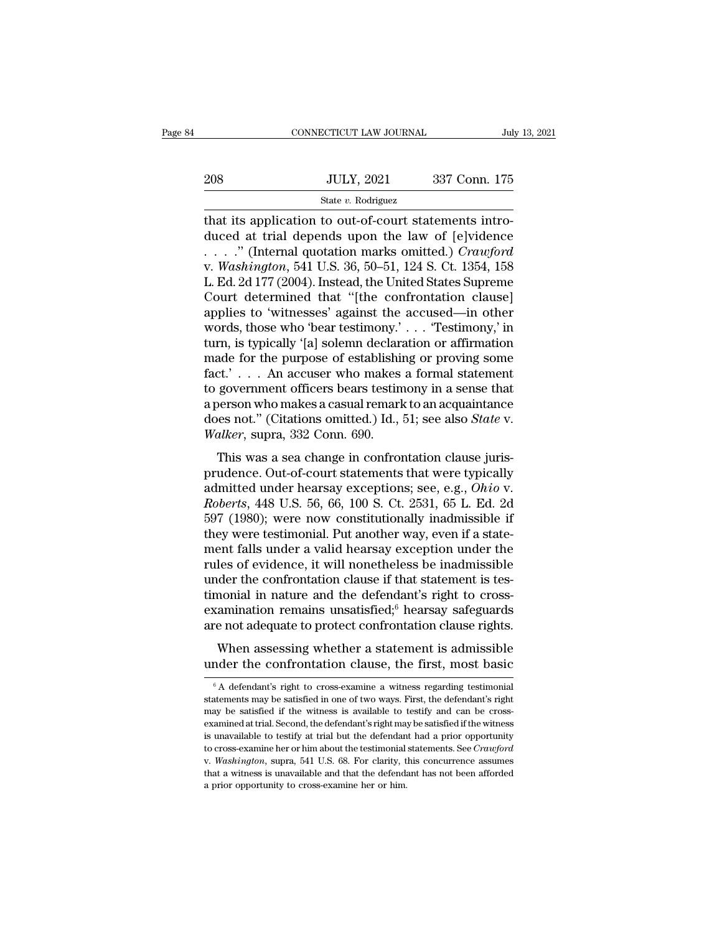# $\begin{tabular}{c} \multicolumn{2}{c|}{\text{CONNECTICUT LAW JOURNAL}} & July 13, 2021 \\ \hline \end{tabular}$   $\begin{tabular}{c} \multicolumn{2}{c|}{\text{JULY, 2021}} & 337 \text{ Conn. } 175 \\ \multicolumn{2}{c|}{\text{State $v$. Rodriguez}} \\ \end{tabular}$

## State *v.* Rodriguez

CONNECTICUT LAW JOURNAL<br>
208 JULY, 2021 337 Conn. 175<br>
31 State v. Rodriguez<br>
19 State v. Rodriguez<br>
19 State v. Rodriguez<br>
19 State v. Rodriguez<br>
20 And the Law of [e]vidence<br>
20 Creation of The Law of [e]vidence<br>
20 Crea 208 JULY, 2021 337 Conn. 175<br>
State v. Rodriguez<br>
that its application to out-of-court statements intro-<br>
duced at trial depends upon the law of [e]vidence<br>
....." (Internal quotation marks omitted.) Crawford<br>
v. Washingt 208 JULY, 2021 337 Conn. 175<br>
State v. Rodriguez<br>
that its application to out-of-court statements intro-<br>
duced at trial depends upon the law of [e]vidence<br>
. . . . . " (Internal quotation marks omitted.) *Crawford*<br>
v. *W* VOCAL 2021 337 Conn. 175<br>
State v. Rodriguez<br>
that its application to out-of-court statements intro-<br>
duced at trial depends upon the law of [e]vidence<br>
....." (Internal quotation marks omitted.) *Crawford*<br>
v. *Washington* State v. Rodriguez<br>
State v. Rodriguez<br>
that its application to out-of-court statements intro-<br>
duced at trial depends upon the law of [e]vidence<br>
. . . . " (Internal quotation marks omitted.) *Crawford*<br>
v. *Washington*, State v. Rodriguez<br>
that its application to out-of-court statements intro-<br>
duced at trial depends upon the law of [e]vidence<br>
. . . ." (Internal quotation marks omitted.) *Crawford*<br>
v. *Washington*, 541 U.S. 36, 50–51, that its application to out-of-court statements intro-<br>duced at trial depends upon the law of [e]vidence<br> $\dots$ ." (Internal quotation marks omitted.) *Crawford*<br>v. Washington, 541 U.S. 36, 50–51, 124 S. Ct. 1354, 158<br>L. Ed. duced at trial depends upon the law of [e]vidence<br>
. . . . " (Internal quotation marks omitted.) *Crawford*<br>
v. *Washington*, 541 U.S. 36, 50–51, 124 S. Ct. 1354, 158<br>
L. Ed. 2d 177 (2004). Instead, the United States Supre . . . . . " (Internal quotation marks omitted.) *Crawford*<br>v. *Washington*, 541 U.S. 36, 50–51, 124 S. Ct. 1354, 158<br>L. Ed. 2d 177 (2004). Instead, the United States Supreme<br>Court determined that "[the confrontation claus v. *Washington*, 541 U.S. 36, 50–51, 124 S. Ct. 1354, 158<br>L. Ed. 2d 177 (2004). Instead, the United States Supreme<br>Court determined that "[the confrontation clause]<br>applies to 'witnesses' against the accused—in other<br>words L. Ed. 2d 177 (2004). Instead, the United States Supreme<br>Court determined that "[the confrontation clause]<br>applies to 'witnesses' against the accused—in other<br>words, those who 'bear testimony.' . . . 'Testimony,' in<br>turn, Court determined that "[the confrontation clause]<br>applies to 'witnesses' against the accused—in other<br>words, those who 'bear testimony.' . . . 'Testimony,' in<br>turn, is typically '[a] solemn declaration or affirmation<br>made applies to 'witnesses' against the accused—in other<br>words, those who 'bear testimony.' . . . 'Testimony,' in<br>turn, is typically '[a] solemn declaration or affirmation<br>made for the purpose of establishing or proving some<br>f words, those who 'bear testimony.' . . . 'Testimony,' in<br>turn, is typically '[a] solemn declaration or affirmation<br>made for the purpose of establishing or proving some<br>fact.' . . . An accuser who makes a formal statement<br>t turn, is typically '[a] solemn declar:<br>made for the purpose of establishis<br>fact.' . . . An accuser who makes<br>to government officers bears testin<br>a person who makes a casual remarl<br>does not.'' (Citations omitted.) Id.,<br>*Wal* and the purpose of establishing of proving some<br>ct.'.... An accuser who makes a formal statement<br>government officers bears testimony in a sense that<br>berson who makes a casual remark to an acquaintance<br>es not." (Citations o Fruit state. Out-of-court statements a formal statement<br>to government officers bears testimony in a sense that<br>a person who makes a casual remark to an acquaintance<br>does not." (Citations omitted.) Id., 51; see also *State* 

a person who makes a casual remark to an acquaintance<br>does not." (Citations omitted.) Id., 51; see also *State* v.<br>Walker, supra, 332 Conn. 690.<br>This was a sea change in confrontation clause juris-<br>prudence. Out-of-court s *Roberts*, 1980); were now constitutionally inadmissible if they were testimore in the property (1980); were now constitutionally inadmissible if they were testimore in the property of the property (1980); were now constit Walker, supra, 332 Conn. 690.<br>
This was a sea change in confrontation clause juris-<br>
prudence. Out-of-court statements that were typically<br>
admitted under hearsay exceptions; see, e.g., *Ohio* v.<br> *Roberts*, 448 U.S. 56, 6 This was a sea change in confrontation clause juris-<br>prudence. Out-of-court statements that were typically<br>admitted under hearsay exceptions; see, e.g., *Ohio* v.<br>*Roberts*, 448 U.S. 56, 66, 100 S. Ct. 2531, 65 L. Ed. 2d<br>5 This was a sea change in confrontation clause juris-<br>prudence. Out-of-court statements that were typically<br>admitted under hearsay exceptions; see, e.g., *Ohio* v.<br>*Roberts*, 448 U.S. 56, 66, 100 S. Ct. 2531, 65 L. Ed. 2d<br>5 prudence. Out-of-court statements that were typically<br>admitted under hearsay exceptions; see, e.g., *Ohio* v.<br>*Roberts*, 448 U.S. 56, 66, 100 S. Ct. 2531, 65 L. Ed. 2d<br>597 (1980); were now constitutionally inadmissible if<br> admitted under hearsay exceptions; see, e.g., *Ohio v.*<br>*Roberts*, 448 U.S. 56, 66, 100 S. Ct. 2531, 65 L. Ed. 2d<br>597 (1980); were now constitutionally inadmissible if<br>they were testimonial. Put another way, even if a stat Roberts, 448 U.S. 56, 66, 100 S. Ct. 2531, 65 L. Ed. 2d<br>597 (1980); were now constitutionally inadmissible if<br>they were testimonial. Put another way, even if a state-<br>ment falls under a valid hearsay exception under the<br>ru 597 (1980); were now constitutionally inadmissible if they were testimonial. Put another way, even if a statement falls under a valid hearsay exception under the rules of evidence, it will nonetheless be inadmissible unde they were testimonial. Put another way, even if a statement falls under a valid hearsay exception under the rules of evidence, it will nonetheless be inadmissible under the confrontation clause if that statement is testimo Ent falls dider a vand heatsay exception dider the<br>les of evidence, it will nonetheless be inadmissible<br>der the confrontation clause if that statement is tes-<br>nonial in nature and the defendant's right to cross-<br>amination The confrontation clause if that statement is tes-<br>timonial in nature and the defendant's right to cross-<br>examination remains unsatisfied; hearsay safeguards<br>are not adequate to protect confrontation clause rights.<br>When a

examination remains unsatisfied;<sup>6</sup> hearsay safeguards<br>are not adequate to protect confrontation clause rights.<br>When assessing whether a statement is admissible<br>under the confrontation clause, the first, most basic<br> $\frac{1}{$ When assessing whether a statement is admissible<br>under the confrontation clause, the first, most basic<br> $\frac{1}{6}$  A defendant's right to cross-examine a witness regarding testimonial<br>statements may be satisfied in one of t When assessing whether a statement is admissible<br>under the confrontation clause, the first, most basic<br> $\frac{1}{6}$ A defendant's right to cross-examine a witness regarding testimonial<br>statements may be satisfied in one of tw under the confrontation clause, the first, most basic<br>  $\overline{ }$   $\overline{ }$   $\overline{ }$   $\overline{ }$  A defendant's right to cross-examine a witness regarding testimonial<br>
statements may be satisfied in one of two ways. First, the defen The contributation clause, the first, filost basic<br>  $\overline{a}$   $\overline{b}$  a defendant's right to cross-examine a witness regarding testimonial<br>
statements may be satisfied in one of two ways. First, the defendant's right<br>
may <sup>6</sup> A defendant's right to cross-examine a witness regarding testimonial statements may be satisfied in one of two ways. First, the defendant's right may be satisfied if the witness is available to testify and can be cros statements may be satisfied in one of two ways. First, the defendant's right may be satisfied if the witness is available to testify and can be cross-examined at trial. Second, the defendant's right may be satisfied if the may be satisfied if the witness is available to testify and can be cross-<br>examined at trial. Second, the defendant's right may be satisfied if the witness<br>is unavailable to testify at trial but the defendant had a prior o examined at trial. Second, the defendant's right may be satisfied if the witness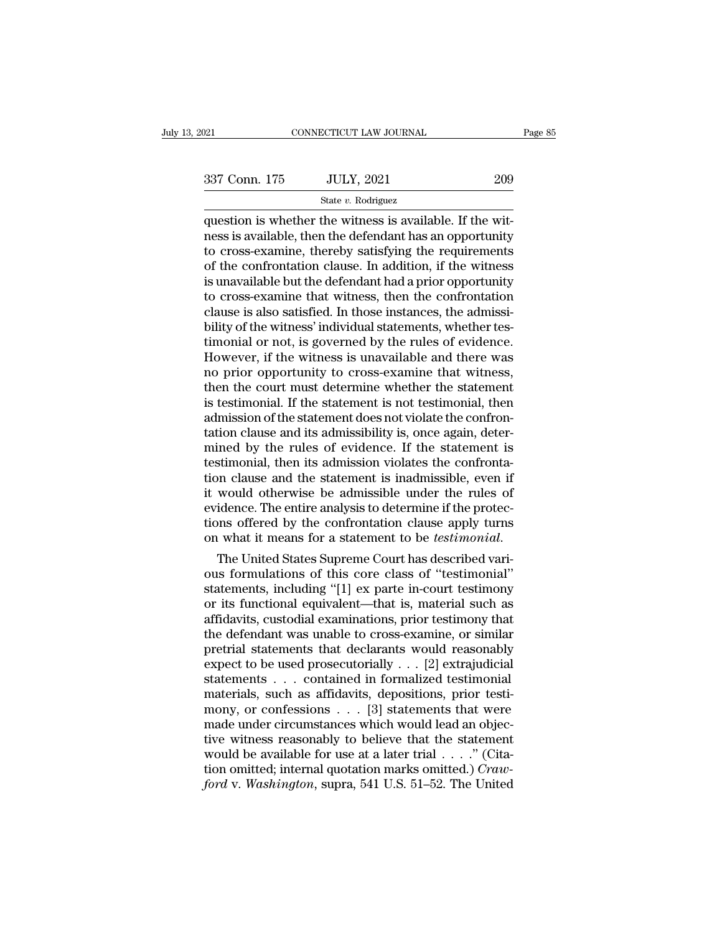$\begin{array}{ccc}\n & \text{COMPECTICUT LAW JOURNAL} \\
 & \text{337 Conn. } 175 & \text{JULY, } 2021 & \text{209} \\
 & \text{State } v. \text{ Rodriguez} \\
 \text{question is whether the witness is available. If the witness is available, then the defendant has an opportunity to cross example, then the definition of the requirements.\n\end{array}$  $\begin{array}{r} \text{337 Conn. 175} \quad \text{JULY, 2021} \quad \text{209} \ \text{State } v. \text{ Rodriguez} \ \text{question is whether the witness is available. If the witness is available, then the defendant has an opportunity to cross-examine, thereby satisfying the requirements of the confrontation clause. In addition, if the witness$ 337 Conn. 175 JULY, 2021 209<br>
State v. Rodriguez<br>
question is whether the witness is available. If the wit-<br>
ness is available, then the defendant has an opportunity<br>
to cross-examine, thereby satisfying the requirements<br> 337 Conn. 175 JULY, 2021 209<br>
State v. Rodriguez<br>
question is whether the witness is available. If the wit-<br>
ness is available, then the defendant has an opportunity<br>
to cross-examine, thereby satisfying the requirements<br> Solution is whether the witness is available. If the witness is available, then the defendant has an opportunity<br>to cross-examine, thereby satisfying the requirements of the confrontation clause. In addition, if the witne State v. Rodriguez<br>
question is whether the witness is available. If the wit-<br>
ness is available, then the defendant has an opportunity<br>
to cross-examine, thereby satisfying the requirements<br>
of the confrontation clause. question is whether the witness is available. If the witness is available, then the defendant has an opportunity<br>to cross-examine, thereby satisfying the requirements<br>of the confrontation clause. In addition, if the witnes ness is available, then the defendant has an opportunity<br>to cross-examine, thereby satisfying the requirements<br>of the confrontation clause. In addition, if the witness<br>is unavailable but the defendant had a prior opportuni to cross-examine, thereby satisfying the requirements<br>of the confrontation clause. In addition, if the witness<br>is unavailable but the defendant had a prior opportunity<br>to cross-examine that witness, then the confrontation<br> of the confrontation clause. In addition, if the witness<br>is unavailable but the defendant had a prior opportunity<br>to cross-examine that witness, then the confrontation<br>clause is also satisfied. In those instances, the admi is unavailable but the defendant had a prior opportunity<br>to cross-examine that witness, then the confrontation<br>clause is also satisfied. In those instances, the admissi-<br>bility of the witness' individual statements, whethe to cross-examine that witness, then the confrontation<br>clause is also satisfied. In those instances, the admissi-<br>bility of the witness' individual statements, whether tes-<br>timonial or not, is governed by the rules of evide clause is also satisfied. In those instances, the admissibility of the witness' individual statements, whether testimonial or not, is governed by the rules of evidence.<br>However, if the witness is unavailable and there was<br> bility of the witness' individual statements, whether tes-<br>timonial or not, is governed by the rules of evidence.<br>However, if the witness is unavailable and there was<br>no prior opportunity to cross-examine that witness,<br>the timonial or not, is governed by the rules of evidence.<br>However, if the witness is unavailable and there was<br>no prior opportunity to cross-examine that witness,<br>then the court must determine whether the statement<br>is testimo However, if the witness is unavailable and there was<br>no prior opportunity to cross-examine that witness,<br>then the court must determine whether the statement<br>is testimonial. If the statement is not testimonial, then<br>admissi no prior opportunity to cross-examine that witness,<br>then the court must determine whether the statement<br>is testimonial. If the statement is not testimonial, then<br>admission of the statement does not violate the confron-<br>tat then the court must determine whether the statement<br>is testimonial. If the statement is not testimonial, then<br>admission of the statement does not violate the confron-<br>tation clause and its admissibility is, once again, det is testimonial. If the statement is not testimonial, then<br>admission of the statement does not violate the confron-<br>tation clause and its admissibility is, once again, deter-<br>mined by the rules of evidence. If the statement admission of the statement does not violate the confrontation clause and its admissibility is, once again, determined by the rules of evidence. If the statement is testimonial, then its admission violates the confrontation tation clause and its admissibility is, once again, determined by the rules of evidence. If the statement is testimonial, then its admission violates the confrontation clause and the statement is inadmissible, even if it w mined by the rules of evidence. If the statement is<br>testimonial, then its admission violates the confronta-<br>tion clause and the statement is inadmissible, even if<br>it would otherwise be admissible under the rules of<br>evidenc tion clause and the statement is madmissible, even if<br>it would otherwise be admissible under the rules of<br>evidence. The entire analysis to determine if the protec-<br>tions offered by the confrontation clause apply turns<br>on w

It would otherwise be admissible under the rules of<br>evidence. The entire analysis to determine if the protec-<br>tions offered by the confrontation clause apply turns<br>on what it means for a statement to be *testimonial*.<br>The evidence. The entire analysis to determine if the protections offered by the confrontation clause apply turns<br>on what it means for a statement to be *testimonial*.<br>The United States Supreme Court has described vari-<br>ous fo tions offered by the confrontation clause apply turns<br>on what it means for a statement to be *testimonial*.<br>The United States Supreme Court has described vari-<br>ous formulations of this core class of "testimonial"<br>statement on what it means for a statement to be *testimonial*.<br>The United States Supreme Court has described vari-<br>ous formulations of this core class of "testimonial"<br>statements, including "[1] ex parte in-court testimony<br>or its f The United States Supreme Court has described various formulations of this core class of "testimonial"<br>statements, including "[1] ex parte in-court testimony<br>or its functional equivalent—that is, material such as<br>affidavi ous formulations of this core class of "testimonial"<br>statements, including "[1] ex parte in-court testimony<br>or its functional equivalent—that is, material such as<br>affidavits, custodial examinations, prior testimony that<br>th statements, including "[1] ex parte in-court testimony<br>or its functional equivalent—that is, material such as<br>affidavits, custodial examinations, prior testimony that<br>the defendant was unable to cross-examine, or similar<br>p or its functional equivalent—that is, material such as affidavits, custodial examinations, prior testimony that the defendant was unable to cross-examine, or similar pretrial statements that declarants would reasonably ex affidavits, custodial examinations, prior testimony that<br>the defendant was unable to cross-examine, or similar<br>pretrial statements that declarants would reasonably<br>expect to be used prosecutorially . . . [2] extrajudicial<br> the defendant was unable to cross-examine, or similar pretrial statements that declarants would reasonably expect to be used prosecutorially . . . [2] extrajudicial statements . . . contained in formalized testimonial mat pretrial statements that declarants would reasonably<br>expect to be used prosecutorially . . . [2] extrajudicial<br>statements . . . contained in formalized testimonial<br>materials, such as affidavits, depositions, prior testi-<br> expect to be used prosecutorially . . . [2] extrajudicial statements . . . contained in formalized testimonial materials, such as affidavits, depositions, prior testimony, or confessions . . . [3] statements that were mad statements . . . contained in formalized testimonial<br>materials, such as affidavits, depositions, prior testi-<br>mony, or confessions . . . [3] statements that were<br>made under circumstances which would lead an objec-<br>tive wit materials, such as affidavits, depositions, prior testi-<br>mony, or confessions . . . [3] statements that were<br>made under circumstances which would lead an objec-<br>tive witness reasonably to believe that the statement<br>would b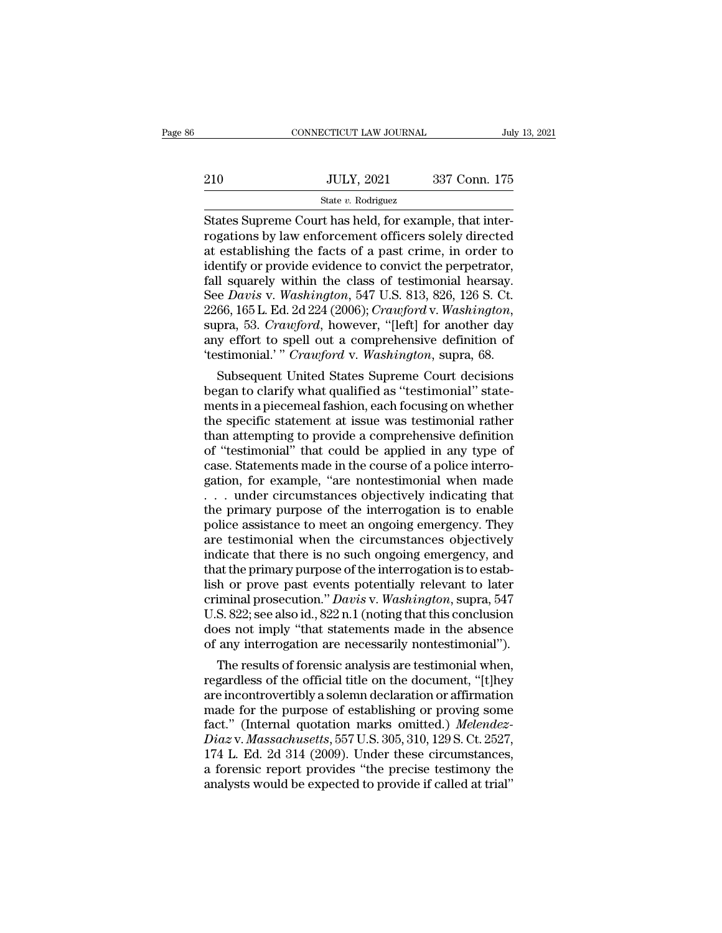# $\begin{tabular}{c} \multicolumn{2}{c|}{\text{CONNECTICUT LAW JOURNAL}} & July 13, 2021 \\ \hline \multicolumn{2}{c|}{\text{UULY, 2021}} & 337 \text{ Conn. } 175 \\ \multicolumn{2}{c|}{\text{State $v$. Rodriguez}} & \end{tabular}$

## State *v.* Rodriguez

CONNECTICUT LAW JOURNAL<br>
States Supreme Court has held, for example, that inter-<br>
States Supreme Court has held, for example, that inter-<br>
rogations by law enforcement officers solely directed<br>
at establishing the facts of 210 JULY, 2021 337 Conn. 175<br>
States Supreme Court has held, for example, that inter-<br>
rogations by law enforcement officers solely directed<br>
at establishing the facts of a past crime, in order to<br>
identify or provide evid 210 JULY, 2021 337 Conn. 175<br>
State v. Rodriguez<br>
States Supreme Court has held, for example, that inter-<br>
rogations by law enforcement officers solely directed<br>
at establishing the facts of a past crime, in order to<br>
ide 210 JULY, 2021 337 Conn. 175<br>
States Supreme Court has held, for example, that inter-<br>
rogations by law enforcement officers solely directed<br>
at establishing the facts of a past crime, in order to<br>
identify or provide evi States Supreme Court has held, for example, that inter-<br>
states Supreme Court has held, for example, that inter-<br>
rogations by law enforcement officers solely directed<br>
at establishing the facts of a past crime, in order States Supreme Court has held, for example, that inter-<br>rogations by law enforcement officers solely directed<br>at establishing the facts of a past crime, in order to<br>identify or provide evidence to convict the perpetrator,<br> States Supreme Court has held, for example, that inter-<br>rogations by law enforcement officers solely directed<br>at establishing the facts of a past crime, in order to<br>identify or provide evidence to convict the perpetrator,<br> at establishing the facts of a past crime, in order to<br>identify or provide evidence to convict the perpetrator,<br>fall squarely within the class of testimonial hearsay.<br>See Davis v. Washington, 547 U.S. 813, 826, 126 S. Ct.<br> identify or provide evidence to convict the perpetrator, fall squarely within the class of testimonial hearsay.<br>See *Davis* v. *Washington*, 547 U.S. 813, 826, 126 S. Ct. 2266, 165 L. Ed. 2d 224 (2006); *Crawford* v. *Wash* II squarely within the class of testimonial hearsay.<br>
e *Davis* v. *Washington*, 547 U.S. 813, 826, 126 S. Ct.<br>
66, 165 L. Ed. 2d 224 (2006); *Crawford* v. *Washington*,<br>
pra, 53. *Crawford*, however, "[left] for another d See *Davis v. Washington*, 547 U.S. 813, 826, 126 S. Ct.<br>2266, 165 L. Ed. 2d 224 (2006); *Crawford v. Washington*,<br>supra, 53. *Crawford*, however, "[left] for another day<br>any effort to spell out a comprehensive definition

2266, 165 L. Ed. 2d 224 (2006); *Crawford* v. *Washington*,<br>supra, 53. *Crawford*, however, "[left] for another day<br>any effort to spell out a comprehensive definition of<br>testimonial.'" *Crawford* v. *Washington*, supra, 6 supra, 53. Crawford, however, "[left] for another day<br>any effort to spell out a comprehensive definition of<br>"testimonial." Crawford v. Washington, supra, 68.<br>Subsequent United States Supreme Court decisions<br>began to clarif any effort to spell out a comprehensive definition of<br>
'testimonial.' " *Crawford* v. *Washington*, supra, 68.<br>
Subsequent United States Supreme Court decisions<br>
began to clarify what qualified as "testimonial" state-<br>
men Testimonial.'" Crawford v. Washington, supra, 68.<br>
Subsequent United States Supreme Court decisions<br>
began to clarify what qualified as "testimonial" state-<br>
ments in a piecemeal fashion, each focusing on whether<br>
the spec Subsequent United States Supreme Court decisions<br>began to clarify what qualified as "testimonial" state-<br>ments in a piecemeal fashion, each focusing on whether<br>the specific statement at issue was testimonial rather<br>than at began to clarify what qualified as "testimonial" statements in a piecemeal fashion, each focusing on whether<br>the specific statement at issue was testimonial rather<br>than attempting to provide a comprehensive definition<br>of " ments in a piecemeal fashion, each focusing on whether<br>the specific statement at issue was testimonial rather<br>than attempting to provide a comprehensive definition<br>of "testimonial" that could be applied in any type of<br>case the specific statement at issue was testimonial rather<br>than attempting to provide a comprehensive definition<br>of "testimonial" that could be applied in any type of<br>case. Statements made in the course of a police interro-<br>ga than attempting to provide a comprehensive definition<br>of "testimonial" that could be applied in any type of<br>case. Statements made in the course of a police interro-<br>gation, for example, "are nontestimonial when made<br> $\dots$  u of "testimonial" that could be applied in any type of<br>case. Statements made in the course of a police interro-<br>gation, for example, "are nontestimonial when made<br> $\ldots$  under circumstances objectively indicating that<br>the pr case. Statements made in the course of a police interrogation, for example, "are nontestimonial when made<br>  $\dots$  under circumstances objectively indicating that<br>
the primary purpose of the interrogation is to enable<br>
polic gation, for example, "are nontestimonial when made<br>  $\ldots$  under circumstances objectively indicating that<br>
the primary purpose of the interrogation is to enable<br>
police assistance to meet an ongoing emergency. They<br>
are t ... under circumstances objectively indicating that<br>the primary purpose of the interrogation is to enable<br>police assistance to meet an ongoing emergency. They<br>are testimonial when the circumstances objectively<br>indicate th the primary purpose of the interrogation is to enable<br>police assistance to meet an ongoing emergency. They<br>are testimonial when the circumstances objectively<br>indicate that there is no such ongoing emergency, and<br>that the p police assistance to meet an ongoing emergency. They<br>are testimonial when the circumstances objectively<br>indicate that there is no such ongoing emergency, and<br>that the primary purpose of the interrogation is to estab-<br>lish are testimonial when the circumstances objectively<br>indicate that there is no such ongoing emergency, and<br>that the primary purpose of the interrogation is to estab-<br>lish or prove past events potentially relevant to later<br>cr indicate that there is no such ongoing emergency, and<br>that the primary purpose of the interrogation is to estab-<br>lish or prove past events potentially relevant to later<br>criminal prosecution." *Davis* v. Washington, supra, at the primary purpose of the interrogation is to estab-<br>h or prove past events potentially relevant to later<br>iminal prosecution." *Davis* v. *Washington*, supra, 547<br>S. 822; see also id., 822 n.1 (noting that this conclu lish or prove past events potentially relevant to later<br>criminal prosecution." *Davis* v. Washington, supra, 547<br>U.S. 822; see also id., 822 n.1 (noting that this conclusion<br>does not imply "that statements made in the abs

criminal prosecution." *Davis* v. *Washington*, supra, 547<br>U.S. 822; see also id., 822 n.1 (noting that this conclusion<br>does not imply "that statements made in the absence<br>of any interrogation are necessarily nontestimonia U.S. 822; see also id., 822 n.1 (noting that this conclusion<br>does not imply "that statements made in the absence<br>of any interrogation are necessarily nontestimonial").<br>The results of forensic analysis are testimonial when does not mply "that statements made in the absence<br>of any interrogation are necessarily nontestimonial").<br>The results of forensic analysis are testimonial when,<br>regardless of the official title on the document, "[t]hey<br>are of any interrogation are necessarily nontestimonial").<br> *The results of forensic analysis are testimonial when*,<br> *regardless of the official title on the document*, "[t]hey<br> *are incontrovertibly a solemn declaration or a* The results of forensic analysis are testimonial when,<br>regardless of the official title on the document, "[t]hey<br>are incontrovertibly a solemn declaration or affirmation<br>made for the purpose of establishing or proving some regardless of the official title on the document, "[t]hey<br>are incontrovertibly a solemn declaration or affirmation<br>made for the purpose of establishing or proving some<br>fact." (Internal quotation marks omitted.) *Melendez-<br>* are incontrovertibly a solemn declaration or affirmation<br>made for the purpose of establishing or proving some<br>fact." (Internal quotation marks omitted.) *Melendez-<br>Diaz* v. *Massachusetts*, 557 U.S. 305, 310, 129 S. Ct. 25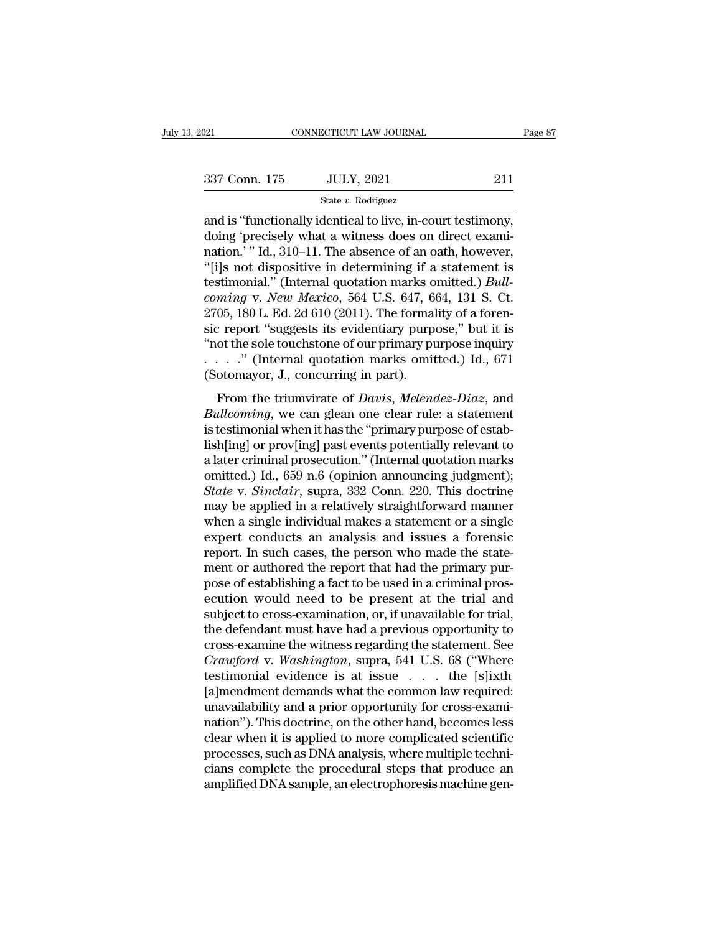$\begin{array}{ccc}\n 21 & \text{CONRECTICUT LAW JOURNAL} & \text{Page}\n \end{array}$ <br>  $\begin{array}{ccc}\n 337 & \text{Conn. } 175 & \text{JULY, } 2021 & 211 \\
 \hline\n & \text{State } v. \text{ Rodriguez} \\
 \text{and is "functionally identical to live, in-court testimony,} \end{array}$ <br>
doing 'precisely what a witness does on direct examination,'," Id. 310, 11. The absence of  $\begin{array}{ccc}\n 337 \text{ Conn. } 175 & \text{JULY, } 2021 & 211 \\
 \hline\n \text{State } v. \text{ Rodriguez} \\
 \text{and is "functionally identical to live, in-court testimony, } \text{doing 'precisely what a witness does on direct examination.''' Id., } 310-11. \text{ The absence of an oath, however, } \text{``} \text{His not dimension in determining if a statement is?} \end{array}$ 337 Conn. 175 JULY, 2021 211<br>
State v. Rodriguez<br>
and is "functionally identical to live, in-court testimony,<br>
doing 'precisely what a witness does on direct exami-<br>
nation.' " Id., 310–11. The absence of an oath, however 337 Conn. 175 JULY, 2021 211<br>
State v. Rodriguez<br>
and is "functionally identical to live, in-court testimony,<br>
doing 'precisely what a witness does on direct exami-<br>
nation.' " Id., 310–11. The absence of an oath, however State *v.* Rodriguez<br>
and is "functionally identical to live, in-court testimony,<br>
doing 'precisely what a witness does on direct exami-<br>
nation.' " Id., 310–11. The absence of an oath, however,<br>
"[i]s not dispositive in d <sup>coming</sup> identical to live, in-court testimony,<br>doing 'precisely what a witness does on direct exami-<br>nation.' " Id., 310–11. The absence of an oath, however,<br>"[i]s not dispositive in determining if a statement is<br>testimon and is "functionally identical to live, in-court testimony,<br>doing 'precisely what a witness does on direct exami-<br>nation.' " Id., 310–11. The absence of an oath, however,<br>"[i]s not dispositive in determining if a statemen doing 'precisely what a witness does on direct examination.'" Id., 310–11. The absence of an oath, however,<br>"[i]s not dispositive in determining if a statement is<br>testimonial." (Internal quotation marks omitted.) *Bull-*<br> nation.' " Id., 310–11. The absence of an oath, however,<br>"[i]s not dispositive in determining if a statement is<br>testimonial." (Internal quotation marks omitted.) *Bull-*<br>*coming* v. *New Mexico*, 564 U.S. 647, 664, 131 S. "[i]s not dispositive in determining if a statement is<br>testimonial." (Internal quotation marks omitted.) *Bull-*<br>*coming* v. *New Mexico*, 564 U.S. 647, 664, 131 S. Ct.<br>2705, 180 L. Ed. 2d 610 (2011). The formality of a f testimonial." (Internal quotation marks o<br>coming v. New Mexico, 564 U.S. 647, 6<br>2705, 180 L. Ed. 2d 610 (2011). The formal<br>sic report "suggests its evidentiary purp<br>"not the sole touchstone of our primary pu<br>..." (Interna From the triumvirate of *Davis*, *Melendez-Diaz*, and *all coming*, we can glean one charge of *Davis*, *Melendez-Diaz*, and *all coming*, we can glean one clear rule: a statement testimonial when it has the "primary purp  $B_{\text{S}}$  is the clear of  $\left(2011\right)$ . The formally of a force the sole correction is "not the sole touchstone of our primary purpose inquiry . . . . . " (Internal quotation marks omitted.) Id., 671 (Sotomayor, J., concu

is testimonic suggests its existency purpose, but it is<br>
"not the sole touchstone of our primary purpose inquiry<br>  $\ldots$ " (Internal quotation marks omitted.) Id., 671<br>
(Sotomayor, J., concurring in part).<br>
From the triumvi list are sole isotensistic of our primary parpose inquiry<br>  $\ldots$  ... ." (Internal quotation marks omitted.) Id., 671<br>
(Sotomayor, J., concurring in part).<br>
From the triumvirate of *Davis*, *Melendez-Diaz*, and<br> *Bullcomin* (Sotomayor, J., concurring in part).<br>
From the triumvirate of *Davis*, *Melendez-Diaz*, and<br> *Bullcoming*, we can glean one clear rule: a statement<br>
is testimonial when it has the "primary purpose of estab-<br>
lish[ing] or From the triumvirate of *Davis*, *Melendez-Diaz*, and *Bullcoming*, we can glean one clear rule: a statement is testimonial when it has the "primary purpose of establish[ing] or prov[ing] past events potentially relevant From the triumvirate of *Davis*, *Melendez-Diaz*, and *Bullcoming*, we can glean one clear rule: a statement is testimonial when it has the "primary purpose of establish[ing] or prov[ing] past events potentially relevant t Bullcoming, we can glean one clear rule: a statement<br>is testimonial when it has the "primary purpose of estab-<br>lish[ing] or prov[ing] past events potentially relevant to<br>a later criminal prosecution." (Internal quotation m is testimonial when it has the "primary purpose of establish[ing] or prov[ing] past events potentially relevant to a later criminal prosecution." (Internal quotation marks omitted.) Id., 659 n.6 (opinion announcing judgmen lish[ing] or prov[ing] past events potentially relevant to<br>a later criminal prosecution." (Internal quotation marks<br>omitted.) Id., 659 n.6 (opinion announcing judgment);<br>*State* v. *Sinclair*, supra, 332 Conn. 220. This do a later criminal prosecution." (Internal quotation marks<br>omitted.) Id., 659 n.6 (opinion announcing judgment);<br>*State* v. *Sinclair*, supra, 332 Conn. 220. This doctrine<br>may be applied in a relatively straightforward manne omitted.) Id., 659 n.6 (opinion announcing judgment);<br>State v. Sinclair, supra, 332 Conn. 220. This doctrine<br>may be applied in a relatively straightforward manner<br>when a single individual makes a statement or a single<br>expe State v. Sinclair, supra, 332 Conn. 220. This doctrine<br>may be applied in a relatively straightforward manner<br>when a single individual makes a statement or a single<br>expert conducts an analysis and issues a forensic<br>report. may be applied in a relatively straightforward manner<br>when a single individual makes a statement or a single<br>expert conducts an analysis and issues a forensic<br>report. In such cases, the person who made the state-<br>ment or a when a single individual makes a statement or a single<br>expert conducts an analysis and issues a forensic<br>report. In such cases, the person who made the state-<br>ment or authored the report that had the primary pur-<br>pose of e expert conducts an analysis and issues a forensic<br>report. In such cases, the person who made the state-<br>ment or authored the report that had the primary pur-<br>pose of establishing a fact to be used in a criminal pros-<br>ecuti report. In such cases, the person who made the statement or authored the report that had the primary pur-<br>pose of establishing a fact to be used in a criminal prosecution would need to be present at the trial and<br>subject t ment or authored the report that had the primary pur-<br>pose of establishing a fact to be used in a criminal pros-<br>ecution would need to be present at the trial and<br>subject to cross-examination, or, if unavailable for trial, pose of establishing a fact to be used in a criminal prosecution would need to be present at the trial and<br>subject to cross-examination, or, if unavailable for trial,<br>the defendant must have had a previous opportunity to<br>c ecution would need to be present at the trial and<br>subject to cross-examination, or, if unavailable for trial,<br>the defendant must have had a previous opportunity to<br>cross-examine the witness regarding the statement. See<br>*Cr* subject to cross-examination, or, if unavailable for trial,<br>the defendant must have had a previous opportunity to<br>cross-examine the witness regarding the statement. See<br> $Crawford$  v. Washington, supra, 541 U.S. 68 ("Where<br>test the defendant must have had a previous opportunity to<br>cross-examine the witness regarding the statement. See<br>*Crawford* v. *Washington*, supra, 541 U.S. 68 ("Where<br>testimonial evidence is at issue . . . the [s]ixth<br>[a]men cross-examine the witness regarding the statement. See<br> *Crawford* v. *Washington*, supra, 541 U.S. 68 ("Where<br>
testimonial evidence is at issue  $\ldots$  the [s]ixth<br>
[a]mendment demands what the common law required:<br>
unavai Crawford v. Washington, supra, 541 U.S. 68 ("Where<br>testimonial evidence is at issue  $\dots$  the [s]ixth<br>[a]mendment demands what the common law required:<br>unavailability and a prior opportunity for cross-exami-<br>nation"). This testimonial evidence is at issue . . . . the [s]ixth<br>[a]mendment demands what the common law required:<br>unavailability and a prior opportunity for cross-exami-<br>nation"). This doctrine, on the other hand, becomes less<br>clear [a]mendment demands what the common law required:<br>unavailability and a prior opportunity for cross-exami-<br>nation"). This doctrine, on the other hand, becomes less<br>clear when it is applied to more complicated scientific<br>pro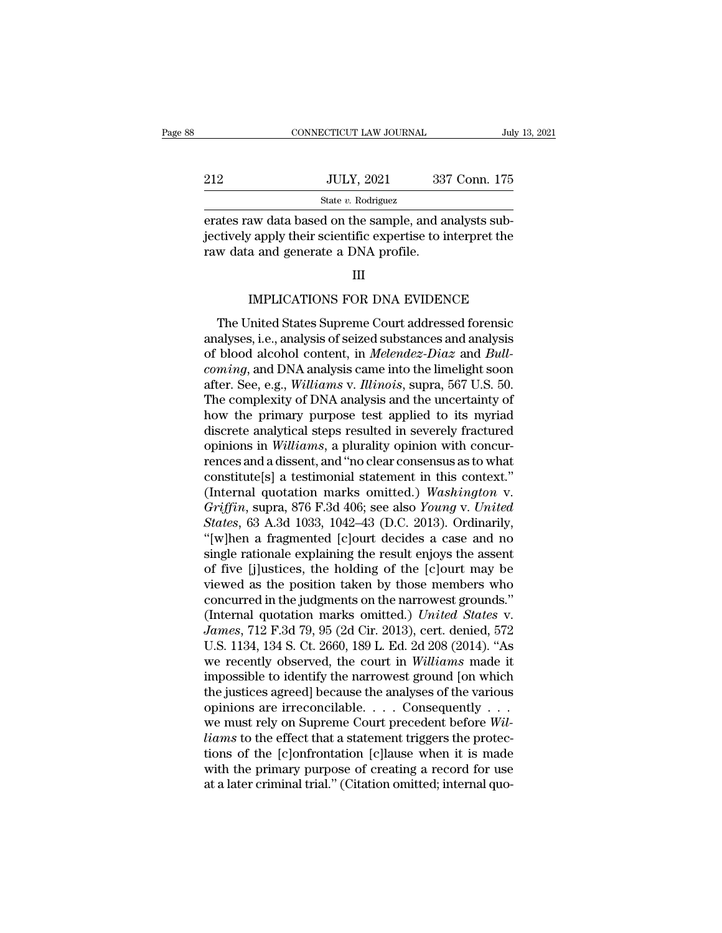|     | CONNECTICUT LAW JOURNAL                                                                                                                                      | July 13, 2021 |
|-----|--------------------------------------------------------------------------------------------------------------------------------------------------------------|---------------|
| 212 | <b>JULY, 2021</b>                                                                                                                                            | 337 Conn. 175 |
|     | State $v$ . Rodriguez                                                                                                                                        |               |
|     | erates raw data based on the sample, and analysts sub-<br>jectively apply their scientific expertise to interpret the<br>row data and generate a DNA profile |               |

312 JULY, 2021 337 Conn. 175<br>State v. Rodriguez<br>erates raw data based on the sample, and analysts sub-<br>jectively apply their scientific expertise to interpret the<br>raw data and generate a DNA profile. Fig. 337<br>
Fig. 2021 337<br>
State v. Rodriguez<br>
Fraction and a Discrep and a DNA profile.<br>
Traw data and generate a DNA profile.<br>
THE State *t*. Rounguez<br>
aw data based on the sample, and analysts sub-<br> *i* apply their scientific expertise to interpret the<br>
a and generate a DNA profile.<br>
III<br>
IMPLICATIONS FOR DNA EVIDENCE<br>
Inited States Supreme Court add

### III

The United States Supreme Court addressed forensic<br>
New data and generate a DNA profile.<br>
III<br>
IMPLICATIONS FOR DNA EVIDENCE<br>
The United States Supreme Court addressed forensic<br>
alyses, i.e., analysis of seized substances raw data and generate a DNA profile.<br>
III<br>
III<br>
IMPLICATIONS FOR DNA EVIDENCE<br>
The United States Supreme Court addressed forensic<br>
analyses, i.e., analysis of seized substances and analysis<br>
of blood alcohol content, in *M* III<br>
IMPLICATIONS FOR DNA EVIDENCE<br>
The United States Supreme Court addressed forensic<br>
analyses, i.e., analysis of seized substances and analysis<br>
of blood alcohol content, in *Melendez-Diaz* and *Bull-*<br> *coming*, and DN III<br>
IMPLICATIONS FOR DNA EVIDENCE<br>
The United States Supreme Court addressed forensic<br>
analyses, i.e., analysis of seized substances and analysis<br>
of blood alcohol content, in *Melendez-Diaz* and *Bull-<br>
coming*, and DNA IMPLICATIONS FOR DNA EVIDENCE<br>The United States Supreme Court addressed forensic<br>analyses, i.e., analysis of seized substances and analysis<br>of blood alcohol content, in *Melendez-Diaz* and *Bull-*<br>*coming*, and DNA analysi The United States Supreme Court addressed forensic<br>analyses, i.e., analysis of seized substances and analysis<br>of blood alcohol content, in *Melendez-Diaz* and *Bull-*<br>*coming*, and DNA analysis came into the limelight soon The United States Supreme Court addressed forensic<br>analyses, i.e., analysis of seized substances and analysis<br>of blood alcohol content, in *Melendez-Diaz* and *Bull-<br>coming*, and DNA analysis came into the limelight soon<br>a analyses, i.e., analysis of seized substances and analysis<br>of blood alcohol content, in *Melendez-Diaz* and *Bull-*<br>*coming*, and DNA analysis came into the limelight soon<br>after. See, e.g., *Williams* v. *Illinois*, supra, of blood alcohol content, in *Melendez-Diaz* and *Bull-coming*, and DNA analysis came into the limelight soon after. See, e.g., *Williams* v. *Illinois*, supra, 567 U.S. 50. The complexity of DNA analysis and the uncertain coming, and DNA analysis came into the limelight soon<br>after. See, e.g., *Williams v. Illinois*, supra, 567 U.S. 50.<br>The complexity of DNA analysis and the uncertainty of<br>how the primary purpose test applied to its myriad<br>d after. See, e.g., *Williams v. Illinois*, supra, 567 U.S. 50.<br>The complexity of DNA analysis and the uncertainty of<br>how the primary purpose test applied to its myriad<br>discrete analytical steps resulted in severely fractur The complexity of DNA analysis and the uncertainty of<br>how the primary purpose test applied to its myriad<br>discrete analytical steps resulted in severely fractured<br>opinions in *Williams*, a plurality opinion with concur-<br>ren how the primary purpose test applied to its myriad<br>discrete analytical steps resulted in severely fractured<br>opinions in *Williams*, a plurality opinion with concur-<br>rences and a dissent, and "no clear consensus as to what<br> discrete analytical steps resulted in severely fractured<br>opinions in *Williams*, a plurality opinion with concur-<br>rences and a dissent, and "no clear consensus as to what<br>constitute[s] a testimonial statement in this conte opinions in *Williams*, a plurality opinion with concur-<br>rences and a dissent, and "no clear consensus as to what<br>constitute[s] a testimonial statement in this context."<br>(Internal quotation marks omitted.) *Washington v.*<br> rences and a dissent, and "no clear consensus as to what<br>constitute[s] a testimonial statement in this context."<br>(Internal quotation marks omitted.) Washington v.<br>Griffin, supra, 876 F.3d 406; see also Young v. United<br>Stat constitute[s] a testimonial statement in this context."<br>(Internal quotation marks omitted.) Washington v.<br>Griffin, supra, 876 F.3d 406; see also Young v. United<br>States, 63 A.3d 1033, 1042–43 (D.C. 2013). Ordinarily,<br>"[w]he (Internal quotation marks omitted.) Washington v.<br> *Griffin*, supra, 876 F.3d 406; see also Young v. United<br> *States*, 63 A.3d 1033, 1042–43 (D.C. 2013). Ordinarily,<br>
"[w]hen a fragmented [c]ourt decides a case and no<br>
si Griffin, supra, 876 F.3d 406; see also *Young v. United*<br>States, 63 A.3d 1033, 1042–43 (D.C. 2013). Ordinarily,<br>"[w]hen a fragmented [c]ourt decides a case and no<br>single rationale explaining the result enjoys the assent<br>o States, 63 A.3d 1033, 1042–43 (D.C. 2013). Ordinarily,<br>"[w]hen a fragmented [c]ourt decides a case and no<br>single rationale explaining the result enjoys the assent<br>of five [j]ustices, the holding of the [c]ourt may be<br>viewe "[w]hen a fragmented [c]ourt decides a case and no<br>single rationale explaining the result enjoys the assent<br>of five [j]ustices, the holding of the [c]ourt may be<br>viewed as the position taken by those members who<br>concurred single rationale explaining the result enjoys the assent<br>of five [j]ustices, the holding of the [c]ourt may be<br>viewed as the position taken by those members who<br>concurred in the judgments on the narrowest grounds."<br>(Intern of five [j]ustices, the holding of the [c]ourt may be<br>viewed as the position taken by those members who<br>concurred in the judgments on the narrowest grounds."<br>(Internal quotation marks omitted.) *United States* v.<br>*James*, viewed as the position taken by those members who<br>concurred in the judgments on the narrowest grounds."<br>(Internal quotation marks omitted.) *United States v.*<br>James, 712 F.3d 79, 95 (2d Cir. 2013), cert. denied, 572<br>U.S. 1 concurred in the judgments on the narrowest grounds."<br>(Internal quotation marks omitted.) *United States* v.<br>*James*, 712 F.3d 79, 95 (2d Cir. 2013), cert. denied, 572<br>U.S. 1134, 134 S. Ct. 2660, 189 L. Ed. 2d 208 (2014). (Internal quotation marks omitted.) *United States* v.<br>
James, 712 F.3d 79, 95 (2d Cir. 2013), cert. denied, 572<br>
U.S. 1134, 134 S. Ct. 2660, 189 L. Ed. 2d 208 (2014). "As<br>
we recently observed, the court in *Williams* ma James, 712 F.3d 79, 95 (2d Cir. 2013), cert. denied, 572<br>U.S. 1134, 134 S. Ct. 2660, 189 L. Ed. 2d 208 (2014). "As<br>we recently observed, the court in *Williams* made it<br>impossible to identify the narrowest ground [on which U.S. 1134, 134 S. Ct. 2660, 189 L. Ed. 2d 208 (2014). "As<br>we recently observed, the court in *Williams* made it<br>impossible to identify the narrowest ground [on which<br>the justices agreed] because the analyses of the various we recently observed, the court in *Williams* made it<br>impossible to identify the narrowest ground [on which<br>the justices agreed] because the analyses of the various<br>opinions are irreconcilable....Consequently...<br>we must r impossible to identify the narrowest ground [on which<br>the justices agreed] because the analyses of the various<br>opinions are irreconcilable.... Consequently ...<br>we must rely on Supreme Court precedent before *Wil-<br>liams* t the justices agreed] because the analyses of the various<br>opinions are irreconcilable. . . . Consequently . . .<br>we must rely on Supreme Court precedent before Will-<br>liams to the effect that a statement triggers the protec-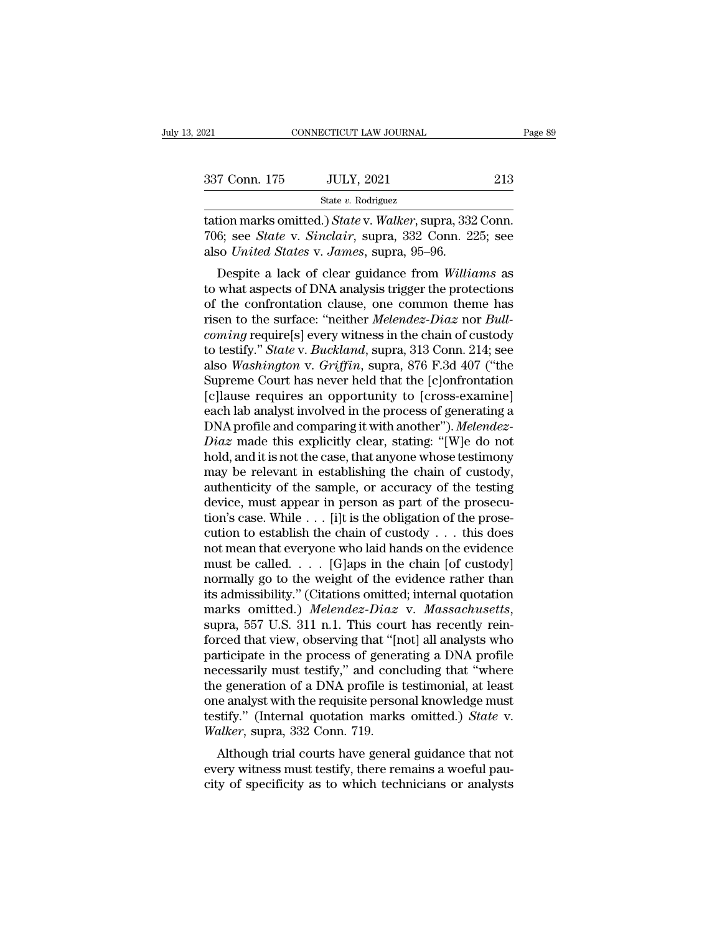| 2021          | CONNECTICUT LAW JOURNAL | Page 89 |
|---------------|-------------------------|---------|
| 337 Conn. 175 | <b>JULY, 2021</b>       | 213     |
|               | State $v$ . Rodriguez   |         |

337 Conn. 175 JULY, 2021 213<br>
<sup>State v. Rodriguez</sup><br>
tation marks omitted.) *State* v. *Walker*, supra, 332 Conn.<br>
706; see *State* v. *Sinclair*, supra, 332 Conn. 225; see<br>
also *United States* v. *James*, supra, 95–96. also *United States ULY, 2021*<br>
<u>States</u> *v. Rodriguez*<br> **Lation marks omitted.) States** *v. Walker*, supra, 332<br>
T06; see *State v. Sinclair*, supra, 332 Conn. 22<br>
also *United States v. James*, supra, 95–96.<br>
Despi 7 Conn. 175 JULY, 2021 213<br>
State v. Rodriguez<br>
ion marks omitted.) *State* v. *Walker*, supra, 332 Conn.<br>
6; see *State* v. *Sinclair*, supra, 332 Conn. 225; see<br>
so *United States* v. *James*, supra, 95–96.<br>
Despite a la

State v. Rodriguez<br>
tation marks omitted.) *State* v. Walker, supra, 332 Conn.<br>
706; see *State* v. *Sinclair*, supra, 332 Conn. 225; see<br>
also *United States* v. *James*, supra, 95–96.<br>
Despite a lack of clear guidance f Tration marks omitted.) *State* v. *Walker*, supra, 332 Conn.<br>
706; see *State* v. *Sinclair*, supra, 332 Conn. 225; see<br>
also *United States* v. *James*, supra, 95–96.<br>
Despite a lack of clear guidance from *Williams* as<br> ration marks omnted.) *State v. Walker*, supra, 332 Com.<br>
706; see *State v. Sinclair*, supra, 332 Com. 225; see<br>
also *United States v. James*, supra, 95–96.<br>
Despite a lack of clear guidance from *Williams* as<br>
to what a *coming* require the state of clear guidance from *Williams* as<br> *coming* a lack of clear guidance from *Williams* as<br> *coming* require the confrontation clause, one common theme has<br> *coming* require [s] every witness in also *Untied States v. James*, supra, 35–30.<br>
Despite a lack of clear guidance from *Williams* as<br>
to what aspects of DNA analysis trigger the protections<br>
of the confrontation clause, one common theme has<br>
risen to the su Despite a lack of clear guidance from *Williams* as<br>to what aspects of DNA analysis trigger the protections<br>of the confrontation clause, one common theme has<br>risen to the surface: "neither *Melendez-Diaz* nor *Bull-*<br>*comi* to what aspects of DNA analysis trigger the protections<br>of the confrontation clause, one common theme has<br>risen to the surface: "neither *Melendez-Diaz* nor *Bull-<br>coming* require[s] every witness in the chain of custody<br>t of the confrontation clause, one common theme has<br>risen to the surface: "neither *Melendez-Diaz* nor *Bull-<br>coming* require[s] every witness in the chain of custody<br>to testify." *State* v. *Buckland*, supra, 313 Conn. 214; risen to the surface: "neither *Melendez-Diaz* nor *Bull-*<br>coming require[s] every witness in the chain of custody<br>to testify." *State* v. *Buckland*, supra, 313 Conn. 214; see<br>also *Washington* v. *Griffin*, supra, 876 F. coming require[s] every witness in the chain of custody<br>to testify." *State* v. *Buckland*, supra, 313 Conn. 214; see<br>also *Washington* v. *Griffin*, supra, 876 F.3d 407 ("the<br>Supreme Court has never held that the [c]onfro to testify." *State* v. *Buckland*, supra, 313 Conn. 214; see<br>also *Washington* v. *Griffin*, supra, 876 F.3d 407 ("the<br>Supreme Court has never held that the [c]onfrontation<br>[c]lause requires an opportunity to [cross-exami also *Washington* v. *Griffin*, supra, 876 F.3d 407 ("the<br>Supreme Court has never held that the [c]onfrontation<br>[c]lause requires an opportunity to [cross-examine]<br>each lab analyst involved in the process of generating a<br>D Supreme Court has never held that the [c]onfrontation [c]lause requires an opportunity to [cross-examine] each lab analyst involved in the process of generating a DNA profile and comparing it with another"). *Melendez-Diaz* [c] lause requires an opportunity to [cross-examine]<br>each lab analyst involved in the process of generating a<br>DNA profile and comparing it with another"). *Melendez-<br>Diaz* made this explicitly clear, stating: "[W]e do not each lab analyst involved in the process of generating a<br>DNA profile and comparing it with another"). Melendez-<br>Diaz made this explicitly clear, stating: "[W]e do not<br>hold, and it is not the case, that anyone whose testim DNA profile and comparing it with another"). *Melendez-<br>Diaz* made this explicitly clear, stating: "[W]e do not<br>hold, and it is not the case, that anyone whose testimony<br>may be relevant in establishing the chain of custod Diaz made this explicitly clear, stating: "[W]e do not<br>hold, and it is not the case, that anyone whose testimony<br>may be relevant in establishing the chain of custody,<br>authenticity of the sample, or accuracy of the testing hold, and it is not the case, that anyone whose testimony<br>may be relevant in establishing the chain of custody,<br>authenticity of the sample, or accuracy of the testing<br>device, must appear in person as part of the prosecu-<br> may be relevant in establishing the chain of custody,<br>authenticity of the sample, or accuracy of the testing<br>device, must appear in person as part of the prosecu-<br>tion's case. While  $\ldots$  [i]t is the obligation of the pro authenticity of the sample, or accuracy of the testing<br>device, must appear in person as part of the prosecu-<br>tion's case. While . . . [i]t is the obligation of the prose-<br>cution to establish the chain of custody . . . thi device, must appear in person as part of the prosecution's case. While . . . [i]t is the obligation of the prosecution to establish the chain of custody . . . this does not mean that everyone who laid hands on the evidenc tion's case. While  $\ldots$  [i]t is the obligation of the prosecution to establish the chain of custody  $\ldots$  this does not mean that everyone who laid hands on the evidence must be called.  $\ldots$  [G]aps in the chain [of cust not mean that everyone who laid hands on the evidence<br>must be called. . . . [G]aps in the chain [of custody]<br>normally go to the weight of the evidence rather than<br>its admissibility." (Citations omitted; internal quotation must be called. . . . [G]aps in the chain [of custody]<br>normally go to the weight of the evidence rather than<br>its admissibility." (Citations omitted; internal quotation<br>marks omitted.) Melendez-Diaz v. Massachusetts,<br>supra normally go to the weight of the evidence rather than<br>its admissibility." (Citations omitted; internal quotation<br>marks omitted.) Melendez-Diaz v. Massachusetts,<br>supra, 557 U.S. 311 n.1. This court has recently rein-<br>forced its admissibility." (Citations omitted; internal quotation<br>marks  $\omega$  omitted.) *Melendez-Diaz* v. *Massachusetts*,<br>supra, 557 U.S. 311 n.1. This court has recently rein-<br>forced that view, observing that "[not] all analys marks omitted.) *Melendez-Diaz* v. *Massachusetts*,<br>supra, 557 U.S. 311 n.1. This court has recently rein-<br>forced that view, observing that "[not] all analysts who<br>participate in the process of generating a DNA profile<br>ne supra, 557 U.S. 311 n.1. This court has recently rein-<br>forced that view, observing that "[not] all analysts who<br>participate in the process of generating a DNA profile<br>necessarily must testify," and concluding that "where<br>t forced that view, observing that "[n<br>participate in the process of genera<br>necessarily must testify," and conc<br>the generation of a DNA profile is<br>one analyst with the requisite person<br>testify." (Internal quotation marks<br>*Wa* Fulcipate in the process of generating a DNA profile<br>cessarily must testify," and concluding that "where<br>e generation of a DNA profile is testimonial, at least<br>leanalyst with the requisite personal knowledge must<br>stify." ( recessarily must testify, and concluding that where<br>the generation of a DNA profile is testimonial, at least<br>one analyst with the requisite personal knowledge must<br>testify." (Internal quotation marks omitted.) *State* v.<br>W the generation of a DNA profile is testimonial, at least<br>one analyst with the requisite personal knowledge must<br>testify." (Internal quotation marks omitted.) *State* v.<br>Walker, supra, 332 Conn. 719.<br>Although trial courts h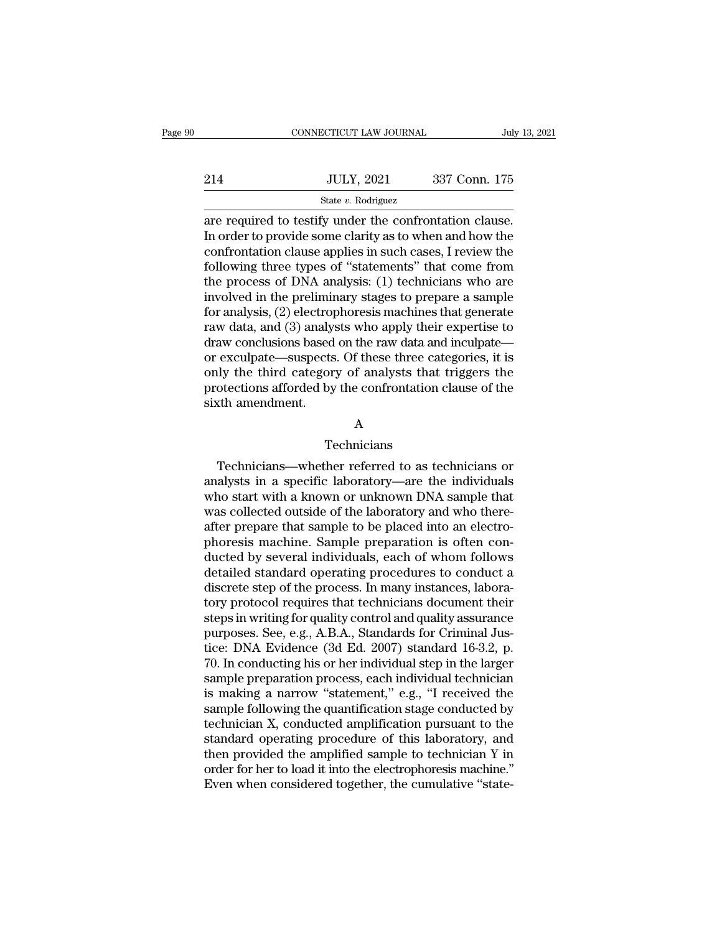|     | CONNECTICUT LAW JOURNAL                                                                                                                                                        | July 13, 2021 |
|-----|--------------------------------------------------------------------------------------------------------------------------------------------------------------------------------|---------------|
| 214 | <b>JULY, 2021</b>                                                                                                                                                              | 337 Conn. 175 |
|     | State v. Rodriguez                                                                                                                                                             |               |
|     | are required to testify under the confrontation clause.<br>In order to provide some clarity as to when and how the<br>confrontation clause applies in such cases. I review the |               |

214 JULY, 2021 337 Conn. 175<br>
State v. Rodriguez<br>
are required to testify under the confrontation clause.<br>
In order to provide some clarity as to when and how the<br>
confrontation clause applies in such cases, I review the<br> 214 JULY, 2021 337 Conn. 175<br>
State v. Rodriguez<br>
are required to testify under the confrontation clause.<br>
In order to provide some clarity as to when and how the<br>
confrontation clause applies in such cases, I review the<br>  $f_{\text{state } v. \text{ Rodriguez}}$ <br>  $f_{\text{state } v. \text{ Rodriguez}}$ <br>  $f_{\text{after } v. \text{ Rodriguez}}$ <br>  $f_{\text{after } v. \text{Euler}}$ <br>  $f_{\text{other } v. \text{Euler}}$ <br>  $f_{\text{other } v. \text{Euler}}$ <br>  $f_{\text{other } v. \text{Euler}}$ <br>  $f_{\text{other } v. \text{Euler}}$ <br>  $f_{\text{other } v. \text{Euler}}$ <br>  $f_{\text{other } v. \text{Euler}}$ <br>  $f_{\text{other } v. \text{Euler}}$ <br>  $f_{\text{other } v. \text{Euler$ State v. Rodriguez<br>
State v. Rodriguez<br>
are required to testify under the confrontation clause.<br>
In order to provide some clarity as to when and how the<br>
confrontation clause applies in such cases, I review the<br>
following state v. Rodriguez<br>are required to testify under the confrontation clause.<br>In order to provide some clarity as to when and how the<br>confrontation clause applies in such cases, I review the<br>following three types of "stateme are required to testify under the confrontation clause.<br>In order to provide some clarity as to when and how the<br>confrontation clause applies in such cases, I review the<br>following three types of "statements" that come from<br> In order to provide some clarity as to when and how the confrontation clause applies in such cases, I review the following three types of "statements" that come from the process of DNA analysis: (1) technicians who are inv confrontation clause applies in such cases, I review the<br>following three types of "statements" that come from<br>the process of DNA analysis: (1) technicians who are<br>involved in the preliminary stages to prepare a sample<br>for following three types of "statements" that come from<br>the process of DNA analysis: (1) technicians who are<br>involved in the preliminary stages to prepare a sample<br>for analysis, (2) electrophoresis machines that generate<br>raw the process of DNA analysis: (1) technicians who are<br>involved in the preliminary stages to prepare a sample<br>for analysis, (2) electrophoresis machines that generate<br>raw data, and (3) analysts who apply their expertise to<br>d involved in the preliminary stages to prepare a sample<br>for analysis, (2) electrophoresis machines that generate<br>raw data, and (3) analysts who apply their expertise to<br>draw conclusions based on the raw data and inculpate—<br> for analysis, (2) electroy<br>raw data, and (3) analy,<br>draw conclusions based<br>or exculpate—suspects<br>only the third categor<br>protections afforded by<br>sixth amendment. Technicians—whether referred to as technicians or

### A

### Technicians

analysts in a specific laboratory—are the individuals sixth amendment.<br>
A<br>
Technicians<br>
Technicians<br>
Technicians<br>
Technicians<br>
Where the referred to as technicians or<br>
analysts in a specific laboratory—are the individuals<br>
who start with a known or unknown DNA sample that<br>
wa A<br>
Technicians<br>
Technicians —whether referred to as technicians or<br>
analysts in a specific laboratory—are the individuals<br>
who start with a known or unknown DNA sample that<br>
was collected outside of the laboratory and who Technicians—whether referred to as technicians or<br>analysts in a specific laboratory—are the individuals<br>who start with a known or unknown DNA sample that<br>was collected outside of the laboratory and who there-<br>after prepare Fechnicians—whether referred to as technicians or<br>analysts in a specific laboratory—are the individuals<br>who start with a known or unknown DNA sample that<br>was collected outside of the laboratory and who there-<br>after prepare Technicians—whether referred to as technicians or<br>analysts in a specific laboratory—are the individuals<br>who start with a known or unknown DNA sample that<br>was collected outside of the laboratory and who there-<br>after prepare analysts in a specific laboratory—are the individuals<br>who start with a known or unknown DNA sample that<br>was collected outside of the laboratory and who there-<br>after prepare that sample to be placed into an electro-<br>phoresi who start with a known or unknown DNA sample that<br>was collected outside of the laboratory and who there-<br>after prepare that sample to be placed into an electro-<br>phoresis machine. Sample preparation is often con-<br>ducted by was collected outside of the laboratory and who there-<br>after prepare that sample to be placed into an electro-<br>phoresis machine. Sample preparation is often con-<br>ducted by several individuals, each of whom follows<br>detaile after prepare that sample to be placed into an electro-<br>phoresis machine. Sample preparation is often con-<br>ducted by several individuals, each of whom follows<br>detailed standard operating procedures to conduct a<br>discrete st phoresis machine. Sample preparation is often conducted by several individuals, each of whom follows<br>detailed standard operating procedures to conduct a<br>discrete step of the process. In many instances, labora-<br>tory protoco ducted by several individuals, each of whom follows<br>detailed standard operating procedures to conduct a<br>discrete step of the process. In many instances, labora-<br>tory protocol requires that technicians document their<br>steps detailed standard operating procedures to conduct a<br>discrete step of the process. In many instances, labora-<br>tory protocol requires that technicians document their<br>steps in writing for quality control and quality assurance discrete step of the process. In many instances, laboratory protocol requires that technicians document their<br>steps in writing for quality control and quality assurance<br>purposes. See, e.g., A.B.A., Standards for Criminal J tory protocol requires that technicians document their<br>steps in writing for quality control and quality assurance<br>purposes. See, e.g., A.B.A., Standards for Criminal Jus-<br>tice: DNA Evidence (3d Ed. 2007) standard 16-3.2, p steps in writing for quality control and quality assurance<br>purposes. See, e.g., A.B.A., Standards for Criminal Jus-<br>tice: DNA Evidence (3d Ed. 2007) standard 16-3.2, p.<br>70. In conducting his or her individual step in the l purposes. See, e.g., A.B.A., Standards for Criminal Justice: DNA Evidence (3d Ed. 2007) standard 16-3.2, p.<br>70. In conducting his or her individual step in the larger<br>sample preparation process, each individual technician<br> tice: DNA Evidence (3d Ed. 2007) standard 16-3.2, p.<br>70. In conducting his or her individual step in the larger<br>sample preparation process, each individual technician<br>is making a narrow "statement," e.g., "I received the<br>s 70. In conducting his or her individual step in the larger<br>sample preparation process, each individual technician<br>is making a narrow "statement," e.g., "I received the<br>sample following the quantification stage conducted by sample preparation process, each individual technician<br>is making a narrow "statement," e.g., "I received the<br>sample following the quantification stage conducted by<br>technician X, conducted amplification pursuant to the<br>stan is making a narrow "statement," e.g., "I received the sample following the quantification stage conducted by technician X, conducted amplification pursuant to the standard operating procedure of this laboratory, and then p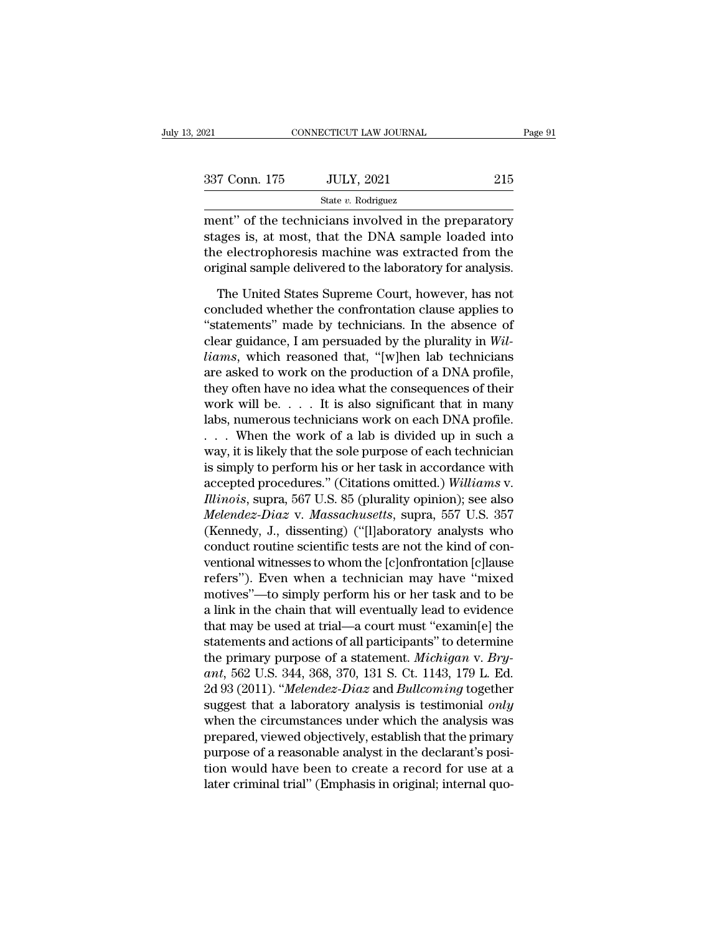| 2021          | CONNECTICUT LAW JOURNAL                                                                                                                                           | Page 91 |
|---------------|-------------------------------------------------------------------------------------------------------------------------------------------------------------------|---------|
|               |                                                                                                                                                                   |         |
| 337 Conn. 175 | <b>JULY, 2021</b>                                                                                                                                                 | 215     |
|               | State $v$ . Rodriguez                                                                                                                                             |         |
|               | ment" of the technicians involved in the preparatory<br>stages is, at most, that the DNA sample loaded into<br>the electrophorogic machine was extracted from the |         |

 $337$  Conn. 175 JULY, 2021 215<br>
State v. Rodriguez<br>
ment" of the technicians involved in the preparatory<br>
stages is, at most, that the DNA sample loaded into<br>
the electrophoresis machine was extracted from the<br>
original s 337 Conn. 175 JULY, 2021 215<br>
State v. Rodriguez<br>
ment" of the technicians involved in the preparatory<br>
stages is, at most, that the DNA sample loaded into<br>
the electrophoresis machine was extracted from the<br>
original sam 337 Conn. 175 JULY, 2021 215<br>
State v. Rodriguez<br>
ment" of the technicians involved in the preparatory<br>
stages is, at most, that the DNA sample loaded into<br>
the electrophoresis machine was extracted from the<br>
original sam State v. Rodriguez<br>
State v. Rodriguez<br>
State v. Rodriguez<br>
States Supreme Court, the preparatory<br>
States Supreme Court, however, has not<br>
The United States Supreme Court, however, has not<br>
not not not the confrontation c ment" of the technicians involved in the preparatory<br>stages is, at most, that the DNA sample loaded into<br>the electrophoresis machine was extracted from the<br>original sample delivered to the laboratory for analysis.<br>The Uni

stages is, at most, that the DNA sample loaded into<br>
the electrophoresis machine was extracted from the<br>
original sample delivered to the laboratory for analysis.<br>
The United States Supreme Court, however, has not<br>
conclud the electrophoresis machine was extracted from the original sample delivered to the laboratory for analysis.<br>The United States Supreme Court, however, has not concluded whether the confrontation clause applies to "statemen original sample delivered to the laboratory for analysis.<br>
The United States Supreme Court, however, has not<br>
concluded whether the confrontation clause applies to<br>
"statements" made by technicians. In the absence of<br>
clea The United States Supreme Court, however, has not concluded whether the confrontation clause applies to "statements" made by technicians. In the absence of clear guidance, I am persuaded by the plurality in Williams, whic The United States Supreme Court, however, has not<br>concluded whether the confrontation clause applies to<br>"statements" made by technicians. In the absence of<br>clear guidance, I am persuaded by the plurality in *Wil-<br>liams*, concluded whether the confrontation clause applies to<br>
"statements" made by technicians. In the absence of<br>
clear guidance, I am persuaded by the plurality in Wil-<br>
liams, which reasoned that, "[w]hen lab technicians<br>
are "statements" made by technicians. In the absence of<br>clear guidance, I am persuaded by the plurality in Wil-<br>liams, which reasoned that, "[w]hen lab technicians<br>are asked to work on the production of a DNA profile,<br>they of clear guidance, I am persuaded by the plurality in *Williams*, which reasoned that, "[w]hen lab technicians<br>are asked to work on the production of a DNA profile,<br>they often have no idea what the consequences of their<br>work liams, which reasoned that, "[w]hen lab technicians<br>are asked to work on the production of a DNA profile,<br>they often have no idea what the consequences of their<br>work will be.... It is also significant that in many<br>labs, n are asked to work on the production of a DNA profile,<br>they often have no idea what the consequences of their<br>work will be.... It is also significant that in many<br>labs, numerous technicians work on each DNA profile.<br>... Wh they often have no idea what the consequences of their<br>work will be.... It is also significant that in many<br>labs, numerous technicians work on each DNA profile.<br>... When the work of a lab is divided up in such a<br>way, it is *Illinois*, suppress the also significant that in many<br> *Iabs*, numerous technicians work on each DNA profile.<br>  $\ldots$  When the work of a lab is divided up in such a<br>
way, it is likely that the sole purpose of each technici labs, numerous technicians work on each DNA profile.<br>
. . . When the work of a lab is divided up in such a<br>
way, it is likely that the sole purpose of each technician<br>
is simply to perform his or her task in accordance wit ... When the work of a lab is divided up in such a<br>way, it is likely that the sole purpose of each technician<br>is simply to perform his or her task in accordance with<br>accepted procedures." (Citations omitted.) *Williams v.* way, it is likely that the sole purpose of each technician<br>is simply to perform his or her task in accordance with<br>accepted procedures." (Citations omitted.) Williams v.<br>Illinois, supra, 567 U.S. 85 (plurality opinion); se is simply to perform his or her task in accordance with<br>accepted procedures." (Citations omitted.) *Williams v.*<br>*Illinois*, supra, 567 U.S. 85 (plurality opinion); see also<br>*Melendez-Diaz v. Massachusetts*, supra, 557 U.S accepted procedures." (Citations omitted.) *Williams v.*<br> *Illinois*, supra, 567 U.S. 85 (plurality opinion); see also<br> *Melendez-Diaz v. Massachusetts*, supra, 557 U.S. 357<br>
(Kennedy, J., dissenting) ("[l]aboratory analys Illinois, supra, 567 U.S. 85 (plurality opinion); see also<br>
Melendez-Diaz v. Massachusetts, supra, 557 U.S. 357<br>
(Kennedy, J., dissenting) ("[l]aboratory analysts who<br>
conduct routine scientific tests are not the kind of c *Melendez-Diaz* v. *Massachusetts*, supra, 557 U.S. 357 (Kennedy, J., dissenting) ("[l]aboratory analysts who conduct routine scientific tests are not the kind of conventional witnesses to whom the [c]onfrontation [c]laus (Kennedy, J., dissenting) ("[I]aboratory analysts who<br>conduct routine scientific tests are not the kind of con-<br>ventional witnesses to whom the [c]onfrontation [c]lause<br>refers"). Even when a technician may have "mixed<br>mot conduct routine scientific tests are not the kind of conventional witnesses to whom the [c]onfrontation [c]lause<br>refers"). Even when a technician may have "mixed<br>motives"—to simply perform his or her task and to be<br>a link ventional witnesses to whom the [c]onfrontation [c]lause<br>refers"). Even when a technician may have "mixed<br>motives"—to simply perform his or her task and to be<br>a link in the chain that will eventually lead to evidence<br>that refers"). Even when a technician may have "mixed<br>motives"—to simply perform his or her task and to be<br>a link in the chain that will eventually lead to evidence<br>that may be used at trial—a court must "examin[e] the<br>statemen motives"—to simply perform his or her task and to be<br>a link in the chain that will eventually lead to evidence<br>that may be used at trial—a court must "examin[e] the<br>statements and actions of all participants" to determine<br> a link in the chain that will eventually lead to evidence<br>that may be used at trial—a court must "examin[e] the<br>statements and actions of all participants" to determine<br>the primary purpose of a statement. Michigan v. Bry-<br> that may be used at trial—a court must "examin[e] the<br>statements and actions of all participants" to determine<br>the primary purpose of a statement. Michigan v. Bry-<br>ant, 562 U.S. 344, 368, 370, 131 S. Ct. 1143, 179 L. Ed.<br> statements and actions of all participants" to determine<br>the primary purpose of a statement. *Michigan* v. *Bry-*<br>ant, 562 U.S. 344, 368, 370, 131 S. Ct. 1143, 179 L. Ed.<br>2d 93 (2011). "*Melendez-Diaz* and *Bullcoming* tog the primary purpose of a statement. *Michigan v. Bry-*<br>ant, 562 U.S. 344, 368, 370, 131 S. Ct. 1143, 179 L. Ed.<br>2d 93 (2011). "*Melendez-Diaz* and *Bullcoming* together<br>suggest that a laboratory analysis is testimonial *on* ant, 562 U.S. 344, 368, 370, 131 S. Ct. 1143, 179 L. Ed.<br>2d 93 (2011). "*Melendez-Diaz* and *Bullcoming* together<br>suggest that a laboratory analysis is testimonial *only*<br>when the circumstances under which the analysis wa 2d 93 (2011). "*Melendez-Diaz* and *Bullcoming* together suggest that a laboratory analysis is testimonial *only* when the circumstances under which the analysis was prepared, viewed objectively, establish that the primary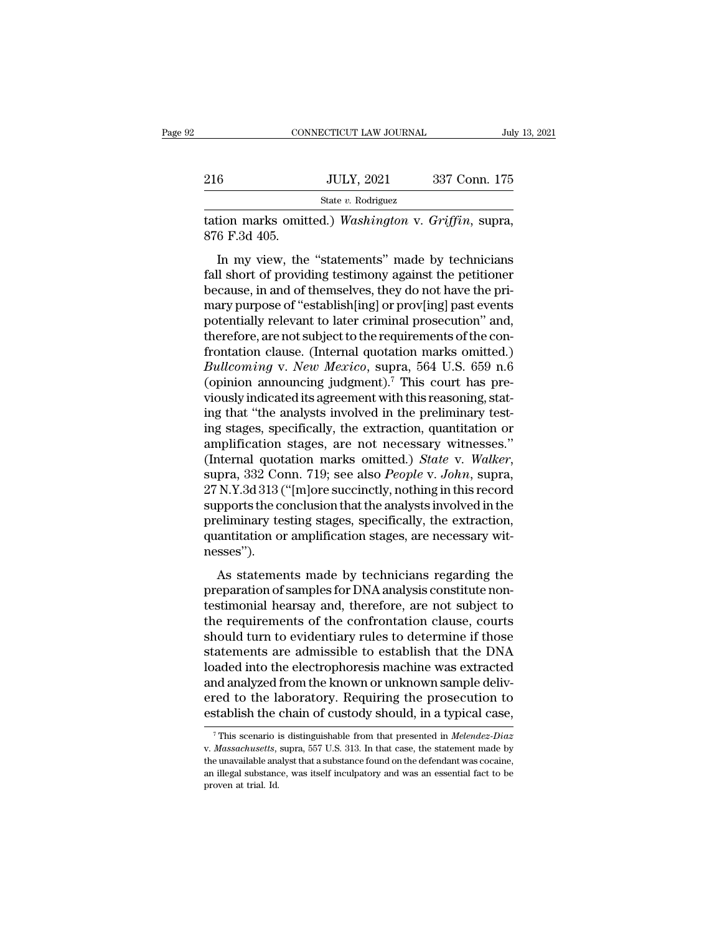|               | CONNECTICUT LAW JOURNAL                              |               | July 13, 2021 |
|---------------|------------------------------------------------------|---------------|---------------|
|               |                                                      |               |               |
| $216\,$       | <b>JULY, 2021</b>                                    | 337 Conn. 175 |               |
|               | State v. Rodriguez                                   |               |               |
| 876 F.3d 405. | tation marks omitted.) Washington v. Griffin, supra, |               |               |
|               | In my view, the "statements" made by technicians     |               |               |

 $JULY, 2021$  337 Conn. 175<br>
State v. Rodriguez<br>
ion marks omitted.) Washington v. Griffin, supra,<br>
6 F.3d 405.<br>
In my view, the "statements" made by technicians<br>
Il short of providing testimony against the petitioner<br>
caus 216 JULY, 2021 337 Conn. 175<br>
State v. Rodriguez<br>
tation marks omitted.) Washington v. Griffin, supra,<br>
876 F.3d 405.<br>
In my view, the "statements" made by technicians<br>
fall short of providing testimony against the petiti State v. Rodriguez<br>
station marks omitted.) Washington v. Griffin, supra,<br>
876 F.3d 405.<br>
In my view, the "statements" made by technicians<br>
fall short of providing testimony against the petitioner<br>
because, in and of them tation marks omitted.) *Washington* v. *Griffin*, supra,<br>876 F.3d 405.<br>In my view, the "statements" made by technicians<br>fall short of providing testimony against the petitioner<br>because, in and of themselves, they do not ha F.3d 405.<br>In my view, the "statements" made by technicians<br>fall short of providing testimony against the petitioner<br>because, in and of themselves, they do not have the pri-<br>mary purpose of "establish[ing] or prov[ing] pas In my view, the "statements" made by technicians<br>fall short of providing testimony against the petitioner<br>because, in and of themselves, they do not have the pri-<br>mary purpose of "establish[ing] or prov[ing] past events<br>p In my view, the "statements" made by technicians<br>fall short of providing testimony against the petitioner<br>because, in and of themselves, they do not have the pri-<br>mary purpose of "establish[ing] or prov[ing] past events<br>p fall short of providing testimony against the petitioner<br>because, in and of themselves, they do not have the pri-<br>mary purpose of "establish[ing] or prov[ing] past events<br>potentially relevant to later criminal prosecution" because, in and of themselves, they do not have the pri-<br>mary purpose of "establish[ing] or prov[ing] past events<br>potentially relevant to later criminal prosecution" and,<br>therefore, are not subject to the requirements of t mary purpose of "establish[ing] or prov[ing] past events<br>potentially relevant to later criminal prosecution" and,<br>therefore, are not subject to the requirements of the con-<br>frontation clause. (Internal quotation marks omit potentially relevant to later criminal prosecution" and,<br>therefore, are not subject to the requirements of the con-<br>frontation clause. (Internal quotation marks omitted.)<br>Bullcoming v. New Mexico, supra, 564 U.S. 659 n.6<br>( therefore, are not subject to the requirements of the con-<br>frontation clause. (Internal quotation marks omitted.)<br>*Bullcoming* v. *New Mexico*, supra, 564 U.S. 659 n.6<br>(opinion announcing judgment).<sup>7</sup> This court has prefrontation clause. (Internal quotation marks omitted.)<br> *Bullcoming* v. *New Mexico*, supra, 564 U.S. 659 n.6<br>
(opinion announcing judgment).<sup>7</sup> This court has pre-<br>
viously indicated its agreement with this reasoning, st Bullcoming v. New Mexico, supra, 564 U.S. 659 n.6<br>(opinion announcing judgment).<sup>7</sup> This court has pre-<br>viously indicated its agreement with this reasoning, stat-<br>ing that "the analysts involved in the preliminary test-<br>in viously indicated its agreement with this reasoning, stating that "the analysts involved in the preliminary testing stages, specifically, the extraction, quantitation or amplification stages, are not necessary witnesses." ing that "the analysts involved in the preliminary test-<br>ing stages, specifically, the extraction, quantitation or<br>amplification stages, are not necessary witnesses."<br>(Internal quotation marks omitted.) *State* v. *Walker* ing stages, specifically, the extraction, quantitation or<br>amplification stages, are not necessary witnesses."<br>(Internal quotation marks omitted.) *State* v. Walker,<br>supra, 332 Conn. 719; see also *People* v. John, supra,<br>2 amplification stages, are not necessary witnesses."<br>(Internal quotation marks omitted.) *State* v. *Walker*,<br>supra, 332 Conn. 719; see also *People* v. *John*, supra,<br>27 N.Y.3d 313 ("[m]ore succinctly, nothing in this reco nesses''). pra, 552 com. The, see also Feople V. 550m, supra,<br>N.Y.3d 313 ("[m]ore succinctly, nothing in this record<br>pports the conclusion that the analysts involved in the<br>eliminary testing stages, specifically, the extraction,<br>ant  $\alpha$  increases ( $\mu$  prote saccinetry, normig in this record supports the conclusion that the analysts involved in the preliminary testing stages, specifically, the extraction, quantitation or amplification stages, are ne

Buppons are concrusion that are analysis involved in the<br>preliminary testing stages, specifically, the extraction,<br>quantitation or amplification stages, are necessary wit-<br>nesses").<br>As statements made by technicians regard premiumary ecsing stages, specifically, are extraction,<br>quantitation or amplification stages, are necessary wit-<br>nesses").<br>As statements made by technicians regarding the<br>preparation of samples for DNA analysis constitute messes").<br>
As statements made by technicians regarding the<br>
preparation of samples for DNA analysis constitute non-<br>
testimonial hearsay and, therefore, are not subject to<br>
the requirements of the confrontation clause, cou As statements made by technicians regarding the<br>preparation of samples for DNA analysis constitute non-<br>testimonial hearsay and, therefore, are not subject to<br>the requirements of the confrontation clause, courts<br>should tur As statements made by technicians regarding the<br>preparation of samples for DNA analysis constitute non-<br>testimonial hearsay and, therefore, are not subject to<br>the requirements of the confrontation clause, courts<br>should tur preparation of samples for DNA analysis constitute non-<br>testimonial hearsay and, therefore, are not subject to<br>the requirements of the confrontation clause, courts<br>should turn to evidentiary rules to determine if those<br>sta testimonial hearsay and, therefore, are not subject to<br>the requirements of the confrontation clause, courts<br>should turn to evidentiary rules to determine if those<br>statements are admissible to establish that the DNA<br>loaded the requirements of the confrontation clause, courts<br>should turn to evidentiary rules to determine if those<br>statements are admissible to establish that the DNA<br>loaded into the electrophoresis machine was extracted<br>and ana aded into the electrophoresis machine was extracted<br>individual analyzed from the known or unknown sample deliv-<br>red to the laboratory. Requiring the prosecution to<br>stablish the chain of custody should, in a typical case,<br>and analyzed from the known or unknown sample delivered to the laboratory. Requiring the prosecution to establish the chain of custody should, in a typical case,  $\frac{1}{7}$  This scenario is distinguishable from that present

ered to the laboratory. Requiring the prosecution to<br>establish the chain of custody should, in a typical case,<br><sup>7</sup>This scenario is distinguishable from that presented in *Melendez-Diaz*<br>v. *Massachusetts*, supra, 557 U.S. establish the chain of custody should, in a typical case,<br>
<sup>7</sup>This scenario is distinguishable from that presented in *Melendez-Diaz*<br> *v. Massachusetts*, supra, 557 U.S. 313. In that case, the statement made by<br>
the unava <sup>7</sup> This scenario is distinguishable from that presented in *Melendez-Diaz* v. *Massachusetts*, supra, 557 U.S. 313. In that case, the statement made by the unavailable analyst that a substance found on the defendant was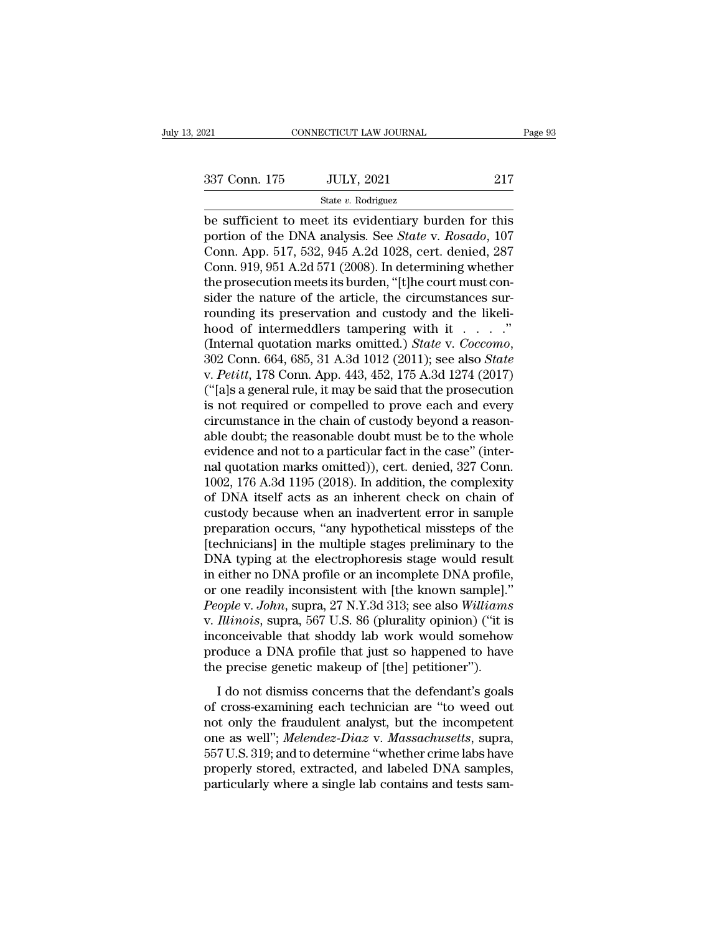be sufficient to meet its evidentiary burden for this<br>
portion of the DNA analysis. See *State v. Rosado*, 107<br>
conn. App. 517, 522, 045, 4.24, 1028, cort. dopied. 287 portion of the DNA analysis. See *State* v. *Rosado*, 107<br>
portion of the DNA analysis. See *State* v. *Rosado*, 107<br>
conn. App. 517, 532, 945 A.2d 1028, cert. denied, 287<br>
conn. 919, 951, 4.2d 571.(2008). In determining w 337 Conn. 175 JULY, 2021 217<br>
State v. Rodriguez<br>
be sufficient to meet its evidentiary burden for this<br>
portion of the DNA analysis. See *State* v. Rosado, 107<br>
Conn. App. 517, 532, 945 A.2d 1028, cert. denied, 287<br>
Conn 337 Conn. 175 JULY, 2021 217<br>
State v. Rodriguez<br>
De sufficient to meet its evidentiary burden for this<br>
portion of the DNA analysis. See *State* v. *Rosado*, 107<br>
Conn. App. 517, 532, 945 A.2d 1028, cert. denied, 287<br>
Co State v. Rodriguez<br>
State v. Rodriguez<br>
be sufficient to meet its evidentiary burden for this<br>
portion of the DNA analysis. See *State* v. Rosado, 107<br>
Conn. App. 517, 532, 945 A.2d 1028, cert. denied, 287<br>
Conn. 919, 951 siate v. Roanguez<br>be sufficient to meet its evidentiary burden for this<br>portion of the DNA analysis. See *State* v. Rosado, 107<br>Conn. App. 517, 532, 945 A.2d 1028, cert. denied, 287<br>Conn. 919, 951 A.2d 571 (2008). In dete be sufficient to meet its evidentiary burden for this portion of the DNA analysis. See *State* v. *Rosado*, 107 Conn. App. 517, 532, 945 A.2d 1028, cert. denied, 287 Conn. 919, 951 A.2d 571 (2008). In determining whether portion of the DNA analysis. See *State* v. *Rosado*, 107<br>Conn. App. 517, 532, 945 A.2d 1028, cert. denied, 287<br>Conn. 919, 951 A.2d 571 (2008). In determining whether<br>the prosecution meets its burden, "[t]he court must co Conn. App. 517, 532, 945 A.2d 1028, cert. denied, 287<br>Conn. 919, 951 A.2d 571 (2008). In determining whether<br>the prosecution meets its burden, "[t]he court must con-<br>sider the nature of the article, the circumstances sur-<br> the prosecution meets its burden, "[t]he court must consider the nature of the article, the circumstances surrounding its preservation and custody and the likelihood of intermeddlers tampering with it . . . . ."<br>(Internal sider the nature of the article, the circumstances sur-<br>rounding its preservation and custody and the likeli-<br>hood of intermeddlers tampering with it . . . ."<br>(Internal quotation marks omitted.) *State* v. *Coccomo*,<br> $302$ rounding its preservation and custody and the likelihood of intermeddlers tampering with it . . . . "<br>(Internal quotation marks omitted.) *State* v. *Coccomo*, 302 Conn. 664, 685, 31 A.3d 1012 (2011); see also *State* v. hood of intermeddlers tampering with it . . . . ."<br>(Internal quotation marks omitted.) *State* v. *Coccomo*,<br>302 Conn. 664, 685, 31 A.3d 1012 (2011); see also *State*<br>v. *Petitt*, 178 Conn. App. 443, 452, 175 A.3d 1274 (2 (Internal quotation marks omitted.) *State v. Coccomo*,<br>302 Conn. 664, 685, 31 A.3d 1012 (2011); see also *State*<br>v. *Petitt*, 178 Conn. App. 443, 452, 175 A.3d 1274 (2017)<br>("[a]s a general rule, it may be said that the p 302 Conn. 664, 685, 31 A.3d 1012 (2011); see also *State* v. *Petitt*, 178 Conn. App. 443, 452, 175 A.3d 1274 (2017) ("[a]s a general rule, it may be said that the prosecution is not required or compelled to prove each an v. *Petitt*, 178 Conn. App. 443, 452, 175 A.3d 1274 (2017)<br>("[a]s a general rule, it may be said that the prosecution<br>is not required or compelled to prove each and every<br>circumstance in the chain of custody beyond a reaso ("[a]s a general rule, it may be said that the prosecution<br>is not required or compelled to prove each and every<br>circumstance in the chain of custody beyond a reason-<br>able doubt; the reasonable doubt must be to the whole<br>ev is not required or compelled to prove each and every<br>circumstance in the chain of custody beyond a reason-<br>able doubt; the reasonable doubt must be to the whole<br>evidence and not to a particular fact in the case" (inter-<br>na circumstance in the chain of custody beyond a reason-<br>able doubt; the reasonable doubt must be to the whole<br>evidence and not to a particular fact in the case" (inter-<br>nal quotation marks omitted)), cert. denied, 327 Conn.<br> able doubt; the reasonable doubt must be to the whole<br>evidence and not to a particular fact in the case" (inter-<br>nal quotation marks omitted)), cert. denied, 327 Conn.<br>1002, 176 A.3d 1195 (2018). In addition, the complexit evidence and not to a particular fact in the case" (inter-<br>nal quotation marks omitted)), cert. denied, 327 Conn.<br>1002, 176 A.3d 1195 (2018). In addition, the complexity<br>of DNA itself acts as an inherent check on chain of<br> nal quotation marks omitted)), cert. denied, 327 Conn.<br>1002, 176 A.3d 1195 (2018). In addition, the complexity<br>of DNA itself acts as an inherent check on chain of<br>custody because when an inadvertent error in sample<br>prepara 1002, 176 A.3d 1195 (2018). In addition, the complexity<br>of DNA itself acts as an inherent check on chain of<br>custody because when an inadvertent error in sample<br>preparation occurs, "any hypothetical missteps of the<br>[techni or DNA itself acts as an inherent check on chain of<br>custody because when an inadvertent error in sample<br>preparation occurs, "any hypothetical missteps of the<br>[technicians] in the multiple stages preliminary to the<br>DNA typi custody because when an inadvertent error in sample<br>preparation occurs, "any hypothetical missteps of the<br>[technicians] in the multiple stages preliminary to the<br>DNA typing at the electrophoresis stage would result<br>in eith preparation occurs, "any hypothetical missteps of the<br>[technicians] in the multiple stages preliminary to the<br>DNA typing at the electrophoresis stage would result<br>in either no DNA profile or an incomplete DNA profile,<br>or o [technicians] in the multiple stages preliminary to the<br>DNA typing at the electrophoresis stage would result<br>in either no DNA profile or an incomplete DNA profile,<br>or one readily inconsistent with [the known sample]."<br>*Peo* DNA typing at the electrophoresis stage would result<br>in either no DNA profile or an incomplete DNA profile,<br>or one readily inconsistent with [the known sample]."<br>*People v. John*, supra, 27 N.Y.3d 313; see also *Williams*<br> in either no DNA profile or an incomplete DNA profile<br>or one readily inconsistent with [the known sample].'<br>People v. John, supra, 27 N.Y.3d 313; see also Williams<br>v. Illinois, supra, 567 U.S. 86 (plurality opinion) ("it i ople v. John, supra, 27 N.Y.3d 313; see also Williams<br>Illinois, supra, 567 U.S. 86 (plurality opinion) ("it is<br>conceivable that shoddy lab work would somehow<br>oduce a DNA profile that just so happened to have<br>e precise gene of cross-examing each technician are "to weed out not only the fraudulent analyst, but the incompetent one as well". Meandow  $\frac{1}{n}$  is doned to have the precise genetic makeup of [the] petitioner").<br>I do not dismiss co

inconceivable that shoddy lab work would somehow<br>produce a DNA profile that just so happened to have<br>the precise genetic makeup of [the] petitioner").<br>I do not dismiss concerns that the defendant's goals<br>of cross-examinin produce a DNA profile that just so happened to have<br>the precise genetic makeup of [the] petitioner").<br>I do not dismiss concerns that the defendant's goals<br>of cross-examining each technician are "to weed out<br>not only the fr the precise genetic makeup of [the] petitioner").<br>
I do not dismiss concerns that the defendant's goals<br>
of cross-examining each technician are "to weed out<br>
not only the fraudulent analyst, but the incompetent<br>
one as wel I do not dismiss concerns that the defendant's goals<br>of cross-examining each technician are "to weed out<br>not only the fraudulent analyst, but the incompetent<br>one as well"; *Melendez-Diaz* v. *Massachusetts*, supra,<br>557 U.S I do not dismiss concerns that the defendant's goals<br>of cross-examining each technician are "to weed out<br>not only the fraudulent analyst, but the incompetent<br>one as well"; *Melendez-Diaz* v. *Massachusetts*, supra,<br>557 U.S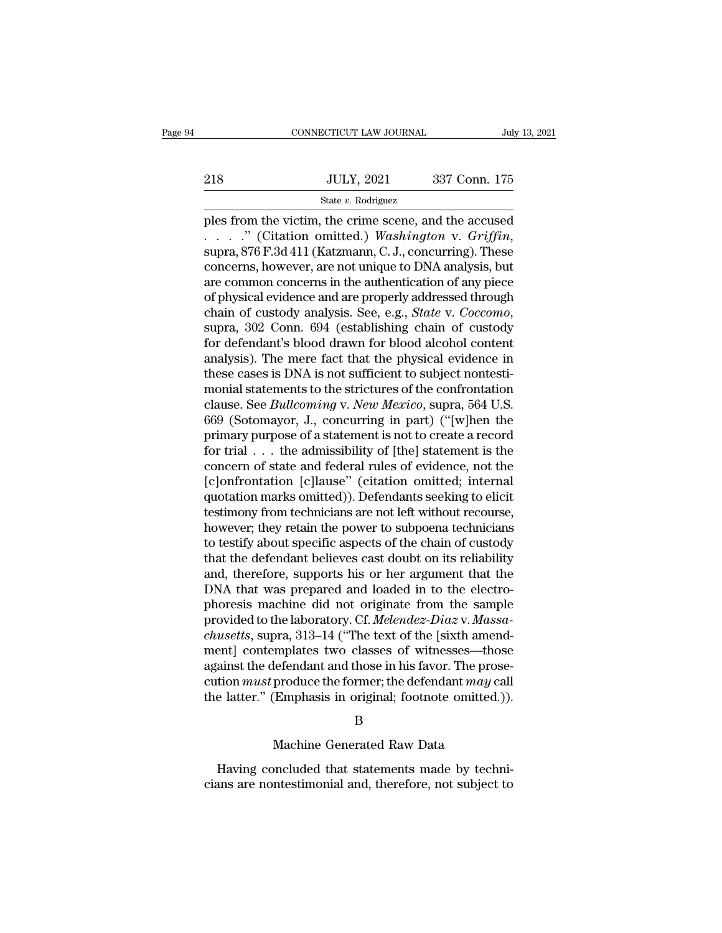|     | CONNECTICUT LAW JOURNAL | July 13, 2021 |  |
|-----|-------------------------|---------------|--|
|     |                         |               |  |
| 218 | <b>JULY, 2021</b>       | 337 Conn. 175 |  |
|     | State v. Rodriguez      |               |  |

FROM CONNECTICUT LAW JOURNAL July 13, 2021<br>
218 JULY, 2021 337 Conn. 175<br>
State v. Rodriguez<br>
ples from the victim, the crime scene, and the accused<br>
....... (Citation omitted.) Washington v. Griffin,<br>
suppe 876 E 34.411 ( 218 JULY, 2021 337 Conn. 175<br>
<sup>State v. Rodriguez</sub><br>
ples from the victim, the crime scene, and the accused<br>
. . . . . " (Citation omitted.) *Washington* v. *Griffin*,<br>
supra, 876 F.3d 411 (Katzmann, C. J., concurring). The</sup> 218 JULY, 2021 337 Conn. 175<br>
State v. Rodriguez<br>
ples from the victim, the crime scene, and the accused<br>
. . . . . " (Citation omitted.) *Washington v. Griffin*,<br>
supra, 876 F.3d 411 (Katzmann, C. J., concurring). These<br> are common concerns in the authentication of any piece state v. Rodriguez<br>ples from the victim, the crime scene, and the accused<br>. . . . . . . " (Citation omitted.) *Washington v. Griffin*,<br>supra, 876 F.3d 411 (Katzmann, C. J., concurring). These<br>concerns, however, are not un ples from the victim, the crime scene, and the accused<br>
. . . . . " (Citation omitted.) *Washington* v. *Griffin*,<br>
supra, 876 F.3d 411 (Katzmann, C. J., concurring). These<br>
concerns, however, are not unique to DNA analysi supra, 876 F.3d 411 (Katzmann, C. J., concurring). These<br>concerns, however, are not unique to DNA analysis, but<br>are common concerns in the authentication of any piece<br>of physical evidence and are properly addressed through concerns, however, are not unique to DNA analysis, but<br>are common concerns in the authentication of any piece<br>of physical evidence and are properly addressed through<br>chain of custody analysis. See, e.g., *State* v. *Coccom* are common concerns in the authentication of any piece<br>of physical evidence and are properly addressed through<br>chain of custody analysis. See, e.g., *State v. Coccomo*,<br>supra, 302 Conn. 694 (establishing chain of custody<br>f of physical evidence and are properly addressed through<br>chain of custody analysis. See, e.g., *State* v. *Coccomo*,<br>supra, 302 Conn. 694 (establishing chain of custody<br>for defendant's blood drawn for blood alcohol content<br> chain of custody analysis. See, e.g., *State* v. *Coccomo*, supra, 302 Conn. 694 (establishing chain of custody for defendant's blood drawn for blood alcohol content analysis). The mere fact that the physical evidence in t supra, 302 Conn. 694 (establishing chain of custody<br>for defendant's blood drawn for blood alcohol content<br>analysis). The mere fact that the physical evidence in<br>these cases is DNA is not sufficient to subject nontesti-<br>mon for defendant's blood drawn for blood alcohol content<br>analysis). The mere fact that the physical evidence in<br>these cases is DNA is not sufficient to subject nontesti-<br>monial statements to the strictures of the confrontati analysis). The mere fact that the physical evidence in<br>these cases is DNA is not sufficient to subject nontesti-<br>monial statements to the strictures of the confrontation<br>clause. See *Bullcoming* v. *New Mexico*, supra, 564 these cases is DNA is not sufficient to subject nontesti-<br>monial statements to the strictures of the confrontation<br>clause. See *Bullcoming* v. *New Mexico*, supra, 564 U.S.<br>669 (Sotomayor, J., concurring in part) ("[w]hen monial statements to the strictures of the confrontation<br>clause. See *Bullcoming* v. *New Mexico*, supra, 564 U.S.<br>669 (Sotomayor, J., concurring in part) ("[w]hen the<br>primary purpose of a statement is not to create a rec clause. See *Bullcoming* v. *New Mexico*, supra, 564 U.S.<br>669 (Sotomayor, J., concurring in part) ("[w]hen the<br>primary purpose of a statement is not to create a record<br>for trial . . . the admissibility of [the] statement 669 (Sotomayor, J., concurring in part) ("[w]hen the<br>primary purpose of a statement is not to create a record<br>for trial  $\ldots$  the admissibility of [the] statement is the<br>concern of state and federal rules of evidence, not primary purpose of a statement is not to create a record<br>for trial . . . the admissibility of [the] statement is the<br>concern of state and federal rules of evidence, not the<br>[c]onfrontation [c]lause'' (citation omitted; int for trial . . . the admissibility of [the] statement is the concern of state and federal rules of evidence, not the [c]onfrontation [c]lause" (citation omitted; internal quotation marks omitted)). Defendants seeking to eli concern of state and federal rules of evidence, not the [c]onfrontation [c]lause" (citation omitted; internal<br>quotation marks omitted)). Defendants seeking to elicit<br>testimony from technicians are not left without recourse [c]onfrontation [c]lause" (citation omitted; internal<br>quotation marks omitted)). Defendants seeking to elicit<br>testimony from technicians are not left without recourse,<br>however; they retain the power to subpoena technicians quotation marks omitted)). Defendants seeking to elicit<br>testimony from technicians are not left without recourse,<br>however; they retain the power to subpoena technicians<br>to testify about specific aspects of the chain of cus testimony from technicians are not left without recourse,<br>however; they retain the power to subpoena technicians<br>to testify about specific aspects of the chain of custody<br>that the defendant believes cast doubt on its relia however; they retain the power to subpoena technicians<br>to testify about specific aspects of the chain of custody<br>that the defendant believes cast doubt on its reliability<br>and, therefore, supports his or her argument that t to testify about specific aspects of the chain of custody<br>that the defendant believes cast doubt on its reliability<br>and, therefore, supports his or her argument that the<br>DNA that was prepared and loaded in to the electro-<br> that the defendant believes cast doubt on its reliability<br>and, therefore, supports his or her argument that the<br>DNA that was prepared and loaded in to the electro-<br>phoresis machine did not originate from the sample<br>provide and, therefore, supports his or her argument that the DNA that was prepared and loaded in to the electro-<br>phoresis machine did not originate from the sample<br>provided to the laboratory. Cf. Melendez-Diaz v. Massa-<br>chusetts DNA that was prepared and loaded in to the electro-<br>phoresis machine did not originate from the sample<br>provided to the laboratory. Cf. Melendez-Diaz v. Massa-<br>chusetts, supra, 313–14 ("The text of the [sixth amend-<br>ment] c phoresis machine did not originate from the sample<br>provided to the laboratory. Cf. Melendez-Diaz v. Massa-<br>chusetts, supra, 313–14 ("The text of the [sixth amend-<br>ment] contemplates two classes of witnesses—those<br>against t mplates two classes of witnesses—tho:<br>lefendant and those in his favor. The prosproduce the former; the defendant  $may$  can<br>Emphasis in original; footnote omitted.)<br>B<br>Machine Generated Raw Data<br>pncluded that statements made  $must$  produce the former; the defendant  $may$  call<br>
e latter." (Emphasis in original; footnote omitted.)).<br>  $B$ <br>
Machine Generated Raw Data<br>
Having concluded that statements made by techni-<br>
ans are nontestimonial and, there

B

the latter." (Emphasis in original; footnote omitted.)).<br>
B<br>
Machine Generated Raw Data<br>
Having concluded that statements made by technicians are nontestimonial and, therefore, not subject to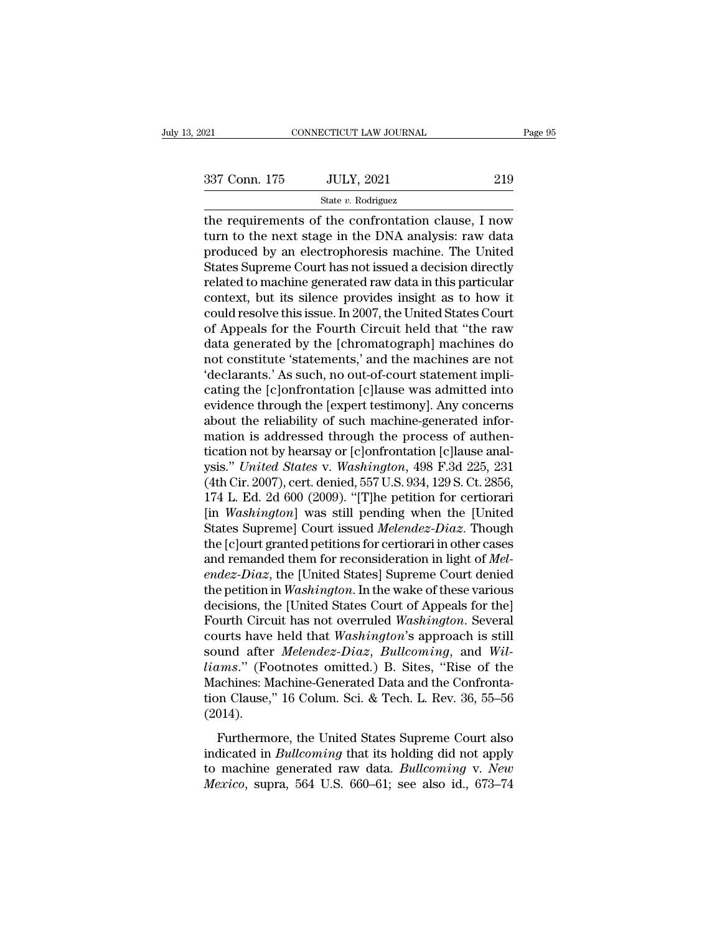$t_{\text{21}}$  connectricut LAW JOURNAL Page 95<br>  $\frac{337 \text{ Conn. } 175 \qquad \text{JULY, } 2021 \qquad \text{219}}{\text{State } v. \text{ Rodriguez}}$ <br>
the requirements of the confrontation clause, I now<br>
turn to the next stage in the DNA analysis: raw data 337 Conn. 175 JULY, 2021 219<br>
State v. Rodriguez<br>
the requirements of the confrontation clause, I now<br>
turn to the next stage in the DNA analysis: raw data<br>
produced by an electrophoresis machine. The United<br>
States Supre  $\frac{337 \text{ Conn. } 175 \qquad \text{JULY, } 2021 \qquad \text{219}}{\text{State } v. \text{ Rodriguez}}$ <br>
the requirements of the confrontation clause, I now<br>
turn to the next stage in the DNA analysis: raw data<br>
produced by an electrophoresis machine. The United<br>
Sta  $337$  Conn. 175 JULY, 2021 219<br>
State v. Rodriguez<br>
the requirements of the confrontation clause, I now<br>
turn to the next stage in the DNA analysis: raw data<br>
produced by an electrophoresis machine. The United<br>
States Sup State v. Rodriguez<br>
the requirements of the confrontation clause, I now<br>
turn to the next stage in the DNA analysis: raw data<br>
produced by an electrophoresis machine. The United<br>
States Supreme Court has not issued a deci state v. Rodriguez<br>the requirements of the confrontation clause, I now<br>turn to the next stage in the DNA analysis: raw data<br>produced by an electrophoresis machine. The United<br>States Supreme Court has not issued a decision the requirements of the confrontation clause, I now<br>turn to the next stage in the DNA analysis: raw data<br>produced by an electrophoresis machine. The United<br>States Supreme Court has not issued a decision directly<br>related to turn to the next stage in the DNA analysis: raw data<br>produced by an electrophoresis machine. The United<br>States Supreme Court has not issued a decision directly<br>related to machine generated raw data in this particular<br>conte produced by an electrophoresis machine. The United<br>States Supreme Court has not issued a decision directly<br>related to machine generated raw data in this particular<br>context, but its silence provides insight as to how it<br>cou States Supreme Court has not issued a decision directly<br>related to machine generated raw data in this particular<br>context, but its silence provides insight as to how it<br>could resolve this issue. In 2007, the United States C related to machine generated raw data in this particular<br>
context, but its silence provides insight as to how it<br>
could resolve this issue. In 2007, the United States Court<br>
of Appeals for the Fourth Circuit held that "the context, but its silence provides insight as to how it<br>could resolve this issue. In 2007, the United States Court<br>of Appeals for the Fourth Circuit held that "the raw<br>data generated by the [chromatograph] machines do<br>not c could resolve this issue. In 2007, the United States Court<br>of Appeals for the Fourth Circuit held that "the raw<br>data generated by the [chromatograph] machines do<br>not constitute 'statements,' and the machines are not<br>'decla of Appeals for the Fourth Circuit held that "the raw<br>data generated by the [chromatograph] machines do<br>not constitute 'statements,' and the machines are not<br>'declarants.' As such, no out-of-court statement impli-<br>cating th data generated by the [chromatograph] machines do<br>not constitute 'statements,' and the machines are not<br>'declarants.' As such, no out-of-court statement impli-<br>cating the [c]onfrontation [c]lause was admitted into<br>evidenc not constitute 'statements,' and the machines are not<br>
'declarants.' As such, no out-of-court statement impli-<br>
cating the [c]onfrontation [c]lause was admitted into<br>
evidence through the [expert testimony]. Any concerns<br> 'declarants.' As such, no out-of-court statement implicating the [c]onfrontation [c]lause was admitted into<br>evidence through the [expert testimony]. Any concerns<br>about the reliability of such machine-generated infor-<br>matio cating the [c]onfrontation [c]lause was admitted into<br>evidence through the [expert testimony]. Any concerns<br>about the reliability of such machine-generated infor-<br>mation is addressed through the process of authen-<br>tication evidence through the [expert testimony]. Any concerns<br>about the reliability of such machine-generated infor-<br>mation is addressed through the process of authen-<br>tication not by hearsay or [c]onfrontation [c]lause anal-<br>ysis about the reliability of such machine-generated infor-<br>mation is addressed through the process of authen-<br>tication not by hearsay or [c]onfrontation [c]lause anal-<br>ysis." *United States* v. *Washington*, 498 F.3d 225, 231<br> mation is addressed through the process of authen-<br>tication not by hearsay or [c]onfrontation [c]lause anal-<br>ysis." *United States v. Washington*, 498 F.3d 225, 231<br>(4th Cir. 2007), cert. denied, 557 U.S. 934, 129 S. Ct. 2 tication not by hearsay or [c]onfrontation [c]lause analysis." *United States v. Washington*, 498 F.3d 225, 231 (4th Cir. 2007), cert. denied, 557 U.S. 934, 129 S. Ct. 2856, 174 L. Ed. 2d 600 (2009). "[T]he petition for ce ysis." United States v. Washington, 498 F.3d 225, 231 (4th Cir. 2007), cert. denied, 557 U.S. 934, 129 S. Ct. 2856, 174 L. Ed. 2d 600 (2009). "[T]he petition for certiorari [in *Washington*] was still pending when the [Uni (4th Cir. 2007), cert. denied, 557 U.S. 934, 129 S. Ct. 2856,<br>174 L. Ed. 2d 600 (2009). "[T]he petition for certiorari<br>[in *Washington*] was still pending when the [United<br>States Supreme] Court issued *Melendez-Diaz*. Thou 174 L. Ed. 2d 600 (2009). "[T]he petition for certiorari<br>[in *Washington*] was still pending when the [United<br>States Supreme] Court issued *Melendez-Diaz*. Though<br>the [c]ourt granted petitions for certiorari in other cases [in *Washington*] was still pending when the [United States Supreme] Court issued *Melendez-Diaz*. Though the [c]ourt granted petitions for certiorari in other cases and remanded them for reconsideration in light of *Melen* States Supreme] Court issued *Melendez-Diaz*. Though<br>the [c]ourt granted petitions for certiorari in other cases<br>and remanded them for reconsideration in light of *Mel-<br>endez-Diaz*, the [United States] Supreme Court denied the [c]ourt granted petitions for certiorari in other cases<br>and remanded them for reconsideration in light of *Mel-*<br>*endez-Diaz*, the [United States] Supreme Court denied<br>the petition in *Washington*. In the wake of these and remanded them for reconsideration in light of *Mel-*<br> *endez-Diaz*, the [United States] Supreme Court denied<br>
the petition in *Washington*. In the wake of these various<br>
decisions, the [United States Court of Appeals f *endez-Diaz*, the [United States] Supreme Court denied<br>the petition in *Washington*. In the wake of these various<br>decisions, the [United States Court of Appeals for the]<br>Fourth Circuit has not overruled *Washington*. Sever the petition in *Washington*. In the wake of these various<br>decisions, the [United States Court of Appeals for the]<br>Fourth Circuit has not overruled *Washington*. Several<br>courts have held that *Washington*'s approach is sti decisions, the [United States Court of Appeals for the]<br>Fourth Circuit has not overruled *Washington*. Several<br>courts have held that *Washington*'s approach is still<br>sound after *Melendez-Diaz*, *Bullcoming*, and *Wil-<br>lia* (2014). and after *Melendez-Diaz*, *Bullcoming*, and *Wil-<br>ums.*" (Footnotes omitted.) B. Sites, "Rise of the<br>achines: Machine-Generated Data and the Confronta-<br>nn Clause," 16 Colum. Sci. & Tech. L. Rev. 36, 55–56<br>014).<br>Furthermo *liams.*" (Footnotes omitted.) B. Sites, "Rise of the Machines: Machine-Generated Data and the Confrontation Clause," 16 Colum. Sci. & Tech. L. Rev. 36, 55–56 (2014).<br>Furthermore, the United States Supreme Court also indi

Machines: Machine-Generated Data and the Confrontation Clause," 16 Colum. Sci. & Tech. L. Rev. 36, 55–56 (2014).<br>Furthermore, the United States Supreme Court also indicated in *Bullcoming* that its holding did not apply to *Mexico, Supera, 16 Colum.* Sci. & Tech. L. Rev. 36, 55–56 (2014).<br> *Murthermore, the United States Supreme Court also indicated in <i>Bullcoming that its holding did not apply to machine generated raw data. <i>Bullcoming v. N*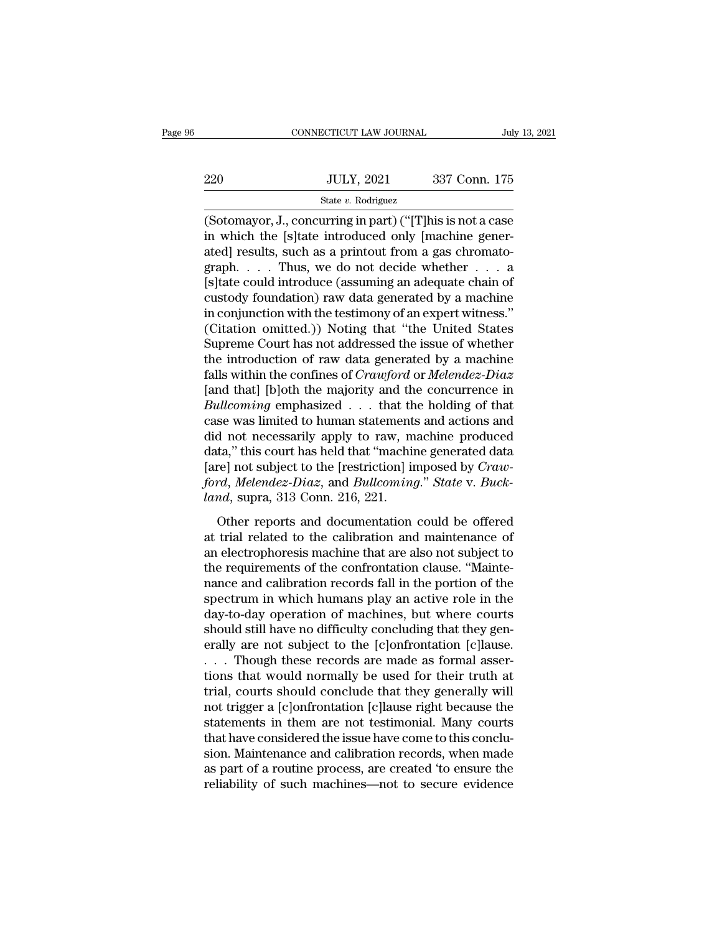|         | CONNECTICUT LAW JOURNAL | July 13, 2021 |  |
|---------|-------------------------|---------------|--|
|         |                         |               |  |
| $220\,$ | <b>JULY, 2021</b>       | 337 Conn. 175 |  |
|         | State v. Rodriguez      |               |  |

CONNECTICUT LAW JOURNAL July 13, 2021<br>
220 JULY, 2021 337 Conn. 175<br>
State v. Rodriguez<br>
(Sotomayor, J., concurring in part) ("[T]his is not a case<br>
in which the [s]tate introduced only [machine gener-220 JULY, 2021 337 Conn. 175<br>
State v. Rodriguez<br>
(Sotomayor, J., concurring in part) ("[T]his is not a case<br>
in which the [s]tate introduced only [machine gener-<br>
ated] results, such as a printout from a gas chromato-<br>
T 220 JULY, 2021 337 Conn. 175<br>
State v. Rodriguez<br>
(Sotomayor, J., concurring in part) ("[T]his is not a case<br>
in which the [s]tate introduced only [machine gener-<br>
ated] results, such as a printout from a gas chromato-<br>
g 220 JULY, 2021 337 Conn. 175<br>
State v. Rodriguez<br>
(Sotomayor, J., concurring in part) ("[T]his is not a case<br>
in which the [s]tate introduced only [machine gener-<br>
ated] results, such as a printout from a gas chromato-<br>
g State v. Rodriguez<br>
(Sotomayor, J., concurring in part) ("[T]his is not a case<br>
in which the [s]tate introduced only [machine gener-<br>
ated] results, such as a printout from a gas chromato-<br>
graph.... Thus, we do not decid State v. Roanguez<br>
(Sotomayor, J., concurring in part) ("[T]his is not a case<br>
in which the [s]tate introduced only [machine gener-<br>
ated] results, such as a printout from a gas chromato-<br>
graph.... Thus, we do not decide (Sotomayor, J., concurring in part) ("[T]his is not a case<br>in which the [s]tate introduced only [machine gener-<br>ated] results, such as a printout from a gas chromato-<br>graph. . . . Thus, we do not decide whether . . . a<br>[s in which the [s]tate introduced only [machine generated] results, such as a printout from a gas chromatograph. . . . Thus, we do not decide whether  $\ldots$  a [s]tate could introduce (assuming an adequate chain of custody fo ated] results, such as a printout from a gas chromatograph. . . . Thus, we do not decide whether . . . a<br>[s]tate could introduce (assuming an adequate chain of custody foundation) raw data generated by a machine<br>in conjun graph. . . . . Thus, we do not decide whether . . . a<br>[s]tate could introduce (assuming an adequate chain of<br>custody foundation) raw data generated by a machine<br>in conjunction with the testimony of an expert witness."<br>(Ci [s]tate could introduce (assuming an adequate chain of custody foundation) raw data generated by a machine in conjunction with the testimony of an expert witness."<br>(Citation omitted.)) Noting that "the United States Suprem custody foundation) raw data generated by a machine<br>in conjunction with the testimony of an expert witness."<br>(Citation omitted.)) Noting that "the United States<br>Supreme Court has not addressed the issue of whether<br>the intr in conjunction with the testimony of an expert witness."<br>
(Citation omitted.)) Noting that "the United States<br>
Supreme Court has not addressed the issue of whether<br>
the introduction of raw data generated by a machine<br>
fall (Citation omitted.)) Noting that "the United States<br>Supreme Court has not addressed the issue of whether<br>the introduction of raw data generated by a machine<br>falls within the confines of *Crawford* or *Melendez-Diaz*<br>[and Supreme Court has not addressed the issue of whether<br>the introduction of raw data generated by a machine<br>falls within the confines of *Crawford* or *Melendez-Diaz*<br>[and that] [b]oth the majority and the concurrence in<br>*Bu* the introduction of raw data generated by a machine<br>
falls within the confines of *Crawford* or *Melendez-Diaz*<br>
[and that] [b]oth the majority and the concurrence in<br> *Bullcoming* emphasized  $\ldots$  that the holding of tha falls within the confines of *Crawford* or *Melendez-Diaz* [and that] [b]oth the majority and the concurrence in *Bullcoming* emphasized  $\ldots$  that the holding of that case was limited to human statements and actions and [and that] [b]oth the majority and the concurrence in *Bullcoming* emphasized . . . that the holding of that case was limited to human statements and actions and did not necessarily apply to raw, machine produced data," th *Bullcoming* emphasized . . . that th case was limited to human statements did not necessarily apply to raw, m data," this court has held that "machine" [are] not subject to the [restriction] in ford, Melendez-Diaz, and Bu of maximized to the natural statements and declores and<br>d not necessarily apply to raw, machine produced<br>ta," this court has held that "machine generated data<br>rel not subject to the [restriction] imposed by *Craw-<br>md*, *Me* at the recessarity appty to take, matchine produced<br>data," this court has held that "machine generated data<br>[are] not subject to the [restriction] imposed by *Craw-<br>ford, Melendez-Diaz*, and *Bullcoming." State v. Buck-*<br>

[are] not subject to the [restriction] imposed by *Craw-<br>ford, Melendez-Diaz*, and *Bullcoming.*" *State* v. *Buck-<br>land,* supra, 313 Conn. 216, 221.<br>Other reports and documentation could be offered<br>at trial related to th ford, *Melendez-Diaz*, and *Bullcoming.*" *State* v. *Buckland*, supra, 313 Conn. 216, 221.<br>Other reports and documentation could be offered at trial related to the calibration and maintenance of an electrophoresis machin *land*, supra, 313 Conn. 216, 221.<br> *land*, supra, 313 Conn. 216, 221.<br> **Other reports and documentation could be offered at trial related to the calibration and maintenance of an electrophoresis machine that are also not** other reports and documentation could be offered<br>at trial related to the calibration and maintenance of<br>an electrophoresis machine that are also not subject to<br>the requirements of the confrontation clause. "Mainte-<br>nance a Other reports and documentation could be offered<br>at trial related to the calibration and maintenance of<br>an electrophoresis machine that are also not subject to<br>the requirements of the confrontation clause. "Mainte-<br>nance a at trial related to the calibration and maintenance of<br>an electrophoresis machine that are also not subject to<br>the requirements of the confrontation clause. "Mainte-<br>nance and calibration records fall in the portion of the an electrophoresis machine that are also not subject to<br>the requirements of the confrontation clause. "Mainte-<br>nance and calibration records fall in the portion of the<br>spectrum in which humans play an active role in the<br>da the requirements of the confrontation clause. "Maintenance and calibration records fall in the portion of the<br>spectrum in which humans play an active role in the<br>day-to-day operation of machines, but where courts<br>should st nance and calibration records fall in the portion of the<br>spectrum in which humans play an active role in the<br>day-to-day operation of machines, but where courts<br>should still have no difficulty concluding that they gen-<br>eral spectrum in which humans play an active role in the<br>day-to-day operation of machines, but where courts<br>should still have no difficulty concluding that they gen-<br>erally are not subject to the [c]onfrontation [c]lause.<br>. . . day-to-day operation of machines, but where courts<br>should still have no difficulty concluding that they gen-<br>erally are not subject to the [c]onfrontation [c]lause.<br>. . . Though these records are made as formal asser-<br>tion should still have no difficulty concluding that they generally are not subject to the [c]onfrontation [c]lause.<br>
. . . Though these records are made as formal assertions that would normally be used for their truth at<br>
tria erally are not subject to the [c]onfrontation [c]lause.<br>  $\ldots$  Though these records are made as formal assertions that would normally be used for their truth at<br>
trial, courts should conclude that they generally will<br>
not . . . Though these records are made as formal assertions that would normally be used for their truth at trial, courts should conclude that they generally will not trigger a [c]onfrontation [c]lause right because the statem tions that would normally be used for their truth at<br>trial, courts should conclude that they generally will<br>not trigger a [c]onfrontation [c]lause right because the<br>statements in them are not testimonial. Many courts<br>that trial, courts should conclude that they generally will<br>not trigger a [c]onfrontation [c]lause right because the<br>statements in them are not testimonial. Many courts<br>that have considered the issue have come to this conclu-<br>s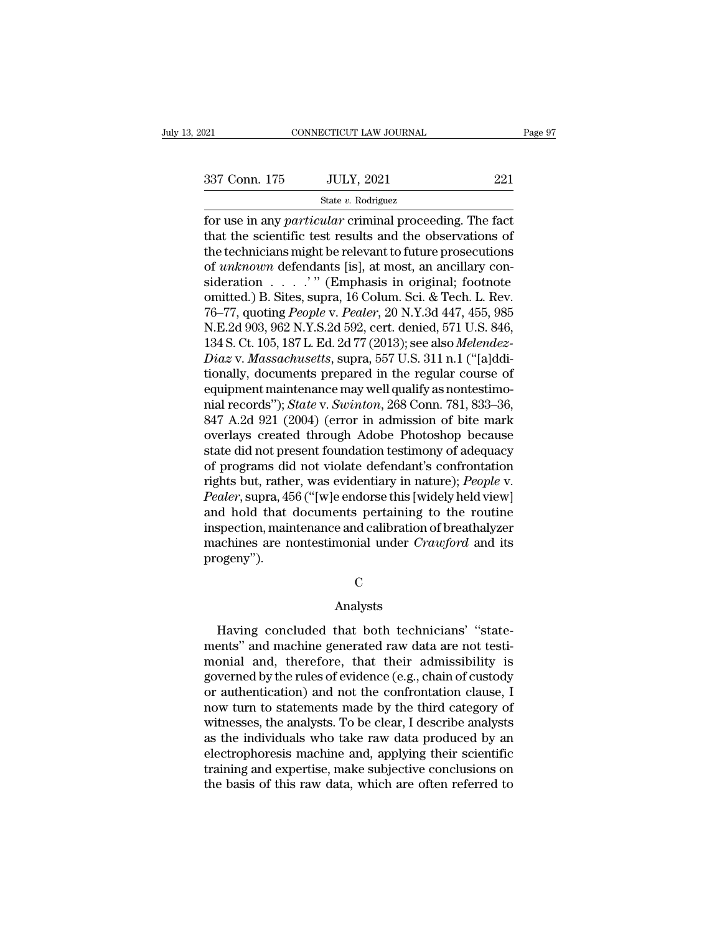For use in any *particular* criminal proceeding. The fact<br>that the scientific test results and the observations of<br>the tochniques might be relevant to future proceeding. 337 Conn. 175 JULY, 2021 221<br>
State v. Rodriguez<br>
for use in any *particular* criminal proceeding. The fact<br>
that the scientific test results and the observations of<br>
the technicians might be relevant to future prosecutio 337 Conn. 175 JULY, 2021 221<br>
State v. Rodriguez<br>
for use in any *particular* criminal proceeding. The fact<br>
that the scientific test results and the observations of<br>
the technicians might be relevant to future prosecutio 337 Conn. 175 JULY, 2021 221<br>
<sup>State v. Rodriguez<br>
for use in any *particular* criminal proceeding. The fact<br>
that the scientific test results and the observations of<br>
the technicians might be relevant to future prosecuti</sup> Since 1888 and the scale, 1991<br>
State v. Rodriguez<br>
for use in any *particular* criminal proceeding. The fact<br>
that the scientific test results and the observations of<br>
the technicians might be relevant to future prosecut State v. Rodriguez<br>
for use in any *particular* criminal proceeding. The fact<br>
that the scientific test results and the observations of<br>
the technicians might be relevant to future prosecutions<br>
of *unknown* defendants [i for use in any *particular* criminal proceeding. The fact<br>that the scientific test results and the observations of<br>the technicians might be relevant to future prosecutions<br>of *unknown* defendants [is], at most, an ancillar that the scientific test results and the observations of<br>the technicians might be relevant to future prosecutions<br>of *unknown* defendants [is], at most, an ancillary con-<br>sideration . . . . . " (Emphasis in original; footn the technicians might be relevant to future prosecutions<br>of *unknown* defendants [is], at most, an ancillary con-<br>sideration . . . . . " (Emphasis in original; footnote<br>omitted.) B. Sites, supra, 16 Colum. Sci. & Tech. L. *Diaz Diaz Diaz Diaz Diaz Diazoneta Consideration ....*.'" (Emphasis in original; footnote omitted.) B. Sites, supra, 16 Colum. Sci. & Tech. L. Rev. 76–77, quoting *People* v. *Pealer*, 20 N.Y.3d 447, 455, 985 sideration . . . . . " (Emphasis in original; footnote<br>omitted.) B. Sites, supra, 16 Colum. Sci. & Tech. L. Rev.<br>76–77, quoting *People v. Pealer*, 20 N.Y.3d 447, 455, 985<br>N.E.2d 903, 962 N.Y.S.2d 592, cert. denied, 571 U. omitted.) B. Sites, supra, 16 Colum. Sci. & Tech. L. Rev.<br>76–77, quoting *People v. Pealer*, 20 N.Y.3d 447, 455, 985<br>N.E.2d 903, 962 N.Y.S.2d 592, cert. denied, 571 U.S. 846,<br>134 S. Ct. 105, 187 L. Ed. 2d 77 (2013); see al 76–77, quoting *People v. Pealer*, 20 N.Y.3d 447, 455, 985<br>N.E.2d 903, 962 N.Y.S.2d 592, cert. denied, 571 U.S. 846,<br>134 S. Ct. 105, 187 L. Ed. 2d 77 (2013); see also *Melendez-<br>Diaz v. Massachusetts*, supra, 557 U.S. 311 N.E.2d 903, 962 N.Y.S.2d 592, cert. denied, 571 U.S. 846,<br>134 S. Ct. 105, 187 L. Ed. 2d 77 (2013); see also *Melendez-<br>Diaz v. Massachusetts*, supra, 557 U.S. 311 n.1 ("[a]ddi-<br>tionally, documents prepared in the regular c 134 S. Ct. 105, 187 L. Ed. 2d 77 (2013); see also *Melendez-<br>Diaz* v. *Massachusetts*, supra, 557 U.S. 311 n.1 ("[a]dditionally, documents prepared in the regular course of<br>equipment maintenance may well qualify as nontes Diaz v. Massachusetts, supra, 557 U.S. 311 n.1 ("[a]dditionally, documents prepared in the regular course of<br>equipment maintenance may well qualify as nontestimo-<br>nial records"); *State* v. *Swinton*, 268 Conn. 781, 833–36 tionally, documents prepared in the regular course of<br>equipment maintenance may well qualify as nontestimo-<br>nial records"); *State* v. *Swinton*, 268 Conn. 781, 833–36,<br>847 A.2d 921 (2004) (error in admission of bite mark<br> equipment maintenance may well qualify as nontestimonial records"); *State* v. *Swinton*, 268 Conn. 781, 833–36, 847 A.2d 921 (2004) (error in admission of bite mark overlays created through Adobe Photoshop because state d rial records"); *State* v. *Swinton*, 268 Conn. 781, 833–36, 847 A.2d 921 (2004) (error in admission of bite mark overlays created through Adobe Photoshop because state did not present foundation testimony of adequacy of p 847 A.2d 921 (2004) (error in admission of bite mark<br>overlays created through Adobe Photoshop because<br>state did not present foundation testimony of adequacy<br>of programs did not violate defendant's confrontation<br>rights but, overlays created through Adobe Photoshop because<br>state did not present foundation testimony of adequacy<br>of programs did not violate defendant's confrontation<br>rights but, rather, was evidentiary in nature); *People* v.<br>*Pea* state did not present foundation testimony of adequacy<br>of programs did not violate defendant's confrontation<br>rights but, rather, was evidentiary in nature); *People* v.<br>*Pealer*, supra, 456 ("[w]e endorse this [widely held progeny'').

### C<sub>c</sub>

### Analysts

The achines are nontestimonial under *Crawford* and its<br>ogeny").<br>C<br>Analysts<br>Having concluded that both technicians' "state-<br>ents" and machine generated raw data are not testi-<br>anial and therefore, that their admissibility progeny").<br>
C<br>
Analysts<br>
Having concluded that both technicians' "state-<br>
ments" and machine generated raw data are not testi-<br>
monial and, therefore, that their admissibility is<br>
governed by the rules of ovidence (e.g., c C<br>
Malysts<br>
Having concluded that both technicians' "state-<br>
ments" and machine generated raw data are not testi-<br>
monial and, therefore, that their admissibility is<br>
governed by the rules of evidence (e.g., chain of custo G<br>Analysts<br>Having concluded that both technicians' "state-<br>ments" and machine generated raw data are not testi-<br>monial and, therefore, that their admissibility is<br>governed by the rules of evidence (e.g., chain of custody<br>o Analysts<br>
Having concluded that both technicians' "state-<br>
ments" and machine generated raw data are not testi-<br>
monial and, therefore, that their admissibility is<br>
governed by the rules of evidence (e.g., chain of custody Having concluded that both technicians' "state-<br>ments" and machine generated raw data are not testi-<br>monial and, therefore, that their admissibility is<br>governed by the rules of evidence (e.g., chain of custody<br>or authentic Having concluded that both technicians' "state-<br>ments" and machine generated raw data are not testi-<br>monial and, therefore, that their admissibility is<br>governed by the rules of evidence (e.g., chain of custody<br>or authentic ments" and machine generated raw data are not testi-<br>monial and, therefore, that their admissibility is<br>governed by the rules of evidence (e.g., chain of custody<br>or authentication) and not the confrontation clause, I<br>now t monial and, therefore, that their admissibility is<br>governed by the rules of evidence (e.g., chain of custody<br>or authentication) and not the confrontation clause, I<br>now turn to statements made by the third category of<br>witne governed by the rules of evidence (e.g., chain of custody<br>or authentication) and not the confrontation clause, I<br>now turn to statements made by the third category of<br>witnesses, the analysts. To be clear, I describe analyst or authentication) and not the confrontation clause, I<br>now turn to statements made by the third category of<br>witnesses, the analysts. To be clear, I describe analysts<br>as the individuals who take raw data produced by an<br>elec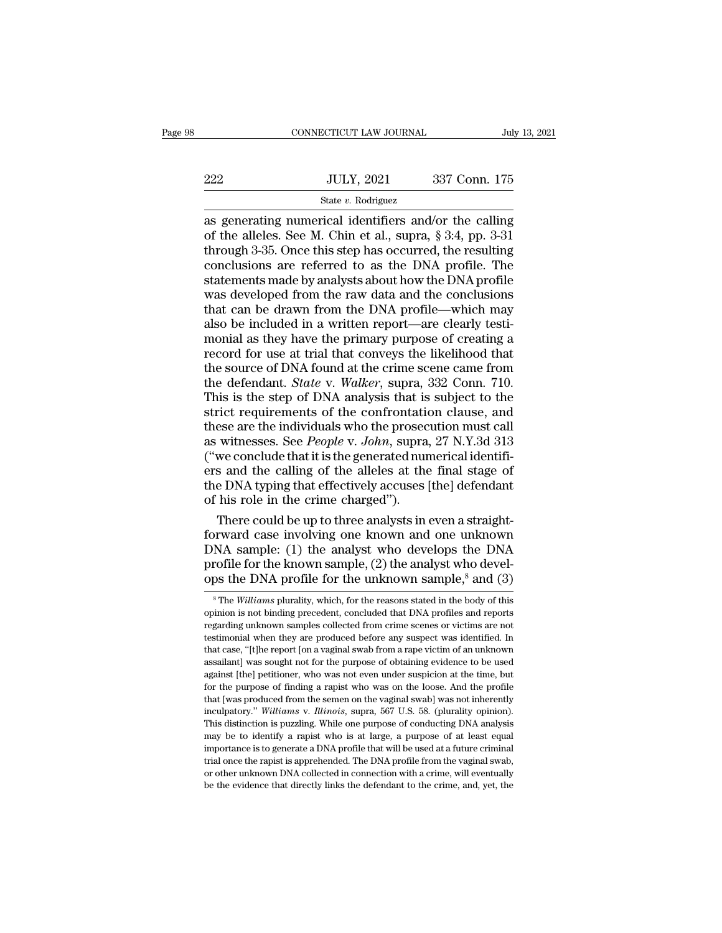# $\begin{tabular}{c} \multicolumn{1}{c|}{\text{CONNECTICUT LAW JOURNAL}} & July 13, 2021 \\ \cline{2-2} \multicolumn{1}{c|}{\text{July 13, 2021}} & \multicolumn{1}{c|}{\text{July 13, 2021}} \\ \cline{2-2} \multicolumn{1}{c|}{\text{Sate $v$. Rodriguez}} & \multicolumn{1}{c|}{\text{Total image}} \\ \cline{2-2} \end{tabular}$

## State *v.* Rodriguez

cONNECTICUT LAW JOURNAL July 13, 2021<br>
222 JULY, 2021 337 Conn. 175<br>
337 Conn. 175<br>
337 Conn. 175<br>
235 Guess See M. Chin et al., supra, § 3:4, pp. 3-31<br>
34 Chrough 3-35 Once this step has occurred the resulting 222 JULY, 2021 337 Conn. 175<br>
State v. Rodriguez<br>
as generating numerical identifiers and/or the calling<br>
of the alleles. See M. Chin et al., supra, § 3:4, pp. 3-31<br>
through 3-35. Once this step has occurred, the resultin 222 JULY, 2021 337 Conn. 175<br>
State v. Rodriguez<br>
as generating numerical identifiers and/or the calling<br>
of the alleles. See M. Chin et al., supra, § 3:4, pp. 3-31<br>
through 3-35. Once this step has occurred, the resultin 222 JULY, 2021 337 Conn. 175<br>
State v. Rodriguez<br>
as generating numerical identifiers and/or the calling<br>
of the alleles. See M. Chin et al., supra, § 3:4, pp. 3-31<br>
through 3-35. Once this step has occurred, the resultin state v. Rodriguez<br>
State v. Rodriguez<br>
as generating numerical identifiers and/or the calling<br>
of the alleles. See M. Chin et al., supra, § 3:4, pp. 3-31<br>
through 3-35. Once this step has occurred, the resulting<br>
conclus State v. Rodriguez<br>as generating numerical identifiers and/or the calling<br>of the alleles. See M. Chin et al., supra, § 3:4, pp. 3-31<br>through 3-35. Once this step has occurred, the resulting<br>conclusions are referred to as as generating numerical identifiers and/or the calling<br>of the alleles. See M. Chin et al., supra, § 3:4, pp. 3-31<br>through 3-35. Once this step has occurred, the resulting<br>conclusions are referred to as the DNA profile. The of the alleles. See M. Chin et al., supra, § 3:4, pp. 3-31<br>through 3-35. Once this step has occurred, the resulting<br>conclusions are referred to as the DNA profile. The<br>statements made by analysts about how the DNA profile<br> through 3-35. Once this step has occurred, the resulting<br>conclusions are referred to as the DNA profile. The<br>statements made by analysts about how the DNA profile<br>was developed from the raw data and the conclusions<br>that ca conclusions are referred to as the DNA profile. The<br>statements made by analysts about how the DNA profile<br>was developed from the raw data and the conclusions<br>that can be drawn from the DNA profile—which may<br>also be includ statements made by analysts about how the DNA profile<br>was developed from the raw data and the conclusions<br>that can be drawn from the DNA profile—which may<br>also be included in a written report—are clearly testi-<br>monial as t was developed from the raw data and the conclusions<br>that can be drawn from the DNA profile—which may<br>also be included in a written report—are clearly testi-<br>monial as they have the primary purpose of creating a<br>record for that can be drawn from the DNA profile—which may<br>also be included in a written report—are clearly testi-<br>monial as they have the primary purpose of creating a<br>record for use at trial that conveys the likelihood that<br>the so also be included in a written report—are clearly testi-<br>monial as they have the primary purpose of creating a<br>record for use at trial that conveys the likelihood that<br>the source of DNA found at the crime scene came from<br>t monial as they have the primary purpose of creating a<br>record for use at trial that conveys the likelihood that<br>the source of DNA found at the crime scene came from<br>the defendant. *State* v. *Walker*, supra, 332 Conn. 710.<br> record for use at trial that conveys the likelihood that<br>the source of DNA found at the crime scene came from<br>the defendant. *State* v. *Walker*, supra, 332 Conn. 710.<br>This is the step of DNA analysis that is subject to th the source of DNA found at the crime scene came from<br>the defendant. *State* v. *Walker*, supra, 332 Conn. 710.<br>This is the step of DNA analysis that is subject to the<br>strict requirements of the confrontation clause, and<br>th the defendant. *State* v. *Walker*, supra, 332 Conn. 710.<br>This is the step of DNA analysis that is subject to the<br>strict requirements of the confrontation clause, and<br>these are the individuals who the prosecution must call This is the step of DNA analysis that is subject to the<br>strict requirements of the confrontation clause, and<br>these are the individuals who the prosecution must call<br>as witnesses. See *People* v. John, supra, 27 N.Y.3d 313<br> strict requirements of the confrontation<br>these are the individuals who the prosec<br>as witnesses. See *People* v. John, supra<br>("we conclude that it is the generated nur<br>ers and the calling of the alleles at the<br>the DNA typin ese are the individuals who the prosecution must call<br>witnesses. See *People v. John*, supra, 27 N.Y.3d 313<br>we conclude that it is the generated numerical identifi-<br>s and the calling of the alleles at the final stage of<br>e as witnesses. See *People* v. John, supra, 27 N.Y.3d 313<br>("we conclude that it is the generated numerical identifi-<br>ers and the calling of the alleles at the final stage of<br>the DNA typing that effectively accuses [the] de

("we conclude that it is the generated numerical identifiers<br>ers and the calling of the alleles at the final stage of<br>the DNA typing that effectively accuses [the] defendant<br>of his role in the crime charged").<br>There could ers and the calling of the alleles at the final stage of<br>the DNA typing that effectively accuses [the] defendant<br>of his role in the crime charged").<br>There could be up to three analysts in even a straight-<br>forward case invo the DNA typing that effectively accuses [the] defendant<br>of his role in the crime charged").<br>There could be up to three analysts in even a straight-<br>forward case involving one known and one unknown<br>DNA sample: (1) the anal by provaint of case involving one known and one unknown<br>NA sample: (1) the analyst who develops the DNA<br>rofile for the known sample, (2) the analyst who devel-<br>ps the DNA profile for the unknown sample,<sup>8</sup> and (3)<br><sup>8</sup>The DNA sample: (1) the analyst who develops the DNA profile for the known sample, (2) the analyst who develops the DNA profile for the unknown sample,<sup>8</sup> and (3)  $\frac{}{\ }$ <sup>8</sup> The *Williams* plurality, which, for the reasons st

**Profile for the known sample,** (2) the analyst who develops the DNA profile for the unknown sample,<sup>8</sup> and (3)  $\frac{1}{\pi}$  The *Williams* plurality, which, for the reasons stated in the body of this opinion is not binding ops the DNA profile for the unknown sample,<sup>8</sup> and (3)<br><sup>8</sup> The *Williams* plurality, which, for the reasons stated in the body of this<br>opinion is not binding precedent, concluded that DNA profiles and reports<br>regarding un Ops the DINA profile for the unknown sample," and (3)<br>
<sup>8</sup> The *Williams* plurality, which, for the reasons stated in the body of this<br>
opinion is not binding precedent, concluded that DNA profiles and reports<br>
regarding <sup>8</sup> The *Williams* plurality, which, for the reasons stated in the body of this opinion is not binding precedent, concluded that DNA profiles and reports regarding unknown samples collected from crime scenes or victims ar by opinion is not binding precedent, concluded that DNA profiles and reports regarding unknown samples collected from crime scenes or victims are not testimonial when they are produced before any suspect was identified. In For the purpose of finding a rapist who was on the boose. And the profile regarding unknown samples collected from crime scenes or victims are not testimonial when they are produced before any suspect was identified. In th testimonial when they are produced before any suspect was identified. In that case, "[t]he report [on a vaginal swab from a rape victim of an unknown assailant] was sought not for the purpose of obtaining evidence to be us that case, "[t]he report [on a vaginal swab from a rape victim of an unknown assailant] was sought not for the purpose of obtaining evidence to be used against [the] petitioner, who was not even under suspicion at the time assailant] was sought not for the purpose of obtaining evidence to be used against [the] petitioner, who was not even under suspicion at the time, but for the purpose of finding a rapist who was on the loose. And the profi against [the] petitioner, who was not even under suspicion at the time, but<br>for the purpose of finding a rapist who was on the loose. And the profile<br>that [was produced from the semen on the vaginal swab] was not inherentl for the purpose of finding a rapist who was on the loose. And the profile that [was produced from the semen on the vaginal swab] was not inherently inculpatory." Williams v. Illinois, supra, 567 U.S. 58. (plurality opinio that [was produced from the semen on the vaginal swab] was not inherently inculpatory." Williams v. Illinois, supra, 567 U.S. 58. (plurality opinion). This distinction is puzzling. While one purpose of conducting DNA anal inculpatory." Williams v. *Illinois*, supra, 567 U.S. 58. (plurality opinion).<br>This distinction is puzzling. While one purpose of conducting DNA analysis<br>may be to identify a rapist who is at large, a purpose of at least e This distinction is puzzling. While one purpose of conducting DNA analysis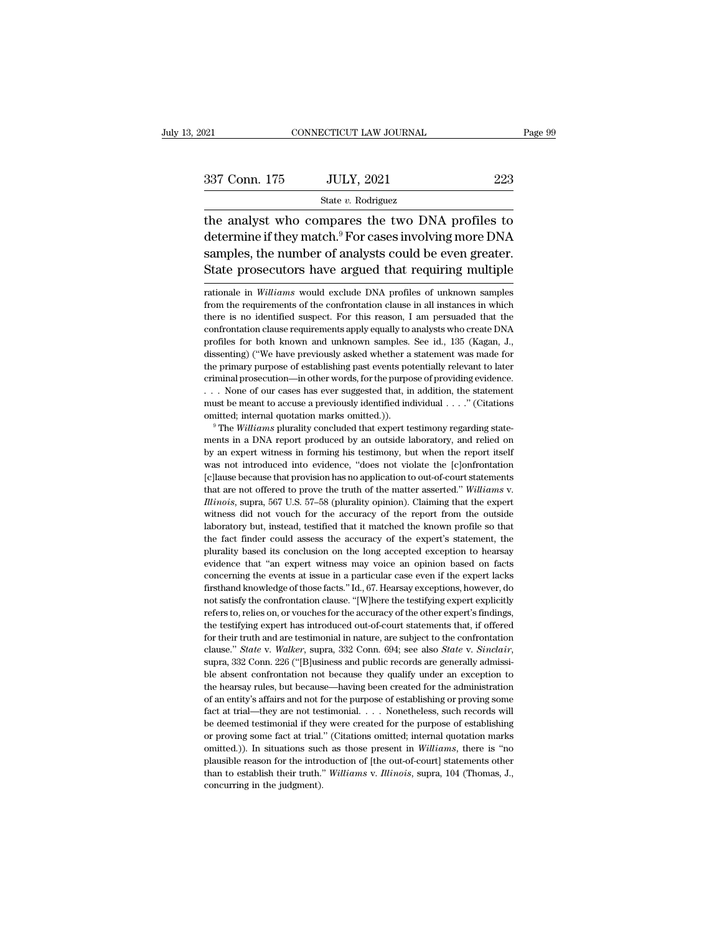| 021           | CONNECTICUT LAW JOURNAL |     | Page 99 |
|---------------|-------------------------|-----|---------|
| 337 Conn. 175 | <b>JULY, 2021</b>       | 223 |         |
|               | State $v$ . Rodriguez   |     |         |

 $t_{\text{221}}$  connectricut LAW JOURNAL Page 99<br>  $\frac{337 \text{ Conn. } 175 \qquad \text{JULY, } 2021 \qquad \text{223}}{\text{State } v. \text{ Rodriguez}}$ <br>
the analyst who compares the two DNA profiles to<br>
determine if they match.<sup>9</sup> For cases involving more DNA  $\begin{array}{r} \text{337 Conn. 175} \text{JULY, 2021} \text{State } v. \text{ Rodriguez} \end{array}$ <br>
the analyst who compares the two DNA profiles to<br>
determine if they match.<sup>9</sup> For cases involving more DNA<br>
samples, the number of analysts could be even greater.  $\begin{tabular}{ll} \multicolumn{1}{l}{{\text{337 Conn. 175 \quad & \text{JULY, 2021 \quad & \text{223}}}}\\ & \multicolumn{1}{l}{\text{State $v$. Rodrigues}}\\ \hline \multicolumn{1}{l}{\text{the analyst who compares the two DNA profiles to} }\\ \hline \multicolumn{1}{l}{\text{determine if they match.}^9 \text{ For cases involving more DNA} }\\ \multicolumn{1}{l}{\text{samples, the number of analysts could be even greater.}}\\ \hline \multicolumn{1}{l}{\text{State processes}~\text{involled}}\\ & \multicolumn{1}{l}{\text{State processes}~\text{involled}}\\ \h$ 337 Conn. 175 JULY, 2021 223<br>
State v. Rodriguez<br>
the analyst who compares the two DNA profiles to<br>
determine if they match.<sup>9</sup> For cases involving more DNA<br>
samples, the number of analysts could be even greater.<br>
State p the analyst who compares the two DNA profiles to<br>determine if they match.<sup>9</sup> For cases involving more DNA<br>samples, the number of analysts could be even greater.<br>State prosecutors have argued that requiring multiple<br>rationa determine if they match.<sup>9</sup> For cases involving more DNA<br>samples, the number of analysts could be even greater.<br>State prosecutors have argued that requiring multiple<br>rationale in *Williams* would exclude DNA profiles of un

samples, the number of analysts could be even greater.<br>State prosecutors have argued that requiring multiple<br>rationale in *Williams* would exclude DNA profiles of unknown samples<br>from the requirements of the confrontation State prosecutors have argued that requiring multiple<br>rationale in *Williams* would exclude DNA profiles of unknown samples<br>from the requirements of the confrontation clause in all instances in which<br>there is no identified profiles for both known and unknown samples<br>prationale in *Williams* would exclude DNA profiles of unknown samples<br>from the requirements of the confrontation clause in all instances in which<br>there is no identified suspect. rationale in Williams would exclude DNA profiles of unknown samples<br>from the requirements of the confrontation clause in all instances in which<br>there is no identified suspect. For this reason, I am persuaded that the<br>confr from the requirements of the confrontation clause in all instances in which<br>there is no identified suspect. For this reason, I am persuaded that the<br>confrontation clause requirements apply equally to analysts who create DN there is no identified suspect. For this reason, I am persuaded that the confrontation clause requirements apply equally to analysts who create DNA profiles for both known and unknown samples. See id., 135 (Kagan, J., diss confrontation clause requirements apply equally to analysts who create DNA profiles for both known and unknown samples. See id., 135 (Kagan, J., dissenting) ("We have previously asked whether a statement was made for the profiles for both known and unknown samples. See id., 135 (Kagan, J., dissenting) ("We have previously asked whether a statement was made for the primary purpose of establishing past events potentially relevant to later c dissenting) ("We have previously asked whether a statement was made for<br>the primary purpose of establishing past events potentially relevant to later<br>criminal prosecution—in other words, for the purpose of providing eviden criminal prosecution—in other words, for the purpose of providing evidence.<br>
. . . None of our cases has ever suggested that, in addition, the statement<br>
must be meant to accuse a previously identified individual . . . ."

<sup>9</sup> The *Williams* plurality concluded that expert testimony regarding statements in a DNA report produced by an outside laboratory, and relied on by an expert witness in forming his testimony, but when the report itself was the meant to accuse a previously identified individual  $\ldots$ ." (Citations omitted; internal quotation marks omitted.)).<br>
<sup>9</sup> The *Williams* plurality concluded that expert testimony regarding statements in a DNA repor mutted; internal quotation marks omitted.)).<br>
<sup>9</sup> The *Williams* plurality concluded that expert testimony regarding statements in a DNA report produced by an outside laboratory, and relied on<br>
by an expert witness in for The *Williams* plurality concluded that expert testimony regarding statements in a DNA report produced by an outside laboratory, and relied on by an expert witness in forming his testimony, but when the report itself was n when expert witness in forming his testimony, but when the report itself was not introduced into evidence, "does not violate the [c]onfrontation [c]lause because that provision has no application to out-of-court statements Laboratory but, instead, testified that it matched the community was not introduced into evidence, "does not violate the [c]onfrontation [c]lause because that provision has no application to out-of-court statements that a The figure because that provision has no application to out-of-court statements that are not offered to prove the truth of the matter asserted." Williams v. *Illinois*, supra, 567 U.S. 57–58 (plurality opinion). Claiming plurality based its conclusion of the matter asserted." Williams v. *Illinois*, supra, 567 U.S. 57–58 (plurality opinion). Claiming that the expert witness did not vouch for the accuracy of the report from the outside labo *Ellinois*, supra, 567 U.S. 57–58 (plurality opinion). Claiming that the expert witness did not vouch for the accuracy of the report from the outside laboratory but, instead, testified that it matched the known profile so witness did not vouch for the accuracy of the report from the outside laboratory but, instead, testified that it matched the known profile so that the fact finder could assess the accuracy of the expert's statement, the pl laboratory but, instead, testified that it matched the known profile so that the fact finder could assess the accuracy of the expert's statement, the plurality based its conclusion on the long accepted exception to hearsay the fact finder could assess the accuracy of the expert's statement, the plurality based its conclusion on the long accepted exception to hearsay evidence that "an expert witness may voice an opinion based on facts concern plurality based its conclusion on the long accepted exception to hearay<br>plurality based its conclusion on the long accepted exception to hearay<br>evidence that "an expert witness may voice an opinion based on facts<br>concernin perduced that "an expert witness may voice an opinion based on facts concerning the events at issue in a particular case even if the expert lacks firsthand knowledge of those facts." Id., 67. Hearsay exceptions, however, d concerning the events at issue in a particular case even if the expert lacks firsthand knowledge of those facts." Id., 67. Hearsay exceptions, however, do not satisfy the confrontation clause. "[W]here the testifying expe effirsthand knowledge of those facts." Id., 67. Hearsay exceptions, however, do not satisfy the confrontation clause. "[W]here the testifying expert explicitly refers to, relies on, or vouches for the accuracy of the other refers to, relies on, or vouches for the accuracy of the other expert's findings,<br>the testifying expert has introduced out-of-court statements that, if offered<br>for their truth and are testimonial in nature, are subject to the testifying expert has introduced out-of-court statements that, if offered<br>for their truth and are testimonial in nature, are subject to the confrontation<br>clause." *State v. Walker*, supra, 332 Conn. 694; see also *Stat* for their truth and are testimonial in nature, are subject to the confrontation clause." *State* v. *Walker*, supra, 332 Conn. 694; see also *State* v. *Sinclair*, supra, 332 Conn. 226 ("[B]usiness and public records are g clause." *State* v. *Walker*, supra, 332 Conn. 694; see also *State* v. *Sinclair*, supra, 332 Conn. 226 ("[B]usiness and public records are generally admissible absent confrontation not because they qualify under an excep supra, 332 Conn. 226 ("[B]usiness and public records are generally admissible absent confrontation not because they qualify under an exception to the hearsay rules, but because—having been created for the administration o be absent confrontation not because they qualify under an exception to the hearsay rules, but because—having been created for the administration of an entity's affairs and not for the purpose of establishing or proving som omitted.) The hearsay rules, but because—having been created for the administration of an entity's affairs and not for the purpose of establishing or proving some fact at trial—they are not testimonial. . . . Nonetheless, the hearsay rules, but because—having been created for the administration of an entity's affairs and not for the purpose of establishing or proving some fact at trial—they are not testimonial. . . . Nonetheless, such reco fact at trial—they are not testimonial. . . . Nonetheless, such records will be deemed testimonial if they were created for the purpose of establishing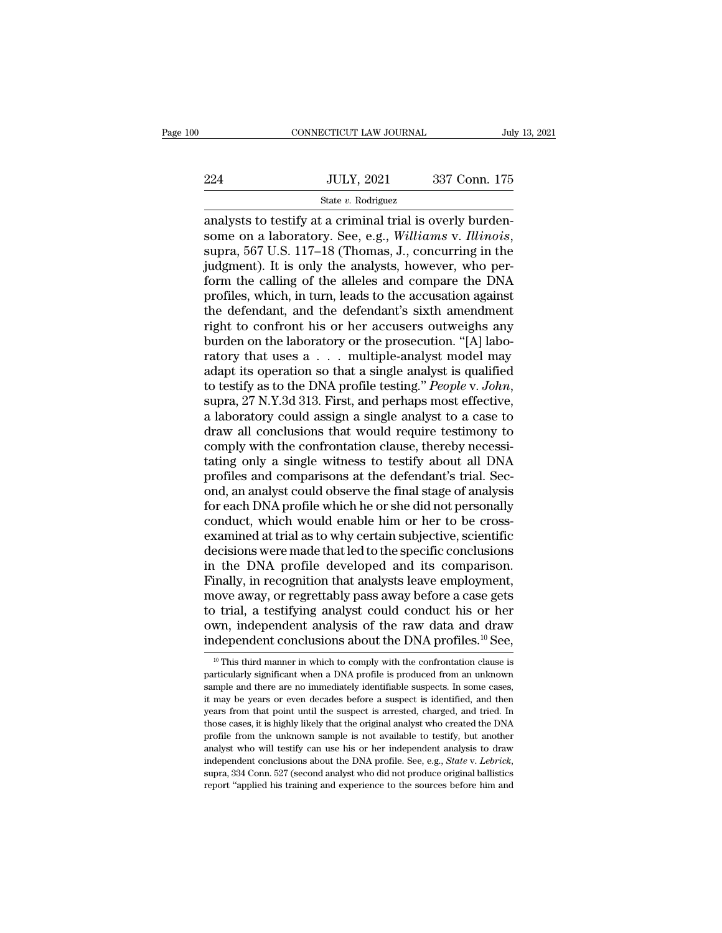# 19 CONNECTICUT LAW JOURNAL<br>224 JULY, 2021 337 Conn. 175<br>324 State v. Rodriguez

## State *v.* Rodriguez

CONNECTICUT LAW JOURNAL<br>
224 JULY, 2021 337 Conn. 175<br>
327 Conn. 175<br>
324 JULY, 2021 337 Conn. 175<br>
327 Conn. 175<br>
328 State v. Rodriguez<br>
328 Connection and alaboratory. See, e.g., *Williams v. Illinois*,<br>
567 U.S. 117, 1 Some on a laboratory. See, e.g., *Williams* v. *Illinois*, supra, 567 U.S. 117–18 (Thomas, J., concurring in the judgment). It is only the analysts, however, who perform the calling of the alleles and compare the DNA  $\frac{\text{JULY, 2021}}{\text{State } v. \text{ Rodriguez}}$ <br>
analysts to testify at a criminal trial is overly burdensome on a laboratory. See, e.g., *Williams v. Illinois*, supra, 567 U.S. 117–18 (Thomas, J., concurring in the judgment). It is only t State v. Rodriguez<br>
State v. Rodriguez<br>
analysts to testify at a criminal trial is overly burdensome on a laboratory. See, e.g., *Williams v. Illinois*,<br>
supra, 567 U.S. 117–18 (Thomas, J., concurring in the judgment). It State v. Rodriguez<br>
analysts to testify at a criminal trial is overly burden-<br>
some on a laboratory. See, e.g., *Williams v. Illinois*,<br>
supra, 567 U.S. 117–18 (Thomas, J., concurring in the<br>
judgment). It is only the ana analysts to testify at a criminal trial is overly burdensome on a laboratory. See, e.g., *Williams v. Illinois*, supra, 567 U.S. 117–18 (Thomas, J., concurring in the judgment). It is only the analysts, however, who perfor some on a laboratory. See, e.g., *Williams v. Illinois*,<br>supra, 567 U.S. 117–18 (Thomas, J., concurring in the<br>judgment). It is only the analysts, however, who per-<br>form the calling of the alleles and compare the DNA<br>profi supra, 567 U.S. 117–18 (Thomas, J., concurring in the judgment). It is only the analysts, however, who perform the calling of the alleles and compare the DNA profiles, which, in turn, leads to the accusation against the d judgment). It is only the analysts, however, who perform the calling of the alleles and compare the DNA<br>profiles, which, in turn, leads to the accusation against<br>the defendant, and the defendant's sixth amendment<br>right to form the calling of the alleles and compare the DNA<br>profiles, which, in turn, leads to the accusation against<br>the defendant, and the defendant's sixth amendment<br>right to confront his or her accusers outweighs any<br>burden o profiles, which, in turn, leads to the accusation against<br>the defendant, and the defendant's sixth amendment<br>right to confront his or her accusers outweighs any<br>burden on the laboratory or the prosecution. "[A] labo-<br>rator right to confront his or her accusers outweighs any<br>burden on the laboratory or the prosecution. "[A] laboratory that uses  $a \dots$  multiple-analyst model may<br>adapt its operation so that a single analyst is qualified<br>to test burden on the laboratory or the prosecution. "[A] laboratory that uses a . . . multiple-analyst model may adapt its operation so that a single analyst is qualified to testify as to the DNA profile testing." *People* v. Jo ratory that uses a . . . multiple-analyst model may<br>adapt its operation so that a single analyst is qualified<br>to testify as to the DNA profile testing." *People v. John*,<br>supra, 27 N.Y.3d 313. First, and perhaps most effec adapt its operation so that a single analyst is qualified<br>to testify as to the DNA profile testing." *People v. John*,<br>supra, 27 N.Y.3d 313. First, and perhaps most effective,<br>a laboratory could assign a single analyst to to testify as to the DNA profile testing." *People v. John*, supra, 27 N.Y.3d 313. First, and perhaps most effective, a laboratory could assign a single analyst to a case to draw all conclusions that would require testimon supra, 27 N.Y.3d 313. First, and perhaps most effective,<br>a laboratory could assign a single analyst to a case to<br>draw all conclusions that would require testimony to<br>comply with the confrontation clause, thereby necessi-<br>t a laboratory could assign a single analyst to a case to<br>draw all conclusions that would require testimony to<br>comply with the confrontation clause, thereby necessi-<br>tating only a single witness to testify about all DNA<br>prof draw all conclusions that would require testimony to<br>comply with the confrontation clause, thereby necessi-<br>tating only a single witness to testify about all DNA<br>profiles and comparisons at the defendant's trial. Sec-<br>ond, comply with the confrontation clause, thereby necessitating only a single witness to testify about all DNA profiles and comparisons at the defendant's trial. Second, an analyst could observe the final stage of analysis for tating only a single witness to testify about all DNA<br>profiles and comparisons at the defendant's trial. Sec-<br>ond, an analyst could observe the final stage of analysis<br>for each DNA profile which he or she did not personall profiles and comparisons at the defendant's trial. Second, an analyst could observe the final stage of analysis<br>for each DNA profile which he or she did not personally<br>conduct, which would enable him or her to be cross-<br>ex ond, an analyst could observe the final stage of analysis<br>for each DNA profile which he or she did not personally<br>conduct, which would enable him or her to be cross-<br>examined at trial as to why certain subjective, scientif for each DNA profile which he or she did not personally<br>conduct, which would enable him or her to be cross-<br>examined at trial as to why certain subjective, scientific<br>decisions were made that led to the specific conclusion conduct, which would enable him or her to be cross-<br>examined at trial as to why certain subjective, scientific<br>decisions were made that led to the specific conclusions<br>in the DNA profile developed and its comparison.<br>Final examined at trial as to why certain subjective, scientific<br>decisions were made that led to the specific conclusions<br>in the DNA profile developed and its comparison.<br>Finally, in recognition that analysts leave employment,<br>m decisions were made that led to the specific conclusions<br>in the DNA profile developed and its comparison.<br>Finally, in recognition that analysts leave employment,<br>move away, or regrettably pass away before a case gets<br>to tr 10 Ove away, or regrettably pass away before a case gets<br>
10 trial, a testifying analyst could conduct his or her<br>
10 This third manner in which to comply with the confrontation clause is<br>
10 This third manner in which to to trial, a testifying analyst could conduct his or her own, independent analysis of the raw data and draw independent conclusions about the DNA profiles.<sup>10</sup> See,  $\frac{10 \text{ This third manner in which to comply with the confrontation clause is particularly significant when a DNA profile is produced from an unknown sample and there are no immediately identifiable suggests. In some cases,$ 

own, independent analysis of the raw data and draw<br>independent conclusions about the DNA profiles.<sup>10</sup> See,<br><sup>10</sup> This third manner in which to comply with the confrontation clause is<br>particularly significant when a DNA pr independent conclusions about the DNA profiles.<sup>10</sup> See,<br><sup>10</sup> This third manner in which to comply with the confrontation clause is<br>particularly significant when a DNA profile is produced from an unknown<br>sample and there Independent conclusions about the DNA promiss. See,<br>
<sup>10</sup> This third manner in which to comply with the confrontation clause is<br>
particularly significant when a DNA profile is produced from an unknown<br>
sample and there are <sup>10</sup> This third manner in which to comply with the confrontation clause is particularly significant when a DNA profile is produced from an unknown sample and there are no immediately identifiable suspects. In some cases, <sup>10</sup> This third manner in which to comply with the confrontation clause is particularly significant when a DNA profile is produced from an unknown sample and there are no immediately identifiable suspects. In some cases, parametary stages and there are no inmediately identifiable suspects. In some cases, it may be years or even decades before a suspect is identified, and then years from that point until the suspect is arrested, charged, an in the peaks of even decades before a suspect is identified, and then years from that point until the suspect is arrested, charged, and tried. In those cases, it is highly likely that the original analyst who created the D those cases, it is highly likely that the original analyst who created the DNA profile from the unknown sample is not available to testify, but another analyst who will testify can use his or her independent analysis to dr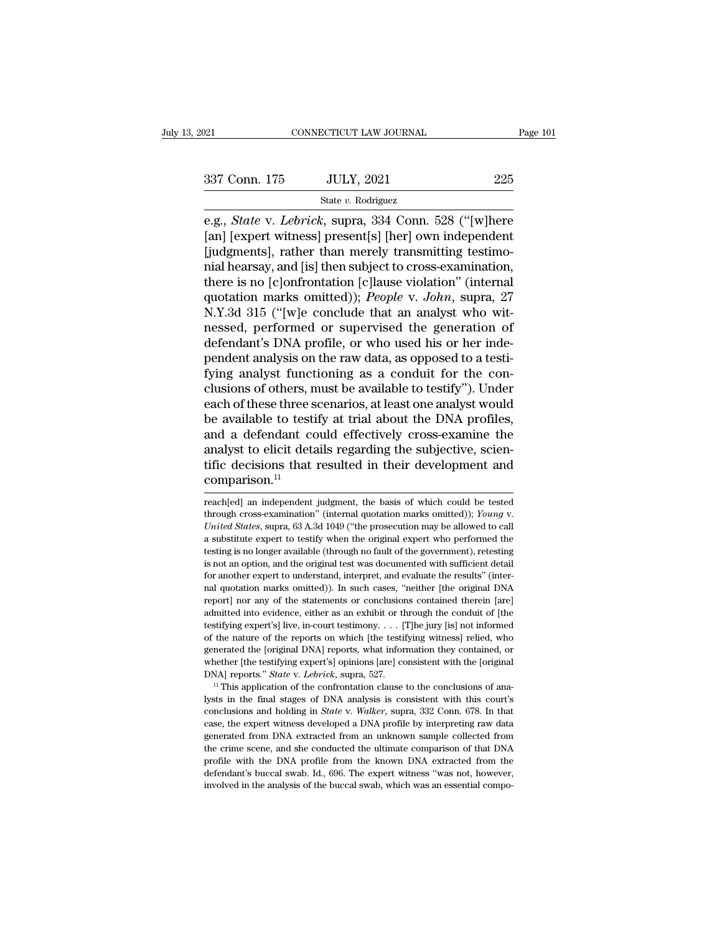e.g., *State* v. *Lebrick*, supra, 334 Conn. 528 ("[w]here<br>
[an] [expert witness] present[s] [her] own independent<br>
[independent] rather than morely transmitting testine  $\begin{array}{ll} \text{337 Conn. 175} & \text{JULY, 2021} & \text{225} \\ & \text{State } v. \text{ Rodriguez} \\ \hline \text{e.g., } State \text{ v. } Lebrick, \text{ supra, 334 Conn. 528 ("[where [an] [expert witness] present[s] [her] own independent [judgments], rather than merely transmitting testing, rather than merely transmitting testing, rather than the number of errors in the image.} \end{array}$  $\begin{array}{r} \text{337 Conn. } 175 \text{ \textcolor{red}{\text{5001}} \text{ \textcolor{red}{\text{51}} \text{ \textcolor{red}{\text{52}} \text{ \textcolor{red}{\text{52}}}} \text{ \textcolor{red}{\text{52}} \text{ \textcolor{red}{\text{52}} \text{ \textcolor{red}{\text{52}}}} \text{ \textcolor{red}{\text{52}} \text{ \textcolor{red}{\text{63}} \text{ \textcolor{red}{\text{64}} \text{ \textcolor{red}{\text{65}}}} \text{ \textcolor{red}{\text{65}} \text{ \textcolor{red}{\text{66}}$ 337 Conn. 175 JULY, 2021 225<br>
state v. Rodriguez<br>
e.g., *State* v. *Lebrick*, supra, 334 Conn. 528 ("[w]here<br>
[an] [expert witness] present[s] [her] own independent<br>
[judgments], rather than merely transmitting testimo-<br> Solution 1:5 Solution 1:5 Solution 1:5 Solution 2:5 State v. Rodriguez<br>
e.g., *State* v. *Lebrick*, supra, 334 Conn. 528 ("[w]here<br>
[an] [expert witness] present[s] [her] own independent<br>
[judgments], rather than merely t state v. *Lebrick*, supra, 334 Conn. 528 ("[w]here<br>[an] [expert witness] present[s] [her] own independent<br>[judgments], rather than merely transmitting testimo-<br>nial hearsay, and [is] then subject to cross-examination,<br>ther e.g., *State* v. *Lebrick*, supra, 334 Conn. 528 ("[w]here [an] [expert witness] present[s] [her] own independent [judgments], rather than merely transmitting testimonial hearsay, and [is] then subject to cross-examination [an] [expert witness] present[s] [her] own independent<br>[judgments], rather than merely transmitting testimo-<br>nial hearsay, and [is] then subject to cross-examination,<br>there is no [c]onfrontation [c]lause violation" (inter [judgments], rather than merely transmitting testimonial hearsay, and [is] then subject to cross-examination, there is no [c]onfrontation [c]lause violation" (internal quotation marks omitted)); *People v. John*, supra, 2 mial hearsay, and [is] then subject to cross-examination,<br>there is no [c]onfrontation [c]lause violation" (internal<br>quotation marks omitted)); *People v. John*, supra, 27<br>N.Y.3d 315 ("[w]e conclude that an analyst who witthere is no [c]onfrontation [c]lause violation" (internal<br>quotation marks omitted)); *People v. John*, supra, 27<br>N.Y.3d 315 ("[w]e conclude that an analyst who wit-<br>nessed, performed or supervised the generation of<br>defenda quotation marks omitted)); *People* v. *John*, supra, 27<br>N.Y.3d 315 ("[w]e conclude that an analyst who wit-<br>nessed, performed or supervised the generation of<br>defendant's DNA profile, or who used his or her inde-<br>pendent a N.Y.3d 315 ("[w]e conclude that an analyst who wit-<br>nessed, performed or supervised the generation of<br>defendant's DNA profile, or who used his or her inde-<br>pendent analysis on the raw data, as opposed to a testi-<br>fying ana nessed, performed or supervised the generation of<br>defendant's DNA profile, or who used his or her inde-<br>pendent analysis on the raw data, as opposed to a testi-<br>fying analyst functioning as a conduit for the con-<br>clusions defendant's DNA profile, or who used his or her inde-<br>pendent analysis on the raw data, as opposed to a testi-<br>fying analyst functioning as a conduit for the con-<br>clusions of others, must be available to testify''). Under<br> pendent analysis on the raw data, as opposed to a testifying analyst functioning as a conduit for the conclusions of others, must be available to testify"). Under each of these three scenarios, at least one analyst would b fying analyst functioning as a conduit for the conclusions of others, must be available to testify"). Under each of these three scenarios, at least one analyst would be available to testify at trial about the DNA profiles, comparison.<sup>11</sup> and a defendant could effectively cross-examine the<br>analyst to elicit details regarding the subjective, scien-<br>tific decisions that resulted in their development and<br>comparison.<sup>11</sup><br>treach[ed] an independent judgment, the

generated the [original DNA] reports, what information they contained, or whether [the testifying expert's] opinions [are] consistent with the [original DNA] reports." *State* v. *Lebrick*, supra, 527. <sup>11</sup> This applicatio whether [the testifying expert's] opinions [are] consistent with the [original DNA] reports." *State* v. *Lebrick*, supra, 527.<br><sup>11</sup> This application of the confrontation clause to the conclusions of analysts in the final DNA] reports." *State v. Lebrick*, supra, 527.<br>
<sup>11</sup> This application of the confrontation clause to the conclusions of analysts in the final stages of DNA analysis is consistent with this court's conclusions and holding <sup>11</sup> This application of the conformation clause to the conclusions of analysts in the final stages of DNA analysis is consistent with this court's conclusions and holding in *State v. Walker*, supra, 332 Conn. 678. In th Figure 1. The final stages of DNA analysis is consistent with this court's conclusions and holding in *State v. Walker*, supra, 332 Conn. 678. In that case, the expert witness developed a DNA profile by interpreting raw da conclusions and holding in *State* v. *Walker*, supra, 332 Conn. 678. In that case, the expert witness developed a DNA profile by interpreting raw data generated from DNA extracted from an unknown sample collected from th case, the expert witness developed a DNA profile by interpreting raw data

analyst to elicit details regarding the subjective, scientific decisions that resulted in their development and comparison.<sup>11</sup><br>
reach[ed] an independent judgment, the basis of which could be tested<br>
through cross-examinat comparison.<sup>11</sup><br>
reach[ed] an independent judgment, the basis of which could be tested<br>
through cross-examination" (internal quotation marks omitted)); *Young v.*<br>
United States, supra, 63 A.3d 1049 ("the prosecution may b **EXECUT EXECUTE:**<br>
Teach[ed] an independent judgment, the basis of which could be tested<br>
through cross-examination" (internal quotation marks omitted)); *Young v.*<br>
United States, supra, 63 A.3d 1049 ("the prosecution may reach[ed] an independent judgment, the basis of which could be tested<br>through cross-examination" (internal quotation marks omitted)); *Young v.*<br>United States, supra, 63 A.3d 1049 ("the prosecution may be allowed to call<br>a through cross-examination" (internal quotation marks omitted)); *Young v. United States*, supra, 63 A.3d 1049 ("the prosecution may be allowed to call a substitute expert to testify when the original expert who performed t United States, supra, 63 A.3d 1049 ("the prosecution may be allowed to call a substitute expert to testify when the original expert who performed the testing is no longer available (through no fault of the government), ret a substitute expert to testify when the original expert who performed the assistant expert to testify when the original expert who performed the lesting is not an option, and the original test was documented with sufficien admitted into evidence, either as an exhibit or through the conductions in the server as is not an option, and the original test was documented with sufficient detail for another expert to understand, interpret, and evalua is not an option, and the original test was documented with sufficient detail<br>for another expert to understand, interpret, and evaluate the results" (inter-<br>nal quotation marks omitted)). In such cases, "neither [the orig for another expert to understand, interpret, and evaluate the results" (internal quotation marks omitted)). In such cases, "neither [the original DNA report] nor any of the statements or conclusions contained therein [are] nal quotation marks omitted)). In such cases, "neither [the original DNA report] nor any of the statements or conclusions contained therein [are] admitted into evidence, either as an exhibit or through the conduit of [the report] nor any of the statements or conclusions contained therein [are] admitted into evidence, either as an exhibit or through the conduit of [the testifying expert's] live, in-court testimony. . . . [T]he jury [is] not reports.'' *State* v. *Lebrick*, supra, 527. If  $\mu$  *Stater as an exhibit or through the conduit of [the testifying expert's] live, in-court testimony.... [T]he jury [is] not informed of the nature of the reports on which* of the nature of the reports on which [the testifying witness] relied, who generated the [original DNA] reports, what information they contained, or whether [the testifying expert's] opinions [are] consistent with the [or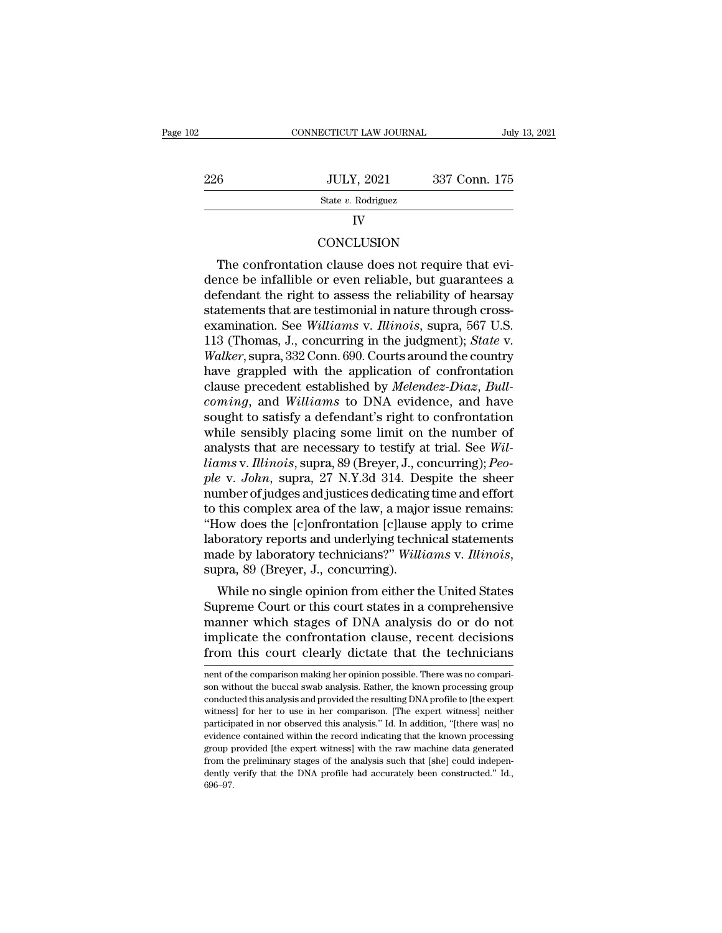|     | CONNECTICUT LAW JOURNAL | July 13, 2021 |
|-----|-------------------------|---------------|
| 226 | <b>JULY, 2021</b>       | 337 Conn. 175 |
|     | State v. Rodriguez      |               |
|     | ΙV                      |               |
|     | <b>CONCLUSION</b>       |               |

## IV

### **CONCLUSION**

 $\frac{1220}{\text{State } v. \text{ Rodriguez}}$ <br>  $\frac{1}{\text{U}}$ <br>  $\frac{1}{\text{U}}$ <br>  $\frac{1}{\text{U}}$ <br>  $\frac{1}{\text{U}}$ <br>  $\frac{1}{\text{U}}$ <br>  $\frac{1}{\text{U}}$ <br>  $\frac{1}{\text{U}}$ <br>  $\frac{1}{\text{U}}$ <br>  $\frac{1}{\text{U}}$ <br>  $\frac{1}{\text{U}}$ <br>  $\frac{1}{\text{U}}$ <br>  $\frac{1}{\text{U}}$ <br>  $\frac{1}{\text{U}}$ <br>  $\frac{1}{\text{U}}$ <br> State v. Rodriguez<br>
IV<br>
CONCLUSION<br>
The confrontation clause does not require that evi-<br>
dence be infallible or even reliable, but guarantees a<br>
defendant the right to assess the reliability of hearsay<br>
statements that ar IV<br>CONCLUSION<br>The confrontation clause does not require that evi-<br>dence be infallible or even reliable, but guarantees a<br>defendant the right to assess the reliability of hearsay<br>statements that are testimonial in nature th CONCLUSION<br>The confrontation clause does not require that evi-<br>dence be infallible or even reliable, but guarantees a<br>defendant the right to assess the reliability of hearsay<br>statements that are testimonial in nature throu The confrontation clause does not require that evi-<br>dence be infallible or even reliable, but guarantees a<br>defendant the right to assess the reliability of hearsay<br>statements that are testimonial in nature through cross-<br>e The confrontation clause does not require that evi-<br>dence be infallible or even reliable, but guarantees a<br>defendant the right to assess the reliability of hearsay<br>statements that are testimonial in nature through cross-<br>e dence be infallible or even reliable, but guarantees a<br>defendant the right to assess the reliability of hearsay<br>statements that are testimonial in nature through cross-<br>examination. See Williams v. Illinois, supra, 567 U.S defendant the right to assess the reliability of hearsay<br>statements that are testimonial in nature through cross-<br>examination. See *Williams v. Illinois*, supra, 567 U.S.<br>113 (Thomas, J., concurring in the judgment); *Stat coming*, and *k* are testimonial in nature through cross-<br>examination. See *Williams* v. *Illinois*, supra, 567 U.S.<br>113 (Thomas, J., concurring in the judgment); *State* v.<br>*Walker*, supra, 332 Conn. 690. Courts around t examination. See *Williams* v. *Illinois*, supra, 567 U.S.<br>113 (Thomas, J., concurring in the judgment); *State* v.<br>*Walker*, supra, 332 Conn. 690. Courts around the country<br>have grappled with the application of confrontat 113 (Thomas, J., concurring in the judgment); *State v.*<br>Walker, supra, 332 Conn. 690. Courts around the country<br>have grappled with the application of confrontation<br>clause precedent established by *Melendez-Diaz*, *Bull-Walker*, supra, 332 Conn. 690. Courts around the country<br>have grappled with the application of confrontation<br>clause precedent established by *Melendez-Diaz*, *Bull-*<br>*coming*, and *Williams* to DNA evidence, and have<br>soug have grappled with the application of confrontation clause precedent established by *Melendez-Diaz*, *Bull-coming*, and *Williams* to DNA evidence, and have sought to satisfy a defendant's right to confrontation while sens *clause precedent established by Melendez-Diaz, Bull-coming, and Williams to DNA evidence, and have sought to satisfy a defendant's right to confrontation while sensibly placing some limit on the number of analysts that ar* coming, and Williams to DNA evidence, and have<br>sought to satisfy a defendant's right to confrontation<br>while sensibly placing some limit on the number of<br>analysts that are necessary to testify at trial. See Wil-<br>liams v. Il sought to satisfy a defendant's right to confrontation<br>while sensibly placing some limit on the number of<br>analysts that are necessary to testify at trial. See Wil-<br>liams v. Illinois, supra, 89 (Breyer, J., concurring); Peo while sensibly placing some limit on the number of<br>analysts that are necessary to testify at trial. See *Wil-<br>liams v. Illinois*, supra, 89 (Breyer, J., concurring); *Peo-*<br>ple v. John, supra, 27 N.Y.3d 314. Despite the sh analysts that are necessary to testify at trial. See Wil-<br>liams v. Illinois, supra, 89 (Breyer, J., concurring); Peo-<br>ple v. John, supra, 27 N.Y.3d 314. Despite the sheer<br>number of judges and justices dedicating time and e liams v. *Illinois*, supra, 89 (Breyer, J., concurring); *People v. John*, supra, 27 N.Y.3d 314. Despite the sheer number of judges and justices dedicating time and effort to this complex area of the law, a major issue rem molecular this complex area of the law, a major issue remains:<br>
fow does the [c]onfrontation [c]lause apply to crime<br>
poratory reports and underlying technical statements<br>
ade by laboratory technicians?" Williams v. Illino to this complex area of the law, a hiajor issue remains.<br>
"How does the [c]onfrontation [c]lause apply to crime<br>
laboratory reports and underlying technical statements<br>
made by laboratory technicians?" *Williams v. Illinoi* 

mow does the [c]onfrontation [c]ause apply to critie<br>laboratory reports and underlying technical statements<br>made by laboratory technicians?" Williams v. Illinois,<br>supra, 89 (Breyer, J., concurring).<br>While no single opinion raboratory reports and underlying technical statements<br>made by laboratory technicians?" Williams v. Illinois,<br>supra, 89 (Breyer, J., concurring).<br>While no single opinion from either the United States<br>Supreme Court or this from this court of the comparison making her opinion possible. There was no comparited the comparison making her opinion possible. There was no comparited the comparison making her opinion possible. There was no comparited Supreme Court or this court states in a comprehensive<br>manner which stages of DNA analysis do or do not<br>implicate the confrontation clause, recent decisions<br>from this court clearly dictate that the technicians<br>nent of the c manner which stages of DNA analysis do or do not<br>implicate the confrontation clause, recent decisions<br>from this court clearly dictate that the technicians<br>nent of the comparison making her opinion possible. There was no co

implicate the confrontation clause, recent decisions<br>from this court clearly dictate that the technicians<br>ment of the comparison making her opinion possible. There was no compari-<br>son without the buccal swab analysis. Rath from this court clearly dictate that the technicians<br>
ment of the comparison making her opinion possible. There was no compari-<br>
son without the buccal swab analysis. Rather, the known processing group<br>
conducted this anal participated in nor observed this analysis. Rather, the known processing group conducted this analysis and provided the resulting DNA profile to [the expert witness] for her to use in her comparison. [The expert witness] n nent of the comparison making her opinion possible. There was no comparison without the buccal swab analysis. Rather, the known processing group conducted this analysis and provided the resulting DNA profile to [the expert From without the buccal swab analysis. Rather, the known processing group conducted this analysis and provided the resulting DNA profile to [the expert witness] for her to use in her comparison. [The expert witness] neithe conducted this analysis and provided the resulting DNA profile to [the expert witness] for her to use in her comparison. [The expert witness] neither participated in nor observed this analysis." Id. In addition, "[there wa witness] for her to use in her comparison. [The expert witness] neither 696–97.